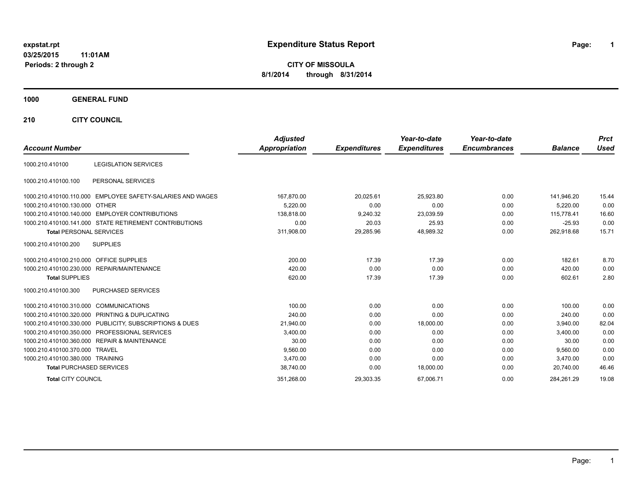# **expstat.rpt Expenditure Status Report Page:**

**1**

**CITY OF MISSOULA 8/1/2014 through 8/31/2014**

#### **1000 GENERAL FUND**

**210 CITY COUNCIL**

| <b>Account Number</b>            |                                                         | <b>Adjusted</b><br><b>Appropriation</b> | <b>Expenditures</b> | Year-to-date<br><b>Expenditures</b> | Year-to-date<br><b>Encumbrances</b> | <b>Balance</b> | <b>Prct</b><br><b>Used</b> |
|----------------------------------|---------------------------------------------------------|-----------------------------------------|---------------------|-------------------------------------|-------------------------------------|----------------|----------------------------|
|                                  |                                                         |                                         |                     |                                     |                                     |                |                            |
| 1000.210.410100                  | <b>LEGISLATION SERVICES</b>                             |                                         |                     |                                     |                                     |                |                            |
| 1000.210.410100.100              | PERSONAL SERVICES                                       |                                         |                     |                                     |                                     |                |                            |
| 1000.210.410100.110.000          | EMPLOYEE SAFETY-SALARIES AND WAGES                      | 167,870.00                              | 20,025.61           | 25,923.80                           | 0.00                                | 141,946.20     | 15.44                      |
| 1000.210.410100.130.000 OTHER    |                                                         | 5,220.00                                | 0.00                | 0.00                                | 0.00                                | 5,220.00       | 0.00                       |
|                                  | 1000.210.410100.140.000 EMPLOYER CONTRIBUTIONS          | 138.818.00                              | 9,240.32            | 23,039.59                           | 0.00                                | 115.778.41     | 16.60                      |
|                                  | 1000.210.410100.141.000 STATE RETIREMENT CONTRIBUTIONS  | 0.00                                    | 20.03               | 25.93                               | 0.00                                | $-25.93$       | 0.00                       |
| <b>Total PERSONAL SERVICES</b>   |                                                         | 311,908.00                              | 29,285.96           | 48.989.32                           | 0.00                                | 262.918.68     | 15.71                      |
| 1000.210.410100.200              | <b>SUPPLIES</b>                                         |                                         |                     |                                     |                                     |                |                            |
| 1000.210.410100.210.000          | <b>OFFICE SUPPLIES</b>                                  | 200.00                                  | 17.39               | 17.39                               | 0.00                                | 182.61         | 8.70                       |
|                                  | 1000.210.410100.230.000 REPAIR/MAINTENANCE              | 420.00                                  | 0.00                | 0.00                                | 0.00                                | 420.00         | 0.00                       |
| <b>Total SUPPLIES</b>            |                                                         | 620.00                                  | 17.39               | 17.39                               | 0.00                                | 602.61         | 2.80                       |
| 1000.210.410100.300              | PURCHASED SERVICES                                      |                                         |                     |                                     |                                     |                |                            |
| 1000.210.410100.310.000          | COMMUNICATIONS                                          | 100.00                                  | 0.00                | 0.00                                | 0.00                                | 100.00         | 0.00                       |
| 1000.210.410100.320.000          | PRINTING & DUPLICATING                                  | 240.00                                  | 0.00                | 0.00                                | 0.00                                | 240.00         | 0.00                       |
|                                  | 1000.210.410100.330.000 PUBLICITY, SUBSCRIPTIONS & DUES | 21.940.00                               | 0.00                | 18,000.00                           | 0.00                                | 3.940.00       | 82.04                      |
| 1000.210.410100.350.000          | PROFESSIONAL SERVICES                                   | 3.400.00                                | 0.00                | 0.00                                | 0.00                                | 3.400.00       | 0.00                       |
|                                  | 1000.210.410100.360.000 REPAIR & MAINTENANCE            | 30.00                                   | 0.00                | 0.00                                | 0.00                                | 30.00          | 0.00                       |
| 1000.210.410100.370.000 TRAVEL   |                                                         | 9,560.00                                | 0.00                | 0.00                                | 0.00                                | 9.560.00       | 0.00                       |
| 1000.210.410100.380.000 TRAINING |                                                         | 3.470.00                                | 0.00                | 0.00                                | 0.00                                | 3,470.00       | 0.00                       |
| <b>Total PURCHASED SERVICES</b>  |                                                         | 38,740.00                               | 0.00                | 18,000.00                           | 0.00                                | 20,740.00      | 46.46                      |
| <b>Total CITY COUNCIL</b>        |                                                         | 351,268.00                              | 29,303.35           | 67,006.71                           | 0.00                                | 284,261.29     | 19.08                      |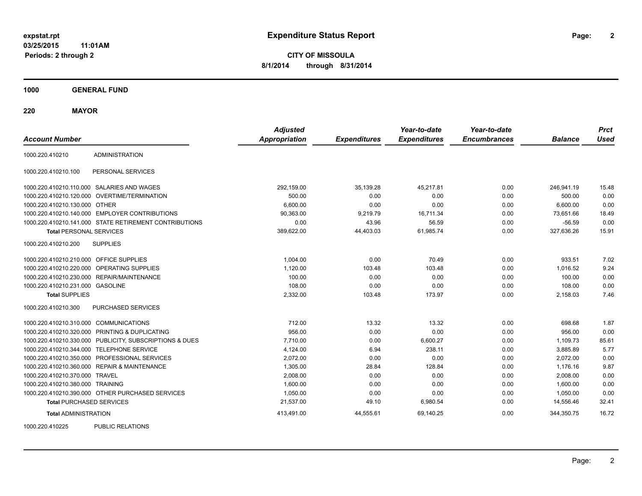**CITY OF MISSOULA 8/1/2014 through 8/31/2014**

**1000 GENERAL FUND**

**220 MAYOR**

| <b>Account Number</b>                   |                                                         | <b>Adjusted</b><br><b>Appropriation</b> | <b>Expenditures</b> | Year-to-date<br><b>Expenditures</b> | Year-to-date<br><b>Encumbrances</b> | <b>Balance</b> | <b>Prct</b><br><b>Used</b> |
|-----------------------------------------|---------------------------------------------------------|-----------------------------------------|---------------------|-------------------------------------|-------------------------------------|----------------|----------------------------|
| 1000.220.410210                         | <b>ADMINISTRATION</b>                                   |                                         |                     |                                     |                                     |                |                            |
| 1000.220.410210.100                     | PERSONAL SERVICES                                       |                                         |                     |                                     |                                     |                |                            |
|                                         | 1000.220.410210.110.000 SALARIES AND WAGES              | 292,159.00                              | 35,139.28           | 45,217.81                           | 0.00                                | 246,941.19     | 15.48                      |
|                                         | 1000.220.410210.120.000 OVERTIME/TERMINATION            | 500.00                                  | 0.00                | 0.00                                | 0.00                                | 500.00         | 0.00                       |
| 1000.220.410210.130.000 OTHER           |                                                         | 6,600.00                                | 0.00                | 0.00                                | 0.00                                | 6,600.00       | 0.00                       |
|                                         | 1000.220.410210.140.000 EMPLOYER CONTRIBUTIONS          | 90,363.00                               | 9,219.79            | 16,711.34                           | 0.00                                | 73,651.66      | 18.49                      |
|                                         | 1000.220.410210.141.000 STATE RETIREMENT CONTRIBUTIONS  | 0.00                                    | 43.96               | 56.59                               | 0.00                                | $-56.59$       | 0.00                       |
| <b>Total PERSONAL SERVICES</b>          |                                                         | 389,622.00                              | 44,403.03           | 61,985.74                           | 0.00                                | 327,636.26     | 15.91                      |
| 1000.220.410210.200                     | <b>SUPPLIES</b>                                         |                                         |                     |                                     |                                     |                |                            |
| 1000.220.410210.210.000 OFFICE SUPPLIES |                                                         | 1,004.00                                | 0.00                | 70.49                               | 0.00                                | 933.51         | 7.02                       |
|                                         | 1000.220.410210.220.000 OPERATING SUPPLIES              | 1,120.00                                | 103.48              | 103.48                              | 0.00                                | 1,016.52       | 9.24                       |
|                                         | 1000.220.410210.230.000 REPAIR/MAINTENANCE              | 100.00                                  | 0.00                | 0.00                                | 0.00                                | 100.00         | 0.00                       |
| 1000.220.410210.231.000 GASOLINE        |                                                         | 108.00                                  | 0.00                | 0.00                                | 0.00                                | 108.00         | 0.00                       |
| <b>Total SUPPLIES</b>                   |                                                         | 2,332.00                                | 103.48              | 173.97                              | 0.00                                | 2,158.03       | 7.46                       |
| 1000.220.410210.300                     | PURCHASED SERVICES                                      |                                         |                     |                                     |                                     |                |                            |
| 1000.220.410210.310.000 COMMUNICATIONS  |                                                         | 712.00                                  | 13.32               | 13.32                               | 0.00                                | 698.68         | 1.87                       |
|                                         | 1000.220.410210.320.000 PRINTING & DUPLICATING          | 956.00                                  | 0.00                | 0.00                                | 0.00                                | 956.00         | 0.00                       |
|                                         | 1000.220.410210.330.000 PUBLICITY, SUBSCRIPTIONS & DUES | 7,710.00                                | 0.00                | 6,600.27                            | 0.00                                | 1,109.73       | 85.61                      |
|                                         | 1000.220.410210.344.000 TELEPHONE SERVICE               | 4,124.00                                | 6.94                | 238.11                              | 0.00                                | 3,885.89       | 5.77                       |
|                                         | 1000.220.410210.350.000 PROFESSIONAL SERVICES           | 2,072.00                                | 0.00                | 0.00                                | 0.00                                | 2,072.00       | 0.00                       |
|                                         | 1000.220.410210.360.000 REPAIR & MAINTENANCE            | 1,305.00                                | 28.84               | 128.84                              | 0.00                                | 1,176.16       | 9.87                       |
| 1000.220.410210.370.000 TRAVEL          |                                                         | 2,008.00                                | 0.00                | 0.00                                | 0.00                                | 2,008.00       | 0.00                       |
| 1000.220.410210.380.000 TRAINING        |                                                         | 1,600.00                                | 0.00                | 0.00                                | 0.00                                | 1,600.00       | 0.00                       |
|                                         | 1000.220.410210.390.000 OTHER PURCHASED SERVICES        | 1,050.00                                | 0.00                | 0.00                                | 0.00                                | 1,050.00       | 0.00                       |
| <b>Total PURCHASED SERVICES</b>         |                                                         | 21,537.00                               | 49.10               | 6,980.54                            | 0.00                                | 14,556.46      | 32.41                      |
| <b>Total ADMINISTRATION</b>             |                                                         | 413,491.00                              | 44,555.61           | 69,140.25                           | 0.00                                | 344,350.75     | 16.72                      |
| 1000000110005                           | <b>DUDLIO DEL ATIONO</b>                                |                                         |                     |                                     |                                     |                |                            |

1000.220.410225 PUBLIC RELATIONS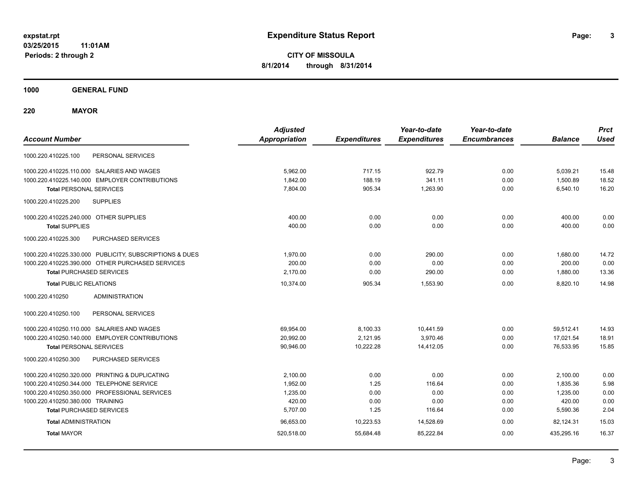**CITY OF MISSOULA 8/1/2014 through 8/31/2014**

**1000 GENERAL FUND**

**220 MAYOR**

| <b>Account Number</b>                                   | <b>Adjusted</b><br><b>Appropriation</b> | <b>Expenditures</b> | Year-to-date<br><b>Expenditures</b> | Year-to-date<br><b>Encumbrances</b> | <b>Balance</b> | <b>Prct</b><br><b>Used</b> |
|---------------------------------------------------------|-----------------------------------------|---------------------|-------------------------------------|-------------------------------------|----------------|----------------------------|
| PERSONAL SERVICES<br>1000.220.410225.100                |                                         |                     |                                     |                                     |                |                            |
| 1000.220.410225.110.000 SALARIES AND WAGES              | 5,962.00                                | 717.15              | 922.79                              | 0.00                                | 5,039.21       | 15.48                      |
| 1000.220.410225.140.000 EMPLOYER CONTRIBUTIONS          | 1.842.00                                | 188.19              | 341.11                              | 0.00                                | 1.500.89       | 18.52                      |
| <b>Total PERSONAL SERVICES</b>                          | 7.804.00                                | 905.34              | 1.263.90                            | 0.00                                | 6,540.10       | 16.20                      |
| 1000.220.410225.200<br><b>SUPPLIES</b>                  |                                         |                     |                                     |                                     |                |                            |
| 1000.220.410225.240.000 OTHER SUPPLIES                  | 400.00                                  | 0.00                | 0.00                                | 0.00                                | 400.00         | 0.00                       |
| <b>Total SUPPLIES</b>                                   | 400.00                                  | 0.00                | 0.00                                | 0.00                                | 400.00         | 0.00                       |
| PURCHASED SERVICES<br>1000.220.410225.300               |                                         |                     |                                     |                                     |                |                            |
| 1000.220.410225.330.000 PUBLICITY, SUBSCRIPTIONS & DUES | 1,970.00                                | 0.00                | 290.00                              | 0.00                                | 1,680.00       | 14.72                      |
| 1000.220.410225.390.000 OTHER PURCHASED SERVICES        | 200.00                                  | 0.00                | 0.00                                | 0.00                                | 200.00         | 0.00                       |
| <b>Total PURCHASED SERVICES</b>                         | 2,170.00                                | 0.00                | 290.00                              | 0.00                                | 1,880.00       | 13.36                      |
| <b>Total PUBLIC RELATIONS</b>                           | 10.374.00                               | 905.34              | 1,553.90                            | 0.00                                | 8.820.10       | 14.98                      |
| 1000.220.410250<br><b>ADMINISTRATION</b>                |                                         |                     |                                     |                                     |                |                            |
| 1000.220.410250.100<br>PERSONAL SERVICES                |                                         |                     |                                     |                                     |                |                            |
| 1000.220.410250.110.000 SALARIES AND WAGES              | 69,954.00                               | 8,100.33            | 10,441.59                           | 0.00                                | 59.512.41      | 14.93                      |
| 1000.220.410250.140.000 EMPLOYER CONTRIBUTIONS          | 20,992.00                               | 2,121.95            | 3,970.46                            | 0.00                                | 17,021.54      | 18.91                      |
| <b>Total PERSONAL SERVICES</b>                          | 90,946.00                               | 10,222.28           | 14,412.05                           | 0.00                                | 76,533.95      | 15.85                      |
| PURCHASED SERVICES<br>1000.220.410250.300               |                                         |                     |                                     |                                     |                |                            |
| 1000.220.410250.320.000 PRINTING & DUPLICATING          | 2,100.00                                | 0.00                | 0.00                                | 0.00                                | 2,100.00       | 0.00                       |
| 1000.220.410250.344.000 TELEPHONE SERVICE               | 1,952.00                                | 1.25                | 116.64                              | 0.00                                | 1,835.36       | 5.98                       |
| 1000.220.410250.350.000 PROFESSIONAL SERVICES           | 1,235.00                                | 0.00                | 0.00                                | 0.00                                | 1,235.00       | 0.00                       |
| 1000.220.410250.380.000 TRAINING                        | 420.00                                  | 0.00                | 0.00                                | 0.00                                | 420.00         | 0.00                       |
| <b>Total PURCHASED SERVICES</b>                         | 5,707.00                                | 1.25                | 116.64                              | 0.00                                | 5,590.36       | 2.04                       |
| <b>Total ADMINISTRATION</b>                             | 96,653.00                               | 10,223.53           | 14,528.69                           | 0.00                                | 82.124.31      | 15.03                      |
| <b>Total MAYOR</b>                                      | 520,518.00                              | 55,684.48           | 85.222.84                           | 0.00                                | 435,295.16     | 16.37                      |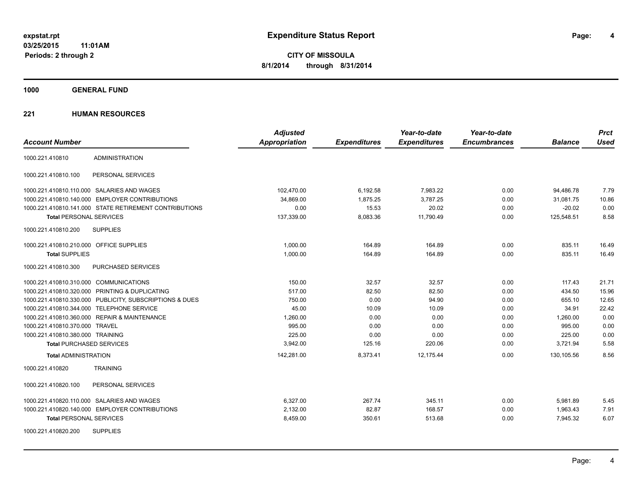**1000 GENERAL FUND**

| <b>Account Number</b>                   |                                                         | <b>Adjusted</b><br><b>Appropriation</b> | <b>Expenditures</b> | Year-to-date<br><b>Expenditures</b> | Year-to-date<br><b>Encumbrances</b> | <b>Balance</b> | <b>Prct</b><br><b>Used</b> |
|-----------------------------------------|---------------------------------------------------------|-----------------------------------------|---------------------|-------------------------------------|-------------------------------------|----------------|----------------------------|
| 1000.221.410810                         | <b>ADMINISTRATION</b>                                   |                                         |                     |                                     |                                     |                |                            |
| 1000.221.410810.100                     | PERSONAL SERVICES                                       |                                         |                     |                                     |                                     |                |                            |
|                                         | 1000.221.410810.110.000 SALARIES AND WAGES              | 102,470.00                              | 6,192.58            | 7,983.22                            | 0.00                                | 94,486.78      | 7.79                       |
|                                         | 1000.221.410810.140.000 EMPLOYER CONTRIBUTIONS          | 34,869.00                               | 1,875.25            | 3,787.25                            | 0.00                                | 31.081.75      | 10.86                      |
|                                         | 1000.221.410810.141.000 STATE RETIREMENT CONTRIBUTIONS  | 0.00                                    | 15.53               | 20.02                               | 0.00                                | $-20.02$       | 0.00                       |
| <b>Total PERSONAL SERVICES</b>          |                                                         | 137,339.00                              | 8,083.36            | 11,790.49                           | 0.00                                | 125,548.51     | 8.58                       |
| 1000.221.410810.200                     | <b>SUPPLIES</b>                                         |                                         |                     |                                     |                                     |                |                            |
| 1000.221.410810.210.000 OFFICE SUPPLIES |                                                         | 1,000.00                                | 164.89              | 164.89                              | 0.00                                | 835.11         | 16.49                      |
| <b>Total SUPPLIES</b>                   |                                                         | 1,000.00                                | 164.89              | 164.89                              | 0.00                                | 835.11         | 16.49                      |
| 1000.221.410810.300                     | PURCHASED SERVICES                                      |                                         |                     |                                     |                                     |                |                            |
| 1000.221.410810.310.000 COMMUNICATIONS  |                                                         | 150.00                                  | 32.57               | 32.57                               | 0.00                                | 117.43         | 21.71                      |
|                                         | 1000.221.410810.320.000 PRINTING & DUPLICATING          | 517.00                                  | 82.50               | 82.50                               | 0.00                                | 434.50         | 15.96                      |
|                                         | 1000.221.410810.330.000 PUBLICITY, SUBSCRIPTIONS & DUES | 750.00                                  | 0.00                | 94.90                               | 0.00                                | 655.10         | 12.65                      |
|                                         | 1000.221.410810.344.000 TELEPHONE SERVICE               | 45.00                                   | 10.09               | 10.09                               | 0.00                                | 34.91          | 22.42                      |
|                                         | 1000.221.410810.360.000 REPAIR & MAINTENANCE            | 1,260.00                                | 0.00                | 0.00                                | 0.00                                | 1,260.00       | 0.00                       |
| 1000.221.410810.370.000 TRAVEL          |                                                         | 995.00                                  | 0.00                | 0.00                                | 0.00                                | 995.00         | 0.00                       |
| 1000.221.410810.380.000 TRAINING        |                                                         | 225.00                                  | 0.00                | 0.00                                | 0.00                                | 225.00         | 0.00                       |
| <b>Total PURCHASED SERVICES</b>         |                                                         | 3,942.00                                | 125.16              | 220.06                              | 0.00                                | 3,721.94       | 5.58                       |
| <b>Total ADMINISTRATION</b>             |                                                         | 142,281.00                              | 8,373.41            | 12,175.44                           | 0.00                                | 130,105.56     | 8.56                       |
| 1000.221.410820                         | <b>TRAINING</b>                                         |                                         |                     |                                     |                                     |                |                            |
| 1000.221.410820.100                     | PERSONAL SERVICES                                       |                                         |                     |                                     |                                     |                |                            |
|                                         | 1000.221.410820.110.000 SALARIES AND WAGES              | 6,327.00                                | 267.74              | 345.11                              | 0.00                                | 5,981.89       | 5.45                       |
|                                         | 1000.221.410820.140.000 EMPLOYER CONTRIBUTIONS          | 2,132.00                                | 82.87               | 168.57                              | 0.00                                | 1,963.43       | 7.91                       |
| <b>Total PERSONAL SERVICES</b>          |                                                         | 8,459.00                                | 350.61              | 513.68                              | 0.00                                | 7,945.32       | 6.07                       |
| 1000.221.410820.200                     | <b>SUPPLIES</b>                                         |                                         |                     |                                     |                                     |                |                            |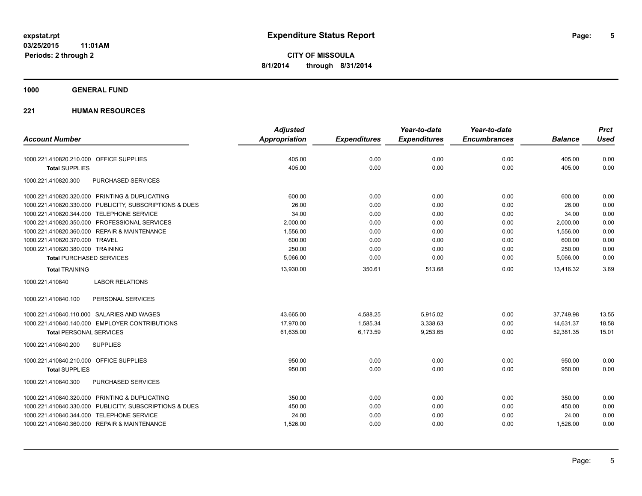**1000 GENERAL FUND**

|                                                         | <b>Adjusted</b>      |                     | Year-to-date        | Year-to-date        |                | <b>Prct</b> |
|---------------------------------------------------------|----------------------|---------------------|---------------------|---------------------|----------------|-------------|
| <b>Account Number</b>                                   | <b>Appropriation</b> | <b>Expenditures</b> | <b>Expenditures</b> | <b>Encumbrances</b> | <b>Balance</b> | <b>Used</b> |
| 1000.221.410820.210.000 OFFICE SUPPLIES                 | 405.00               | 0.00                | 0.00                | 0.00                | 405.00         | 0.00        |
| <b>Total SUPPLIES</b>                                   | 405.00               | 0.00                | 0.00                | 0.00                | 405.00         | 0.00        |
| 1000.221.410820.300<br>PURCHASED SERVICES               |                      |                     |                     |                     |                |             |
| 1000.221.410820.320.000 PRINTING & DUPLICATING          | 600.00               | 0.00                | 0.00                | 0.00                | 600.00         | 0.00        |
| 1000.221.410820.330.000 PUBLICITY, SUBSCRIPTIONS & DUES | 26.00                | 0.00                | 0.00                | 0.00                | 26.00          | 0.00        |
| 1000.221.410820.344.000 TELEPHONE SERVICE               | 34.00                | 0.00                | 0.00                | 0.00                | 34.00          | 0.00        |
| 1000.221.410820.350.000 PROFESSIONAL SERVICES           | 2,000.00             | 0.00                | 0.00                | 0.00                | 2,000.00       | 0.00        |
| 1000.221.410820.360.000 REPAIR & MAINTENANCE            | 1,556.00             | 0.00                | 0.00                | 0.00                | 1,556.00       | 0.00        |
| 1000.221.410820.370.000 TRAVEL                          | 600.00               | 0.00                | 0.00                | 0.00                | 600.00         | 0.00        |
| 1000.221.410820.380.000 TRAINING                        | 250.00               | 0.00                | 0.00                | 0.00                | 250.00         | 0.00        |
| <b>Total PURCHASED SERVICES</b>                         | 5,066.00             | 0.00                | 0.00                | 0.00                | 5,066.00       | 0.00        |
| <b>Total TRAINING</b>                                   | 13,930.00            | 350.61              | 513.68              | 0.00                | 13,416.32      | 3.69        |
| 1000.221.410840<br><b>LABOR RELATIONS</b>               |                      |                     |                     |                     |                |             |
| PERSONAL SERVICES<br>1000.221.410840.100                |                      |                     |                     |                     |                |             |
| 1000.221.410840.110.000 SALARIES AND WAGES              | 43,665.00            | 4,588.25            | 5,915.02            | 0.00                | 37,749.98      | 13.55       |
| 1000.221.410840.140.000 EMPLOYER CONTRIBUTIONS          | 17.970.00            | 1.585.34            | 3,338.63            | 0.00                | 14.631.37      | 18.58       |
| <b>Total PERSONAL SERVICES</b>                          | 61,635.00            | 6,173.59            | 9,253.65            | 0.00                | 52,381.35      | 15.01       |
| 1000.221.410840.200<br><b>SUPPLIES</b>                  |                      |                     |                     |                     |                |             |
| 1000.221.410840.210.000 OFFICE SUPPLIES                 | 950.00               | 0.00                | 0.00                | 0.00                | 950.00         | 0.00        |
| <b>Total SUPPLIES</b>                                   | 950.00               | 0.00                | 0.00                | 0.00                | 950.00         | 0.00        |
| PURCHASED SERVICES<br>1000.221.410840.300               |                      |                     |                     |                     |                |             |
| 1000.221.410840.320.000 PRINTING & DUPLICATING          | 350.00               | 0.00                | 0.00                | 0.00                | 350.00         | 0.00        |
| 1000.221.410840.330.000 PUBLICITY, SUBSCRIPTIONS & DUES | 450.00               | 0.00                | 0.00                | 0.00                | 450.00         | 0.00        |
| 1000.221.410840.344.000 TELEPHONE SERVICE               | 24.00                | 0.00                | 0.00                | 0.00                | 24.00          | 0.00        |
| 1000.221.410840.360.000 REPAIR & MAINTENANCE            | 1,526.00             | 0.00                | 0.00                | 0.00                | 1,526.00       | 0.00        |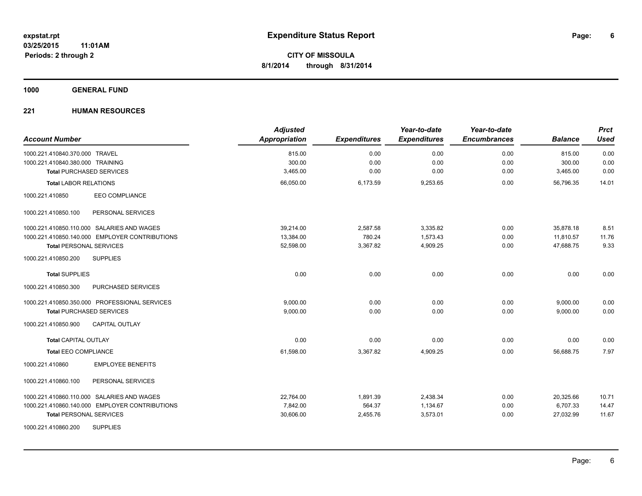#### **1000 GENERAL FUND**

| <b>Account Number</b>                          | <b>Adjusted</b><br><b>Appropriation</b> | <b>Expenditures</b> | Year-to-date<br><b>Expenditures</b> | Year-to-date<br><b>Encumbrances</b> | <b>Balance</b> | <b>Prct</b><br><b>Used</b> |
|------------------------------------------------|-----------------------------------------|---------------------|-------------------------------------|-------------------------------------|----------------|----------------------------|
| 1000.221.410840.370.000 TRAVEL                 | 815.00                                  | 0.00                | 0.00                                | 0.00                                | 815.00         | 0.00                       |
| 1000.221.410840.380.000 TRAINING               | 300.00                                  | 0.00                | 0.00                                | 0.00                                | 300.00         | 0.00                       |
| <b>Total PURCHASED SERVICES</b>                | 3,465.00                                | 0.00                | 0.00                                | 0.00                                | 3,465.00       | 0.00                       |
| <b>Total LABOR RELATIONS</b>                   | 66,050.00                               | 6,173.59            | 9,253.65                            | 0.00                                | 56.796.35      | 14.01                      |
| EEO COMPLIANCE<br>1000.221.410850              |                                         |                     |                                     |                                     |                |                            |
| 1000.221.410850.100<br>PERSONAL SERVICES       |                                         |                     |                                     |                                     |                |                            |
| 1000.221.410850.110.000 SALARIES AND WAGES     | 39,214.00                               | 2,587.58            | 3,335.82                            | 0.00                                | 35,878.18      | 8.51                       |
| 1000.221.410850.140.000 EMPLOYER CONTRIBUTIONS | 13,384.00                               | 780.24              | 1,573.43                            | 0.00                                | 11,810.57      | 11.76                      |
| <b>Total PERSONAL SERVICES</b>                 | 52,598.00                               | 3,367.82            | 4,909.25                            | 0.00                                | 47,688.75      | 9.33                       |
| 1000.221.410850.200<br><b>SUPPLIES</b>         |                                         |                     |                                     |                                     |                |                            |
| <b>Total SUPPLIES</b>                          | 0.00                                    | 0.00                | 0.00                                | 0.00                                | 0.00           | 0.00                       |
| 1000.221.410850.300<br>PURCHASED SERVICES      |                                         |                     |                                     |                                     |                |                            |
| 1000.221.410850.350.000 PROFESSIONAL SERVICES  | 9,000.00                                | 0.00                | 0.00                                | 0.00                                | 9,000.00       | 0.00                       |
| <b>Total PURCHASED SERVICES</b>                | 9,000.00                                | 0.00                | 0.00                                | 0.00                                | 9,000.00       | 0.00                       |
| 1000.221.410850.900<br><b>CAPITAL OUTLAY</b>   |                                         |                     |                                     |                                     |                |                            |
| <b>Total CAPITAL OUTLAY</b>                    | 0.00                                    | 0.00                | 0.00                                | 0.00                                | 0.00           | 0.00                       |
| <b>Total EEO COMPLIANCE</b>                    | 61,598.00                               | 3,367.82            | 4,909.25                            | 0.00                                | 56,688.75      | 7.97                       |
| <b>EMPLOYEE BENEFITS</b><br>1000.221.410860    |                                         |                     |                                     |                                     |                |                            |
| 1000.221.410860.100<br>PERSONAL SERVICES       |                                         |                     |                                     |                                     |                |                            |
| 1000.221.410860.110.000 SALARIES AND WAGES     | 22,764.00                               | 1,891.39            | 2,438.34                            | 0.00                                | 20,325.66      | 10.71                      |
| 1000.221.410860.140.000 EMPLOYER CONTRIBUTIONS | 7,842.00                                | 564.37              | 1,134.67                            | 0.00                                | 6,707.33       | 14.47                      |
| <b>Total PERSONAL SERVICES</b>                 | 30,606.00                               | 2,455.76            | 3,573.01                            | 0.00                                | 27,032.99      | 11.67                      |
| <b>SUPPLIES</b><br>1000.221.410860.200         |                                         |                     |                                     |                                     |                |                            |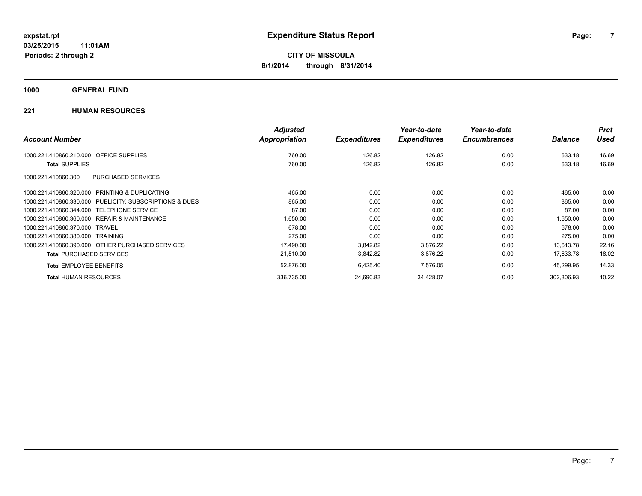**1000 GENERAL FUND**

|                                                         | <b>Adjusted</b> |                     | Year-to-date        | Year-to-date        |                | <b>Prct</b> |
|---------------------------------------------------------|-----------------|---------------------|---------------------|---------------------|----------------|-------------|
| <b>Account Number</b>                                   | Appropriation   | <b>Expenditures</b> | <b>Expenditures</b> | <b>Encumbrances</b> | <b>Balance</b> | <b>Used</b> |
| <b>OFFICE SUPPLIES</b><br>1000.221.410860.210.000       | 760.00          | 126.82              | 126.82              | 0.00                | 633.18         | 16.69       |
| <b>Total SUPPLIES</b>                                   | 760.00          | 126.82              | 126.82              | 0.00                | 633.18         | 16.69       |
| <b>PURCHASED SERVICES</b><br>1000.221.410860.300        |                 |                     |                     |                     |                |             |
| 1000.221.410860.320.000 PRINTING & DUPLICATING          | 465.00          | 0.00                | 0.00                | 0.00                | 465.00         | 0.00        |
| 1000.221.410860.330.000 PUBLICITY, SUBSCRIPTIONS & DUES | 865.00          | 0.00                | 0.00                | 0.00                | 865.00         | 0.00        |
| 1000.221.410860.344.000 TELEPHONE SERVICE               | 87.00           | 0.00                | 0.00                | 0.00                | 87.00          | 0.00        |
| 1000.221.410860.360.000 REPAIR & MAINTENANCE            | 1,650.00        | 0.00                | 0.00                | 0.00                | 1,650.00       | 0.00        |
| 1000.221.410860.370.000 TRAVEL                          | 678.00          | 0.00                | 0.00                | 0.00                | 678.00         | 0.00        |
| 1000.221.410860.380.000 TRAINING                        | 275.00          | 0.00                | 0.00                | 0.00                | 275.00         | 0.00        |
| 1000.221.410860.390.000 OTHER PURCHASED SERVICES        | 17,490.00       | 3,842.82            | 3,876.22            | 0.00                | 13,613.78      | 22.16       |
| <b>Total PURCHASED SERVICES</b>                         | 21,510.00       | 3,842.82            | 3,876.22            | 0.00                | 17,633.78      | 18.02       |
| <b>Total EMPLOYEE BENEFITS</b>                          | 52,876.00       | 6,425.40            | 7,576.05            | 0.00                | 45,299.95      | 14.33       |
| <b>Total HUMAN RESOURCES</b>                            | 336,735.00      | 24,690.83           | 34,428.07           | 0.00                | 302,306.93     | 10.22       |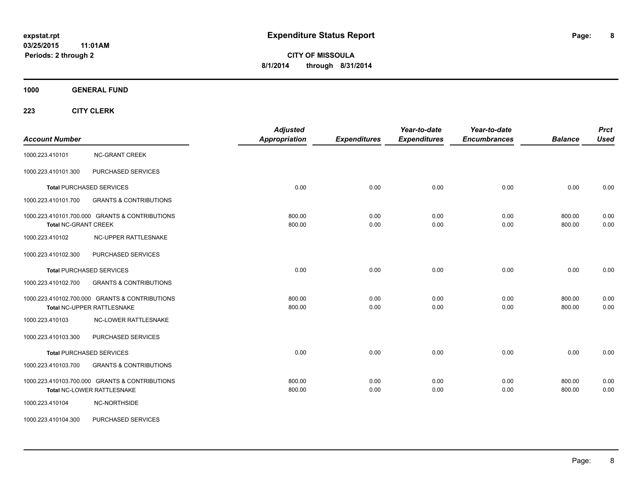**CITY OF MISSOULA 8/1/2014 through 8/31/2014**

**1000 GENERAL FUND**

| <b>Account Number</b>       |                                                                              | <b>Adjusted</b><br><b>Appropriation</b> | <b>Expenditures</b> | Year-to-date<br><b>Expenditures</b> | Year-to-date<br><b>Encumbrances</b> | <b>Balance</b>   | <b>Prct</b><br><b>Used</b> |
|-----------------------------|------------------------------------------------------------------------------|-----------------------------------------|---------------------|-------------------------------------|-------------------------------------|------------------|----------------------------|
| 1000.223.410101             | <b>NC-GRANT CREEK</b>                                                        |                                         |                     |                                     |                                     |                  |                            |
| 1000.223.410101.300         | PURCHASED SERVICES                                                           |                                         |                     |                                     |                                     |                  |                            |
|                             | <b>Total PURCHASED SERVICES</b>                                              | 0.00                                    | 0.00                | 0.00                                | 0.00                                | 0.00             | 0.00                       |
| 1000.223.410101.700         | <b>GRANTS &amp; CONTRIBUTIONS</b>                                            |                                         |                     |                                     |                                     |                  |                            |
| <b>Total NC-GRANT CREEK</b> | 1000.223.410101.700.000 GRANTS & CONTRIBUTIONS                               | 800.00<br>800.00                        | 0.00<br>0.00        | 0.00<br>0.00                        | 0.00<br>0.00                        | 800.00<br>800.00 | 0.00<br>0.00               |
| 1000.223.410102             | <b>NC-UPPER RATTLESNAKE</b>                                                  |                                         |                     |                                     |                                     |                  |                            |
| 1000.223.410102.300         | PURCHASED SERVICES                                                           |                                         |                     |                                     |                                     |                  |                            |
|                             | <b>Total PURCHASED SERVICES</b>                                              | 0.00                                    | 0.00                | 0.00                                | 0.00                                | 0.00             | 0.00                       |
| 1000.223.410102.700         | <b>GRANTS &amp; CONTRIBUTIONS</b>                                            |                                         |                     |                                     |                                     |                  |                            |
|                             | 1000.223.410102.700.000 GRANTS & CONTRIBUTIONS<br>Total NC-UPPER RATTLESNAKE | 800.00<br>800.00                        | 0.00<br>0.00        | 0.00<br>0.00                        | 0.00<br>0.00                        | 800.00<br>800.00 | 0.00<br>0.00               |
| 1000.223.410103             | <b>NC-LOWER RATTLESNAKE</b>                                                  |                                         |                     |                                     |                                     |                  |                            |
| 1000.223.410103.300         | PURCHASED SERVICES                                                           |                                         |                     |                                     |                                     |                  |                            |
|                             | <b>Total PURCHASED SERVICES</b>                                              | 0.00                                    | 0.00                | 0.00                                | 0.00                                | 0.00             | 0.00                       |
| 1000.223.410103.700         | <b>GRANTS &amp; CONTRIBUTIONS</b>                                            |                                         |                     |                                     |                                     |                  |                            |
|                             | 1000.223.410103.700.000 GRANTS & CONTRIBUTIONS<br>Total NC-LOWER RATTLESNAKE | 800.00<br>800.00                        | 0.00<br>0.00        | 0.00<br>0.00                        | 0.00<br>0.00                        | 800.00<br>800.00 | 0.00<br>0.00               |
| 1000.223.410104             | NC-NORTHSIDE                                                                 |                                         |                     |                                     |                                     |                  |                            |
| 1000.223.410104.300         | PURCHASED SERVICES                                                           |                                         |                     |                                     |                                     |                  |                            |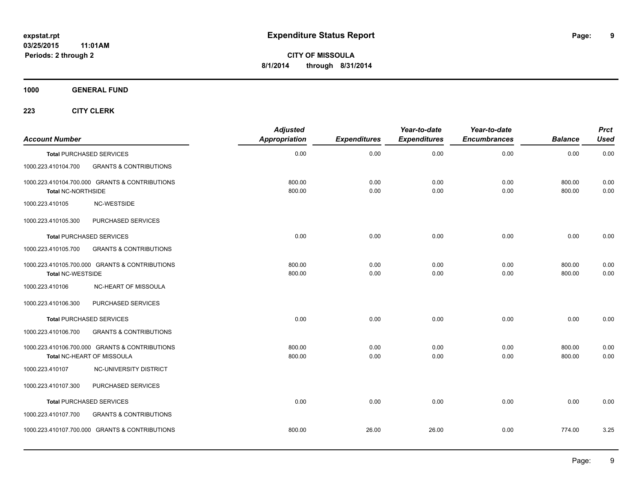**9**

**CITY OF MISSOULA 8/1/2014 through 8/31/2014**

**1000 GENERAL FUND**

| <b>Account Number</b>     |                                                                              | <b>Adjusted</b><br><b>Appropriation</b> | <b>Expenditures</b> | Year-to-date<br><b>Expenditures</b> | Year-to-date<br><b>Encumbrances</b> | <b>Balance</b>   | <b>Prct</b><br><b>Used</b> |
|---------------------------|------------------------------------------------------------------------------|-----------------------------------------|---------------------|-------------------------------------|-------------------------------------|------------------|----------------------------|
|                           | <b>Total PURCHASED SERVICES</b>                                              | 0.00                                    | 0.00                | 0.00                                | 0.00                                | 0.00             | 0.00                       |
| 1000.223.410104.700       | <b>GRANTS &amp; CONTRIBUTIONS</b>                                            |                                         |                     |                                     |                                     |                  |                            |
| <b>Total NC-NORTHSIDE</b> | 1000.223.410104.700.000 GRANTS & CONTRIBUTIONS                               | 800.00<br>800.00                        | 0.00<br>0.00        | 0.00<br>0.00                        | 0.00<br>0.00                        | 800.00<br>800.00 | 0.00<br>0.00               |
| 1000.223.410105           | <b>NC-WESTSIDE</b>                                                           |                                         |                     |                                     |                                     |                  |                            |
| 1000.223.410105.300       | PURCHASED SERVICES                                                           |                                         |                     |                                     |                                     |                  |                            |
|                           | <b>Total PURCHASED SERVICES</b>                                              | 0.00                                    | 0.00                | 0.00                                | 0.00                                | 0.00             | 0.00                       |
| 1000.223.410105.700       | <b>GRANTS &amp; CONTRIBUTIONS</b>                                            |                                         |                     |                                     |                                     |                  |                            |
| <b>Total NC-WESTSIDE</b>  | 1000.223.410105.700.000 GRANTS & CONTRIBUTIONS                               | 800.00<br>800.00                        | 0.00<br>0.00        | 0.00<br>0.00                        | 0.00<br>0.00                        | 800.00<br>800.00 | 0.00<br>0.00               |
| 1000.223.410106           | <b>NC-HEART OF MISSOULA</b>                                                  |                                         |                     |                                     |                                     |                  |                            |
| 1000.223.410106.300       | PURCHASED SERVICES                                                           |                                         |                     |                                     |                                     |                  |                            |
|                           | <b>Total PURCHASED SERVICES</b>                                              | 0.00                                    | 0.00                | 0.00                                | 0.00                                | 0.00             | 0.00                       |
| 1000.223.410106.700       | <b>GRANTS &amp; CONTRIBUTIONS</b>                                            |                                         |                     |                                     |                                     |                  |                            |
|                           | 1000.223.410106.700.000 GRANTS & CONTRIBUTIONS<br>Total NC-HEART OF MISSOULA | 800.00<br>800.00                        | 0.00<br>0.00        | 0.00<br>0.00                        | 0.00<br>0.00                        | 800.00<br>800.00 | 0.00<br>0.00               |
| 1000.223.410107           | NC-UNIVERSITY DISTRICT                                                       |                                         |                     |                                     |                                     |                  |                            |
| 1000.223.410107.300       | PURCHASED SERVICES                                                           |                                         |                     |                                     |                                     |                  |                            |
|                           | <b>Total PURCHASED SERVICES</b>                                              | 0.00                                    | 0.00                | 0.00                                | 0.00                                | 0.00             | 0.00                       |
| 1000.223.410107.700       | <b>GRANTS &amp; CONTRIBUTIONS</b>                                            |                                         |                     |                                     |                                     |                  |                            |
|                           | 1000.223.410107.700.000 GRANTS & CONTRIBUTIONS                               | 800.00                                  | 26.00               | 26.00                               | 0.00                                | 774.00           | 3.25                       |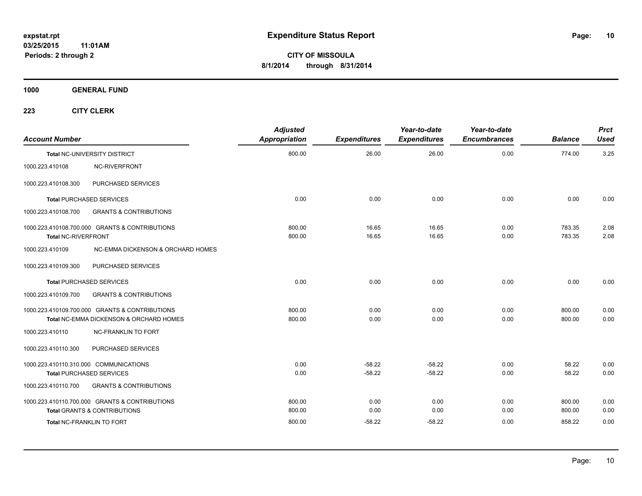**1000 GENERAL FUND**

| <b>Account Number</b>           |                                                                                                                               | <b>Adjusted</b><br>Appropriation | <b>Expenditures</b>      | Year-to-date<br><b>Expenditures</b> | Year-to-date<br><b>Encumbrances</b> | <b>Balance</b>             | <b>Prct</b><br>Used  |
|---------------------------------|-------------------------------------------------------------------------------------------------------------------------------|----------------------------------|--------------------------|-------------------------------------|-------------------------------------|----------------------------|----------------------|
|                                 | <b>Total NC-UNIVERSITY DISTRICT</b>                                                                                           | 800.00                           | 26.00                    | 26.00                               | 0.00                                | 774.00                     | 3.25                 |
| 1000.223.410108                 | NC-RIVERFRONT                                                                                                                 |                                  |                          |                                     |                                     |                            |                      |
| 1000.223.410108.300             | PURCHASED SERVICES                                                                                                            |                                  |                          |                                     |                                     |                            |                      |
| <b>Total PURCHASED SERVICES</b> |                                                                                                                               | 0.00                             | 0.00                     | 0.00                                | 0.00                                | 0.00                       | 0.00                 |
| 1000.223.410108.700             | <b>GRANTS &amp; CONTRIBUTIONS</b>                                                                                             |                                  |                          |                                     |                                     |                            |                      |
| Total NC-RIVERFRONT             | 1000.223.410108.700.000 GRANTS & CONTRIBUTIONS                                                                                | 800.00<br>800.00                 | 16.65<br>16.65           | 16.65<br>16.65                      | 0.00<br>0.00                        | 783.35<br>783.35           | 2.08<br>2.08         |
| 1000.223.410109                 | NC-EMMA DICKENSON & ORCHARD HOMES                                                                                             |                                  |                          |                                     |                                     |                            |                      |
| 1000.223.410109.300             | PURCHASED SERVICES                                                                                                            |                                  |                          |                                     |                                     |                            |                      |
| <b>Total PURCHASED SERVICES</b> |                                                                                                                               | 0.00                             | 0.00                     | 0.00                                | 0.00                                | 0.00                       | 0.00                 |
| 1000.223.410109.700             | <b>GRANTS &amp; CONTRIBUTIONS</b>                                                                                             |                                  |                          |                                     |                                     |                            |                      |
|                                 | 1000.223.410109.700.000 GRANTS & CONTRIBUTIONS<br>Total NC-EMMA DICKENSON & ORCHARD HOMES                                     | 800.00<br>800.00                 | 0.00<br>0.00             | 0.00<br>0.00                        | 0.00<br>0.00                        | 800.00<br>800.00           | 0.00<br>0.00         |
| 1000.223.410110                 | <b>NC-FRANKLIN TO FORT</b>                                                                                                    |                                  |                          |                                     |                                     |                            |                      |
| 1000.223.410110.300             | PURCHASED SERVICES                                                                                                            |                                  |                          |                                     |                                     |                            |                      |
|                                 | 1000.223.410110.310.000 COMMUNICATIONS<br><b>Total PURCHASED SERVICES</b>                                                     | 0.00<br>0.00                     | $-58.22$<br>$-58.22$     | $-58.22$<br>$-58.22$                | 0.00<br>0.00                        | 58.22<br>58.22             | 0.00<br>0.00         |
| 1000.223.410110.700             | <b>GRANTS &amp; CONTRIBUTIONS</b>                                                                                             |                                  |                          |                                     |                                     |                            |                      |
|                                 | 1000.223.410110.700.000 GRANTS & CONTRIBUTIONS<br><b>Total GRANTS &amp; CONTRIBUTIONS</b><br><b>Total NC-FRANKLIN TO FORT</b> | 800.00<br>800.00<br>800.00       | 0.00<br>0.00<br>$-58.22$ | 0.00<br>0.00<br>$-58.22$            | 0.00<br>0.00<br>0.00                | 800.00<br>800.00<br>858.22 | 0.00<br>0.00<br>0.00 |
|                                 |                                                                                                                               |                                  |                          |                                     |                                     |                            |                      |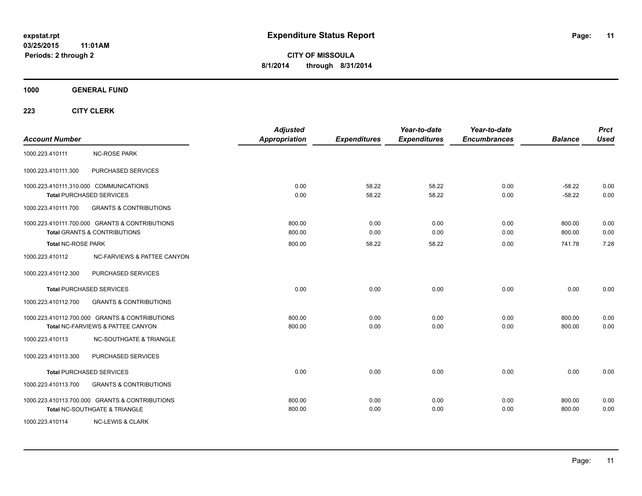**CITY OF MISSOULA 8/1/2014 through 8/31/2014**

**1000 GENERAL FUND**

| <b>Account Number</b>     |                                                                                           | <b>Adjusted</b><br><b>Appropriation</b> | <b>Expenditures</b>   | Year-to-date<br><b>Expenditures</b> | Year-to-date<br><b>Encumbrances</b> | <b>Balance</b>             | <b>Prct</b><br><b>Used</b> |
|---------------------------|-------------------------------------------------------------------------------------------|-----------------------------------------|-----------------------|-------------------------------------|-------------------------------------|----------------------------|----------------------------|
| 1000.223.410111           | <b>NC-ROSE PARK</b>                                                                       |                                         |                       |                                     |                                     |                            |                            |
| 1000.223.410111.300       | PURCHASED SERVICES                                                                        |                                         |                       |                                     |                                     |                            |                            |
|                           | 1000.223.410111.310.000 COMMUNICATIONS<br><b>Total PURCHASED SERVICES</b>                 | 0.00<br>0.00                            | 58.22<br>58.22        | 58.22<br>58.22                      | 0.00<br>0.00                        | $-58.22$<br>$-58.22$       | 0.00<br>0.00               |
| 1000.223.410111.700       | <b>GRANTS &amp; CONTRIBUTIONS</b>                                                         |                                         |                       |                                     |                                     |                            |                            |
| <b>Total NC-ROSE PARK</b> | 1000.223.410111.700.000 GRANTS & CONTRIBUTIONS<br><b>Total GRANTS &amp; CONTRIBUTIONS</b> | 800.00<br>800.00<br>800.00              | 0.00<br>0.00<br>58.22 | 0.00<br>0.00<br>58.22               | 0.00<br>0.00<br>0.00                | 800.00<br>800.00<br>741.78 | 0.00<br>0.00<br>7.28       |
| 1000.223.410112           | NC-FARVIEWS & PATTEE CANYON                                                               |                                         |                       |                                     |                                     |                            |                            |
| 1000.223.410112.300       | PURCHASED SERVICES                                                                        |                                         |                       |                                     |                                     |                            |                            |
|                           | <b>Total PURCHASED SERVICES</b>                                                           | 0.00                                    | 0.00                  | 0.00                                | 0.00                                | 0.00                       | 0.00                       |
| 1000.223.410112.700       | <b>GRANTS &amp; CONTRIBUTIONS</b>                                                         |                                         |                       |                                     |                                     |                            |                            |
|                           | 1000.223.410112.700.000 GRANTS & CONTRIBUTIONS<br>Total NC-FARVIEWS & PATTEE CANYON       | 800.00<br>800.00                        | 0.00<br>0.00          | 0.00<br>0.00                        | 0.00<br>0.00                        | 800.00<br>800.00           | 0.00<br>0.00               |
| 1000.223.410113           | <b>NC-SOUTHGATE &amp; TRIANGLE</b>                                                        |                                         |                       |                                     |                                     |                            |                            |
| 1000.223.410113.300       | PURCHASED SERVICES                                                                        |                                         |                       |                                     |                                     |                            |                            |
|                           | <b>Total PURCHASED SERVICES</b>                                                           | 0.00                                    | 0.00                  | 0.00                                | 0.00                                | 0.00                       | 0.00                       |
| 1000.223.410113.700       | <b>GRANTS &amp; CONTRIBUTIONS</b>                                                         |                                         |                       |                                     |                                     |                            |                            |
|                           | 1000.223.410113.700.000 GRANTS & CONTRIBUTIONS<br>Total NC-SOUTHGATE & TRIANGLE           | 800.00<br>800.00                        | 0.00<br>0.00          | 0.00<br>0.00                        | 0.00<br>0.00                        | 800.00<br>800.00           | 0.00<br>0.00               |
| 1000.223.410114           | <b>NC-LEWIS &amp; CLARK</b>                                                               |                                         |                       |                                     |                                     |                            |                            |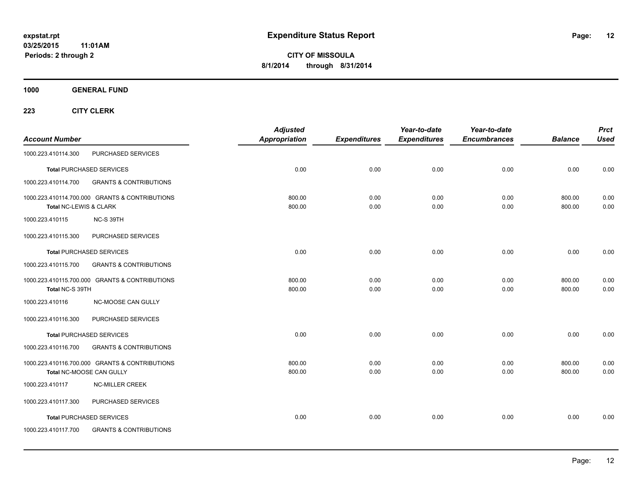**1000 GENERAL FUND**

| <b>Account Number</b>  |                                                                            | <b>Adjusted</b><br>Appropriation | <b>Expenditures</b> | Year-to-date<br><b>Expenditures</b> | Year-to-date<br><b>Encumbrances</b> | <b>Balance</b>   | <b>Prct</b><br><b>Used</b> |
|------------------------|----------------------------------------------------------------------------|----------------------------------|---------------------|-------------------------------------|-------------------------------------|------------------|----------------------------|
| 1000.223.410114.300    | PURCHASED SERVICES                                                         |                                  |                     |                                     |                                     |                  |                            |
|                        | <b>Total PURCHASED SERVICES</b>                                            | 0.00                             | 0.00                | 0.00                                | 0.00                                | 0.00             | 0.00                       |
| 1000.223.410114.700    | <b>GRANTS &amp; CONTRIBUTIONS</b>                                          |                                  |                     |                                     |                                     |                  |                            |
| Total NC-LEWIS & CLARK | 1000.223.410114.700.000 GRANTS & CONTRIBUTIONS                             | 800.00<br>800.00                 | 0.00<br>0.00        | 0.00<br>0.00                        | 0.00<br>0.00                        | 800.00<br>800.00 | 0.00<br>0.00               |
| 1000.223.410115        | NC-S 39TH                                                                  |                                  |                     |                                     |                                     |                  |                            |
| 1000.223.410115.300    | PURCHASED SERVICES                                                         |                                  |                     |                                     |                                     |                  |                            |
|                        | <b>Total PURCHASED SERVICES</b>                                            | 0.00                             | 0.00                | 0.00                                | 0.00                                | 0.00             | 0.00                       |
| 1000.223.410115.700    | <b>GRANTS &amp; CONTRIBUTIONS</b>                                          |                                  |                     |                                     |                                     |                  |                            |
| Total NC-S 39TH        | 1000.223.410115.700.000 GRANTS & CONTRIBUTIONS                             | 800.00<br>800.00                 | 0.00<br>0.00        | 0.00<br>0.00                        | 0.00<br>0.00                        | 800.00<br>800.00 | 0.00<br>0.00               |
| 1000.223.410116        | NC-MOOSE CAN GULLY                                                         |                                  |                     |                                     |                                     |                  |                            |
| 1000.223.410116.300    | PURCHASED SERVICES                                                         |                                  |                     |                                     |                                     |                  |                            |
|                        | <b>Total PURCHASED SERVICES</b>                                            | 0.00                             | 0.00                | 0.00                                | 0.00                                | 0.00             | 0.00                       |
| 1000.223.410116.700    | <b>GRANTS &amp; CONTRIBUTIONS</b>                                          |                                  |                     |                                     |                                     |                  |                            |
|                        | 1000.223.410116.700.000 GRANTS & CONTRIBUTIONS<br>Total NC-MOOSE CAN GULLY | 800.00<br>800.00                 | 0.00<br>0.00        | 0.00<br>0.00                        | 0.00<br>0.00                        | 800.00<br>800.00 | 0.00<br>0.00               |
| 1000.223.410117        | <b>NC-MILLER CREEK</b>                                                     |                                  |                     |                                     |                                     |                  |                            |
| 1000.223.410117.300    | PURCHASED SERVICES                                                         |                                  |                     |                                     |                                     |                  |                            |
|                        | <b>Total PURCHASED SERVICES</b>                                            | 0.00                             | 0.00                | 0.00                                | 0.00                                | 0.00             | 0.00                       |
| 1000.223.410117.700    | <b>GRANTS &amp; CONTRIBUTIONS</b>                                          |                                  |                     |                                     |                                     |                  |                            |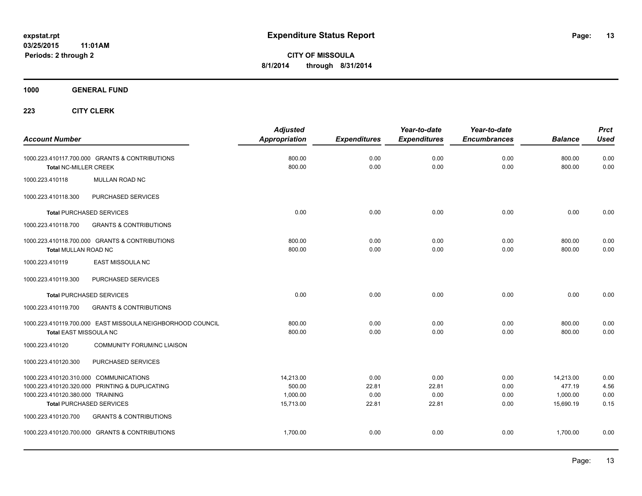**1000 GENERAL FUND**

| <b>Account Number</b>            |                                                            | <b>Adjusted</b><br>Appropriation | <b>Expenditures</b> | Year-to-date<br><b>Expenditures</b> | Year-to-date<br><b>Encumbrances</b> | <b>Balance</b>   | <b>Prct</b><br><b>Used</b> |
|----------------------------------|------------------------------------------------------------|----------------------------------|---------------------|-------------------------------------|-------------------------------------|------------------|----------------------------|
| <b>Total NC-MILLER CREEK</b>     | 1000.223.410117.700.000 GRANTS & CONTRIBUTIONS             | 800.00<br>800.00                 | 0.00<br>0.00        | 0.00<br>0.00                        | 0.00<br>0.00                        | 800.00<br>800.00 | 0.00<br>0.00               |
| 1000.223.410118                  | MULLAN ROAD NC                                             |                                  |                     |                                     |                                     |                  |                            |
| 1000.223.410118.300              | PURCHASED SERVICES                                         |                                  |                     |                                     |                                     |                  |                            |
|                                  | <b>Total PURCHASED SERVICES</b>                            | 0.00                             | 0.00                | 0.00                                | 0.00                                | 0.00             | 0.00                       |
| 1000.223.410118.700              | <b>GRANTS &amp; CONTRIBUTIONS</b>                          |                                  |                     |                                     |                                     |                  |                            |
| Total MULLAN ROAD NC             | 1000.223.410118.700.000 GRANTS & CONTRIBUTIONS             | 800.00<br>800.00                 | 0.00<br>0.00        | 0.00<br>0.00                        | 0.00<br>0.00                        | 800.00<br>800.00 | 0.00<br>0.00               |
| 1000.223.410119                  | <b>EAST MISSOULA NC</b>                                    |                                  |                     |                                     |                                     |                  |                            |
| 1000.223.410119.300              | PURCHASED SERVICES                                         |                                  |                     |                                     |                                     |                  |                            |
|                                  | <b>Total PURCHASED SERVICES</b>                            | 0.00                             | 0.00                | 0.00                                | 0.00                                | 0.00             | 0.00                       |
| 1000.223.410119.700              | <b>GRANTS &amp; CONTRIBUTIONS</b>                          |                                  |                     |                                     |                                     |                  |                            |
| Total EAST MISSOULA NC           | 1000.223.410119.700.000 EAST MISSOULA NEIGHBORHOOD COUNCIL | 800.00<br>800.00                 | 0.00<br>0.00        | 0.00<br>0.00                        | 0.00<br>0.00                        | 800.00<br>800.00 | 0.00<br>0.00               |
| 1000.223.410120                  | COMMUNITY FORUM/NC LIAISON                                 |                                  |                     |                                     |                                     |                  |                            |
| 1000.223.410120.300              | PURCHASED SERVICES                                         |                                  |                     |                                     |                                     |                  |                            |
|                                  | 1000.223.410120.310.000 COMMUNICATIONS                     | 14,213.00                        | 0.00                | 0.00                                | 0.00                                | 14,213.00        | 0.00                       |
|                                  | 1000.223.410120.320.000 PRINTING & DUPLICATING             | 500.00                           | 22.81               | 22.81                               | 0.00                                | 477.19           | 4.56                       |
| 1000.223.410120.380.000 TRAINING |                                                            | 1,000.00                         | 0.00                | 0.00                                | 0.00                                | 1,000.00         | 0.00                       |
|                                  | <b>Total PURCHASED SERVICES</b>                            | 15,713.00                        | 22.81               | 22.81                               | 0.00                                | 15,690.19        | 0.15                       |
| 1000.223.410120.700              | <b>GRANTS &amp; CONTRIBUTIONS</b>                          |                                  |                     |                                     |                                     |                  |                            |
|                                  | 1000.223.410120.700.000 GRANTS & CONTRIBUTIONS             | 1.700.00                         | 0.00                | 0.00                                | 0.00                                | 1,700.00         | 0.00                       |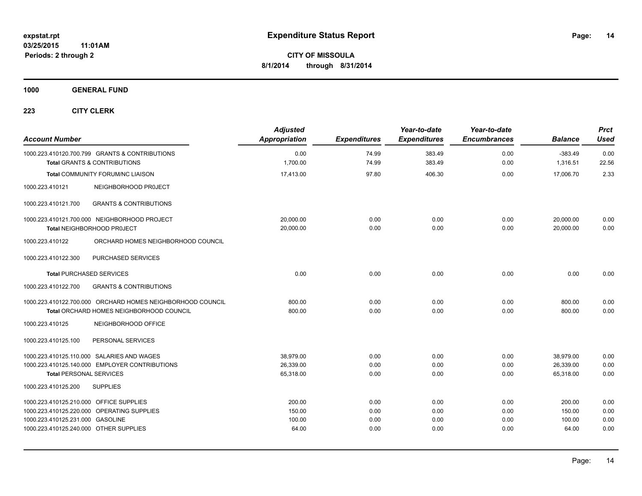**1000 GENERAL FUND**

| <b>Account Number</b>                   |                                                                                           | <b>Adjusted</b><br>Appropriation | <b>Expenditures</b> | Year-to-date<br><b>Expenditures</b> | Year-to-date<br><b>Encumbrances</b> | <b>Balance</b>        | <b>Prct</b><br>Used |
|-----------------------------------------|-------------------------------------------------------------------------------------------|----------------------------------|---------------------|-------------------------------------|-------------------------------------|-----------------------|---------------------|
|                                         | 1000.223.410120.700.799 GRANTS & CONTRIBUTIONS<br><b>Total GRANTS &amp; CONTRIBUTIONS</b> | 0.00<br>1,700.00                 | 74.99<br>74.99      | 383.49<br>383.49                    | 0.00<br>0.00                        | $-383.49$<br>1,316.51 | 0.00<br>22.56       |
|                                         | Total COMMUNITY FORUM/NC LIAISON                                                          | 17,413.00                        | 97.80               | 406.30                              | 0.00                                | 17,006.70             | 2.33                |
| 1000.223.410121                         | NEIGHBORHOOD PROJECT                                                                      |                                  |                     |                                     |                                     |                       |                     |
| 1000.223.410121.700                     | <b>GRANTS &amp; CONTRIBUTIONS</b>                                                         |                                  |                     |                                     |                                     |                       |                     |
|                                         | 1000.223.410121.700.000 NEIGHBORHOOD PROJECT                                              | 20.000.00                        | 0.00                | 0.00                                | 0.00                                | 20,000.00             | 0.00                |
|                                         | Total NEIGHBORHOOD PROJECT                                                                | 20,000.00                        | 0.00                | 0.00                                | 0.00                                | 20,000.00             | 0.00                |
| 1000.223.410122                         | ORCHARD HOMES NEIGHBORHOOD COUNCIL                                                        |                                  |                     |                                     |                                     |                       |                     |
| 1000.223.410122.300                     | PURCHASED SERVICES                                                                        |                                  |                     |                                     |                                     |                       |                     |
|                                         | <b>Total PURCHASED SERVICES</b>                                                           | 0.00                             | 0.00                | 0.00                                | 0.00                                | 0.00                  | 0.00                |
| 1000.223.410122.700                     | <b>GRANTS &amp; CONTRIBUTIONS</b>                                                         |                                  |                     |                                     |                                     |                       |                     |
|                                         | 1000.223.410122.700.000 ORCHARD HOMES NEIGHBORHOOD COUNCIL                                | 800.00                           | 0.00                | 0.00                                | 0.00                                | 800.00                | 0.00                |
|                                         | Total ORCHARD HOMES NEIGHBORHOOD COUNCIL                                                  | 800.00                           | 0.00                | 0.00                                | 0.00                                | 800.00                | 0.00                |
| 1000.223.410125                         | NEIGHBORHOOD OFFICE                                                                       |                                  |                     |                                     |                                     |                       |                     |
| 1000.223.410125.100                     | PERSONAL SERVICES                                                                         |                                  |                     |                                     |                                     |                       |                     |
|                                         | 1000.223.410125.110.000 SALARIES AND WAGES                                                | 38.979.00                        | 0.00                | 0.00                                | 0.00                                | 38,979.00             | 0.00                |
|                                         | 1000.223.410125.140.000 EMPLOYER CONTRIBUTIONS                                            | 26,339.00                        | 0.00                | 0.00                                | 0.00                                | 26,339.00             | 0.00                |
| <b>Total PERSONAL SERVICES</b>          |                                                                                           | 65,318.00                        | 0.00                | 0.00                                | 0.00                                | 65,318.00             | 0.00                |
| 1000.223.410125.200                     | <b>SUPPLIES</b>                                                                           |                                  |                     |                                     |                                     |                       |                     |
| 1000.223.410125.210.000 OFFICE SUPPLIES |                                                                                           | 200.00                           | 0.00                | 0.00                                | 0.00                                | 200.00                | 0.00                |
|                                         | 1000.223.410125.220.000 OPERATING SUPPLIES                                                | 150.00                           | 0.00                | 0.00                                | 0.00                                | 150.00                | 0.00                |
| 1000.223.410125.231.000 GASOLINE        |                                                                                           | 100.00                           | 0.00                | 0.00                                | 0.00                                | 100.00                | 0.00                |
| 1000.223.410125.240.000 OTHER SUPPLIES  |                                                                                           | 64.00                            | 0.00                | 0.00                                | 0.00                                | 64.00                 | 0.00                |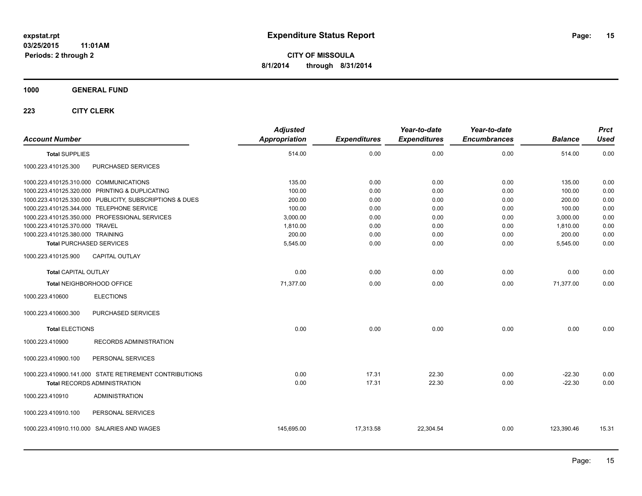#### **1000 GENERAL FUND**

| <b>Account Number</b>                  |                                                         | <b>Adjusted</b><br>Appropriation | <b>Expenditures</b> | Year-to-date<br><b>Expenditures</b> | Year-to-date<br><b>Encumbrances</b> | <b>Balance</b> | <b>Prct</b><br><b>Used</b> |
|----------------------------------------|---------------------------------------------------------|----------------------------------|---------------------|-------------------------------------|-------------------------------------|----------------|----------------------------|
| <b>Total SUPPLIES</b>                  |                                                         | 514.00                           | 0.00                | 0.00                                | 0.00                                | 514.00         | 0.00                       |
| 1000.223.410125.300                    | PURCHASED SERVICES                                      |                                  |                     |                                     |                                     |                |                            |
| 1000.223.410125.310.000 COMMUNICATIONS |                                                         | 135.00                           | 0.00                | 0.00                                | 0.00                                | 135.00         | 0.00                       |
|                                        | 1000.223.410125.320.000 PRINTING & DUPLICATING          | 100.00                           | 0.00                | 0.00                                | 0.00                                | 100.00         | 0.00                       |
|                                        | 1000.223.410125.330.000 PUBLICITY, SUBSCRIPTIONS & DUES | 200.00                           | 0.00                | 0.00                                | 0.00                                | 200.00         | 0.00                       |
|                                        | 1000.223.410125.344.000 TELEPHONE SERVICE               | 100.00                           | 0.00                | 0.00                                | 0.00                                | 100.00         | 0.00                       |
|                                        | 1000.223.410125.350.000 PROFESSIONAL SERVICES           | 3,000.00                         | 0.00                | 0.00                                | 0.00                                | 3,000.00       | 0.00                       |
| 1000.223.410125.370.000 TRAVEL         |                                                         | 1,810.00                         | 0.00                | 0.00                                | 0.00                                | 1,810.00       | 0.00                       |
| 1000.223.410125.380.000 TRAINING       |                                                         | 200.00                           | 0.00                | 0.00                                | 0.00                                | 200.00         | 0.00                       |
| <b>Total PURCHASED SERVICES</b>        |                                                         | 5,545.00                         | 0.00                | 0.00                                | 0.00                                | 5,545.00       | 0.00                       |
| 1000.223.410125.900                    | CAPITAL OUTLAY                                          |                                  |                     |                                     |                                     |                |                            |
| <b>Total CAPITAL OUTLAY</b>            |                                                         | 0.00                             | 0.00                | 0.00                                | 0.00                                | 0.00           | 0.00                       |
|                                        | Total NEIGHBORHOOD OFFICE                               | 71.377.00                        | 0.00                | 0.00                                | 0.00                                | 71.377.00      | 0.00                       |
| 1000.223.410600                        | <b>ELECTIONS</b>                                        |                                  |                     |                                     |                                     |                |                            |
| 1000.223.410600.300                    | PURCHASED SERVICES                                      |                                  |                     |                                     |                                     |                |                            |
| <b>Total ELECTIONS</b>                 |                                                         | 0.00                             | 0.00                | 0.00                                | 0.00                                | 0.00           | 0.00                       |
| 1000.223.410900                        | RECORDS ADMINISTRATION                                  |                                  |                     |                                     |                                     |                |                            |
| 1000.223.410900.100                    | PERSONAL SERVICES                                       |                                  |                     |                                     |                                     |                |                            |
|                                        | 1000.223.410900.141.000 STATE RETIREMENT CONTRIBUTIONS  | 0.00                             | 17.31               | 22.30                               | 0.00                                | $-22.30$       | 0.00                       |
|                                        | <b>Total RECORDS ADMINISTRATION</b>                     | 0.00                             | 17.31               | 22.30                               | 0.00                                | $-22.30$       | 0.00                       |
| 1000.223.410910                        | <b>ADMINISTRATION</b>                                   |                                  |                     |                                     |                                     |                |                            |
| 1000.223.410910.100                    | PERSONAL SERVICES                                       |                                  |                     |                                     |                                     |                |                            |
|                                        | 1000.223.410910.110.000 SALARIES AND WAGES              | 145,695.00                       | 17,313.58           | 22,304.54                           | 0.00                                | 123,390.46     | 15.31                      |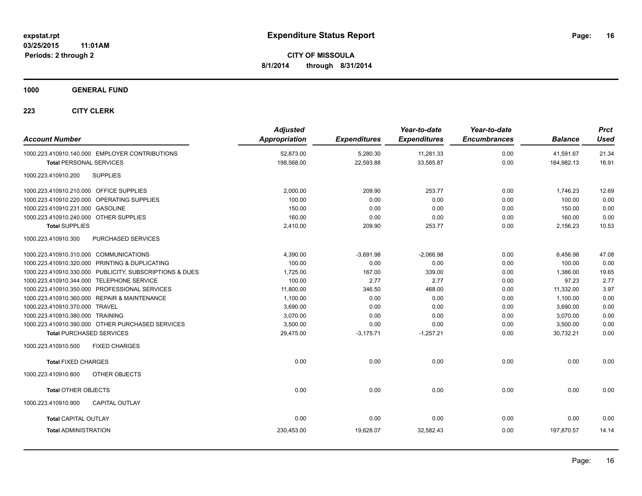**1000 GENERAL FUND**

| <b>Account Number</b>                                   | <b>Adjusted</b><br><b>Appropriation</b> | <b>Expenditures</b> | Year-to-date<br><b>Expenditures</b> | Year-to-date<br><b>Encumbrances</b> | <b>Balance</b> | <b>Prct</b><br><b>Used</b> |
|---------------------------------------------------------|-----------------------------------------|---------------------|-------------------------------------|-------------------------------------|----------------|----------------------------|
| 1000.223.410910.140.000 EMPLOYER CONTRIBUTIONS          | 52.873.00                               | 5.280.30            | 11,281.33                           | 0.00                                | 41.591.67      | 21.34                      |
| <b>Total PERSONAL SERVICES</b>                          | 198,568.00                              | 22,593.88           | 33,585.87                           | 0.00                                | 164,982.13     | 16.91                      |
| <b>SUPPLIES</b><br>1000.223.410910.200                  |                                         |                     |                                     |                                     |                |                            |
| 1000.223.410910.210.000 OFFICE SUPPLIES                 | 2,000.00                                | 209.90              | 253.77                              | 0.00                                | 1,746.23       | 12.69                      |
| 1000.223.410910.220.000 OPERATING SUPPLIES              | 100.00                                  | 0.00                | 0.00                                | 0.00                                | 100.00         | 0.00                       |
| 1000.223.410910.231.000 GASOLINE                        | 150.00                                  | 0.00                | 0.00                                | 0.00                                | 150.00         | 0.00                       |
| 1000.223.410910.240.000 OTHER SUPPLIES                  | 160.00                                  | 0.00                | 0.00                                | 0.00                                | 160.00         | 0.00                       |
| <b>Total SUPPLIES</b>                                   | 2,410.00                                | 209.90              | 253.77                              | 0.00                                | 2,156.23       | 10.53                      |
| 1000.223.410910.300<br>PURCHASED SERVICES               |                                         |                     |                                     |                                     |                |                            |
| 1000.223.410910.310.000 COMMUNICATIONS                  | 4,390.00                                | $-3,691.98$         | $-2.066.98$                         | 0.00                                | 6.456.98       | 47.08                      |
| 1000.223.410910.320.000 PRINTING & DUPLICATING          | 100.00                                  | 0.00                | 0.00                                | 0.00                                | 100.00         | 0.00                       |
| 1000.223.410910.330.000 PUBLICITY, SUBSCRIPTIONS & DUES | 1,725.00                                | 167.00              | 339.00                              | 0.00                                | 1,386.00       | 19.65                      |
| 1000.223.410910.344.000 TELEPHONE SERVICE               | 100.00                                  | 2.77                | 2.77                                | 0.00                                | 97.23          | 2.77                       |
| 1000.223.410910.350.000 PROFESSIONAL SERVICES           | 11,800.00                               | 346.50              | 468.00                              | 0.00                                | 11,332.00      | 3.97                       |
| 1000.223.410910.360.000 REPAIR & MAINTENANCE            | 1,100.00                                | 0.00                | 0.00                                | 0.00                                | 1,100.00       | 0.00                       |
| 1000.223.410910.370.000 TRAVEL                          | 3,690.00                                | 0.00                | 0.00                                | 0.00                                | 3.690.00       | 0.00                       |
| 1000.223.410910.380.000 TRAINING                        | 3,070.00                                | 0.00                | 0.00                                | 0.00                                | 3,070.00       | 0.00                       |
| 1000.223.410910.390.000 OTHER PURCHASED SERVICES        | 3,500.00                                | 0.00                | 0.00                                | 0.00                                | 3,500.00       | 0.00                       |
| <b>Total PURCHASED SERVICES</b>                         | 29.475.00                               | $-3,175.71$         | $-1.257.21$                         | 0.00                                | 30.732.21      | 0.00                       |
| 1000.223.410910.500<br><b>FIXED CHARGES</b>             |                                         |                     |                                     |                                     |                |                            |
| <b>Total FIXED CHARGES</b>                              | 0.00                                    | 0.00                | 0.00                                | 0.00                                | 0.00           | 0.00                       |
| 1000.223.410910.800<br>OTHER OBJECTS                    |                                         |                     |                                     |                                     |                |                            |
| <b>Total OTHER OBJECTS</b>                              | 0.00                                    | 0.00                | 0.00                                | 0.00                                | 0.00           | 0.00                       |
| CAPITAL OUTLAY<br>1000.223.410910.900                   |                                         |                     |                                     |                                     |                |                            |
| <b>Total CAPITAL OUTLAY</b>                             | 0.00                                    | 0.00                | 0.00                                | 0.00                                | 0.00           | 0.00                       |
| <b>Total ADMINISTRATION</b>                             | 230.453.00                              | 19.628.07           | 32.582.43                           | 0.00                                | 197.870.57     | 14.14                      |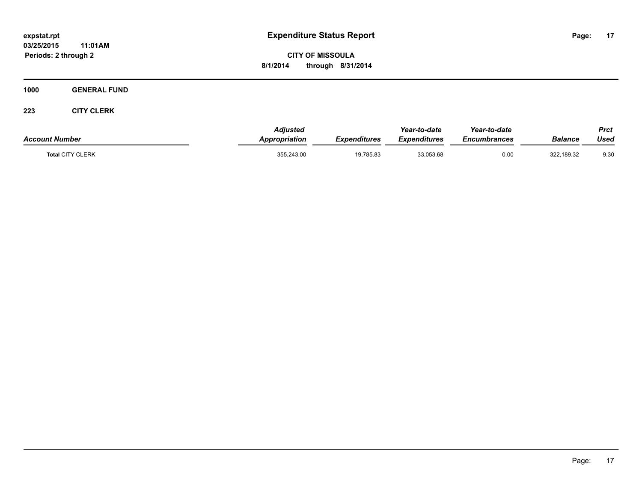**CITY OF MISSOULA 8/1/2014 through 8/31/2014**

**1000 GENERAL FUND**

| <b>Account Number</b>   | Adjusted<br>Appropriation | <b>Expenditures</b> | Year-to-date<br><b>Expenditures</b> | Year-to-date<br>Encumbrances | <b>Balance</b> | Prct<br>Used |
|-------------------------|---------------------------|---------------------|-------------------------------------|------------------------------|----------------|--------------|
| <b>Total CITY CLERK</b> | 355,243.00                | 19,785.83           | 33,053.68                           | 0.00                         | 322,189.32     | 9.30         |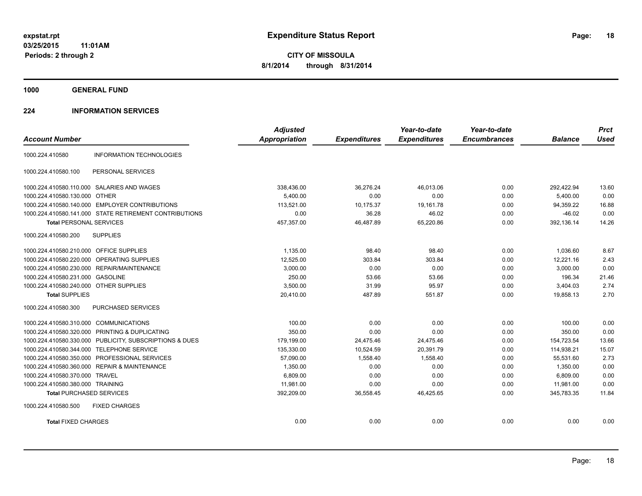**1000 GENERAL FUND**

#### **224 INFORMATION SERVICES**

| <b>Account Number</b>                   |                                                         | <b>Adjusted</b><br><b>Appropriation</b> | <b>Expenditures</b> | Year-to-date<br><b>Expenditures</b> | Year-to-date<br><b>Encumbrances</b> | <b>Balance</b> | <b>Prct</b><br><b>Used</b> |
|-----------------------------------------|---------------------------------------------------------|-----------------------------------------|---------------------|-------------------------------------|-------------------------------------|----------------|----------------------------|
|                                         |                                                         |                                         |                     |                                     |                                     |                |                            |
| 1000.224.410580                         | <b>INFORMATION TECHNOLOGIES</b>                         |                                         |                     |                                     |                                     |                |                            |
| 1000.224.410580.100                     | PERSONAL SERVICES                                       |                                         |                     |                                     |                                     |                |                            |
|                                         | 1000.224.410580.110.000 SALARIES AND WAGES              | 338,436.00                              | 36,276.24           | 46,013.06                           | 0.00                                | 292,422.94     | 13.60                      |
| 1000.224.410580.130.000 OTHER           |                                                         | 5,400.00                                | 0.00                | 0.00                                | 0.00                                | 5,400.00       | 0.00                       |
|                                         | 1000.224.410580.140.000 EMPLOYER CONTRIBUTIONS          | 113.521.00                              | 10,175.37           | 19.161.78                           | 0.00                                | 94,359.22      | 16.88                      |
|                                         | 1000.224.410580.141.000 STATE RETIREMENT CONTRIBUTIONS  | 0.00                                    | 36.28               | 46.02                               | 0.00                                | $-46.02$       | 0.00                       |
| <b>Total PERSONAL SERVICES</b>          |                                                         | 457,357.00                              | 46,487.89           | 65,220.86                           | 0.00                                | 392,136.14     | 14.26                      |
| 1000.224.410580.200                     | <b>SUPPLIES</b>                                         |                                         |                     |                                     |                                     |                |                            |
| 1000.224.410580.210.000 OFFICE SUPPLIES |                                                         | 1,135.00                                | 98.40               | 98.40                               | 0.00                                | 1,036.60       | 8.67                       |
| 1000.224.410580.220.000                 | OPERATING SUPPLIES                                      | 12,525.00                               | 303.84              | 303.84                              | 0.00                                | 12,221.16      | 2.43                       |
|                                         | 1000.224.410580.230.000 REPAIR/MAINTENANCE              | 3,000.00                                | 0.00                | 0.00                                | 0.00                                | 3,000.00       | 0.00                       |
| 1000.224.410580.231.000 GASOLINE        |                                                         | 250.00                                  | 53.66               | 53.66                               | 0.00                                | 196.34         | 21.46                      |
| 1000.224.410580.240.000 OTHER SUPPLIES  |                                                         | 3,500.00                                | 31.99               | 95.97                               | 0.00                                | 3,404.03       | 2.74                       |
| <b>Total SUPPLIES</b>                   |                                                         | 20,410.00                               | 487.89              | 551.87                              | 0.00                                | 19.858.13      | 2.70                       |
| 1000.224.410580.300                     | PURCHASED SERVICES                                      |                                         |                     |                                     |                                     |                |                            |
| 1000.224.410580.310.000 COMMUNICATIONS  |                                                         | 100.00                                  | 0.00                | 0.00                                | 0.00                                | 100.00         | 0.00                       |
| 1000.224.410580.320.000                 | <b>PRINTING &amp; DUPLICATING</b>                       | 350.00                                  | 0.00                | 0.00                                | 0.00                                | 350.00         | 0.00                       |
|                                         | 1000.224.410580.330.000 PUBLICITY, SUBSCRIPTIONS & DUES | 179,199.00                              | 24,475.46           | 24,475.46                           | 0.00                                | 154,723.54     | 13.66                      |
| 1000.224.410580.344.000                 | <b>TELEPHONE SERVICE</b>                                | 135,330.00                              | 10,524.59           | 20,391.79                           | 0.00                                | 114,938.21     | 15.07                      |
| 1000.224.410580.350.000                 | PROFESSIONAL SERVICES                                   | 57,090.00                               | 1,558.40            | 1,558.40                            | 0.00                                | 55,531.60      | 2.73                       |
|                                         | 1000.224.410580.360.000 REPAIR & MAINTENANCE            | 1,350.00                                | 0.00                | 0.00                                | 0.00                                | 1.350.00       | 0.00                       |
| 1000.224.410580.370.000 TRAVEL          |                                                         | 6,809.00                                | 0.00                | 0.00                                | 0.00                                | 6,809.00       | 0.00                       |
| 1000.224.410580.380.000 TRAINING        |                                                         | 11,981.00                               | 0.00                | 0.00                                | 0.00                                | 11,981.00      | 0.00                       |
| <b>Total PURCHASED SERVICES</b>         |                                                         | 392,209.00                              | 36,558.45           | 46,425.65                           | 0.00                                | 345,783.35     | 11.84                      |
| 1000.224.410580.500                     | <b>FIXED CHARGES</b>                                    |                                         |                     |                                     |                                     |                |                            |
| <b>Total FIXED CHARGES</b>              |                                                         | 0.00                                    | 0.00                | 0.00                                | 0.00                                | 0.00           | 0.00                       |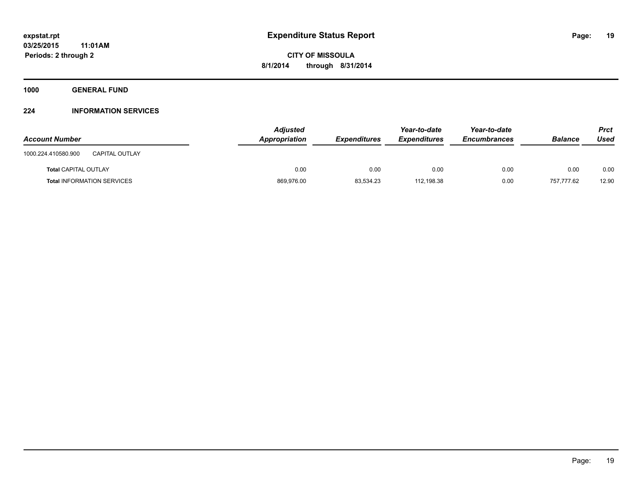**1000 GENERAL FUND**

#### **224 INFORMATION SERVICES**

| <b>Account Number</b>                        | <b>Adjusted</b><br>Appropriation | <b>Expenditures</b> | Year-to-date<br><b>Expenditures</b> | Year-to-date<br><b>Encumbrances</b> | <b>Balance</b> | Prct<br>Used |
|----------------------------------------------|----------------------------------|---------------------|-------------------------------------|-------------------------------------|----------------|--------------|
| 1000.224.410580.900<br><b>CAPITAL OUTLAY</b> |                                  |                     |                                     |                                     |                |              |
| <b>Total CAPITAL OUTLAY</b>                  | 0.00                             | 0.00                | 0.00                                | 0.00                                | 0.00           | 0.00         |
| <b>Total INFORMATION SERVICES</b>            | 869,976.00                       | 83,534.23           | 112,198.38                          | 0.00                                | 757.777.62     | 12.90        |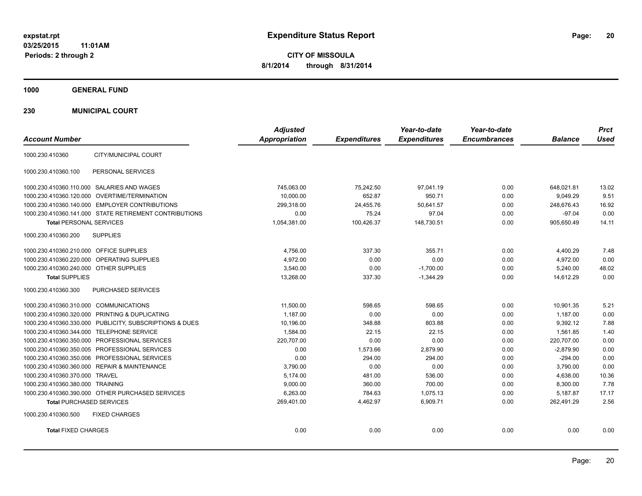**CITY OF MISSOULA 8/1/2014 through 8/31/2014**

**1000 GENERAL FUND**

**230 MUNICIPAL COURT**

| <b>Account Number</b>                                   | <b>Adjusted</b><br>Appropriation | <b>Expenditures</b> | Year-to-date<br><b>Expenditures</b> | Year-to-date<br><b>Encumbrances</b> | <b>Balance</b> | <b>Prct</b><br><b>Used</b> |
|---------------------------------------------------------|----------------------------------|---------------------|-------------------------------------|-------------------------------------|----------------|----------------------------|
| 1000.230.410360<br>CITY/MUNICIPAL COURT                 |                                  |                     |                                     |                                     |                |                            |
| 1000.230.410360.100<br>PERSONAL SERVICES                |                                  |                     |                                     |                                     |                |                            |
| 1000.230.410360.110.000 SALARIES AND WAGES              | 745,063.00                       | 75,242.50           | 97,041.19                           | 0.00                                | 648,021.81     | 13.02                      |
| 1000.230.410360.120.000 OVERTIME/TERMINATION            | 10,000.00                        | 652.87              | 950.71                              | 0.00                                | 9.049.29       | 9.51                       |
| 1000.230.410360.140.000 EMPLOYER CONTRIBUTIONS          | 299,318.00                       | 24,455.76           | 50,641.57                           | 0.00                                | 248,676.43     | 16.92                      |
| 1000.230.410360.141.000 STATE RETIREMENT CONTRIBUTIONS  | 0.00                             | 75.24               | 97.04                               | 0.00                                | $-97.04$       | 0.00                       |
| <b>Total PERSONAL SERVICES</b>                          | 1,054,381.00                     | 100,426.37          | 148,730.51                          | 0.00                                | 905,650.49     | 14.11                      |
| <b>SUPPLIES</b><br>1000.230.410360.200                  |                                  |                     |                                     |                                     |                |                            |
| 1000.230.410360.210.000 OFFICE SUPPLIES                 | 4,756.00                         | 337.30              | 355.71                              | 0.00                                | 4,400.29       | 7.48                       |
| 1000.230.410360.220.000 OPERATING SUPPLIES              | 4,972.00                         | 0.00                | 0.00                                | 0.00                                | 4,972.00       | 0.00                       |
| 1000.230.410360.240.000 OTHER SUPPLIES                  | 3,540.00                         | 0.00                | $-1,700.00$                         | 0.00                                | 5,240.00       | 48.02                      |
| <b>Total SUPPLIES</b>                                   | 13,268.00                        | 337.30              | $-1,344.29$                         | 0.00                                | 14,612.29      | 0.00                       |
| 1000.230.410360.300<br>PURCHASED SERVICES               |                                  |                     |                                     |                                     |                |                            |
| 1000.230.410360.310.000 COMMUNICATIONS                  | 11,500.00                        | 598.65              | 598.65                              | 0.00                                | 10,901.35      | 5.21                       |
| 1000.230.410360.320.000 PRINTING & DUPLICATING          | 1,187.00                         | 0.00                | 0.00                                | 0.00                                | 1,187.00       | 0.00                       |
| 1000.230.410360.330.000 PUBLICITY, SUBSCRIPTIONS & DUES | 10,196.00                        | 348.88              | 803.88                              | 0.00                                | 9,392.12       | 7.88                       |
| 1000.230.410360.344.000 TELEPHONE SERVICE               | 1,584.00                         | 22.15               | 22.15                               | 0.00                                | 1,561.85       | 1.40                       |
| 1000.230.410360.350.000 PROFESSIONAL SERVICES           | 220,707.00                       | 0.00                | 0.00                                | 0.00                                | 220,707.00     | 0.00                       |
| 1000.230.410360.350.005 PROFESSIONAL SERVICES           | 0.00                             | 1,573.66            | 2,879.90                            | 0.00                                | $-2,879.90$    | 0.00                       |
| 1000.230.410360.350.006 PROFESSIONAL SERVICES           | 0.00                             | 294.00              | 294.00                              | 0.00                                | $-294.00$      | 0.00                       |
| 1000.230.410360.360.000 REPAIR & MAINTENANCE            | 3,790.00                         | 0.00                | 0.00                                | 0.00                                | 3,790.00       | 0.00                       |
| 1000.230.410360.370.000 TRAVEL                          | 5,174.00                         | 481.00              | 536.00                              | 0.00                                | 4,638.00       | 10.36                      |
| 1000.230.410360.380.000 TRAINING                        | 9,000.00                         | 360.00              | 700.00                              | 0.00                                | 8,300.00       | 7.78                       |
| 1000.230.410360.390.000 OTHER PURCHASED SERVICES        | 6,263.00                         | 784.63              | 1,075.13                            | 0.00                                | 5,187.87       | 17.17                      |
| <b>Total PURCHASED SERVICES</b>                         | 269,401.00                       | 4,462.97            | 6,909.71                            | 0.00                                | 262,491.29     | 2.56                       |
| 1000.230.410360.500<br><b>FIXED CHARGES</b>             |                                  |                     |                                     |                                     |                |                            |
| <b>Total FIXED CHARGES</b>                              | 0.00                             | 0.00                | 0.00                                | 0.00                                | 0.00           | 0.00                       |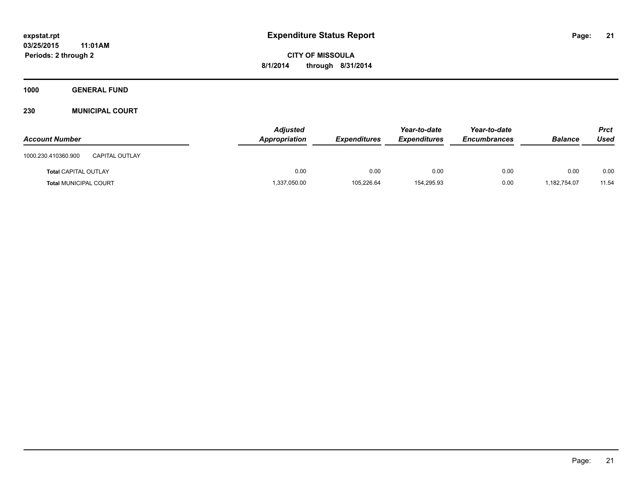**Periods: 2 through 2**

**CITY OF MISSOULA 8/1/2014 through 8/31/2014**

**1000 GENERAL FUND**

**230 MUNICIPAL COURT**

| <b>Account Number</b>                        | <b>Adjusted</b><br>Appropriation | <b>Expenditures</b> | Year-to-date<br><b>Expenditures</b> | Year-to-date<br><b>Encumbrances</b> | <b>Balance</b> | <b>Prct</b><br>Used |
|----------------------------------------------|----------------------------------|---------------------|-------------------------------------|-------------------------------------|----------------|---------------------|
| 1000.230.410360.900<br><b>CAPITAL OUTLAY</b> |                                  |                     |                                     |                                     |                |                     |
| <b>Total CAPITAL OUTLAY</b>                  | 0.00                             | 0.00                | 0.00                                | 0.00                                | 0.00           | 0.00                |
| <b>Total MUNICIPAL COURT</b>                 | 1,337,050.00                     | 105,226.64          | 154,295.93                          | 0.00                                | 1,182,754.07   | 11.54               |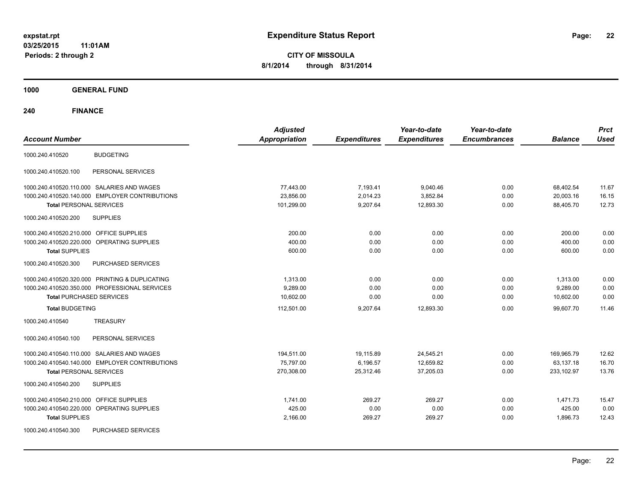**CITY OF MISSOULA 8/1/2014 through 8/31/2014**

**1000 GENERAL FUND**

| <b>Account Number</b>                          | <b>Adjusted</b><br><b>Appropriation</b> | <b>Expenditures</b> | Year-to-date<br><b>Expenditures</b> | Year-to-date<br><b>Encumbrances</b> | <b>Balance</b> | <b>Prct</b><br><b>Used</b> |
|------------------------------------------------|-----------------------------------------|---------------------|-------------------------------------|-------------------------------------|----------------|----------------------------|
| <b>BUDGETING</b><br>1000.240.410520            |                                         |                     |                                     |                                     |                |                            |
| PERSONAL SERVICES<br>1000.240.410520.100       |                                         |                     |                                     |                                     |                |                            |
| 1000.240.410520.110.000 SALARIES AND WAGES     | 77,443.00                               | 7,193.41            | 9,040.46                            | 0.00                                | 68,402.54      | 11.67                      |
| 1000.240.410520.140.000 EMPLOYER CONTRIBUTIONS | 23.856.00                               | 2,014.23            | 3,852.84                            | 0.00                                | 20,003.16      | 16.15                      |
| <b>Total PERSONAL SERVICES</b>                 | 101,299.00                              | 9,207.64            | 12,893.30                           | 0.00                                | 88,405.70      | 12.73                      |
| 1000.240.410520.200<br><b>SUPPLIES</b>         |                                         |                     |                                     |                                     |                |                            |
| 1000.240.410520.210.000 OFFICE SUPPLIES        | 200.00                                  | 0.00                | 0.00                                | 0.00                                | 200.00         | 0.00                       |
| 1000.240.410520.220.000 OPERATING SUPPLIES     | 400.00                                  | 0.00                | 0.00                                | 0.00                                | 400.00         | 0.00                       |
| <b>Total SUPPLIES</b>                          | 600.00                                  | 0.00                | 0.00                                | 0.00                                | 600.00         | 0.00                       |
| 1000.240.410520.300<br>PURCHASED SERVICES      |                                         |                     |                                     |                                     |                |                            |
| 1000.240.410520.320.000 PRINTING & DUPLICATING | 1,313.00                                | 0.00                | 0.00                                | 0.00                                | 1,313.00       | 0.00                       |
| 1000.240.410520.350.000 PROFESSIONAL SERVICES  | 9.289.00                                | 0.00                | 0.00                                | 0.00                                | 9,289.00       | 0.00                       |
| <b>Total PURCHASED SERVICES</b>                | 10.602.00                               | 0.00                | 0.00                                | 0.00                                | 10,602.00      | 0.00                       |
| <b>Total BUDGETING</b>                         | 112,501.00                              | 9,207.64            | 12,893.30                           | 0.00                                | 99,607.70      | 11.46                      |
| 1000.240.410540<br><b>TREASURY</b>             |                                         |                     |                                     |                                     |                |                            |
| PERSONAL SERVICES<br>1000.240.410540.100       |                                         |                     |                                     |                                     |                |                            |
| 1000.240.410540.110.000 SALARIES AND WAGES     | 194,511.00                              | 19,115.89           | 24,545.21                           | 0.00                                | 169,965.79     | 12.62                      |
| 1000.240.410540.140.000 EMPLOYER CONTRIBUTIONS | 75,797.00                               | 6,196.57            | 12,659.82                           | 0.00                                | 63,137.18      | 16.70                      |
| <b>Total PERSONAL SERVICES</b>                 | 270,308.00                              | 25,312.46           | 37,205.03                           | 0.00                                | 233,102.97     | 13.76                      |
| <b>SUPPLIES</b><br>1000.240.410540.200         |                                         |                     |                                     |                                     |                |                            |
| 1000.240.410540.210.000 OFFICE SUPPLIES        | 1.741.00                                | 269.27              | 269.27                              | 0.00                                | 1,471.73       | 15.47                      |
| 1000.240.410540.220.000 OPERATING SUPPLIES     | 425.00                                  | 0.00                | 0.00                                | 0.00                                | 425.00         | 0.00                       |
| <b>Total SUPPLIES</b>                          | 2,166.00                                | 269.27              | 269.27                              | 0.00                                | 1,896.73       | 12.43                      |
| PURCHASED SERVICES<br>1000.240.410540.300      |                                         |                     |                                     |                                     |                |                            |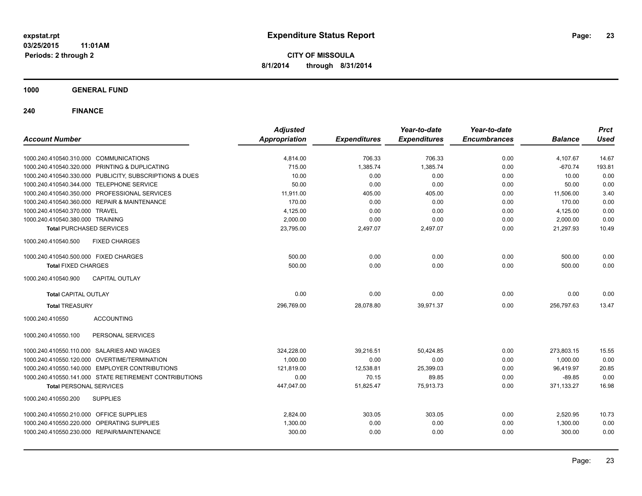**CITY OF MISSOULA 8/1/2014 through 8/31/2014**

**1000 GENERAL FUND**

| <b>Account Number</b>                                   | <b>Adjusted</b><br><b>Appropriation</b> | <b>Expenditures</b> | Year-to-date<br><b>Expenditures</b> | Year-to-date<br><b>Encumbrances</b> | <b>Balance</b> | <b>Prct</b><br><b>Used</b> |
|---------------------------------------------------------|-----------------------------------------|---------------------|-------------------------------------|-------------------------------------|----------------|----------------------------|
|                                                         |                                         |                     |                                     |                                     |                |                            |
| 1000.240.410540.310.000 COMMUNICATIONS                  | 4,814.00                                | 706.33              | 706.33                              | 0.00                                | 4,107.67       | 14.67                      |
| 1000.240.410540.320.000 PRINTING & DUPLICATING          | 715.00                                  | 1,385.74            | 1,385.74                            | 0.00                                | $-670.74$      | 193.81                     |
| 1000.240.410540.330.000 PUBLICITY, SUBSCRIPTIONS & DUES | 10.00                                   | 0.00                | 0.00                                | 0.00                                | 10.00          | 0.00                       |
| 1000.240.410540.344.000 TELEPHONE SERVICE               | 50.00                                   | 0.00                | 0.00                                | 0.00                                | 50.00          | 0.00                       |
| 1000.240.410540.350.000 PROFESSIONAL SERVICES           | 11,911.00                               | 405.00              | 405.00                              | 0.00                                | 11,506.00      | 3.40                       |
| 1000.240.410540.360.000 REPAIR & MAINTENANCE            | 170.00                                  | 0.00                | 0.00                                | 0.00                                | 170.00         | 0.00                       |
| 1000.240.410540.370.000 TRAVEL                          | 4,125.00                                | 0.00                | 0.00                                | 0.00                                | 4,125.00       | 0.00                       |
| 1000.240.410540.380.000 TRAINING                        | 2,000.00                                | 0.00                | 0.00                                | 0.00                                | 2,000.00       | 0.00                       |
| <b>Total PURCHASED SERVICES</b>                         | 23,795.00                               | 2,497.07            | 2,497.07                            | 0.00                                | 21,297.93      | 10.49                      |
| 1000.240.410540.500<br><b>FIXED CHARGES</b>             |                                         |                     |                                     |                                     |                |                            |
| 1000.240.410540.500.000 FIXED CHARGES                   | 500.00                                  | 0.00                | 0.00                                | 0.00                                | 500.00         | 0.00                       |
| <b>Total FIXED CHARGES</b>                              | 500.00                                  | 0.00                | 0.00                                | 0.00                                | 500.00         | 0.00                       |
| 1000.240.410540.900<br><b>CAPITAL OUTLAY</b>            |                                         |                     |                                     |                                     |                |                            |
| <b>Total CAPITAL OUTLAY</b>                             | 0.00                                    | 0.00                | 0.00                                | 0.00                                | 0.00           | 0.00                       |
| <b>Total TREASURY</b>                                   | 296,769.00                              | 28,078.80           | 39,971.37                           | 0.00                                | 256,797.63     | 13.47                      |
| 1000.240.410550<br><b>ACCOUNTING</b>                    |                                         |                     |                                     |                                     |                |                            |
| PERSONAL SERVICES<br>1000.240.410550.100                |                                         |                     |                                     |                                     |                |                            |
| 1000.240.410550.110.000 SALARIES AND WAGES              | 324,228.00                              | 39,216.51           | 50,424.85                           | 0.00                                | 273,803.15     | 15.55                      |
| 1000.240.410550.120.000 OVERTIME/TERMINATION            | 1,000.00                                | 0.00                | 0.00                                | 0.00                                | 1,000.00       | 0.00                       |
| 1000.240.410550.140.000 EMPLOYER CONTRIBUTIONS          | 121,819.00                              | 12,538.81           | 25,399.03                           | 0.00                                | 96,419.97      | 20.85                      |
| 1000.240.410550.141.000 STATE RETIREMENT CONTRIBUTIONS  | 0.00                                    | 70.15               | 89.85                               | 0.00                                | $-89.85$       | 0.00                       |
| <b>Total PERSONAL SERVICES</b>                          | 447,047.00                              | 51,825.47           | 75,913.73                           | 0.00                                | 371,133.27     | 16.98                      |
| 1000.240.410550.200<br><b>SUPPLIES</b>                  |                                         |                     |                                     |                                     |                |                            |
| 1000.240.410550.210.000 OFFICE SUPPLIES                 | 2,824.00                                | 303.05              | 303.05                              | 0.00                                | 2,520.95       | 10.73                      |
| 1000.240.410550.220.000 OPERATING SUPPLIES              | 1,300.00                                | 0.00                | 0.00                                | 0.00                                | 1,300.00       | 0.00                       |
| 1000.240.410550.230.000 REPAIR/MAINTENANCE              | 300.00                                  | 0.00                | 0.00                                | 0.00                                | 300.00         | 0.00                       |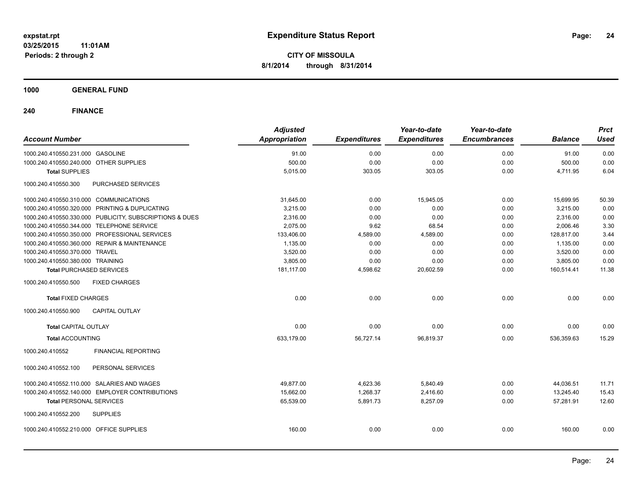**1000 GENERAL FUND**

| <b>Account Number</b>                                   | <b>Adjusted</b><br>Appropriation | <b>Expenditures</b> | Year-to-date<br><b>Expenditures</b> | Year-to-date<br><b>Encumbrances</b> | <b>Balance</b> | <b>Prct</b><br><b>Used</b> |
|---------------------------------------------------------|----------------------------------|---------------------|-------------------------------------|-------------------------------------|----------------|----------------------------|
| 1000.240.410550.231.000 GASOLINE                        | 91.00                            | 0.00                | 0.00                                | 0.00                                | 91.00          | 0.00                       |
| 1000.240.410550.240.000 OTHER SUPPLIES                  | 500.00                           | 0.00                | 0.00                                | 0.00                                | 500.00         | 0.00                       |
| <b>Total SUPPLIES</b>                                   | 5,015.00                         | 303.05              | 303.05                              | 0.00                                | 4,711.95       | 6.04                       |
| 1000.240.410550.300<br>PURCHASED SERVICES               |                                  |                     |                                     |                                     |                |                            |
| 1000.240.410550.310.000 COMMUNICATIONS                  | 31,645.00                        | 0.00                | 15,945.05                           | 0.00                                | 15,699.95      | 50.39                      |
| 1000.240.410550.320.000 PRINTING & DUPLICATING          | 3,215.00                         | 0.00                | 0.00                                | 0.00                                | 3,215.00       | 0.00                       |
| 1000.240.410550.330.000 PUBLICITY, SUBSCRIPTIONS & DUES | 2,316.00                         | 0.00                | 0.00                                | 0.00                                | 2,316.00       | 0.00                       |
| 1000.240.410550.344.000 TELEPHONE SERVICE               | 2,075.00                         | 9.62                | 68.54                               | 0.00                                | 2,006.46       | 3.30                       |
| 1000.240.410550.350.000 PROFESSIONAL SERVICES           | 133,406.00                       | 4,589.00            | 4,589.00                            | 0.00                                | 128,817.00     | 3.44                       |
| 1000.240.410550.360.000 REPAIR & MAINTENANCE            | 1,135.00                         | 0.00                | 0.00                                | 0.00                                | 1,135.00       | 0.00                       |
| 1000.240.410550.370.000 TRAVEL                          | 3,520.00                         | 0.00                | 0.00                                | 0.00                                | 3,520.00       | 0.00                       |
| 1000.240.410550.380.000 TRAINING                        | 3,805.00                         | 0.00                | 0.00                                | 0.00                                | 3,805.00       | 0.00                       |
| <b>Total PURCHASED SERVICES</b>                         | 181,117.00                       | 4,598.62            | 20,602.59                           | 0.00                                | 160,514.41     | 11.38                      |
| 1000.240.410550.500<br><b>FIXED CHARGES</b>             |                                  |                     |                                     |                                     |                |                            |
| <b>Total FIXED CHARGES</b>                              | 0.00                             | 0.00                | 0.00                                | 0.00                                | 0.00           | 0.00                       |
| <b>CAPITAL OUTLAY</b><br>1000.240.410550.900            |                                  |                     |                                     |                                     |                |                            |
| <b>Total CAPITAL OUTLAY</b>                             | 0.00                             | 0.00                | 0.00                                | 0.00                                | 0.00           | 0.00                       |
| <b>Total ACCOUNTING</b>                                 | 633,179.00                       | 56,727.14           | 96,819.37                           | 0.00                                | 536,359.63     | 15.29                      |
| <b>FINANCIAL REPORTING</b><br>1000.240.410552           |                                  |                     |                                     |                                     |                |                            |
| PERSONAL SERVICES<br>1000.240.410552.100                |                                  |                     |                                     |                                     |                |                            |
| 1000.240.410552.110.000 SALARIES AND WAGES              | 49.877.00                        | 4,623.36            | 5,840.49                            | 0.00                                | 44,036.51      | 11.71                      |
| 1000.240.410552.140.000 EMPLOYER CONTRIBUTIONS          | 15,662.00                        | 1,268.37            | 2,416.60                            | 0.00                                | 13,245.40      | 15.43                      |
| <b>Total PERSONAL SERVICES</b>                          | 65,539.00                        | 5,891.73            | 8,257.09                            | 0.00                                | 57,281.91      | 12.60                      |
| 1000.240.410552.200<br><b>SUPPLIES</b>                  |                                  |                     |                                     |                                     |                |                            |
| 1000.240.410552.210.000 OFFICE SUPPLIES                 | 160.00                           | 0.00                | 0.00                                | 0.00                                | 160.00         | 0.00                       |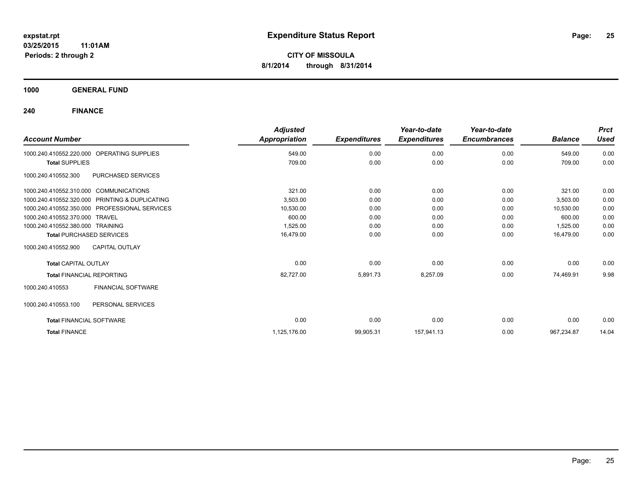**1000 GENERAL FUND**

| <b>Account Number</b>                          | <b>Adjusted</b><br>Appropriation | <b>Expenditures</b> | Year-to-date<br><b>Expenditures</b> | Year-to-date<br><b>Encumbrances</b> | <b>Balance</b> | <b>Prct</b><br><b>Used</b> |
|------------------------------------------------|----------------------------------|---------------------|-------------------------------------|-------------------------------------|----------------|----------------------------|
| OPERATING SUPPLIES<br>1000.240.410552.220.000  | 549.00                           | 0.00                | 0.00                                | 0.00                                | 549.00         | 0.00                       |
| <b>Total SUPPLIES</b>                          | 709.00                           | 0.00                | 0.00                                | 0.00                                | 709.00         | 0.00                       |
| PURCHASED SERVICES<br>1000.240.410552.300      |                                  |                     |                                     |                                     |                |                            |
| 1000.240.410552.310.000 COMMUNICATIONS         | 321.00                           | 0.00                | 0.00                                | 0.00                                | 321.00         | 0.00                       |
| 1000.240.410552.320.000 PRINTING & DUPLICATING | 3,503.00                         | 0.00                | 0.00                                | 0.00                                | 3,503.00       | 0.00                       |
| 1000.240.410552.350.000 PROFESSIONAL SERVICES  | 10,530.00                        | 0.00                | 0.00                                | 0.00                                | 10,530.00      | 0.00                       |
| 1000.240.410552.370.000 TRAVEL                 | 600.00                           | 0.00                | 0.00                                | 0.00                                | 600.00         | 0.00                       |
| 1000.240.410552.380.000 TRAINING               | 1,525.00                         | 0.00                | 0.00                                | 0.00                                | 1,525.00       | 0.00                       |
| <b>Total PURCHASED SERVICES</b>                | 16,479.00                        | 0.00                | 0.00                                | 0.00                                | 16.479.00      | 0.00                       |
| <b>CAPITAL OUTLAY</b><br>1000.240.410552.900   |                                  |                     |                                     |                                     |                |                            |
| <b>Total CAPITAL OUTLAY</b>                    | 0.00                             | 0.00                | 0.00                                | 0.00                                | 0.00           | 0.00                       |
| <b>Total FINANCIAL REPORTING</b>               | 82,727.00                        | 5,891.73            | 8,257.09                            | 0.00                                | 74,469.91      | 9.98                       |
| <b>FINANCIAL SOFTWARE</b><br>1000.240.410553   |                                  |                     |                                     |                                     |                |                            |
| 1000.240.410553.100<br>PERSONAL SERVICES       |                                  |                     |                                     |                                     |                |                            |
| <b>Total FINANCIAL SOFTWARE</b>                | 0.00                             | 0.00                | 0.00                                | 0.00                                | 0.00           | 0.00                       |
| <b>Total FINANCE</b>                           | 1,125,176.00                     | 99,905.31           | 157,941.13                          | 0.00                                | 967.234.87     | 14.04                      |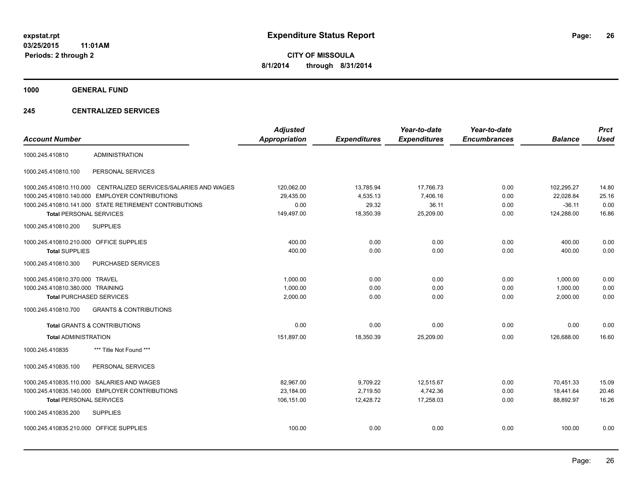**1000 GENERAL FUND**

#### **245 CENTRALIZED SERVICES**

| <b>Account Number</b>                   |                                                        | <b>Adjusted</b><br><b>Appropriation</b> | <b>Expenditures</b> | Year-to-date<br><b>Expenditures</b> | Year-to-date<br><b>Encumbrances</b> | <b>Balance</b> | <b>Prct</b><br><b>Used</b> |
|-----------------------------------------|--------------------------------------------------------|-----------------------------------------|---------------------|-------------------------------------|-------------------------------------|----------------|----------------------------|
| 1000.245.410810                         | <b>ADMINISTRATION</b>                                  |                                         |                     |                                     |                                     |                |                            |
| 1000.245.410810.100                     | PERSONAL SERVICES                                      |                                         |                     |                                     |                                     |                |                            |
| 1000.245.410810.110.000                 | CENTRALIZED SERVICES/SALARIES AND WAGES                | 120,062.00                              | 13,785.94           | 17,766.73                           | 0.00                                | 102,295.27     | 14.80                      |
|                                         | 1000.245.410810.140.000 EMPLOYER CONTRIBUTIONS         | 29,435.00                               | 4,535.13            | 7,406.16                            | 0.00                                | 22,028.84      | 25.16                      |
|                                         | 1000.245.410810.141.000 STATE RETIREMENT CONTRIBUTIONS | 0.00                                    | 29.32               | 36.11                               | 0.00                                | $-36.11$       | 0.00                       |
| <b>Total PERSONAL SERVICES</b>          |                                                        | 149,497.00                              | 18,350.39           | 25,209.00                           | 0.00                                | 124,288.00     | 16.86                      |
| 1000.245.410810.200                     | <b>SUPPLIES</b>                                        |                                         |                     |                                     |                                     |                |                            |
| 1000.245.410810.210.000 OFFICE SUPPLIES |                                                        | 400.00                                  | 0.00                | 0.00                                | 0.00                                | 400.00         | 0.00                       |
| <b>Total SUPPLIES</b>                   |                                                        | 400.00                                  | 0.00                | 0.00                                | 0.00                                | 400.00         | 0.00                       |
| 1000.245.410810.300                     | PURCHASED SERVICES                                     |                                         |                     |                                     |                                     |                |                            |
| 1000.245.410810.370.000 TRAVEL          |                                                        | 1,000.00                                | 0.00                | 0.00                                | 0.00                                | 1,000.00       | 0.00                       |
| 1000.245.410810.380.000 TRAINING        |                                                        | 1,000.00                                | 0.00                | 0.00                                | 0.00                                | 1,000.00       | 0.00                       |
| <b>Total PURCHASED SERVICES</b>         |                                                        | 2,000.00                                | 0.00                | 0.00                                | 0.00                                | 2,000.00       | 0.00                       |
| 1000.245.410810.700                     | <b>GRANTS &amp; CONTRIBUTIONS</b>                      |                                         |                     |                                     |                                     |                |                            |
|                                         | <b>Total GRANTS &amp; CONTRIBUTIONS</b>                | 0.00                                    | 0.00                | 0.00                                | 0.00                                | 0.00           | 0.00                       |
| <b>Total ADMINISTRATION</b>             |                                                        | 151,897.00                              | 18,350.39           | 25,209.00                           | 0.00                                | 126.688.00     | 16.60                      |
| 1000.245.410835                         | *** Title Not Found ***                                |                                         |                     |                                     |                                     |                |                            |
| 1000.245.410835.100                     | PERSONAL SERVICES                                      |                                         |                     |                                     |                                     |                |                            |
|                                         | 1000.245.410835.110.000 SALARIES AND WAGES             | 82,967.00                               | 9,709.22            | 12,515.67                           | 0.00                                | 70,451.33      | 15.09                      |
|                                         | 1000.245.410835.140.000 EMPLOYER CONTRIBUTIONS         | 23,184.00                               | 2,719.50            | 4,742.36                            | 0.00                                | 18,441.64      | 20.46                      |
| <b>Total PERSONAL SERVICES</b>          |                                                        | 106,151.00                              | 12,428.72           | 17,258.03                           | 0.00                                | 88,892.97      | 16.26                      |
| 1000.245.410835.200                     | <b>SUPPLIES</b>                                        |                                         |                     |                                     |                                     |                |                            |
| 1000.245.410835.210.000 OFFICE SUPPLIES |                                                        | 100.00                                  | 0.00                | 0.00                                | 0.00                                | 100.00         | 0.00                       |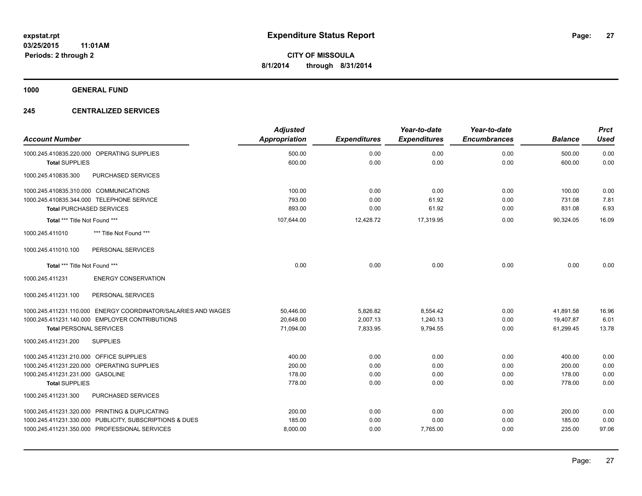**1000 GENERAL FUND**

#### **245 CENTRALIZED SERVICES**

|                                                               | <b>Adjusted</b> |                     | Year-to-date        | Year-to-date        |                | <b>Prct</b> |
|---------------------------------------------------------------|-----------------|---------------------|---------------------|---------------------|----------------|-------------|
| <b>Account Number</b>                                         | Appropriation   | <b>Expenditures</b> | <b>Expenditures</b> | <b>Encumbrances</b> | <b>Balance</b> | <b>Used</b> |
| 1000.245.410835.220.000 OPERATING SUPPLIES                    | 500.00          | 0.00                | 0.00                | 0.00                | 500.00         | 0.00        |
| <b>Total SUPPLIES</b>                                         | 600.00          | 0.00                | 0.00                | 0.00                | 600.00         | 0.00        |
| 1000.245.410835.300<br>PURCHASED SERVICES                     |                 |                     |                     |                     |                |             |
| 1000.245.410835.310.000 COMMUNICATIONS                        | 100.00          | 0.00                | 0.00                | 0.00                | 100.00         | 0.00        |
| 1000.245.410835.344.000 TELEPHONE SERVICE                     | 793.00          | 0.00                | 61.92               | 0.00                | 731.08         | 7.81        |
| <b>Total PURCHASED SERVICES</b>                               | 893.00          | 0.00                | 61.92               | 0.00                | 831.08         | 6.93        |
| Total *** Title Not Found ***                                 | 107,644.00      | 12,428.72           | 17,319.95           | 0.00                | 90,324.05      | 16.09       |
| *** Title Not Found ***<br>1000.245.411010                    |                 |                     |                     |                     |                |             |
| PERSONAL SERVICES<br>1000.245.411010.100                      |                 |                     |                     |                     |                |             |
| Total *** Title Not Found ***                                 | 0.00            | 0.00                | 0.00                | 0.00                | 0.00           | 0.00        |
| <b>ENERGY CONSERVATION</b><br>1000.245.411231                 |                 |                     |                     |                     |                |             |
| 1000.245.411231.100<br>PERSONAL SERVICES                      |                 |                     |                     |                     |                |             |
| 1000.245.411231.110.000 ENERGY COORDINATOR/SALARIES AND WAGES | 50,446.00       | 5,826.82            | 8,554.42            | 0.00                | 41,891.58      | 16.96       |
| 1000.245.411231.140.000 EMPLOYER CONTRIBUTIONS                | 20,648.00       | 2,007.13            | 1,240.13            | 0.00                | 19,407.87      | 6.01        |
| <b>Total PERSONAL SERVICES</b>                                | 71,094.00       | 7,833.95            | 9,794.55            | 0.00                | 61,299.45      | 13.78       |
| 1000.245.411231.200<br><b>SUPPLIES</b>                        |                 |                     |                     |                     |                |             |
| 1000.245.411231.210.000 OFFICE SUPPLIES                       | 400.00          | 0.00                | 0.00                | 0.00                | 400.00         | 0.00        |
| 1000.245.411231.220.000 OPERATING SUPPLIES                    | 200.00          | 0.00                | 0.00                | 0.00                | 200.00         | 0.00        |
| 1000.245.411231.231.000 GASOLINE                              | 178.00          | 0.00                | 0.00                | 0.00                | 178.00         | 0.00        |
| <b>Total SUPPLIES</b>                                         | 778.00          | 0.00                | 0.00                | 0.00                | 778.00         | 0.00        |
| PURCHASED SERVICES<br>1000.245.411231.300                     |                 |                     |                     |                     |                |             |
| 1000.245.411231.320.000 PRINTING & DUPLICATING                | 200.00          | 0.00                | 0.00                | 0.00                | 200.00         | 0.00        |
| 1000.245.411231.330.000 PUBLICITY, SUBSCRIPTIONS & DUES       | 185.00          | 0.00                | 0.00                | 0.00                | 185.00         | 0.00        |
| 1000.245.411231.350.000 PROFESSIONAL SERVICES                 | 8,000.00        | 0.00                | 7,765.00            | 0.00                | 235.00         | 97.06       |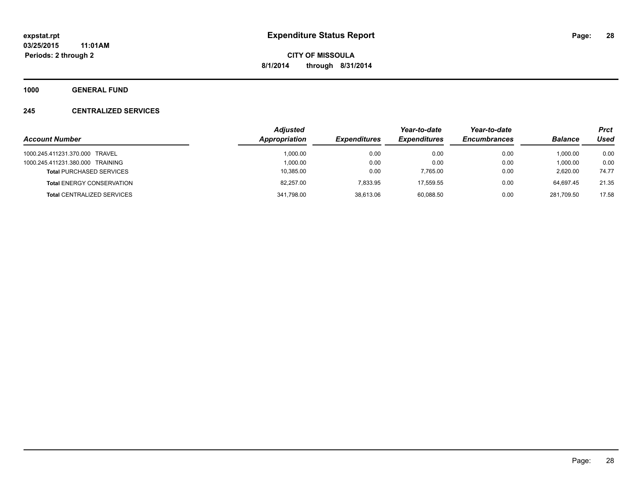**1000 GENERAL FUND**

#### **245 CENTRALIZED SERVICES**

|                                   | <b>Adjusted</b> |                     |                     | Year-to-date        |                | <b>Prct</b> |
|-----------------------------------|-----------------|---------------------|---------------------|---------------------|----------------|-------------|
| <b>Account Number</b>             | Appropriation   | <b>Expenditures</b> | <b>Expenditures</b> | <b>Encumbrances</b> | <b>Balance</b> | Used        |
| 1000.245.411231.370.000 TRAVEL    | 1.000.00        | 0.00                | 0.00                | 0.00                | 1.000.00       | 0.00        |
| 1000.245.411231.380.000 TRAINING  | 1.000.00        | 0.00                | 0.00                | 0.00                | 1,000.00       | 0.00        |
| <b>Total PURCHASED SERVICES</b>   | 10,385.00       | 0.00                | 7,765.00            | 0.00                | 2.620.00       | 74.77       |
| <b>Total ENERGY CONSERVATION</b>  | 82.257.00       | 7.833.95            | 17.559.55           | 0.00                | 64.697.45      | 21.35       |
| <b>Total CENTRALIZED SERVICES</b> | 341,798.00      | 38,613.06           | 60.088.50           | 0.00                | 281.709.50     | 17.58       |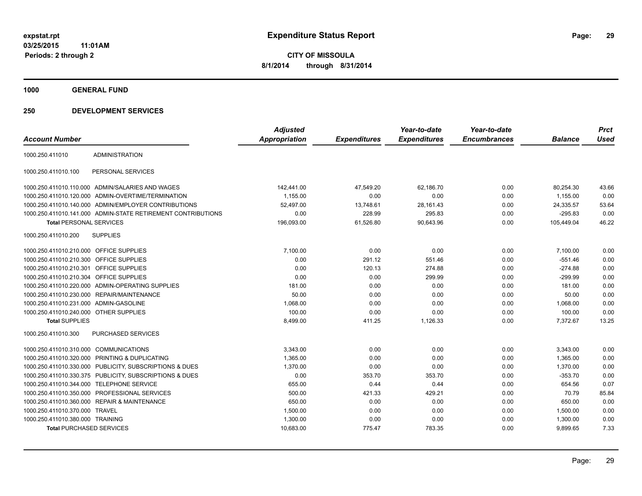**1000 GENERAL FUND**

| <b>Account Number</b>                   |                                                              | <b>Adjusted</b><br><b>Appropriation</b> | <b>Expenditures</b> | Year-to-date<br><b>Expenditures</b> | Year-to-date<br><b>Encumbrances</b> | <b>Balance</b> | <b>Prct</b><br>Used |
|-----------------------------------------|--------------------------------------------------------------|-----------------------------------------|---------------------|-------------------------------------|-------------------------------------|----------------|---------------------|
|                                         |                                                              |                                         |                     |                                     |                                     |                |                     |
| 1000.250.411010                         | <b>ADMINISTRATION</b>                                        |                                         |                     |                                     |                                     |                |                     |
| 1000.250.411010.100                     | PERSONAL SERVICES                                            |                                         |                     |                                     |                                     |                |                     |
|                                         | 1000.250.411010.110.000 ADMIN/SALARIES AND WAGES             | 142,441.00                              | 47,549.20           | 62,186.70                           | 0.00                                | 80,254.30      | 43.66               |
|                                         | 1000.250.411010.120.000 ADMIN-OVERTIME/TERMINATION           | 1,155.00                                | 0.00                | 0.00                                | 0.00                                | 1,155.00       | 0.00                |
|                                         | 1000.250.411010.140.000 ADMIN/EMPLOYER CONTRIBUTIONS         | 52,497.00                               | 13,748.61           | 28,161.43                           | 0.00                                | 24,335.57      | 53.64               |
|                                         | 1000.250.411010.141.000 ADMIN-STATE RETIREMENT CONTRIBUTIONS | 0.00                                    | 228.99              | 295.83                              | 0.00                                | $-295.83$      | 0.00                |
| <b>Total PERSONAL SERVICES</b>          |                                                              | 196,093.00                              | 61,526.80           | 90,643.96                           | 0.00                                | 105,449.04     | 46.22               |
| 1000.250.411010.200                     | <b>SUPPLIES</b>                                              |                                         |                     |                                     |                                     |                |                     |
| 1000.250.411010.210.000 OFFICE SUPPLIES |                                                              | 7,100.00                                | 0.00                | 0.00                                | 0.00                                | 7,100.00       | 0.00                |
| 1000.250.411010.210.300 OFFICE SUPPLIES |                                                              | 0.00                                    | 291.12              | 551.46                              | 0.00                                | $-551.46$      | 0.00                |
| 1000.250.411010.210.301 OFFICE SUPPLIES |                                                              | 0.00                                    | 120.13              | 274.88                              | 0.00                                | $-274.88$      | 0.00                |
| 1000.250.411010.210.304 OFFICE SUPPLIES |                                                              | 0.00                                    | 0.00                | 299.99                              | 0.00                                | $-299.99$      | 0.00                |
|                                         | 1000.250.411010.220.000 ADMIN-OPERATING SUPPLIES             | 181.00                                  | 0.00                | 0.00                                | 0.00                                | 181.00         | 0.00                |
|                                         | 1000.250.411010.230.000 REPAIR/MAINTENANCE                   | 50.00                                   | 0.00                | 0.00                                | 0.00                                | 50.00          | 0.00                |
| 1000.250.411010.231.000 ADMIN-GASOLINE  |                                                              | 1,068.00                                | 0.00                | 0.00                                | 0.00                                | 1,068.00       | 0.00                |
| 1000.250.411010.240.000 OTHER SUPPLIES  |                                                              | 100.00                                  | 0.00                | 0.00                                | 0.00                                | 100.00         | 0.00                |
| <b>Total SUPPLIES</b>                   |                                                              | 8,499.00                                | 411.25              | 1,126.33                            | 0.00                                | 7.372.67       | 13.25               |
| 1000.250.411010.300                     | <b>PURCHASED SERVICES</b>                                    |                                         |                     |                                     |                                     |                |                     |
| 1000.250.411010.310.000 COMMUNICATIONS  |                                                              | 3,343.00                                | 0.00                | 0.00                                | 0.00                                | 3,343.00       | 0.00                |
| 1000.250.411010.320.000                 | PRINTING & DUPLICATING                                       | 1,365.00                                | 0.00                | 0.00                                | 0.00                                | 1,365.00       | 0.00                |
|                                         | 1000.250.411010.330.000 PUBLICITY, SUBSCRIPTIONS & DUES      | 1.370.00                                | 0.00                | 0.00                                | 0.00                                | 1,370.00       | 0.00                |
|                                         | 1000.250.411010.330.375 PUBLICITY, SUBSCRIPTIONS & DUES      | 0.00                                    | 353.70              | 353.70                              | 0.00                                | $-353.70$      | 0.00                |
|                                         | 1000.250.411010.344.000 TELEPHONE SERVICE                    | 655.00                                  | 0.44                | 0.44                                | 0.00                                | 654.56         | 0.07                |
| 1000.250.411010.350.000                 | PROFESSIONAL SERVICES                                        | 500.00                                  | 421.33              | 429.21                              | 0.00                                | 70.79          | 85.84               |
|                                         | 1000.250.411010.360.000 REPAIR & MAINTENANCE                 | 650.00                                  | 0.00                | 0.00                                | 0.00                                | 650.00         | 0.00                |
| 1000.250.411010.370.000 TRAVEL          |                                                              | 1,500.00                                | 0.00                | 0.00                                | 0.00                                | 1,500.00       | 0.00                |
| 1000.250.411010.380.000 TRAINING        |                                                              | 1,300.00                                | 0.00                | 0.00                                | 0.00                                | 1,300.00       | 0.00                |
| <b>Total PURCHASED SERVICES</b>         |                                                              | 10,683.00                               | 775.47              | 783.35                              | 0.00                                | 9,899.65       | 7.33                |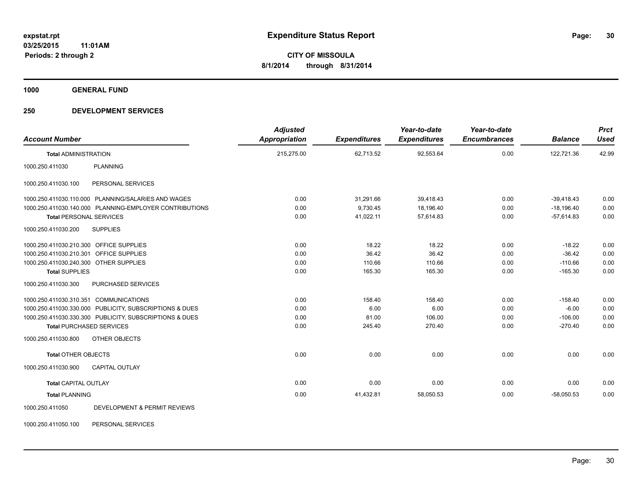**1000 GENERAL FUND**

#### **250 DEVELOPMENT SERVICES**

| <b>Account Number</b>                   |                                                         | <b>Adjusted</b><br><b>Appropriation</b> | <b>Expenditures</b> | Year-to-date<br><b>Expenditures</b> | Year-to-date<br><b>Encumbrances</b> | <b>Balance</b> | <b>Prct</b><br><b>Used</b> |
|-----------------------------------------|---------------------------------------------------------|-----------------------------------------|---------------------|-------------------------------------|-------------------------------------|----------------|----------------------------|
| <b>Total ADMINISTRATION</b>             |                                                         | 215,275.00                              | 62,713.52           | 92,553.64                           | 0.00                                | 122,721.36     | 42.99                      |
| 1000.250.411030                         | <b>PLANNING</b>                                         |                                         |                     |                                     |                                     |                |                            |
| 1000.250.411030.100                     | PERSONAL SERVICES                                       |                                         |                     |                                     |                                     |                |                            |
|                                         | 1000.250.411030.110.000 PLANNING/SALARIES AND WAGES     | 0.00                                    | 31,291.66           | 39,418.43                           | 0.00                                | $-39,418.43$   | 0.00                       |
|                                         | 1000.250.411030.140.000 PLANNING-EMPLOYER CONTRIBUTIONS | 0.00                                    | 9,730.45            | 18,196.40                           | 0.00                                | $-18,196.40$   | 0.00                       |
| <b>Total PERSONAL SERVICES</b>          |                                                         | 0.00                                    | 41,022.11           | 57,614.83                           | 0.00                                | $-57,614.83$   | 0.00                       |
| 1000.250.411030.200                     | <b>SUPPLIES</b>                                         |                                         |                     |                                     |                                     |                |                            |
| 1000.250.411030.210.300 OFFICE SUPPLIES |                                                         | 0.00                                    | 18.22               | 18.22                               | 0.00                                | $-18.22$       | 0.00                       |
| 1000.250.411030.210.301 OFFICE SUPPLIES |                                                         | 0.00                                    | 36.42               | 36.42                               | 0.00                                | $-36.42$       | 0.00                       |
| 1000.250.411030.240.300 OTHER SUPPLIES  |                                                         | 0.00                                    | 110.66              | 110.66                              | 0.00                                | $-110.66$      | 0.00                       |
| <b>Total SUPPLIES</b>                   |                                                         | 0.00                                    | 165.30              | 165.30                              | 0.00                                | $-165.30$      | 0.00                       |
| 1000.250.411030.300                     | <b>PURCHASED SERVICES</b>                               |                                         |                     |                                     |                                     |                |                            |
| 1000.250.411030.310.351 COMMUNICATIONS  |                                                         | 0.00                                    | 158.40              | 158.40                              | 0.00                                | $-158.40$      | 0.00                       |
|                                         | 1000.250.411030.330.000 PUBLICITY, SUBSCRIPTIONS & DUES | 0.00                                    | 6.00                | 6.00                                | 0.00                                | $-6.00$        | 0.00                       |
|                                         | 1000.250.411030.330.300 PUBLICITY, SUBSCRIPTIONS & DUES | 0.00                                    | 81.00               | 106.00                              | 0.00                                | $-106.00$      | 0.00                       |
| <b>Total PURCHASED SERVICES</b>         |                                                         | 0.00                                    | 245.40              | 270.40                              | 0.00                                | $-270.40$      | 0.00                       |
| 1000.250.411030.800                     | OTHER OBJECTS                                           |                                         |                     |                                     |                                     |                |                            |
| <b>Total OTHER OBJECTS</b>              |                                                         | 0.00                                    | 0.00                | 0.00                                | 0.00                                | 0.00           | 0.00                       |
| 1000.250.411030.900                     | <b>CAPITAL OUTLAY</b>                                   |                                         |                     |                                     |                                     |                |                            |
| <b>Total CAPITAL OUTLAY</b>             |                                                         | 0.00                                    | 0.00                | 0.00                                | 0.00                                | 0.00           | 0.00                       |
| <b>Total PLANNING</b>                   |                                                         | 0.00                                    | 41,432.81           | 58,050.53                           | 0.00                                | $-58,050.53$   | 0.00                       |
| 1000.250.411050                         | DEVELOPMENT & PERMIT REVIEWS                            |                                         |                     |                                     |                                     |                |                            |

1000.250.411050.100 PERSONAL SERVICES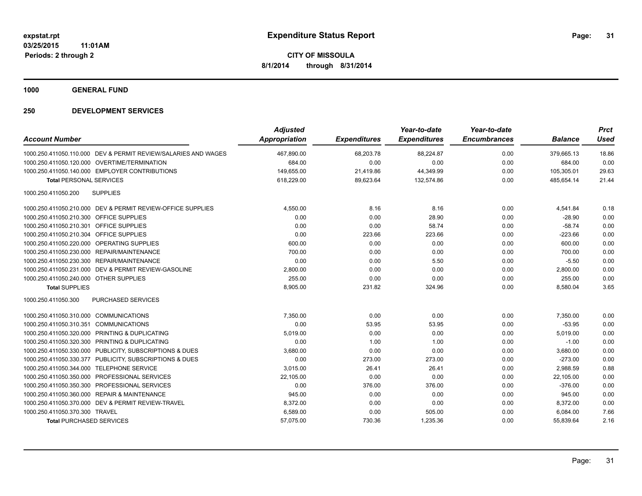**1000 GENERAL FUND**

| <b>Account Number</b>                                          | <b>Adjusted</b><br>Appropriation | <b>Expenditures</b> | Year-to-date<br><b>Expenditures</b> | Year-to-date<br><b>Encumbrances</b> | <b>Balance</b> | <b>Prct</b><br>Used |
|----------------------------------------------------------------|----------------------------------|---------------------|-------------------------------------|-------------------------------------|----------------|---------------------|
|                                                                |                                  |                     |                                     |                                     |                |                     |
| 1000.250.411050.110.000 DEV & PERMIT REVIEW/SALARIES AND WAGES | 467,890.00                       | 68,203.78           | 88,224.87                           | 0.00                                | 379,665.13     | 18.86               |
| 1000.250.411050.120.000 OVERTIME/TERMINATION                   | 684.00                           | 0.00                | 0.00                                | 0.00                                | 684.00         | 0.00                |
| 1000.250.411050.140.000 EMPLOYER CONTRIBUTIONS                 | 149.655.00                       | 21,419.86           | 44,349.99                           | 0.00                                | 105,305.01     | 29.63               |
| <b>Total PERSONAL SERVICES</b>                                 | 618,229.00                       | 89,623.64           | 132,574.86                          | 0.00                                | 485.654.14     | 21.44               |
| 1000.250.411050.200<br><b>SUPPLIES</b>                         |                                  |                     |                                     |                                     |                |                     |
| 1000.250.411050.210.000 DEV & PERMIT REVIEW-OFFICE SUPPLIES    | 4,550.00                         | 8.16                | 8.16                                | 0.00                                | 4,541.84       | 0.18                |
| 1000.250.411050.210.300 OFFICE SUPPLIES                        | 0.00                             | 0.00                | 28.90                               | 0.00                                | $-28.90$       | 0.00                |
| 1000.250.411050.210.301 OFFICE SUPPLIES                        | 0.00                             | 0.00                | 58.74                               | 0.00                                | $-58.74$       | 0.00                |
| 1000.250.411050.210.304 OFFICE SUPPLIES                        | 0.00                             | 223.66              | 223.66                              | 0.00                                | $-223.66$      | 0.00                |
| 1000.250.411050.220.000 OPERATING SUPPLIES                     | 600.00                           | 0.00                | 0.00                                | 0.00                                | 600.00         | 0.00                |
| 1000.250.411050.230.000 REPAIR/MAINTENANCE                     | 700.00                           | 0.00                | 0.00                                | 0.00                                | 700.00         | 0.00                |
| 1000.250.411050.230.300 REPAIR/MAINTENANCE                     | 0.00                             | 0.00                | 5.50                                | 0.00                                | $-5.50$        | 0.00                |
| 1000.250.411050.231.000 DEV & PERMIT REVIEW-GASOLINE           | 2,800.00                         | 0.00                | 0.00                                | 0.00                                | 2,800.00       | 0.00                |
| 1000.250.411050.240.000 OTHER SUPPLIES                         | 255.00                           | 0.00                | 0.00                                | 0.00                                | 255.00         | 0.00                |
| <b>Total SUPPLIES</b>                                          | 8,905.00                         | 231.82              | 324.96                              | 0.00                                | 8,580.04       | 3.65                |
| 1000.250.411050.300<br><b>PURCHASED SERVICES</b>               |                                  |                     |                                     |                                     |                |                     |
| 1000.250.411050.310.000 COMMUNICATIONS                         | 7,350.00                         | 0.00                | 0.00                                | 0.00                                | 7,350.00       | 0.00                |
| 1000.250.411050.310.351 COMMUNICATIONS                         | 0.00                             | 53.95               | 53.95                               | 0.00                                | $-53.95$       | 0.00                |
| 1000.250.411050.320.000 PRINTING & DUPLICATING                 | 5,019.00                         | 0.00                | 0.00                                | 0.00                                | 5,019.00       | 0.00                |
| PRINTING & DUPLICATING<br>1000.250.411050.320.300              | 0.00                             | 1.00                | 1.00                                | 0.00                                | $-1.00$        | 0.00                |
| 1000.250.411050.330.000 PUBLICITY, SUBSCRIPTIONS & DUES        | 3,680.00                         | 0.00                | 0.00                                | 0.00                                | 3,680.00       | 0.00                |
| 1000.250.411050.330.377 PUBLICITY, SUBSCRIPTIONS & DUES        | 0.00                             | 273.00              | 273.00                              | 0.00                                | $-273.00$      | 0.00                |
| 1000.250.411050.344.000<br><b>TELEPHONE SERVICE</b>            | 3,015.00                         | 26.41               | 26.41                               | 0.00                                | 2,988.59       | 0.88                |
| 1000.250.411050.350.000 PROFESSIONAL SERVICES                  | 22,105.00                        | 0.00                | 0.00                                | 0.00                                | 22,105.00      | 0.00                |
| 1000.250.411050.350.300 PROFESSIONAL SERVICES                  | 0.00                             | 376.00              | 376.00                              | 0.00                                | $-376.00$      | 0.00                |
| 1000.250.411050.360.000 REPAIR & MAINTENANCE                   | 945.00                           | 0.00                | 0.00                                | 0.00                                | 945.00         | 0.00                |
| 1000.250.411050.370.000 DEV & PERMIT REVIEW-TRAVEL             | 8,372.00                         | 0.00                | 0.00                                | 0.00                                | 8,372.00       | 0.00                |
| 1000.250.411050.370.300 TRAVEL                                 | 6,589.00                         | 0.00                | 505.00                              | 0.00                                | 6,084.00       | 7.66                |
| <b>Total PURCHASED SERVICES</b>                                | 57,075.00                        | 730.36              | 1,235.36                            | 0.00                                | 55,839.64      | 2.16                |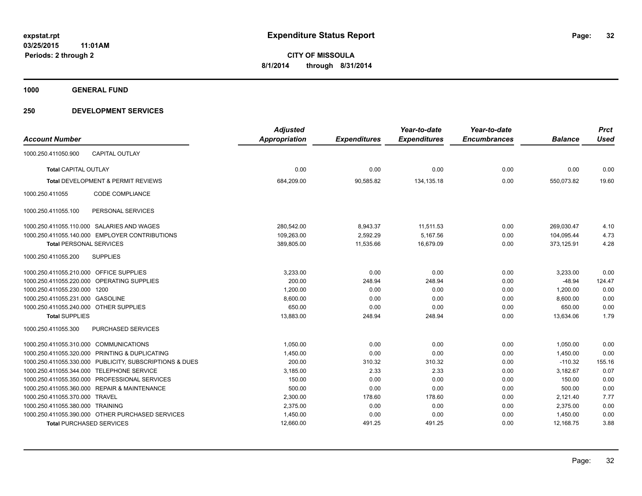**1000 GENERAL FUND**

|                                         |                                                         | <b>Adjusted</b> |                     | Year-to-date        | Year-to-date        |                | <b>Prct</b> |
|-----------------------------------------|---------------------------------------------------------|-----------------|---------------------|---------------------|---------------------|----------------|-------------|
| <b>Account Number</b>                   |                                                         | Appropriation   | <b>Expenditures</b> | <b>Expenditures</b> | <b>Encumbrances</b> | <b>Balance</b> | <b>Used</b> |
| 1000.250.411050.900                     | <b>CAPITAL OUTLAY</b>                                   |                 |                     |                     |                     |                |             |
| <b>Total CAPITAL OUTLAY</b>             |                                                         | 0.00            | 0.00                | 0.00                | 0.00                | 0.00           | 0.00        |
|                                         | Total DEVELOPMENT & PERMIT REVIEWS                      | 684,209.00      | 90,585.82           | 134, 135. 18        | 0.00                | 550,073.82     | 19.60       |
| 1000.250.411055                         | <b>CODE COMPLIANCE</b>                                  |                 |                     |                     |                     |                |             |
| 1000.250.411055.100                     | PERSONAL SERVICES                                       |                 |                     |                     |                     |                |             |
|                                         | 1000.250.411055.110.000 SALARIES AND WAGES              | 280,542.00      | 8,943.37            | 11,511.53           | 0.00                | 269,030.47     | 4.10        |
|                                         | 1000.250.411055.140.000 EMPLOYER CONTRIBUTIONS          | 109,263.00      | 2,592.29            | 5,167.56            | 0.00                | 104,095.44     | 4.73        |
| <b>Total PERSONAL SERVICES</b>          |                                                         | 389,805.00      | 11,535.66           | 16,679.09           | 0.00                | 373,125.91     | 4.28        |
| 1000.250.411055.200                     | <b>SUPPLIES</b>                                         |                 |                     |                     |                     |                |             |
| 1000.250.411055.210.000 OFFICE SUPPLIES |                                                         | 3,233.00        | 0.00                | 0.00                | 0.00                | 3,233.00       | 0.00        |
|                                         | 1000.250.411055.220.000 OPERATING SUPPLIES              | 200.00          | 248.94              | 248.94              | 0.00                | $-48.94$       | 124.47      |
| 1000.250.411055.230.000                 | 1200                                                    | 1,200.00        | 0.00                | 0.00                | 0.00                | 1,200.00       | 0.00        |
| 1000.250.411055.231.000 GASOLINE        |                                                         | 8,600.00        | 0.00                | 0.00                | 0.00                | 8,600.00       | 0.00        |
| 1000.250.411055.240.000 OTHER SUPPLIES  |                                                         | 650.00          | 0.00                | 0.00                | 0.00                | 650.00         | 0.00        |
| <b>Total SUPPLIES</b>                   |                                                         | 13,883.00       | 248.94              | 248.94              | 0.00                | 13,634.06      | 1.79        |
| 1000.250.411055.300                     | <b>PURCHASED SERVICES</b>                               |                 |                     |                     |                     |                |             |
| 1000.250.411055.310.000 COMMUNICATIONS  |                                                         | 1,050.00        | 0.00                | 0.00                | 0.00                | 1,050.00       | 0.00        |
|                                         | 1000.250.411055.320.000 PRINTING & DUPLICATING          | 1,450.00        | 0.00                | 0.00                | 0.00                | 1,450.00       | 0.00        |
|                                         | 1000.250.411055.330.000 PUBLICITY, SUBSCRIPTIONS & DUES | 200.00          | 310.32              | 310.32              | 0.00                | $-110.32$      | 155.16      |
| 1000.250.411055.344.000                 | <b>TELEPHONE SERVICE</b>                                | 3,185.00        | 2.33                | 2.33                | 0.00                | 3,182.67       | 0.07        |
|                                         | 1000.250.411055.350.000 PROFESSIONAL SERVICES           | 150.00          | 0.00                | 0.00                | 0.00                | 150.00         | 0.00        |
|                                         | 1000.250.411055.360.000 REPAIR & MAINTENANCE            | 500.00          | 0.00                | 0.00                | 0.00                | 500.00         | 0.00        |
| 1000.250.411055.370.000 TRAVEL          |                                                         | 2,300.00        | 178.60              | 178.60              | 0.00                | 2,121.40       | 7.77        |
| 1000.250.411055.380.000 TRAINING        |                                                         | 2,375.00        | 0.00                | 0.00                | 0.00                | 2,375.00       | 0.00        |
|                                         | 1000.250.411055.390.000 OTHER PURCHASED SERVICES        | 1,450.00        | 0.00                | 0.00                | 0.00                | 1,450.00       | 0.00        |
| <b>Total PURCHASED SERVICES</b>         |                                                         | 12,660.00       | 491.25              | 491.25              | 0.00                | 12.168.75      | 3.88        |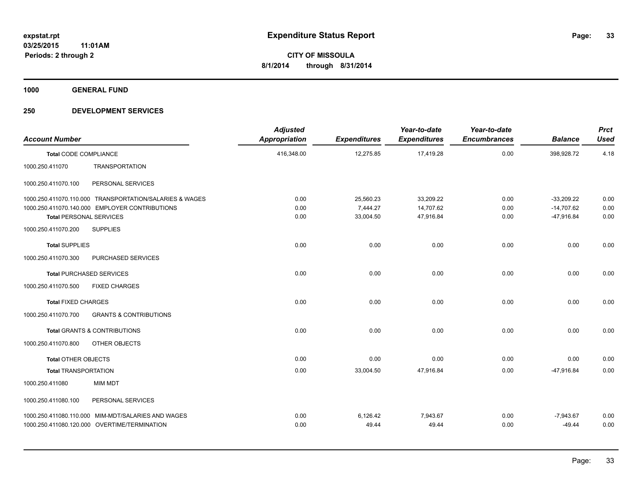**1000 GENERAL FUND**

| <b>Account Number</b>          |                                                         | <b>Adjusted</b><br><b>Appropriation</b> | <b>Expenditures</b> | Year-to-date<br><b>Expenditures</b> | Year-to-date<br><b>Encumbrances</b> | <b>Balance</b> | <b>Prct</b><br><b>Used</b> |
|--------------------------------|---------------------------------------------------------|-----------------------------------------|---------------------|-------------------------------------|-------------------------------------|----------------|----------------------------|
| <b>Total CODE COMPLIANCE</b>   |                                                         | 416,348.00                              | 12,275.85           | 17,419.28                           | 0.00                                | 398,928.72     | 4.18                       |
| 1000.250.411070                | <b>TRANSPORTATION</b>                                   |                                         |                     |                                     |                                     |                |                            |
| 1000.250.411070.100            | PERSONAL SERVICES                                       |                                         |                     |                                     |                                     |                |                            |
|                                | 1000.250.411070.110.000 TRANSPORTATION/SALARIES & WAGES | 0.00                                    | 25,560.23           | 33,209.22                           | 0.00                                | $-33,209.22$   | 0.00                       |
|                                | 1000.250.411070.140.000 EMPLOYER CONTRIBUTIONS          | 0.00                                    | 7,444.27            | 14,707.62                           | 0.00                                | $-14,707.62$   | 0.00                       |
| <b>Total PERSONAL SERVICES</b> |                                                         | 0.00                                    | 33,004.50           | 47,916.84                           | 0.00                                | -47,916.84     | 0.00                       |
| 1000.250.411070.200            | <b>SUPPLIES</b>                                         |                                         |                     |                                     |                                     |                |                            |
| <b>Total SUPPLIES</b>          |                                                         | 0.00                                    | 0.00                | 0.00                                | 0.00                                | 0.00           | 0.00                       |
| 1000.250.411070.300            | PURCHASED SERVICES                                      |                                         |                     |                                     |                                     |                |                            |
|                                | <b>Total PURCHASED SERVICES</b>                         | 0.00                                    | 0.00                | 0.00                                | 0.00                                | 0.00           | 0.00                       |
| 1000.250.411070.500            | <b>FIXED CHARGES</b>                                    |                                         |                     |                                     |                                     |                |                            |
| <b>Total FIXED CHARGES</b>     |                                                         | 0.00                                    | 0.00                | 0.00                                | 0.00                                | 0.00           | 0.00                       |
| 1000.250.411070.700            | <b>GRANTS &amp; CONTRIBUTIONS</b>                       |                                         |                     |                                     |                                     |                |                            |
|                                | <b>Total GRANTS &amp; CONTRIBUTIONS</b>                 | 0.00                                    | 0.00                | 0.00                                | 0.00                                | 0.00           | 0.00                       |
| 1000.250.411070.800            | OTHER OBJECTS                                           |                                         |                     |                                     |                                     |                |                            |
| <b>Total OTHER OBJECTS</b>     |                                                         | 0.00                                    | 0.00                | 0.00                                | 0.00                                | 0.00           | 0.00                       |
| <b>Total TRANSPORTATION</b>    |                                                         | 0.00                                    | 33,004.50           | 47,916.84                           | 0.00                                | -47,916.84     | 0.00                       |
| 1000.250.411080                | <b>MIM MDT</b>                                          |                                         |                     |                                     |                                     |                |                            |
| 1000.250.411080.100            | PERSONAL SERVICES                                       |                                         |                     |                                     |                                     |                |                            |
|                                | 1000.250.411080.110.000 MIM-MDT/SALARIES AND WAGES      | 0.00                                    | 6,126.42            | 7.943.67                            | 0.00                                | $-7,943.67$    | 0.00                       |
|                                | 1000.250.411080.120.000 OVERTIME/TERMINATION            | 0.00                                    | 49.44               | 49.44                               | 0.00                                | $-49.44$       | 0.00                       |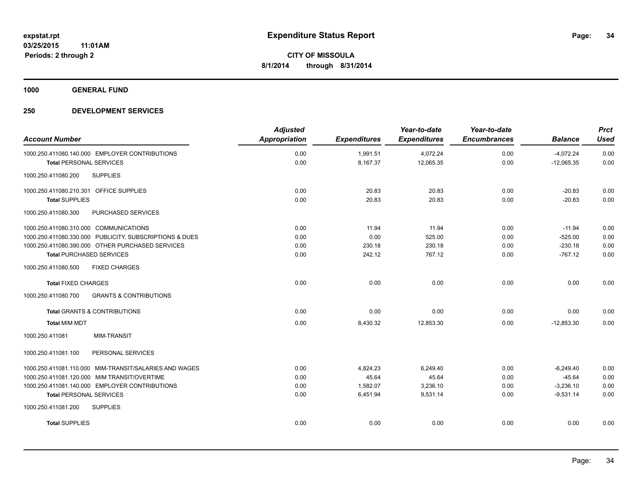**1000 GENERAL FUND**

| <b>Account Number</b>                                    | <b>Adjusted</b><br><b>Appropriation</b> | <b>Expenditures</b> | Year-to-date<br><b>Expenditures</b> | Year-to-date<br><b>Encumbrances</b> | <b>Balance</b> | <b>Prct</b><br><b>Used</b> |
|----------------------------------------------------------|-----------------------------------------|---------------------|-------------------------------------|-------------------------------------|----------------|----------------------------|
| 1000.250.411080.140.000 EMPLOYER CONTRIBUTIONS           | 0.00                                    | 1,991.51            | 4,072.24                            | 0.00                                | $-4,072.24$    | 0.00                       |
| <b>Total PERSONAL SERVICES</b>                           | 0.00                                    | 8,167.37            | 12,065.35                           | 0.00                                | $-12,065.35$   | 0.00                       |
| <b>SUPPLIES</b><br>1000.250.411080.200                   |                                         |                     |                                     |                                     |                |                            |
| 1000.250.411080.210.301 OFFICE SUPPLIES                  | 0.00                                    | 20.83               | 20.83                               | 0.00                                | $-20.83$       | 0.00                       |
| <b>Total SUPPLIES</b>                                    | 0.00                                    | 20.83               | 20.83                               | 0.00                                | $-20.83$       | 0.00                       |
| 1000.250.411080.300<br>PURCHASED SERVICES                |                                         |                     |                                     |                                     |                |                            |
| 1000.250.411080.310.000 COMMUNICATIONS                   | 0.00                                    | 11.94               | 11.94                               | 0.00                                | $-11.94$       | 0.00                       |
| 1000.250.411080.330.000 PUBLICITY, SUBSCRIPTIONS & DUES  | 0.00                                    | 0.00                | 525.00                              | 0.00                                | $-525.00$      | 0.00                       |
| 1000.250.411080.390.000 OTHER PURCHASED SERVICES         | 0.00                                    | 230.18              | 230.18                              | 0.00                                | $-230.18$      | 0.00                       |
| <b>Total PURCHASED SERVICES</b>                          | 0.00                                    | 242.12              | 767.12                              | 0.00                                | $-767.12$      | 0.00                       |
| <b>FIXED CHARGES</b><br>1000.250.411080.500              |                                         |                     |                                     |                                     |                |                            |
| <b>Total FIXED CHARGES</b>                               | 0.00                                    | 0.00                | 0.00                                | 0.00                                | 0.00           | 0.00                       |
| 1000.250.411080.700<br><b>GRANTS &amp; CONTRIBUTIONS</b> |                                         |                     |                                     |                                     |                |                            |
| <b>Total GRANTS &amp; CONTRIBUTIONS</b>                  | 0.00                                    | 0.00                | 0.00                                | 0.00                                | 0.00           | 0.00                       |
| <b>Total MIM MDT</b>                                     | 0.00                                    | 8,430.32            | 12,853.30                           | 0.00                                | $-12,853.30$   | 0.00                       |
| <b>MIM-TRANSIT</b><br>1000.250.411081                    |                                         |                     |                                     |                                     |                |                            |
| PERSONAL SERVICES<br>1000.250.411081.100                 |                                         |                     |                                     |                                     |                |                            |
| 1000.250.411081.110.000 MIM-TRANSIT/SALARIES AND WAGES   | 0.00                                    | 4,824.23            | 6,249.40                            | 0.00                                | $-6,249.40$    | 0.00                       |
| 1000.250.411081.120.000 MIM TRANSIT/OVERTIME             | 0.00                                    | 45.64               | 45.64                               | 0.00                                | $-45.64$       | 0.00                       |
| 1000.250.411081.140.000 EMPLOYER CONTRIBUTIONS           | 0.00                                    | 1.582.07            | 3,236.10                            | 0.00                                | $-3,236.10$    | 0.00                       |
| <b>Total PERSONAL SERVICES</b>                           | 0.00                                    | 6,451.94            | 9,531.14                            | 0.00                                | $-9,531.14$    | 0.00                       |
| 1000.250.411081.200<br><b>SUPPLIES</b>                   |                                         |                     |                                     |                                     |                |                            |
| <b>Total SUPPLIES</b>                                    | 0.00                                    | 0.00                | 0.00                                | 0.00                                | 0.00           | 0.00                       |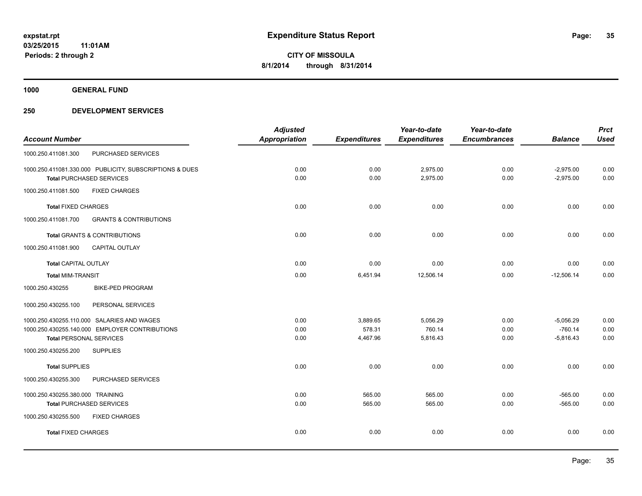**1000 GENERAL FUND**

|      |                                                 | Year-to-date                    | Year-to-date                    |                | <b>Prct</b> |
|------|-------------------------------------------------|---------------------------------|---------------------------------|----------------|-------------|
|      |                                                 |                                 | <b>Encumbrances</b>             | <b>Balance</b> | <b>Used</b> |
|      |                                                 |                                 |                                 |                |             |
| 0.00 | 0.00                                            | 2,975.00                        | 0.00                            | $-2,975.00$    | 0.00        |
| 0.00 | 0.00                                            | 2,975.00                        | 0.00                            | $-2,975.00$    | 0.00        |
|      |                                                 |                                 |                                 |                |             |
| 0.00 | 0.00                                            | 0.00                            | 0.00                            | 0.00           | 0.00        |
|      |                                                 |                                 |                                 |                |             |
| 0.00 | 0.00                                            | 0.00                            | 0.00                            | 0.00           | 0.00        |
|      |                                                 |                                 |                                 |                |             |
| 0.00 | 0.00                                            | 0.00                            | 0.00                            | 0.00           | 0.00        |
| 0.00 | 6,451.94                                        | 12,506.14                       | 0.00                            | $-12,506.14$   | 0.00        |
|      |                                                 |                                 |                                 |                |             |
|      |                                                 |                                 |                                 |                |             |
| 0.00 | 3,889.65                                        | 5,056.29                        | 0.00                            | $-5,056.29$    | 0.00        |
| 0.00 | 578.31                                          | 760.14                          | 0.00                            | $-760.14$      | 0.00        |
|      |                                                 |                                 | 0.00                            | $-5,816.43$    | 0.00        |
|      |                                                 |                                 |                                 |                |             |
| 0.00 | 0.00                                            | 0.00                            | 0.00                            | 0.00           | 0.00        |
|      |                                                 |                                 |                                 |                |             |
| 0.00 | 565.00                                          | 565.00                          | 0.00                            | $-565.00$      | 0.00        |
| 0.00 | 565.00                                          | 565.00                          | 0.00                            | $-565.00$      | 0.00        |
|      |                                                 |                                 |                                 |                |             |
| 0.00 | 0.00                                            | 0.00                            | 0.00                            | 0.00           | 0.00        |
|      | <b>Adjusted</b><br><b>Appropriation</b><br>0.00 | <b>Expenditures</b><br>4,467.96 | <b>Expenditures</b><br>5,816.43 |                |             |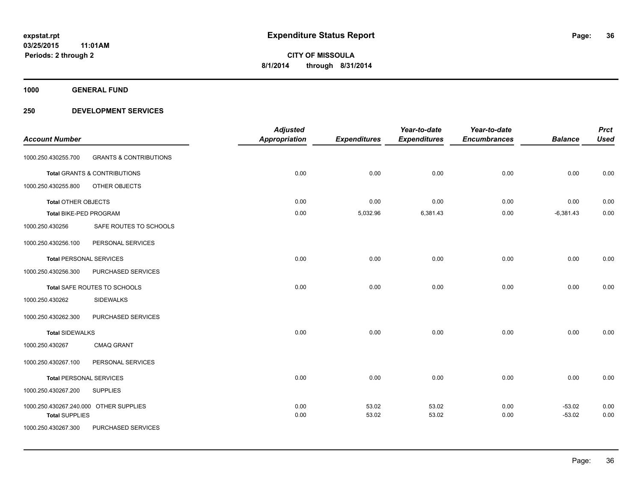**1000 GENERAL FUND**

| <b>Account Number</b>          |                                        | <b>Adjusted</b><br><b>Appropriation</b> | <b>Expenditures</b> | Year-to-date<br><b>Expenditures</b> | Year-to-date<br><b>Encumbrances</b> | <b>Balance</b> | <b>Prct</b><br><b>Used</b> |
|--------------------------------|----------------------------------------|-----------------------------------------|---------------------|-------------------------------------|-------------------------------------|----------------|----------------------------|
| 1000.250.430255.700            | <b>GRANTS &amp; CONTRIBUTIONS</b>      |                                         |                     |                                     |                                     |                |                            |
|                                | Total GRANTS & CONTRIBUTIONS           | 0.00                                    | 0.00                | 0.00                                | 0.00                                | 0.00           | 0.00                       |
| 1000.250.430255.800            | OTHER OBJECTS                          |                                         |                     |                                     |                                     |                |                            |
| <b>Total OTHER OBJECTS</b>     |                                        | 0.00                                    | 0.00                | 0.00                                | 0.00                                | 0.00           | 0.00                       |
| Total BIKE-PED PROGRAM         |                                        | 0.00                                    | 5,032.96            | 6,381.43                            | 0.00                                | $-6,381.43$    | 0.00                       |
| 1000.250.430256                | SAFE ROUTES TO SCHOOLS                 |                                         |                     |                                     |                                     |                |                            |
| 1000.250.430256.100            | PERSONAL SERVICES                      |                                         |                     |                                     |                                     |                |                            |
| <b>Total PERSONAL SERVICES</b> |                                        | 0.00                                    | 0.00                | 0.00                                | 0.00                                | 0.00           | 0.00                       |
| 1000.250.430256.300            | PURCHASED SERVICES                     |                                         |                     |                                     |                                     |                |                            |
|                                | Total SAFE ROUTES TO SCHOOLS           | 0.00                                    | 0.00                | 0.00                                | 0.00                                | 0.00           | 0.00                       |
| 1000.250.430262                | <b>SIDEWALKS</b>                       |                                         |                     |                                     |                                     |                |                            |
| 1000.250.430262.300            | PURCHASED SERVICES                     |                                         |                     |                                     |                                     |                |                            |
| <b>Total SIDEWALKS</b>         |                                        | 0.00                                    | 0.00                | 0.00                                | 0.00                                | 0.00           | 0.00                       |
| 1000.250.430267                | <b>CMAQ GRANT</b>                      |                                         |                     |                                     |                                     |                |                            |
| 1000.250.430267.100            | PERSONAL SERVICES                      |                                         |                     |                                     |                                     |                |                            |
| <b>Total PERSONAL SERVICES</b> |                                        | 0.00                                    | 0.00                | 0.00                                | 0.00                                | 0.00           | 0.00                       |
| 1000.250.430267.200            | <b>SUPPLIES</b>                        |                                         |                     |                                     |                                     |                |                            |
|                                | 1000.250.430267.240.000 OTHER SUPPLIES | 0.00                                    | 53.02               | 53.02                               | 0.00                                | $-53.02$       | 0.00                       |
| <b>Total SUPPLIES</b>          |                                        | 0.00                                    | 53.02               | 53.02                               | 0.00                                | $-53.02$       | 0.00                       |
| 1000.250.430267.300            | PURCHASED SERVICES                     |                                         |                     |                                     |                                     |                |                            |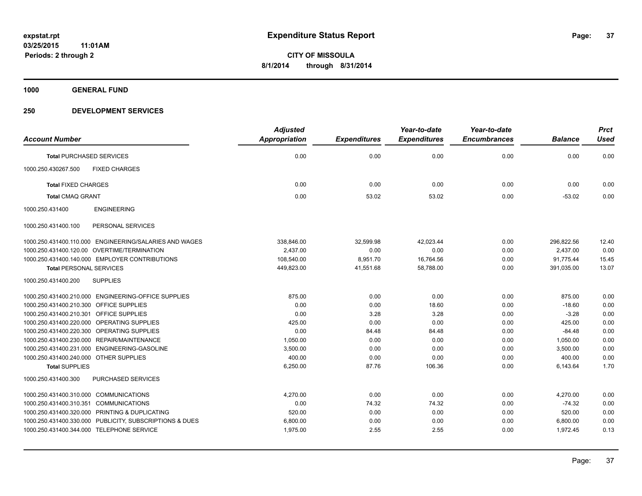**1000 GENERAL FUND**

### **250 DEVELOPMENT SERVICES**

|                                                         | <b>Adjusted</b>      |                     | Year-to-date        | Year-to-date        |                | <b>Prct</b> |
|---------------------------------------------------------|----------------------|---------------------|---------------------|---------------------|----------------|-------------|
| <b>Account Number</b>                                   | <b>Appropriation</b> | <b>Expenditures</b> | <b>Expenditures</b> | <b>Encumbrances</b> | <b>Balance</b> | <b>Used</b> |
| <b>Total PURCHASED SERVICES</b>                         | 0.00                 | 0.00                | 0.00                | 0.00                | 0.00           | 0.00        |
| 1000.250.430267.500<br><b>FIXED CHARGES</b>             |                      |                     |                     |                     |                |             |
| <b>Total FIXED CHARGES</b>                              | 0.00                 | 0.00                | 0.00                | 0.00                | 0.00           | 0.00        |
| <b>Total CMAQ GRANT</b>                                 | 0.00                 | 53.02               | 53.02               | 0.00                | $-53.02$       | 0.00        |
| 1000.250.431400<br><b>ENGINEERING</b>                   |                      |                     |                     |                     |                |             |
| PERSONAL SERVICES<br>1000.250.431400.100                |                      |                     |                     |                     |                |             |
| 1000.250.431400.110.000 ENGINEERING/SALARIES AND WAGES  | 338.846.00           | 32,599.98           | 42.023.44           | 0.00                | 296.822.56     | 12.40       |
| 1000.250.431400.120.00 OVERTIME/TERMINATION             | 2,437.00             | 0.00                | 0.00                | 0.00                | 2,437.00       | 0.00        |
| 1000.250.431400.140.000 EMPLOYER CONTRIBUTIONS          | 108,540.00           | 8,951.70            | 16,764.56           | 0.00                | 91,775.44      | 15.45       |
| <b>Total PERSONAL SERVICES</b>                          | 449,823.00           | 41,551.68           | 58,788.00           | 0.00                | 391,035.00     | 13.07       |
| <b>SUPPLIES</b><br>1000.250.431400.200                  |                      |                     |                     |                     |                |             |
| 1000.250.431400.210.000 ENGINEERING-OFFICE SUPPLIES     | 875.00               | 0.00                | 0.00                | 0.00                | 875.00         | 0.00        |
| 1000.250.431400.210.300 OFFICE SUPPLIES                 | 0.00                 | 0.00                | 18.60               | 0.00                | $-18.60$       | 0.00        |
| 1000.250.431400.210.301 OFFICE SUPPLIES                 | 0.00                 | 3.28                | 3.28                | 0.00                | $-3.28$        | 0.00        |
| 1000.250.431400.220.000 OPERATING SUPPLIES              | 425.00               | 0.00                | 0.00                | 0.00                | 425.00         | 0.00        |
| 1000.250.431400.220.300 OPERATING SUPPLIES              | 0.00                 | 84.48               | 84.48               | 0.00                | $-84.48$       | 0.00        |
| 1000.250.431400.230.000 REPAIR/MAINTENANCE              | 1,050.00             | 0.00                | 0.00                | 0.00                | 1,050.00       | 0.00        |
| 1000.250.431400.231.000 ENGINEERING-GASOLINE            | 3,500.00             | 0.00                | 0.00                | 0.00                | 3,500.00       | 0.00        |
| 1000.250.431400.240.000 OTHER SUPPLIES                  | 400.00               | 0.00                | 0.00                | 0.00                | 400.00         | 0.00        |
| <b>Total SUPPLIES</b>                                   | 6,250.00             | 87.76               | 106.36              | 0.00                | 6,143.64       | 1.70        |
| PURCHASED SERVICES<br>1000.250.431400.300               |                      |                     |                     |                     |                |             |
| 1000.250.431400.310.000 COMMUNICATIONS                  | 4,270.00             | 0.00                | 0.00                | 0.00                | 4,270.00       | 0.00        |
| 1000.250.431400.310.351 COMMUNICATIONS                  | 0.00                 | 74.32               | 74.32               | 0.00                | $-74.32$       | 0.00        |
| 1000.250.431400.320.000 PRINTING & DUPLICATING          | 520.00               | 0.00                | 0.00                | 0.00                | 520.00         | 0.00        |
| 1000.250.431400.330.000 PUBLICITY, SUBSCRIPTIONS & DUES | 6,800.00             | 0.00                | 0.00                | 0.00                | 6,800.00       | 0.00        |
| 1000.250.431400.344.000 TELEPHONE SERVICE               | 1,975.00             | 2.55                | 2.55                | 0.00                | 1,972.45       | 0.13        |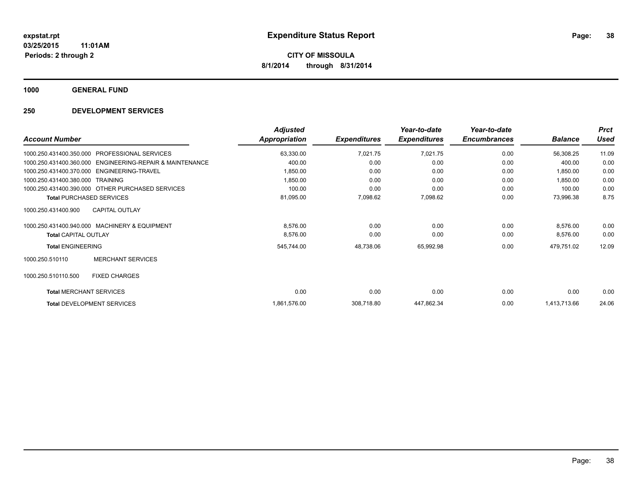**1000 GENERAL FUND**

### **250 DEVELOPMENT SERVICES**

| <b>Account Number</b>                                       | <b>Adjusted</b><br><b>Appropriation</b> | <b>Expenditures</b> | Year-to-date<br><b>Expenditures</b> | Year-to-date<br><b>Encumbrances</b> | <b>Balance</b> | <b>Prct</b><br><b>Used</b> |
|-------------------------------------------------------------|-----------------------------------------|---------------------|-------------------------------------|-------------------------------------|----------------|----------------------------|
| <b>PROFESSIONAL SERVICES</b><br>1000.250.431400.350.000     | 63,330.00                               | 7,021.75            | 7,021.75                            | 0.00                                | 56,308.25      | 11.09                      |
| ENGINEERING-REPAIR & MAINTENANCE<br>1000.250.431400.360.000 | 400.00                                  | 0.00                | 0.00                                | 0.00                                | 400.00         | 0.00                       |
| 1000.250.431400.370.000 ENGINEERING-TRAVEL                  | 1,850.00                                | 0.00                | 0.00                                | 0.00                                | 1,850.00       | 0.00                       |
| 1000.250.431400.380.000 TRAINING                            | 1,850.00                                | 0.00                | 0.00                                | 0.00                                | 1,850.00       | 0.00                       |
| 1000.250.431400.390.000 OTHER PURCHASED SERVICES            | 100.00                                  | 0.00                | 0.00                                | 0.00                                | 100.00         | 0.00                       |
| <b>Total PURCHASED SERVICES</b>                             | 81,095.00                               | 7,098.62            | 7,098.62                            | 0.00                                | 73,996.38      | 8.75                       |
| <b>CAPITAL OUTLAY</b><br>1000.250.431400.900                |                                         |                     |                                     |                                     |                |                            |
| 1000.250.431400.940.000 MACHINERY & EQUIPMENT               | 8,576.00                                | 0.00                | 0.00                                | 0.00                                | 8,576.00       | 0.00                       |
| <b>Total CAPITAL OUTLAY</b>                                 | 8,576.00                                | 0.00                | 0.00                                | 0.00                                | 8,576.00       | 0.00                       |
| <b>Total ENGINEERING</b>                                    | 545,744.00                              | 48,738.06           | 65,992.98                           | 0.00                                | 479,751.02     | 12.09                      |
| <b>MERCHANT SERVICES</b><br>1000.250.510110                 |                                         |                     |                                     |                                     |                |                            |
| <b>FIXED CHARGES</b><br>1000.250.510110.500                 |                                         |                     |                                     |                                     |                |                            |
| <b>Total MERCHANT SERVICES</b>                              | 0.00                                    | 0.00                | 0.00                                | 0.00                                | 0.00           | 0.00                       |
| <b>Total DEVELOPMENT SERVICES</b>                           | 1,861,576.00                            | 308,718.80          | 447,862.34                          | 0.00                                | 1,413,713.66   | 24.06                      |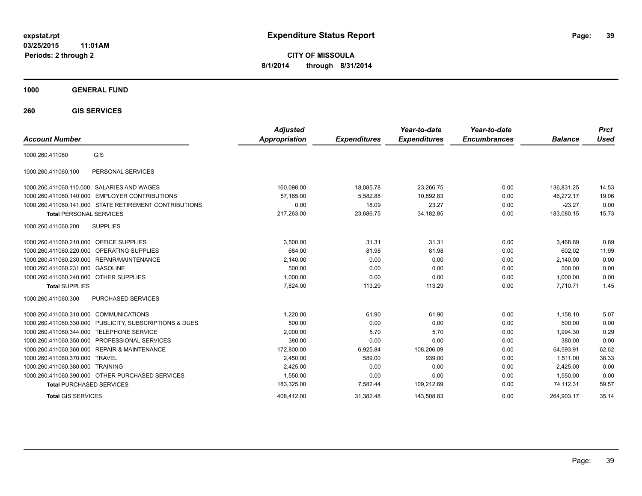**CITY OF MISSOULA 8/1/2014 through 8/31/2014**

**1000 GENERAL FUND**

**260 GIS SERVICES**

| <b>Account Number</b>                                   | <b>Adjusted</b><br><b>Appropriation</b> | <b>Expenditures</b> | Year-to-date<br><b>Expenditures</b> | Year-to-date<br><b>Encumbrances</b> | <b>Balance</b> | <b>Prct</b><br>Used |
|---------------------------------------------------------|-----------------------------------------|---------------------|-------------------------------------|-------------------------------------|----------------|---------------------|
| GIS<br>1000.260.411060                                  |                                         |                     |                                     |                                     |                |                     |
| 1000.260.411060.100<br>PERSONAL SERVICES                |                                         |                     |                                     |                                     |                |                     |
| 1000.260.411060.110.000 SALARIES AND WAGES              | 160,098.00                              | 18,085.78           | 23,266.75                           | 0.00                                | 136.831.25     | 14.53               |
| 1000.260.411060.140.000 EMPLOYER CONTRIBUTIONS          | 57.165.00                               | 5,582.88            | 10.892.83                           | 0.00                                | 46.272.17      | 19.06               |
| 1000.260.411060.141.000 STATE RETIREMENT CONTRIBUTIONS  | 0.00                                    | 18.09               | 23.27                               | 0.00                                | $-23.27$       | 0.00                |
| <b>Total PERSONAL SERVICES</b>                          | 217,263.00                              | 23,686.75           | 34, 182.85                          | 0.00                                | 183,080.15     | 15.73               |
| <b>SUPPLIES</b><br>1000.260.411060.200                  |                                         |                     |                                     |                                     |                |                     |
| 1000.260.411060.210.000 OFFICE SUPPLIES                 | 3,500.00                                | 31.31               | 31.31                               | 0.00                                | 3,468.69       | 0.89                |
| 1000.260.411060.220.000 OPERATING SUPPLIES              | 684.00                                  | 81.98               | 81.98                               | 0.00                                | 602.02         | 11.99               |
| 1000.260.411060.230.000 REPAIR/MAINTENANCE              | 2,140.00                                | 0.00                | 0.00                                | 0.00                                | 2,140.00       | 0.00                |
| 1000.260.411060.231.000 GASOLINE                        | 500.00                                  | 0.00                | 0.00                                | 0.00                                | 500.00         | 0.00                |
| 1000.260.411060.240.000 OTHER SUPPLIES                  | 1,000.00                                | 0.00                | 0.00                                | 0.00                                | 1,000.00       | 0.00                |
| <b>Total SUPPLIES</b>                                   | 7.824.00                                | 113.29              | 113.29                              | 0.00                                | 7.710.71       | 1.45                |
| 1000.260.411060.300<br>PURCHASED SERVICES               |                                         |                     |                                     |                                     |                |                     |
| 1000.260.411060.310.000 COMMUNICATIONS                  | 1.220.00                                | 61.90               | 61.90                               | 0.00                                | 1.158.10       | 5.07                |
| 1000.260.411060.330.000 PUBLICITY, SUBSCRIPTIONS & DUES | 500.00                                  | 0.00                | 0.00                                | 0.00                                | 500.00         | 0.00                |
| 1000.260.411060.344.000 TELEPHONE SERVICE               | 2,000.00                                | 5.70                | 5.70                                | 0.00                                | 1.994.30       | 0.29                |
| 1000.260.411060.350.000 PROFESSIONAL SERVICES           | 380.00                                  | 0.00                | 0.00                                | 0.00                                | 380.00         | 0.00                |
| 1000.260.411060.360.000 REPAIR & MAINTENANCE            | 172,800.00                              | 6,925.84            | 108,206.09                          | 0.00                                | 64,593.91      | 62.62               |
| 1000.260.411060.370.000 TRAVEL                          | 2.450.00                                | 589.00              | 939.00                              | 0.00                                | 1.511.00       | 38.33               |
| 1000.260.411060.380.000 TRAINING                        | 2,425.00                                | 0.00                | 0.00                                | 0.00                                | 2,425.00       | 0.00                |
| 1000.260.411060.390.000 OTHER PURCHASED SERVICES        | 1,550.00                                | 0.00                | 0.00                                | 0.00                                | 1.550.00       | 0.00                |
| <b>Total PURCHASED SERVICES</b>                         | 183,325.00                              | 7,582.44            | 109,212.69                          | 0.00                                | 74,112.31      | 59.57               |
| <b>Total GIS SERVICES</b>                               | 408.412.00                              | 31.382.48           | 143.508.83                          | 0.00                                | 264.903.17     | 35.14               |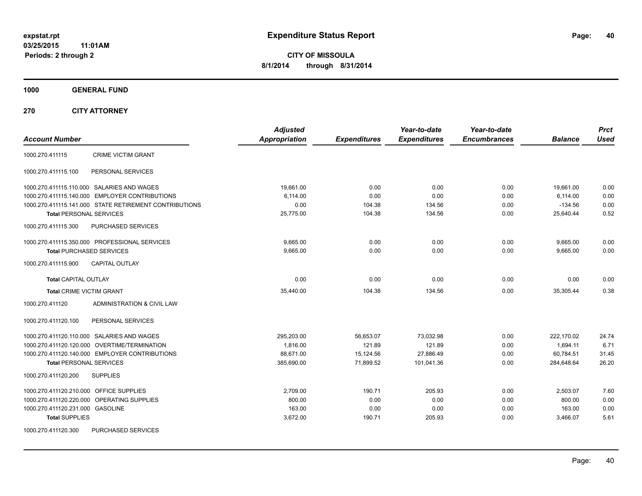**CITY OF MISSOULA 8/1/2014 through 8/31/2014**

**1000 GENERAL FUND**

**270 CITY ATTORNEY**

| <b>Account Number</b>                                  | <b>Adjusted</b><br><b>Appropriation</b> | <b>Expenditures</b> | Year-to-date<br><b>Expenditures</b> | Year-to-date<br><b>Encumbrances</b> | <b>Balance</b> | <b>Prct</b><br><b>Used</b> |
|--------------------------------------------------------|-----------------------------------------|---------------------|-------------------------------------|-------------------------------------|----------------|----------------------------|
| <b>CRIME VICTIM GRANT</b><br>1000.270.411115           |                                         |                     |                                     |                                     |                |                            |
| PERSONAL SERVICES<br>1000.270.411115.100               |                                         |                     |                                     |                                     |                |                            |
| 1000.270.411115.110.000 SALARIES AND WAGES             | 19,661.00                               | 0.00                | 0.00                                | 0.00                                | 19,661.00      | 0.00                       |
| 1000.270.411115.140.000 EMPLOYER CONTRIBUTIONS         | 6,114.00                                | 0.00                | 0.00                                | 0.00                                | 6,114.00       | 0.00                       |
| 1000.270.411115.141.000 STATE RETIREMENT CONTRIBUTIONS | 0.00                                    | 104.38              | 134.56                              | 0.00                                | $-134.56$      | 0.00                       |
| <b>Total PERSONAL SERVICES</b>                         | 25,775.00                               | 104.38              | 134.56                              | 0.00                                | 25,640.44      | 0.52                       |
| 1000.270.411115.300<br><b>PURCHASED SERVICES</b>       |                                         |                     |                                     |                                     |                |                            |
| 1000.270.411115.350.000 PROFESSIONAL SERVICES          | 9,665.00                                | 0.00                | 0.00                                | 0.00                                | 9,665.00       | 0.00                       |
| <b>Total PURCHASED SERVICES</b>                        | 9,665.00                                | 0.00                | 0.00                                | 0.00                                | 9,665.00       | 0.00                       |
| 1000.270.411115.900<br><b>CAPITAL OUTLAY</b>           |                                         |                     |                                     |                                     |                |                            |
| <b>Total CAPITAL OUTLAY</b>                            | 0.00                                    | 0.00                | 0.00                                | 0.00                                | 0.00           | 0.00                       |
| <b>Total CRIME VICTIM GRANT</b>                        | 35,440.00                               | 104.38              | 134.56                              | 0.00                                | 35,305.44      | 0.38                       |
| 1000.270.411120<br>ADMINISTRATION & CIVIL LAW          |                                         |                     |                                     |                                     |                |                            |
| PERSONAL SERVICES<br>1000.270.411120.100               |                                         |                     |                                     |                                     |                |                            |
| 1000.270.411120.110.000 SALARIES AND WAGES             | 295.203.00                              | 56.653.07           | 73.032.98                           | 0.00                                | 222.170.02     | 24.74                      |
| 1000.270.411120.120.000 OVERTIME/TERMINATION           | 1,816.00                                | 121.89              | 121.89                              | 0.00                                | 1,694.11       | 6.71                       |
| 1000.270.411120.140.000 EMPLOYER CONTRIBUTIONS         | 88,671.00                               | 15,124.56           | 27,886.49                           | 0.00                                | 60,784.51      | 31.45                      |
| <b>Total PERSONAL SERVICES</b>                         | 385,690.00                              | 71,899.52           | 101,041.36                          | 0.00                                | 284,648.64     | 26.20                      |
| 1000.270.411120.200<br><b>SUPPLIES</b>                 |                                         |                     |                                     |                                     |                |                            |
| 1000.270.411120.210.000 OFFICE SUPPLIES                | 2,709.00                                | 190.71              | 205.93                              | 0.00                                | 2,503.07       | 7.60                       |
| 1000.270.411120.220.000 OPERATING SUPPLIES             | 800.00                                  | 0.00                | 0.00                                | 0.00                                | 800.00         | 0.00                       |
| 1000.270.411120.231.000 GASOLINE                       | 163.00                                  | 0.00                | 0.00                                | 0.00                                | 163.00         | 0.00                       |
| <b>Total SUPPLIES</b>                                  | 3,672.00                                | 190.71              | 205.93                              | 0.00                                | 3,466.07       | 5.61                       |
| 1000.270.411120.300<br><b>PURCHASED SERVICES</b>       |                                         |                     |                                     |                                     |                |                            |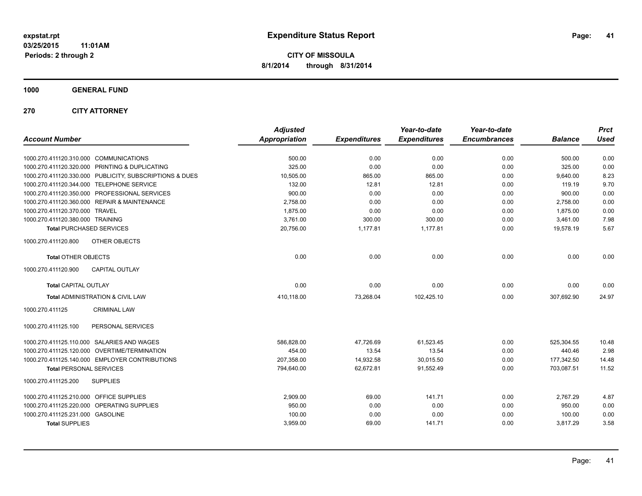**1000 GENERAL FUND**

**270 CITY ATTORNEY**

| <b>Account Number</b>                                   | <b>Adjusted</b><br><b>Appropriation</b> | <b>Expenditures</b> | Year-to-date<br><b>Expenditures</b> | Year-to-date<br><b>Encumbrances</b> | <b>Balance</b> | <b>Prct</b><br><b>Used</b> |
|---------------------------------------------------------|-----------------------------------------|---------------------|-------------------------------------|-------------------------------------|----------------|----------------------------|
| 1000.270.411120.310.000 COMMUNICATIONS                  | 500.00                                  | 0.00                | 0.00                                | 0.00                                | 500.00         | 0.00                       |
| 1000.270.411120.320.000 PRINTING & DUPLICATING          | 325.00                                  | 0.00                | 0.00                                | 0.00                                | 325.00         | 0.00                       |
| 1000.270.411120.330.000 PUBLICITY, SUBSCRIPTIONS & DUES | 10,505.00                               | 865.00              | 865.00                              | 0.00                                | 9,640.00       | 8.23                       |
| 1000.270.411120.344.000 TELEPHONE SERVICE               | 132.00                                  | 12.81               | 12.81                               | 0.00                                | 119.19         | 9.70                       |
| 1000.270.411120.350.000 PROFESSIONAL SERVICES           | 900.00                                  | 0.00                | 0.00                                | 0.00                                | 900.00         | 0.00                       |
| 1000.270.411120.360.000 REPAIR & MAINTENANCE            | 2,758.00                                | 0.00                | 0.00                                | 0.00                                | 2,758.00       | 0.00                       |
| 1000.270.411120.370.000 TRAVEL                          | 1,875.00                                | 0.00                | 0.00                                | 0.00                                | 1,875.00       | 0.00                       |
| 1000.270.411120.380.000 TRAINING                        | 3,761.00                                | 300.00              | 300.00                              | 0.00                                | 3,461.00       | 7.98                       |
| <b>Total PURCHASED SERVICES</b>                         | 20,756.00                               | 1,177.81            | 1,177.81                            | 0.00                                | 19,578.19      | 5.67                       |
| 1000.270.411120.800<br>OTHER OBJECTS                    |                                         |                     |                                     |                                     |                |                            |
| <b>Total OTHER OBJECTS</b>                              | 0.00                                    | 0.00                | 0.00                                | 0.00                                | 0.00           | 0.00                       |
| <b>CAPITAL OUTLAY</b><br>1000.270.411120.900            |                                         |                     |                                     |                                     |                |                            |
| <b>Total CAPITAL OUTLAY</b>                             | 0.00                                    | 0.00                | 0.00                                | 0.00                                | 0.00           | 0.00                       |
| Total ADMINISTRATION & CIVIL LAW                        | 410,118.00                              | 73,268.04           | 102,425.10                          | 0.00                                | 307,692.90     | 24.97                      |
| 1000.270.411125<br><b>CRIMINAL LAW</b>                  |                                         |                     |                                     |                                     |                |                            |
| PERSONAL SERVICES<br>1000.270.411125.100                |                                         |                     |                                     |                                     |                |                            |
| 1000.270.411125.110.000 SALARIES AND WAGES              | 586,828.00                              | 47,726.69           | 61,523.45                           | 0.00                                | 525,304.55     | 10.48                      |
| 1000.270.411125.120.000 OVERTIME/TERMINATION            | 454.00                                  | 13.54               | 13.54                               | 0.00                                | 440.46         | 2.98                       |
| 1000.270.411125.140.000 EMPLOYER CONTRIBUTIONS          | 207.358.00                              | 14,932.58           | 30.015.50                           | 0.00                                | 177,342.50     | 14.48                      |
| <b>Total PERSONAL SERVICES</b>                          | 794,640.00                              | 62,672.81           | 91,552.49                           | 0.00                                | 703,087.51     | 11.52                      |
| 1000.270.411125.200<br><b>SUPPLIES</b>                  |                                         |                     |                                     |                                     |                |                            |
| 1000.270.411125.210.000 OFFICE SUPPLIES                 | 2,909.00                                | 69.00               | 141.71                              | 0.00                                | 2,767.29       | 4.87                       |
| 1000.270.411125.220.000 OPERATING SUPPLIES              | 950.00                                  | 0.00                | 0.00                                | 0.00                                | 950.00         | 0.00                       |
| 1000.270.411125.231.000 GASOLINE                        | 100.00                                  | 0.00                | 0.00                                | 0.00                                | 100.00         | 0.00                       |
| <b>Total SUPPLIES</b>                                   | 3,959.00                                | 69.00               | 141.71                              | 0.00                                | 3,817.29       | 3.58                       |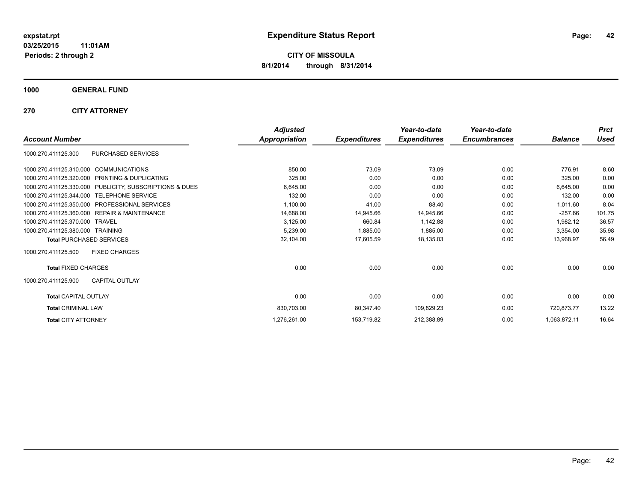**Periods: 2 through 2**

**CITY OF MISSOULA 8/1/2014 through 8/31/2014**

**1000 GENERAL FUND**

**270 CITY ATTORNEY**

|                                                         | <b>Adjusted</b>      |                     | Year-to-date        | Year-to-date        |                | <b>Prct</b> |
|---------------------------------------------------------|----------------------|---------------------|---------------------|---------------------|----------------|-------------|
| <b>Account Number</b>                                   | <b>Appropriation</b> | <b>Expenditures</b> | <b>Expenditures</b> | <b>Encumbrances</b> | <b>Balance</b> | <b>Used</b> |
| PURCHASED SERVICES<br>1000.270.411125.300               |                      |                     |                     |                     |                |             |
| <b>COMMUNICATIONS</b><br>1000.270.411125.310.000        | 850.00               | 73.09               | 73.09               | 0.00                | 776.91         | 8.60        |
| 1000.270.411125.320.000<br>PRINTING & DUPLICATING       | 325.00               | 0.00                | 0.00                | 0.00                | 325.00         | 0.00        |
| 1000.270.411125.330.000 PUBLICITY, SUBSCRIPTIONS & DUES | 6,645.00             | 0.00                | 0.00                | 0.00                | 6,645.00       | 0.00        |
| <b>TELEPHONE SERVICE</b><br>1000.270.411125.344.000     | 132.00               | 0.00                | 0.00                | 0.00                | 132.00         | 0.00        |
| <b>PROFESSIONAL SERVICES</b><br>1000.270.411125.350.000 | 1,100.00             | 41.00               | 88.40               | 0.00                | 1,011.60       | 8.04        |
| 1000.270.411125.360.000 REPAIR & MAINTENANCE            | 14,688.00            | 14,945.66           | 14,945.66           | 0.00                | $-257.66$      | 101.75      |
| 1000.270.411125.370.000<br><b>TRAVEL</b>                | 3,125.00             | 660.84              | 1,142.88            | 0.00                | 1,982.12       | 36.57       |
| 1000.270.411125.380.000 TRAINING                        | 5,239.00             | 1,885.00            | 1,885.00            | 0.00                | 3,354.00       | 35.98       |
| <b>Total PURCHASED SERVICES</b>                         | 32,104.00            | 17,605.59           | 18,135.03           | 0.00                | 13,968.97      | 56.49       |
| <b>FIXED CHARGES</b><br>1000.270.411125.500             |                      |                     |                     |                     |                |             |
| <b>Total FIXED CHARGES</b>                              | 0.00                 | 0.00                | 0.00                | 0.00                | 0.00           | 0.00        |
| 1000.270.411125.900<br><b>CAPITAL OUTLAY</b>            |                      |                     |                     |                     |                |             |
| <b>Total CAPITAL OUTLAY</b>                             | 0.00                 | 0.00                | 0.00                | 0.00                | 0.00           | 0.00        |
| <b>Total CRIMINAL LAW</b>                               | 830,703.00           | 80,347.40           | 109,829.23          | 0.00                | 720,873.77     | 13.22       |
| <b>Total CITY ATTORNEY</b>                              | 1,276,261.00         | 153,719.82          | 212,388.89          | 0.00                | 1,063,872.11   | 16.64       |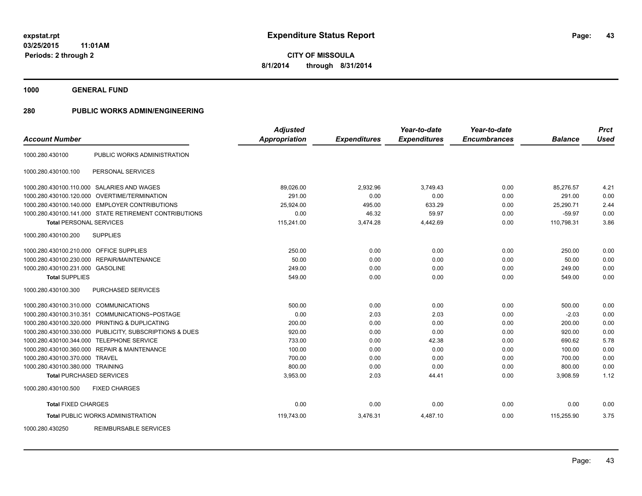**1000 GENERAL FUND**

| <b>Account Number</b>                   |                                                         | <b>Adjusted</b><br><b>Appropriation</b> | <b>Expenditures</b> | Year-to-date<br><b>Expenditures</b> | Year-to-date<br><b>Encumbrances</b> | <b>Balance</b> | <b>Prct</b><br><b>Used</b> |
|-----------------------------------------|---------------------------------------------------------|-----------------------------------------|---------------------|-------------------------------------|-------------------------------------|----------------|----------------------------|
| 1000.280.430100                         | PUBLIC WORKS ADMINISTRATION                             |                                         |                     |                                     |                                     |                |                            |
| 1000.280.430100.100                     | PERSONAL SERVICES                                       |                                         |                     |                                     |                                     |                |                            |
|                                         | 1000.280.430100.110.000 SALARIES AND WAGES              | 89,026.00                               | 2,932.96            | 3,749.43                            | 0.00                                | 85,276.57      | 4.21                       |
|                                         | 1000.280.430100.120.000 OVERTIME/TERMINATION            | 291.00                                  | 0.00                | 0.00                                | 0.00                                | 291.00         | 0.00                       |
|                                         | 1000.280.430100.140.000 EMPLOYER CONTRIBUTIONS          | 25.924.00                               | 495.00              | 633.29                              | 0.00                                | 25.290.71      | 2.44                       |
|                                         | 1000.280.430100.141.000 STATE RETIREMENT CONTRIBUTIONS  | 0.00                                    | 46.32               | 59.97                               | 0.00                                | $-59.97$       | 0.00                       |
| <b>Total PERSONAL SERVICES</b>          |                                                         | 115,241.00                              | 3,474.28            | 4,442.69                            | 0.00                                | 110,798.31     | 3.86                       |
| 1000.280.430100.200                     | <b>SUPPLIES</b>                                         |                                         |                     |                                     |                                     |                |                            |
| 1000.280.430100.210.000 OFFICE SUPPLIES |                                                         | 250.00                                  | 0.00                | 0.00                                | 0.00                                | 250.00         | 0.00                       |
| 1000.280.430100.230.000                 | REPAIR/MAINTENANCE                                      | 50.00                                   | 0.00                | 0.00                                | 0.00                                | 50.00          | 0.00                       |
| 1000.280.430100.231.000 GASOLINE        |                                                         | 249.00                                  | 0.00                | 0.00                                | 0.00                                | 249.00         | 0.00                       |
| <b>Total SUPPLIES</b>                   |                                                         | 549.00                                  | 0.00                | 0.00                                | 0.00                                | 549.00         | 0.00                       |
| 1000.280.430100.300                     | PURCHASED SERVICES                                      |                                         |                     |                                     |                                     |                |                            |
| 1000.280.430100.310.000 COMMUNICATIONS  |                                                         | 500.00                                  | 0.00                | 0.00                                | 0.00                                | 500.00         | 0.00                       |
| 1000.280.430100.310.351                 | COMMUNICATIONS~POSTAGE                                  | 0.00                                    | 2.03                | 2.03                                | 0.00                                | $-2.03$        | 0.00                       |
|                                         | 1000.280.430100.320.000 PRINTING & DUPLICATING          | 200.00                                  | 0.00                | 0.00                                | 0.00                                | 200.00         | 0.00                       |
|                                         | 1000.280.430100.330.000 PUBLICITY, SUBSCRIPTIONS & DUES | 920.00                                  | 0.00                | 0.00                                | 0.00                                | 920.00         | 0.00                       |
|                                         | 1000.280.430100.344.000 TELEPHONE SERVICE               | 733.00                                  | 0.00                | 42.38                               | 0.00                                | 690.62         | 5.78                       |
|                                         | 1000.280.430100.360.000 REPAIR & MAINTENANCE            | 100.00                                  | 0.00                | 0.00                                | 0.00                                | 100.00         | 0.00                       |
| 1000.280.430100.370.000 TRAVEL          |                                                         | 700.00                                  | 0.00                | 0.00                                | 0.00                                | 700.00         | 0.00                       |
| 1000.280.430100.380.000 TRAINING        |                                                         | 800.00                                  | 0.00                | 0.00                                | 0.00                                | 800.00         | 0.00                       |
| <b>Total PURCHASED SERVICES</b>         |                                                         | 3,953.00                                | 2.03                | 44.41                               | 0.00                                | 3,908.59       | 1.12                       |
| 1000.280.430100.500                     | <b>FIXED CHARGES</b>                                    |                                         |                     |                                     |                                     |                |                            |
| <b>Total FIXED CHARGES</b>              |                                                         | 0.00                                    | 0.00                | 0.00                                | 0.00                                | 0.00           | 0.00                       |
|                                         | <b>Total PUBLIC WORKS ADMINISTRATION</b>                | 119,743.00                              | 3,476.31            | 4,487.10                            | 0.00                                | 115,255.90     | 3.75                       |
| 1000.280.430250                         | <b>REIMBURSABLE SERVICES</b>                            |                                         |                     |                                     |                                     |                |                            |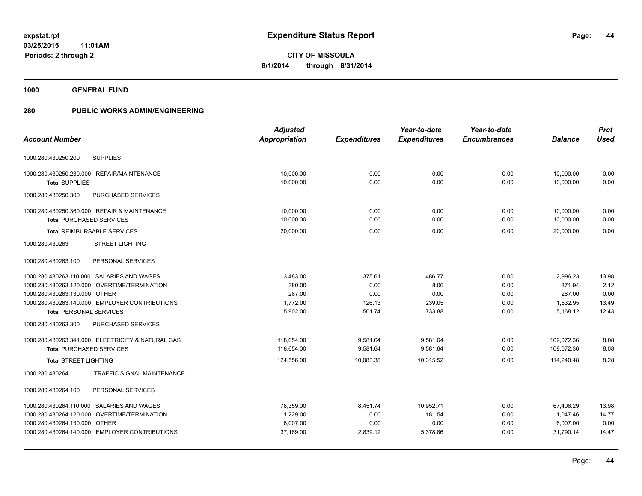**1000 GENERAL FUND**

|                                                   | <b>Adjusted</b>      |                     | Year-to-date        | Year-to-date        |                | <b>Prct</b> |
|---------------------------------------------------|----------------------|---------------------|---------------------|---------------------|----------------|-------------|
| <b>Account Number</b>                             | <b>Appropriation</b> | <b>Expenditures</b> | <b>Expenditures</b> | <b>Encumbrances</b> | <b>Balance</b> | <b>Used</b> |
| <b>SUPPLIES</b><br>1000.280.430250.200            |                      |                     |                     |                     |                |             |
| 1000.280.430250.230.000 REPAIR/MAINTENANCE        | 10.000.00            | 0.00                | 0.00                | 0.00                | 10,000.00      | 0.00        |
| <b>Total SUPPLIES</b>                             | 10,000.00            | 0.00                | 0.00                | 0.00                | 10,000.00      | 0.00        |
| 1000.280.430250.300<br><b>PURCHASED SERVICES</b>  |                      |                     |                     |                     |                |             |
| 1000.280.430250.360.000 REPAIR & MAINTENANCE      | 10.000.00            | 0.00                | 0.00                | 0.00                | 10,000.00      | 0.00        |
| <b>Total PURCHASED SERVICES</b>                   | 10,000.00            | 0.00                | 0.00                | 0.00                | 10,000.00      | 0.00        |
| <b>Total REIMBURSABLE SERVICES</b>                | 20,000.00            | 0.00                | 0.00                | 0.00                | 20,000.00      | 0.00        |
| <b>STREET LIGHTING</b><br>1000.280.430263         |                      |                     |                     |                     |                |             |
| PERSONAL SERVICES<br>1000.280.430263.100          |                      |                     |                     |                     |                |             |
| 1000.280.430263.110.000 SALARIES AND WAGES        | 3,483.00             | 375.61              | 486.77              | 0.00                | 2,996.23       | 13.98       |
| 1000.280.430263.120.000 OVERTIME/TERMINATION      | 380.00               | 0.00                | 8.06                | 0.00                | 371.94         | 2.12        |
| 1000.280.430263.130.000 OTHER                     | 267.00               | 0.00                | 0.00                | 0.00                | 267.00         | 0.00        |
| 1000.280.430263.140.000 EMPLOYER CONTRIBUTIONS    | 1,772.00             | 126.13              | 239.05              | 0.00                | 1,532.95       | 13.49       |
| <b>Total PERSONAL SERVICES</b>                    | 5,902.00             | 501.74              | 733.88              | 0.00                | 5,168.12       | 12.43       |
| 1000.280.430263.300<br>PURCHASED SERVICES         |                      |                     |                     |                     |                |             |
| 1000.280.430263.341.000 ELECTRICITY & NATURAL GAS | 118,654.00           | 9,581.64            | 9,581.64            | 0.00                | 109,072.36     | 8.08        |
| <b>Total PURCHASED SERVICES</b>                   | 118,654.00           | 9,581.64            | 9,581.64            | 0.00                | 109,072.36     | 8.08        |
| <b>Total STREET LIGHTING</b>                      | 124,556.00           | 10.083.38           | 10.315.52           | 0.00                | 114,240.48     | 8.28        |
| 1000.280.430264<br>TRAFFIC SIGNAL MAINTENANCE     |                      |                     |                     |                     |                |             |
| PERSONAL SERVICES<br>1000.280.430264.100          |                      |                     |                     |                     |                |             |
| 1000.280.430264.110.000 SALARIES AND WAGES        | 78,359.00            | 8,451.74            | 10,952.71           | 0.00                | 67,406.29      | 13.98       |
| 1000.280.430264.120.000 OVERTIME/TERMINATION      | 1,229.00             | 0.00                | 181.54              | 0.00                | 1,047.46       | 14.77       |
| 1000.280.430264.130.000 OTHER                     | 6,007.00             | 0.00                | 0.00                | 0.00                | 6,007.00       | 0.00        |
| 1000.280.430264.140.000 EMPLOYER CONTRIBUTIONS    | 37,169.00            | 2,839.12            | 5,378.86            | 0.00                | 31,790.14      | 14.47       |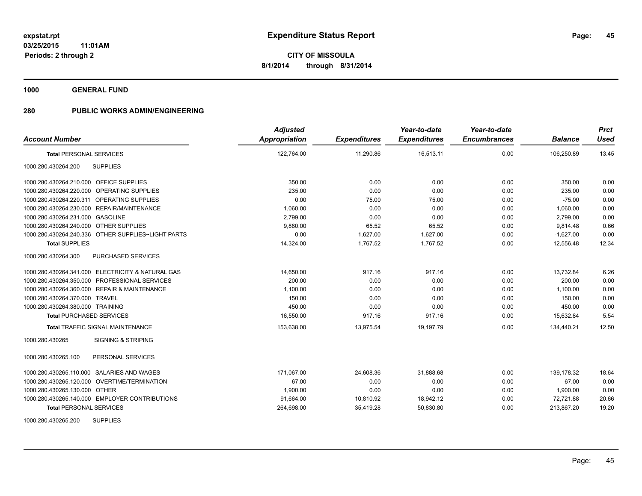**1000 GENERAL FUND**

| <b>Account Number</b>                              | <b>Adjusted</b><br>Appropriation | <b>Expenditures</b> | Year-to-date<br><b>Expenditures</b> | Year-to-date<br><b>Encumbrances</b> | <b>Balance</b> | <b>Prct</b><br><b>Used</b> |
|----------------------------------------------------|----------------------------------|---------------------|-------------------------------------|-------------------------------------|----------------|----------------------------|
| <b>Total PERSONAL SERVICES</b>                     | 122,764.00                       | 11,290.86           | 16,513.11                           | 0.00                                | 106,250.89     | 13.45                      |
| 1000.280.430264.200<br><b>SUPPLIES</b>             |                                  |                     |                                     |                                     |                |                            |
| 1000.280.430264.210.000 OFFICE SUPPLIES            | 350.00                           | 0.00                | 0.00                                | 0.00                                | 350.00         | 0.00                       |
| 1000.280.430264.220.000 OPERATING SUPPLIES         | 235.00                           | 0.00                | 0.00                                | 0.00                                | 235.00         | 0.00                       |
| 1000.280.430264.220.311 OPERATING SUPPLIES         | 0.00                             | 75.00               | 75.00                               | 0.00                                | $-75.00$       | 0.00                       |
| 1000.280.430264.230.000 REPAIR/MAINTENANCE         | 1,060.00                         | 0.00                | 0.00                                | 0.00                                | 1.060.00       | 0.00                       |
| 1000.280.430264.231.000 GASOLINE                   | 2,799.00                         | 0.00                | 0.00                                | 0.00                                | 2,799.00       | 0.00                       |
| 1000.280.430264.240.000 OTHER SUPPLIES             | 9,880.00                         | 65.52               | 65.52                               | 0.00                                | 9,814.48       | 0.66                       |
| 1000.280.430264.240.336 OTHER SUPPLIES~LIGHT PARTS | 0.00                             | 1,627.00            | 1,627.00                            | 0.00                                | $-1,627.00$    | 0.00                       |
| <b>Total SUPPLIES</b>                              | 14,324.00                        | 1,767.52            | 1,767.52                            | 0.00                                | 12,556.48      | 12.34                      |
| PURCHASED SERVICES<br>1000.280.430264.300          |                                  |                     |                                     |                                     |                |                            |
| 1000.280.430264.341.000 ELECTRICITY & NATURAL GAS  | 14,650.00                        | 917.16              | 917.16                              | 0.00                                | 13,732.84      | 6.26                       |
| 1000.280.430264.350.000 PROFESSIONAL SERVICES      | 200.00                           | 0.00                | 0.00                                | 0.00                                | 200.00         | 0.00                       |
| 1000.280.430264.360.000 REPAIR & MAINTENANCE       | 1,100.00                         | 0.00                | 0.00                                | 0.00                                | 1,100.00       | 0.00                       |
| 1000.280.430264.370.000 TRAVEL                     | 150.00                           | 0.00                | 0.00                                | 0.00                                | 150.00         | 0.00                       |
| 1000.280.430264.380.000 TRAINING                   | 450.00                           | 0.00                | 0.00                                | 0.00                                | 450.00         | 0.00                       |
| <b>Total PURCHASED SERVICES</b>                    | 16,550.00                        | 917.16              | 917.16                              | 0.00                                | 15,632.84      | 5.54                       |
| <b>Total TRAFFIC SIGNAL MAINTENANCE</b>            | 153,638.00                       | 13,975.54           | 19,197.79                           | 0.00                                | 134,440.21     | 12.50                      |
| <b>SIGNING &amp; STRIPING</b><br>1000.280.430265   |                                  |                     |                                     |                                     |                |                            |
| 1000.280.430265.100<br>PERSONAL SERVICES           |                                  |                     |                                     |                                     |                |                            |
| 1000.280.430265.110.000 SALARIES AND WAGES         | 171,067.00                       | 24,608.36           | 31,888.68                           | 0.00                                | 139,178.32     | 18.64                      |
| 1000.280.430265.120.000 OVERTIME/TERMINATION       | 67.00                            | 0.00                | 0.00                                | 0.00                                | 67.00          | 0.00                       |
| 1000.280.430265.130.000 OTHER                      | 1,900.00                         | 0.00                | 0.00                                | 0.00                                | 1,900.00       | 0.00                       |
| 1000.280.430265.140.000 EMPLOYER CONTRIBUTIONS     | 91,664.00                        | 10,810.92           | 18,942.12                           | 0.00                                | 72,721.88      | 20.66                      |
| <b>Total PERSONAL SERVICES</b>                     | 264,698.00                       | 35,419.28           | 50,830.80                           | 0.00                                | 213,867.20     | 19.20                      |
| 1000.280.430265.200<br><b>SUPPLIES</b>             |                                  |                     |                                     |                                     |                |                            |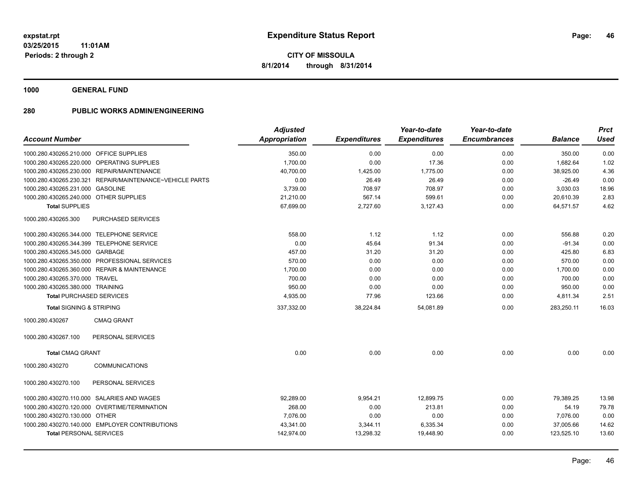**1000 GENERAL FUND**

| <b>Account Number</b>                                    | <b>Adjusted</b><br><b>Appropriation</b> | <b>Expenditures</b> | Year-to-date<br><b>Expenditures</b> | Year-to-date<br><b>Encumbrances</b> | <b>Balance</b> | <b>Prct</b><br><b>Used</b> |
|----------------------------------------------------------|-----------------------------------------|---------------------|-------------------------------------|-------------------------------------|----------------|----------------------------|
| 1000.280.430265.210.000 OFFICE SUPPLIES                  | 350.00                                  | 0.00                | 0.00                                | 0.00                                | 350.00         | 0.00                       |
| OPERATING SUPPLIES<br>1000.280.430265.220.000            | 1,700.00                                | 0.00                | 17.36                               | 0.00                                | 1,682.64       | 1.02                       |
| 1000.280.430265.230.000 REPAIR/MAINTENANCE               | 40,700.00                               | 1,425.00            | 1,775.00                            | 0.00                                | 38,925.00      | 4.36                       |
| 1000.280.430265.230.321 REPAIR/MAINTENANCE~VEHICLE PARTS | 0.00                                    | 26.49               | 26.49                               | 0.00                                | $-26.49$       | 0.00                       |
| 1000.280.430265.231.000 GASOLINE                         | 3,739.00                                | 708.97              | 708.97                              | 0.00                                | 3,030.03       | 18.96                      |
| 1000.280.430265.240.000 OTHER SUPPLIES                   | 21,210.00                               | 567.14              | 599.61                              | 0.00                                | 20,610.39      | 2.83                       |
| <b>Total SUPPLIES</b>                                    | 67,699.00                               | 2,727.60            | 3,127.43                            | 0.00                                | 64,571.57      | 4.62                       |
| 1000.280.430265.300<br>PURCHASED SERVICES                |                                         |                     |                                     |                                     |                |                            |
| 1000.280.430265.344.000 TELEPHONE SERVICE                | 558.00                                  | 1.12                | 1.12                                | 0.00                                | 556.88         | 0.20                       |
| 1000.280.430265.344.399 TELEPHONE SERVICE                | 0.00                                    | 45.64               | 91.34                               | 0.00                                | $-91.34$       | 0.00                       |
| 1000.280.430265.345.000 GARBAGE                          | 457.00                                  | 31.20               | 31.20                               | 0.00                                | 425.80         | 6.83                       |
| 1000.280.430265.350.000 PROFESSIONAL SERVICES            | 570.00                                  | 0.00                | 0.00                                | 0.00                                | 570.00         | 0.00                       |
| 1000.280.430265.360.000 REPAIR & MAINTENANCE             | 1,700.00                                | 0.00                | 0.00                                | 0.00                                | 1,700.00       | 0.00                       |
| 1000.280.430265.370.000 TRAVEL                           | 700.00                                  | 0.00                | 0.00                                | 0.00                                | 700.00         | 0.00                       |
| 1000.280.430265.380.000 TRAINING                         | 950.00                                  | 0.00                | 0.00                                | 0.00                                | 950.00         | 0.00                       |
| <b>Total PURCHASED SERVICES</b>                          | 4,935.00                                | 77.96               | 123.66                              | 0.00                                | 4,811.34       | 2.51                       |
| <b>Total SIGNING &amp; STRIPING</b>                      | 337,332.00                              | 38,224.84           | 54,081.89                           | 0.00                                | 283,250.11     | 16.03                      |
| <b>CMAQ GRANT</b><br>1000.280.430267                     |                                         |                     |                                     |                                     |                |                            |
| 1000.280.430267.100<br>PERSONAL SERVICES                 |                                         |                     |                                     |                                     |                |                            |
| <b>Total CMAQ GRANT</b>                                  | 0.00                                    | 0.00                | 0.00                                | 0.00                                | 0.00           | 0.00                       |
| <b>COMMUNICATIONS</b><br>1000.280.430270                 |                                         |                     |                                     |                                     |                |                            |
| 1000.280.430270.100<br>PERSONAL SERVICES                 |                                         |                     |                                     |                                     |                |                            |
| 1000.280.430270.110.000 SALARIES AND WAGES               | 92,289.00                               | 9,954.21            | 12,899.75                           | 0.00                                | 79,389.25      | 13.98                      |
| 1000.280.430270.120.000 OVERTIME/TERMINATION             | 268.00                                  | 0.00                | 213.81                              | 0.00                                | 54.19          | 79.78                      |
| 1000.280.430270.130.000 OTHER                            | 7,076.00                                | 0.00                | 0.00                                | 0.00                                | 7,076.00       | 0.00                       |
| 1000.280.430270.140.000 EMPLOYER CONTRIBUTIONS           | 43,341.00                               | 3,344.11            | 6,335.34                            | 0.00                                | 37,005.66      | 14.62                      |
| <b>Total PERSONAL SERVICES</b>                           | 142,974.00                              | 13,298.32           | 19,448.90                           | 0.00                                | 123,525.10     | 13.60                      |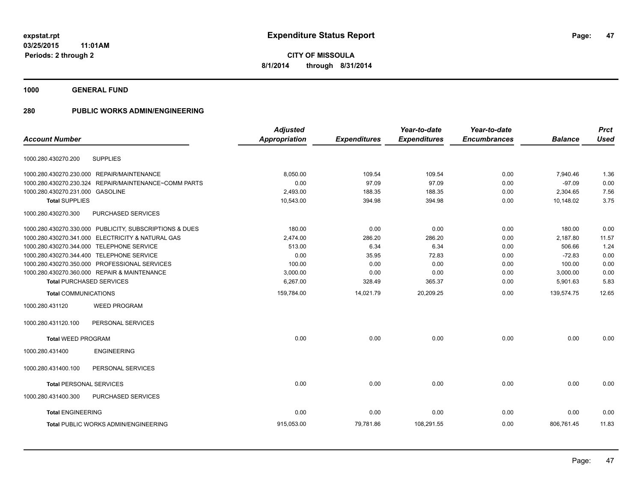**Periods: 2 through 2**

**CITY OF MISSOULA 8/1/2014 through 8/31/2014**

**1000 GENERAL FUND**

| <b>Account Number</b>            |                                                         | <b>Adjusted</b><br>Appropriation | <b>Expenditures</b> | Year-to-date<br><b>Expenditures</b> | Year-to-date<br><b>Encumbrances</b> | <b>Balance</b> | <b>Prct</b><br><b>Used</b> |
|----------------------------------|---------------------------------------------------------|----------------------------------|---------------------|-------------------------------------|-------------------------------------|----------------|----------------------------|
|                                  |                                                         |                                  |                     |                                     |                                     |                |                            |
| 1000.280.430270.200              | <b>SUPPLIES</b>                                         |                                  |                     |                                     |                                     |                |                            |
|                                  | 1000.280.430270.230.000 REPAIR/MAINTENANCE              | 8,050.00                         | 109.54              | 109.54                              | 0.00                                | 7,940.46       | 1.36                       |
|                                  | 1000.280.430270.230.324 REPAIR/MAINTENANCE~COMM PARTS   | 0.00                             | 97.09               | 97.09                               | 0.00                                | $-97.09$       | 0.00                       |
| 1000.280.430270.231.000 GASOLINE |                                                         | 2,493.00                         | 188.35              | 188.35                              | 0.00                                | 2,304.65       | 7.56                       |
| <b>Total SUPPLIES</b>            |                                                         | 10,543.00                        | 394.98              | 394.98                              | 0.00                                | 10,148.02      | 3.75                       |
| 1000.280.430270.300              | PURCHASED SERVICES                                      |                                  |                     |                                     |                                     |                |                            |
|                                  | 1000.280.430270.330.000 PUBLICITY, SUBSCRIPTIONS & DUES | 180.00                           | 0.00                | 0.00                                | 0.00                                | 180.00         | 0.00                       |
|                                  | 1000.280.430270.341.000 ELECTRICITY & NATURAL GAS       | 2.474.00                         | 286.20              | 286.20                              | 0.00                                | 2.187.80       | 11.57                      |
|                                  | 1000.280.430270.344.000 TELEPHONE SERVICE               | 513.00                           | 6.34                | 6.34                                | 0.00                                | 506.66         | 1.24                       |
|                                  | 1000.280.430270.344.400 TELEPHONE SERVICE               | 0.00                             | 35.95               | 72.83                               | 0.00                                | $-72.83$       | 0.00                       |
|                                  | 1000.280.430270.350.000 PROFESSIONAL SERVICES           | 100.00                           | 0.00                | 0.00                                | 0.00                                | 100.00         | 0.00                       |
|                                  | 1000.280.430270.360.000 REPAIR & MAINTENANCE            | 3,000.00                         | 0.00                | 0.00                                | 0.00                                | 3,000.00       | 0.00                       |
|                                  | <b>Total PURCHASED SERVICES</b>                         | 6,267.00                         | 328.49              | 365.37                              | 0.00                                | 5,901.63       | 5.83                       |
| <b>Total COMMUNICATIONS</b>      |                                                         | 159,784.00                       | 14,021.79           | 20,209.25                           | 0.00                                | 139,574.75     | 12.65                      |
| 1000.280.431120                  | <b>WEED PROGRAM</b>                                     |                                  |                     |                                     |                                     |                |                            |
| 1000.280.431120.100              | PERSONAL SERVICES                                       |                                  |                     |                                     |                                     |                |                            |
| <b>Total WEED PROGRAM</b>        |                                                         | 0.00                             | 0.00                | 0.00                                | 0.00                                | 0.00           | 0.00                       |
| 1000.280.431400                  | <b>ENGINEERING</b>                                      |                                  |                     |                                     |                                     |                |                            |
| 1000.280.431400.100              | PERSONAL SERVICES                                       |                                  |                     |                                     |                                     |                |                            |
| <b>Total PERSONAL SERVICES</b>   |                                                         | 0.00                             | 0.00                | 0.00                                | 0.00                                | 0.00           | 0.00                       |
| 1000.280.431400.300              | PURCHASED SERVICES                                      |                                  |                     |                                     |                                     |                |                            |
| <b>Total ENGINEERING</b>         |                                                         | 0.00                             | 0.00                | 0.00                                | 0.00                                | 0.00           | 0.00                       |
|                                  | Total PUBLIC WORKS ADMIN/ENGINEERING                    | 915,053.00                       | 79,781.86           | 108,291.55                          | 0.00                                | 806,761.45     | 11.83                      |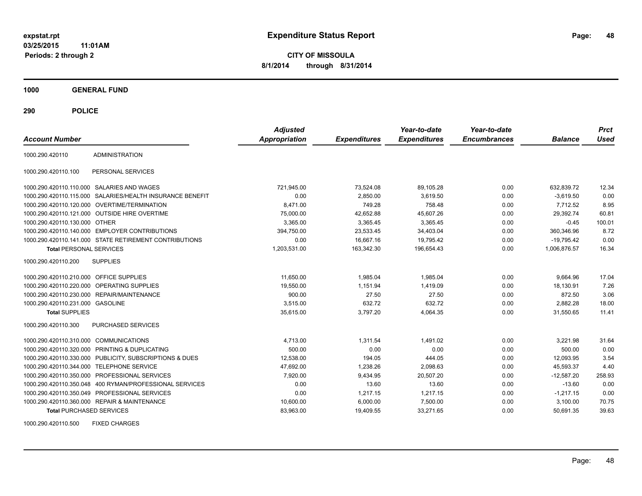**CITY OF MISSOULA 8/1/2014 through 8/31/2014**

**1000 GENERAL FUND**

**290 POLICE**

| <b>Account Number</b>                   |                                                            | <b>Adjusted</b><br><b>Appropriation</b> | <b>Expenditures</b> | Year-to-date<br><b>Expenditures</b> | Year-to-date<br><b>Encumbrances</b> | <b>Balance</b> | <b>Prct</b><br>Used |
|-----------------------------------------|------------------------------------------------------------|-----------------------------------------|---------------------|-------------------------------------|-------------------------------------|----------------|---------------------|
| 1000.290.420110                         | <b>ADMINISTRATION</b>                                      |                                         |                     |                                     |                                     |                |                     |
| 1000.290.420110.100                     | PERSONAL SERVICES                                          |                                         |                     |                                     |                                     |                |                     |
|                                         | 1000.290.420110.110.000 SALARIES AND WAGES                 | 721,945.00                              | 73,524.08           | 89.105.28                           | 0.00                                | 632.839.72     | 12.34               |
| 1000.290.420110.115.000                 | SALARIES/HEALTH INSURANCE BENEFIT                          | 0.00                                    | 2,850.00            | 3,619.50                            | 0.00                                | $-3,619.50$    | 0.00                |
|                                         | 1000.290.420110.120.000 OVERTIME/TERMINATION               | 8.471.00                                | 749.28              | 758.48                              | 0.00                                | 7.712.52       | 8.95                |
|                                         | 1000.290.420110.121.000 OUTSIDE HIRE OVERTIME              | 75,000.00                               | 42,652.88           | 45,607.26                           | 0.00                                | 29,392.74      | 60.81               |
| 1000.290.420110.130.000 OTHER           |                                                            | 3,365.00                                | 3,365.45            | 3,365.45                            | 0.00                                | $-0.45$        | 100.01              |
|                                         | 1000.290.420110.140.000 EMPLOYER CONTRIBUTIONS             | 394,750.00                              | 23,533.45           | 34,403.04                           | 0.00                                | 360.346.96     | 8.72                |
|                                         | 1000.290.420110.141.000 STATE RETIREMENT CONTRIBUTIONS     | 0.00                                    | 16,667.16           | 19,795.42                           | 0.00                                | $-19,795.42$   | 0.00                |
| <b>Total PERSONAL SERVICES</b>          |                                                            | 1,203,531.00                            | 163,342.30          | 196,654.43                          | 0.00                                | 1.006.876.57   | 16.34               |
| 1000.290.420110.200                     | <b>SUPPLIES</b>                                            |                                         |                     |                                     |                                     |                |                     |
| 1000.290.420110.210.000 OFFICE SUPPLIES |                                                            | 11,650.00                               | 1,985.04            | 1,985.04                            | 0.00                                | 9,664.96       | 17.04               |
| 1000.290.420110.220.000                 | <b>OPERATING SUPPLIES</b>                                  | 19,550.00                               | 1,151.94            | 1,419.09                            | 0.00                                | 18,130.91      | 7.26                |
| 1000.290.420110.230.000                 | <b>REPAIR/MAINTENANCE</b>                                  | 900.00                                  | 27.50               | 27.50                               | 0.00                                | 872.50         | 3.06                |
| 1000.290.420110.231.000 GASOLINE        |                                                            | 3,515.00                                | 632.72              | 632.72                              | 0.00                                | 2,882.28       | 18.00               |
| <b>Total SUPPLIES</b>                   |                                                            | 35,615.00                               | 3,797.20            | 4,064.35                            | 0.00                                | 31.550.65      | 11.41               |
| 1000.290.420110.300                     | PURCHASED SERVICES                                         |                                         |                     |                                     |                                     |                |                     |
| 1000.290.420110.310.000 COMMUNICATIONS  |                                                            | 4,713.00                                | 1,311.54            | 1,491.02                            | 0.00                                | 3,221.98       | 31.64               |
| 1000.290.420110.320.000                 | PRINTING & DUPLICATING                                     | 500.00                                  | 0.00                | 0.00                                | 0.00                                | 500.00         | 0.00                |
|                                         | 1000.290.420110.330.000 PUBLICITY, SUBSCRIPTIONS & DUES    | 12,538.00                               | 194.05              | 444.05                              | 0.00                                | 12,093.95      | 3.54                |
| 1000.290.420110.344.000                 | <b>TELEPHONE SERVICE</b>                                   | 47,692.00                               | 1,238.26            | 2,098.63                            | 0.00                                | 45,593.37      | 4.40                |
| 1000.290.420110.350.000                 | PROFESSIONAL SERVICES                                      | 7.920.00                                | 9,434.95            | 20,507.20                           | 0.00                                | $-12.587.20$   | 258.93              |
|                                         | 1000.290.420110.350.048    400 RYMAN/PROFESSIONAL SERVICES | 0.00                                    | 13.60               | 13.60                               | 0.00                                | $-13.60$       | 0.00                |
|                                         | 1000.290.420110.350.049 PROFESSIONAL SERVICES              | 0.00                                    | 1,217.15            | 1,217.15                            | 0.00                                | $-1,217.15$    | 0.00                |
|                                         | 1000.290.420110.360.000 REPAIR & MAINTENANCE               | 10,600.00                               | 6,000.00            | 7,500.00                            | 0.00                                | 3.100.00       | 70.75               |
| <b>Total PURCHASED SERVICES</b>         |                                                            | 83,963.00                               | 19,409.55           | 33,271.65                           | 0.00                                | 50,691.35      | 39.63               |

1000.290.420110.500 FIXED CHARGES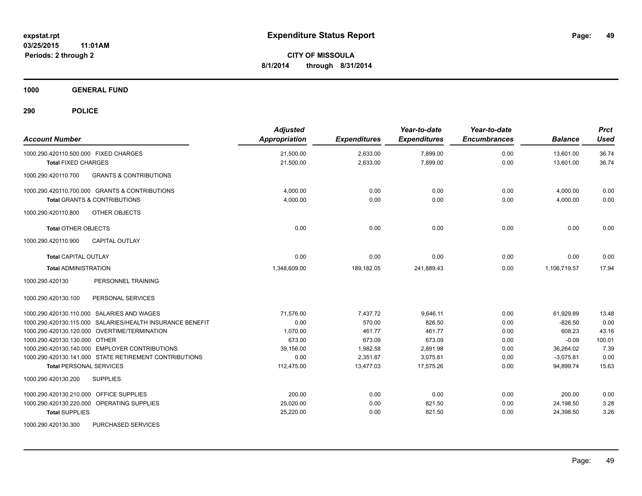**1000 GENERAL FUND**

| <b>Account Number</b>                                     | <b>Adjusted</b><br><b>Appropriation</b> | <b>Expenditures</b> | Year-to-date<br><b>Expenditures</b> | Year-to-date<br><b>Encumbrances</b> | <b>Balance</b> | <b>Prct</b><br><b>Used</b> |
|-----------------------------------------------------------|-----------------------------------------|---------------------|-------------------------------------|-------------------------------------|----------------|----------------------------|
| 1000.290.420110.500.000 FIXED CHARGES                     | 21,500.00                               | 2,633.00            | 7,899.00                            | 0.00                                | 13,601.00      | 36.74                      |
| <b>Total FIXED CHARGES</b>                                | 21,500.00                               | 2,633.00            | 7,899.00                            | 0.00                                | 13,601.00      | 36.74                      |
| <b>GRANTS &amp; CONTRIBUTIONS</b><br>1000.290.420110.700  |                                         |                     |                                     |                                     |                |                            |
| 1000.290.420110.700.000 GRANTS & CONTRIBUTIONS            | 4,000.00                                | 0.00                | 0.00                                | 0.00                                | 4,000.00       | 0.00                       |
| <b>Total GRANTS &amp; CONTRIBUTIONS</b>                   | 4,000.00                                | 0.00                | 0.00                                | 0.00                                | 4,000.00       | 0.00                       |
| OTHER OBJECTS<br>1000.290.420110.800                      |                                         |                     |                                     |                                     |                |                            |
| <b>Total OTHER OBJECTS</b>                                | 0.00                                    | 0.00                | 0.00                                | 0.00                                | 0.00           | 0.00                       |
| 1000.290.420110.900<br><b>CAPITAL OUTLAY</b>              |                                         |                     |                                     |                                     |                |                            |
| <b>Total CAPITAL OUTLAY</b>                               | 0.00                                    | 0.00                | 0.00                                | 0.00                                | 0.00           | 0.00                       |
| <b>Total ADMINISTRATION</b>                               | 1.348.609.00                            | 189,182.05          | 241.889.43                          | 0.00                                | 1.106.719.57   | 17.94                      |
| PERSONNEL TRAINING<br>1000.290.420130                     |                                         |                     |                                     |                                     |                |                            |
| 1000.290.420130.100<br>PERSONAL SERVICES                  |                                         |                     |                                     |                                     |                |                            |
| 1000.290.420130.110.000 SALARIES AND WAGES                | 71,576.00                               | 7,437.72            | 9,646.11                            | 0.00                                | 61,929.89      | 13.48                      |
| 1000.290.420130.115.000 SALARIES/HEALTH INSURANCE BENEFIT | 0.00                                    | 570.00              | 826.50                              | 0.00                                | $-826.50$      | 0.00                       |
| 1000.290.420130.120.000 OVERTIME/TERMINATION              | 1,070.00                                | 461.77              | 461.77                              | 0.00                                | 608.23         | 43.16                      |
| 1000.290.420130.130.000 OTHER                             | 673.00                                  | 673.09              | 673.09                              | 0.00                                | $-0.09$        | 100.01                     |
| 1000.290.420130.140.000 EMPLOYER CONTRIBUTIONS            | 39,156.00                               | 1,982.58            | 2,891.98                            | 0.00                                | 36,264.02      | 7.39                       |
| 1000.290.420130.141.000 STATE RETIREMENT CONTRIBUTIONS    | 0.00                                    | 2.351.87            | 3.075.81                            | 0.00                                | $-3,075.81$    | 0.00                       |
| <b>Total PERSONAL SERVICES</b>                            | 112,475.00                              | 13,477.03           | 17.575.26                           | 0.00                                | 94.899.74      | 15.63                      |
| 1000.290.420130.200<br><b>SUPPLIES</b>                    |                                         |                     |                                     |                                     |                |                            |
| 1000.290.420130.210.000 OFFICE SUPPLIES                   | 200.00                                  | 0.00                | 0.00                                | 0.00                                | 200.00         | 0.00                       |
| 1000.290.420130.220.000 OPERATING SUPPLIES                | 25,020.00                               | 0.00                | 821.50                              | 0.00                                | 24,198.50      | 3.28                       |
| <b>Total SUPPLIES</b>                                     | 25,220.00                               | 0.00                | 821.50                              | 0.00                                | 24,398.50      | 3.26                       |
| 1000.290.420130.300<br>PURCHASED SERVICES                 |                                         |                     |                                     |                                     |                |                            |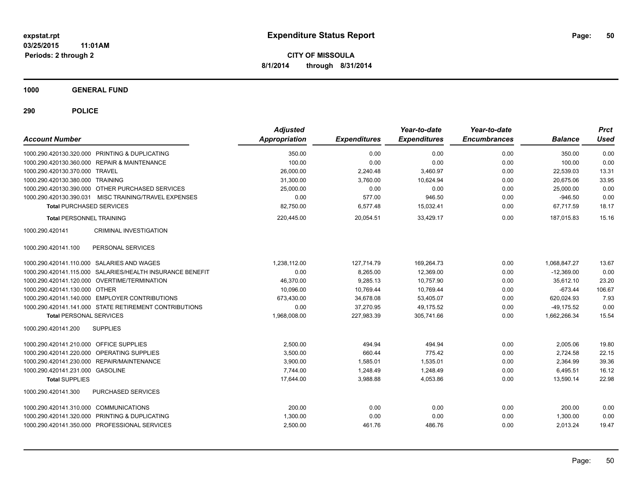**1000 GENERAL FUND**

| <b>Account Number</b>                      |                                                           | <b>Adjusted</b><br>Appropriation | <b>Expenditures</b> | Year-to-date<br><b>Expenditures</b> | Year-to-date<br><b>Encumbrances</b> | <b>Balance</b>   | <b>Prct</b><br>Used |
|--------------------------------------------|-----------------------------------------------------------|----------------------------------|---------------------|-------------------------------------|-------------------------------------|------------------|---------------------|
|                                            | 1000.290.420130.320.000 PRINTING & DUPLICATING            |                                  |                     |                                     |                                     |                  |                     |
|                                            |                                                           | 350.00<br>100.00                 | 0.00                | 0.00<br>0.00                        | 0.00<br>0.00                        | 350.00<br>100.00 | 0.00<br>0.00        |
|                                            | 1000.290.420130.360.000 REPAIR & MAINTENANCE              |                                  | 0.00                |                                     |                                     |                  |                     |
| 1000.290.420130.370.000 TRAVEL             |                                                           | 26,000.00                        | 2,240.48            | 3,460.97                            | 0.00                                | 22,539.03        | 13.31               |
| 1000.290.420130.380.000 TRAINING           |                                                           | 31,300.00                        | 3,760.00            | 10,624.94                           | 0.00                                | 20,675.06        | 33.95               |
|                                            | 1000.290.420130.390.000 OTHER PURCHASED SERVICES          | 25,000.00                        | 0.00                | 0.00                                | 0.00                                | 25,000.00        | 0.00                |
|                                            | 1000.290.420130.390.031 MISC TRAINING/TRAVEL EXPENSES     | 0.00                             | 577.00              | 946.50                              | 0.00                                | $-946.50$        | 0.00<br>18.17       |
| <b>Total PURCHASED SERVICES</b>            |                                                           | 82,750.00                        | 6,577.48            | 15,032.41                           | 0.00                                | 67,717.59        |                     |
| <b>Total PERSONNEL TRAINING</b>            |                                                           | 220,445.00                       | 20,054.51           | 33.429.17                           | 0.00                                | 187.015.83       | 15.16               |
| 1000.290.420141                            | CRIMINAL INVESTIGATION                                    |                                  |                     |                                     |                                     |                  |                     |
| 1000.290.420141.100                        | PERSONAL SERVICES                                         |                                  |                     |                                     |                                     |                  |                     |
|                                            | 1000.290.420141.110.000 SALARIES AND WAGES                | 1,238,112.00                     | 127,714.79          | 169,264.73                          | 0.00                                | 1,068,847.27     | 13.67               |
|                                            | 1000.290.420141.115.000 SALARIES/HEALTH INSURANCE BENEFIT | 0.00                             | 8,265.00            | 12,369.00                           | 0.00                                | $-12,369.00$     | 0.00                |
|                                            | 1000.290.420141.120.000 OVERTIME/TERMINATION              | 46,370.00                        | 9,285.13            | 10,757.90                           | 0.00                                | 35,612.10        | 23.20               |
| 1000.290.420141.130.000 OTHER              |                                                           | 10,096.00                        | 10,769.44           | 10,769.44                           | 0.00                                | $-673.44$        | 106.67              |
|                                            | 1000.290.420141.140.000 EMPLOYER CONTRIBUTIONS            | 673.430.00                       | 34.678.08           | 53.405.07                           | 0.00                                | 620.024.93       | 7.93                |
|                                            | 1000.290.420141.141.000 STATE RETIREMENT CONTRIBUTIONS    | 0.00                             | 37,270.95           | 49.175.52                           | 0.00                                | $-49,175.52$     | 0.00                |
| <b>Total PERSONAL SERVICES</b>             |                                                           | 1,968,008.00                     | 227,983.39          | 305,741.66                          | 0.00                                | 1,662,266.34     | 15.54               |
| 1000.290.420141.200                        | <b>SUPPLIES</b>                                           |                                  |                     |                                     |                                     |                  |                     |
| 1000.290.420141.210.000 OFFICE SUPPLIES    |                                                           | 2.500.00                         | 494.94              | 494.94                              | 0.00                                | 2,005.06         | 19.80               |
| 1000.290.420141.220.000 OPERATING SUPPLIES |                                                           | 3,500.00                         | 660.44              | 775.42                              | 0.00                                | 2,724.58         | 22.15               |
|                                            | 1000.290.420141.230.000 REPAIR/MAINTENANCE                | 3,900.00                         | 1,585.01            | 1,535.01                            | 0.00                                | 2,364.99         | 39.36               |
| 1000.290.420141.231.000 GASOLINE           |                                                           | 7,744.00                         | 1,248.49            | 1,248.49                            | 0.00                                | 6,495.51         | 16.12               |
| <b>Total SUPPLIES</b>                      |                                                           | 17,644.00                        | 3,988.88            | 4,053.86                            | 0.00                                | 13,590.14        | 22.98               |
| 1000.290.420141.300                        | PURCHASED SERVICES                                        |                                  |                     |                                     |                                     |                  |                     |
| 1000.290.420141.310.000 COMMUNICATIONS     |                                                           | 200.00                           | 0.00                | 0.00                                | 0.00                                | 200.00           | 0.00                |
|                                            | 1000.290.420141.320.000 PRINTING & DUPLICATING            | 1,300.00                         | 0.00                | 0.00                                | 0.00                                | 1,300.00         | 0.00                |
|                                            | 1000.290.420141.350.000 PROFESSIONAL SERVICES             | 2,500.00                         | 461.76              | 486.76                              | 0.00                                | 2,013.24         | 19.47               |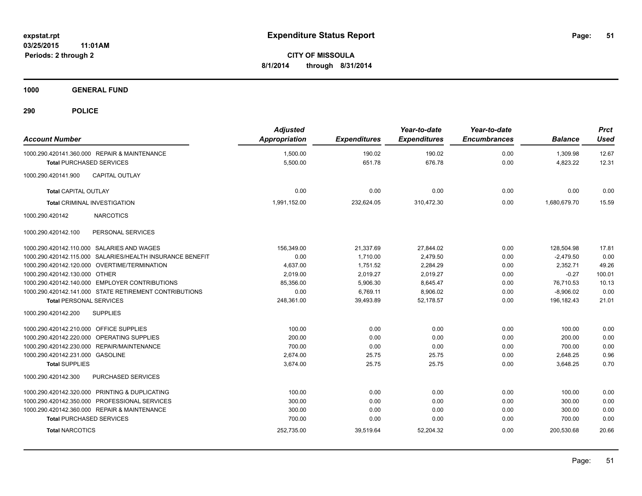**1000 GENERAL FUND**

| <b>Account Number</b>                   |                                                           | <b>Adjusted</b><br><b>Appropriation</b> | <b>Expenditures</b> | Year-to-date<br><b>Expenditures</b> | Year-to-date<br><b>Encumbrances</b> | <b>Balance</b> | <b>Prct</b><br><b>Used</b> |
|-----------------------------------------|-----------------------------------------------------------|-----------------------------------------|---------------------|-------------------------------------|-------------------------------------|----------------|----------------------------|
|                                         | 1000.290.420141.360.000 REPAIR & MAINTENANCE              | 1,500.00                                | 190.02              | 190.02                              | 0.00                                | 1,309.98       | 12.67                      |
| <b>Total PURCHASED SERVICES</b>         |                                                           | 5,500.00                                | 651.78              | 676.78                              | 0.00                                | 4,823.22       | 12.31                      |
| 1000.290.420141.900                     | <b>CAPITAL OUTLAY</b>                                     |                                         |                     |                                     |                                     |                |                            |
| <b>Total CAPITAL OUTLAY</b>             |                                                           | 0.00                                    | 0.00                | 0.00                                | 0.00                                | 0.00           | 0.00                       |
|                                         | <b>Total CRIMINAL INVESTIGATION</b>                       | 1,991,152.00                            | 232,624.05          | 310,472.30                          | 0.00                                | 1,680,679.70   | 15.59                      |
| 1000.290.420142                         | <b>NARCOTICS</b>                                          |                                         |                     |                                     |                                     |                |                            |
| 1000.290.420142.100                     | PERSONAL SERVICES                                         |                                         |                     |                                     |                                     |                |                            |
|                                         | 1000.290.420142.110.000 SALARIES AND WAGES                | 156.349.00                              | 21.337.69           | 27.844.02                           | 0.00                                | 128.504.98     | 17.81                      |
|                                         | 1000.290.420142.115.000 SALARIES/HEALTH INSURANCE BENEFIT | 0.00                                    | 1,710.00            | 2,479.50                            | 0.00                                | $-2,479.50$    | 0.00                       |
|                                         | 1000.290.420142.120.000 OVERTIME/TERMINATION              | 4,637.00                                | 1.751.52            | 2,284.29                            | 0.00                                | 2.352.71       | 49.26                      |
| 1000.290.420142.130.000 OTHER           |                                                           | 2.019.00                                | 2,019.27            | 2,019.27                            | 0.00                                | $-0.27$        | 100.01                     |
|                                         | 1000.290.420142.140.000 EMPLOYER CONTRIBUTIONS            | 85,356.00                               | 5,906.30            | 8,645.47                            | 0.00                                | 76.710.53      | 10.13                      |
|                                         | 1000.290.420142.141.000 STATE RETIREMENT CONTRIBUTIONS    | 0.00                                    | 6,769.11            | 8,906.02                            | 0.00                                | $-8,906.02$    | 0.00                       |
| <b>Total PERSONAL SERVICES</b>          |                                                           | 248,361.00                              | 39,493.89           | 52,178.57                           | 0.00                                | 196,182.43     | 21.01                      |
| 1000.290.420142.200                     | <b>SUPPLIES</b>                                           |                                         |                     |                                     |                                     |                |                            |
| 1000.290.420142.210.000 OFFICE SUPPLIES |                                                           | 100.00                                  | 0.00                | 0.00                                | 0.00                                | 100.00         | 0.00                       |
|                                         | 1000.290.420142.220.000 OPERATING SUPPLIES                | 200.00                                  | 0.00                | 0.00                                | 0.00                                | 200.00         | 0.00                       |
|                                         | 1000.290.420142.230.000 REPAIR/MAINTENANCE                | 700.00                                  | 0.00                | 0.00                                | 0.00                                | 700.00         | 0.00                       |
| 1000.290.420142.231.000 GASOLINE        |                                                           | 2,674.00                                | 25.75               | 25.75                               | 0.00                                | 2,648.25       | 0.96                       |
| <b>Total SUPPLIES</b>                   |                                                           | 3,674.00                                | 25.75               | 25.75                               | 0.00                                | 3,648.25       | 0.70                       |
| 1000.290.420142.300                     | PURCHASED SERVICES                                        |                                         |                     |                                     |                                     |                |                            |
|                                         | 1000.290.420142.320.000 PRINTING & DUPLICATING            | 100.00                                  | 0.00                | 0.00                                | 0.00                                | 100.00         | 0.00                       |
|                                         | 1000.290.420142.350.000 PROFESSIONAL SERVICES             | 300.00                                  | 0.00                | 0.00                                | 0.00                                | 300.00         | 0.00                       |
|                                         | 1000.290.420142.360.000 REPAIR & MAINTENANCE              | 300.00                                  | 0.00                | 0.00                                | 0.00                                | 300.00         | 0.00                       |
| <b>Total PURCHASED SERVICES</b>         |                                                           | 700.00                                  | 0.00                | 0.00                                | 0.00                                | 700.00         | 0.00                       |
| <b>Total NARCOTICS</b>                  |                                                           | 252,735.00                              | 39,519.64           | 52,204.32                           | 0.00                                | 200,530.68     | 20.66                      |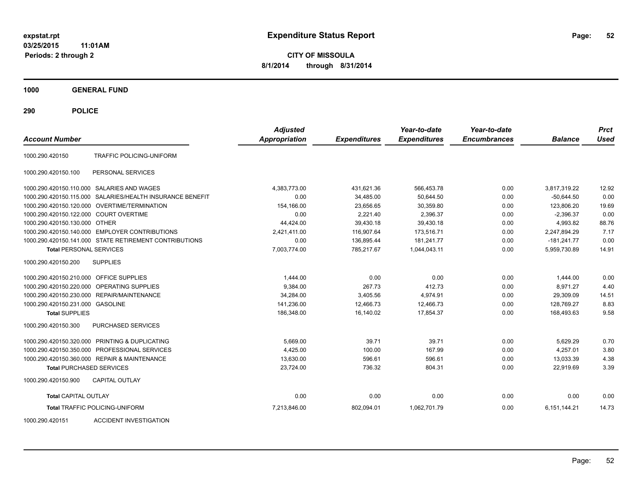**CITY OF MISSOULA 8/1/2014 through 8/31/2014**

**1000 GENERAL FUND**

**290 POLICE**

| <b>Account Number</b>                   |                                                           | <b>Adjusted</b><br>Appropriation | <b>Expenditures</b> | Year-to-date<br><b>Expenditures</b> | Year-to-date<br><b>Encumbrances</b> | <b>Balance</b> | <b>Prct</b><br>Used |
|-----------------------------------------|-----------------------------------------------------------|----------------------------------|---------------------|-------------------------------------|-------------------------------------|----------------|---------------------|
| 1000.290.420150                         | TRAFFIC POLICING-UNIFORM                                  |                                  |                     |                                     |                                     |                |                     |
| 1000.290.420150.100                     | PERSONAL SERVICES                                         |                                  |                     |                                     |                                     |                |                     |
|                                         | 1000.290.420150.110.000 SALARIES AND WAGES                | 4,383,773.00                     | 431,621.36          | 566,453.78                          | 0.00                                | 3,817,319.22   | 12.92               |
|                                         | 1000.290.420150.115.000 SALARIES/HEALTH INSURANCE BENEFIT | 0.00                             | 34,485.00           | 50.644.50                           | 0.00                                | $-50.644.50$   | 0.00                |
|                                         | 1000.290.420150.120.000 OVERTIME/TERMINATION              | 154.166.00                       | 23,656.65           | 30.359.80                           | 0.00                                | 123,806.20     | 19.69               |
| 1000.290.420150.122.000 COURT OVERTIME  |                                                           | 0.00                             | 2,221.40            | 2,396.37                            | 0.00                                | $-2,396.37$    | 0.00                |
| 1000.290.420150.130.000 OTHER           |                                                           | 44,424.00                        | 39,430.18           | 39,430.18                           | 0.00                                | 4,993.82       | 88.76               |
|                                         | 1000.290.420150.140.000 EMPLOYER CONTRIBUTIONS            | 2,421,411.00                     | 116,907.64          | 173,516.71                          | 0.00                                | 2,247,894.29   | 7.17                |
|                                         | 1000.290.420150.141.000 STATE RETIREMENT CONTRIBUTIONS    | 0.00                             | 136,895.44          | 181.241.77                          | 0.00                                | $-181,241.77$  | 0.00                |
| <b>Total PERSONAL SERVICES</b>          |                                                           | 7,003,774.00                     | 785,217.67          | 1,044,043.11                        | 0.00                                | 5,959,730.89   | 14.91               |
| 1000.290.420150.200                     | <b>SUPPLIES</b>                                           |                                  |                     |                                     |                                     |                |                     |
| 1000.290.420150.210.000 OFFICE SUPPLIES |                                                           | 1,444.00                         | 0.00                | 0.00                                | 0.00                                | 1,444.00       | 0.00                |
|                                         | 1000.290.420150.220.000 OPERATING SUPPLIES                | 9,384.00                         | 267.73              | 412.73                              | 0.00                                | 8,971.27       | 4.40                |
|                                         | 1000.290.420150.230.000 REPAIR/MAINTENANCE                | 34,284.00                        | 3,405.56            | 4,974.91                            | 0.00                                | 29,309.09      | 14.51               |
| 1000.290.420150.231.000 GASOLINE        |                                                           | 141,236.00                       | 12,466.73           | 12,466.73                           | 0.00                                | 128,769.27     | 8.83                |
| <b>Total SUPPLIES</b>                   |                                                           | 186,348.00                       | 16,140.02           | 17,854.37                           | 0.00                                | 168,493.63     | 9.58                |
| 1000.290.420150.300                     | <b>PURCHASED SERVICES</b>                                 |                                  |                     |                                     |                                     |                |                     |
|                                         | 1000.290.420150.320.000 PRINTING & DUPLICATING            | 5,669.00                         | 39.71               | 39.71                               | 0.00                                | 5,629.29       | 0.70                |
|                                         | 1000.290.420150.350.000 PROFESSIONAL SERVICES             | 4,425.00                         | 100.00              | 167.99                              | 0.00                                | 4.257.01       | 3.80                |
|                                         | 1000.290.420150.360.000 REPAIR & MAINTENANCE              | 13,630.00                        | 596.61              | 596.61                              | 0.00                                | 13.033.39      | 4.38                |
| <b>Total PURCHASED SERVICES</b>         |                                                           | 23.724.00                        | 736.32              | 804.31                              | 0.00                                | 22,919.69      | 3.39                |
| 1000.290.420150.900                     | <b>CAPITAL OUTLAY</b>                                     |                                  |                     |                                     |                                     |                |                     |
| <b>Total CAPITAL OUTLAY</b>             |                                                           | 0.00                             | 0.00                | 0.00                                | 0.00                                | 0.00           | 0.00                |
|                                         | <b>Total TRAFFIC POLICING-UNIFORM</b>                     | 7,213,846.00                     | 802,094.01          | 1,062,701.79                        | 0.00                                | 6,151,144.21   | 14.73               |

1000.290.420151 ACCIDENT INVESTIGATION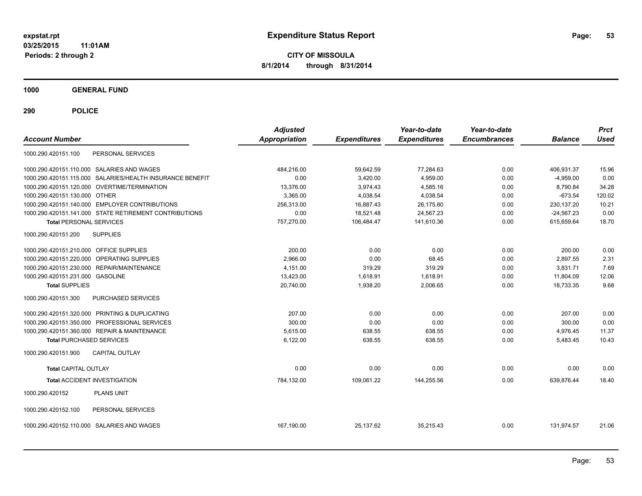**CITY OF MISSOULA 8/1/2014 through 8/31/2014**

**1000 GENERAL FUND**

| <b>Account Number</b>                                     | <b>Adjusted</b><br>Appropriation | <b>Expenditures</b> | Year-to-date<br><b>Expenditures</b> | Year-to-date<br><b>Encumbrances</b> | <b>Balance</b> | <b>Prct</b><br><b>Used</b> |
|-----------------------------------------------------------|----------------------------------|---------------------|-------------------------------------|-------------------------------------|----------------|----------------------------|
| PERSONAL SERVICES<br>1000.290.420151.100                  |                                  |                     |                                     |                                     |                |                            |
| 1000.290.420151.110.000 SALARIES AND WAGES                | 484.216.00                       | 59,642.59           | 77,284.63                           | 0.00                                | 406.931.37     | 15.96                      |
| 1000.290.420151.115.000 SALARIES/HEALTH INSURANCE BENEFIT | 0.00                             | 3,420.00            | 4,959.00                            | 0.00                                | $-4,959.00$    | 0.00                       |
| 1000.290.420151.120.000 OVERTIME/TERMINATION              | 13,376.00                        | 3,974.43            | 4,585.16                            | 0.00                                | 8,790.84       | 34.28                      |
| 1000.290.420151.130.000 OTHER                             | 3.365.00                         | 4,038.54            | 4,038.54                            | 0.00                                | $-673.54$      | 120.02                     |
| 1000.290.420151.140.000 EMPLOYER CONTRIBUTIONS            | 256,313.00                       | 16,887.43           | 26,175.80                           | 0.00                                | 230, 137.20    | 10.21                      |
| 1000.290.420151.141.000 STATE RETIREMENT CONTRIBUTIONS    | 0.00                             | 18,521.48           | 24,567.23                           | 0.00                                | $-24,567.23$   | 0.00                       |
| <b>Total PERSONAL SERVICES</b>                            | 757.270.00                       | 106.484.47          | 141.610.36                          | 0.00                                | 615.659.64     | 18.70                      |
| 1000.290.420151.200<br><b>SUPPLIES</b>                    |                                  |                     |                                     |                                     |                |                            |
| 1000.290.420151.210.000 OFFICE SUPPLIES                   | 200.00                           | 0.00                | 0.00                                | 0.00                                | 200.00         | 0.00                       |
| 1000.290.420151.220.000 OPERATING SUPPLIES                | 2,966.00                         | 0.00                | 68.45                               | 0.00                                | 2.897.55       | 2.31                       |
| 1000.290.420151.230.000 REPAIR/MAINTENANCE                | 4,151.00                         | 319.29              | 319.29                              | 0.00                                | 3,831.71       | 7.69                       |
| 1000.290.420151.231.000 GASOLINE                          | 13,423.00                        | 1,618.91            | 1,618.91                            | 0.00                                | 11,804.09      | 12.06                      |
| <b>Total SUPPLIES</b>                                     | 20,740.00                        | 1,938.20            | 2,006.65                            | 0.00                                | 18,733.35      | 9.68                       |
| 1000.290.420151.300<br><b>PURCHASED SERVICES</b>          |                                  |                     |                                     |                                     |                |                            |
| 1000.290.420151.320.000 PRINTING & DUPLICATING            | 207.00                           | 0.00                | 0.00                                | 0.00                                | 207.00         | 0.00                       |
| 1000.290.420151.350.000 PROFESSIONAL SERVICES             | 300.00                           | 0.00                | 0.00                                | 0.00                                | 300.00         | 0.00                       |
| 1000.290.420151.360.000 REPAIR & MAINTENANCE              | 5,615.00                         | 638.55              | 638.55                              | 0.00                                | 4,976.45       | 11.37                      |
| <b>Total PURCHASED SERVICES</b>                           | 6,122.00                         | 638.55              | 638.55                              | 0.00                                | 5,483.45       | 10.43                      |
| 1000.290.420151.900<br><b>CAPITAL OUTLAY</b>              |                                  |                     |                                     |                                     |                |                            |
| <b>Total CAPITAL OUTLAY</b>                               | 0.00                             | 0.00                | 0.00                                | 0.00                                | 0.00           | 0.00                       |
| <b>Total ACCIDENT INVESTIGATION</b>                       | 784,132.00                       | 109,061.22          | 144,255.56                          | 0.00                                | 639,876.44     | 18.40                      |
| <b>PLANS UNIT</b><br>1000.290.420152                      |                                  |                     |                                     |                                     |                |                            |
| 1000.290.420152.100<br>PERSONAL SERVICES                  |                                  |                     |                                     |                                     |                |                            |
| 1000.290.420152.110.000 SALARIES AND WAGES                | 167,190.00                       | 25.137.62           | 35,215.43                           | 0.00                                | 131,974.57     | 21.06                      |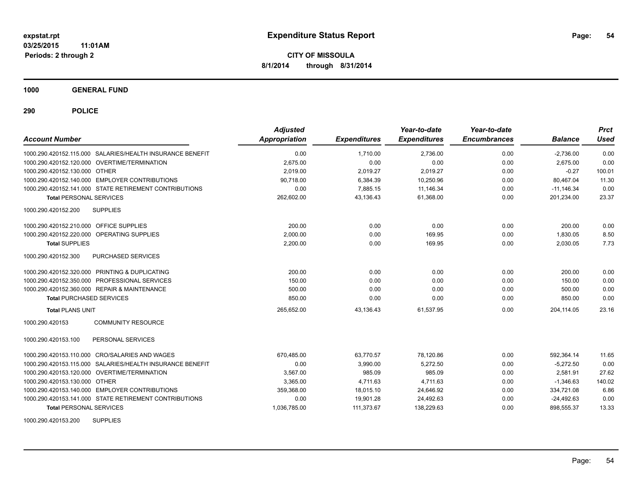**1000 GENERAL FUND**

**290 POLICE**

| <b>Account Number</b>                   |                                                           | <b>Adjusted</b><br>Appropriation | <b>Expenditures</b> | Year-to-date<br><b>Expenditures</b> | Year-to-date<br><b>Encumbrances</b> | <b>Balance</b> | <b>Prct</b><br>Used |
|-----------------------------------------|-----------------------------------------------------------|----------------------------------|---------------------|-------------------------------------|-------------------------------------|----------------|---------------------|
|                                         | 1000.290.420152.115.000 SALARIES/HEALTH INSURANCE BENEFIT | 0.00                             | 1.710.00            | 2.736.00                            | 0.00                                | $-2.736.00$    | 0.00                |
|                                         | 1000.290.420152.120.000 OVERTIME/TERMINATION              | 2.675.00                         | 0.00                | 0.00                                | 0.00                                | 2.675.00       | 0.00                |
| 1000.290.420152.130.000 OTHER           |                                                           | 2,019.00                         | 2,019.27            | 2,019.27                            | 0.00                                | $-0.27$        | 100.01              |
|                                         | 1000.290.420152.140.000 EMPLOYER CONTRIBUTIONS            | 90,718.00                        | 6,384.39            | 10,250.96                           | 0.00                                | 80,467.04      | 11.30               |
|                                         | 1000.290.420152.141.000 STATE RETIREMENT CONTRIBUTIONS    | 0.00                             | 7.885.15            | 11.146.34                           | 0.00                                | $-11.146.34$   | 0.00                |
| <b>Total PERSONAL SERVICES</b>          |                                                           | 262,602.00                       | 43.136.43           | 61.368.00                           | 0.00                                | 201,234.00     | 23.37               |
| 1000.290.420152.200                     | <b>SUPPLIES</b>                                           |                                  |                     |                                     |                                     |                |                     |
| 1000.290.420152.210.000 OFFICE SUPPLIES |                                                           | 200.00                           | 0.00                | 0.00                                | 0.00                                | 200.00         | 0.00                |
| 1000.290.420152.220.000                 | OPERATING SUPPLIES                                        | 2,000.00                         | 0.00                | 169.95                              | 0.00                                | 1,830.05       | 8.50                |
| <b>Total SUPPLIES</b>                   |                                                           | 2.200.00                         | 0.00                | 169.95                              | 0.00                                | 2.030.05       | 7.73                |
| 1000.290.420152.300                     | PURCHASED SERVICES                                        |                                  |                     |                                     |                                     |                |                     |
|                                         | 1000.290.420152.320.000 PRINTING & DUPLICATING            | 200.00                           | 0.00                | 0.00                                | 0.00                                | 200.00         | 0.00                |
|                                         | 1000.290.420152.350.000 PROFESSIONAL SERVICES             | 150.00                           | 0.00                | 0.00                                | 0.00                                | 150.00         | 0.00                |
|                                         | 1000.290.420152.360.000 REPAIR & MAINTENANCE              | 500.00                           | 0.00                | 0.00                                | 0.00                                | 500.00         | 0.00                |
| <b>Total PURCHASED SERVICES</b>         |                                                           | 850.00                           | 0.00                | 0.00                                | 0.00                                | 850.00         | 0.00                |
| <b>Total PLANS UNIT</b>                 |                                                           | 265,652.00                       | 43,136.43           | 61,537.95                           | 0.00                                | 204.114.05     | 23.16               |
| 1000.290.420153                         | <b>COMMUNITY RESOURCE</b>                                 |                                  |                     |                                     |                                     |                |                     |
| 1000.290.420153.100                     | PERSONAL SERVICES                                         |                                  |                     |                                     |                                     |                |                     |
|                                         | 1000.290.420153.110.000 CRO/SALARIES AND WAGES            | 670,485.00                       | 63,770.57           | 78,120.86                           | 0.00                                | 592,364.14     | 11.65               |
|                                         | 1000.290.420153.115.000 SALARIES/HEALTH INSURANCE BENEFIT | 0.00                             | 3,990.00            | 5,272.50                            | 0.00                                | $-5,272.50$    | 0.00                |
|                                         | 1000.290.420153.120.000 OVERTIME/TERMINATION              | 3.567.00                         | 985.09              | 985.09                              | 0.00                                | 2.581.91       | 27.62               |
| 1000.290.420153.130.000 OTHER           |                                                           | 3.365.00                         | 4,711.63            | 4.711.63                            | 0.00                                | $-1.346.63$    | 140.02              |
|                                         | 1000.290.420153.140.000 EMPLOYER CONTRIBUTIONS            | 359,368.00                       | 18,015.10           | 24,646.92                           | 0.00                                | 334,721.08     | 6.86                |
|                                         | 1000.290.420153.141.000 STATE RETIREMENT CONTRIBUTIONS    | 0.00                             | 19,901.28           | 24,492.63                           | 0.00                                | $-24,492.63$   | 0.00                |
| <b>Total PERSONAL SERVICES</b>          |                                                           | 1,036,785.00                     | 111,373.67          | 138,229.63                          | 0.00                                | 898,555.37     | 13.33               |

1000.290.420153.200 SUPPLIES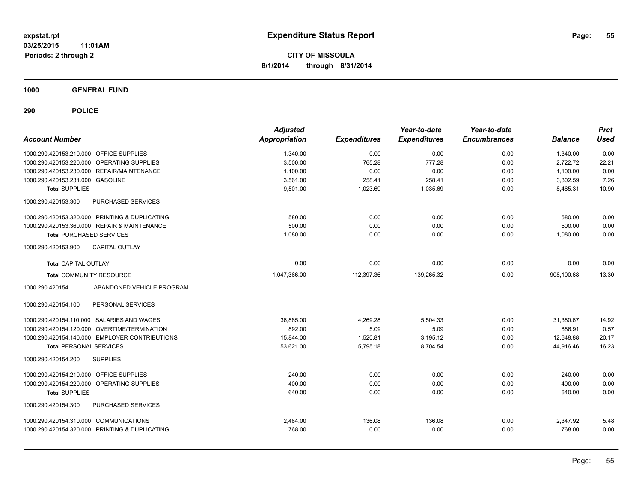**1000 GENERAL FUND**

| <b>Account Number</b>                          |                           | <b>Adjusted</b><br><b>Appropriation</b> | <b>Expenditures</b> | Year-to-date<br><b>Expenditures</b> | Year-to-date<br><b>Encumbrances</b> | <b>Balance</b> | <b>Prct</b><br><b>Used</b> |
|------------------------------------------------|---------------------------|-----------------------------------------|---------------------|-------------------------------------|-------------------------------------|----------------|----------------------------|
| 1000.290.420153.210.000 OFFICE SUPPLIES        |                           | 1,340.00                                | 0.00                | 0.00                                | 0.00                                | 1,340.00       | 0.00                       |
| 1000.290.420153.220.000 OPERATING SUPPLIES     |                           | 3,500.00                                | 765.28              | 777.28                              | 0.00                                | 2,722.72       | 22.21                      |
| 1000.290.420153.230.000 REPAIR/MAINTENANCE     |                           | 1,100.00                                | 0.00                | 0.00                                | 0.00                                | 1,100.00       | 0.00                       |
| 1000.290.420153.231.000 GASOLINE               |                           | 3,561.00                                | 258.41              | 258.41                              | 0.00                                | 3,302.59       | 7.26                       |
| <b>Total SUPPLIES</b>                          |                           | 9,501.00                                | 1,023.69            | 1,035.69                            | 0.00                                | 8,465.31       | 10.90                      |
| 1000.290.420153.300                            | PURCHASED SERVICES        |                                         |                     |                                     |                                     |                |                            |
| 1000.290.420153.320.000 PRINTING & DUPLICATING |                           | 580.00                                  | 0.00                | 0.00                                | 0.00                                | 580.00         | 0.00                       |
| 1000.290.420153.360.000 REPAIR & MAINTENANCE   |                           | 500.00                                  | 0.00                | 0.00                                | 0.00                                | 500.00         | 0.00                       |
| <b>Total PURCHASED SERVICES</b>                |                           | 1,080.00                                | 0.00                | 0.00                                | 0.00                                | 1,080.00       | 0.00                       |
| 1000.290.420153.900                            | <b>CAPITAL OUTLAY</b>     |                                         |                     |                                     |                                     |                |                            |
| <b>Total CAPITAL OUTLAY</b>                    |                           | 0.00                                    | 0.00                | 0.00                                | 0.00                                | 0.00           | 0.00                       |
| <b>Total COMMUNITY RESOURCE</b>                |                           | 1,047,366.00                            | 112,397.36          | 139,265.32                          | 0.00                                | 908,100.68     | 13.30                      |
| 1000.290.420154                                | ABANDONED VEHICLE PROGRAM |                                         |                     |                                     |                                     |                |                            |
| 1000.290.420154.100                            | PERSONAL SERVICES         |                                         |                     |                                     |                                     |                |                            |
| 1000.290.420154.110.000 SALARIES AND WAGES     |                           | 36,885.00                               | 4,269.28            | 5,504.33                            | 0.00                                | 31,380.67      | 14.92                      |
| 1000.290.420154.120.000 OVERTIME/TERMINATION   |                           | 892.00                                  | 5.09                | 5.09                                | 0.00                                | 886.91         | 0.57                       |
| 1000.290.420154.140.000 EMPLOYER CONTRIBUTIONS |                           | 15,844.00                               | 1,520.81            | 3,195.12                            | 0.00                                | 12,648.88      | 20.17                      |
| <b>Total PERSONAL SERVICES</b>                 |                           | 53,621.00                               | 5,795.18            | 8,704.54                            | 0.00                                | 44,916.46      | 16.23                      |
| 1000.290.420154.200<br><b>SUPPLIES</b>         |                           |                                         |                     |                                     |                                     |                |                            |
| 1000.290.420154.210.000 OFFICE SUPPLIES        |                           | 240.00                                  | 0.00                | 0.00                                | 0.00                                | 240.00         | 0.00                       |
| 1000.290.420154.220.000 OPERATING SUPPLIES     |                           | 400.00                                  | 0.00                | 0.00                                | 0.00                                | 400.00         | 0.00                       |
| <b>Total SUPPLIES</b>                          |                           | 640.00                                  | 0.00                | 0.00                                | 0.00                                | 640.00         | 0.00                       |
| 1000.290.420154.300                            | PURCHASED SERVICES        |                                         |                     |                                     |                                     |                |                            |
| 1000.290.420154.310.000 COMMUNICATIONS         |                           | 2,484.00                                | 136.08              | 136.08                              | 0.00                                | 2,347.92       | 5.48                       |
| 1000.290.420154.320.000 PRINTING & DUPLICATING |                           | 768.00                                  | 0.00                | 0.00                                | 0.00                                | 768.00         | 0.00                       |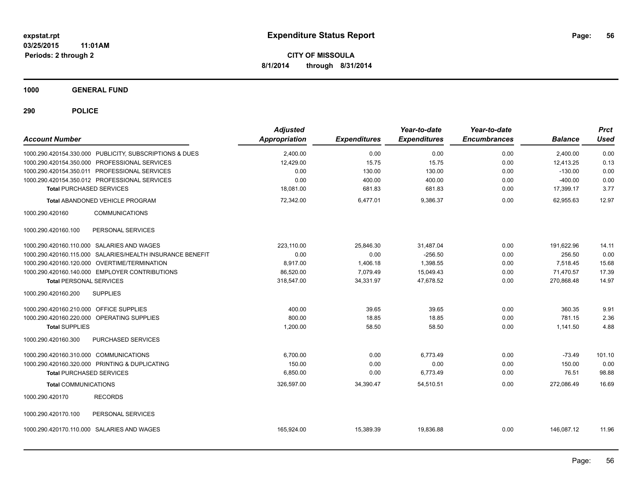**1000 GENERAL FUND**

| <b>Account Number</b>                                     | <b>Adjusted</b><br><b>Appropriation</b> | <b>Expenditures</b> | Year-to-date<br><b>Expenditures</b> | Year-to-date<br><b>Encumbrances</b> | <b>Balance</b> | <b>Prct</b><br><b>Used</b> |
|-----------------------------------------------------------|-----------------------------------------|---------------------|-------------------------------------|-------------------------------------|----------------|----------------------------|
| 1000.290.420154.330.000 PUBLICITY, SUBSCRIPTIONS & DUES   | 2,400.00                                | 0.00                | 0.00                                | 0.00                                | 2,400.00       | 0.00                       |
| 1000.290.420154.350.000 PROFESSIONAL SERVICES             | 12,429.00                               | 15.75               | 15.75                               | 0.00                                | 12,413.25      | 0.13                       |
| 1000.290.420154.350.011 PROFESSIONAL SERVICES             | 0.00                                    | 130.00              | 130.00                              | 0.00                                | $-130.00$      | 0.00                       |
| 1000.290.420154.350.012 PROFESSIONAL SERVICES             | 0.00                                    | 400.00              | 400.00                              | 0.00                                | $-400.00$      | 0.00                       |
| <b>Total PURCHASED SERVICES</b>                           | 18,081.00                               | 681.83              | 681.83                              | 0.00                                | 17,399.17      | 3.77                       |
| <b>Total ABANDONED VEHICLE PROGRAM</b>                    | 72,342.00                               | 6,477.01            | 9,386.37                            | 0.00                                | 62,955.63      | 12.97                      |
| 1000.290.420160<br><b>COMMUNICATIONS</b>                  |                                         |                     |                                     |                                     |                |                            |
| 1000.290.420160.100<br>PERSONAL SERVICES                  |                                         |                     |                                     |                                     |                |                            |
| 1000.290.420160.110.000 SALARIES AND WAGES                | 223.110.00                              | 25,846.30           | 31,487.04                           | 0.00                                | 191,622.96     | 14.11                      |
| 1000.290.420160.115.000 SALARIES/HEALTH INSURANCE BENEFIT | 0.00                                    | 0.00                | $-256.50$                           | 0.00                                | 256.50         | 0.00                       |
| 1000.290.420160.120.000 OVERTIME/TERMINATION              | 8.917.00                                | 1,406.18            | 1,398.55                            | 0.00                                | 7.518.45       | 15.68                      |
| 1000.290.420160.140.000 EMPLOYER CONTRIBUTIONS            | 86,520.00                               | 7.079.49            | 15,049.43                           | 0.00                                | 71,470.57      | 17.39                      |
| <b>Total PERSONAL SERVICES</b>                            | 318,547.00                              | 34,331.97           | 47,678.52                           | 0.00                                | 270,868.48     | 14.97                      |
| 1000.290.420160.200<br><b>SUPPLIES</b>                    |                                         |                     |                                     |                                     |                |                            |
| 1000.290.420160.210.000 OFFICE SUPPLIES                   | 400.00                                  | 39.65               | 39.65                               | 0.00                                | 360.35         | 9.91                       |
| 1000.290.420160.220.000 OPERATING SUPPLIES                | 800.00                                  | 18.85               | 18.85                               | 0.00                                | 781.15         | 2.36                       |
| <b>Total SUPPLIES</b>                                     | 1,200.00                                | 58.50               | 58.50                               | 0.00                                | 1,141.50       | 4.88                       |
| 1000.290.420160.300<br>PURCHASED SERVICES                 |                                         |                     |                                     |                                     |                |                            |
| 1000.290.420160.310.000 COMMUNICATIONS                    | 6,700.00                                | 0.00                | 6,773.49                            | 0.00                                | $-73.49$       | 101.10                     |
| 1000.290.420160.320.000 PRINTING & DUPLICATING            | 150.00                                  | 0.00                | 0.00                                | 0.00                                | 150.00         | 0.00                       |
| <b>Total PURCHASED SERVICES</b>                           | 6,850.00                                | 0.00                | 6,773.49                            | 0.00                                | 76.51          | 98.88                      |
| <b>Total COMMUNICATIONS</b>                               | 326,597.00                              | 34,390.47           | 54,510.51                           | 0.00                                | 272,086.49     | 16.69                      |
| <b>RECORDS</b><br>1000.290.420170                         |                                         |                     |                                     |                                     |                |                            |
| 1000.290.420170.100<br>PERSONAL SERVICES                  |                                         |                     |                                     |                                     |                |                            |
| 1000.290.420170.110.000 SALARIES AND WAGES                | 165,924.00                              | 15,389.39           | 19,836.88                           | 0.00                                | 146,087.12     | 11.96                      |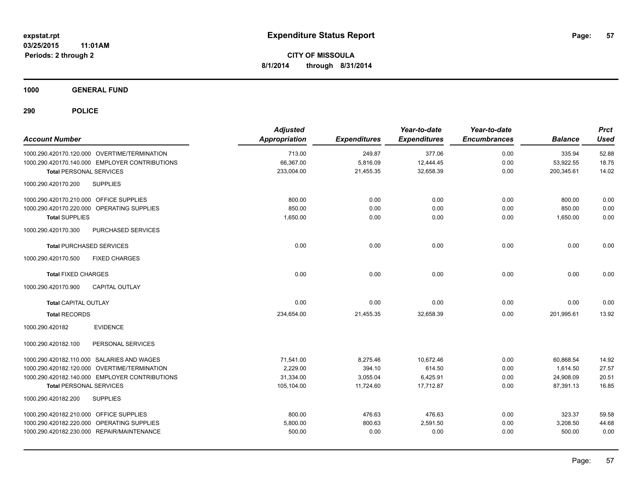**1000 GENERAL FUND**

| <b>Account Number</b>                          | <b>Adjusted</b><br><b>Appropriation</b> | <b>Expenditures</b> | Year-to-date<br><b>Expenditures</b> | Year-to-date<br><b>Encumbrances</b> | <b>Balance</b> | <b>Prct</b><br><b>Used</b> |
|------------------------------------------------|-----------------------------------------|---------------------|-------------------------------------|-------------------------------------|----------------|----------------------------|
| 1000.290.420170.120.000 OVERTIME/TERMINATION   | 713.00                                  | 249.87              | 377.06                              | 0.00                                | 335.94         | 52.88                      |
| 1000.290.420170.140.000 EMPLOYER CONTRIBUTIONS | 66,367.00                               | 5,816.09            | 12,444.45                           | 0.00                                | 53,922.55      | 18.75                      |
| <b>Total PERSONAL SERVICES</b>                 | 233,004.00                              | 21,455.35           | 32,658.39                           | 0.00                                | 200,345.61     | 14.02                      |
| <b>SUPPLIES</b><br>1000.290.420170.200         |                                         |                     |                                     |                                     |                |                            |
| 1000.290.420170.210.000 OFFICE SUPPLIES        | 800.00                                  | 0.00                | 0.00                                | 0.00                                | 800.00         | 0.00                       |
| 1000.290.420170.220.000 OPERATING SUPPLIES     | 850.00                                  | 0.00                | 0.00                                | 0.00                                | 850.00         | 0.00                       |
| <b>Total SUPPLIES</b>                          | 1,650.00                                | 0.00                | 0.00                                | 0.00                                | 1,650.00       | 0.00                       |
| PURCHASED SERVICES<br>1000.290.420170.300      |                                         |                     |                                     |                                     |                |                            |
| <b>Total PURCHASED SERVICES</b>                | 0.00                                    | 0.00                | 0.00                                | 0.00                                | 0.00           | 0.00                       |
| <b>FIXED CHARGES</b><br>1000.290.420170.500    |                                         |                     |                                     |                                     |                |                            |
| <b>Total FIXED CHARGES</b>                     | 0.00                                    | 0.00                | 0.00                                | 0.00                                | 0.00           | 0.00                       |
| CAPITAL OUTLAY<br>1000.290.420170.900          |                                         |                     |                                     |                                     |                |                            |
| <b>Total CAPITAL OUTLAY</b>                    | 0.00                                    | 0.00                | 0.00                                | 0.00                                | 0.00           | 0.00                       |
| <b>Total RECORDS</b>                           | 234,654.00                              | 21,455.35           | 32,658.39                           | 0.00                                | 201,995.61     | 13.92                      |
| <b>EVIDENCE</b><br>1000.290.420182             |                                         |                     |                                     |                                     |                |                            |
| 1000.290.420182.100<br>PERSONAL SERVICES       |                                         |                     |                                     |                                     |                |                            |
| 1000.290.420182.110.000 SALARIES AND WAGES     | 71,541.00                               | 8,275.46            | 10,672.46                           | 0.00                                | 60,868.54      | 14.92                      |
| 1000.290.420182.120.000 OVERTIME/TERMINATION   | 2,229.00                                | 394.10              | 614.50                              | 0.00                                | 1,614.50       | 27.57                      |
| 1000.290.420182.140.000 EMPLOYER CONTRIBUTIONS | 31,334.00                               | 3,055.04            | 6,425.91                            | 0.00                                | 24,908.09      | 20.51                      |
| <b>Total PERSONAL SERVICES</b>                 | 105,104.00                              | 11,724.60           | 17,712.87                           | 0.00                                | 87,391.13      | 16.85                      |
| 1000.290.420182.200<br><b>SUPPLIES</b>         |                                         |                     |                                     |                                     |                |                            |
| 1000.290.420182.210.000 OFFICE SUPPLIES        | 800.00                                  | 476.63              | 476.63                              | 0.00                                | 323.37         | 59.58                      |
| 1000.290.420182.220.000 OPERATING SUPPLIES     | 5,800.00                                | 800.63              | 2,591.50                            | 0.00                                | 3,208.50       | 44.68                      |
| 1000.290.420182.230.000 REPAIR/MAINTENANCE     | 500.00                                  | 0.00                | 0.00                                | 0.00                                | 500.00         | 0.00                       |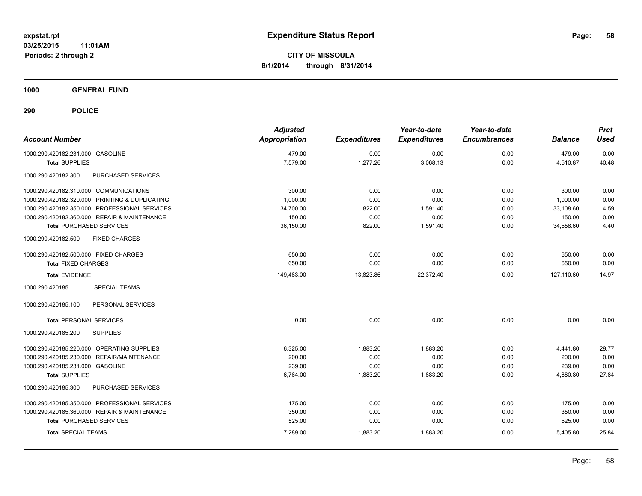**1000 GENERAL FUND**

| <b>Account Number</b>                          | <b>Adjusted</b><br>Appropriation | <b>Expenditures</b> | Year-to-date<br><b>Expenditures</b> | Year-to-date<br><b>Encumbrances</b> | <b>Balance</b> | <b>Prct</b><br><b>Used</b> |
|------------------------------------------------|----------------------------------|---------------------|-------------------------------------|-------------------------------------|----------------|----------------------------|
| 1000.290.420182.231.000 GASOLINE               | 479.00                           | 0.00                | 0.00                                | 0.00                                | 479.00         | 0.00                       |
| <b>Total SUPPLIES</b>                          | 7,579.00                         | 1,277.26            | 3,068.13                            | 0.00                                | 4,510.87       | 40.48                      |
| 1000.290.420182.300<br>PURCHASED SERVICES      |                                  |                     |                                     |                                     |                |                            |
| 1000.290.420182.310.000 COMMUNICATIONS         | 300.00                           | 0.00                | 0.00                                | 0.00                                | 300.00         | 0.00                       |
| 1000.290.420182.320.000 PRINTING & DUPLICATING | 1,000.00                         | 0.00                | 0.00                                | 0.00                                | 1,000.00       | 0.00                       |
| 1000.290.420182.350.000 PROFESSIONAL SERVICES  | 34,700.00                        | 822.00              | 1,591.40                            | 0.00                                | 33,108.60      | 4.59                       |
| 1000.290.420182.360.000 REPAIR & MAINTENANCE   | 150.00                           | 0.00                | 0.00                                | 0.00                                | 150.00         | 0.00                       |
| <b>Total PURCHASED SERVICES</b>                | 36,150.00                        | 822.00              | 1,591.40                            | 0.00                                | 34,558.60      | 4.40                       |
| 1000.290.420182.500<br><b>FIXED CHARGES</b>    |                                  |                     |                                     |                                     |                |                            |
| 1000.290.420182.500.000 FIXED CHARGES          | 650.00                           | 0.00                | 0.00                                | 0.00                                | 650.00         | 0.00                       |
| <b>Total FIXED CHARGES</b>                     | 650.00                           | 0.00                | 0.00                                | 0.00                                | 650.00         | 0.00                       |
| <b>Total EVIDENCE</b>                          | 149,483.00                       | 13,823.86           | 22,372.40                           | 0.00                                | 127.110.60     | 14.97                      |
| 1000.290.420185<br><b>SPECIAL TEAMS</b>        |                                  |                     |                                     |                                     |                |                            |
| 1000.290.420185.100<br>PERSONAL SERVICES       |                                  |                     |                                     |                                     |                |                            |
| <b>Total PERSONAL SERVICES</b>                 | 0.00                             | 0.00                | 0.00                                | 0.00                                | 0.00           | 0.00                       |
| 1000.290.420185.200<br><b>SUPPLIES</b>         |                                  |                     |                                     |                                     |                |                            |
| 1000.290.420185.220.000 OPERATING SUPPLIES     | 6,325.00                         | 1,883.20            | 1,883.20                            | 0.00                                | 4,441.80       | 29.77                      |
| 1000.290.420185.230.000 REPAIR/MAINTENANCE     | 200.00                           | 0.00                | 0.00                                | 0.00                                | 200.00         | 0.00                       |
| 1000.290.420185.231.000 GASOLINE               | 239.00                           | 0.00                | 0.00                                | 0.00                                | 239.00         | 0.00                       |
| <b>Total SUPPLIES</b>                          | 6,764.00                         | 1,883.20            | 1,883.20                            | 0.00                                | 4,880.80       | 27.84                      |
| 1000.290.420185.300<br>PURCHASED SERVICES      |                                  |                     |                                     |                                     |                |                            |
| 1000.290.420185.350.000 PROFESSIONAL SERVICES  | 175.00                           | 0.00                | 0.00                                | 0.00                                | 175.00         | 0.00                       |
| 1000.290.420185.360.000 REPAIR & MAINTENANCE   | 350.00                           | 0.00                | 0.00                                | 0.00                                | 350.00         | 0.00                       |
| <b>Total PURCHASED SERVICES</b>                | 525.00                           | 0.00                | 0.00                                | 0.00                                | 525.00         | 0.00                       |
| <b>Total SPECIAL TEAMS</b>                     | 7,289.00                         | 1,883.20            | 1,883.20                            | 0.00                                | 5,405.80       | 25.84                      |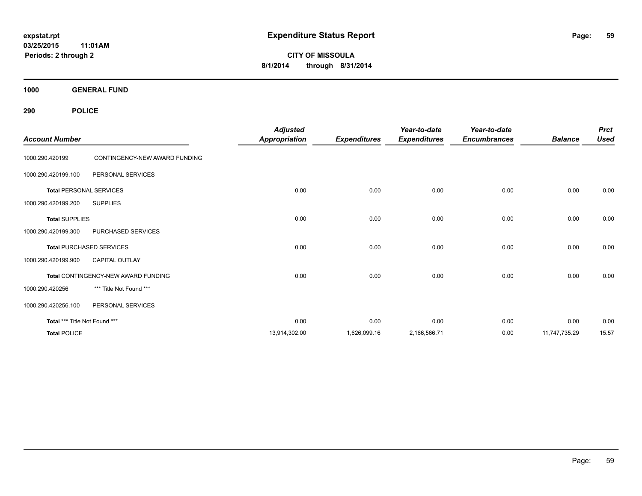**CITY OF MISSOULA 8/1/2014 through 8/31/2014**

**1000 GENERAL FUND**

| <b>Account Number</b>         |                                     | <b>Adjusted</b><br><b>Appropriation</b> | <b>Expenditures</b> | Year-to-date<br><b>Expenditures</b> | Year-to-date<br><b>Encumbrances</b> | <b>Balance</b> | <b>Prct</b><br><b>Used</b> |
|-------------------------------|-------------------------------------|-----------------------------------------|---------------------|-------------------------------------|-------------------------------------|----------------|----------------------------|
| 1000.290.420199               | CONTINGENCY-NEW AWARD FUNDING       |                                         |                     |                                     |                                     |                |                            |
| 1000.290.420199.100           | PERSONAL SERVICES                   |                                         |                     |                                     |                                     |                |                            |
|                               | <b>Total PERSONAL SERVICES</b>      | 0.00                                    | 0.00                | 0.00                                | 0.00                                | 0.00           | 0.00                       |
| 1000.290.420199.200           | <b>SUPPLIES</b>                     |                                         |                     |                                     |                                     |                |                            |
| <b>Total SUPPLIES</b>         |                                     | 0.00                                    | 0.00                | 0.00                                | 0.00                                | 0.00           | 0.00                       |
| 1000.290.420199.300           | PURCHASED SERVICES                  |                                         |                     |                                     |                                     |                |                            |
|                               | <b>Total PURCHASED SERVICES</b>     | 0.00                                    | 0.00                | 0.00                                | 0.00                                | 0.00           | 0.00                       |
| 1000.290.420199.900           | <b>CAPITAL OUTLAY</b>               |                                         |                     |                                     |                                     |                |                            |
|                               | Total CONTINGENCY-NEW AWARD FUNDING | 0.00                                    | 0.00                | 0.00                                | 0.00                                | 0.00           | 0.00                       |
| 1000.290.420256               | *** Title Not Found ***             |                                         |                     |                                     |                                     |                |                            |
| 1000.290.420256.100           | PERSONAL SERVICES                   |                                         |                     |                                     |                                     |                |                            |
| Total *** Title Not Found *** |                                     | 0.00                                    | 0.00                | 0.00                                | 0.00                                | 0.00           | 0.00                       |
| <b>Total POLICE</b>           |                                     | 13,914,302.00                           | 1,626,099.16        | 2,166,566.71                        | 0.00                                | 11,747,735.29  | 15.57                      |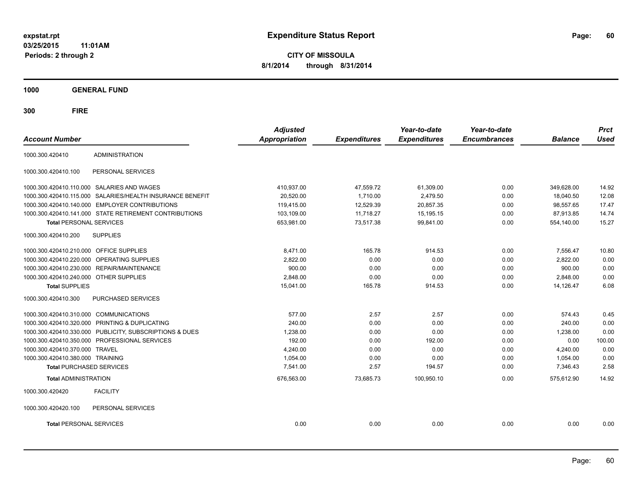**CITY OF MISSOULA 8/1/2014 through 8/31/2014**

**1000 GENERAL FUND**

| <b>Account Number</b>                  |                                                         | <b>Adjusted</b><br><b>Appropriation</b> | <b>Expenditures</b> | Year-to-date<br><b>Expenditures</b> | Year-to-date<br><b>Encumbrances</b> | <b>Balance</b> | <b>Prct</b><br><b>Used</b> |
|----------------------------------------|---------------------------------------------------------|-----------------------------------------|---------------------|-------------------------------------|-------------------------------------|----------------|----------------------------|
|                                        |                                                         |                                         |                     |                                     |                                     |                |                            |
| 1000.300.420410                        | <b>ADMINISTRATION</b>                                   |                                         |                     |                                     |                                     |                |                            |
| 1000.300.420410.100                    | PERSONAL SERVICES                                       |                                         |                     |                                     |                                     |                |                            |
|                                        | 1000.300.420410.110.000 SALARIES AND WAGES              | 410,937.00                              | 47,559.72           | 61,309.00                           | 0.00                                | 349,628.00     | 14.92                      |
| 1000.300.420410.115.000                | SALARIES/HEALTH INSURANCE BENEFIT                       | 20,520.00                               | 1,710.00            | 2,479.50                            | 0.00                                | 18,040.50      | 12.08                      |
|                                        | 1000.300.420410.140.000 EMPLOYER CONTRIBUTIONS          | 119.415.00                              | 12,529.39           | 20,857.35                           | 0.00                                | 98.557.65      | 17.47                      |
|                                        | 1000.300.420410.141.000 STATE RETIREMENT CONTRIBUTIONS  | 103,109.00                              | 11,718.27           | 15,195.15                           | 0.00                                | 87,913.85      | 14.74                      |
| <b>Total PERSONAL SERVICES</b>         |                                                         | 653,981.00                              | 73,517.38           | 99,841.00                           | 0.00                                | 554,140.00     | 15.27                      |
| 1000.300.420410.200                    | <b>SUPPLIES</b>                                         |                                         |                     |                                     |                                     |                |                            |
| 1000.300.420410.210.000                | <b>OFFICE SUPPLIES</b>                                  | 8.471.00                                | 165.78              | 914.53                              | 0.00                                | 7,556.47       | 10.80                      |
| 1000.300.420410.220.000                | OPERATING SUPPLIES                                      | 2,822.00                                | 0.00                | 0.00                                | 0.00                                | 2,822.00       | 0.00                       |
|                                        | 1000.300.420410.230.000 REPAIR/MAINTENANCE              | 900.00                                  | 0.00                | 0.00                                | 0.00                                | 900.00         | 0.00                       |
| 1000.300.420410.240.000 OTHER SUPPLIES |                                                         | 2,848.00                                | 0.00                | 0.00                                | 0.00                                | 2,848.00       | 0.00                       |
| <b>Total SUPPLIES</b>                  |                                                         | 15,041.00                               | 165.78              | 914.53                              | 0.00                                | 14,126.47      | 6.08                       |
| 1000.300.420410.300                    | PURCHASED SERVICES                                      |                                         |                     |                                     |                                     |                |                            |
| 1000.300.420410.310.000 COMMUNICATIONS |                                                         | 577.00                                  | 2.57                | 2.57                                | 0.00                                | 574.43         | 0.45                       |
|                                        | 1000.300.420410.320.000 PRINTING & DUPLICATING          | 240.00                                  | 0.00                | 0.00                                | 0.00                                | 240.00         | 0.00                       |
|                                        | 1000.300.420410.330.000 PUBLICITY, SUBSCRIPTIONS & DUES | 1,238.00                                | 0.00                | 0.00                                | 0.00                                | 1,238.00       | 0.00                       |
|                                        | 1000.300.420410.350.000 PROFESSIONAL SERVICES           | 192.00                                  | 0.00                | 192.00                              | 0.00                                | 0.00           | 100.00                     |
| 1000.300.420410.370.000 TRAVEL         |                                                         | 4.240.00                                | 0.00                | 0.00                                | 0.00                                | 4,240.00       | 0.00                       |
| 1000.300.420410.380.000 TRAINING       |                                                         | 1.054.00                                | 0.00                | 0.00                                | 0.00                                | 1,054.00       | 0.00                       |
| <b>Total PURCHASED SERVICES</b>        |                                                         | 7,541.00                                | 2.57                | 194.57                              | 0.00                                | 7,346.43       | 2.58                       |
| <b>Total ADMINISTRATION</b>            |                                                         | 676,563.00                              | 73,685.73           | 100,950.10                          | 0.00                                | 575,612.90     | 14.92                      |
| 1000.300.420420                        | <b>FACILITY</b>                                         |                                         |                     |                                     |                                     |                |                            |
| 1000.300.420420.100                    | PERSONAL SERVICES                                       |                                         |                     |                                     |                                     |                |                            |
| <b>Total PERSONAL SERVICES</b>         |                                                         | 0.00                                    | 0.00                | 0.00                                | 0.00                                | 0.00           | 0.00                       |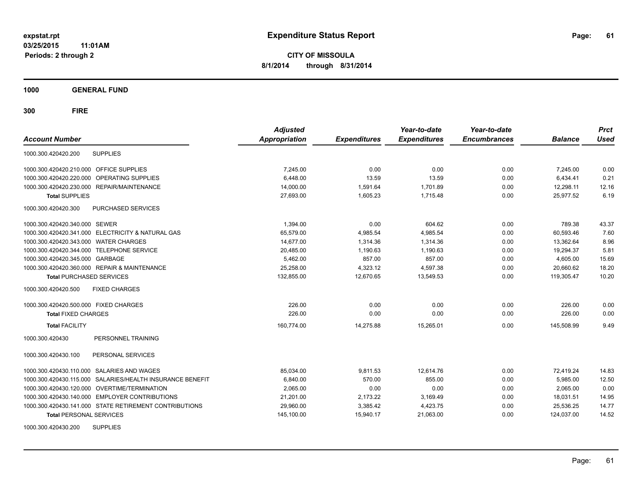**CITY OF MISSOULA 8/1/2014 through 8/31/2014**

**1000 GENERAL FUND**

| <b>Account Number</b>                                        | <b>Adjusted</b><br><b>Appropriation</b> | <b>Expenditures</b> | Year-to-date<br><b>Expenditures</b> | Year-to-date<br><b>Encumbrances</b> | <b>Balance</b> | <b>Prct</b><br><b>Used</b> |
|--------------------------------------------------------------|-----------------------------------------|---------------------|-------------------------------------|-------------------------------------|----------------|----------------------------|
| <b>SUPPLIES</b><br>1000.300.420420.200                       |                                         |                     |                                     |                                     |                |                            |
| 1000.300.420420.210.000 OFFICE SUPPLIES                      | 7,245.00                                | 0.00                | 0.00                                | 0.00                                | 7,245.00       | 0.00                       |
| OPERATING SUPPLIES<br>1000.300.420420.220.000                | 6,448.00                                | 13.59               | 13.59                               | 0.00                                | 6,434.41       | 0.21                       |
| 1000.300.420420.230.000 REPAIR/MAINTENANCE                   | 14.000.00                               | 1.591.64            | 1.701.89                            | 0.00                                | 12.298.11      | 12.16                      |
| <b>Total SUPPLIES</b>                                        | 27,693.00                               | 1,605.23            | 1,715.48                            | 0.00                                | 25.977.52      | 6.19                       |
| 1000.300.420420.300<br><b>PURCHASED SERVICES</b>             |                                         |                     |                                     |                                     |                |                            |
| 1000.300.420420.340.000 SEWER                                | 1.394.00                                | 0.00                | 604.62                              | 0.00                                | 789.38         | 43.37                      |
| 1000.300.420420.341.000 ELECTRICITY & NATURAL GAS            | 65,579.00                               | 4,985.54            | 4,985.54                            | 0.00                                | 60,593.46      | 7.60                       |
| 1000.300.420420.343.000 WATER CHARGES                        | 14,677.00                               | 1,314.36            | 1.314.36                            | 0.00                                | 13.362.64      | 8.96                       |
| 1000.300.420420.344.000 TELEPHONE SERVICE                    | 20,485.00                               | 1,190.63            | 1,190.63                            | 0.00                                | 19,294.37      | 5.81                       |
| 1000.300.420420.345.000 GARBAGE                              | 5,462.00                                | 857.00              | 857.00                              | 0.00                                | 4,605.00       | 15.69                      |
| 1000.300.420420.360.000 REPAIR & MAINTENANCE                 | 25,258.00                               | 4,323.12            | 4,597.38                            | 0.00                                | 20,660.62      | 18.20                      |
| <b>Total PURCHASED SERVICES</b>                              | 132,855.00                              | 12,670.65           | 13,549.53                           | 0.00                                | 119,305.47     | 10.20                      |
| 1000.300.420420.500<br><b>FIXED CHARGES</b>                  |                                         |                     |                                     |                                     |                |                            |
| 1000.300.420420.500.000 FIXED CHARGES                        | 226.00                                  | 0.00                | 0.00                                | 0.00                                | 226.00         | 0.00                       |
| <b>Total FIXED CHARGES</b>                                   | 226.00                                  | 0.00                | 0.00                                | 0.00                                | 226.00         | 0.00                       |
| <b>Total FACILITY</b>                                        | 160,774.00                              | 14,275.88           | 15,265.01                           | 0.00                                | 145,508.99     | 9.49                       |
| PERSONNEL TRAINING<br>1000.300.420430                        |                                         |                     |                                     |                                     |                |                            |
| 1000.300.420430.100<br>PERSONAL SERVICES                     |                                         |                     |                                     |                                     |                |                            |
| 1000.300.420430.110.000 SALARIES AND WAGES                   | 85,034.00                               | 9,811.53            | 12,614.76                           | 0.00                                | 72,419.24      | 14.83                      |
| SALARIES/HEALTH INSURANCE BENEFIT<br>1000.300.420430.115.000 | 6,840.00                                | 570.00              | 855.00                              | 0.00                                | 5.985.00       | 12.50                      |
| 1000.300.420430.120.000<br><b>OVERTIME/TERMINATION</b>       | 2,065.00                                | 0.00                | 0.00                                | 0.00                                | 2,065.00       | 0.00                       |
| 1000.300.420430.140.000 EMPLOYER CONTRIBUTIONS               | 21,201.00                               | 2,173.22            | 3,169.49                            | 0.00                                | 18,031.51      | 14.95                      |
| 1000.300.420430.141.000 STATE RETIREMENT CONTRIBUTIONS       | 29,960.00                               | 3,385.42            | 4,423.75                            | 0.00                                | 25,536.25      | 14.77                      |
| <b>Total PERSONAL SERVICES</b>                               | 145,100.00                              | 15,940.17           | 21,063.00                           | 0.00                                | 124,037.00     | 14.52                      |
| 1000.300.420430.200<br><b>SUPPLIES</b>                       |                                         |                     |                                     |                                     |                |                            |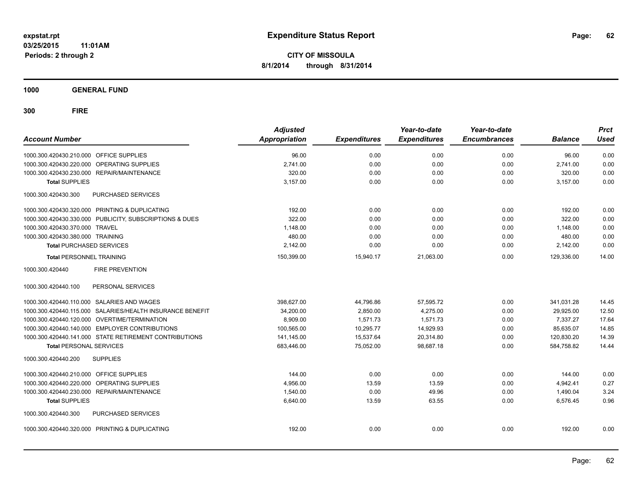**1000 GENERAL FUND**

| <b>Account Number</b>                                     | <b>Adjusted</b><br><b>Appropriation</b> | <b>Expenditures</b> | Year-to-date<br><b>Expenditures</b> | Year-to-date<br><b>Encumbrances</b> | <b>Balance</b> | <b>Prct</b><br>Used |
|-----------------------------------------------------------|-----------------------------------------|---------------------|-------------------------------------|-------------------------------------|----------------|---------------------|
| 1000.300.420430.210.000 OFFICE SUPPLIES                   | 96.00                                   | 0.00                | 0.00                                | 0.00                                | 96.00          | 0.00                |
| 1000.300.420430.220.000 OPERATING SUPPLIES                | 2,741.00                                | 0.00                | 0.00                                | 0.00                                | 2,741.00       | 0.00                |
| 1000.300.420430.230.000 REPAIR/MAINTENANCE                | 320.00                                  | 0.00                | 0.00                                | 0.00                                | 320.00         | 0.00                |
| <b>Total SUPPLIES</b>                                     | 3,157.00                                | 0.00                | 0.00                                | 0.00                                | 3,157.00       | 0.00                |
| 1000.300.420430.300<br>PURCHASED SERVICES                 |                                         |                     |                                     |                                     |                |                     |
| 1000.300.420430.320.000 PRINTING & DUPLICATING            | 192.00                                  | 0.00                | 0.00                                | 0.00                                | 192.00         | 0.00                |
| 1000.300.420430.330.000 PUBLICITY, SUBSCRIPTIONS & DUES   | 322.00                                  | 0.00                | 0.00                                | 0.00                                | 322.00         | 0.00                |
| 1000.300.420430.370.000 TRAVEL                            | 1,148.00                                | 0.00                | 0.00                                | 0.00                                | 1,148.00       | 0.00                |
| 1000.300.420430.380.000 TRAINING                          | 480.00                                  | 0.00                | 0.00                                | 0.00                                | 480.00         | 0.00                |
| <b>Total PURCHASED SERVICES</b>                           | 2,142.00                                | 0.00                | 0.00                                | 0.00                                | 2,142.00       | 0.00                |
| <b>Total PERSONNEL TRAINING</b>                           | 150,399.00                              | 15,940.17           | 21,063.00                           | 0.00                                | 129.336.00     | 14.00               |
| <b>FIRE PREVENTION</b><br>1000.300.420440                 |                                         |                     |                                     |                                     |                |                     |
| 1000.300.420440.100<br>PERSONAL SERVICES                  |                                         |                     |                                     |                                     |                |                     |
| 1000.300.420440.110.000 SALARIES AND WAGES                | 398,627.00                              | 44,796.86           | 57,595.72                           | 0.00                                | 341,031.28     | 14.45               |
| 1000.300.420440.115.000 SALARIES/HEALTH INSURANCE BENEFIT | 34,200.00                               | 2,850.00            | 4.275.00                            | 0.00                                | 29,925.00      | 12.50               |
| 1000.300.420440.120.000 OVERTIME/TERMINATION              | 8,909.00                                | 1,571.73            | 1,571.73                            | 0.00                                | 7,337.27       | 17.64               |
| 1000.300.420440.140.000 EMPLOYER CONTRIBUTIONS            | 100,565.00                              | 10,295.77           | 14,929.93                           | 0.00                                | 85,635.07      | 14.85               |
| 1000.300.420440.141.000 STATE RETIREMENT CONTRIBUTIONS    | 141,145.00                              | 15,537.64           | 20,314.80                           | 0.00                                | 120,830.20     | 14.39               |
| <b>Total PERSONAL SERVICES</b>                            | 683,446.00                              | 75,052.00           | 98,687.18                           | 0.00                                | 584,758.82     | 14.44               |
| <b>SUPPLIES</b><br>1000.300.420440.200                    |                                         |                     |                                     |                                     |                |                     |
| 1000.300.420440.210.000 OFFICE SUPPLIES                   | 144.00                                  | 0.00                | 0.00                                | 0.00                                | 144.00         | 0.00                |
| 1000.300.420440.220.000 OPERATING SUPPLIES                | 4.956.00                                | 13.59               | 13.59                               | 0.00                                | 4,942.41       | 0.27                |
| 1000.300.420440.230.000 REPAIR/MAINTENANCE                | 1,540.00                                | 0.00                | 49.96                               | 0.00                                | 1,490.04       | 3.24                |
| <b>Total SUPPLIES</b>                                     | 6,640.00                                | 13.59               | 63.55                               | 0.00                                | 6,576.45       | 0.96                |
| 1000.300.420440.300<br>PURCHASED SERVICES                 |                                         |                     |                                     |                                     |                |                     |
| 1000.300.420440.320.000 PRINTING & DUPLICATING            | 192.00                                  | 0.00                | 0.00                                | 0.00                                | 192.00         | 0.00                |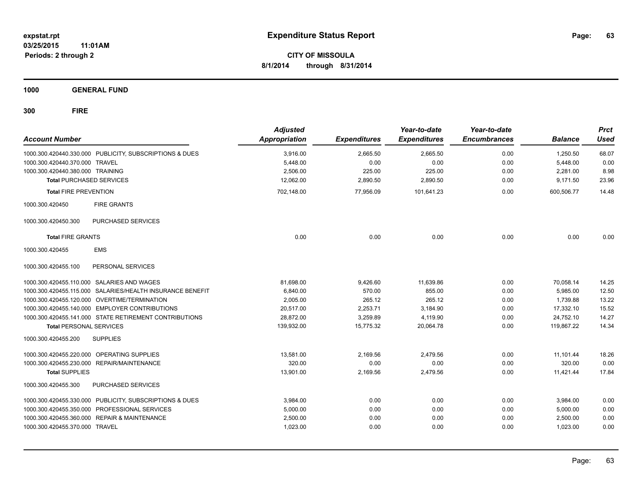**CITY OF MISSOULA 8/1/2014 through 8/31/2014**

**1000 GENERAL FUND**

| <b>Account Number</b>            |                                                           | <b>Adjusted</b><br>Appropriation | <b>Expenditures</b> | Year-to-date<br><b>Expenditures</b> | Year-to-date<br><b>Encumbrances</b> | <b>Balance</b> | <b>Prct</b><br><b>Used</b> |
|----------------------------------|-----------------------------------------------------------|----------------------------------|---------------------|-------------------------------------|-------------------------------------|----------------|----------------------------|
|                                  | 1000.300.420440.330.000 PUBLICITY, SUBSCRIPTIONS & DUES   | 3,916.00                         | 2,665.50            | 2,665.50                            | 0.00                                | 1,250.50       | 68.07                      |
| 1000.300.420440.370.000 TRAVEL   |                                                           | 5,448.00                         | 0.00                | 0.00                                | 0.00                                | 5,448.00       | 0.00                       |
| 1000.300.420440.380.000 TRAINING |                                                           | 2,506.00                         | 225.00              | 225.00                              | 0.00                                | 2,281.00       | 8.98                       |
| <b>Total PURCHASED SERVICES</b>  |                                                           | 12.062.00                        | 2,890.50            | 2,890.50                            | 0.00                                | 9,171.50       | 23.96                      |
| <b>Total FIRE PREVENTION</b>     |                                                           | 702,148.00                       | 77,956.09           | 101,641.23                          | 0.00                                | 600,506.77     | 14.48                      |
| 1000.300.420450                  | <b>FIRE GRANTS</b>                                        |                                  |                     |                                     |                                     |                |                            |
| 1000.300.420450.300              | PURCHASED SERVICES                                        |                                  |                     |                                     |                                     |                |                            |
| <b>Total FIRE GRANTS</b>         |                                                           | 0.00                             | 0.00                | 0.00                                | 0.00                                | 0.00           | 0.00                       |
| 1000.300.420455                  | <b>EMS</b>                                                |                                  |                     |                                     |                                     |                |                            |
| 1000.300.420455.100              | PERSONAL SERVICES                                         |                                  |                     |                                     |                                     |                |                            |
|                                  | 1000.300.420455.110.000 SALARIES AND WAGES                | 81,698.00                        | 9,426.60            | 11,639.86                           | 0.00                                | 70,058.14      | 14.25                      |
|                                  | 1000.300.420455.115.000 SALARIES/HEALTH INSURANCE BENEFIT | 6.840.00                         | 570.00              | 855.00                              | 0.00                                | 5,985.00       | 12.50                      |
|                                  | 1000.300.420455.120.000 OVERTIME/TERMINATION              | 2.005.00                         | 265.12              | 265.12                              | 0.00                                | 1.739.88       | 13.22                      |
|                                  | 1000.300.420455.140.000 EMPLOYER CONTRIBUTIONS            | 20.517.00                        | 2.253.71            | 3,184.90                            | 0.00                                | 17.332.10      | 15.52                      |
|                                  | 1000.300.420455.141.000 STATE RETIREMENT CONTRIBUTIONS    | 28,872.00                        | 3,259.89            | 4,119.90                            | 0.00                                | 24,752.10      | 14.27                      |
| <b>Total PERSONAL SERVICES</b>   |                                                           | 139,932.00                       | 15,775.32           | 20,064.78                           | 0.00                                | 119,867.22     | 14.34                      |
| 1000.300.420455.200              | <b>SUPPLIES</b>                                           |                                  |                     |                                     |                                     |                |                            |
|                                  | 1000.300.420455.220.000 OPERATING SUPPLIES                | 13.581.00                        | 2,169.56            | 2,479.56                            | 0.00                                | 11,101.44      | 18.26                      |
| 1000.300.420455.230.000          | REPAIR/MAINTENANCE                                        | 320.00                           | 0.00                | 0.00                                | 0.00                                | 320.00         | 0.00                       |
| <b>Total SUPPLIES</b>            |                                                           | 13,901.00                        | 2,169.56            | 2,479.56                            | 0.00                                | 11,421.44      | 17.84                      |
| 1000.300.420455.300              | PURCHASED SERVICES                                        |                                  |                     |                                     |                                     |                |                            |
| 1000.300.420455.330.000          | PUBLICITY, SUBSCRIPTIONS & DUES                           | 3,984.00                         | 0.00                | 0.00                                | 0.00                                | 3,984.00       | 0.00                       |
| 1000.300.420455.350.000          | PROFESSIONAL SERVICES                                     | 5,000.00                         | 0.00                | 0.00                                | 0.00                                | 5,000.00       | 0.00                       |
| 1000.300.420455.360.000          | <b>REPAIR &amp; MAINTENANCE</b>                           | 2,500.00                         | 0.00                | 0.00                                | 0.00                                | 2,500.00       | 0.00                       |
| 1000.300.420455.370.000 TRAVEL   |                                                           | 1,023.00                         | 0.00                | 0.00                                | 0.00                                | 1,023.00       | 0.00                       |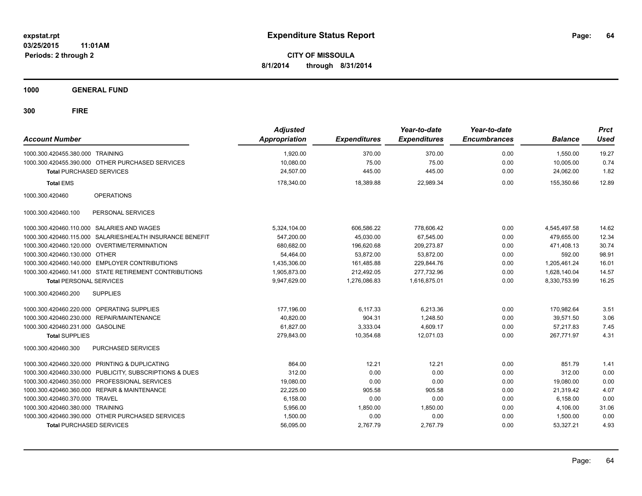**CITY OF MISSOULA 8/1/2014 through 8/31/2014**

**1000 GENERAL FUND**

| <b>Account Number</b>            |                                                         | <b>Adjusted</b><br><b>Appropriation</b> | <b>Expenditures</b> | Year-to-date<br><b>Expenditures</b> | Year-to-date<br><b>Encumbrances</b> | <b>Balance</b> | <b>Prct</b><br><b>Used</b> |
|----------------------------------|---------------------------------------------------------|-----------------------------------------|---------------------|-------------------------------------|-------------------------------------|----------------|----------------------------|
| 1000.300.420455.380.000 TRAINING |                                                         | 1,920.00                                | 370.00              | 370.00                              | 0.00                                | 1.550.00       | 19.27                      |
|                                  | 1000.300.420455.390.000 OTHER PURCHASED SERVICES        | 10,080.00                               | 75.00               | 75.00                               | 0.00                                | 10.005.00      | 0.74                       |
| <b>Total PURCHASED SERVICES</b>  |                                                         | 24.507.00                               | 445.00              | 445.00                              | 0.00                                | 24.062.00      | 1.82                       |
| <b>Total EMS</b>                 |                                                         | 178,340.00                              | 18,389.88           | 22,989.34                           | 0.00                                | 155,350.66     | 12.89                      |
| 1000.300.420460                  | <b>OPERATIONS</b>                                       |                                         |                     |                                     |                                     |                |                            |
| 1000.300.420460.100              | PERSONAL SERVICES                                       |                                         |                     |                                     |                                     |                |                            |
|                                  | 1000.300.420460.110.000 SALARIES AND WAGES              | 5,324,104.00                            | 606,586.22          | 778,606.42                          | 0.00                                | 4,545,497.58   | 14.62                      |
| 1000.300.420460.115.000          | SALARIES/HEALTH INSURANCE BENEFIT                       | 547.200.00                              | 45.030.00           | 67.545.00                           | 0.00                                | 479.655.00     | 12.34                      |
|                                  | 1000.300.420460.120.000 OVERTIME/TERMINATION            | 680,682.00                              | 196.620.68          | 209.273.87                          | 0.00                                | 471.408.13     | 30.74                      |
| 1000.300.420460.130.000 OTHER    |                                                         | 54.464.00                               | 53,872.00           | 53,872.00                           | 0.00                                | 592.00         | 98.91                      |
|                                  | 1000.300.420460.140.000 EMPLOYER CONTRIBUTIONS          | 1,435,306.00                            | 161,485.88          | 229,844.76                          | 0.00                                | 1,205,461.24   | 16.01                      |
|                                  | 1000.300.420460.141.000 STATE RETIREMENT CONTRIBUTIONS  | 1,905,873.00                            | 212,492.05          | 277,732.96                          | 0.00                                | 1,628,140.04   | 14.57                      |
| <b>Total PERSONAL SERVICES</b>   |                                                         | 9,947,629.00                            | 1,276,086.83        | 1,616,875.01                        | 0.00                                | 8,330,753.99   | 16.25                      |
| 1000.300.420460.200              | <b>SUPPLIES</b>                                         |                                         |                     |                                     |                                     |                |                            |
|                                  | 1000.300.420460.220.000 OPERATING SUPPLIES              | 177,196.00                              | 6,117.33            | 6.213.36                            | 0.00                                | 170.982.64     | 3.51                       |
| 1000.300.420460.230.000          | REPAIR/MAINTENANCE                                      | 40,820.00                               | 904.31              | 1,248.50                            | 0.00                                | 39,571.50      | 3.06                       |
| 1000.300.420460.231.000 GASOLINE |                                                         | 61,827.00                               | 3,333.04            | 4,609.17                            | 0.00                                | 57,217.83      | 7.45                       |
| <b>Total SUPPLIES</b>            |                                                         | 279,843.00                              | 10,354.68           | 12,071.03                           | 0.00                                | 267,771.97     | 4.31                       |
| 1000.300.420460.300              | <b>PURCHASED SERVICES</b>                               |                                         |                     |                                     |                                     |                |                            |
|                                  | 1000.300.420460.320.000 PRINTING & DUPLICATING          | 864.00                                  | 12.21               | 12.21                               | 0.00                                | 851.79         | 1.41                       |
|                                  | 1000.300.420460.330.000 PUBLICITY, SUBSCRIPTIONS & DUES | 312.00                                  | 0.00                | 0.00                                | 0.00                                | 312.00         | 0.00                       |
|                                  | 1000.300.420460.350.000 PROFESSIONAL SERVICES           | 19,080.00                               | 0.00                | 0.00                                | 0.00                                | 19,080.00      | 0.00                       |
| 1000.300.420460.360.000          | <b>REPAIR &amp; MAINTENANCE</b>                         | 22,225.00                               | 905.58              | 905.58                              | 0.00                                | 21,319.42      | 4.07                       |
| 1000.300.420460.370.000          | <b>TRAVEL</b>                                           | 6,158.00                                | 0.00                | 0.00                                | 0.00                                | 6,158.00       | 0.00                       |
| 1000.300.420460.380.000 TRAINING |                                                         | 5,956.00                                | 1,850.00            | 1,850.00                            | 0.00                                | 4,106.00       | 31.06                      |
|                                  | 1000.300.420460.390.000 OTHER PURCHASED SERVICES        | 1,500.00                                | 0.00                | 0.00                                | 0.00                                | 1,500.00       | 0.00                       |
| <b>Total PURCHASED SERVICES</b>  |                                                         | 56,095.00                               | 2,767.79            | 2,767.79                            | 0.00                                | 53,327.21      | 4.93                       |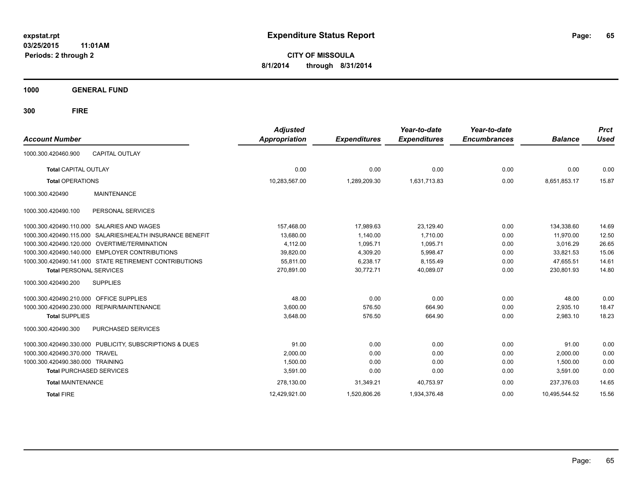**CITY OF MISSOULA 8/1/2014 through 8/31/2014**

**1000 GENERAL FUND**

| <b>Account Number</b>                                        | <b>Adjusted</b><br>Appropriation | <b>Expenditures</b> | Year-to-date<br><b>Expenditures</b> | Year-to-date<br><b>Encumbrances</b> | <b>Balance</b> | <b>Prct</b><br><b>Used</b> |
|--------------------------------------------------------------|----------------------------------|---------------------|-------------------------------------|-------------------------------------|----------------|----------------------------|
| <b>CAPITAL OUTLAY</b><br>1000.300.420460.900                 |                                  |                     |                                     |                                     |                |                            |
| <b>Total CAPITAL OUTLAY</b>                                  | 0.00                             | 0.00                | 0.00                                | 0.00                                | 0.00           | 0.00                       |
| <b>Total OPERATIONS</b>                                      | 10,283,567.00                    | 1,289,209.30        | 1,631,713.83                        | 0.00                                | 8.651.853.17   | 15.87                      |
| 1000.300.420490<br><b>MAINTENANCE</b>                        |                                  |                     |                                     |                                     |                |                            |
| PERSONAL SERVICES<br>1000.300.420490.100                     |                                  |                     |                                     |                                     |                |                            |
| <b>SALARIES AND WAGES</b><br>1000.300.420490.110.000         | 157,468.00                       | 17,989.63           | 23,129.40                           | 0.00                                | 134,338.60     | 14.69                      |
| SALARIES/HEALTH INSURANCE BENEFIT<br>1000.300.420490.115.000 | 13,680.00                        | 1,140.00            | 1.710.00                            | 0.00                                | 11,970.00      | 12.50                      |
| 1000.300.420490.120.000<br>OVERTIME/TERMINATION              | 4,112.00                         | 1.095.71            | 1,095.71                            | 0.00                                | 3,016.29       | 26.65                      |
| 1000.300.420490.140.000 EMPLOYER CONTRIBUTIONS               | 39,820.00                        | 4,309.20            | 5,998.47                            | 0.00                                | 33,821.53      | 15.06                      |
| 1000.300.420490.141.000 STATE RETIREMENT CONTRIBUTIONS       | 55,811.00                        | 6,238.17            | 8,155.49                            | 0.00                                | 47,655.51      | 14.61                      |
| <b>Total PERSONAL SERVICES</b>                               | 270,891.00                       | 30,772.71           | 40,089.07                           | 0.00                                | 230,801.93     | 14.80                      |
| <b>SUPPLIES</b><br>1000.300.420490.200                       |                                  |                     |                                     |                                     |                |                            |
| 1000.300.420490.210.000 OFFICE SUPPLIES                      | 48.00                            | 0.00                | 0.00                                | 0.00                                | 48.00          | 0.00                       |
| 1000.300.420490.230.000 REPAIR/MAINTENANCE                   | 3,600.00                         | 576.50              | 664.90                              | 0.00                                | 2,935.10       | 18.47                      |
| <b>Total SUPPLIES</b>                                        | 3.648.00                         | 576.50              | 664.90                              | 0.00                                | 2,983.10       | 18.23                      |
| 1000.300.420490.300<br>PURCHASED SERVICES                    |                                  |                     |                                     |                                     |                |                            |
| 1000.300.420490.330.000 PUBLICITY, SUBSCRIPTIONS & DUES      | 91.00                            | 0.00                | 0.00                                | 0.00                                | 91.00          | 0.00                       |
| 1000.300.420490.370.000<br><b>TRAVEL</b>                     | 2,000.00                         | 0.00                | 0.00                                | 0.00                                | 2,000.00       | 0.00                       |
| 1000.300.420490.380.000 TRAINING                             | 1,500.00                         | 0.00                | 0.00                                | 0.00                                | 1,500.00       | 0.00                       |
| <b>Total PURCHASED SERVICES</b>                              | 3,591.00                         | 0.00                | 0.00                                | 0.00                                | 3,591.00       | 0.00                       |
| <b>Total MAINTENANCE</b>                                     | 278,130.00                       | 31,349.21           | 40,753.97                           | 0.00                                | 237.376.03     | 14.65                      |
| <b>Total FIRE</b>                                            | 12.429.921.00                    | 1,520,806.26        | 1.934.376.48                        | 0.00                                | 10.495.544.52  | 15.56                      |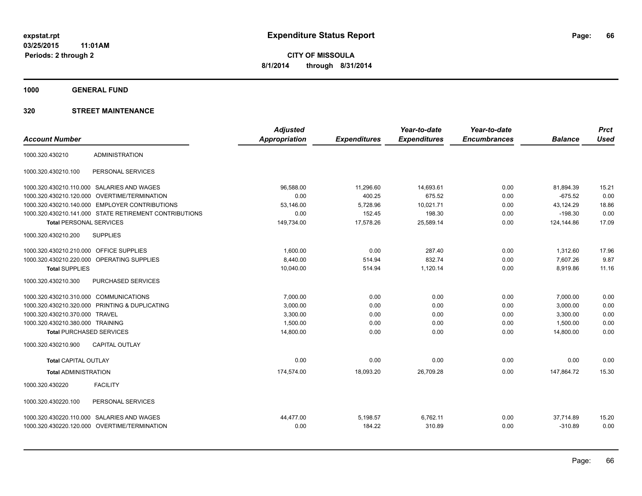**1000 GENERAL FUND**

|                                         |                                                        | <b>Adjusted</b>      |                     | Year-to-date        | Year-to-date        |                | <b>Prct</b> |
|-----------------------------------------|--------------------------------------------------------|----------------------|---------------------|---------------------|---------------------|----------------|-------------|
| <b>Account Number</b>                   |                                                        | <b>Appropriation</b> | <b>Expenditures</b> | <b>Expenditures</b> | <b>Encumbrances</b> | <b>Balance</b> | <b>Used</b> |
| 1000.320.430210                         | <b>ADMINISTRATION</b>                                  |                      |                     |                     |                     |                |             |
| 1000.320.430210.100                     | PERSONAL SERVICES                                      |                      |                     |                     |                     |                |             |
|                                         | 1000.320.430210.110.000 SALARIES AND WAGES             | 96,588.00            | 11,296.60           | 14,693.61           | 0.00                | 81,894.39      | 15.21       |
| 1000.320.430210.120.000                 | <b>OVERTIME/TERMINATION</b>                            | 0.00                 | 400.25              | 675.52              | 0.00                | $-675.52$      | 0.00        |
|                                         | 1000.320.430210.140.000 EMPLOYER CONTRIBUTIONS         | 53,146.00            | 5,728.96            | 10,021.71           | 0.00                | 43,124.29      | 18.86       |
|                                         | 1000.320.430210.141.000 STATE RETIREMENT CONTRIBUTIONS | 0.00                 | 152.45              | 198.30              | 0.00                | $-198.30$      | 0.00        |
| <b>Total PERSONAL SERVICES</b>          |                                                        | 149,734.00           | 17,578.26           | 25,589.14           | 0.00                | 124,144.86     | 17.09       |
| 1000.320.430210.200                     | <b>SUPPLIES</b>                                        |                      |                     |                     |                     |                |             |
| 1000.320.430210.210.000 OFFICE SUPPLIES |                                                        | 1,600.00             | 0.00                | 287.40              | 0.00                | 1,312.60       | 17.96       |
|                                         | 1000.320.430210.220.000 OPERATING SUPPLIES             | 8,440.00             | 514.94              | 832.74              | 0.00                | 7,607.26       | 9.87        |
| <b>Total SUPPLIES</b>                   |                                                        | 10,040.00            | 514.94              | 1,120.14            | 0.00                | 8,919.86       | 11.16       |
| 1000.320.430210.300                     | <b>PURCHASED SERVICES</b>                              |                      |                     |                     |                     |                |             |
| 1000.320.430210.310.000 COMMUNICATIONS  |                                                        | 7,000.00             | 0.00                | 0.00                | 0.00                | 7,000.00       | 0.00        |
|                                         | 1000.320.430210.320.000 PRINTING & DUPLICATING         | 3,000.00             | 0.00                | 0.00                | 0.00                | 3,000.00       | 0.00        |
| 1000.320.430210.370.000 TRAVEL          |                                                        | 3,300.00             | 0.00                | 0.00                | 0.00                | 3,300.00       | 0.00        |
| 1000.320.430210.380.000 TRAINING        |                                                        | 1,500.00             | 0.00                | 0.00                | 0.00                | 1,500.00       | 0.00        |
| <b>Total PURCHASED SERVICES</b>         |                                                        | 14,800.00            | 0.00                | 0.00                | 0.00                | 14,800.00      | 0.00        |
| 1000.320.430210.900                     | <b>CAPITAL OUTLAY</b>                                  |                      |                     |                     |                     |                |             |
| <b>Total CAPITAL OUTLAY</b>             |                                                        | 0.00                 | 0.00                | 0.00                | 0.00                | 0.00           | 0.00        |
| <b>Total ADMINISTRATION</b>             |                                                        | 174,574.00           | 18,093.20           | 26,709.28           | 0.00                | 147,864.72     | 15.30       |
| 1000.320.430220                         | <b>FACILITY</b>                                        |                      |                     |                     |                     |                |             |
| 1000.320.430220.100                     | PERSONAL SERVICES                                      |                      |                     |                     |                     |                |             |
|                                         | 1000.320.430220.110.000 SALARIES AND WAGES             | 44,477.00            | 5,198.57            | 6,762.11            | 0.00                | 37,714.89      | 15.20       |
|                                         | 1000.320.430220.120.000 OVERTIME/TERMINATION           | 0.00                 | 184.22              | 310.89              | 0.00                | $-310.89$      | 0.00        |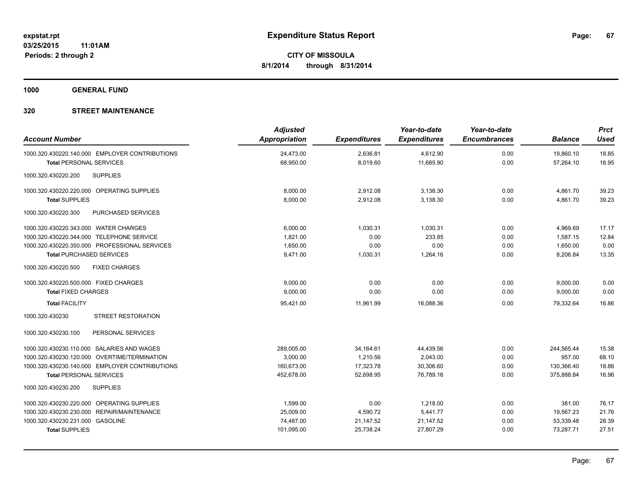**1000 GENERAL FUND**

| <b>Account Number</b>                                                            | <b>Adjusted</b><br>Appropriation | <b>Expenditures</b>  | Year-to-date<br><b>Expenditures</b> | Year-to-date<br><b>Encumbrances</b> | <b>Balance</b>         | <b>Prct</b><br><b>Used</b> |
|----------------------------------------------------------------------------------|----------------------------------|----------------------|-------------------------------------|-------------------------------------|------------------------|----------------------------|
| 1000.320.430220.140.000 EMPLOYER CONTRIBUTIONS<br><b>Total PERSONAL SERVICES</b> | 24,473.00<br>68,950.00           | 2,636.81<br>8,019.60 | 4,612.90<br>11,685.90               | 0.00<br>0.00                        | 19,860.10<br>57,264.10 | 18.85<br>16.95             |
| 1000.320.430220.200<br><b>SUPPLIES</b>                                           |                                  |                      |                                     |                                     |                        |                            |
| 1000.320.430220.220.000 OPERATING SUPPLIES                                       | 8,000.00                         | 2,912.08             | 3,138.30                            | 0.00                                | 4,861.70               | 39.23                      |
| <b>Total SUPPLIES</b>                                                            | 8,000.00                         | 2,912.08             | 3,138.30                            | 0.00                                | 4,861.70               | 39.23                      |
| 1000.320.430220.300<br><b>PURCHASED SERVICES</b>                                 |                                  |                      |                                     |                                     |                        |                            |
| 1000.320.430220.343.000 WATER CHARGES                                            | 6,000.00                         | 1,030.31             | 1,030.31                            | 0.00                                | 4,969.69               | 17.17                      |
| 1000.320.430220.344.000 TELEPHONE SERVICE                                        | 1,821.00                         | 0.00                 | 233.85                              | 0.00                                | 1,587.15               | 12.84                      |
| 1000.320.430220.350.000 PROFESSIONAL SERVICES                                    | 1,650.00                         | 0.00                 | 0.00                                | 0.00                                | 1,650.00               | 0.00                       |
| <b>Total PURCHASED SERVICES</b>                                                  | 9,471.00                         | 1,030.31             | 1,264.16                            | 0.00                                | 8,206.84               | 13.35                      |
| 1000.320.430220.500<br><b>FIXED CHARGES</b>                                      |                                  |                      |                                     |                                     |                        |                            |
| 1000.320.430220.500.000 FIXED CHARGES                                            | 9,000.00                         | 0.00                 | 0.00                                | 0.00                                | 9,000.00               | 0.00                       |
| <b>Total FIXED CHARGES</b>                                                       | 9,000.00                         | 0.00                 | 0.00                                | 0.00                                | 9,000.00               | 0.00                       |
| <b>Total FACILITY</b>                                                            | 95,421.00                        | 11,961.99            | 16,088.36                           | 0.00                                | 79,332.64              | 16.86                      |
| 1000.320.430230<br><b>STREET RESTORATION</b>                                     |                                  |                      |                                     |                                     |                        |                            |
| PERSONAL SERVICES<br>1000.320.430230.100                                         |                                  |                      |                                     |                                     |                        |                            |
| 1000.320.430230.110.000 SALARIES AND WAGES                                       | 289,005.00                       | 34,164.61            | 44,439.56                           | 0.00                                | 244,565.44             | 15.38                      |
| 1000.320.430230.120.000 OVERTIME/TERMINATION                                     | 3,000.00                         | 1,210.56             | 2,043.00                            | 0.00                                | 957.00                 | 68.10                      |
| 1000.320.430230.140.000 EMPLOYER CONTRIBUTIONS                                   | 160.673.00                       | 17,323.78            | 30,306.60                           | 0.00                                | 130,366.40             | 18.86                      |
| <b>Total PERSONAL SERVICES</b>                                                   | 452.678.00                       | 52.698.95            | 76.789.16                           | 0.00                                | 375.888.84             | 16.96                      |
| 1000.320.430230.200<br><b>SUPPLIES</b>                                           |                                  |                      |                                     |                                     |                        |                            |
| 1000.320.430230.220.000 OPERATING SUPPLIES                                       | 1,599.00                         | 0.00                 | 1,218.00                            | 0.00                                | 381.00                 | 76.17                      |
| 1000.320.430230.230.000 REPAIR/MAINTENANCE                                       | 25,009.00                        | 4,590.72             | 5,441.77                            | 0.00                                | 19,567.23              | 21.76                      |
| 1000.320.430230.231.000 GASOLINE                                                 | 74,487.00                        | 21,147.52            | 21,147.52                           | 0.00                                | 53,339.48              | 28.39                      |
| <b>Total SUPPLIES</b>                                                            | 101,095.00                       | 25,738.24            | 27,807.29                           | 0.00                                | 73,287.71              | 27.51                      |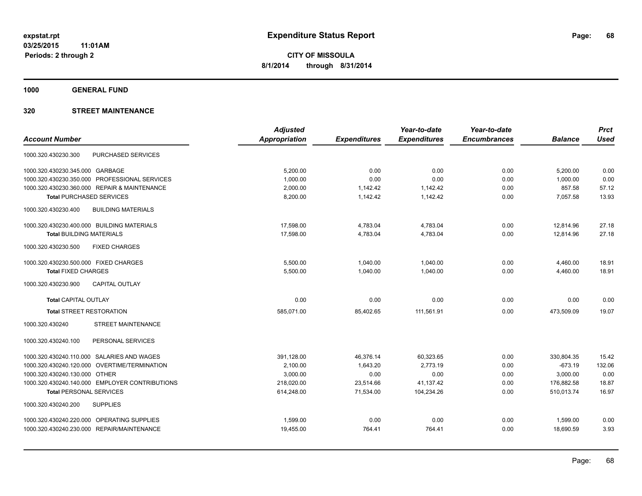**1000 GENERAL FUND**

|                                                  | <b>Adjusted</b>      |                     | Year-to-date        | Year-to-date        |                | <b>Prct</b> |
|--------------------------------------------------|----------------------|---------------------|---------------------|---------------------|----------------|-------------|
| <b>Account Number</b>                            | <b>Appropriation</b> | <b>Expenditures</b> | <b>Expenditures</b> | <b>Encumbrances</b> | <b>Balance</b> | <b>Used</b> |
| <b>PURCHASED SERVICES</b><br>1000.320.430230.300 |                      |                     |                     |                     |                |             |
| 1000.320.430230.345.000 GARBAGE                  | 5.200.00             | 0.00                | 0.00                | 0.00                | 5,200.00       | 0.00        |
| PROFESSIONAL SERVICES<br>1000.320.430230.350.000 | 1,000.00             | 0.00                | 0.00                | 0.00                | 1,000.00       | 0.00        |
| 1000.320.430230.360.000 REPAIR & MAINTENANCE     | 2,000.00             | 1,142.42            | 1,142.42            | 0.00                | 857.58         | 57.12       |
| <b>Total PURCHASED SERVICES</b>                  | 8,200.00             | 1,142.42            | 1,142.42            | 0.00                | 7,057.58       | 13.93       |
| <b>BUILDING MATERIALS</b><br>1000.320.430230.400 |                      |                     |                     |                     |                |             |
| 1000.320.430230.400.000 BUILDING MATERIALS       | 17,598.00            | 4,783.04            | 4,783.04            | 0.00                | 12.814.96      | 27.18       |
| <b>Total BUILDING MATERIALS</b>                  | 17,598.00            | 4,783.04            | 4,783.04            | 0.00                | 12.814.96      | 27.18       |
| 1000.320.430230.500<br><b>FIXED CHARGES</b>      |                      |                     |                     |                     |                |             |
| 1000.320.430230.500.000 FIXED CHARGES            | 5,500.00             | 1,040.00            | 1,040.00            | 0.00                | 4,460.00       | 18.91       |
| <b>Total FIXED CHARGES</b>                       | 5,500.00             | 1,040.00            | 1,040.00            | 0.00                | 4,460.00       | 18.91       |
| 1000.320.430230.900<br><b>CAPITAL OUTLAY</b>     |                      |                     |                     |                     |                |             |
| Total CAPITAL OUTLAY                             | 0.00                 | 0.00                | 0.00                | 0.00                | 0.00           | 0.00        |
| <b>Total STREET RESTORATION</b>                  | 585,071.00           | 85,402.65           | 111,561.91          | 0.00                | 473,509.09     | 19.07       |
| STREET MAINTENANCE<br>1000.320.430240            |                      |                     |                     |                     |                |             |
| PERSONAL SERVICES<br>1000.320.430240.100         |                      |                     |                     |                     |                |             |
| 1000.320.430240.110.000 SALARIES AND WAGES       | 391,128.00           | 46,376.14           | 60,323.65           | 0.00                | 330,804.35     | 15.42       |
| 1000.320.430240.120.000 OVERTIME/TERMINATION     | 2,100.00             | 1,643.20            | 2.773.19            | 0.00                | $-673.19$      | 132.06      |
| 1000.320.430240.130.000 OTHER                    | 3,000.00             | 0.00                | 0.00                | 0.00                | 3,000.00       | 0.00        |
| 1000.320.430240.140.000 EMPLOYER CONTRIBUTIONS   | 218,020.00           | 23,514.66           | 41,137.42           | 0.00                | 176,882.58     | 18.87       |
| <b>Total PERSONAL SERVICES</b>                   | 614,248.00           | 71,534.00           | 104,234.26          | 0.00                | 510,013.74     | 16.97       |
| <b>SUPPLIES</b><br>1000.320.430240.200           |                      |                     |                     |                     |                |             |
| 1000.320.430240.220.000 OPERATING SUPPLIES       | 1,599.00             | 0.00                | 0.00                | 0.00                | 1,599.00       | 0.00        |
| 1000.320.430240.230.000 REPAIR/MAINTENANCE       | 19,455.00            | 764.41              | 764.41              | 0.00                | 18,690.59      | 3.93        |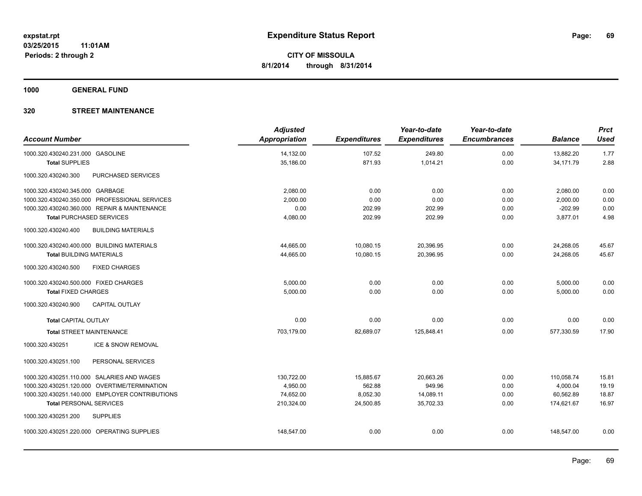**1000 GENERAL FUND**

| <b>Account Number</b>                      |                                                | <b>Adjusted</b><br>Appropriation | <b>Expenditures</b> | Year-to-date<br><b>Expenditures</b> | Year-to-date<br><b>Encumbrances</b> | <b>Balance</b> | <b>Prct</b><br><b>Used</b> |
|--------------------------------------------|------------------------------------------------|----------------------------------|---------------------|-------------------------------------|-------------------------------------|----------------|----------------------------|
| 1000.320.430240.231.000 GASOLINE           |                                                | 14,132.00                        | 107.52              | 249.80                              | 0.00                                | 13.882.20      | 1.77                       |
| <b>Total SUPPLIES</b>                      |                                                | 35,186.00                        | 871.93              | 1,014.21                            | 0.00                                | 34,171.79      | 2.88                       |
| 1000.320.430240.300                        | PURCHASED SERVICES                             |                                  |                     |                                     |                                     |                |                            |
| 1000.320.430240.345.000 GARBAGE            |                                                | 2.080.00                         | 0.00                | 0.00                                | 0.00                                | 2,080.00       | 0.00                       |
|                                            | 1000.320.430240.350.000 PROFESSIONAL SERVICES  | 2,000.00                         | 0.00                | 0.00                                | 0.00                                | 2,000.00       | 0.00                       |
|                                            | 1000.320.430240.360.000 REPAIR & MAINTENANCE   | 0.00                             | 202.99              | 202.99                              | 0.00                                | $-202.99$      | 0.00                       |
| <b>Total PURCHASED SERVICES</b>            |                                                | 4,080.00                         | 202.99              | 202.99                              | 0.00                                | 3,877.01       | 4.98                       |
| 1000.320.430240.400                        | <b>BUILDING MATERIALS</b>                      |                                  |                     |                                     |                                     |                |                            |
| 1000.320.430240.400.000 BUILDING MATERIALS |                                                | 44,665.00                        | 10,080.15           | 20,396.95                           | 0.00                                | 24,268.05      | 45.67                      |
| <b>Total BUILDING MATERIALS</b>            |                                                | 44,665.00                        | 10,080.15           | 20,396.95                           | 0.00                                | 24,268.05      | 45.67                      |
| 1000.320.430240.500                        | <b>FIXED CHARGES</b>                           |                                  |                     |                                     |                                     |                |                            |
| 1000.320.430240.500.000 FIXED CHARGES      |                                                | 5,000.00                         | 0.00                | 0.00                                | 0.00                                | 5,000.00       | 0.00                       |
| <b>Total FIXED CHARGES</b>                 |                                                | 5,000.00                         | 0.00                | 0.00                                | 0.00                                | 5,000.00       | 0.00                       |
| 1000.320.430240.900                        | <b>CAPITAL OUTLAY</b>                          |                                  |                     |                                     |                                     |                |                            |
| <b>Total CAPITAL OUTLAY</b>                |                                                | 0.00                             | 0.00                | 0.00                                | 0.00                                | 0.00           | 0.00                       |
| <b>Total STREET MAINTENANCE</b>            |                                                | 703,179.00                       | 82,689.07           | 125,848.41                          | 0.00                                | 577,330.59     | 17.90                      |
| 1000.320.430251                            | ICE & SNOW REMOVAL                             |                                  |                     |                                     |                                     |                |                            |
| 1000.320.430251.100                        | PERSONAL SERVICES                              |                                  |                     |                                     |                                     |                |                            |
|                                            | 1000.320.430251.110.000 SALARIES AND WAGES     | 130,722.00                       | 15,885.67           | 20,663.26                           | 0.00                                | 110,058.74     | 15.81                      |
|                                            | 1000.320.430251.120.000 OVERTIME/TERMINATION   | 4,950.00                         | 562.88              | 949.96                              | 0.00                                | 4,000.04       | 19.19                      |
|                                            | 1000.320.430251.140.000 EMPLOYER CONTRIBUTIONS | 74,652.00                        | 8,052.30            | 14,089.11                           | 0.00                                | 60,562.89      | 18.87                      |
| <b>Total PERSONAL SERVICES</b>             |                                                | 210,324.00                       | 24,500.85           | 35,702.33                           | 0.00                                | 174,621.67     | 16.97                      |
| 1000.320.430251.200                        | <b>SUPPLIES</b>                                |                                  |                     |                                     |                                     |                |                            |
|                                            | 1000.320.430251.220.000 OPERATING SUPPLIES     | 148,547.00                       | 0.00                | 0.00                                | 0.00                                | 148,547.00     | 0.00                       |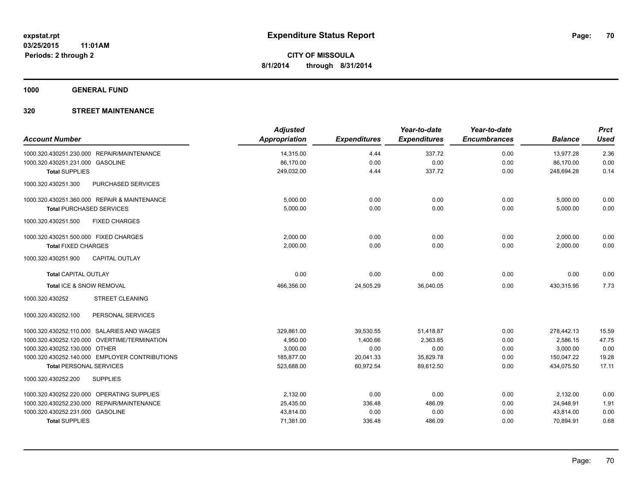**1000 GENERAL FUND**

| <b>Account Number</b>                            | <b>Adjusted</b><br><b>Appropriation</b> | <b>Expenditures</b> | Year-to-date<br><b>Expenditures</b> | Year-to-date<br><b>Encumbrances</b> | <b>Balance</b> | <b>Prct</b><br><b>Used</b> |
|--------------------------------------------------|-----------------------------------------|---------------------|-------------------------------------|-------------------------------------|----------------|----------------------------|
| 1000.320.430251.230.000 REPAIR/MAINTENANCE       | 14,315.00                               | 4.44                | 337.72                              | 0.00                                | 13,977.28      | 2.36                       |
| 1000.320.430251.231.000 GASOLINE                 | 86,170.00                               | 0.00                | 0.00                                | 0.00                                | 86,170.00      | 0.00                       |
| <b>Total SUPPLIES</b>                            | 249,032.00                              | 4.44                | 337.72                              | 0.00                                | 248,694.28     | 0.14                       |
| <b>PURCHASED SERVICES</b><br>1000.320.430251.300 |                                         |                     |                                     |                                     |                |                            |
| 1000.320.430251.360.000 REPAIR & MAINTENANCE     | 5,000.00                                | 0.00                | 0.00                                | 0.00                                | 5,000.00       | 0.00                       |
| <b>Total PURCHASED SERVICES</b>                  | 5.000.00                                | 0.00                | 0.00                                | 0.00                                | 5,000.00       | 0.00                       |
| 1000.320.430251.500<br><b>FIXED CHARGES</b>      |                                         |                     |                                     |                                     |                |                            |
| 1000.320.430251.500.000 FIXED CHARGES            | 2,000.00                                | 0.00                | 0.00                                | 0.00                                | 2,000.00       | 0.00                       |
| <b>Total FIXED CHARGES</b>                       | 2,000.00                                | 0.00                | 0.00                                | 0.00                                | 2,000.00       | 0.00                       |
| 1000.320.430251.900<br><b>CAPITAL OUTLAY</b>     |                                         |                     |                                     |                                     |                |                            |
| <b>Total CAPITAL OUTLAY</b>                      | 0.00                                    | 0.00                | 0.00                                | 0.00                                | 0.00           | 0.00                       |
| Total ICE & SNOW REMOVAL                         | 466,356.00                              | 24,505.29           | 36,040.05                           | 0.00                                | 430,315.95     | 7.73                       |
| 1000.320.430252<br><b>STREET CLEANING</b>        |                                         |                     |                                     |                                     |                |                            |
| 1000.320.430252.100<br>PERSONAL SERVICES         |                                         |                     |                                     |                                     |                |                            |
| 1000.320.430252.110.000 SALARIES AND WAGES       | 329,861.00                              | 39,530.55           | 51,418.87                           | 0.00                                | 278,442.13     | 15.59                      |
| 1000.320.430252.120.000 OVERTIME/TERMINATION     | 4,950.00                                | 1,400.66            | 2,363.85                            | 0.00                                | 2,586.15       | 47.75                      |
| 1000.320.430252.130.000 OTHER                    | 3,000.00                                | 0.00                | 0.00                                | 0.00                                | 3,000.00       | 0.00                       |
| 1000.320.430252.140.000 EMPLOYER CONTRIBUTIONS   | 185,877.00                              | 20,041.33           | 35,829.78                           | 0.00                                | 150,047.22     | 19.28                      |
| <b>Total PERSONAL SERVICES</b>                   | 523,688.00                              | 60,972.54           | 89,612.50                           | 0.00                                | 434,075.50     | 17.11                      |
| 1000.320.430252.200<br><b>SUPPLIES</b>           |                                         |                     |                                     |                                     |                |                            |
| 1000.320.430252.220.000 OPERATING SUPPLIES       | 2,132.00                                | 0.00                | 0.00                                | 0.00                                | 2,132.00       | 0.00                       |
| 1000.320.430252.230.000 REPAIR/MAINTENANCE       | 25,435.00                               | 336.48              | 486.09                              | 0.00                                | 24,948.91      | 1.91                       |
| 1000.320.430252.231.000 GASOLINE                 | 43,814.00                               | 0.00                | 0.00                                | 0.00                                | 43,814.00      | 0.00                       |
| <b>Total SUPPLIES</b>                            | 71,381.00                               | 336.48              | 486.09                              | 0.00                                | 70,894.91      | 0.68                       |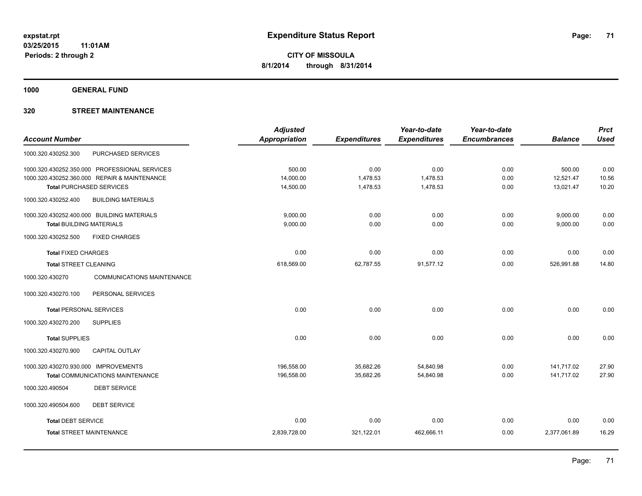**1000 GENERAL FUND**

|                                                      | <b>Adjusted</b> |                     | Year-to-date        | Year-to-date        |                | <b>Prct</b> |
|------------------------------------------------------|-----------------|---------------------|---------------------|---------------------|----------------|-------------|
| <b>Account Number</b>                                | Appropriation   | <b>Expenditures</b> | <b>Expenditures</b> | <b>Encumbrances</b> | <b>Balance</b> | <b>Used</b> |
| PURCHASED SERVICES<br>1000.320.430252.300            |                 |                     |                     |                     |                |             |
| 1000.320.430252.350.000 PROFESSIONAL SERVICES        | 500.00          | 0.00                | 0.00                | 0.00                | 500.00         | 0.00        |
| 1000.320.430252.360.000 REPAIR & MAINTENANCE         | 14,000.00       | 1,478.53            | 1,478.53            | 0.00                | 12,521.47      | 10.56       |
| <b>Total PURCHASED SERVICES</b>                      | 14,500.00       | 1,478.53            | 1,478.53            | 0.00                | 13,021.47      | 10.20       |
| 1000.320.430252.400<br><b>BUILDING MATERIALS</b>     |                 |                     |                     |                     |                |             |
| 1000.320.430252.400.000 BUILDING MATERIALS           | 9,000.00        | 0.00                | 0.00                | 0.00                | 9,000.00       | 0.00        |
| <b>Total BUILDING MATERIALS</b>                      | 9,000.00        | 0.00                | 0.00                | 0.00                | 9,000.00       | 0.00        |
| 1000.320.430252.500<br><b>FIXED CHARGES</b>          |                 |                     |                     |                     |                |             |
| <b>Total FIXED CHARGES</b>                           | 0.00            | 0.00                | 0.00                | 0.00                | 0.00           | 0.00        |
| <b>Total STREET CLEANING</b>                         | 618,569.00      | 62,787.55           | 91,577.12           | 0.00                | 526,991.88     | 14.80       |
| 1000.320.430270<br><b>COMMUNICATIONS MAINTENANCE</b> |                 |                     |                     |                     |                |             |
| 1000.320.430270.100<br>PERSONAL SERVICES             |                 |                     |                     |                     |                |             |
| <b>Total PERSONAL SERVICES</b>                       | 0.00            | 0.00                | 0.00                | 0.00                | 0.00           | 0.00        |
| 1000.320.430270.200<br><b>SUPPLIES</b>               |                 |                     |                     |                     |                |             |
| <b>Total SUPPLIES</b>                                | 0.00            | 0.00                | 0.00                | 0.00                | 0.00           | 0.00        |
| 1000.320.430270.900<br><b>CAPITAL OUTLAY</b>         |                 |                     |                     |                     |                |             |
| 1000.320.430270.930.000 IMPROVEMENTS                 | 196,558.00      | 35,682.26           | 54,840.98           | 0.00                | 141,717.02     | 27.90       |
| <b>Total COMMUNICATIONS MAINTENANCE</b>              | 196,558.00      | 35,682.26           | 54,840.98           | 0.00                | 141,717.02     | 27.90       |
| <b>DEBT SERVICE</b><br>1000.320.490504               |                 |                     |                     |                     |                |             |
| 1000.320.490504.600<br><b>DEBT SERVICE</b>           |                 |                     |                     |                     |                |             |
| <b>Total DEBT SERVICE</b>                            | 0.00            | 0.00                | 0.00                | 0.00                | 0.00           | 0.00        |
| <b>Total STREET MAINTENANCE</b>                      | 2,839,728.00    | 321,122.01          | 462,666.11          | 0.00                | 2,377,061.89   | 16.29       |
|                                                      |                 |                     |                     |                     |                |             |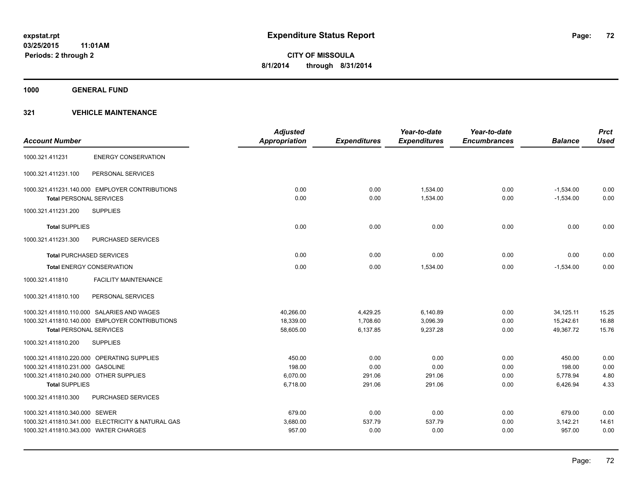**1000 GENERAL FUND**

### **321 VEHICLE MAINTENANCE**

|                                        |                                                   | <b>Adjusted</b>      |                     | Year-to-date        | Year-to-date        |                | <b>Prct</b> |
|----------------------------------------|---------------------------------------------------|----------------------|---------------------|---------------------|---------------------|----------------|-------------|
| <b>Account Number</b>                  |                                                   | <b>Appropriation</b> | <b>Expenditures</b> | <b>Expenditures</b> | <b>Encumbrances</b> | <b>Balance</b> | <b>Used</b> |
| 1000.321.411231                        | <b>ENERGY CONSERVATION</b>                        |                      |                     |                     |                     |                |             |
| 1000.321.411231.100                    | PERSONAL SERVICES                                 |                      |                     |                     |                     |                |             |
|                                        | 1000.321.411231.140.000 EMPLOYER CONTRIBUTIONS    | 0.00                 | 0.00                | 1,534.00            | 0.00                | $-1,534.00$    | 0.00        |
| <b>Total PERSONAL SERVICES</b>         |                                                   | 0.00                 | 0.00                | 1,534.00            | 0.00                | $-1,534.00$    | 0.00        |
| 1000.321.411231.200                    | <b>SUPPLIES</b>                                   |                      |                     |                     |                     |                |             |
| <b>Total SUPPLIES</b>                  |                                                   | 0.00                 | 0.00                | 0.00                | 0.00                | 0.00           | 0.00        |
| 1000.321.411231.300                    | <b>PURCHASED SERVICES</b>                         |                      |                     |                     |                     |                |             |
|                                        | <b>Total PURCHASED SERVICES</b>                   | 0.00                 | 0.00                | 0.00                | 0.00                | 0.00           | 0.00        |
|                                        | <b>Total ENERGY CONSERVATION</b>                  | 0.00                 | 0.00                | 1,534.00            | 0.00                | $-1,534.00$    | 0.00        |
| 1000.321.411810                        | <b>FACILITY MAINTENANCE</b>                       |                      |                     |                     |                     |                |             |
| 1000.321.411810.100                    | PERSONAL SERVICES                                 |                      |                     |                     |                     |                |             |
|                                        | 1000.321.411810.110.000 SALARIES AND WAGES        | 40,266.00            | 4,429.25            | 6,140.89            | 0.00                | 34,125.11      | 15.25       |
|                                        | 1000.321.411810.140.000 EMPLOYER CONTRIBUTIONS    | 18,339.00            | 1,708.60            | 3,096.39            | 0.00                | 15,242.61      | 16.88       |
| <b>Total PERSONAL SERVICES</b>         |                                                   | 58,605.00            | 6,137.85            | 9,237.28            | 0.00                | 49,367.72      | 15.76       |
| 1000.321.411810.200                    | <b>SUPPLIES</b>                                   |                      |                     |                     |                     |                |             |
|                                        | 1000.321.411810.220.000 OPERATING SUPPLIES        | 450.00               | 0.00                | 0.00                | 0.00                | 450.00         | 0.00        |
| 1000.321.411810.231.000 GASOLINE       |                                                   | 198.00               | 0.00                | 0.00                | 0.00                | 198.00         | 0.00        |
| 1000.321.411810.240.000 OTHER SUPPLIES |                                                   | 6,070.00             | 291.06              | 291.06              | 0.00                | 5,778.94       | 4.80        |
| <b>Total SUPPLIES</b>                  |                                                   | 6,718.00             | 291.06              | 291.06              | 0.00                | 6,426.94       | 4.33        |
| 1000.321.411810.300                    | PURCHASED SERVICES                                |                      |                     |                     |                     |                |             |
| 1000.321.411810.340.000 SEWER          |                                                   | 679.00               | 0.00                | 0.00                | 0.00                | 679.00         | 0.00        |
|                                        | 1000.321.411810.341.000 ELECTRICITY & NATURAL GAS | 3,680.00             | 537.79              | 537.79              | 0.00                | 3,142.21       | 14.61       |
| 1000.321.411810.343.000 WATER CHARGES  |                                                   | 957.00               | 0.00                | 0.00                | 0.00                | 957.00         | 0.00        |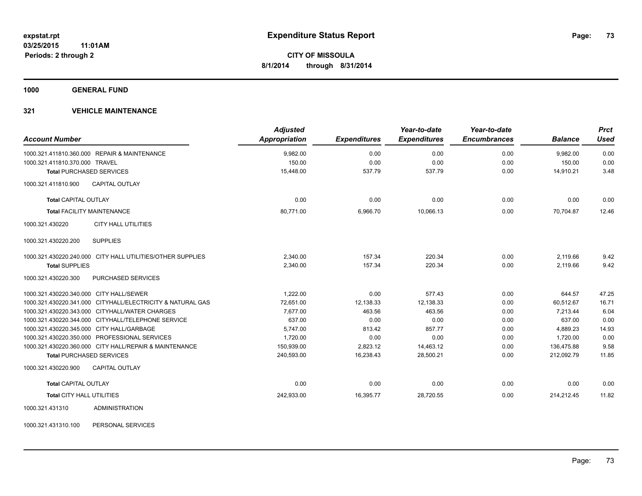**1000 GENERAL FUND**

## **321 VEHICLE MAINTENANCE**

| <b>Account Number</b>                                      | <b>Adjusted</b><br><b>Appropriation</b> | <b>Expenditures</b> | Year-to-date<br><b>Expenditures</b> | Year-to-date<br><b>Encumbrances</b> | <b>Balance</b> | <b>Prct</b><br><b>Used</b> |
|------------------------------------------------------------|-----------------------------------------|---------------------|-------------------------------------|-------------------------------------|----------------|----------------------------|
| 1000.321.411810.360.000 REPAIR & MAINTENANCE               | 9,982.00                                | 0.00                | 0.00                                | 0.00                                | 9,982.00       | 0.00                       |
| 1000.321.411810.370.000 TRAVEL                             | 150.00                                  | 0.00                | 0.00                                | 0.00                                | 150.00         | 0.00                       |
| <b>Total PURCHASED SERVICES</b>                            | 15,448.00                               | 537.79              | 537.79                              | 0.00                                | 14,910.21      | 3.48                       |
| <b>CAPITAL OUTLAY</b><br>1000.321.411810.900               |                                         |                     |                                     |                                     |                |                            |
| <b>Total CAPITAL OUTLAY</b>                                | 0.00                                    | 0.00                | 0.00                                | 0.00                                | 0.00           | 0.00                       |
| <b>Total FACILITY MAINTENANCE</b>                          | 80,771.00                               | 6,966.70            | 10,066.13                           | 0.00                                | 70,704.87      | 12.46                      |
| 1000.321.430220<br><b>CITY HALL UTILITIES</b>              |                                         |                     |                                     |                                     |                |                            |
| <b>SUPPLIES</b><br>1000.321.430220.200                     |                                         |                     |                                     |                                     |                |                            |
| 1000.321.430220.240.000 CITY HALL UTILITIES/OTHER SUPPLIES | 2,340.00                                | 157.34              | 220.34                              | 0.00                                | 2,119.66       | 9.42                       |
| <b>Total SUPPLIES</b>                                      | 2,340.00                                | 157.34              | 220.34                              | 0.00                                | 2,119.66       | 9.42                       |
| 1000.321.430220.300<br><b>PURCHASED SERVICES</b>           |                                         |                     |                                     |                                     |                |                            |
| 1000.321.430220.340.000 CITY HALL/SEWER                    | 1,222.00                                | 0.00                | 577.43                              | 0.00                                | 644.57         | 47.25                      |
| 1000.321.430220.341.000 CITYHALL/ELECTRICITY & NATURAL GAS | 72.651.00                               | 12,138.33           | 12,138.33                           | 0.00                                | 60.512.67      | 16.71                      |
| 1000.321.430220.343.000 CITYHALL/WATER CHARGES             | 7,677.00                                | 463.56              | 463.56                              | 0.00                                | 7.213.44       | 6.04                       |
| 1000.321.430220.344.000 CITYHALL/TELEPHONE SERVICE         | 637.00                                  | 0.00                | 0.00                                | 0.00                                | 637.00         | 0.00                       |
| 1000.321.430220.345.000 CITY HALL/GARBAGE                  | 5,747.00                                | 813.42              | 857.77                              | 0.00                                | 4,889.23       | 14.93                      |
| 1000.321.430220.350.000 PROFESSIONAL SERVICES              | 1,720.00                                | 0.00                | 0.00                                | 0.00                                | 1,720.00       | 0.00                       |
| 1000.321.430220.360.000 CITY HALL/REPAIR & MAINTENANCE     | 150,939.00                              | 2,823.12            | 14,463.12                           | 0.00                                | 136,475.88     | 9.58                       |
| <b>Total PURCHASED SERVICES</b>                            | 240,593.00                              | 16,238.43           | 28,500.21                           | 0.00                                | 212,092.79     | 11.85                      |
| 1000.321.430220.900<br><b>CAPITAL OUTLAY</b>               |                                         |                     |                                     |                                     |                |                            |
| <b>Total CAPITAL OUTLAY</b>                                | 0.00                                    | 0.00                | 0.00                                | 0.00                                | 0.00           | 0.00                       |
| <b>Total CITY HALL UTILITIES</b>                           | 242,933.00                              | 16,395.77           | 28,720.55                           | 0.00                                | 214,212.45     | 11.82                      |
| <b>ADMINISTRATION</b><br>1000.321.431310                   |                                         |                     |                                     |                                     |                |                            |

1000.321.431310.100 PERSONAL SERVICES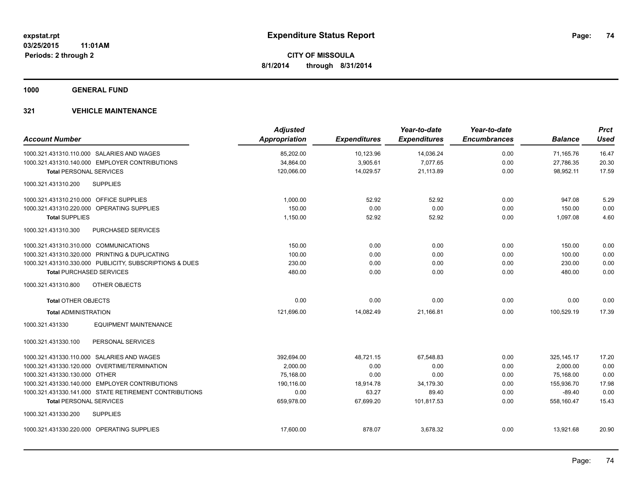**1000 GENERAL FUND**

## **321 VEHICLE MAINTENANCE**

| <b>Account Number</b>                                   | <b>Adjusted</b><br>Appropriation | <b>Expenditures</b> | Year-to-date<br><b>Expenditures</b> | Year-to-date<br><b>Encumbrances</b> | <b>Balance</b> | <b>Prct</b><br><b>Used</b> |
|---------------------------------------------------------|----------------------------------|---------------------|-------------------------------------|-------------------------------------|----------------|----------------------------|
| 1000.321.431310.110.000 SALARIES AND WAGES              | 85,202.00                        | 10,123.96           | 14,036.24                           | 0.00                                | 71,165.76      | 16.47                      |
| 1000.321.431310.140.000 EMPLOYER CONTRIBUTIONS          | 34,864.00                        | 3,905.61            | 7,077.65                            | 0.00                                | 27,786.35      | 20.30                      |
| <b>Total PERSONAL SERVICES</b>                          | 120,066.00                       | 14,029.57           | 21,113.89                           | 0.00                                | 98,952.11      | 17.59                      |
| 1000.321.431310.200<br><b>SUPPLIES</b>                  |                                  |                     |                                     |                                     |                |                            |
| 1000.321.431310.210.000 OFFICE SUPPLIES                 | 1.000.00                         | 52.92               | 52.92                               | 0.00                                | 947.08         | 5.29                       |
| 1000.321.431310.220.000 OPERATING SUPPLIES              | 150.00                           | 0.00                | 0.00                                | 0.00                                | 150.00         | 0.00                       |
| <b>Total SUPPLIES</b>                                   | 1,150.00                         | 52.92               | 52.92                               | 0.00                                | 1,097.08       | 4.60                       |
| 1000.321.431310.300<br><b>PURCHASED SERVICES</b>        |                                  |                     |                                     |                                     |                |                            |
| 1000.321.431310.310.000 COMMUNICATIONS                  | 150.00                           | 0.00                | 0.00                                | 0.00                                | 150.00         | 0.00                       |
| 1000.321.431310.320.000 PRINTING & DUPLICATING          | 100.00                           | 0.00                | 0.00                                | 0.00                                | 100.00         | 0.00                       |
| 1000.321.431310.330.000 PUBLICITY, SUBSCRIPTIONS & DUES | 230.00                           | 0.00                | 0.00                                | 0.00                                | 230.00         | 0.00                       |
| <b>Total PURCHASED SERVICES</b>                         | 480.00                           | 0.00                | 0.00                                | 0.00                                | 480.00         | 0.00                       |
| OTHER OBJECTS<br>1000.321.431310.800                    |                                  |                     |                                     |                                     |                |                            |
| <b>Total OTHER OBJECTS</b>                              | 0.00                             | 0.00                | 0.00                                | 0.00                                | 0.00           | 0.00                       |
| <b>Total ADMINISTRATION</b>                             | 121.696.00                       | 14,082.49           | 21.166.81                           | 0.00                                | 100.529.19     | 17.39                      |
| 1000.321.431330<br><b>EQUIPMENT MAINTENANCE</b>         |                                  |                     |                                     |                                     |                |                            |
| PERSONAL SERVICES<br>1000.321.431330.100                |                                  |                     |                                     |                                     |                |                            |
| 1000.321.431330.110.000 SALARIES AND WAGES              | 392,694.00                       | 48,721.15           | 67,548.83                           | 0.00                                | 325, 145. 17   | 17.20                      |
| 1000.321.431330.120.000 OVERTIME/TERMINATION            | 2,000.00                         | 0.00                | 0.00                                | 0.00                                | 2,000.00       | 0.00                       |
| 1000.321.431330.130.000 OTHER                           | 75,168.00                        | 0.00                | 0.00                                | 0.00                                | 75,168.00      | 0.00                       |
| 1000.321.431330.140.000 EMPLOYER CONTRIBUTIONS          | 190,116.00                       | 18,914.78           | 34,179.30                           | 0.00                                | 155,936.70     | 17.98                      |
| 1000.321.431330.141.000 STATE RETIREMENT CONTRIBUTIONS  | 0.00                             | 63.27               | 89.40                               | 0.00                                | $-89.40$       | 0.00                       |
| <b>Total PERSONAL SERVICES</b>                          | 659,978.00                       | 67,699.20           | 101,817.53                          | 0.00                                | 558,160.47     | 15.43                      |
| 1000.321.431330.200<br><b>SUPPLIES</b>                  |                                  |                     |                                     |                                     |                |                            |
| 1000.321.431330.220.000 OPERATING SUPPLIES              | 17,600.00                        | 878.07              | 3,678.32                            | 0.00                                | 13,921.68      | 20.90                      |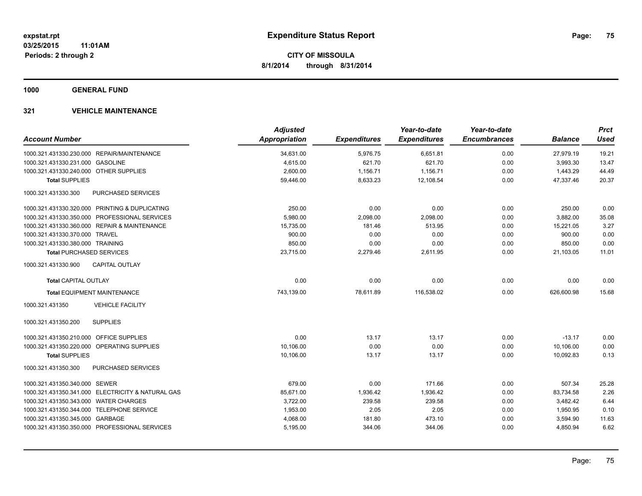**1000 GENERAL FUND**

## **321 VEHICLE MAINTENANCE**

| <b>Account Number</b>                             | <b>Adjusted</b><br><b>Appropriation</b> | <b>Expenditures</b> | Year-to-date<br><b>Expenditures</b> | Year-to-date<br><b>Encumbrances</b> | <b>Balance</b> | <b>Prct</b><br><b>Used</b> |
|---------------------------------------------------|-----------------------------------------|---------------------|-------------------------------------|-------------------------------------|----------------|----------------------------|
| 1000.321.431330.230.000 REPAIR/MAINTENANCE        | 34,631.00                               | 5,976.75            | 6,651.81                            | 0.00                                | 27,979.19      | 19.21                      |
| 1000.321.431330.231.000 GASOLINE                  | 4,615.00                                | 621.70              | 621.70                              | 0.00                                | 3,993.30       | 13.47                      |
| 1000.321.431330.240.000 OTHER SUPPLIES            | 2,600.00                                | 1,156.71            | 1,156.71                            | 0.00                                | 1,443.29       | 44.49                      |
| <b>Total SUPPLIES</b>                             | 59,446.00                               | 8,633.23            | 12,108.54                           | 0.00                                | 47,337.46      | 20.37                      |
| PURCHASED SERVICES<br>1000.321.431330.300         |                                         |                     |                                     |                                     |                |                            |
| 1000.321.431330.320.000 PRINTING & DUPLICATING    | 250.00                                  | 0.00                | 0.00                                | 0.00                                | 250.00         | 0.00                       |
| 1000.321.431330.350.000 PROFESSIONAL SERVICES     | 5,980.00                                | 2,098.00            | 2,098.00                            | 0.00                                | 3,882.00       | 35.08                      |
| 1000.321.431330.360.000 REPAIR & MAINTENANCE      | 15,735.00                               | 181.46              | 513.95                              | 0.00                                | 15,221.05      | 3.27                       |
| 1000.321.431330.370.000 TRAVEL                    | 900.00                                  | 0.00                | 0.00                                | 0.00                                | 900.00         | 0.00                       |
| 1000.321.431330.380.000 TRAINING                  | 850.00                                  | 0.00                | 0.00                                | 0.00                                | 850.00         | 0.00                       |
| <b>Total PURCHASED SERVICES</b>                   | 23,715.00                               | 2,279.46            | 2,611.95                            | 0.00                                | 21,103.05      | 11.01                      |
| <b>CAPITAL OUTLAY</b><br>1000.321.431330.900      |                                         |                     |                                     |                                     |                |                            |
| <b>Total CAPITAL OUTLAY</b>                       | 0.00                                    | 0.00                | 0.00                                | 0.00                                | 0.00           | 0.00                       |
| <b>Total EQUIPMENT MAINTENANCE</b>                | 743,139.00                              | 78,611.89           | 116,538.02                          | 0.00                                | 626,600.98     | 15.68                      |
| <b>VEHICLE FACILITY</b><br>1000.321.431350        |                                         |                     |                                     |                                     |                |                            |
| <b>SUPPLIES</b><br>1000.321.431350.200            |                                         |                     |                                     |                                     |                |                            |
| 1000.321.431350.210.000 OFFICE SUPPLIES           | 0.00                                    | 13.17               | 13.17                               | 0.00                                | $-13.17$       | 0.00                       |
| 1000.321.431350.220.000 OPERATING SUPPLIES        | 10,106.00                               | 0.00                | 0.00                                | 0.00                                | 10,106.00      | 0.00                       |
| <b>Total SUPPLIES</b>                             | 10,106.00                               | 13.17               | 13.17                               | 0.00                                | 10,092.83      | 0.13                       |
| 1000.321.431350.300<br><b>PURCHASED SERVICES</b>  |                                         |                     |                                     |                                     |                |                            |
| 1000.321.431350.340.000 SEWER                     | 679.00                                  | 0.00                | 171.66                              | 0.00                                | 507.34         | 25.28                      |
| 1000.321.431350.341.000 ELECTRICITY & NATURAL GAS | 85,671.00                               | 1,936.42            | 1,936.42                            | 0.00                                | 83,734.58      | 2.26                       |
| 1000.321.431350.343.000 WATER CHARGES             | 3,722.00                                | 239.58              | 239.58                              | 0.00                                | 3,482.42       | 6.44                       |
| 1000.321.431350.344.000 TELEPHONE SERVICE         | 1,953.00                                | 2.05                | 2.05                                | 0.00                                | 1,950.95       | 0.10                       |
| 1000.321.431350.345.000 GARBAGE                   | 4,068.00                                | 181.80              | 473.10                              | 0.00                                | 3,594.90       | 11.63                      |
| 1000.321.431350.350.000 PROFESSIONAL SERVICES     | 5,195.00                                | 344.06              | 344.06                              | 0.00                                | 4,850.94       | 6.62                       |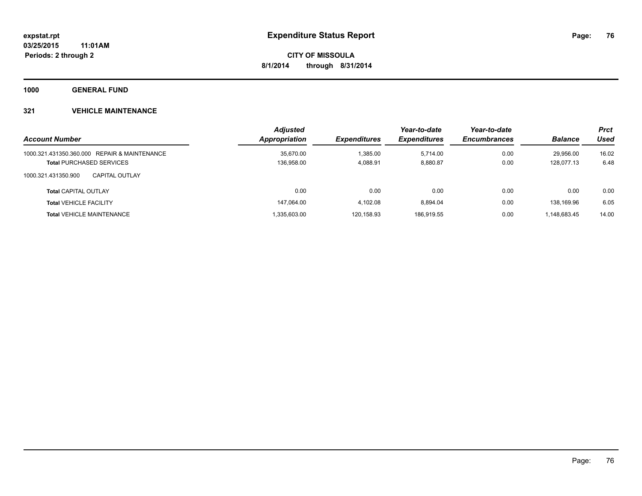**1000 GENERAL FUND**

## **321 VEHICLE MAINTENANCE**

| <b>Account Number</b>                        | <b>Adjusted</b><br>Appropriation | <b>Expenditures</b> | Year-to-date<br><b>Expenditures</b> | Year-to-date<br><b>Encumbrances</b> | <b>Balance</b> | <b>Prct</b><br>Used |
|----------------------------------------------|----------------------------------|---------------------|-------------------------------------|-------------------------------------|----------------|---------------------|
| 1000.321.431350.360.000 REPAIR & MAINTENANCE | 35,670.00                        | ,385.00             | 5.714.00                            | 0.00                                | 29.956.00      | 16.02               |
| <b>Total PURCHASED SERVICES</b>              | 136,958.00                       | 4.088.91            | 8,880.87                            | 0.00                                | 128.077.13     | 6.48                |
| 1000.321.431350.900<br><b>CAPITAL OUTLAY</b> |                                  |                     |                                     |                                     |                |                     |
| <b>Total CAPITAL OUTLAY</b>                  | 0.00                             | 0.00                | 0.00                                | 0.00                                | 0.00           | 0.00                |
| <b>Total VEHICLE FACILITY</b>                | 147.064.00                       | 4.102.08            | 8.894.04                            | 0.00                                | 138.169.96     | 6.05                |
| <b>Total VEHICLE MAINTENANCE</b>             | 1.335.603.00                     | 120.158.93          | 186.919.55                          | 0.00                                | 1.148.683.45   | 14.00               |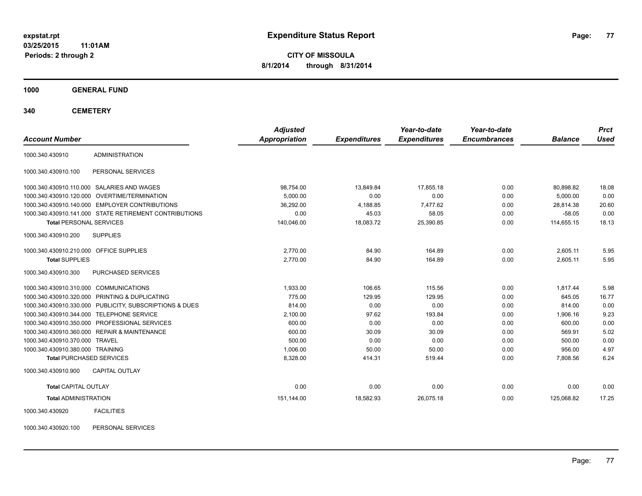**03/25/2015 11:01AM Periods: 2 through 2**

**CITY OF MISSOULA 8/1/2014 through 8/31/2014**

**1000 GENERAL FUND**

**340 CEMETERY**

| <b>Account Number</b>                   |                                                         | <b>Adjusted</b><br>Appropriation | <b>Expenditures</b> | Year-to-date<br><b>Expenditures</b> | Year-to-date<br><b>Encumbrances</b> | <b>Balance</b> | <b>Prct</b><br><b>Used</b> |
|-----------------------------------------|---------------------------------------------------------|----------------------------------|---------------------|-------------------------------------|-------------------------------------|----------------|----------------------------|
|                                         |                                                         |                                  |                     |                                     |                                     |                |                            |
| 1000.340.430910                         | <b>ADMINISTRATION</b>                                   |                                  |                     |                                     |                                     |                |                            |
| 1000.340.430910.100                     | PERSONAL SERVICES                                       |                                  |                     |                                     |                                     |                |                            |
|                                         | 1000.340.430910.110.000 SALARIES AND WAGES              | 98,754.00                        | 13.849.84           | 17.855.18                           | 0.00                                | 80,898.82      | 18.08                      |
|                                         | 1000.340.430910.120.000 OVERTIME/TERMINATION            | 5,000.00                         | 0.00                | 0.00                                | 0.00                                | 5,000.00       | 0.00                       |
|                                         | 1000.340.430910.140.000 EMPLOYER CONTRIBUTIONS          | 36,292.00                        | 4,188.85            | 7.477.62                            | 0.00                                | 28,814.38      | 20.60                      |
|                                         | 1000.340.430910.141.000 STATE RETIREMENT CONTRIBUTIONS  | 0.00                             | 45.03               | 58.05                               | 0.00                                | $-58.05$       | 0.00                       |
| <b>Total PERSONAL SERVICES</b>          |                                                         | 140,046.00                       | 18,083.72           | 25,390.85                           | 0.00                                | 114,655.15     | 18.13                      |
| 1000.340.430910.200                     | <b>SUPPLIES</b>                                         |                                  |                     |                                     |                                     |                |                            |
| 1000.340.430910.210.000 OFFICE SUPPLIES |                                                         | 2,770.00                         | 84.90               | 164.89                              | 0.00                                | 2,605.11       | 5.95                       |
| <b>Total SUPPLIES</b>                   |                                                         | 2,770.00                         | 84.90               | 164.89                              | 0.00                                | 2,605.11       | 5.95                       |
| 1000.340.430910.300                     | PURCHASED SERVICES                                      |                                  |                     |                                     |                                     |                |                            |
| 1000.340.430910.310.000 COMMUNICATIONS  |                                                         | 1,933.00                         | 106.65              | 115.56                              | 0.00                                | 1,817.44       | 5.98                       |
|                                         | 1000.340.430910.320.000 PRINTING & DUPLICATING          | 775.00                           | 129.95              | 129.95                              | 0.00                                | 645.05         | 16.77                      |
|                                         | 1000.340.430910.330.000 PUBLICITY, SUBSCRIPTIONS & DUES | 814.00                           | 0.00                | 0.00                                | 0.00                                | 814.00         | 0.00                       |
|                                         | 1000.340.430910.344.000 TELEPHONE SERVICE               | 2,100.00                         | 97.62               | 193.84                              | 0.00                                | 1,906.16       | 9.23                       |
|                                         | 1000.340.430910.350.000 PROFESSIONAL SERVICES           | 600.00                           | 0.00                | 0.00                                | 0.00                                | 600.00         | 0.00                       |
|                                         | 1000.340.430910.360.000 REPAIR & MAINTENANCE            | 600.00                           | 30.09               | 30.09                               | 0.00                                | 569.91         | 5.02                       |
| 1000.340.430910.370.000 TRAVEL          |                                                         | 500.00                           | 0.00                | 0.00                                | 0.00                                | 500.00         | 0.00                       |
| 1000.340.430910.380.000 TRAINING        |                                                         | 1,006.00                         | 50.00               | 50.00                               | 0.00                                | 956.00         | 4.97                       |
| <b>Total PURCHASED SERVICES</b>         |                                                         | 8,328.00                         | 414.31              | 519.44                              | 0.00                                | 7,808.56       | 6.24                       |
| 1000.340.430910.900                     | <b>CAPITAL OUTLAY</b>                                   |                                  |                     |                                     |                                     |                |                            |
| <b>Total CAPITAL OUTLAY</b>             |                                                         | 0.00                             | 0.00                | 0.00                                | 0.00                                | 0.00           | 0.00                       |
| <b>Total ADMINISTRATION</b>             |                                                         | 151,144.00                       | 18,582.93           | 26,075.18                           | 0.00                                | 125,068.82     | 17.25                      |
| 1000.340.430920                         | <b>FACILITIES</b>                                       |                                  |                     |                                     |                                     |                |                            |

1000.340.430920.100 PERSONAL SERVICES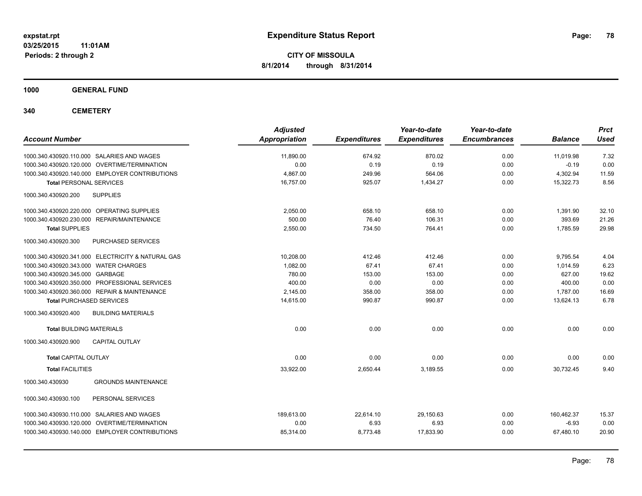**03/25/2015 11:01AM Periods: 2 through 2**

**CITY OF MISSOULA 8/1/2014 through 8/31/2014**

**1000 GENERAL FUND**

**340 CEMETERY**

| <b>Account Number</b>                             | <b>Adjusted</b><br><b>Appropriation</b> | <b>Expenditures</b> | Year-to-date<br><b>Expenditures</b> | Year-to-date<br><b>Encumbrances</b> | <b>Balance</b> | <b>Prct</b><br><b>Used</b> |
|---------------------------------------------------|-----------------------------------------|---------------------|-------------------------------------|-------------------------------------|----------------|----------------------------|
| 1000.340.430920.110.000 SALARIES AND WAGES        | 11,890.00                               | 674.92              | 870.02                              | 0.00                                | 11,019.98      | 7.32                       |
| 1000.340.430920.120.000 OVERTIME/TERMINATION      | 0.00                                    | 0.19                | 0.19                                | 0.00                                | $-0.19$        | 0.00                       |
| 1000.340.430920.140.000 EMPLOYER CONTRIBUTIONS    | 4.867.00                                | 249.96              | 564.06                              | 0.00                                | 4,302.94       | 11.59                      |
| <b>Total PERSONAL SERVICES</b>                    | 16,757.00                               | 925.07              | 1,434.27                            | 0.00                                | 15,322.73      | 8.56                       |
| 1000.340.430920.200<br><b>SUPPLIES</b>            |                                         |                     |                                     |                                     |                |                            |
| 1000.340.430920.220.000 OPERATING SUPPLIES        | 2,050.00                                | 658.10              | 658.10                              | 0.00                                | 1,391.90       | 32.10                      |
| REPAIR/MAINTENANCE<br>1000.340.430920.230.000     | 500.00                                  | 76.40               | 106.31                              | 0.00                                | 393.69         | 21.26                      |
| <b>Total SUPPLIES</b>                             | 2,550.00                                | 734.50              | 764.41                              | 0.00                                | 1,785.59       | 29.98                      |
| 1000.340.430920.300<br>PURCHASED SERVICES         |                                         |                     |                                     |                                     |                |                            |
| 1000.340.430920.341.000 ELECTRICITY & NATURAL GAS | 10,208.00                               | 412.46              | 412.46                              | 0.00                                | 9,795.54       | 4.04                       |
| 1000.340.430920.343.000 WATER CHARGES             | 1,082.00                                | 67.41               | 67.41                               | 0.00                                | 1,014.59       | 6.23                       |
| 1000.340.430920.345.000 GARBAGE                   | 780.00                                  | 153.00              | 153.00                              | 0.00                                | 627.00         | 19.62                      |
| 1000.340.430920.350.000 PROFESSIONAL SERVICES     | 400.00                                  | 0.00                | 0.00                                | 0.00                                | 400.00         | 0.00                       |
| 1000.340.430920.360.000 REPAIR & MAINTENANCE      | 2.145.00                                | 358.00              | 358.00                              | 0.00                                | 1.787.00       | 16.69                      |
| <b>Total PURCHASED SERVICES</b>                   | 14,615.00                               | 990.87              | 990.87                              | 0.00                                | 13.624.13      | 6.78                       |
| 1000.340.430920.400<br><b>BUILDING MATERIALS</b>  |                                         |                     |                                     |                                     |                |                            |
| <b>Total BUILDING MATERIALS</b>                   | 0.00                                    | 0.00                | 0.00                                | 0.00                                | 0.00           | 0.00                       |
| 1000.340.430920.900<br><b>CAPITAL OUTLAY</b>      |                                         |                     |                                     |                                     |                |                            |
| <b>Total CAPITAL OUTLAY</b>                       | 0.00                                    | 0.00                | 0.00                                | 0.00                                | 0.00           | 0.00                       |
| <b>Total FACILITIES</b>                           | 33,922.00                               | 2,650.44            | 3,189.55                            | 0.00                                | 30,732.45      | 9.40                       |
| <b>GROUNDS MAINTENANCE</b><br>1000.340.430930     |                                         |                     |                                     |                                     |                |                            |
| 1000.340.430930.100<br>PERSONAL SERVICES          |                                         |                     |                                     |                                     |                |                            |
| 1000.340.430930.110.000 SALARIES AND WAGES        | 189.613.00                              | 22,614.10           | 29,150.63                           | 0.00                                | 160,462.37     | 15.37                      |
| 1000.340.430930.120.000 OVERTIME/TERMINATION      | 0.00                                    | 6.93                | 6.93                                | 0.00                                | $-6.93$        | 0.00                       |
| 1000.340.430930.140.000 EMPLOYER CONTRIBUTIONS    | 85,314.00                               | 8,773.48            | 17,833.90                           | 0.00                                | 67,480.10      | 20.90                      |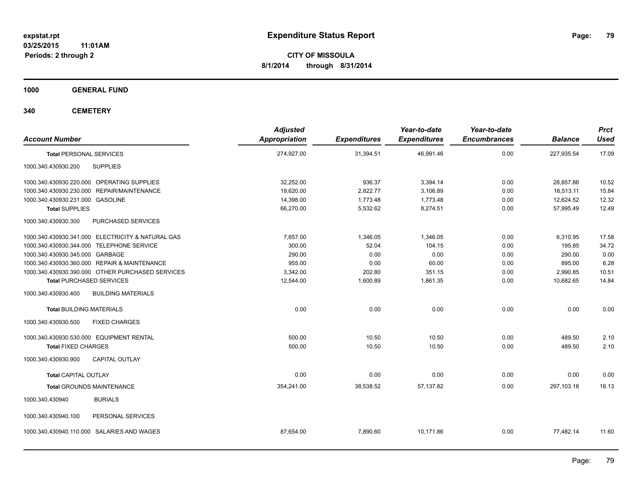**1000 GENERAL FUND**

**340 CEMETERY**

| <b>Account Number</b>                                | <b>Adjusted</b><br><b>Appropriation</b> | <b>Expenditures</b> | Year-to-date<br><b>Expenditures</b> | Year-to-date<br><b>Encumbrances</b> | <b>Balance</b> | Prct<br><b>Used</b> |
|------------------------------------------------------|-----------------------------------------|---------------------|-------------------------------------|-------------------------------------|----------------|---------------------|
| <b>Total PERSONAL SERVICES</b>                       | 274,927.00                              | 31,394.51           | 46,991.46                           | 0.00                                | 227,935.54     | 17.09               |
| <b>SUPPLIES</b><br>1000.340.430930.200               |                                         |                     |                                     |                                     |                |                     |
| 1000.340.430930.220.000 OPERATING SUPPLIES           | 32.252.00                               | 936.37              | 3.394.14                            | 0.00                                | 28.857.86      | 10.52               |
| <b>REPAIR/MAINTENANCE</b><br>1000.340.430930.230.000 | 19,620.00                               | 2,822.77            | 3,106.89                            | 0.00                                | 16.513.11      | 15.84               |
| 1000.340.430930.231.000 GASOLINE                     | 14,398.00                               | 1,773.48            | 1,773.48                            | 0.00                                | 12,624.52      | 12.32               |
| <b>Total SUPPLIES</b>                                | 66,270.00                               | 5,532.62            | 8,274.51                            | 0.00                                | 57,995.49      | 12.49               |
| 1000.340.430930.300<br>PURCHASED SERVICES            |                                         |                     |                                     |                                     |                |                     |
| 1000.340.430930.341.000 ELECTRICITY & NATURAL GAS    | 7.657.00                                | 1.346.05            | 1.346.05                            | 0.00                                | 6,310.95       | 17.58               |
| 1000.340.430930.344.000 TELEPHONE SERVICE            | 300.00                                  | 52.04               | 104.15                              | 0.00                                | 195.85         | 34.72               |
| 1000.340.430930.345.000 GARBAGE                      | 290.00                                  | 0.00                | 0.00                                | 0.00                                | 290.00         | 0.00                |
| 1000.340.430930.360.000 REPAIR & MAINTENANCE         | 955.00                                  | 0.00                | 60.00                               | 0.00                                | 895.00         | 6.28                |
| 1000.340.430930.390.000 OTHER PURCHASED SERVICES     | 3,342.00                                | 202.80              | 351.15                              | 0.00                                | 2,990.85       | 10.51               |
| <b>Total PURCHASED SERVICES</b>                      | 12,544.00                               | 1,600.89            | 1,861.35                            | 0.00                                | 10,682.65      | 14.84               |
| <b>BUILDING MATERIALS</b><br>1000.340.430930.400     |                                         |                     |                                     |                                     |                |                     |
| <b>Total BUILDING MATERIALS</b>                      | 0.00                                    | 0.00                | 0.00                                | 0.00                                | 0.00           | 0.00                |
| 1000.340.430930.500<br><b>FIXED CHARGES</b>          |                                         |                     |                                     |                                     |                |                     |
| 1000.340.430930.530.000 EQUIPMENT RENTAL             | 500.00                                  | 10.50               | 10.50                               | 0.00                                | 489.50         | 2.10                |
| <b>Total FIXED CHARGES</b>                           | 500.00                                  | 10.50               | 10.50                               | 0.00                                | 489.50         | 2.10                |
| 1000.340.430930.900<br><b>CAPITAL OUTLAY</b>         |                                         |                     |                                     |                                     |                |                     |
| <b>Total CAPITAL OUTLAY</b>                          | 0.00                                    | 0.00                | 0.00                                | 0.00                                | 0.00           | 0.00                |
| <b>Total GROUNDS MAINTENANCE</b>                     | 354,241.00                              | 38,538.52           | 57,137.82                           | 0.00                                | 297,103.18     | 16.13               |
| 1000.340.430940<br><b>BURIALS</b>                    |                                         |                     |                                     |                                     |                |                     |
| PERSONAL SERVICES<br>1000.340.430940.100             |                                         |                     |                                     |                                     |                |                     |
| 1000.340.430940.110.000 SALARIES AND WAGES           | 87,654.00                               | 7,890.60            | 10,171.86                           | 0.00                                | 77,482.14      | 11.60               |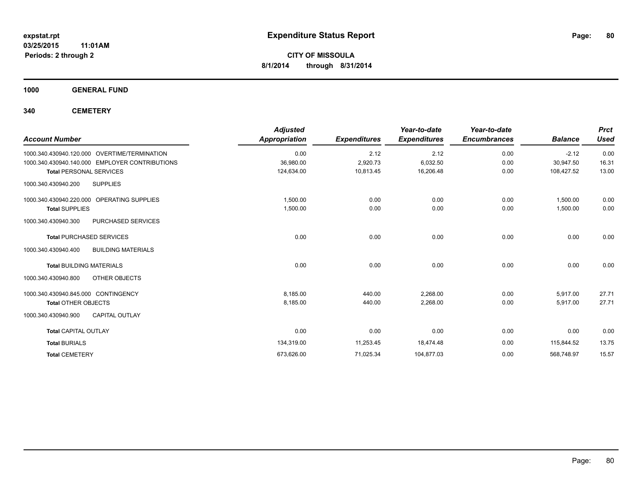**1000 GENERAL FUND**

**340 CEMETERY**

| <b>Account Number</b>                            | <b>Adjusted</b><br><b>Appropriation</b> | <b>Expenditures</b> | Year-to-date<br><b>Expenditures</b> | Year-to-date<br><b>Encumbrances</b> | <b>Balance</b> | <b>Prct</b><br><b>Used</b> |
|--------------------------------------------------|-----------------------------------------|---------------------|-------------------------------------|-------------------------------------|----------------|----------------------------|
| 1000.340.430940.120.000 OVERTIME/TERMINATION     | 0.00                                    | 2.12                | 2.12                                | 0.00                                | $-2.12$        | 0.00                       |
| 1000.340.430940.140.000 EMPLOYER CONTRIBUTIONS   | 36,980.00                               | 2,920.73            | 6,032.50                            | 0.00                                | 30,947.50      | 16.31                      |
| <b>Total PERSONAL SERVICES</b>                   | 124,634.00                              | 10,813.45           | 16,206.48                           | 0.00                                | 108,427.52     | 13.00                      |
| 1000.340.430940.200<br><b>SUPPLIES</b>           |                                         |                     |                                     |                                     |                |                            |
| 1000.340.430940.220.000 OPERATING SUPPLIES       | 1,500.00                                | 0.00                | 0.00                                | 0.00                                | 1,500.00       | 0.00                       |
| <b>Total SUPPLIES</b>                            | 1,500.00                                | 0.00                | 0.00                                | 0.00                                | 1,500.00       | 0.00                       |
| 1000.340.430940.300<br>PURCHASED SERVICES        |                                         |                     |                                     |                                     |                |                            |
| <b>Total PURCHASED SERVICES</b>                  | 0.00                                    | 0.00                | 0.00                                | 0.00                                | 0.00           | 0.00                       |
| <b>BUILDING MATERIALS</b><br>1000.340.430940.400 |                                         |                     |                                     |                                     |                |                            |
| <b>Total BUILDING MATERIALS</b>                  | 0.00                                    | 0.00                | 0.00                                | 0.00                                | 0.00           | 0.00                       |
| 1000.340.430940.800<br>OTHER OBJECTS             |                                         |                     |                                     |                                     |                |                            |
| 1000.340.430940.845.000 CONTINGENCY              | 8,185.00                                | 440.00              | 2.268.00                            | 0.00                                | 5.917.00       | 27.71                      |
| <b>Total OTHER OBJECTS</b>                       | 8,185.00                                | 440.00              | 2,268.00                            | 0.00                                | 5,917.00       | 27.71                      |
| <b>CAPITAL OUTLAY</b><br>1000.340.430940.900     |                                         |                     |                                     |                                     |                |                            |
| <b>Total CAPITAL OUTLAY</b>                      | 0.00                                    | 0.00                | 0.00                                | 0.00                                | 0.00           | 0.00                       |
| <b>Total BURIALS</b>                             | 134,319.00                              | 11,253.45           | 18,474.48                           | 0.00                                | 115,844.52     | 13.75                      |
| <b>Total CEMETERY</b>                            | 673,626.00                              | 71,025.34           | 104,877.03                          | 0.00                                | 568,748.97     | 15.57                      |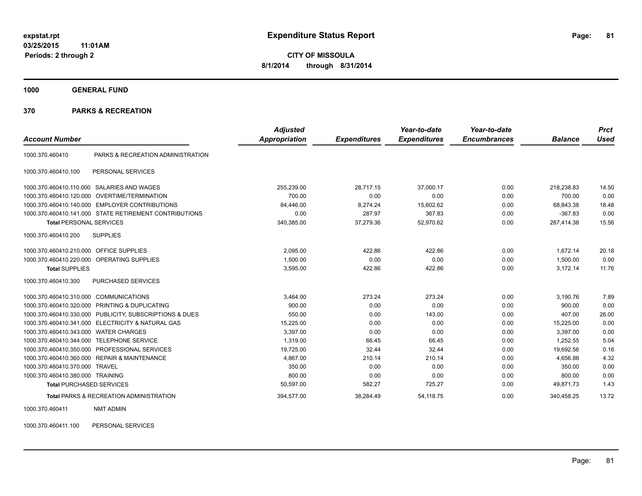**1000 GENERAL FUND**

#### **370 PARKS & RECREATION**

|                                         |                                                        | <b>Adjusted</b> |                     | Year-to-date        | Year-to-date        |                | <b>Prct</b> |
|-----------------------------------------|--------------------------------------------------------|-----------------|---------------------|---------------------|---------------------|----------------|-------------|
| <b>Account Number</b>                   |                                                        | Appropriation   | <b>Expenditures</b> | <b>Expenditures</b> | <b>Encumbrances</b> | <b>Balance</b> | <b>Used</b> |
| 1000.370.460410                         | PARKS & RECREATION ADMINISTRATION                      |                 |                     |                     |                     |                |             |
| 1000.370.460410.100                     | PERSONAL SERVICES                                      |                 |                     |                     |                     |                |             |
|                                         | 1000.370.460410.110.000 SALARIES AND WAGES             | 255,239.00      | 28,717.15           | 37,000.17           | 0.00                | 218,238.83     | 14.50       |
|                                         | 1000.370.460410.120.000 OVERTIME/TERMINATION           | 700.00          | 0.00                | 0.00                | 0.00                | 700.00         | 0.00        |
| 1000.370.460410.140.000                 | <b>EMPLOYER CONTRIBUTIONS</b>                          | 84.446.00       | 8.274.24            | 15,602.62           | 0.00                | 68.843.38      | 18.48       |
|                                         | 1000.370.460410.141.000 STATE RETIREMENT CONTRIBUTIONS | 0.00            | 287.97              | 367.83              | 0.00                | $-367.83$      | 0.00        |
| <b>Total PERSONAL SERVICES</b>          |                                                        | 340,385.00      | 37,279.36           | 52,970.62           | 0.00                | 287,414.38     | 15.56       |
| 1000.370.460410.200                     | <b>SUPPLIES</b>                                        |                 |                     |                     |                     |                |             |
| 1000.370.460410.210.000 OFFICE SUPPLIES |                                                        | 2,095.00        | 422.86              | 422.86              | 0.00                | 1.672.14       | 20.18       |
|                                         | 1000.370.460410.220.000 OPERATING SUPPLIES             | 1,500.00        | 0.00                | 0.00                | 0.00                | 1.500.00       | 0.00        |
| <b>Total SUPPLIES</b>                   |                                                        | 3,595.00        | 422.86              | 422.86              | 0.00                | 3.172.14       | 11.76       |
| 1000.370.460410.300                     | PURCHASED SERVICES                                     |                 |                     |                     |                     |                |             |
| 1000.370.460410.310.000                 | <b>COMMUNICATIONS</b>                                  | 3.464.00        | 273.24              | 273.24              | 0.00                | 3.190.76       | 7.89        |
| 1000.370.460410.320.000                 | PRINTING & DUPLICATING                                 | 900.00          | 0.00                | 0.00                | 0.00                | 900.00         | 0.00        |
| 1000.370.460410.330.000                 | PUBLICITY, SUBSCRIPTIONS & DUES                        | 550.00          | 0.00                | 143.00              | 0.00                | 407.00         | 26.00       |
| 1000.370.460410.341.000                 | <b>ELECTRICITY &amp; NATURAL GAS</b>                   | 15.225.00       | 0.00                | 0.00                | 0.00                | 15.225.00      | 0.00        |
| 1000.370.460410.343.000                 | <b>WATER CHARGES</b>                                   | 3,397.00        | 0.00                | 0.00                | 0.00                | 3,397.00       | 0.00        |
| 1000.370.460410.344.000                 | <b>TELEPHONE SERVICE</b>                               | 1.319.00        | 66.45               | 66.45               | 0.00                | 1.252.55       | 5.04        |
|                                         | 1000.370.460410.350.000 PROFESSIONAL SERVICES          | 19,725.00       | 32.44               | 32.44               | 0.00                | 19,692.56      | 0.16        |
|                                         | 1000.370.460410.360.000 REPAIR & MAINTENANCE           | 4,867.00        | 210.14              | 210.14              | 0.00                | 4,656.86       | 4.32        |
| 1000.370.460410.370.000 TRAVEL          |                                                        | 350.00          | 0.00                | 0.00                | 0.00                | 350.00         | 0.00        |
| 1000.370.460410.380.000 TRAINING        |                                                        | 800.00          | 0.00                | 0.00                | 0.00                | 800.00         | 0.00        |
| <b>Total PURCHASED SERVICES</b>         |                                                        | 50,597.00       | 582.27              | 725.27              | 0.00                | 49,871.73      | 1.43        |
|                                         | <b>Total PARKS &amp; RECREATION ADMINISTRATION</b>     | 394.577.00      | 38.284.49           | 54.118.75           | 0.00                | 340.458.25     | 13.72       |

1000.370.460411 NMT ADMIN

1000.370.460411.100 PERSONAL SERVICES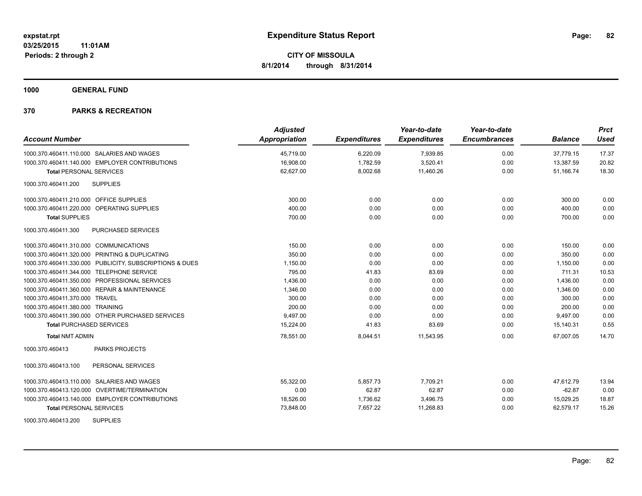**1000 GENERAL FUND**

| <b>Account Number</b>                                   | <b>Adjusted</b><br><b>Appropriation</b> | <b>Expenditures</b> | Year-to-date<br><b>Expenditures</b> | Year-to-date<br><b>Encumbrances</b> | <b>Balance</b> | <b>Prct</b><br><b>Used</b> |
|---------------------------------------------------------|-----------------------------------------|---------------------|-------------------------------------|-------------------------------------|----------------|----------------------------|
| 1000.370.460411.110.000 SALARIES AND WAGES              | 45,719.00                               | 6,220.09            | 7,939.85                            | 0.00                                | 37,779.15      | 17.37                      |
| 1000.370.460411.140.000 EMPLOYER CONTRIBUTIONS          | 16,908.00                               | 1,782.59            | 3,520.41                            | 0.00                                | 13,387.59      | 20.82                      |
| <b>Total PERSONAL SERVICES</b>                          | 62,627.00                               | 8,002.68            | 11,460.26                           | 0.00                                | 51,166.74      | 18.30                      |
| 1000.370.460411.200<br><b>SUPPLIES</b>                  |                                         |                     |                                     |                                     |                |                            |
| 1000.370.460411.210.000 OFFICE SUPPLIES                 | 300.00                                  | 0.00                | 0.00                                | 0.00                                | 300.00         | 0.00                       |
| 1000.370.460411.220.000 OPERATING SUPPLIES              | 400.00                                  | 0.00                | 0.00                                | 0.00                                | 400.00         | 0.00                       |
| <b>Total SUPPLIES</b>                                   | 700.00                                  | 0.00                | 0.00                                | 0.00                                | 700.00         | 0.00                       |
| <b>PURCHASED SERVICES</b><br>1000.370.460411.300        |                                         |                     |                                     |                                     |                |                            |
| 1000.370.460411.310.000 COMMUNICATIONS                  | 150.00                                  | 0.00                | 0.00                                | 0.00                                | 150.00         | 0.00                       |
| 1000.370.460411.320.000 PRINTING & DUPLICATING          | 350.00                                  | 0.00                | 0.00                                | 0.00                                | 350.00         | 0.00                       |
| 1000.370.460411.330.000 PUBLICITY, SUBSCRIPTIONS & DUES | 1,150.00                                | 0.00                | 0.00                                | 0.00                                | 1,150.00       | 0.00                       |
| 1000.370.460411.344.000 TELEPHONE SERVICE               | 795.00                                  | 41.83               | 83.69                               | 0.00                                | 711.31         | 10.53                      |
| 1000.370.460411.350.000 PROFESSIONAL SERVICES           | 1,436.00                                | 0.00                | 0.00                                | 0.00                                | 1,436.00       | 0.00                       |
| 1000.370.460411.360.000 REPAIR & MAINTENANCE            | 1,346.00                                | 0.00                | 0.00                                | 0.00                                | 1,346.00       | 0.00                       |
| 1000.370.460411.370.000 TRAVEL                          | 300.00                                  | 0.00                | 0.00                                | 0.00                                | 300.00         | 0.00                       |
| 1000.370.460411.380.000 TRAINING                        | 200.00                                  | 0.00                | 0.00                                | 0.00                                | 200.00         | 0.00                       |
| 1000.370.460411.390.000 OTHER PURCHASED SERVICES        | 9,497.00                                | 0.00                | 0.00                                | 0.00                                | 9,497.00       | 0.00                       |
| <b>Total PURCHASED SERVICES</b>                         | 15,224.00                               | 41.83               | 83.69                               | 0.00                                | 15,140.31      | 0.55                       |
| <b>Total NMT ADMIN</b>                                  | 78,551.00                               | 8,044.51            | 11.543.95                           | 0.00                                | 67.007.05      | 14.70                      |
| <b>PARKS PROJECTS</b><br>1000.370.460413                |                                         |                     |                                     |                                     |                |                            |
| 1000.370.460413.100<br>PERSONAL SERVICES                |                                         |                     |                                     |                                     |                |                            |
| 1000.370.460413.110.000 SALARIES AND WAGES              | 55,322.00                               | 5.857.73            | 7,709.21                            | 0.00                                | 47.612.79      | 13.94                      |
| 1000.370.460413.120.000 OVERTIME/TERMINATION            | 0.00                                    | 62.87               | 62.87                               | 0.00                                | $-62.87$       | 0.00                       |
| 1000.370.460413.140.000 EMPLOYER CONTRIBUTIONS          | 18,526.00                               | 1,736.62            | 3,496.75                            | 0.00                                | 15,029.25      | 18.87                      |
| <b>Total PERSONAL SERVICES</b>                          | 73,848.00                               | 7,657.22            | 11,268.83                           | 0.00                                | 62,579.17      | 15.26                      |
| <b>SUPPLIES</b><br>1000.370.460413.200                  |                                         |                     |                                     |                                     |                |                            |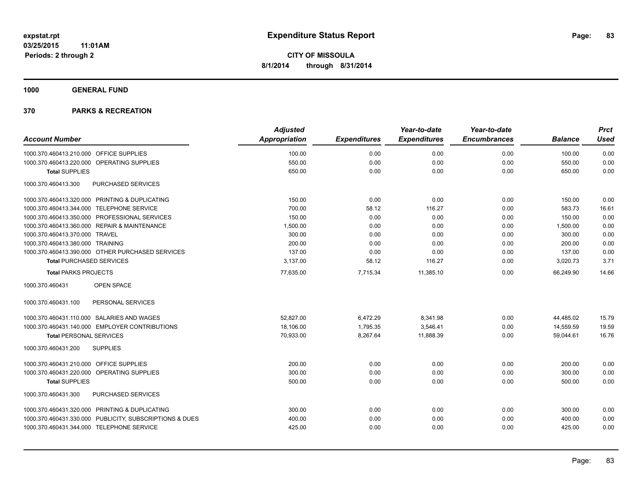**1000 GENERAL FUND**

|                                                         | <b>Adjusted</b>      |                     | Year-to-date        | Year-to-date        |                | <b>Prct</b> |
|---------------------------------------------------------|----------------------|---------------------|---------------------|---------------------|----------------|-------------|
| <b>Account Number</b>                                   | <b>Appropriation</b> | <b>Expenditures</b> | <b>Expenditures</b> | <b>Encumbrances</b> | <b>Balance</b> | <b>Used</b> |
| 1000.370.460413.210.000 OFFICE SUPPLIES                 | 100.00               | 0.00                | 0.00                | 0.00                | 100.00         | 0.00        |
| 1000.370.460413.220.000 OPERATING SUPPLIES              | 550.00               | 0.00                | 0.00                | 0.00                | 550.00         | 0.00        |
| <b>Total SUPPLIES</b>                                   | 650.00               | 0.00                | 0.00                | 0.00                | 650.00         | 0.00        |
| 1000.370.460413.300<br><b>PURCHASED SERVICES</b>        |                      |                     |                     |                     |                |             |
| 1000.370.460413.320.000 PRINTING & DUPLICATING          | 150.00               | 0.00                | 0.00                | 0.00                | 150.00         | 0.00        |
| 1000.370.460413.344.000 TELEPHONE SERVICE               | 700.00               | 58.12               | 116.27              | 0.00                | 583.73         | 16.61       |
| 1000.370.460413.350.000 PROFESSIONAL SERVICES           | 150.00               | 0.00                | 0.00                | 0.00                | 150.00         | 0.00        |
| 1000.370.460413.360.000 REPAIR & MAINTENANCE            | 1,500.00             | 0.00                | 0.00                | 0.00                | 1,500.00       | 0.00        |
| 1000.370.460413.370.000 TRAVEL                          | 300.00               | 0.00                | 0.00                | 0.00                | 300.00         | 0.00        |
| 1000.370.460413.380.000 TRAINING                        | 200.00               | 0.00                | 0.00                | 0.00                | 200.00         | 0.00        |
| 1000.370.460413.390.000 OTHER PURCHASED SERVICES        | 137.00               | 0.00                | 0.00                | 0.00                | 137.00         | 0.00        |
| <b>Total PURCHASED SERVICES</b>                         | 3,137.00             | 58.12               | 116.27              | 0.00                | 3,020.73       | 3.71        |
| <b>Total PARKS PROJECTS</b>                             | 77,635.00            | 7,715.34            | 11,385.10           | 0.00                | 66,249.90      | 14.66       |
| 1000.370.460431<br>OPEN SPACE                           |                      |                     |                     |                     |                |             |
| PERSONAL SERVICES<br>1000.370.460431.100                |                      |                     |                     |                     |                |             |
| 1000.370.460431.110.000 SALARIES AND WAGES              | 52,827.00            | 6,472.29            | 8,341.98            | 0.00                | 44,485.02      | 15.79       |
| 1000.370.460431.140.000 EMPLOYER CONTRIBUTIONS          | 18,106.00            | 1,795.35            | 3,546.41            | 0.00                | 14,559.59      | 19.59       |
| <b>Total PERSONAL SERVICES</b>                          | 70,933.00            | 8,267.64            | 11,888.39           | 0.00                | 59,044.61      | 16.76       |
| 1000.370.460431.200<br><b>SUPPLIES</b>                  |                      |                     |                     |                     |                |             |
| 1000.370.460431.210.000 OFFICE SUPPLIES                 | 200.00               | 0.00                | 0.00                | 0.00                | 200.00         | 0.00        |
| 1000.370.460431.220.000 OPERATING SUPPLIES              | 300.00               | 0.00                | 0.00                | 0.00                | 300.00         | 0.00        |
| <b>Total SUPPLIES</b>                                   | 500.00               | 0.00                | 0.00                | 0.00                | 500.00         | 0.00        |
| PURCHASED SERVICES<br>1000.370.460431.300               |                      |                     |                     |                     |                |             |
| 1000.370.460431.320.000 PRINTING & DUPLICATING          | 300.00               | 0.00                | 0.00                | 0.00                | 300.00         | 0.00        |
| 1000.370.460431.330.000 PUBLICITY, SUBSCRIPTIONS & DUES | 400.00               | 0.00                | 0.00                | 0.00                | 400.00         | 0.00        |
| 1000.370.460431.344.000 TELEPHONE SERVICE               | 425.00               | 0.00                | 0.00                | 0.00                | 425.00         | 0.00        |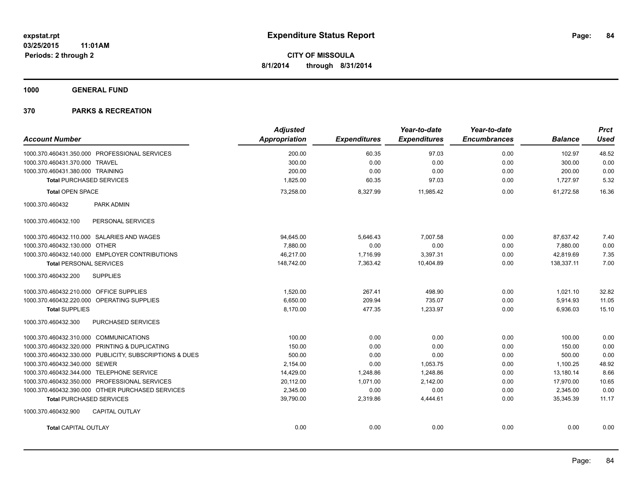**1000 GENERAL FUND**

| <b>Account Number</b>                                   | <b>Adjusted</b><br>Appropriation | <b>Expenditures</b> | Year-to-date<br><b>Expenditures</b> | Year-to-date<br><b>Encumbrances</b> | <b>Balance</b> | <b>Prct</b><br><b>Used</b> |
|---------------------------------------------------------|----------------------------------|---------------------|-------------------------------------|-------------------------------------|----------------|----------------------------|
| 1000.370.460431.350.000 PROFESSIONAL SERVICES           | 200.00                           | 60.35               | 97.03                               | 0.00                                | 102.97         | 48.52                      |
| 1000.370.460431.370.000 TRAVEL                          | 300.00                           | 0.00                | 0.00                                | 0.00                                | 300.00         | 0.00                       |
| 1000.370.460431.380.000 TRAINING                        | 200.00                           | 0.00                | 0.00                                | 0.00                                | 200.00         | 0.00                       |
| <b>Total PURCHASED SERVICES</b>                         | 1,825.00                         | 60.35               | 97.03                               | 0.00                                | 1,727.97       | 5.32                       |
| <b>Total OPEN SPACE</b>                                 | 73,258.00                        | 8,327.99            | 11,985.42                           | 0.00                                | 61,272.58      | 16.36                      |
| 1000.370.460432<br>PARK ADMIN                           |                                  |                     |                                     |                                     |                |                            |
| PERSONAL SERVICES<br>1000.370.460432.100                |                                  |                     |                                     |                                     |                |                            |
| 1000.370.460432.110.000 SALARIES AND WAGES              | 94,645.00                        | 5,646.43            | 7,007.58                            | 0.00                                | 87,637.42      | 7.40                       |
| 1000.370.460432.130.000 OTHER                           | 7,880.00                         | 0.00                | 0.00                                | 0.00                                | 7,880.00       | 0.00                       |
| 1000.370.460432.140.000 EMPLOYER CONTRIBUTIONS          | 46,217.00                        | 1,716.99            | 3,397.31                            | 0.00                                | 42,819.69      | 7.35                       |
| <b>Total PERSONAL SERVICES</b>                          | 148,742.00                       | 7,363.42            | 10,404.89                           | 0.00                                | 138,337.11     | 7.00                       |
| <b>SUPPLIES</b><br>1000.370.460432.200                  |                                  |                     |                                     |                                     |                |                            |
| 1000.370.460432.210.000 OFFICE SUPPLIES                 | 1,520.00                         | 267.41              | 498.90                              | 0.00                                | 1,021.10       | 32.82                      |
| 1000.370.460432.220.000 OPERATING SUPPLIES              | 6,650.00                         | 209.94              | 735.07                              | 0.00                                | 5,914.93       | 11.05                      |
| <b>Total SUPPLIES</b>                                   | 8,170.00                         | 477.35              | 1,233.97                            | 0.00                                | 6,936.03       | 15.10                      |
| PURCHASED SERVICES<br>1000.370.460432.300               |                                  |                     |                                     |                                     |                |                            |
| 1000.370.460432.310.000 COMMUNICATIONS                  | 100.00                           | 0.00                | 0.00                                | 0.00                                | 100.00         | 0.00                       |
| 1000.370.460432.320.000 PRINTING & DUPLICATING          | 150.00                           | 0.00                | 0.00                                | 0.00                                | 150.00         | 0.00                       |
| 1000.370.460432.330.000 PUBLICITY, SUBSCRIPTIONS & DUES | 500.00                           | 0.00                | 0.00                                | 0.00                                | 500.00         | 0.00                       |
| 1000.370.460432.340.000 SEWER                           | 2,154.00                         | 0.00                | 1,053.75                            | 0.00                                | 1,100.25       | 48.92                      |
| 1000.370.460432.344.000 TELEPHONE SERVICE               | 14,429.00                        | 1,248.86            | 1,248.86                            | 0.00                                | 13,180.14      | 8.66                       |
| 1000.370.460432.350.000 PROFESSIONAL SERVICES           | 20,112.00                        | 1,071.00            | 2,142.00                            | 0.00                                | 17,970.00      | 10.65                      |
| 1000.370.460432.390.000 OTHER PURCHASED SERVICES        | 2.345.00                         | 0.00                | 0.00                                | 0.00                                | 2,345.00       | 0.00                       |
| <b>Total PURCHASED SERVICES</b>                         | 39,790.00                        | 2,319.86            | 4,444.61                            | 0.00                                | 35.345.39      | 11.17                      |
| 1000.370.460432.900<br><b>CAPITAL OUTLAY</b>            |                                  |                     |                                     |                                     |                |                            |
| <b>Total CAPITAL OUTLAY</b>                             | 0.00                             | 0.00                | 0.00                                | 0.00                                | 0.00           | 0.00                       |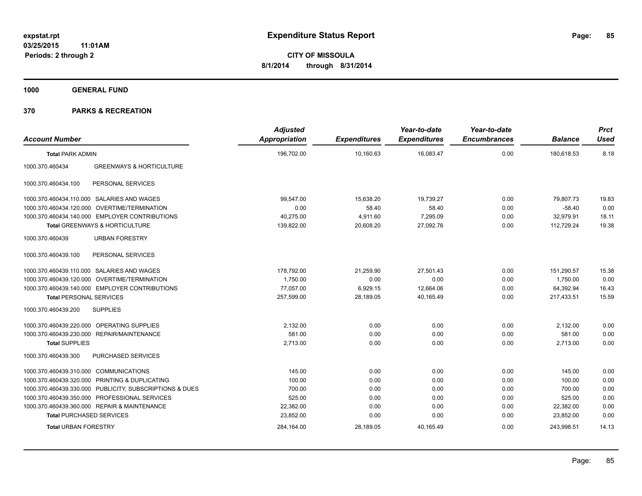**1000 GENERAL FUND**

| <b>Account Number</b>                  |                                                         | <b>Adjusted</b><br>Appropriation | <b>Expenditures</b> | Year-to-date<br><b>Expenditures</b> | Year-to-date<br><b>Encumbrances</b> | <b>Balance</b> | <b>Prct</b><br><b>Used</b> |
|----------------------------------------|---------------------------------------------------------|----------------------------------|---------------------|-------------------------------------|-------------------------------------|----------------|----------------------------|
| <b>Total PARK ADMIN</b>                |                                                         | 196,702.00                       | 10,160.63           | 16,083.47                           | 0.00                                | 180,618.53     | 8.18                       |
| 1000.370.460434                        | <b>GREENWAYS &amp; HORTICULTURE</b>                     |                                  |                     |                                     |                                     |                |                            |
| 1000.370.460434.100                    | PERSONAL SERVICES                                       |                                  |                     |                                     |                                     |                |                            |
|                                        | 1000.370.460434.110.000 SALARIES AND WAGES              | 99,547.00                        | 15,638.20           | 19,739.27                           | 0.00                                | 79.807.73      | 19.83                      |
|                                        | 1000.370.460434.120.000 OVERTIME/TERMINATION            | 0.00                             | 58.40               | 58.40                               | 0.00                                | $-58.40$       | 0.00                       |
|                                        | 1000.370.460434.140.000 EMPLOYER CONTRIBUTIONS          | 40,275.00                        | 4,911.60            | 7,295.09                            | 0.00                                | 32,979.91      | 18.11                      |
|                                        | Total GREENWAYS & HORTICULTURE                          | 139,822.00                       | 20,608.20           | 27,092.76                           | 0.00                                | 112,729.24     | 19.38                      |
| 1000.370.460439                        | <b>URBAN FORESTRY</b>                                   |                                  |                     |                                     |                                     |                |                            |
| 1000.370.460439.100                    | PERSONAL SERVICES                                       |                                  |                     |                                     |                                     |                |                            |
|                                        | 1000.370.460439.110.000 SALARIES AND WAGES              | 178,792.00                       | 21.259.90           | 27.501.43                           | 0.00                                | 151,290.57     | 15.38                      |
|                                        | 1000.370.460439.120.000 OVERTIME/TERMINATION            | 1,750.00                         | 0.00                | 0.00                                | 0.00                                | 1,750.00       | 0.00                       |
|                                        | 1000.370.460439.140.000 EMPLOYER CONTRIBUTIONS          | 77.057.00                        | 6,929.15            | 12,664.06                           | 0.00                                | 64,392.94      | 16.43                      |
| <b>Total PERSONAL SERVICES</b>         |                                                         | 257,599.00                       | 28,189.05           | 40,165.49                           | 0.00                                | 217,433.51     | 15.59                      |
| 1000.370.460439.200                    | <b>SUPPLIES</b>                                         |                                  |                     |                                     |                                     |                |                            |
|                                        | 1000.370.460439.220.000 OPERATING SUPPLIES              | 2.132.00                         | 0.00                | 0.00                                | 0.00                                | 2,132.00       | 0.00                       |
|                                        | 1000.370.460439.230.000 REPAIR/MAINTENANCE              | 581.00                           | 0.00                | 0.00                                | 0.00                                | 581.00         | 0.00                       |
| <b>Total SUPPLIES</b>                  |                                                         | 2,713.00                         | 0.00                | 0.00                                | 0.00                                | 2,713.00       | 0.00                       |
| 1000.370.460439.300                    | PURCHASED SERVICES                                      |                                  |                     |                                     |                                     |                |                            |
| 1000.370.460439.310.000 COMMUNICATIONS |                                                         | 145.00                           | 0.00                | 0.00                                | 0.00                                | 145.00         | 0.00                       |
|                                        | 1000.370.460439.320.000 PRINTING & DUPLICATING          | 100.00                           | 0.00                | 0.00                                | 0.00                                | 100.00         | 0.00                       |
|                                        | 1000.370.460439.330.000 PUBLICITY, SUBSCRIPTIONS & DUES | 700.00                           | 0.00                | 0.00                                | 0.00                                | 700.00         | 0.00                       |
|                                        | 1000.370.460439.350.000 PROFESSIONAL SERVICES           | 525.00                           | 0.00                | 0.00                                | 0.00                                | 525.00         | 0.00                       |
|                                        | 1000.370.460439.360.000 REPAIR & MAINTENANCE            | 22,382.00                        | 0.00                | 0.00                                | 0.00                                | 22,382.00      | 0.00                       |
| <b>Total PURCHASED SERVICES</b>        |                                                         | 23,852.00                        | 0.00                | 0.00                                | 0.00                                | 23,852.00      | 0.00                       |
| <b>Total URBAN FORESTRY</b>            |                                                         | 284,164.00                       | 28,189.05           | 40,165.49                           | 0.00                                | 243,998.51     | 14.13                      |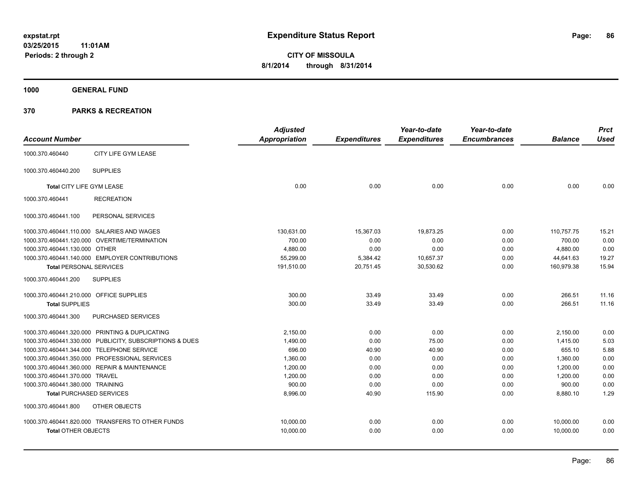**1000 GENERAL FUND**

|                                         |                                                         | <b>Adjusted</b>      |                     | Year-to-date        | Year-to-date        |                | <b>Prct</b> |
|-----------------------------------------|---------------------------------------------------------|----------------------|---------------------|---------------------|---------------------|----------------|-------------|
| <b>Account Number</b>                   |                                                         | <b>Appropriation</b> | <b>Expenditures</b> | <b>Expenditures</b> | <b>Encumbrances</b> | <b>Balance</b> | <b>Used</b> |
| 1000.370.460440                         | CITY LIFE GYM LEASE                                     |                      |                     |                     |                     |                |             |
| 1000.370.460440.200                     | <b>SUPPLIES</b>                                         |                      |                     |                     |                     |                |             |
| Total CITY LIFE GYM LEASE               |                                                         | 0.00                 | 0.00                | 0.00                | 0.00                | 0.00           | 0.00        |
| 1000.370.460441                         | <b>RECREATION</b>                                       |                      |                     |                     |                     |                |             |
| 1000.370.460441.100                     | PERSONAL SERVICES                                       |                      |                     |                     |                     |                |             |
|                                         | 1000.370.460441.110.000 SALARIES AND WAGES              | 130,631.00           | 15,367.03           | 19,873.25           | 0.00                | 110,757.75     | 15.21       |
|                                         | 1000.370.460441.120.000 OVERTIME/TERMINATION            | 700.00               | 0.00                | 0.00                | 0.00                | 700.00         | 0.00        |
| 1000.370.460441.130.000 OTHER           |                                                         | 4,880.00             | 0.00                | 0.00                | 0.00                | 4,880.00       | 0.00        |
|                                         | 1000.370.460441.140.000 EMPLOYER CONTRIBUTIONS          | 55,299.00            | 5,384.42            | 10,657.37           | 0.00                | 44,641.63      | 19.27       |
| <b>Total PERSONAL SERVICES</b>          |                                                         | 191,510.00           | 20,751.45           | 30,530.62           | 0.00                | 160,979.38     | 15.94       |
| 1000.370.460441.200                     | <b>SUPPLIES</b>                                         |                      |                     |                     |                     |                |             |
| 1000.370.460441.210.000 OFFICE SUPPLIES |                                                         | 300.00               | 33.49               | 33.49               | 0.00                | 266.51         | 11.16       |
| <b>Total SUPPLIES</b>                   |                                                         | 300.00               | 33.49               | 33.49               | 0.00                | 266.51         | 11.16       |
| 1000.370.460441.300                     | PURCHASED SERVICES                                      |                      |                     |                     |                     |                |             |
|                                         | 1000.370.460441.320.000 PRINTING & DUPLICATING          | 2,150.00             | 0.00                | 0.00                | 0.00                | 2,150.00       | 0.00        |
|                                         | 1000.370.460441.330.000 PUBLICITY, SUBSCRIPTIONS & DUES | 1,490.00             | 0.00                | 75.00               | 0.00                | 1,415.00       | 5.03        |
|                                         | 1000.370.460441.344.000 TELEPHONE SERVICE               | 696.00               | 40.90               | 40.90               | 0.00                | 655.10         | 5.88        |
|                                         | 1000.370.460441.350.000 PROFESSIONAL SERVICES           | 1,360.00             | 0.00                | 0.00                | 0.00                | 1,360.00       | 0.00        |
|                                         | 1000.370.460441.360.000 REPAIR & MAINTENANCE            | 1,200.00             | 0.00                | 0.00                | 0.00                | 1,200.00       | 0.00        |
| 1000.370.460441.370.000 TRAVEL          |                                                         | 1,200.00             | 0.00                | 0.00                | 0.00                | 1,200.00       | 0.00        |
| 1000.370.460441.380.000 TRAINING        |                                                         | 900.00               | 0.00                | 0.00                | 0.00                | 900.00         | 0.00        |
| <b>Total PURCHASED SERVICES</b>         |                                                         | 8,996.00             | 40.90               | 115.90              | 0.00                | 8,880.10       | 1.29        |
| 1000.370.460441.800                     | OTHER OBJECTS                                           |                      |                     |                     |                     |                |             |
|                                         | 1000.370.460441.820.000 TRANSFERS TO OTHER FUNDS        | 10,000.00            | 0.00                | 0.00                | 0.00                | 10,000.00      | 0.00        |
| <b>Total OTHER OBJECTS</b>              |                                                         | 10,000.00            | 0.00                | 0.00                | 0.00                | 10,000.00      | 0.00        |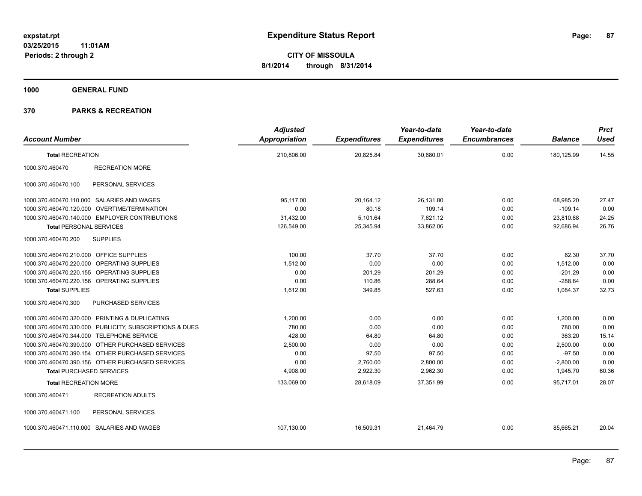**1000 GENERAL FUND**

|                                                |                                                         | <b>Adjusted</b>      |                     | Year-to-date        | Year-to-date        |                | <b>Prct</b> |
|------------------------------------------------|---------------------------------------------------------|----------------------|---------------------|---------------------|---------------------|----------------|-------------|
| <b>Account Number</b>                          |                                                         | <b>Appropriation</b> | <b>Expenditures</b> | <b>Expenditures</b> | <b>Encumbrances</b> | <b>Balance</b> | <b>Used</b> |
| <b>Total RECREATION</b>                        |                                                         | 210,806.00           | 20,825.84           | 30,680.01           | 0.00                | 180,125.99     | 14.55       |
| 1000.370.460470                                | <b>RECREATION MORE</b>                                  |                      |                     |                     |                     |                |             |
| 1000.370.460470.100                            | PERSONAL SERVICES                                       |                      |                     |                     |                     |                |             |
| 1000.370.460470.110.000 SALARIES AND WAGES     |                                                         | 95,117.00            | 20,164.12           | 26,131.80           | 0.00                | 68,985.20      | 27.47       |
| 1000.370.460470.120.000 OVERTIME/TERMINATION   |                                                         | 0.00                 | 80.18               | 109.14              | 0.00                | $-109.14$      | 0.00        |
|                                                | 1000.370.460470.140.000 EMPLOYER CONTRIBUTIONS          | 31,432.00            | 5,101.64            | 7,621.12            | 0.00                | 23,810.88      | 24.25       |
| <b>Total PERSONAL SERVICES</b>                 |                                                         | 126,549.00           | 25,345.94           | 33,862.06           | 0.00                | 92,686.94      | 26.76       |
| 1000.370.460470.200                            | <b>SUPPLIES</b>                                         |                      |                     |                     |                     |                |             |
| 1000.370.460470.210.000 OFFICE SUPPLIES        |                                                         | 100.00               | 37.70               | 37.70               | 0.00                | 62.30          | 37.70       |
| 1000.370.460470.220.000 OPERATING SUPPLIES     |                                                         | 1,512.00             | 0.00                | 0.00                | 0.00                | 1,512.00       | 0.00        |
| 1000.370.460470.220.155 OPERATING SUPPLIES     |                                                         | 0.00                 | 201.29              | 201.29              | 0.00                | $-201.29$      | 0.00        |
| 1000.370.460470.220.156 OPERATING SUPPLIES     |                                                         | 0.00                 | 110.86              | 288.64              | 0.00                | $-288.64$      | 0.00        |
| <b>Total SUPPLIES</b>                          |                                                         | 1.612.00             | 349.85              | 527.63              | 0.00                | 1.084.37       | 32.73       |
| 1000.370.460470.300                            | PURCHASED SERVICES                                      |                      |                     |                     |                     |                |             |
| 1000.370.460470.320.000 PRINTING & DUPLICATING |                                                         | 1,200.00             | 0.00                | 0.00                | 0.00                | 1,200.00       | 0.00        |
|                                                | 1000.370.460470.330.000 PUBLICITY, SUBSCRIPTIONS & DUES | 780.00               | 0.00                | 0.00                | 0.00                | 780.00         | 0.00        |
| 1000.370.460470.344.000 TELEPHONE SERVICE      |                                                         | 428.00               | 64.80               | 64.80               | 0.00                | 363.20         | 15.14       |
|                                                | 1000.370.460470.390.000 OTHER PURCHASED SERVICES        | 2,500.00             | 0.00                | 0.00                | 0.00                | 2,500.00       | 0.00        |
|                                                | 1000.370.460470.390.154 OTHER PURCHASED SERVICES        | 0.00                 | 97.50               | 97.50               | 0.00                | $-97.50$       | 0.00        |
|                                                | 1000.370.460470.390.156 OTHER PURCHASED SERVICES        | 0.00                 | 2,760.00            | 2,800.00            | 0.00                | $-2,800.00$    | 0.00        |
| <b>Total PURCHASED SERVICES</b>                |                                                         | 4,908.00             | 2,922.30            | 2,962.30            | 0.00                | 1,945.70       | 60.36       |
| <b>Total RECREATION MORE</b>                   |                                                         | 133,069.00           | 28,618.09           | 37,351.99           | 0.00                | 95,717.01      | 28.07       |
| 1000.370.460471                                | <b>RECREATION ADULTS</b>                                |                      |                     |                     |                     |                |             |
| 1000.370.460471.100                            | PERSONAL SERVICES                                       |                      |                     |                     |                     |                |             |
| 1000.370.460471.110.000 SALARIES AND WAGES     |                                                         | 107,130.00           | 16,509.31           | 21,464.79           | 0.00                | 85,665.21      | 20.04       |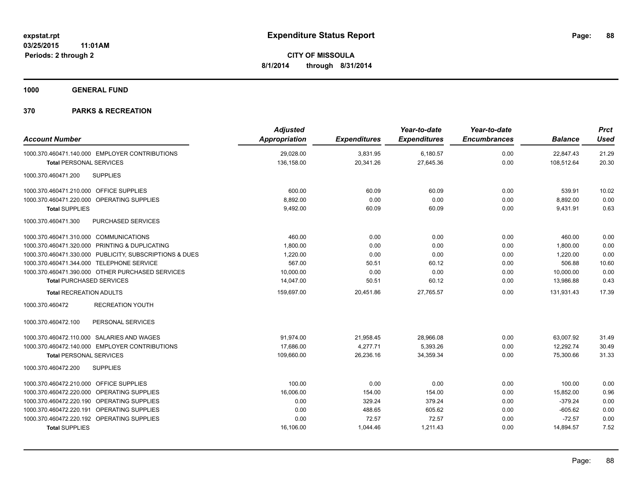**1000 GENERAL FUND**

| <b>Account Number</b>                                   | <b>Adjusted</b><br><b>Appropriation</b> | <b>Expenditures</b> | Year-to-date<br><b>Expenditures</b> | Year-to-date<br><b>Encumbrances</b> | <b>Balance</b> | <b>Prct</b><br><b>Used</b> |
|---------------------------------------------------------|-----------------------------------------|---------------------|-------------------------------------|-------------------------------------|----------------|----------------------------|
| 1000.370.460471.140.000 EMPLOYER CONTRIBUTIONS          | 29,028.00                               | 3,831.95            | 6,180.57                            | 0.00                                | 22,847.43      | 21.29                      |
| <b>Total PERSONAL SERVICES</b>                          | 136,158.00                              | 20,341.26           | 27,645.36                           | 0.00                                | 108,512.64     | 20.30                      |
| <b>SUPPLIES</b><br>1000.370.460471.200                  |                                         |                     |                                     |                                     |                |                            |
| 1000.370.460471.210.000 OFFICE SUPPLIES                 | 600.00                                  | 60.09               | 60.09                               | 0.00                                | 539.91         | 10.02                      |
| 1000.370.460471.220.000 OPERATING SUPPLIES              | 8,892.00                                | 0.00                | 0.00                                | 0.00                                | 8,892.00       | 0.00                       |
| <b>Total SUPPLIES</b>                                   | 9,492.00                                | 60.09               | 60.09                               | 0.00                                | 9,431.91       | 0.63                       |
| PURCHASED SERVICES<br>1000.370.460471.300               |                                         |                     |                                     |                                     |                |                            |
| 1000.370.460471.310.000 COMMUNICATIONS                  | 460.00                                  | 0.00                | 0.00                                | 0.00                                | 460.00         | 0.00                       |
| 1000.370.460471.320.000 PRINTING & DUPLICATING          | 1,800.00                                | 0.00                | 0.00                                | 0.00                                | 1,800.00       | 0.00                       |
| 1000.370.460471.330.000 PUBLICITY, SUBSCRIPTIONS & DUES | 1,220.00                                | 0.00                | 0.00                                | 0.00                                | 1,220.00       | 0.00                       |
| 1000.370.460471.344.000 TELEPHONE SERVICE               | 567.00                                  | 50.51               | 60.12                               | 0.00                                | 506.88         | 10.60                      |
| 1000.370.460471.390.000 OTHER PURCHASED SERVICES        | 10,000.00                               | 0.00                | 0.00                                | 0.00                                | 10,000.00      | 0.00                       |
| <b>Total PURCHASED SERVICES</b>                         | 14,047.00                               | 50.51               | 60.12                               | 0.00                                | 13,986.88      | 0.43                       |
| <b>Total RECREATION ADULTS</b>                          | 159,697.00                              | 20,451.86           | 27,765.57                           | 0.00                                | 131,931.43     | 17.39                      |
| 1000.370.460472<br><b>RECREATION YOUTH</b>              |                                         |                     |                                     |                                     |                |                            |
| 1000.370.460472.100<br>PERSONAL SERVICES                |                                         |                     |                                     |                                     |                |                            |
| 1000.370.460472.110.000 SALARIES AND WAGES              | 91,974.00                               | 21,958.45           | 28,966.08                           | 0.00                                | 63,007.92      | 31.49                      |
| 1000.370.460472.140.000 EMPLOYER CONTRIBUTIONS          | 17,686.00                               | 4,277.71            | 5,393.26                            | 0.00                                | 12,292.74      | 30.49                      |
| <b>Total PERSONAL SERVICES</b>                          | 109,660.00                              | 26,236.16           | 34.359.34                           | 0.00                                | 75.300.66      | 31.33                      |
| 1000.370.460472.200<br><b>SUPPLIES</b>                  |                                         |                     |                                     |                                     |                |                            |
| 1000.370.460472.210.000 OFFICE SUPPLIES                 | 100.00                                  | 0.00                | 0.00                                | 0.00                                | 100.00         | 0.00                       |
| 1000.370.460472.220.000 OPERATING SUPPLIES              | 16,006.00                               | 154.00              | 154.00                              | 0.00                                | 15,852.00      | 0.96                       |
| 1000.370.460472.220.190 OPERATING SUPPLIES              | 0.00                                    | 329.24              | 379.24                              | 0.00                                | $-379.24$      | 0.00                       |
| 1000.370.460472.220.191 OPERATING SUPPLIES              | 0.00                                    | 488.65              | 605.62                              | 0.00                                | $-605.62$      | 0.00                       |
| 1000.370.460472.220.192 OPERATING SUPPLIES              | 0.00                                    | 72.57               | 72.57                               | 0.00                                | $-72.57$       | 0.00                       |
| <b>Total SUPPLIES</b>                                   | 16,106.00                               | 1,044.46            | 1,211.43                            | 0.00                                | 14,894.57      | 7.52                       |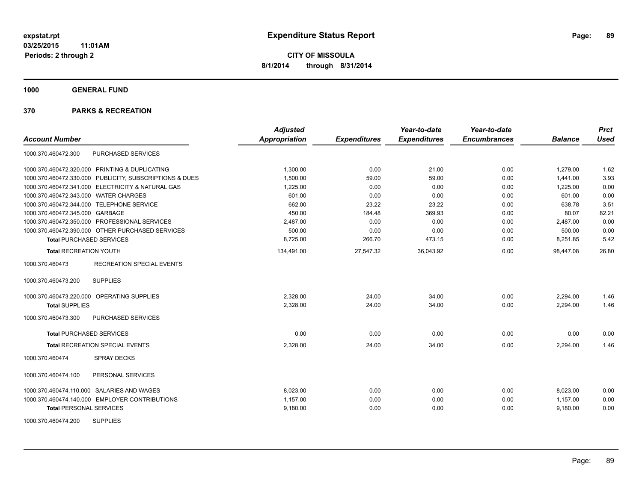**1000 GENERAL FUND**

| <b>Account Number</b>                     |                                                         | <b>Adjusted</b><br><b>Appropriation</b> | <b>Expenditures</b> | Year-to-date<br><b>Expenditures</b> | Year-to-date<br><b>Encumbrances</b> | <b>Balance</b> | <b>Prct</b><br><b>Used</b> |
|-------------------------------------------|---------------------------------------------------------|-----------------------------------------|---------------------|-------------------------------------|-------------------------------------|----------------|----------------------------|
|                                           |                                                         |                                         |                     |                                     |                                     |                |                            |
| 1000.370.460472.300                       | PURCHASED SERVICES                                      |                                         |                     |                                     |                                     |                |                            |
|                                           | 1000.370.460472.320.000 PRINTING & DUPLICATING          | 1,300.00                                | 0.00                | 21.00                               | 0.00                                | 1,279.00       | 1.62                       |
|                                           | 1000.370.460472.330.000 PUBLICITY, SUBSCRIPTIONS & DUES | 1,500.00                                | 59.00               | 59.00                               | 0.00                                | 1,441.00       | 3.93                       |
|                                           | 1000.370.460472.341.000 ELECTRICITY & NATURAL GAS       | 1,225.00                                | 0.00                | 0.00                                | 0.00                                | 1,225.00       | 0.00                       |
| 1000.370.460472.343.000 WATER CHARGES     |                                                         | 601.00                                  | 0.00                | 0.00                                | 0.00                                | 601.00         | 0.00                       |
| 1000.370.460472.344.000 TELEPHONE SERVICE |                                                         | 662.00                                  | 23.22               | 23.22                               | 0.00                                | 638.78         | 3.51                       |
| 1000.370.460472.345.000 GARBAGE           |                                                         | 450.00                                  | 184.48              | 369.93                              | 0.00                                | 80.07          | 82.21                      |
|                                           | 1000.370.460472.350.000 PROFESSIONAL SERVICES           | 2,487.00                                | 0.00                | 0.00                                | 0.00                                | 2,487.00       | 0.00                       |
|                                           | 1000.370.460472.390.000 OTHER PURCHASED SERVICES        | 500.00                                  | 0.00                | 0.00                                | 0.00                                | 500.00         | 0.00                       |
| <b>Total PURCHASED SERVICES</b>           |                                                         | 8,725.00                                | 266.70              | 473.15                              | 0.00                                | 8,251.85       | 5.42                       |
| <b>Total RECREATION YOUTH</b>             |                                                         | 134,491.00                              | 27,547.32           | 36,043.92                           | 0.00                                | 98,447.08      | 26.80                      |
| 1000.370.460473                           | <b>RECREATION SPECIAL EVENTS</b>                        |                                         |                     |                                     |                                     |                |                            |
| 1000.370.460473.200                       | <b>SUPPLIES</b>                                         |                                         |                     |                                     |                                     |                |                            |
|                                           | 1000.370.460473.220.000 OPERATING SUPPLIES              | 2,328.00                                | 24.00               | 34.00                               | 0.00                                | 2,294.00       | 1.46                       |
| <b>Total SUPPLIES</b>                     |                                                         | 2,328.00                                | 24.00               | 34.00                               | 0.00                                | 2,294.00       | 1.46                       |
| 1000.370.460473.300                       | PURCHASED SERVICES                                      |                                         |                     |                                     |                                     |                |                            |
| <b>Total PURCHASED SERVICES</b>           |                                                         | 0.00                                    | 0.00                | 0.00                                | 0.00                                | 0.00           | 0.00                       |
|                                           | <b>Total RECREATION SPECIAL EVENTS</b>                  | 2,328.00                                | 24.00               | 34.00                               | 0.00                                | 2,294.00       | 1.46                       |
| 1000.370.460474                           | <b>SPRAY DECKS</b>                                      |                                         |                     |                                     |                                     |                |                            |
| 1000.370.460474.100                       | PERSONAL SERVICES                                       |                                         |                     |                                     |                                     |                |                            |
|                                           | 1000.370.460474.110.000 SALARIES AND WAGES              | 8,023.00                                | 0.00                | 0.00                                | 0.00                                | 8,023.00       | 0.00                       |
|                                           | 1000.370.460474.140.000 EMPLOYER CONTRIBUTIONS          | 1,157.00                                | 0.00                | 0.00                                | 0.00                                | 1,157.00       | 0.00                       |
| <b>Total PERSONAL SERVICES</b>            |                                                         | 9,180.00                                | 0.00                | 0.00                                | 0.00                                | 9,180.00       | 0.00                       |
| 1000.370.460474.200                       | <b>SUPPLIES</b>                                         |                                         |                     |                                     |                                     |                |                            |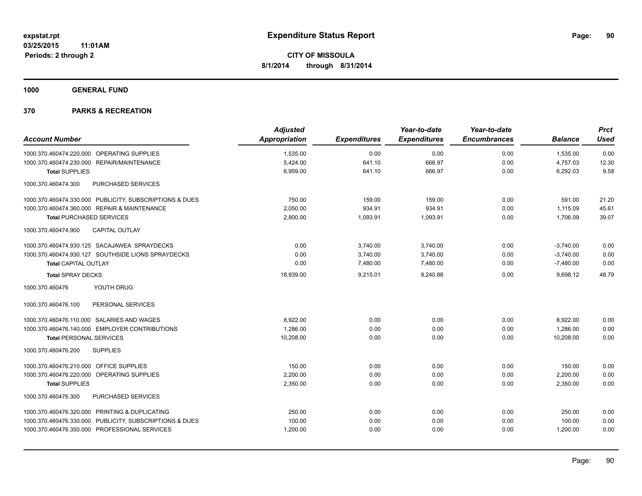**1000 GENERAL FUND**

| <b>Adjusted</b> |                     | Year-to-date        | Year-to-date        |                | <b>Prct</b> |
|-----------------|---------------------|---------------------|---------------------|----------------|-------------|
| Appropriation   | <b>Expenditures</b> | <b>Expenditures</b> | <b>Encumbrances</b> | <b>Balance</b> | <b>Used</b> |
| 1,535.00        | 0.00                | 0.00                | 0.00                | 1,535.00       | 0.00        |
| 5,424.00        | 641.10              | 666.97              | 0.00                | 4,757.03       | 12.30       |
| 6,959.00        | 641.10              | 666.97              | 0.00                | 6,292.03       | 9.58        |
|                 |                     |                     |                     |                |             |
| 750.00          | 159.00              | 159.00              | 0.00                | 591.00         | 21.20       |
| 2,050.00        | 934.91              | 934.91              | 0.00                | 1.115.09       | 45.61       |
| 2,800.00        | 1,093.91            | 1,093.91            | 0.00                | 1,706.09       | 39.07       |
|                 |                     |                     |                     |                |             |
| 0.00            | 3,740.00            | 3,740.00            | 0.00                | $-3,740.00$    | 0.00        |
| 0.00            | 3,740.00            | 3,740.00            | 0.00                | $-3,740.00$    | 0.00        |
| 0.00            | 7,480.00            | 7,480.00            | 0.00                | $-7,480.00$    | 0.00        |
| 18,939.00       | 9,215.01            | 9,240.88            | 0.00                | 9.698.12       | 48.79       |
|                 |                     |                     |                     |                |             |
|                 |                     |                     |                     |                |             |
| 8.922.00        | 0.00                | 0.00                | 0.00                | 8,922.00       | 0.00        |
| 1,286.00        | 0.00                | 0.00                | 0.00                | 1,286.00       | 0.00        |
| 10,208.00       | 0.00                | 0.00                | 0.00                | 10,208.00      | 0.00        |
|                 |                     |                     |                     |                |             |
| 150.00          | 0.00                | 0.00                | 0.00                | 150.00         | 0.00        |
| 2,200.00        | 0.00                | 0.00                | 0.00                | 2,200.00       | 0.00        |
| 2,350.00        | 0.00                | 0.00                | 0.00                | 2,350.00       | 0.00        |
|                 |                     |                     |                     |                |             |
| 250.00          | 0.00                | 0.00                | 0.00                | 250.00         | 0.00        |
| 100.00          | 0.00                | 0.00                | 0.00                | 100.00         | 0.00        |
| 1,200.00        | 0.00                | 0.00                | 0.00                | 1,200.00       | 0.00        |
|                 |                     |                     |                     |                |             |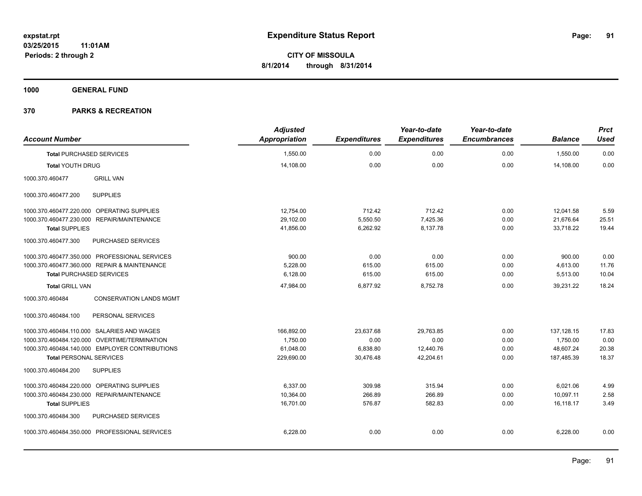**1000 GENERAL FUND**

| <b>Account Number</b>                             | <b>Adjusted</b><br>Appropriation | <b>Expenditures</b> | Year-to-date<br><b>Expenditures</b> | Year-to-date<br><b>Encumbrances</b> | <b>Balance</b> | <b>Prct</b><br><b>Used</b> |
|---------------------------------------------------|----------------------------------|---------------------|-------------------------------------|-------------------------------------|----------------|----------------------------|
| <b>Total PURCHASED SERVICES</b>                   | 1,550.00                         | 0.00                | 0.00                                | 0.00                                | 1,550.00       | 0.00                       |
| <b>Total YOUTH DRUG</b>                           | 14,108.00                        | 0.00                | 0.00                                | 0.00                                | 14,108.00      | 0.00                       |
| 1000.370.460477<br><b>GRILL VAN</b>               |                                  |                     |                                     |                                     |                |                            |
| <b>SUPPLIES</b><br>1000.370.460477.200            |                                  |                     |                                     |                                     |                |                            |
| 1000.370.460477.220.000 OPERATING SUPPLIES        | 12,754.00                        | 712.42              | 712.42                              | 0.00                                | 12,041.58      | 5.59                       |
| 1000.370.460477.230.000 REPAIR/MAINTENANCE        | 29,102.00                        | 5,550.50            | 7,425.36                            | 0.00                                | 21,676.64      | 25.51                      |
| <b>Total SUPPLIES</b>                             | 41,856.00                        | 6,262.92            | 8,137.78                            | 0.00                                | 33,718.22      | 19.44                      |
| 1000.370.460477.300<br>PURCHASED SERVICES         |                                  |                     |                                     |                                     |                |                            |
| 1000.370.460477.350.000 PROFESSIONAL SERVICES     | 900.00                           | 0.00                | 0.00                                | 0.00                                | 900.00         | 0.00                       |
| 1000.370.460477.360.000 REPAIR & MAINTENANCE      | 5,228.00                         | 615.00              | 615.00                              | 0.00                                | 4,613.00       | 11.76                      |
| <b>Total PURCHASED SERVICES</b>                   | 6,128.00                         | 615.00              | 615.00                              | 0.00                                | 5,513.00       | 10.04                      |
| <b>Total GRILL VAN</b>                            | 47,984.00                        | 6,877.92            | 8,752.78                            | 0.00                                | 39,231.22      | 18.24                      |
| <b>CONSERVATION LANDS MGMT</b><br>1000.370.460484 |                                  |                     |                                     |                                     |                |                            |
| 1000.370.460484.100<br>PERSONAL SERVICES          |                                  |                     |                                     |                                     |                |                            |
| 1000.370.460484.110.000 SALARIES AND WAGES        | 166,892.00                       | 23,637.68           | 29,763.85                           | 0.00                                | 137, 128.15    | 17.83                      |
| 1000.370.460484.120.000 OVERTIME/TERMINATION      | 1.750.00                         | 0.00                | 0.00                                | 0.00                                | 1,750.00       | 0.00                       |
| 1000.370.460484.140.000 EMPLOYER CONTRIBUTIONS    | 61,048.00                        | 6,838.80            | 12,440.76                           | 0.00                                | 48,607.24      | 20.38                      |
| <b>Total PERSONAL SERVICES</b>                    | 229,690.00                       | 30,476.48           | 42,204.61                           | 0.00                                | 187,485.39     | 18.37                      |
| 1000.370.460484.200<br><b>SUPPLIES</b>            |                                  |                     |                                     |                                     |                |                            |
| 1000.370.460484.220.000 OPERATING SUPPLIES        | 6,337.00                         | 309.98              | 315.94                              | 0.00                                | 6,021.06       | 4.99                       |
| 1000.370.460484.230.000 REPAIR/MAINTENANCE        | 10,364.00                        | 266.89              | 266.89                              | 0.00                                | 10,097.11      | 2.58                       |
| <b>Total SUPPLIES</b>                             | 16,701.00                        | 576.87              | 582.83                              | 0.00                                | 16.118.17      | 3.49                       |
| 1000.370.460484.300<br>PURCHASED SERVICES         |                                  |                     |                                     |                                     |                |                            |
| 1000.370.460484.350.000 PROFESSIONAL SERVICES     | 6,228.00                         | 0.00                | 0.00                                | 0.00                                | 6,228.00       | 0.00                       |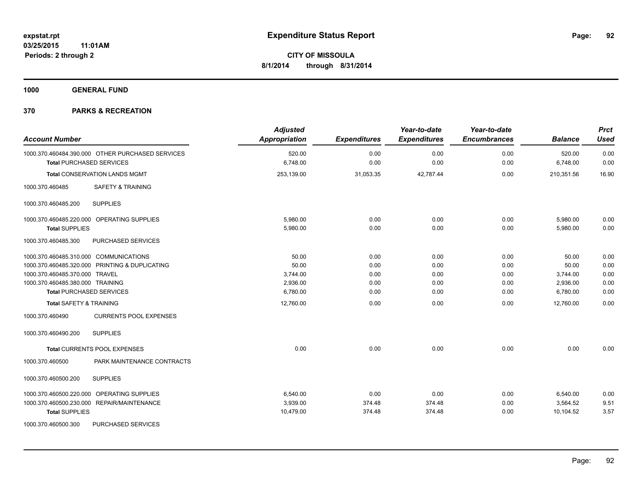**1000 GENERAL FUND**

| <b>Account Number</b>                                                               | <b>Adjusted</b><br>Appropriation | <b>Expenditures</b> | Year-to-date<br><b>Expenditures</b> | Year-to-date<br><b>Encumbrances</b> | <b>Balance</b>     | <b>Prct</b><br><b>Used</b> |
|-------------------------------------------------------------------------------------|----------------------------------|---------------------|-------------------------------------|-------------------------------------|--------------------|----------------------------|
| 1000.370.460484.390.000 OTHER PURCHASED SERVICES<br><b>Total PURCHASED SERVICES</b> | 520.00<br>6,748.00               | 0.00<br>0.00        | 0.00<br>0.00                        | 0.00<br>0.00                        | 520.00<br>6,748.00 | 0.00<br>0.00               |
|                                                                                     |                                  |                     |                                     |                                     |                    |                            |
| Total CONSERVATION LANDS MGMT                                                       | 253,139.00                       | 31,053.35           | 42,787.44                           | 0.00                                | 210,351.56         | 16.90                      |
| 1000.370.460485<br><b>SAFETY &amp; TRAINING</b>                                     |                                  |                     |                                     |                                     |                    |                            |
| <b>SUPPLIES</b><br>1000.370.460485.200                                              |                                  |                     |                                     |                                     |                    |                            |
| 1000.370.460485.220.000 OPERATING SUPPLIES                                          | 5,980.00                         | 0.00                | 0.00                                | 0.00                                | 5,980.00           | 0.00                       |
| <b>Total SUPPLIES</b>                                                               | 5,980.00                         | 0.00                | 0.00                                | 0.00                                | 5,980.00           | 0.00                       |
| PURCHASED SERVICES<br>1000.370.460485.300                                           |                                  |                     |                                     |                                     |                    |                            |
| 1000.370.460485.310.000 COMMUNICATIONS                                              | 50.00                            | 0.00                | 0.00                                | 0.00                                | 50.00              | 0.00                       |
| 1000.370.460485.320.000 PRINTING & DUPLICATING                                      | 50.00                            | 0.00                | 0.00                                | 0.00                                | 50.00              | 0.00                       |
| 1000.370.460485.370.000 TRAVEL                                                      | 3,744.00                         | 0.00                | 0.00                                | 0.00                                | 3,744.00           | 0.00                       |
| 1000.370.460485.380.000 TRAINING                                                    | 2,936.00                         | 0.00                | 0.00                                | 0.00                                | 2,936.00           | 0.00                       |
| <b>Total PURCHASED SERVICES</b>                                                     | 6,780.00                         | 0.00                | 0.00                                | 0.00                                | 6,780.00           | 0.00                       |
| <b>Total SAFETY &amp; TRAINING</b>                                                  | 12,760.00                        | 0.00                | 0.00                                | 0.00                                | 12,760.00          | 0.00                       |
| 1000.370.460490<br><b>CURRENTS POOL EXPENSES</b>                                    |                                  |                     |                                     |                                     |                    |                            |
| <b>SUPPLIES</b><br>1000.370.460490.200                                              |                                  |                     |                                     |                                     |                    |                            |
| Total CURRENTS POOL EXPENSES                                                        | 0.00                             | 0.00                | 0.00                                | 0.00                                | 0.00               | 0.00                       |
| PARK MAINTENANCE CONTRACTS<br>1000.370.460500                                       |                                  |                     |                                     |                                     |                    |                            |
| 1000.370.460500.200<br><b>SUPPLIES</b>                                              |                                  |                     |                                     |                                     |                    |                            |
| 1000.370.460500.220.000 OPERATING SUPPLIES                                          | 6,540.00                         | 0.00                | 0.00                                | 0.00                                | 6,540.00           | 0.00                       |
| 1000.370.460500.230.000 REPAIR/MAINTENANCE                                          | 3,939.00                         | 374.48              | 374.48                              | 0.00                                | 3,564.52           | 9.51                       |
| <b>Total SUPPLIES</b>                                                               | 10,479.00                        | 374.48              | 374.48                              | 0.00                                | 10,104.52          | 3.57                       |
| 1000.370.460500.300<br>PURCHASED SERVICES                                           |                                  |                     |                                     |                                     |                    |                            |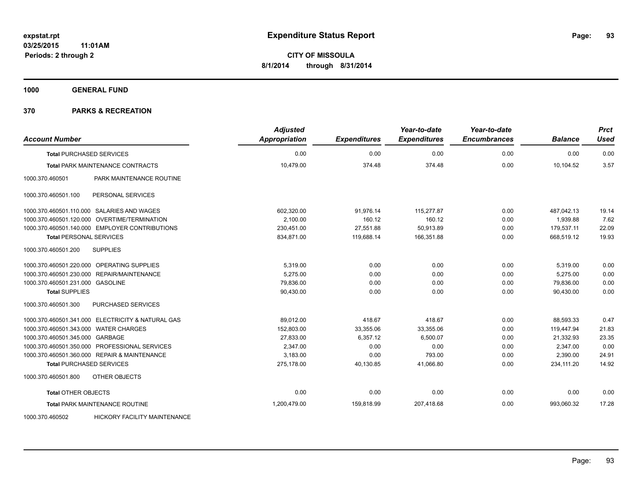**1000 GENERAL FUND**

| <b>Account Number</b>                 |                                                   | <b>Adjusted</b><br><b>Appropriation</b> | <b>Expenditures</b> | Year-to-date<br><b>Expenditures</b> | Year-to-date<br><b>Encumbrances</b> | <b>Balance</b> | <b>Prct</b><br><b>Used</b> |
|---------------------------------------|---------------------------------------------------|-----------------------------------------|---------------------|-------------------------------------|-------------------------------------|----------------|----------------------------|
| <b>Total PURCHASED SERVICES</b>       |                                                   | 0.00                                    | 0.00                | 0.00                                | 0.00                                | 0.00           | 0.00                       |
|                                       | Total PARK MAINTENANCE CONTRACTS                  | 10,479.00                               | 374.48              | 374.48                              | 0.00                                | 10,104.52      | 3.57                       |
| 1000.370.460501                       | PARK MAINTENANCE ROUTINE                          |                                         |                     |                                     |                                     |                |                            |
| 1000.370.460501.100                   | PERSONAL SERVICES                                 |                                         |                     |                                     |                                     |                |                            |
|                                       | 1000.370.460501.110.000 SALARIES AND WAGES        | 602,320.00                              | 91,976.14           | 115,277.87                          | 0.00                                | 487,042.13     | 19.14                      |
|                                       | 1000.370.460501.120.000 OVERTIME/TERMINATION      | 2.100.00                                | 160.12              | 160.12                              | 0.00                                | 1,939.88       | 7.62                       |
|                                       | 1000.370.460501.140.000 EMPLOYER CONTRIBUTIONS    | 230,451.00                              | 27,551.88           | 50,913.89                           | 0.00                                | 179,537.11     | 22.09                      |
| <b>Total PERSONAL SERVICES</b>        |                                                   | 834,871.00                              | 119,688.14          | 166,351.88                          | 0.00                                | 668,519.12     | 19.93                      |
| 1000.370.460501.200                   | <b>SUPPLIES</b>                                   |                                         |                     |                                     |                                     |                |                            |
|                                       | 1000.370.460501.220.000 OPERATING SUPPLIES        | 5,319.00                                | 0.00                | 0.00                                | 0.00                                | 5,319.00       | 0.00                       |
|                                       | 1000.370.460501.230.000 REPAIR/MAINTENANCE        | 5,275.00                                | 0.00                | 0.00                                | 0.00                                | 5,275.00       | 0.00                       |
| 1000.370.460501.231.000 GASOLINE      |                                                   | 79,836.00                               | 0.00                | 0.00                                | 0.00                                | 79,836.00      | 0.00                       |
| <b>Total SUPPLIES</b>                 |                                                   | 90,430.00                               | 0.00                | 0.00                                | 0.00                                | 90,430.00      | 0.00                       |
| 1000.370.460501.300                   | PURCHASED SERVICES                                |                                         |                     |                                     |                                     |                |                            |
|                                       | 1000.370.460501.341.000 ELECTRICITY & NATURAL GAS | 89,012.00                               | 418.67              | 418.67                              | 0.00                                | 88,593.33      | 0.47                       |
| 1000.370.460501.343.000 WATER CHARGES |                                                   | 152,803.00                              | 33,355.06           | 33,355.06                           | 0.00                                | 119,447.94     | 21.83                      |
| 1000.370.460501.345.000 GARBAGE       |                                                   | 27,833.00                               | 6,357.12            | 6,500.07                            | 0.00                                | 21,332.93      | 23.35                      |
|                                       | 1000.370.460501.350.000 PROFESSIONAL SERVICES     | 2,347.00                                | 0.00                | 0.00                                | 0.00                                | 2,347.00       | 0.00                       |
|                                       | 1000.370.460501.360.000 REPAIR & MAINTENANCE      | 3,183.00                                | 0.00                | 793.00                              | 0.00                                | 2,390.00       | 24.91                      |
| <b>Total PURCHASED SERVICES</b>       |                                                   | 275,178.00                              | 40,130.85           | 41,066.80                           | 0.00                                | 234,111.20     | 14.92                      |
| 1000.370.460501.800                   | OTHER OBJECTS                                     |                                         |                     |                                     |                                     |                |                            |
| <b>Total OTHER OBJECTS</b>            |                                                   | 0.00                                    | 0.00                | 0.00                                | 0.00                                | 0.00           | 0.00                       |
|                                       | Total PARK MAINTENANCE ROUTINE                    | 1,200,479.00                            | 159,818.99          | 207,418.68                          | 0.00                                | 993,060.32     | 17.28                      |
| 1000.370.460502                       | <b>HICKORY FACILITY MAINTENANCE</b>               |                                         |                     |                                     |                                     |                |                            |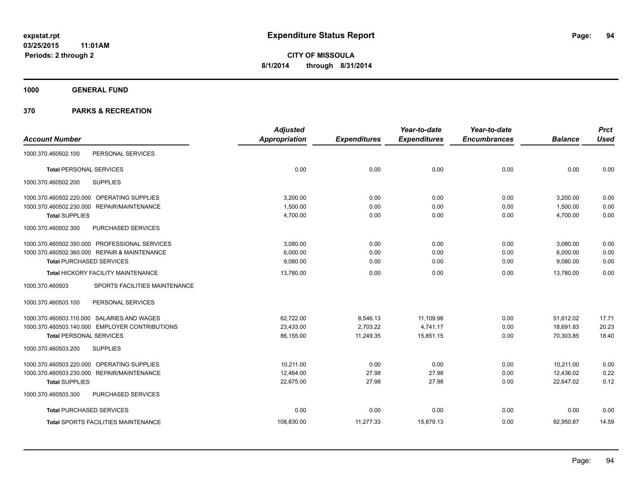**1000 GENERAL FUND**

|                                                  | <b>Adjusted</b> |                     | Year-to-date        | Year-to-date        |                | <b>Prct</b> |
|--------------------------------------------------|-----------------|---------------------|---------------------|---------------------|----------------|-------------|
| <b>Account Number</b>                            | Appropriation   | <b>Expenditures</b> | <b>Expenditures</b> | <b>Encumbrances</b> | <b>Balance</b> | <b>Used</b> |
| PERSONAL SERVICES<br>1000.370.460502.100         |                 |                     |                     |                     |                |             |
| <b>Total PERSONAL SERVICES</b>                   | 0.00            | 0.00                | 0.00                | 0.00                | 0.00           | 0.00        |
| <b>SUPPLIES</b><br>1000.370.460502.200           |                 |                     |                     |                     |                |             |
| 1000.370.460502.220.000 OPERATING SUPPLIES       | 3.200.00        | 0.00                | 0.00                | 0.00                | 3,200.00       | 0.00        |
| 1000.370.460502.230.000 REPAIR/MAINTENANCE       | 1,500.00        | 0.00                | 0.00                | 0.00                | 1,500.00       | 0.00        |
| <b>Total SUPPLIES</b>                            | 4,700.00        | 0.00                | 0.00                | 0.00                | 4,700.00       | 0.00        |
| PURCHASED SERVICES<br>1000.370.460502.300        |                 |                     |                     |                     |                |             |
| 1000.370.460502.350.000 PROFESSIONAL SERVICES    | 3,080.00        | 0.00                | 0.00                | 0.00                | 3,080.00       | 0.00        |
| 1000.370.460502.360.000 REPAIR & MAINTENANCE     | 6.000.00        | 0.00                | 0.00                | 0.00                | 6,000.00       | 0.00        |
| <b>Total PURCHASED SERVICES</b>                  | 9,080.00        | 0.00                | 0.00                | 0.00                | 9,080.00       | 0.00        |
| Total HICKORY FACILITY MAINTENANCE               | 13.780.00       | 0.00                | 0.00                | 0.00                | 13.780.00      | 0.00        |
| 1000.370.460503<br>SPORTS FACILITIES MAINTENANCE |                 |                     |                     |                     |                |             |
| 1000.370.460503.100<br>PERSONAL SERVICES         |                 |                     |                     |                     |                |             |
| 1000.370.460503.110.000 SALARIES AND WAGES       | 62,722.00       | 8,546.13            | 11,109.98           | 0.00                | 51,612.02      | 17.71       |
| 1000.370.460503.140.000 EMPLOYER CONTRIBUTIONS   | 23,433.00       | 2,703.22            | 4,741.17            | 0.00                | 18,691.83      | 20.23       |
| <b>Total PERSONAL SERVICES</b>                   | 86,155.00       | 11,249.35           | 15,851.15           | 0.00                | 70,303.85      | 18.40       |
| <b>SUPPLIES</b><br>1000.370.460503.200           |                 |                     |                     |                     |                |             |
| 1000.370.460503.220.000 OPERATING SUPPLIES       | 10.211.00       | 0.00                | 0.00                | 0.00                | 10.211.00      | 0.00        |
| 1000.370.460503.230.000 REPAIR/MAINTENANCE       | 12,464.00       | 27.98               | 27.98               | 0.00                | 12,436.02      | 0.22        |
| <b>Total SUPPLIES</b>                            | 22,675.00       | 27.98               | 27.98               | 0.00                | 22,647.02      | 0.12        |
| PURCHASED SERVICES<br>1000.370.460503.300        |                 |                     |                     |                     |                |             |
| <b>Total PURCHASED SERVICES</b>                  | 0.00            | 0.00                | 0.00                | 0.00                | 0.00           | 0.00        |
| <b>Total SPORTS FACILITIES MAINTENANCE</b>       | 108,830.00      | 11,277.33           | 15,879.13           | 0.00                | 92,950.87      | 14.59       |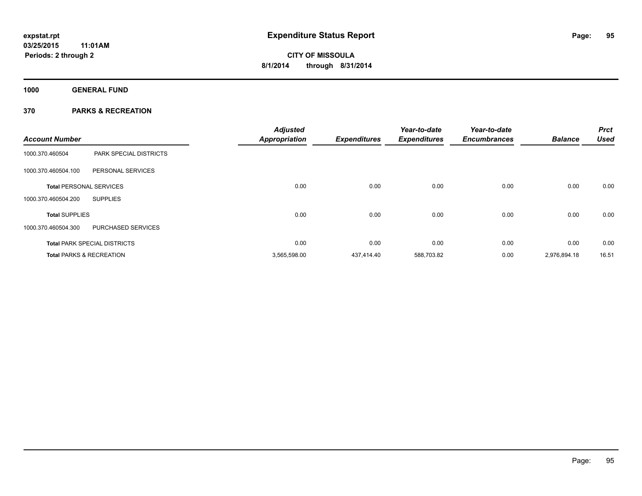**1000 GENERAL FUND**

| <b>Account Number</b>               |                                     | <b>Adjusted</b><br><b>Appropriation</b> | <b>Expenditures</b> | Year-to-date<br><b>Expenditures</b> | Year-to-date<br><b>Encumbrances</b> | <b>Balance</b> | <b>Prct</b><br><b>Used</b> |
|-------------------------------------|-------------------------------------|-----------------------------------------|---------------------|-------------------------------------|-------------------------------------|----------------|----------------------------|
| 1000.370.460504                     | <b>PARK SPECIAL DISTRICTS</b>       |                                         |                     |                                     |                                     |                |                            |
| 1000.370.460504.100                 | PERSONAL SERVICES                   |                                         |                     |                                     |                                     |                |                            |
| <b>Total PERSONAL SERVICES</b>      |                                     | 0.00                                    | 0.00                | 0.00                                | 0.00                                | 0.00           | 0.00                       |
| 1000.370.460504.200                 | <b>SUPPLIES</b>                     |                                         |                     |                                     |                                     |                |                            |
| <b>Total SUPPLIES</b>               |                                     | 0.00                                    | 0.00                | 0.00                                | 0.00                                | 0.00           | 0.00                       |
| 1000.370.460504.300                 | PURCHASED SERVICES                  |                                         |                     |                                     |                                     |                |                            |
|                                     | <b>Total PARK SPECIAL DISTRICTS</b> | 0.00                                    | 0.00                | 0.00                                | 0.00                                | 0.00           | 0.00                       |
| <b>Total PARKS &amp; RECREATION</b> |                                     | 3,565,598.00                            | 437.414.40          | 588,703.82                          | 0.00                                | 2,976,894.18   | 16.51                      |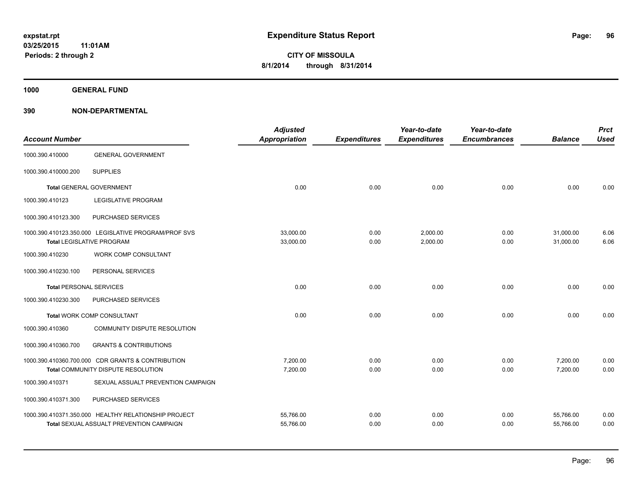**1000 GENERAL FUND**

| <b>Account Number</b>          |                                                                                          | <b>Adjusted</b><br>Appropriation | <b>Expenditures</b> | Year-to-date<br><b>Expenditures</b> | Year-to-date<br><b>Encumbrances</b> | <b>Balance</b>         | <b>Prct</b><br><b>Used</b> |
|--------------------------------|------------------------------------------------------------------------------------------|----------------------------------|---------------------|-------------------------------------|-------------------------------------|------------------------|----------------------------|
| 1000.390.410000                | <b>GENERAL GOVERNMENT</b>                                                                |                                  |                     |                                     |                                     |                        |                            |
| 1000.390.410000.200            | <b>SUPPLIES</b>                                                                          |                                  |                     |                                     |                                     |                        |                            |
|                                | <b>Total GENERAL GOVERNMENT</b>                                                          | 0.00                             | 0.00                | 0.00                                | 0.00                                | 0.00                   | 0.00                       |
| 1000.390.410123                | <b>LEGISLATIVE PROGRAM</b>                                                               |                                  |                     |                                     |                                     |                        |                            |
| 1000.390.410123.300            | PURCHASED SERVICES                                                                       |                                  |                     |                                     |                                     |                        |                            |
|                                | 1000.390.410123.350.000 LEGISLATIVE PROGRAM/PROF SVS<br><b>Total LEGISLATIVE PROGRAM</b> | 33,000.00<br>33,000.00           | 0.00<br>0.00        | 2,000.00<br>2,000.00                | 0.00<br>0.00                        | 31,000.00<br>31,000.00 | 6.06<br>6.06               |
| 1000.390.410230                | WORK COMP CONSULTANT                                                                     |                                  |                     |                                     |                                     |                        |                            |
| 1000.390.410230.100            | PERSONAL SERVICES                                                                        |                                  |                     |                                     |                                     |                        |                            |
| <b>Total PERSONAL SERVICES</b> |                                                                                          | 0.00                             | 0.00                | 0.00                                | 0.00                                | 0.00                   | 0.00                       |
| 1000.390.410230.300            | PURCHASED SERVICES                                                                       |                                  |                     |                                     |                                     |                        |                            |
|                                | <b>Total WORK COMP CONSULTANT</b>                                                        | 0.00                             | 0.00                | 0.00                                | 0.00                                | 0.00                   | 0.00                       |
| 1000.390.410360                | COMMUNITY DISPUTE RESOLUTION                                                             |                                  |                     |                                     |                                     |                        |                            |
| 1000.390.410360.700            | <b>GRANTS &amp; CONTRIBUTIONS</b>                                                        |                                  |                     |                                     |                                     |                        |                            |
|                                | 1000.390.410360.700.000 CDR GRANTS & CONTRIBUTION                                        | 7,200.00                         | 0.00                | 0.00                                | 0.00                                | 7,200.00               | 0.00                       |
|                                | Total COMMUNITY DISPUTE RESOLUTION                                                       | 7,200.00                         | 0.00                | 0.00                                | 0.00                                | 7,200.00               | 0.00                       |
| 1000.390.410371                | SEXUAL ASSUALT PREVENTION CAMPAIGN                                                       |                                  |                     |                                     |                                     |                        |                            |
| 1000.390.410371.300            | PURCHASED SERVICES                                                                       |                                  |                     |                                     |                                     |                        |                            |
|                                | 1000.390.410371.350.000 HEALTHY RELATIONSHIP PROJECT                                     | 55,766.00                        | 0.00                | 0.00                                | 0.00                                | 55,766.00              | 0.00                       |
|                                | <b>Total SEXUAL ASSUALT PREVENTION CAMPAIGN</b>                                          | 55,766.00                        | 0.00                | 0.00                                | 0.00                                | 55,766.00              | 0.00                       |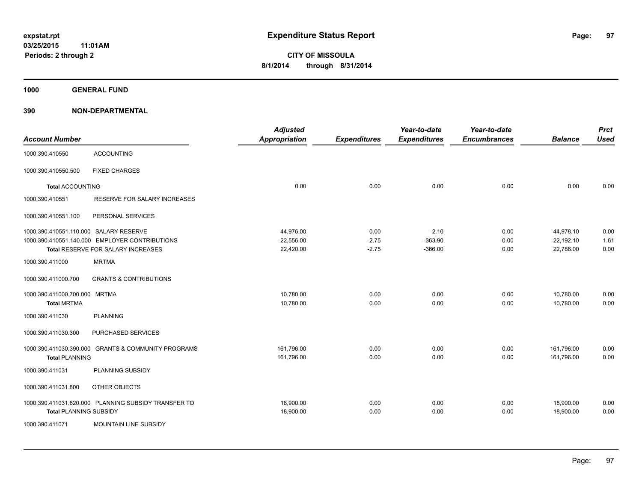**1000 GENERAL FUND**

|                                        |                                                      | <b>Adjusted</b>      |                     | Year-to-date        | Year-to-date        |                | <b>Prct</b> |
|----------------------------------------|------------------------------------------------------|----------------------|---------------------|---------------------|---------------------|----------------|-------------|
| <b>Account Number</b>                  |                                                      | <b>Appropriation</b> | <b>Expenditures</b> | <b>Expenditures</b> | <b>Encumbrances</b> | <b>Balance</b> | <b>Used</b> |
| 1000.390.410550                        | <b>ACCOUNTING</b>                                    |                      |                     |                     |                     |                |             |
| 1000.390.410550.500                    | <b>FIXED CHARGES</b>                                 |                      |                     |                     |                     |                |             |
| <b>Total ACCOUNTING</b>                |                                                      | 0.00                 | 0.00                | 0.00                | 0.00                | 0.00           | 0.00        |
| 1000.390.410551                        | RESERVE FOR SALARY INCREASES                         |                      |                     |                     |                     |                |             |
| 1000.390.410551.100                    | PERSONAL SERVICES                                    |                      |                     |                     |                     |                |             |
| 1000.390.410551.110.000 SALARY RESERVE |                                                      | 44,976.00            | 0.00                | $-2.10$             | 0.00                | 44,978.10      | 0.00        |
|                                        | 1000.390.410551.140.000 EMPLOYER CONTRIBUTIONS       | $-22,556.00$         | $-2.75$             | $-363.90$           | 0.00                | $-22, 192.10$  | 1.61        |
|                                        | Total RESERVE FOR SALARY INCREASES                   | 22,420.00            | $-2.75$             | $-366.00$           | 0.00                | 22,786.00      | 0.00        |
| 1000.390.411000                        | <b>MRTMA</b>                                         |                      |                     |                     |                     |                |             |
| 1000.390.411000.700                    | <b>GRANTS &amp; CONTRIBUTIONS</b>                    |                      |                     |                     |                     |                |             |
| 1000.390.411000.700.000 MRTMA          |                                                      | 10,780.00            | 0.00                | 0.00                | 0.00                | 10,780.00      | 0.00        |
| <b>Total MRTMA</b>                     |                                                      | 10,780.00            | 0.00                | 0.00                | 0.00                | 10,780.00      | 0.00        |
| 1000.390.411030                        | <b>PLANNING</b>                                      |                      |                     |                     |                     |                |             |
| 1000.390.411030.300                    | <b>PURCHASED SERVICES</b>                            |                      |                     |                     |                     |                |             |
| 1000.390.411030.390.000                | <b>GRANTS &amp; COMMUNITY PROGRAMS</b>               | 161,796.00           | 0.00                | 0.00                | 0.00                | 161,796.00     | 0.00        |
| <b>Total PLANNING</b>                  |                                                      | 161,796.00           | 0.00                | 0.00                | 0.00                | 161,796.00     | 0.00        |
| 1000.390.411031                        | PLANNING SUBSIDY                                     |                      |                     |                     |                     |                |             |
| 1000.390.411031.800                    | OTHER OBJECTS                                        |                      |                     |                     |                     |                |             |
|                                        | 1000.390.411031.820.000 PLANNING SUBSIDY TRANSFER TO | 18,900.00            | 0.00                | 0.00                | 0.00                | 18,900.00      | 0.00        |
| <b>Total PLANNING SUBSIDY</b>          |                                                      | 18,900.00            | 0.00                | 0.00                | 0.00                | 18,900.00      | 0.00        |
| 1000.390.411071                        | MOUNTAIN LINE SUBSIDY                                |                      |                     |                     |                     |                |             |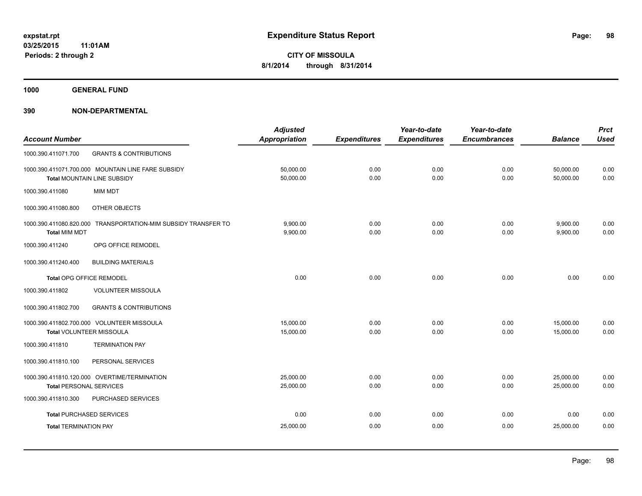**1000 GENERAL FUND**

| <b>Expenditures</b><br><b>Encumbrances</b> |                |                                                                                                  |
|--------------------------------------------|----------------|--------------------------------------------------------------------------------------------------|
|                                            | <b>Balance</b> | <b>Used</b>                                                                                      |
|                                            |                |                                                                                                  |
| 0.00                                       | 50,000.00      | 0.00                                                                                             |
| 0.00                                       | 50,000.00      | 0.00                                                                                             |
|                                            |                |                                                                                                  |
|                                            |                |                                                                                                  |
| 0.00                                       | 9,900.00       | 0.00                                                                                             |
|                                            |                | 0.00                                                                                             |
|                                            |                |                                                                                                  |
|                                            |                |                                                                                                  |
| 0.00                                       | 0.00           | 0.00                                                                                             |
|                                            |                |                                                                                                  |
|                                            |                |                                                                                                  |
| 0.00                                       | 15,000.00      | 0.00                                                                                             |
| 0.00                                       | 15.000.00      | 0.00                                                                                             |
|                                            |                |                                                                                                  |
|                                            |                |                                                                                                  |
| 0.00                                       | 25,000.00      | 0.00                                                                                             |
| 0.00                                       | 25.000.00      | 0.00                                                                                             |
|                                            |                |                                                                                                  |
| 0.00                                       | 0.00           | 0.00                                                                                             |
| 0.00                                       | 25,000.00      | 0.00                                                                                             |
|                                            | 0.00           | 0.00<br>0.00<br>0.00<br>0.00<br>9,900.00<br>0.00<br>0.00<br>0.00<br>0.00<br>0.00<br>0.00<br>0.00 |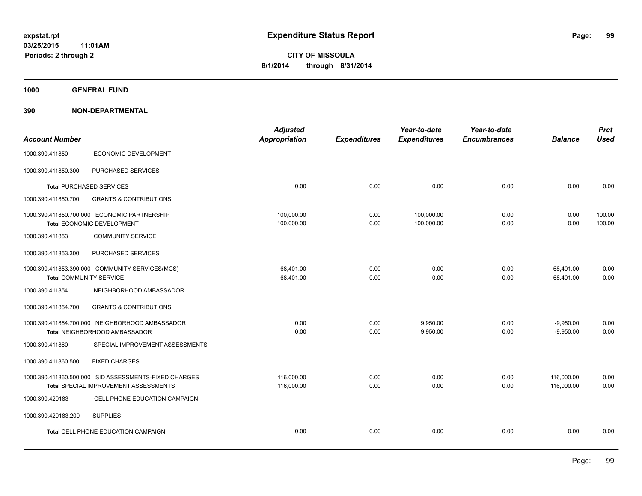**1000 GENERAL FUND**

|                                |                                                       | <b>Adjusted</b> |                     | Year-to-date        | Year-to-date        |                | <b>Prct</b> |
|--------------------------------|-------------------------------------------------------|-----------------|---------------------|---------------------|---------------------|----------------|-------------|
| <b>Account Number</b>          |                                                       | Appropriation   | <b>Expenditures</b> | <b>Expenditures</b> | <b>Encumbrances</b> | <b>Balance</b> | <b>Used</b> |
| 1000.390.411850                | <b>ECONOMIC DEVELOPMENT</b>                           |                 |                     |                     |                     |                |             |
| 1000.390.411850.300            | PURCHASED SERVICES                                    |                 |                     |                     |                     |                |             |
|                                | <b>Total PURCHASED SERVICES</b>                       | 0.00            | 0.00                | 0.00                | 0.00                | 0.00           | 0.00        |
| 1000.390.411850.700            | <b>GRANTS &amp; CONTRIBUTIONS</b>                     |                 |                     |                     |                     |                |             |
|                                | 1000.390.411850.700.000 ECONOMIC PARTNERSHIP          | 100,000.00      | 0.00                | 100,000.00          | 0.00                | 0.00           | 100.00      |
|                                | Total ECONOMIC DEVELOPMENT                            | 100,000.00      | 0.00                | 100,000.00          | 0.00                | 0.00           | 100.00      |
| 1000.390.411853                | <b>COMMUNITY SERVICE</b>                              |                 |                     |                     |                     |                |             |
| 1000.390.411853.300            | PURCHASED SERVICES                                    |                 |                     |                     |                     |                |             |
|                                | 1000.390.411853.390.000 COMMUNITY SERVICES(MCS)       | 68.401.00       | 0.00                | 0.00                | 0.00                | 68,401.00      | 0.00        |
| <b>Total COMMUNITY SERVICE</b> |                                                       | 68,401.00       | 0.00                | 0.00                | 0.00                | 68,401.00      | 0.00        |
| 1000.390.411854                | NEIGHBORHOOD AMBASSADOR                               |                 |                     |                     |                     |                |             |
| 1000.390.411854.700            | <b>GRANTS &amp; CONTRIBUTIONS</b>                     |                 |                     |                     |                     |                |             |
|                                | 1000.390.411854.700.000 NEIGHBORHOOD AMBASSADOR       | 0.00            | 0.00                | 9,950.00            | 0.00                | $-9,950.00$    | 0.00        |
|                                | Total NEIGHBORHOOD AMBASSADOR                         | 0.00            | 0.00                | 9,950.00            | 0.00                | $-9,950.00$    | 0.00        |
| 1000.390.411860                | SPECIAL IMPROVEMENT ASSESSMENTS                       |                 |                     |                     |                     |                |             |
| 1000.390.411860.500            | <b>FIXED CHARGES</b>                                  |                 |                     |                     |                     |                |             |
|                                | 1000.390.411860.500.000 SID ASSESSMENTS-FIXED CHARGES | 116,000.00      | 0.00                | 0.00                | 0.00                | 116,000.00     | 0.00        |
|                                | Total SPECIAL IMPROVEMENT ASSESSMENTS                 | 116,000.00      | 0.00                | 0.00                | 0.00                | 116,000.00     | 0.00        |
| 1000.390.420183                | CELL PHONE EDUCATION CAMPAIGN                         |                 |                     |                     |                     |                |             |
| 1000.390.420183.200            | <b>SUPPLIES</b>                                       |                 |                     |                     |                     |                |             |
|                                | <b>Total CELL PHONE EDUCATION CAMPAIGN</b>            | 0.00            | 0.00                | 0.00                | 0.00                | 0.00           | 0.00        |
|                                |                                                       |                 |                     |                     |                     |                |             |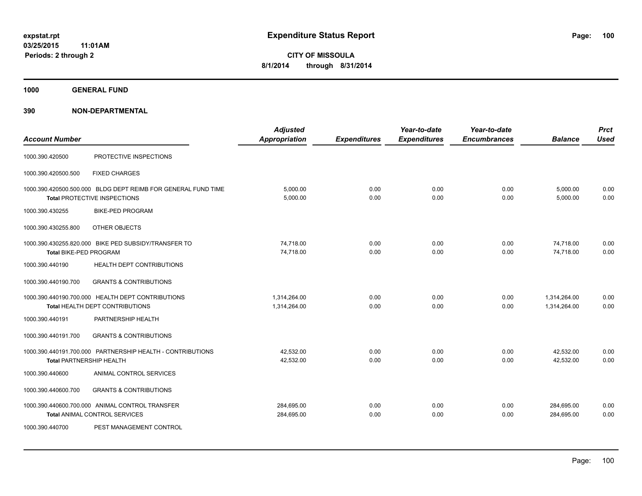**1000 GENERAL FUND**

| <b>Account Number</b>           |                                                                                                      | <b>Adjusted</b><br>Appropriation | <b>Expenditures</b> | Year-to-date<br><b>Expenditures</b> | Year-to-date<br><b>Encumbrances</b> | <b>Balance</b>               | <b>Prct</b><br><b>Used</b> |
|---------------------------------|------------------------------------------------------------------------------------------------------|----------------------------------|---------------------|-------------------------------------|-------------------------------------|------------------------------|----------------------------|
| 1000.390.420500                 | PROTECTIVE INSPECTIONS                                                                               |                                  |                     |                                     |                                     |                              |                            |
| 1000.390.420500.500             | <b>FIXED CHARGES</b>                                                                                 |                                  |                     |                                     |                                     |                              |                            |
|                                 | 1000.390.420500.500.000 BLDG DEPT REIMB FOR GENERAL FUND TIME<br><b>Total PROTECTIVE INSPECTIONS</b> | 5,000.00<br>5,000.00             | 0.00<br>0.00        | 0.00<br>0.00                        | 0.00<br>0.00                        | 5,000.00<br>5,000.00         | 0.00<br>0.00               |
| 1000.390.430255                 | <b>BIKE-PED PROGRAM</b>                                                                              |                                  |                     |                                     |                                     |                              |                            |
| 1000.390.430255.800             | OTHER OBJECTS                                                                                        |                                  |                     |                                     |                                     |                              |                            |
| <b>Total BIKE-PED PROGRAM</b>   | 1000.390.430255.820.000 BIKE PED SUBSIDY/TRANSFER TO                                                 | 74.718.00<br>74,718.00           | 0.00<br>0.00        | 0.00<br>0.00                        | 0.00<br>0.00                        | 74,718.00<br>74,718.00       | 0.00<br>0.00               |
| 1000.390.440190                 | <b>HEALTH DEPT CONTRIBUTIONS</b>                                                                     |                                  |                     |                                     |                                     |                              |                            |
| 1000.390.440190.700             | <b>GRANTS &amp; CONTRIBUTIONS</b>                                                                    |                                  |                     |                                     |                                     |                              |                            |
|                                 | 1000.390.440190.700.000 HEALTH DEPT CONTRIBUTIONS<br>Total HEALTH DEPT CONTRIBUTIONS                 | 1.314.264.00<br>1,314,264.00     | 0.00<br>0.00        | 0.00<br>0.00                        | 0.00<br>0.00                        | 1.314.264.00<br>1,314,264.00 | 0.00<br>0.00               |
| 1000.390.440191                 | PARTNERSHIP HEALTH                                                                                   |                                  |                     |                                     |                                     |                              |                            |
| 1000.390.440191.700             | <b>GRANTS &amp; CONTRIBUTIONS</b>                                                                    |                                  |                     |                                     |                                     |                              |                            |
| <b>Total PARTNERSHIP HEALTH</b> | 1000.390.440191.700.000 PARTNERSHIP HEALTH - CONTRIBUTIONS                                           | 42,532.00<br>42,532.00           | 0.00<br>0.00        | 0.00<br>0.00                        | 0.00<br>0.00                        | 42,532.00<br>42,532.00       | 0.00<br>0.00               |
| 1000.390.440600                 | ANIMAL CONTROL SERVICES                                                                              |                                  |                     |                                     |                                     |                              |                            |
| 1000.390.440600.700             | <b>GRANTS &amp; CONTRIBUTIONS</b>                                                                    |                                  |                     |                                     |                                     |                              |                            |
|                                 | 1000.390.440600.700.000 ANIMAL CONTROL TRANSFER<br><b>Total ANIMAL CONTROL SERVICES</b>              | 284,695.00<br>284,695.00         | 0.00<br>0.00        | 0.00<br>0.00                        | 0.00<br>0.00                        | 284,695.00<br>284,695.00     | 0.00<br>0.00               |
| 1000.390.440700                 | PEST MANAGEMENT CONTROL                                                                              |                                  |                     |                                     |                                     |                              |                            |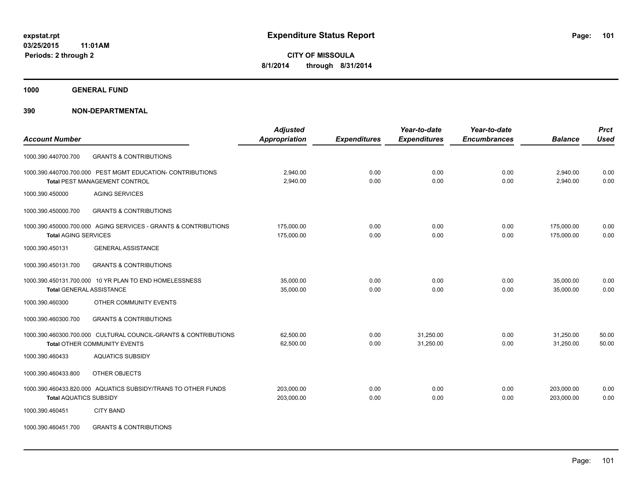**1000 GENERAL FUND**

## **390 NON-DEPARTMENTAL**

|                                                                 | <b>Adjusted</b>      |                     | Year-to-date        | Year-to-date        |                | <b>Prct</b> |
|-----------------------------------------------------------------|----------------------|---------------------|---------------------|---------------------|----------------|-------------|
| <b>Account Number</b>                                           | <b>Appropriation</b> | <b>Expenditures</b> | <b>Expenditures</b> | <b>Encumbrances</b> | <b>Balance</b> | <b>Used</b> |
| <b>GRANTS &amp; CONTRIBUTIONS</b><br>1000.390.440700.700        |                      |                     |                     |                     |                |             |
| 1000.390.440700.700.000 PEST MGMT EDUCATION- CONTRIBUTIONS      | 2,940.00             | 0.00                | 0.00                | 0.00                | 2,940.00       | 0.00        |
| <b>Total PEST MANAGEMENT CONTROL</b>                            | 2,940.00             | 0.00                | 0.00                | 0.00                | 2,940.00       | 0.00        |
| <b>AGING SERVICES</b><br>1000.390.450000                        |                      |                     |                     |                     |                |             |
| 1000.390.450000.700<br><b>GRANTS &amp; CONTRIBUTIONS</b>        |                      |                     |                     |                     |                |             |
| 1000.390.450000.700.000 AGING SERVICES - GRANTS & CONTRIBUTIONS | 175,000.00           | 0.00                | 0.00                | 0.00                | 175,000.00     | 0.00        |
| <b>Total AGING SERVICES</b>                                     | 175,000.00           | 0.00                | 0.00                | 0.00                | 175,000.00     | 0.00        |
| 1000.390.450131<br><b>GENERAL ASSISTANCE</b>                    |                      |                     |                     |                     |                |             |
| <b>GRANTS &amp; CONTRIBUTIONS</b><br>1000.390.450131.700        |                      |                     |                     |                     |                |             |
| 1000.390.450131.700.000 10 YR PLAN TO END HOMELESSNESS          | 35,000.00            | 0.00                | 0.00                | 0.00                | 35,000.00      | 0.00        |
| <b>Total GENERAL ASSISTANCE</b>                                 | 35,000.00            | 0.00                | 0.00                | 0.00                | 35,000.00      | 0.00        |
| 1000.390.460300<br>OTHER COMMUNITY EVENTS                       |                      |                     |                     |                     |                |             |
| <b>GRANTS &amp; CONTRIBUTIONS</b><br>1000.390.460300.700        |                      |                     |                     |                     |                |             |
| 1000.390.460300.700.000 CULTURAL COUNCIL-GRANTS & CONTRIBUTIONS | 62,500.00            | 0.00                | 31,250.00           | 0.00                | 31,250.00      | 50.00       |
| Total OTHER COMMUNITY EVENTS                                    | 62,500.00            | 0.00                | 31,250.00           | 0.00                | 31,250.00      | 50.00       |
| <b>AQUATICS SUBSIDY</b><br>1000.390.460433                      |                      |                     |                     |                     |                |             |
| 1000.390.460433.800<br>OTHER OBJECTS                            |                      |                     |                     |                     |                |             |
| 1000.390.460433.820.000 AQUATICS SUBSIDY/TRANS TO OTHER FUNDS   | 203,000.00           | 0.00                | 0.00                | 0.00                | 203,000.00     | 0.00        |
| <b>Total AQUATICS SUBSIDY</b>                                   | 203,000.00           | 0.00                | 0.00                | 0.00                | 203,000.00     | 0.00        |
| <b>CITY BAND</b><br>1000.390.460451                             |                      |                     |                     |                     |                |             |
|                                                                 |                      |                     |                     |                     |                |             |

1000.390.460451.700 GRANTS & CONTRIBUTIONS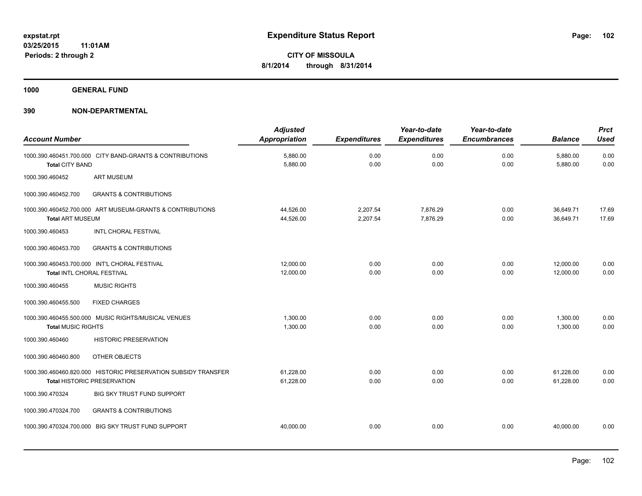**1000 GENERAL FUND**

| <b>Account Number</b>                                                                                | <b>Adjusted</b><br><b>Appropriation</b> | <b>Expenditures</b>  | Year-to-date<br><b>Expenditures</b> | Year-to-date<br><b>Encumbrances</b> | <b>Balance</b>         | <b>Prct</b><br><b>Used</b> |
|------------------------------------------------------------------------------------------------------|-----------------------------------------|----------------------|-------------------------------------|-------------------------------------|------------------------|----------------------------|
| 1000.390.460451.700.000 CITY BAND-GRANTS & CONTRIBUTIONS<br><b>Total CITY BAND</b>                   | 5,880.00<br>5,880.00                    | 0.00<br>0.00         | 0.00<br>0.00                        | 0.00<br>0.00                        | 5,880.00<br>5,880.00   | 0.00<br>0.00               |
| <b>ART MUSEUM</b><br>1000.390.460452                                                                 |                                         |                      |                                     |                                     |                        |                            |
| 1000.390.460452.700<br><b>GRANTS &amp; CONTRIBUTIONS</b>                                             |                                         |                      |                                     |                                     |                        |                            |
| 1000.390.460452.700.000 ART MUSEUM-GRANTS & CONTRIBUTIONS<br><b>Total ART MUSEUM</b>                 | 44,526.00<br>44,526.00                  | 2.207.54<br>2,207.54 | 7.876.29<br>7,876.29                | 0.00<br>0.00                        | 36,649.71<br>36,649.71 | 17.69<br>17.69             |
| <b>INTL CHORAL FESTIVAL</b><br>1000.390.460453                                                       |                                         |                      |                                     |                                     |                        |                            |
| 1000.390.460453.700<br><b>GRANTS &amp; CONTRIBUTIONS</b>                                             |                                         |                      |                                     |                                     |                        |                            |
| 1000.390.460453.700.000 INT'L CHORAL FESTIVAL<br>Total INTL CHORAL FESTIVAL                          | 12,000.00<br>12,000.00                  | 0.00<br>0.00         | 0.00<br>0.00                        | 0.00<br>0.00                        | 12,000.00<br>12,000.00 | 0.00<br>0.00               |
| <b>MUSIC RIGHTS</b><br>1000.390.460455                                                               |                                         |                      |                                     |                                     |                        |                            |
| 1000.390.460455.500<br><b>FIXED CHARGES</b>                                                          |                                         |                      |                                     |                                     |                        |                            |
| 1000.390.460455.500.000 MUSIC RIGHTS/MUSICAL VENUES<br><b>Total MUSIC RIGHTS</b>                     | 1,300.00<br>1,300.00                    | 0.00<br>0.00         | 0.00<br>0.00                        | 0.00<br>0.00                        | 1,300.00<br>1,300.00   | 0.00<br>0.00               |
| 1000.390.460460<br><b>HISTORIC PRESERVATION</b>                                                      |                                         |                      |                                     |                                     |                        |                            |
| 1000.390.460460.800<br>OTHER OBJECTS                                                                 |                                         |                      |                                     |                                     |                        |                            |
| 1000.390.460460.820.000 HISTORIC PRESERVATION SUBSIDY TRANSFER<br><b>Total HISTORIC PRESERVATION</b> | 61,228.00<br>61,228.00                  | 0.00<br>0.00         | 0.00<br>0.00                        | 0.00<br>0.00                        | 61,228.00<br>61,228.00 | 0.00<br>0.00               |
| 1000.390.470324<br><b>BIG SKY TRUST FUND SUPPORT</b>                                                 |                                         |                      |                                     |                                     |                        |                            |
| <b>GRANTS &amp; CONTRIBUTIONS</b><br>1000.390.470324.700                                             |                                         |                      |                                     |                                     |                        |                            |
| 1000.390.470324.700.000 BIG SKY TRUST FUND SUPPORT                                                   | 40,000.00                               | 0.00                 | 0.00                                | 0.00                                | 40.000.00              | 0.00                       |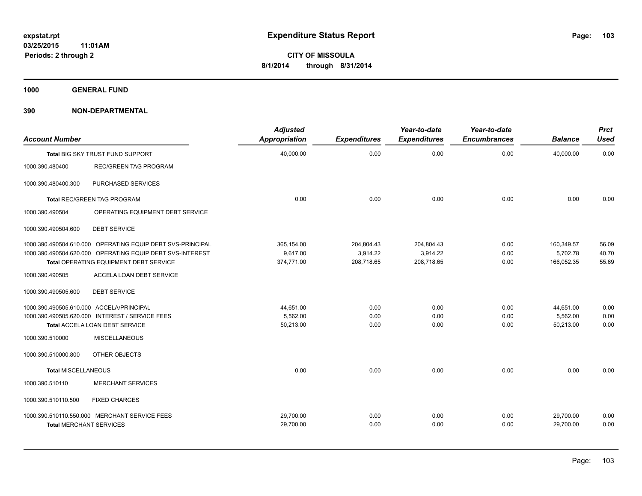**1000 GENERAL FUND**

| <b>Account Number</b>                    |                                                            | <b>Adjusted</b><br><b>Appropriation</b> | <b>Expenditures</b> | Year-to-date<br><b>Expenditures</b> | Year-to-date<br><b>Encumbrances</b> | <b>Balance</b> | <b>Prct</b><br><b>Used</b> |
|------------------------------------------|------------------------------------------------------------|-----------------------------------------|---------------------|-------------------------------------|-------------------------------------|----------------|----------------------------|
|                                          | Total BIG SKY TRUST FUND SUPPORT                           | 40,000.00                               | 0.00                | 0.00                                | 0.00                                | 40,000.00      | 0.00                       |
| 1000.390.480400                          | REC/GREEN TAG PROGRAM                                      |                                         |                     |                                     |                                     |                |                            |
| 1000.390.480400.300                      | PURCHASED SERVICES                                         |                                         |                     |                                     |                                     |                |                            |
|                                          | Total REC/GREEN TAG PROGRAM                                | 0.00                                    | 0.00                | 0.00                                | 0.00                                | 0.00           | 0.00                       |
| 1000.390.490504                          | OPERATING EQUIPMENT DEBT SERVICE                           |                                         |                     |                                     |                                     |                |                            |
| 1000.390.490504.600                      | <b>DEBT SERVICE</b>                                        |                                         |                     |                                     |                                     |                |                            |
|                                          | 1000.390.490504.610.000 OPERATING EQUIP DEBT SVS-PRINCIPAL | 365,154.00                              | 204,804.43          | 204,804.43                          | 0.00                                | 160,349.57     | 56.09                      |
|                                          | 1000.390.490504.620.000 OPERATING EQUIP DEBT SVS-INTEREST  | 9,617.00                                | 3,914.22            | 3,914.22                            | 0.00                                | 5,702.78       | 40.70                      |
|                                          | Total OPERATING EQUIPMENT DEBT SERVICE                     | 374,771.00                              | 208,718.65          | 208,718.65                          | 0.00                                | 166,052.35     | 55.69                      |
| 1000.390.490505                          | ACCELA LOAN DEBT SERVICE                                   |                                         |                     |                                     |                                     |                |                            |
| 1000.390.490505.600                      | <b>DEBT SERVICE</b>                                        |                                         |                     |                                     |                                     |                |                            |
| 1000.390.490505.610.000 ACCELA/PRINCIPAL |                                                            | 44,651.00                               | 0.00                | 0.00                                | 0.00                                | 44,651.00      | 0.00                       |
|                                          | 1000.390.490505.620.000 INTEREST / SERVICE FEES            | 5,562.00                                | 0.00                | 0.00                                | 0.00                                | 5,562.00       | 0.00                       |
|                                          | <b>Total ACCELA LOAN DEBT SERVICE</b>                      | 50,213.00                               | 0.00                | 0.00                                | 0.00                                | 50,213.00      | 0.00                       |
| 1000.390.510000                          | <b>MISCELLANEOUS</b>                                       |                                         |                     |                                     |                                     |                |                            |
| 1000.390.510000.800                      | OTHER OBJECTS                                              |                                         |                     |                                     |                                     |                |                            |
| <b>Total MISCELLANEOUS</b>               |                                                            | 0.00                                    | 0.00                | 0.00                                | 0.00                                | 0.00           | 0.00                       |
| 1000.390.510110                          | <b>MERCHANT SERVICES</b>                                   |                                         |                     |                                     |                                     |                |                            |
| 1000.390.510110.500                      | <b>FIXED CHARGES</b>                                       |                                         |                     |                                     |                                     |                |                            |
|                                          | 1000.390.510110.550.000 MERCHANT SERVICE FEES              | 29,700.00                               | 0.00                | 0.00                                | 0.00                                | 29,700.00      | 0.00                       |
| <b>Total MERCHANT SERVICES</b>           |                                                            | 29,700.00                               | 0.00                | 0.00                                | 0.00                                | 29,700.00      | 0.00                       |
|                                          |                                                            |                                         |                     |                                     |                                     |                |                            |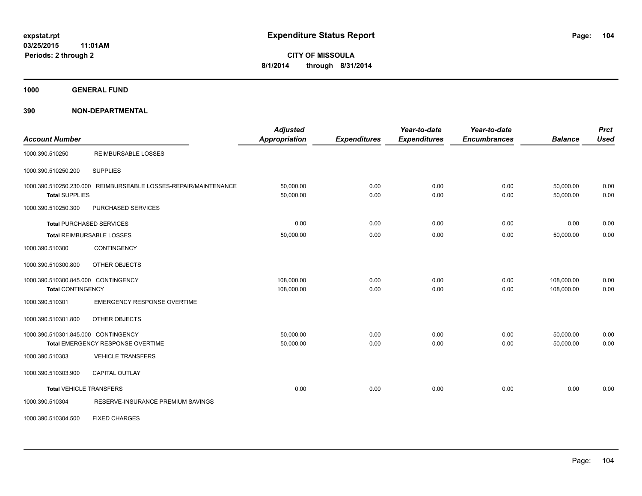**1000 GENERAL FUND**

| <b>Account Number</b>                                           |                                                                 | <b>Adjusted</b><br><b>Appropriation</b> | <b>Expenditures</b> | Year-to-date<br><b>Expenditures</b> | Year-to-date<br><b>Encumbrances</b> | <b>Balance</b>           | <b>Prct</b><br><b>Used</b> |
|-----------------------------------------------------------------|-----------------------------------------------------------------|-----------------------------------------|---------------------|-------------------------------------|-------------------------------------|--------------------------|----------------------------|
| 1000.390.510250                                                 | <b>REIMBURSABLE LOSSES</b>                                      |                                         |                     |                                     |                                     |                          |                            |
| 1000.390.510250.200                                             | <b>SUPPLIES</b>                                                 |                                         |                     |                                     |                                     |                          |                            |
| <b>Total SUPPLIES</b>                                           | 1000.390.510250.230.000 REIMBURSEABLE LOSSES-REPAIR/MAINTENANCE | 50,000.00<br>50,000.00                  | 0.00<br>0.00        | 0.00<br>0.00                        | 0.00<br>0.00                        | 50,000.00<br>50,000.00   | 0.00<br>0.00               |
| 1000.390.510250.300                                             | PURCHASED SERVICES                                              |                                         |                     |                                     |                                     |                          |                            |
|                                                                 | <b>Total PURCHASED SERVICES</b>                                 | 0.00                                    | 0.00                | 0.00                                | 0.00                                | 0.00                     | 0.00                       |
|                                                                 | Total REIMBURSABLE LOSSES                                       | 50,000.00                               | 0.00                | 0.00                                | 0.00                                | 50,000.00                | 0.00                       |
| 1000.390.510300                                                 | CONTINGENCY                                                     |                                         |                     |                                     |                                     |                          |                            |
| 1000.390.510300.800                                             | OTHER OBJECTS                                                   |                                         |                     |                                     |                                     |                          |                            |
| 1000.390.510300.845.000 CONTINGENCY<br><b>Total CONTINGENCY</b> |                                                                 | 108,000.00<br>108,000.00                | 0.00<br>0.00        | 0.00<br>0.00                        | 0.00<br>0.00                        | 108,000.00<br>108,000.00 | 0.00<br>0.00               |
| 1000.390.510301                                                 | <b>EMERGENCY RESPONSE OVERTIME</b>                              |                                         |                     |                                     |                                     |                          |                            |
| 1000.390.510301.800                                             | OTHER OBJECTS                                                   |                                         |                     |                                     |                                     |                          |                            |
| 1000.390.510301.845.000 CONTINGENCY                             | <b>Total EMERGENCY RESPONSE OVERTIME</b>                        | 50,000.00<br>50,000.00                  | 0.00<br>0.00        | 0.00<br>0.00                        | 0.00<br>0.00                        | 50,000.00<br>50,000.00   | 0.00<br>0.00               |
| 1000.390.510303                                                 | <b>VEHICLE TRANSFERS</b>                                        |                                         |                     |                                     |                                     |                          |                            |
| 1000.390.510303.900                                             | <b>CAPITAL OUTLAY</b>                                           |                                         |                     |                                     |                                     |                          |                            |
| <b>Total VEHICLE TRANSFERS</b>                                  |                                                                 | 0.00                                    | 0.00                | 0.00                                | 0.00                                | 0.00                     | 0.00                       |
| 1000.390.510304                                                 | RESERVE-INSURANCE PREMIUM SAVINGS                               |                                         |                     |                                     |                                     |                          |                            |
| 1000.390.510304.500                                             | <b>FIXED CHARGES</b>                                            |                                         |                     |                                     |                                     |                          |                            |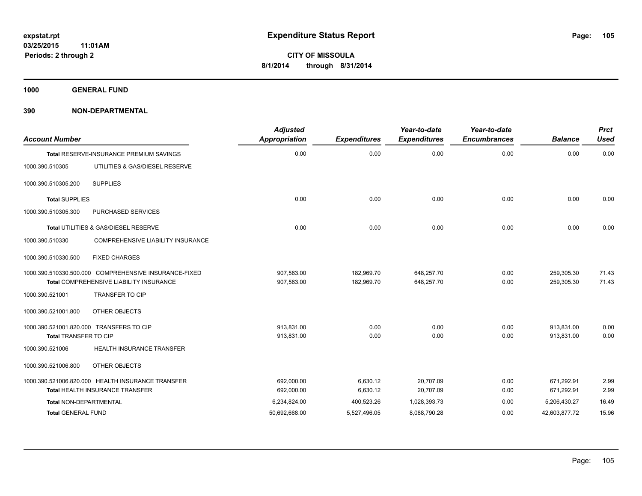**1000 GENERAL FUND**

| <b>Account Number</b>     |                                                       | <b>Adjusted</b><br>Appropriation | <b>Expenditures</b> | Year-to-date<br><b>Expenditures</b> | Year-to-date<br><b>Encumbrances</b> | <b>Balance</b> | <b>Prct</b><br><b>Used</b> |
|---------------------------|-------------------------------------------------------|----------------------------------|---------------------|-------------------------------------|-------------------------------------|----------------|----------------------------|
|                           | Total RESERVE-INSURANCE PREMIUM SAVINGS               | 0.00                             | 0.00                | 0.00                                | 0.00                                | 0.00           | 0.00                       |
| 1000.390.510305           | UTILITIES & GAS/DIESEL RESERVE                        |                                  |                     |                                     |                                     |                |                            |
| 1000.390.510305.200       | <b>SUPPLIES</b>                                       |                                  |                     |                                     |                                     |                |                            |
| <b>Total SUPPLIES</b>     |                                                       | 0.00                             | 0.00                | 0.00                                | 0.00                                | 0.00           | 0.00                       |
| 1000.390.510305.300       | PURCHASED SERVICES                                    |                                  |                     |                                     |                                     |                |                            |
|                           | Total UTILITIES & GAS/DIESEL RESERVE                  | 0.00                             | 0.00                | 0.00                                | 0.00                                | 0.00           | 0.00                       |
| 1000.390.510330           | COMPREHENSIVE LIABILITY INSURANCE                     |                                  |                     |                                     |                                     |                |                            |
| 1000.390.510330.500       | <b>FIXED CHARGES</b>                                  |                                  |                     |                                     |                                     |                |                            |
|                           | 1000.390.510330.500.000 COMPREHENSIVE INSURANCE-FIXED | 907,563.00                       | 182,969.70          | 648,257.70                          | 0.00                                | 259,305.30     | 71.43                      |
|                           | Total COMPREHENSIVE LIABILITY INSURANCE               | 907,563.00                       | 182,969.70          | 648,257.70                          | 0.00                                | 259,305.30     | 71.43                      |
| 1000.390.521001           | <b>TRANSFER TO CIP</b>                                |                                  |                     |                                     |                                     |                |                            |
| 1000.390.521001.800       | OTHER OBJECTS                                         |                                  |                     |                                     |                                     |                |                            |
|                           | 1000.390.521001.820.000 TRANSFERS TO CIP              | 913,831.00                       | 0.00                | 0.00                                | 0.00                                | 913,831.00     | 0.00                       |
| Total TRANSFER TO CIP     |                                                       | 913,831.00                       | 0.00                | 0.00                                | 0.00                                | 913,831.00     | 0.00                       |
| 1000.390.521006           | HEALTH INSURANCE TRANSFER                             |                                  |                     |                                     |                                     |                |                            |
| 1000.390.521006.800       | OTHER OBJECTS                                         |                                  |                     |                                     |                                     |                |                            |
|                           | 1000.390.521006.820.000 HEALTH INSURANCE TRANSFER     | 692.000.00                       | 6,630.12            | 20,707.09                           | 0.00                                | 671,292.91     | 2.99                       |
|                           | Total HEALTH INSURANCE TRANSFER                       | 692,000.00                       | 6,630.12            | 20,707.09                           | 0.00                                | 671,292.91     | 2.99                       |
| Total NON-DEPARTMENTAL    |                                                       | 6,234,824.00                     | 400,523.26          | 1,028,393.73                        | 0.00                                | 5,206,430.27   | 16.49                      |
| <b>Total GENERAL FUND</b> |                                                       | 50,692,668.00                    | 5,527,496.05        | 8,088,790.28                        | 0.00                                | 42,603,877.72  | 15.96                      |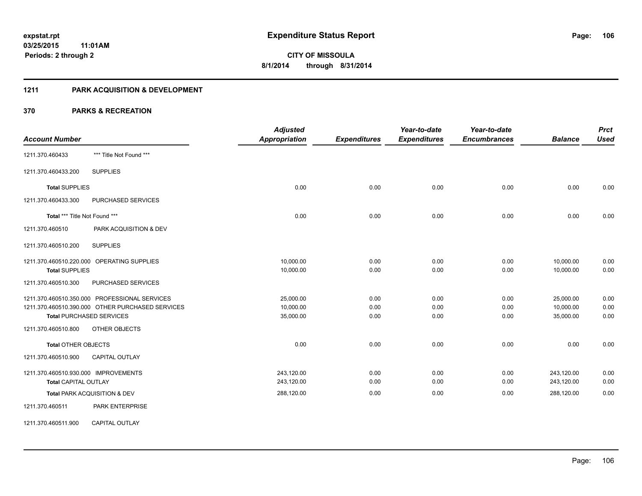### **1211 PARK ACQUISITION & DEVELOPMENT**

| <b>Account Number</b>                |                                                  | <b>Adjusted</b><br><b>Appropriation</b> | <b>Expenditures</b> | Year-to-date<br><b>Expenditures</b> | Year-to-date<br><b>Encumbrances</b> | <b>Balance</b> | <b>Prct</b><br><b>Used</b> |
|--------------------------------------|--------------------------------------------------|-----------------------------------------|---------------------|-------------------------------------|-------------------------------------|----------------|----------------------------|
| 1211.370.460433                      | *** Title Not Found ***                          |                                         |                     |                                     |                                     |                |                            |
| 1211.370.460433.200                  | <b>SUPPLIES</b>                                  |                                         |                     |                                     |                                     |                |                            |
| <b>Total SUPPLIES</b>                |                                                  | 0.00                                    | 0.00                | 0.00                                | 0.00                                | 0.00           | 0.00                       |
| 1211.370.460433.300                  | PURCHASED SERVICES                               |                                         |                     |                                     |                                     |                |                            |
| Total *** Title Not Found ***        |                                                  | 0.00                                    | 0.00                | 0.00                                | 0.00                                | 0.00           | 0.00                       |
| 1211.370.460510                      | PARK ACQUISITION & DEV                           |                                         |                     |                                     |                                     |                |                            |
| 1211.370.460510.200                  | <b>SUPPLIES</b>                                  |                                         |                     |                                     |                                     |                |                            |
|                                      | 1211.370.460510.220.000 OPERATING SUPPLIES       | 10,000.00                               | 0.00                | 0.00                                | 0.00                                | 10,000.00      | 0.00                       |
| <b>Total SUPPLIES</b>                |                                                  | 10,000.00                               | 0.00                | 0.00                                | 0.00                                | 10,000.00      | 0.00                       |
| 1211.370.460510.300                  | PURCHASED SERVICES                               |                                         |                     |                                     |                                     |                |                            |
|                                      | 1211.370.460510.350.000 PROFESSIONAL SERVICES    | 25,000.00                               | 0.00                | 0.00                                | 0.00                                | 25,000.00      | 0.00                       |
|                                      | 1211.370.460510.390.000 OTHER PURCHASED SERVICES | 10,000.00                               | 0.00                | 0.00                                | 0.00                                | 10,000.00      | 0.00                       |
|                                      | <b>Total PURCHASED SERVICES</b>                  | 35,000.00                               | 0.00                | 0.00                                | 0.00                                | 35,000.00      | 0.00                       |
| 1211.370.460510.800                  | OTHER OBJECTS                                    |                                         |                     |                                     |                                     |                |                            |
| <b>Total OTHER OBJECTS</b>           |                                                  | 0.00                                    | 0.00                | 0.00                                | 0.00                                | 0.00           | 0.00                       |
| 1211.370.460510.900                  | <b>CAPITAL OUTLAY</b>                            |                                         |                     |                                     |                                     |                |                            |
| 1211.370.460510.930.000 IMPROVEMENTS |                                                  | 243,120.00                              | 0.00                | 0.00                                | 0.00                                | 243,120.00     | 0.00                       |
| <b>Total CAPITAL OUTLAY</b>          |                                                  | 243,120.00                              | 0.00                | 0.00                                | 0.00                                | 243,120.00     | 0.00                       |
|                                      | Total PARK ACQUISITION & DEV                     | 288,120.00                              | 0.00                | 0.00                                | 0.00                                | 288,120.00     | 0.00                       |
| 1211.370.460511                      | <b>PARK ENTERPRISE</b>                           |                                         |                     |                                     |                                     |                |                            |
| 1211.370.460511.900                  | <b>CAPITAL OUTLAY</b>                            |                                         |                     |                                     |                                     |                |                            |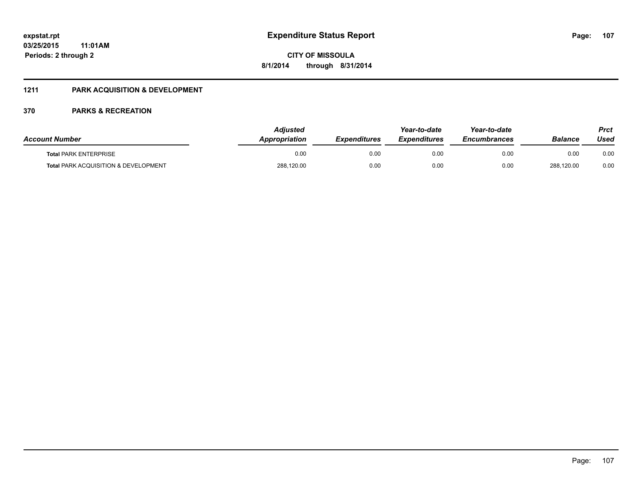## **1211 PARK ACQUISITION & DEVELOPMENT**

| <b>Account Number</b>                           | Adiusted<br>Appropriation | <b>Expenditures</b> | Year-to-date<br><i><b>Expenditures</b></i> | Year-to-date<br><b>Encumbrances</b> | <b>Balance</b> | Prct<br>Used |
|-------------------------------------------------|---------------------------|---------------------|--------------------------------------------|-------------------------------------|----------------|--------------|
| <b>Total PARK ENTERPRISE</b>                    | 0.00                      | 0.00                | 0.00                                       | 0.00                                | 0.00           | 0.00         |
| <b>Total PARK ACQUISITION &amp; DEVELOPMENT</b> | 288,120.00                | 0.00                | 0.00                                       | 0.00                                | 288,120.00     | 0.00         |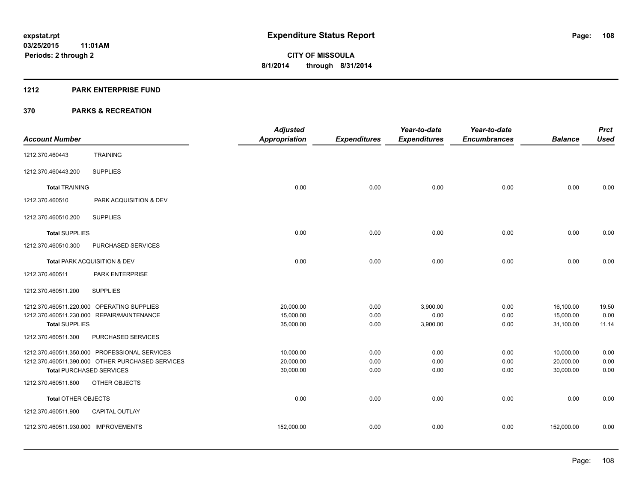#### **1212 PARK ENTERPRISE FUND**

|                                                  | <b>Adjusted</b>      |                     | Year-to-date        | Year-to-date        |                | <b>Prct</b> |
|--------------------------------------------------|----------------------|---------------------|---------------------|---------------------|----------------|-------------|
| <b>Account Number</b>                            | <b>Appropriation</b> | <b>Expenditures</b> | <b>Expenditures</b> | <b>Encumbrances</b> | <b>Balance</b> | <b>Used</b> |
| <b>TRAINING</b><br>1212.370.460443               |                      |                     |                     |                     |                |             |
| <b>SUPPLIES</b><br>1212.370.460443.200           |                      |                     |                     |                     |                |             |
| <b>Total TRAINING</b>                            | 0.00                 | 0.00                | 0.00                | 0.00                | 0.00           | 0.00        |
| 1212.370.460510<br>PARK ACQUISITION & DEV        |                      |                     |                     |                     |                |             |
| <b>SUPPLIES</b><br>1212.370.460510.200           |                      |                     |                     |                     |                |             |
| <b>Total SUPPLIES</b>                            | 0.00                 | 0.00                | 0.00                | 0.00                | 0.00           | 0.00        |
| 1212.370.460510.300<br>PURCHASED SERVICES        |                      |                     |                     |                     |                |             |
| Total PARK ACQUISITION & DEV                     | 0.00                 | 0.00                | 0.00                | 0.00                | 0.00           | 0.00        |
| PARK ENTERPRISE<br>1212.370.460511               |                      |                     |                     |                     |                |             |
| <b>SUPPLIES</b><br>1212.370.460511.200           |                      |                     |                     |                     |                |             |
| 1212.370.460511.220.000 OPERATING SUPPLIES       | 20,000.00            | 0.00                | 3,900.00            | 0.00                | 16,100.00      | 19.50       |
| 1212.370.460511.230.000 REPAIR/MAINTENANCE       | 15,000.00            | 0.00                | 0.00                | 0.00                | 15,000.00      | 0.00        |
| <b>Total SUPPLIES</b>                            | 35,000.00            | 0.00                | 3,900.00            | 0.00                | 31,100.00      | 11.14       |
| PURCHASED SERVICES<br>1212.370.460511.300        |                      |                     |                     |                     |                |             |
| 1212.370.460511.350.000 PROFESSIONAL SERVICES    | 10,000.00            | 0.00                | 0.00                | 0.00                | 10,000.00      | 0.00        |
| 1212.370.460511.390.000 OTHER PURCHASED SERVICES | 20,000.00            | 0.00                | 0.00                | 0.00                | 20,000.00      | 0.00        |
| <b>Total PURCHASED SERVICES</b>                  | 30,000.00            | 0.00                | 0.00                | 0.00                | 30,000.00      | 0.00        |
| 1212.370.460511.800<br>OTHER OBJECTS             |                      |                     |                     |                     |                |             |
| <b>Total OTHER OBJECTS</b>                       | 0.00                 | 0.00                | 0.00                | 0.00                | 0.00           | 0.00        |
| 1212.370.460511.900<br><b>CAPITAL OUTLAY</b>     |                      |                     |                     |                     |                |             |
| 1212.370.460511.930.000 IMPROVEMENTS             | 152,000.00           | 0.00                | 0.00                | 0.00                | 152,000.00     | 0.00        |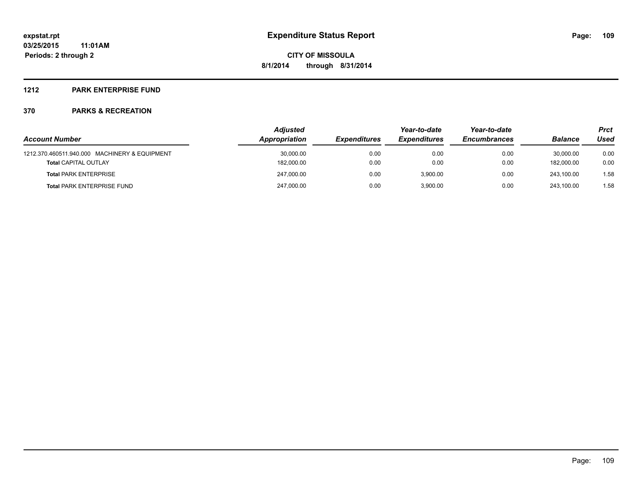#### **1212 PARK ENTERPRISE FUND**

|                                               | <b>Adjusted</b> |                     |                     | Year-to-date        |                | Prct |
|-----------------------------------------------|-----------------|---------------------|---------------------|---------------------|----------------|------|
| <b>Account Number</b>                         | Appropriation   | <b>Expenditures</b> | <b>Expenditures</b> | <b>Encumbrances</b> | <b>Balance</b> | Used |
| 1212.370.460511.940.000 MACHINERY & EQUIPMENT | 30,000.00       | 0.00                | 0.00                | 0.00                | 30.000.00      | 0.00 |
| <b>Total CAPITAL OUTLAY</b>                   | 182,000.00      | 0.00                | 0.00                | 0.00                | 182.000.00     | 0.00 |
| <b>Total PARK ENTERPRISE</b>                  | 247.000.00      | 0.00                | 3.900.00            | 0.00                | 243.100.00     | 1.58 |
| <b>Total PARK ENTERPRISE FUND</b>             | 247,000.00      | 0.00                | 3.900.00            | 0.00                | 243.100.00     | 1.58 |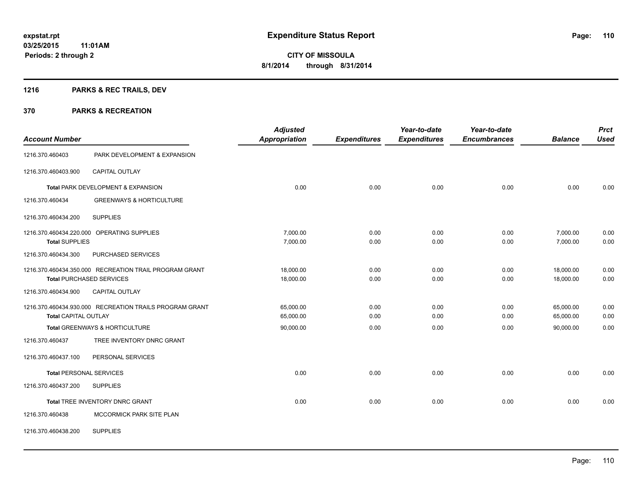## **1216 PARKS & REC TRAILS, DEV**

| <b>Account Number</b>       |                                                         | <b>Adjusted</b><br><b>Appropriation</b> | <b>Expenditures</b> | Year-to-date<br><b>Expenditures</b> | Year-to-date<br><b>Encumbrances</b> | <b>Balance</b> | <b>Prct</b><br><b>Used</b> |
|-----------------------------|---------------------------------------------------------|-----------------------------------------|---------------------|-------------------------------------|-------------------------------------|----------------|----------------------------|
| 1216.370.460403             | PARK DEVELOPMENT & EXPANSION                            |                                         |                     |                                     |                                     |                |                            |
| 1216.370.460403.900         | <b>CAPITAL OUTLAY</b>                                   |                                         |                     |                                     |                                     |                |                            |
|                             | Total PARK DEVELOPMENT & EXPANSION                      | 0.00                                    | 0.00                | 0.00                                | 0.00                                | 0.00           | 0.00                       |
| 1216.370.460434             | <b>GREENWAYS &amp; HORTICULTURE</b>                     |                                         |                     |                                     |                                     |                |                            |
| 1216.370.460434.200         | <b>SUPPLIES</b>                                         |                                         |                     |                                     |                                     |                |                            |
|                             | 1216.370.460434.220.000 OPERATING SUPPLIES              | 7,000.00                                | 0.00                | 0.00                                | 0.00                                | 7,000.00       | 0.00                       |
| <b>Total SUPPLIES</b>       |                                                         | 7,000.00                                | 0.00                | 0.00                                | 0.00                                | 7,000.00       | 0.00                       |
| 1216.370.460434.300         | PURCHASED SERVICES                                      |                                         |                     |                                     |                                     |                |                            |
|                             | 1216.370.460434.350.000 RECREATION TRAIL PROGRAM GRANT  | 18.000.00                               | 0.00                | 0.00                                | 0.00                                | 18,000.00      | 0.00                       |
|                             | <b>Total PURCHASED SERVICES</b>                         | 18,000.00                               | 0.00                | 0.00                                | 0.00                                | 18,000.00      | 0.00                       |
| 1216.370.460434.900         | CAPITAL OUTLAY                                          |                                         |                     |                                     |                                     |                |                            |
|                             | 1216.370.460434.930.000 RECREATION TRAILS PROGRAM GRANT | 65,000.00                               | 0.00                | 0.00                                | 0.00                                | 65,000.00      | 0.00                       |
| <b>Total CAPITAL OUTLAY</b> |                                                         | 65,000.00                               | 0.00                | 0.00                                | 0.00                                | 65,000.00      | 0.00                       |
|                             | Total GREENWAYS & HORTICULTURE                          | 90,000.00                               | 0.00                | 0.00                                | 0.00                                | 90.000.00      | 0.00                       |
| 1216.370.460437             | TREE INVENTORY DNRC GRANT                               |                                         |                     |                                     |                                     |                |                            |
| 1216.370.460437.100         | PERSONAL SERVICES                                       |                                         |                     |                                     |                                     |                |                            |
|                             | <b>Total PERSONAL SERVICES</b>                          | 0.00                                    | 0.00                | 0.00                                | 0.00                                | 0.00           | 0.00                       |
| 1216.370.460437.200         | <b>SUPPLIES</b>                                         |                                         |                     |                                     |                                     |                |                            |
|                             | Total TREE INVENTORY DNRC GRANT                         | 0.00                                    | 0.00                | 0.00                                | 0.00                                | 0.00           | 0.00                       |
| 1216.370.460438             | MCCORMICK PARK SITE PLAN                                |                                         |                     |                                     |                                     |                |                            |
| 1216.370.460438.200         | <b>SUPPLIES</b>                                         |                                         |                     |                                     |                                     |                |                            |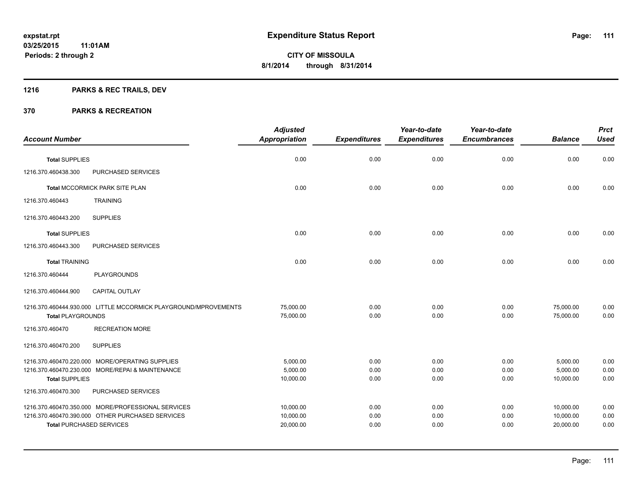## **1216 PARKS & REC TRAILS, DEV**

| <b>Account Number</b>    |                                                                                                                                           | <b>Adjusted</b><br><b>Appropriation</b> | <b>Expenditures</b>  | Year-to-date<br><b>Expenditures</b> | Year-to-date<br><b>Encumbrances</b> | <b>Balance</b>                      | <b>Prct</b><br><b>Used</b> |
|--------------------------|-------------------------------------------------------------------------------------------------------------------------------------------|-----------------------------------------|----------------------|-------------------------------------|-------------------------------------|-------------------------------------|----------------------------|
|                          |                                                                                                                                           |                                         |                      |                                     |                                     |                                     |                            |
| <b>Total SUPPLIES</b>    |                                                                                                                                           | 0.00                                    | 0.00                 | 0.00                                | 0.00                                | 0.00                                | 0.00                       |
| 1216.370.460438.300      | PURCHASED SERVICES                                                                                                                        |                                         |                      |                                     |                                     |                                     |                            |
|                          | Total MCCORMICK PARK SITE PLAN                                                                                                            | 0.00                                    | 0.00                 | 0.00                                | 0.00                                | 0.00                                | 0.00                       |
| 1216.370.460443          | <b>TRAINING</b>                                                                                                                           |                                         |                      |                                     |                                     |                                     |                            |
| 1216.370.460443.200      | <b>SUPPLIES</b>                                                                                                                           |                                         |                      |                                     |                                     |                                     |                            |
| <b>Total SUPPLIES</b>    |                                                                                                                                           | 0.00                                    | 0.00                 | 0.00                                | 0.00                                | 0.00                                | 0.00                       |
| 1216.370.460443.300      | PURCHASED SERVICES                                                                                                                        |                                         |                      |                                     |                                     |                                     |                            |
| <b>Total TRAINING</b>    |                                                                                                                                           | 0.00                                    | 0.00                 | 0.00                                | 0.00                                | 0.00                                | 0.00                       |
| 1216.370.460444          | PLAYGROUNDS                                                                                                                               |                                         |                      |                                     |                                     |                                     |                            |
| 1216.370.460444.900      | CAPITAL OUTLAY                                                                                                                            |                                         |                      |                                     |                                     |                                     |                            |
| <b>Total PLAYGROUNDS</b> | 1216.370.460444.930.000 LITTLE MCCORMICK PLAYGROUND/MPROVEMENTS                                                                           | 75,000.00<br>75,000.00                  | 0.00<br>0.00         | 0.00<br>0.00                        | 0.00<br>0.00                        | 75,000.00<br>75,000.00              | 0.00<br>0.00               |
| 1216.370.460470          | <b>RECREATION MORE</b>                                                                                                                    |                                         |                      |                                     |                                     |                                     |                            |
| 1216.370.460470.200      | <b>SUPPLIES</b>                                                                                                                           |                                         |                      |                                     |                                     |                                     |                            |
| <b>Total SUPPLIES</b>    | 1216.370.460470.220.000 MORE/OPERATING SUPPLIES<br>1216.370.460470.230.000 MORE/REPAI & MAINTENANCE                                       | 5,000.00<br>5,000.00<br>10,000.00       | 0.00<br>0.00<br>0.00 | 0.00<br>0.00<br>0.00                | 0.00<br>0.00<br>0.00                | 5,000.00<br>5,000.00<br>10,000.00   | 0.00<br>0.00<br>0.00       |
| 1216.370.460470.300      | PURCHASED SERVICES                                                                                                                        |                                         |                      |                                     |                                     |                                     |                            |
|                          | 1216.370.460470.350.000 MORE/PROFESSIONAL SERVICES<br>1216.370.460470.390.000 OTHER PURCHASED SERVICES<br><b>Total PURCHASED SERVICES</b> | 10,000.00<br>10,000.00<br>20,000.00     | 0.00<br>0.00<br>0.00 | 0.00<br>0.00<br>0.00                | 0.00<br>0.00<br>0.00                | 10,000.00<br>10,000.00<br>20,000.00 | 0.00<br>0.00<br>0.00       |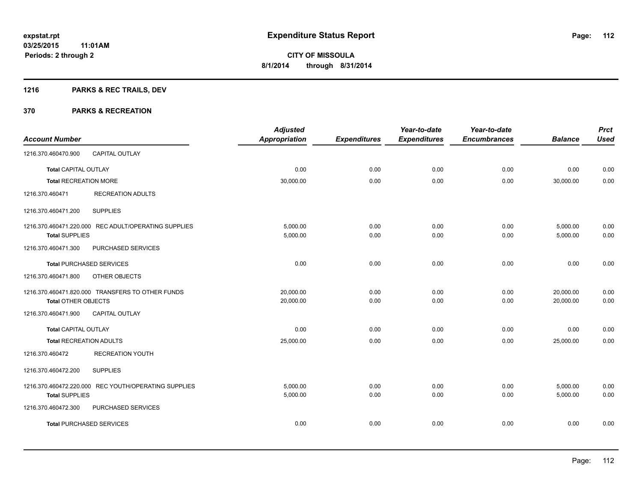## **1216 PARKS & REC TRAILS, DEV**

| <b>Account Number</b>          |                                                      | <b>Adjusted</b><br><b>Appropriation</b> | <b>Expenditures</b> | Year-to-date<br><b>Expenditures</b> | Year-to-date<br><b>Encumbrances</b> | <b>Balance</b> | <b>Prct</b><br><b>Used</b> |
|--------------------------------|------------------------------------------------------|-----------------------------------------|---------------------|-------------------------------------|-------------------------------------|----------------|----------------------------|
|                                |                                                      |                                         |                     |                                     |                                     |                |                            |
| 1216.370.460470.900            | <b>CAPITAL OUTLAY</b>                                |                                         |                     |                                     |                                     |                |                            |
| <b>Total CAPITAL OUTLAY</b>    |                                                      | 0.00                                    | 0.00                | 0.00                                | 0.00                                | 0.00           | 0.00                       |
| <b>Total RECREATION MORE</b>   |                                                      | 30,000.00                               | 0.00                | 0.00                                | 0.00                                | 30,000.00      | 0.00                       |
| 1216.370.460471                | <b>RECREATION ADULTS</b>                             |                                         |                     |                                     |                                     |                |                            |
| 1216.370.460471.200            | <b>SUPPLIES</b>                                      |                                         |                     |                                     |                                     |                |                            |
|                                | 1216.370.460471.220.000 REC ADULT/OPERATING SUPPLIES | 5,000.00                                | 0.00                | 0.00                                | 0.00                                | 5,000.00       | 0.00                       |
| <b>Total SUPPLIES</b>          |                                                      | 5,000.00                                | 0.00                | 0.00                                | 0.00                                | 5,000.00       | 0.00                       |
| 1216.370.460471.300            | PURCHASED SERVICES                                   |                                         |                     |                                     |                                     |                |                            |
|                                | <b>Total PURCHASED SERVICES</b>                      | 0.00                                    | 0.00                | 0.00                                | 0.00                                | 0.00           | 0.00                       |
| 1216.370.460471.800            | OTHER OBJECTS                                        |                                         |                     |                                     |                                     |                |                            |
|                                | 1216.370.460471.820.000 TRANSFERS TO OTHER FUNDS     | 20,000.00                               | 0.00                | 0.00                                | 0.00                                | 20,000.00      | 0.00                       |
| Total OTHER OBJECTS            |                                                      | 20,000.00                               | 0.00                | 0.00                                | 0.00                                | 20,000.00      | 0.00                       |
| 1216.370.460471.900            | <b>CAPITAL OUTLAY</b>                                |                                         |                     |                                     |                                     |                |                            |
| <b>Total CAPITAL OUTLAY</b>    |                                                      | 0.00                                    | 0.00                | 0.00                                | 0.00                                | 0.00           | 0.00                       |
| <b>Total RECREATION ADULTS</b> |                                                      | 25,000.00                               | 0.00                | 0.00                                | 0.00                                | 25,000.00      | 0.00                       |
| 1216.370.460472                | <b>RECREATION YOUTH</b>                              |                                         |                     |                                     |                                     |                |                            |
| 1216.370.460472.200            | <b>SUPPLIES</b>                                      |                                         |                     |                                     |                                     |                |                            |
|                                | 1216.370.460472.220.000 REC YOUTH/OPERATING SUPPLIES | 5,000.00                                | 0.00                | 0.00                                | 0.00                                | 5,000.00       | 0.00                       |
| <b>Total SUPPLIES</b>          |                                                      | 5,000.00                                | 0.00                | 0.00                                | 0.00                                | 5,000.00       | 0.00                       |
| 1216.370.460472.300            | PURCHASED SERVICES                                   |                                         |                     |                                     |                                     |                |                            |
|                                | <b>Total PURCHASED SERVICES</b>                      | 0.00                                    | 0.00                | 0.00                                | 0.00                                | 0.00           | 0.00                       |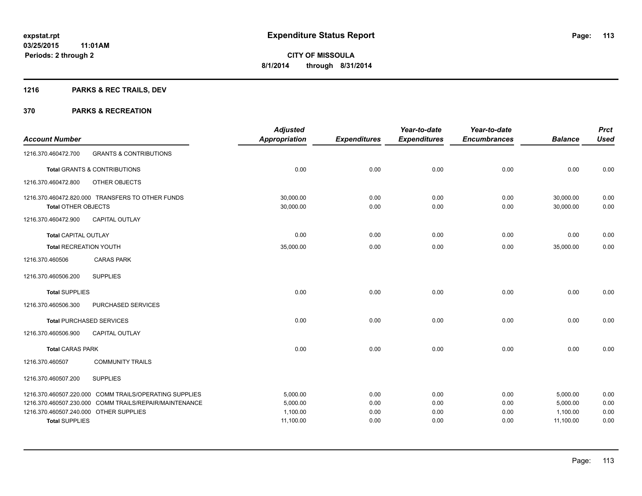## **1216 PARKS & REC TRAILS, DEV**

|                                        |                                                        | <b>Adjusted</b>      |                     | Year-to-date        | Year-to-date        |                | <b>Prct</b> |
|----------------------------------------|--------------------------------------------------------|----------------------|---------------------|---------------------|---------------------|----------------|-------------|
| <b>Account Number</b>                  |                                                        | <b>Appropriation</b> | <b>Expenditures</b> | <b>Expenditures</b> | <b>Encumbrances</b> | <b>Balance</b> | <b>Used</b> |
| 1216.370.460472.700                    | <b>GRANTS &amp; CONTRIBUTIONS</b>                      |                      |                     |                     |                     |                |             |
|                                        | <b>Total GRANTS &amp; CONTRIBUTIONS</b>                | 0.00                 | 0.00                | 0.00                | 0.00                | 0.00           | 0.00        |
| 1216.370.460472.800                    | OTHER OBJECTS                                          |                      |                     |                     |                     |                |             |
|                                        | 1216.370.460472.820.000 TRANSFERS TO OTHER FUNDS       | 30,000.00            | 0.00                | 0.00                | 0.00                | 30,000.00      | 0.00        |
| <b>Total OTHER OBJECTS</b>             |                                                        | 30,000.00            | 0.00                | 0.00                | 0.00                | 30,000.00      | 0.00        |
| 1216.370.460472.900                    | <b>CAPITAL OUTLAY</b>                                  |                      |                     |                     |                     |                |             |
| <b>Total CAPITAL OUTLAY</b>            |                                                        | 0.00                 | 0.00                | 0.00                | 0.00                | 0.00           | 0.00        |
| <b>Total RECREATION YOUTH</b>          |                                                        | 35,000.00            | 0.00                | 0.00                | 0.00                | 35,000.00      | 0.00        |
| 1216.370.460506                        | <b>CARAS PARK</b>                                      |                      |                     |                     |                     |                |             |
| 1216.370.460506.200                    | <b>SUPPLIES</b>                                        |                      |                     |                     |                     |                |             |
| <b>Total SUPPLIES</b>                  |                                                        | 0.00                 | 0.00                | 0.00                | 0.00                | 0.00           | 0.00        |
| 1216.370.460506.300                    | PURCHASED SERVICES                                     |                      |                     |                     |                     |                |             |
|                                        | <b>Total PURCHASED SERVICES</b>                        | 0.00                 | 0.00                | 0.00                | 0.00                | 0.00           | 0.00        |
| 1216.370.460506.900                    | <b>CAPITAL OUTLAY</b>                                  |                      |                     |                     |                     |                |             |
| <b>Total CARAS PARK</b>                |                                                        | 0.00                 | 0.00                | 0.00                | 0.00                | 0.00           | 0.00        |
| 1216.370.460507                        | <b>COMMUNITY TRAILS</b>                                |                      |                     |                     |                     |                |             |
| 1216.370.460507.200                    | <b>SUPPLIES</b>                                        |                      |                     |                     |                     |                |             |
|                                        | 1216.370.460507.220.000 COMM TRAILS/OPERATING SUPPLIES | 5,000.00             | 0.00                | 0.00                | 0.00                | 5,000.00       | 0.00        |
|                                        | 1216.370.460507.230.000 COMM TRAILS/REPAIR/MAINTENANCE | 5,000.00             | 0.00                | 0.00                | 0.00                | 5,000.00       | 0.00        |
| 1216.370.460507.240.000 OTHER SUPPLIES |                                                        | 1,100.00             | 0.00                | 0.00                | 0.00                | 1,100.00       | 0.00        |
| <b>Total SUPPLIES</b>                  |                                                        | 11,100.00            | 0.00                | 0.00                | 0.00                | 11,100.00      | 0.00        |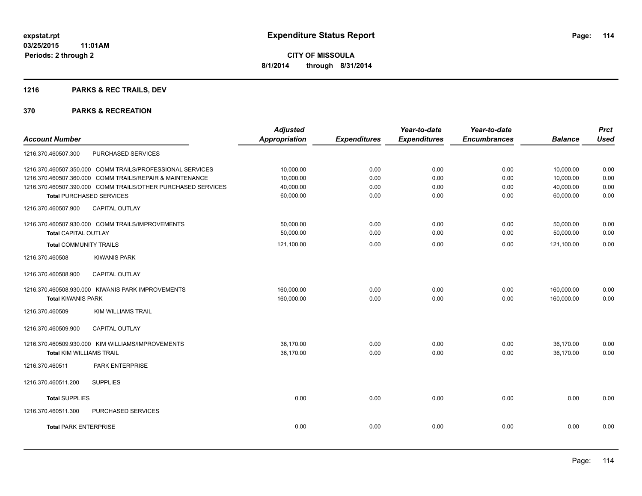## **1216 PARKS & REC TRAILS, DEV**

|                                                              | <b>Adjusted</b>      |                     | Year-to-date        | Year-to-date        |                | <b>Prct</b> |
|--------------------------------------------------------------|----------------------|---------------------|---------------------|---------------------|----------------|-------------|
| <b>Account Number</b>                                        | <b>Appropriation</b> | <b>Expenditures</b> | <b>Expenditures</b> | <b>Encumbrances</b> | <b>Balance</b> | <b>Used</b> |
| PURCHASED SERVICES<br>1216.370.460507.300                    |                      |                     |                     |                     |                |             |
| 1216.370.460507.350.000 COMM TRAILS/PROFESSIONAL SERVICES    | 10,000.00            | 0.00                | 0.00                | 0.00                | 10,000.00      | 0.00        |
| 1216.370.460507.360.000 COMM TRAILS/REPAIR & MAINTENANCE     | 10.000.00            | 0.00                | 0.00                | 0.00                | 10,000.00      | 0.00        |
| 1216.370.460507.390.000 COMM TRAILS/OTHER PURCHASED SERVICES | 40,000.00            | 0.00                | 0.00                | 0.00                | 40,000.00      | 0.00        |
| <b>Total PURCHASED SERVICES</b>                              | 60,000.00            | 0.00                | 0.00                | 0.00                | 60,000.00      | 0.00        |
| <b>CAPITAL OUTLAY</b><br>1216.370.460507.900                 |                      |                     |                     |                     |                |             |
| 1216.370.460507.930.000 COMM TRAILS/IMPROVEMENTS             | 50,000.00            | 0.00                | 0.00                | 0.00                | 50,000.00      | 0.00        |
| <b>Total CAPITAL OUTLAY</b>                                  | 50,000.00            | 0.00                | 0.00                | 0.00                | 50,000.00      | 0.00        |
| <b>Total COMMUNITY TRAILS</b>                                | 121,100.00           | 0.00                | 0.00                | 0.00                | 121,100.00     | 0.00        |
| 1216.370.460508<br><b>KIWANIS PARK</b>                       |                      |                     |                     |                     |                |             |
| CAPITAL OUTLAY<br>1216.370.460508.900                        |                      |                     |                     |                     |                |             |
| 1216.370.460508.930.000 KIWANIS PARK IMPROVEMENTS            | 160,000.00           | 0.00                | 0.00                | 0.00                | 160,000.00     | 0.00        |
| <b>Total KIWANIS PARK</b>                                    | 160,000.00           | 0.00                | 0.00                | 0.00                | 160,000.00     | 0.00        |
| <b>KIM WILLIAMS TRAIL</b><br>1216.370.460509                 |                      |                     |                     |                     |                |             |
| 1216.370.460509.900<br><b>CAPITAL OUTLAY</b>                 |                      |                     |                     |                     |                |             |
| 1216.370.460509.930.000 KIM WILLIAMS/IMPROVEMENTS            | 36,170.00            | 0.00                | 0.00                | 0.00                | 36,170.00      | 0.00        |
| <b>Total KIM WILLIAMS TRAIL</b>                              | 36,170.00            | 0.00                | 0.00                | 0.00                | 36,170.00      | 0.00        |
| PARK ENTERPRISE<br>1216.370.460511                           |                      |                     |                     |                     |                |             |
| <b>SUPPLIES</b><br>1216.370.460511.200                       |                      |                     |                     |                     |                |             |
| <b>Total SUPPLIES</b>                                        | 0.00                 | 0.00                | 0.00                | 0.00                | 0.00           | 0.00        |
| 1216.370.460511.300<br><b>PURCHASED SERVICES</b>             |                      |                     |                     |                     |                |             |
| <b>Total PARK ENTERPRISE</b>                                 | 0.00                 | 0.00                | 0.00                | 0.00                | 0.00           | 0.00        |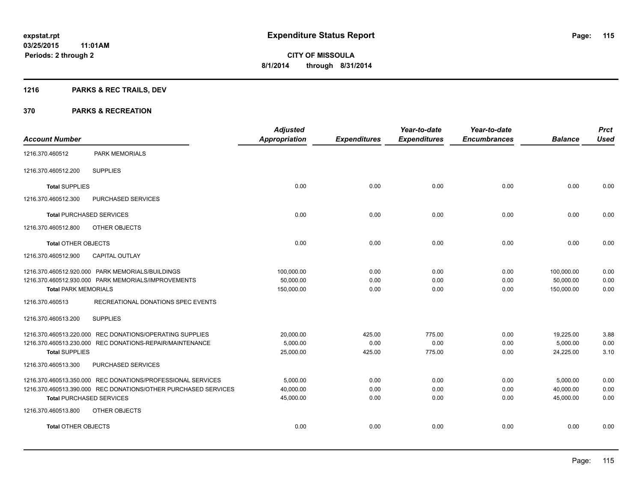## **1216 PARKS & REC TRAILS, DEV**

|                                 |                                                                | <b>Adjusted</b>      |                     | Year-to-date        | Year-to-date        |                | <b>Prct</b> |
|---------------------------------|----------------------------------------------------------------|----------------------|---------------------|---------------------|---------------------|----------------|-------------|
| <b>Account Number</b>           |                                                                | <b>Appropriation</b> | <b>Expenditures</b> | <b>Expenditures</b> | <b>Encumbrances</b> | <b>Balance</b> | <b>Used</b> |
| 1216.370.460512                 | <b>PARK MEMORIALS</b>                                          |                      |                     |                     |                     |                |             |
| 1216.370.460512.200             | <b>SUPPLIES</b>                                                |                      |                     |                     |                     |                |             |
| <b>Total SUPPLIES</b>           |                                                                | 0.00                 | 0.00                | 0.00                | 0.00                | 0.00           | 0.00        |
| 1216.370.460512.300             | PURCHASED SERVICES                                             |                      |                     |                     |                     |                |             |
| <b>Total PURCHASED SERVICES</b> |                                                                | 0.00                 | 0.00                | 0.00                | 0.00                | 0.00           | 0.00        |
| 1216.370.460512.800             | OTHER OBJECTS                                                  |                      |                     |                     |                     |                |             |
| <b>Total OTHER OBJECTS</b>      |                                                                | 0.00                 | 0.00                | 0.00                | 0.00                | 0.00           | 0.00        |
| 1216.370.460512.900             | <b>CAPITAL OUTLAY</b>                                          |                      |                     |                     |                     |                |             |
|                                 | 1216.370.460512.920.000 PARK MEMORIALS/BUILDINGS               | 100,000.00           | 0.00                | 0.00                | 0.00                | 100,000.00     | 0.00        |
|                                 | 1216.370.460512.930.000 PARK MEMORIALS/IMPROVEMENTS            | 50,000.00            | 0.00                | 0.00                | 0.00                | 50,000.00      | 0.00        |
| <b>Total PARK MEMORIALS</b>     |                                                                | 150,000.00           | 0.00                | 0.00                | 0.00                | 150,000.00     | 0.00        |
| 1216.370.460513                 | RECREATIONAL DONATIONS SPEC EVENTS                             |                      |                     |                     |                     |                |             |
| 1216.370.460513.200             | <b>SUPPLIES</b>                                                |                      |                     |                     |                     |                |             |
|                                 | 1216.370.460513.220.000 REC DONATIONS/OPERATING SUPPLIES       | 20,000.00            | 425.00              | 775.00              | 0.00                | 19,225.00      | 3.88        |
|                                 | 1216.370.460513.230.000 REC DONATIONS-REPAIR/MAINTENANCE       | 5,000.00             | 0.00                | 0.00                | 0.00                | 5,000.00       | 0.00        |
| <b>Total SUPPLIES</b>           |                                                                | 25,000.00            | 425.00              | 775.00              | 0.00                | 24,225.00      | 3.10        |
| 1216.370.460513.300             | PURCHASED SERVICES                                             |                      |                     |                     |                     |                |             |
|                                 | 1216.370.460513.350.000 REC DONATIONS/PROFESSIONAL SERVICES    | 5,000.00             | 0.00                | 0.00                | 0.00                | 5,000.00       | 0.00        |
|                                 | 1216.370.460513.390.000 REC DONATIONS/OTHER PURCHASED SERVICES | 40,000.00            | 0.00                | 0.00                | 0.00                | 40,000.00      | 0.00        |
| <b>Total PURCHASED SERVICES</b> |                                                                | 45,000.00            | 0.00                | 0.00                | 0.00                | 45,000.00      | 0.00        |
| 1216.370.460513.800             | OTHER OBJECTS                                                  |                      |                     |                     |                     |                |             |
| <b>Total OTHER OBJECTS</b>      |                                                                | 0.00                 | 0.00                | 0.00                | 0.00                | 0.00           | 0.00        |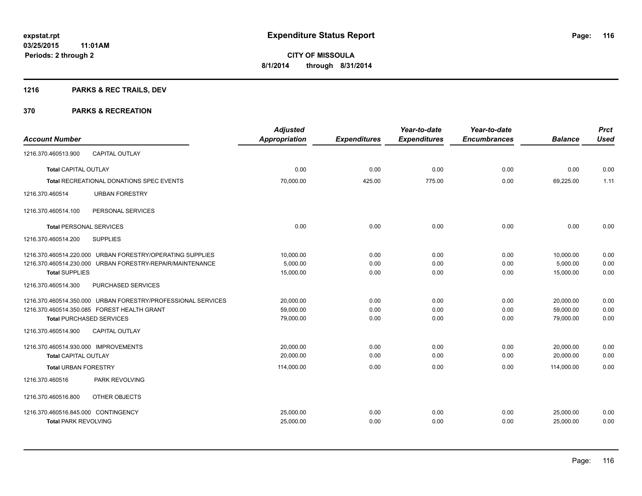## **1216 PARKS & REC TRAILS, DEV**

|                                             |                                                              | <b>Adjusted</b> |                     | Year-to-date        | Year-to-date        |                | <b>Prct</b> |
|---------------------------------------------|--------------------------------------------------------------|-----------------|---------------------|---------------------|---------------------|----------------|-------------|
| <b>Account Number</b>                       |                                                              | Appropriation   | <b>Expenditures</b> | <b>Expenditures</b> | <b>Encumbrances</b> | <b>Balance</b> | <b>Used</b> |
| 1216.370.460513.900                         | <b>CAPITAL OUTLAY</b>                                        |                 |                     |                     |                     |                |             |
| <b>Total CAPITAL OUTLAY</b>                 |                                                              | 0.00            | 0.00                | 0.00                | 0.00                | 0.00           | 0.00        |
|                                             | <b>Total RECREATIONAL DONATIONS SPEC EVENTS</b>              | 70,000.00       | 425.00              | 775.00              | 0.00                | 69,225.00      | 1.11        |
| 1216.370.460514                             | <b>URBAN FORESTRY</b>                                        |                 |                     |                     |                     |                |             |
| 1216.370.460514.100                         | PERSONAL SERVICES                                            |                 |                     |                     |                     |                |             |
| <b>Total PERSONAL SERVICES</b>              |                                                              | 0.00            | 0.00                | 0.00                | 0.00                | 0.00           | 0.00        |
| 1216.370.460514.200                         | <b>SUPPLIES</b>                                              |                 |                     |                     |                     |                |             |
|                                             | 1216.370.460514.220.000 URBAN FORESTRY/OPERATING SUPPLIES    | 10,000.00       | 0.00                | 0.00                | 0.00                | 10,000.00      | 0.00        |
|                                             | 1216.370.460514.230.000 URBAN FORESTRY-REPAIR/MAINTENANCE    | 5,000.00        | 0.00                | 0.00                | 0.00                | 5,000.00       | 0.00        |
| <b>Total SUPPLIES</b>                       |                                                              | 15,000.00       | 0.00                | 0.00                | 0.00                | 15,000.00      | 0.00        |
| 1216.370.460514.300                         | PURCHASED SERVICES                                           |                 |                     |                     |                     |                |             |
|                                             | 1216.370.460514.350.000 URBAN FORESTRY/PROFESSIONAL SERVICES | 20,000.00       | 0.00                | 0.00                | 0.00                | 20,000.00      | 0.00        |
| 1216.370.460514.350.085 FOREST HEALTH GRANT |                                                              | 59.000.00       | 0.00                | 0.00                | 0.00                | 59,000.00      | 0.00        |
| <b>Total PURCHASED SERVICES</b>             |                                                              | 79,000.00       | 0.00                | 0.00                | 0.00                | 79,000.00      | 0.00        |
| 1216.370.460514.900                         | <b>CAPITAL OUTLAY</b>                                        |                 |                     |                     |                     |                |             |
| 1216.370.460514.930.000 IMPROVEMENTS        |                                                              | 20,000.00       | 0.00                | 0.00                | 0.00                | 20,000.00      | 0.00        |
| <b>Total CAPITAL OUTLAY</b>                 |                                                              | 20,000.00       | 0.00                | 0.00                | 0.00                | 20,000.00      | 0.00        |
| <b>Total URBAN FORESTRY</b>                 |                                                              | 114,000.00      | 0.00                | 0.00                | 0.00                | 114,000.00     | 0.00        |
| 1216.370.460516                             | PARK REVOLVING                                               |                 |                     |                     |                     |                |             |
| 1216.370.460516.800                         | OTHER OBJECTS                                                |                 |                     |                     |                     |                |             |
| 1216.370.460516.845.000 CONTINGENCY         |                                                              | 25,000.00       | 0.00                | 0.00                | 0.00                | 25,000.00      | 0.00        |
| <b>Total PARK REVOLVING</b>                 |                                                              | 25,000.00       | 0.00                | 0.00                | 0.00                | 25,000.00      | 0.00        |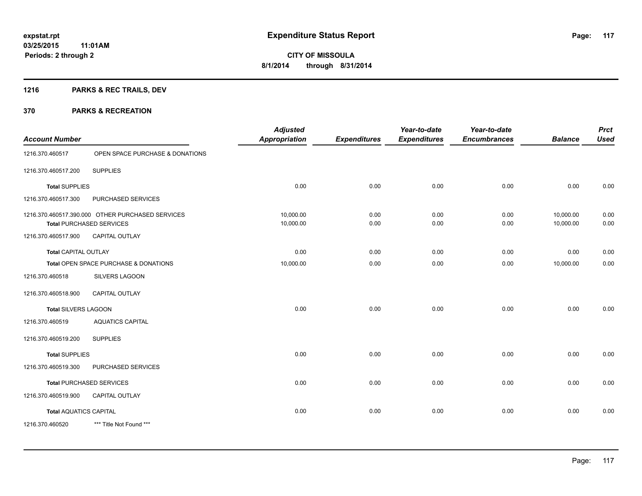## **1216 PARKS & REC TRAILS, DEV**

|                               |                                                                                     | <b>Adjusted</b>        |                     | Year-to-date        | Year-to-date        |                        | <b>Prct</b>  |
|-------------------------------|-------------------------------------------------------------------------------------|------------------------|---------------------|---------------------|---------------------|------------------------|--------------|
| <b>Account Number</b>         |                                                                                     | <b>Appropriation</b>   | <b>Expenditures</b> | <b>Expenditures</b> | <b>Encumbrances</b> | <b>Balance</b>         | <b>Used</b>  |
| 1216.370.460517               | OPEN SPACE PURCHASE & DONATIONS                                                     |                        |                     |                     |                     |                        |              |
| 1216.370.460517.200           | <b>SUPPLIES</b>                                                                     |                        |                     |                     |                     |                        |              |
| <b>Total SUPPLIES</b>         |                                                                                     | 0.00                   | 0.00                | 0.00                | 0.00                | 0.00                   | 0.00         |
| 1216.370.460517.300           | PURCHASED SERVICES                                                                  |                        |                     |                     |                     |                        |              |
|                               | 1216.370.460517.390.000 OTHER PURCHASED SERVICES<br><b>Total PURCHASED SERVICES</b> | 10,000.00<br>10,000.00 | 0.00<br>0.00        | 0.00<br>0.00        | 0.00<br>0.00        | 10,000.00<br>10,000.00 | 0.00<br>0.00 |
| 1216.370.460517.900           | <b>CAPITAL OUTLAY</b>                                                               |                        |                     |                     |                     |                        |              |
| <b>Total CAPITAL OUTLAY</b>   |                                                                                     | 0.00                   | 0.00                | 0.00                | 0.00                | 0.00                   | 0.00         |
|                               | Total OPEN SPACE PURCHASE & DONATIONS                                               | 10,000.00              | 0.00                | 0.00                | 0.00                | 10,000.00              | 0.00         |
| 1216.370.460518               | <b>SILVERS LAGOON</b>                                                               |                        |                     |                     |                     |                        |              |
| 1216.370.460518.900           | <b>CAPITAL OUTLAY</b>                                                               |                        |                     |                     |                     |                        |              |
| <b>Total SILVERS LAGOON</b>   |                                                                                     | 0.00                   | 0.00                | 0.00                | 0.00                | 0.00                   | 0.00         |
| 1216.370.460519               | <b>AQUATICS CAPITAL</b>                                                             |                        |                     |                     |                     |                        |              |
| 1216.370.460519.200           | <b>SUPPLIES</b>                                                                     |                        |                     |                     |                     |                        |              |
| <b>Total SUPPLIES</b>         |                                                                                     | 0.00                   | 0.00                | 0.00                | 0.00                | 0.00                   | 0.00         |
| 1216.370.460519.300           | PURCHASED SERVICES                                                                  |                        |                     |                     |                     |                        |              |
|                               | <b>Total PURCHASED SERVICES</b>                                                     | 0.00                   | 0.00                | 0.00                | 0.00                | 0.00                   | 0.00         |
| 1216.370.460519.900           | <b>CAPITAL OUTLAY</b>                                                               |                        |                     |                     |                     |                        |              |
| <b>Total AQUATICS CAPITAL</b> |                                                                                     | 0.00                   | 0.00                | 0.00                | 0.00                | 0.00                   | 0.00         |
| 1216.370.460520               | *** Title Not Found ***                                                             |                        |                     |                     |                     |                        |              |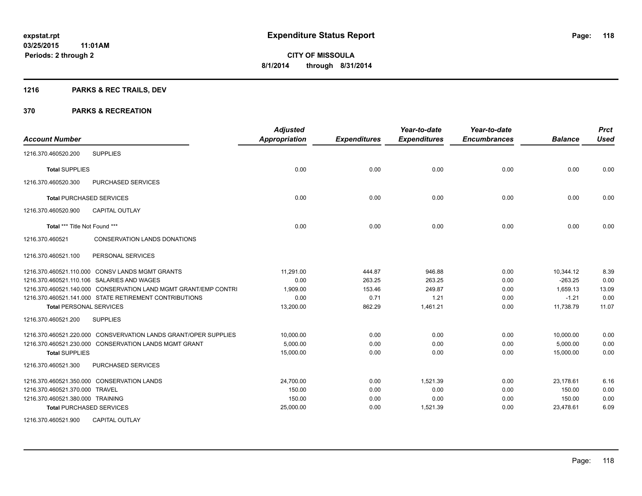## **1216 PARKS & REC TRAILS, DEV**

| <b>Account Number</b>                                           | <b>Adjusted</b><br><b>Appropriation</b> | <b>Expenditures</b> | Year-to-date<br><b>Expenditures</b> | Year-to-date<br><b>Encumbrances</b> | <b>Balance</b> | <b>Prct</b><br><b>Used</b> |
|-----------------------------------------------------------------|-----------------------------------------|---------------------|-------------------------------------|-------------------------------------|----------------|----------------------------|
| <b>SUPPLIES</b><br>1216.370.460520.200                          |                                         |                     |                                     |                                     |                |                            |
| <b>Total SUPPLIES</b>                                           | 0.00                                    | 0.00                | 0.00                                | 0.00                                | 0.00           | 0.00                       |
| <b>PURCHASED SERVICES</b><br>1216.370.460520.300                |                                         |                     |                                     |                                     |                |                            |
| <b>Total PURCHASED SERVICES</b>                                 | 0.00                                    | 0.00                | 0.00                                | 0.00                                | 0.00           | 0.00                       |
| 1216.370.460520.900<br><b>CAPITAL OUTLAY</b>                    |                                         |                     |                                     |                                     |                |                            |
| Total *** Title Not Found ***                                   | 0.00                                    | 0.00                | 0.00                                | 0.00                                | 0.00           | 0.00                       |
| 1216.370.460521<br><b>CONSERVATION LANDS DONATIONS</b>          |                                         |                     |                                     |                                     |                |                            |
| 1216.370.460521.100<br>PERSONAL SERVICES                        |                                         |                     |                                     |                                     |                |                            |
| 1216.370.460521.110.000 CONSV LANDS MGMT GRANTS                 | 11,291.00                               | 444.87              | 946.88                              | 0.00                                | 10,344.12      | 8.39                       |
| 1216.370.460521.110.106 SALARIES AND WAGES                      | 0.00                                    | 263.25              | 263.25                              | 0.00                                | $-263.25$      | 0.00                       |
| 1216.370.460521.140.000 CONSERVATION LAND MGMT GRANT/EMP CONTRI | 1,909.00                                | 153.46              | 249.87                              | 0.00                                | 1,659.13       | 13.09                      |
| 1216.370.460521.141.000 STATE RETIREMENT CONTRIBUTIONS          | 0.00                                    | 0.71                | 1.21                                | 0.00                                | $-1.21$        | 0.00                       |
| <b>Total PERSONAL SERVICES</b>                                  | 13,200.00                               | 862.29              | 1,461.21                            | 0.00                                | 11,738.79      | 11.07                      |
| 1216.370.460521.200<br><b>SUPPLIES</b>                          |                                         |                     |                                     |                                     |                |                            |
| 1216.370.460521.220.000 CONSVERVATION LANDS GRANT/OPER SUPPLIES | 10,000.00                               | 0.00                | 0.00                                | 0.00                                | 10,000.00      | 0.00                       |
| 1216.370.460521.230.000 CONSERVATION LANDS MGMT GRANT           | 5,000.00                                | 0.00                | 0.00                                | 0.00                                | 5,000.00       | 0.00                       |
| <b>Total SUPPLIES</b>                                           | 15,000.00                               | 0.00                | 0.00                                | 0.00                                | 15,000.00      | 0.00                       |
| 1216.370.460521.300<br><b>PURCHASED SERVICES</b>                |                                         |                     |                                     |                                     |                |                            |
| 1216.370.460521.350.000 CONSERVATION LANDS                      | 24,700.00                               | 0.00                | 1,521.39                            | 0.00                                | 23,178.61      | 6.16                       |
| 1216.370.460521.370.000 TRAVEL                                  | 150.00                                  | 0.00                | 0.00                                | 0.00                                | 150.00         | 0.00                       |
| 1216.370.460521.380.000 TRAINING                                | 150.00                                  | 0.00                | 0.00                                | 0.00                                | 150.00         | 0.00                       |
| <b>Total PURCHASED SERVICES</b>                                 | 25,000.00                               | 0.00                | 1,521.39                            | 0.00                                | 23,478.61      | 6.09                       |
| 1216.370.460521.900<br><b>CAPITAL OUTLAY</b>                    |                                         |                     |                                     |                                     |                |                            |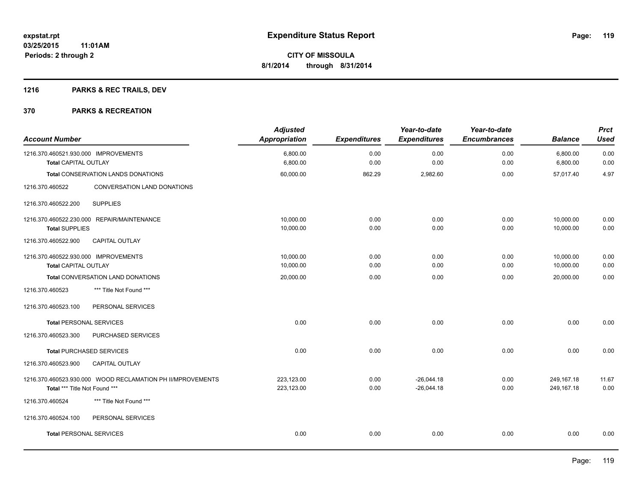## **1216 PARKS & REC TRAILS, DEV**

| <b>Account Number</b>                                               |                                                            | <b>Adjusted</b><br><b>Appropriation</b> | <b>Expenditures</b> | Year-to-date<br><b>Expenditures</b> | Year-to-date<br><b>Encumbrances</b> | <b>Balance</b>           | <b>Prct</b><br><b>Used</b> |
|---------------------------------------------------------------------|------------------------------------------------------------|-----------------------------------------|---------------------|-------------------------------------|-------------------------------------|--------------------------|----------------------------|
| 1216.370.460521.930.000 IMPROVEMENTS<br><b>Total CAPITAL OUTLAY</b> |                                                            | 6,800.00<br>6,800.00                    | 0.00<br>0.00        | 0.00<br>0.00                        | 0.00<br>0.00                        | 6,800.00<br>6,800.00     | 0.00<br>0.00               |
|                                                                     | <b>Total CONSERVATION LANDS DONATIONS</b>                  | 60,000.00                               | 862.29              | 2,982.60                            | 0.00                                | 57,017.40                | 4.97                       |
| 1216.370.460522                                                     | CONVERSATION LAND DONATIONS                                |                                         |                     |                                     |                                     |                          |                            |
| 1216.370.460522.200                                                 | <b>SUPPLIES</b>                                            |                                         |                     |                                     |                                     |                          |                            |
| <b>Total SUPPLIES</b>                                               | 1216.370.460522.230.000 REPAIR/MAINTENANCE                 | 10,000.00<br>10,000.00                  | 0.00<br>0.00        | 0.00<br>0.00                        | 0.00<br>0.00                        | 10,000.00<br>10,000.00   | 0.00<br>0.00               |
| 1216.370.460522.900                                                 | CAPITAL OUTLAY                                             |                                         |                     |                                     |                                     |                          |                            |
| 1216.370.460522.930.000 IMPROVEMENTS<br><b>Total CAPITAL OUTLAY</b> |                                                            | 10,000.00<br>10,000.00                  | 0.00<br>0.00        | 0.00<br>0.00                        | 0.00<br>0.00                        | 10,000.00<br>10,000.00   | 0.00<br>0.00               |
|                                                                     | Total CONVERSATION LAND DONATIONS                          | 20,000.00                               | 0.00                | 0.00                                | 0.00                                | 20,000.00                | 0.00                       |
| 1216.370.460523                                                     | *** Title Not Found ***                                    |                                         |                     |                                     |                                     |                          |                            |
| 1216.370.460523.100                                                 | PERSONAL SERVICES                                          |                                         |                     |                                     |                                     |                          |                            |
| <b>Total PERSONAL SERVICES</b>                                      |                                                            | 0.00                                    | 0.00                | 0.00                                | 0.00                                | 0.00                     | 0.00                       |
| 1216.370.460523.300                                                 | PURCHASED SERVICES                                         |                                         |                     |                                     |                                     |                          |                            |
|                                                                     | <b>Total PURCHASED SERVICES</b>                            | 0.00                                    | 0.00                | 0.00                                | 0.00                                | 0.00                     | 0.00                       |
| 1216.370.460523.900                                                 | <b>CAPITAL OUTLAY</b>                                      |                                         |                     |                                     |                                     |                          |                            |
| Total *** Title Not Found ***                                       | 1216.370.460523.930.000 WOOD RECLAMATION PH II/MPROVEMENTS | 223,123.00<br>223,123.00                | 0.00<br>0.00        | $-26.044.18$<br>$-26,044.18$        | 0.00<br>0.00                        | 249,167.18<br>249,167.18 | 11.67<br>0.00              |
| 1216.370.460524                                                     | *** Title Not Found ***                                    |                                         |                     |                                     |                                     |                          |                            |
| 1216.370.460524.100                                                 | PERSONAL SERVICES                                          |                                         |                     |                                     |                                     |                          |                            |
| <b>Total PERSONAL SERVICES</b>                                      |                                                            | 0.00                                    | 0.00                | 0.00                                | 0.00                                | 0.00                     | 0.00                       |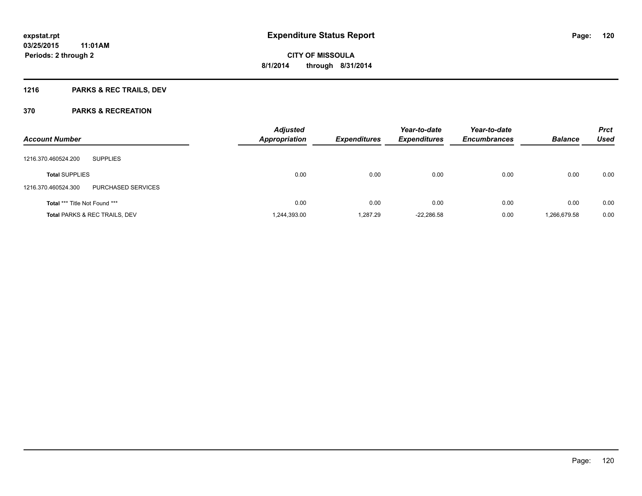## **1216 PARKS & REC TRAILS, DEV**

| <b>Account Number</b>                     | <b>Adjusted</b><br><b>Appropriation</b> | <b>Expenditures</b> | Year-to-date<br><b>Expenditures</b> | Year-to-date<br><b>Encumbrances</b> | <b>Balance</b> | <b>Prct</b><br><b>Used</b> |
|-------------------------------------------|-----------------------------------------|---------------------|-------------------------------------|-------------------------------------|----------------|----------------------------|
| <b>SUPPLIES</b><br>1216.370.460524.200    |                                         |                     |                                     |                                     |                |                            |
| <b>Total SUPPLIES</b>                     | 0.00                                    | 0.00                | 0.00                                | 0.00                                | 0.00           | 0.00                       |
| 1216.370.460524.300<br>PURCHASED SERVICES |                                         |                     |                                     |                                     |                |                            |
| Total *** Title Not Found ***             | 0.00                                    | 0.00                | 0.00                                | 0.00                                | 0.00           | 0.00                       |
| <b>Total PARKS &amp; REC TRAILS, DEV</b>  | 1,244,393.00                            | 1.287.29            | $-22,286.58$                        | 0.00                                | 1,266,679.58   | 0.00                       |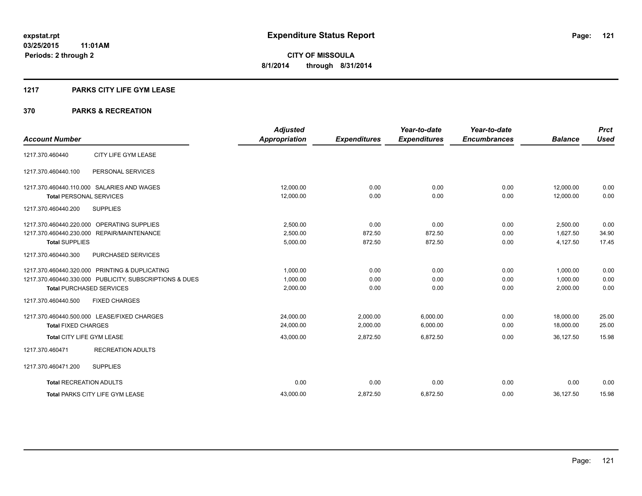#### **1217 PARKS CITY LIFE GYM LEASE**

|                                                         | <b>Adjusted</b>      |                     | Year-to-date        | Year-to-date        |                | <b>Prct</b> |
|---------------------------------------------------------|----------------------|---------------------|---------------------|---------------------|----------------|-------------|
| <b>Account Number</b>                                   | <b>Appropriation</b> | <b>Expenditures</b> | <b>Expenditures</b> | <b>Encumbrances</b> | <b>Balance</b> | <b>Used</b> |
| CITY LIFE GYM LEASE<br>1217.370.460440                  |                      |                     |                     |                     |                |             |
| PERSONAL SERVICES<br>1217.370.460440.100                |                      |                     |                     |                     |                |             |
| 1217.370.460440.110.000 SALARIES AND WAGES              | 12,000.00            | 0.00                | 0.00                | 0.00                | 12,000.00      | 0.00        |
| <b>Total PERSONAL SERVICES</b>                          | 12,000.00            | 0.00                | 0.00                | 0.00                | 12,000.00      | 0.00        |
| 1217.370.460440.200<br><b>SUPPLIES</b>                  |                      |                     |                     |                     |                |             |
| 1217.370.460440.220.000 OPERATING SUPPLIES              | 2,500.00             | 0.00                | 0.00                | 0.00                | 2,500.00       | 0.00        |
| 1217.370.460440.230.000 REPAIR/MAINTENANCE              | 2,500.00             | 872.50              | 872.50              | 0.00                | 1.627.50       | 34.90       |
| <b>Total SUPPLIES</b>                                   | 5,000.00             | 872.50              | 872.50              | 0.00                | 4,127.50       | 17.45       |
| 1217.370.460440.300<br>PURCHASED SERVICES               |                      |                     |                     |                     |                |             |
| 1217.370.460440.320.000 PRINTING & DUPLICATING          | 1.000.00             | 0.00                | 0.00                | 0.00                | 1.000.00       | 0.00        |
| 1217.370.460440.330.000 PUBLICITY, SUBSCRIPTIONS & DUES | 1,000.00             | 0.00                | 0.00                | 0.00                | 1,000.00       | 0.00        |
| <b>Total PURCHASED SERVICES</b>                         | 2,000.00             | 0.00                | 0.00                | 0.00                | 2,000.00       | 0.00        |
| 1217.370.460440.500<br><b>FIXED CHARGES</b>             |                      |                     |                     |                     |                |             |
| 1217.370.460440.500.000 LEASE/FIXED CHARGES             | 24.000.00            | 2.000.00            | 6.000.00            | 0.00                | 18,000.00      | 25.00       |
| <b>Total FIXED CHARGES</b>                              | 24,000.00            | 2,000.00            | 6,000.00            | 0.00                | 18,000.00      | 25.00       |
| Total CITY LIFE GYM LEASE                               | 43,000.00            | 2,872.50            | 6,872.50            | 0.00                | 36,127.50      | 15.98       |
| 1217.370.460471<br><b>RECREATION ADULTS</b>             |                      |                     |                     |                     |                |             |
| <b>SUPPLIES</b><br>1217.370.460471.200                  |                      |                     |                     |                     |                |             |
| <b>Total RECREATION ADULTS</b>                          | 0.00                 | 0.00                | 0.00                | 0.00                | 0.00           | 0.00        |
| <b>Total PARKS CITY LIFE GYM LEASE</b>                  | 43,000.00            | 2,872.50            | 6,872.50            | 0.00                | 36,127.50      | 15.98       |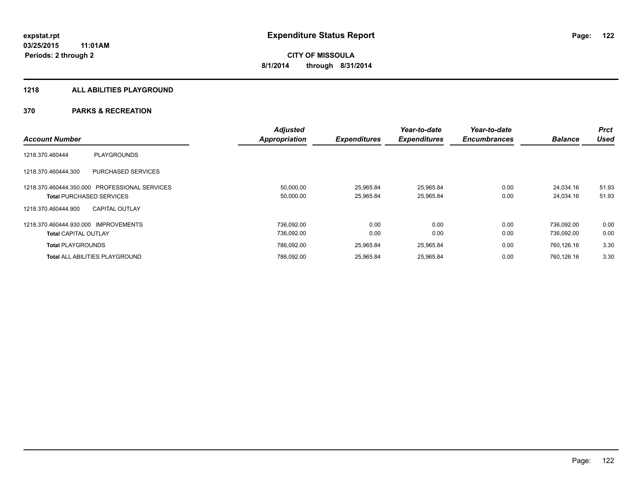#### **1218 ALL ABILITIES PLAYGROUND**

|                                                  | <b>Adjusted</b>      |                     | Year-to-date        | Year-to-date        |                | <b>Prct</b> |
|--------------------------------------------------|----------------------|---------------------|---------------------|---------------------|----------------|-------------|
| <b>Account Number</b>                            | <b>Appropriation</b> | <b>Expenditures</b> | <b>Expenditures</b> | <b>Encumbrances</b> | <b>Balance</b> | <b>Used</b> |
| <b>PLAYGROUNDS</b><br>1218.370.460444            |                      |                     |                     |                     |                |             |
| <b>PURCHASED SERVICES</b><br>1218.370.460444.300 |                      |                     |                     |                     |                |             |
| 1218.370.460444.350.000 PROFESSIONAL SERVICES    | 50,000.00            | 25.965.84           | 25,965.84           | 0.00                | 24.034.16      | 51.93       |
| <b>Total PURCHASED SERVICES</b>                  | 50,000.00            | 25,965.84           | 25,965.84           | 0.00                | 24,034.16      | 51.93       |
| <b>CAPITAL OUTLAY</b><br>1218.370.460444.900     |                      |                     |                     |                     |                |             |
| 1218.370.460444.930.000 IMPROVEMENTS             | 736.092.00           | 0.00                | 0.00                | 0.00                | 736.092.00     | 0.00        |
| <b>Total CAPITAL OUTLAY</b>                      | 736,092.00           | 0.00                | 0.00                | 0.00                | 736,092.00     | 0.00        |
| <b>Total PLAYGROUNDS</b>                         | 786,092.00           | 25,965.84           | 25,965.84           | 0.00                | 760,126.16     | 3.30        |
| <b>Total ALL ABILITIES PLAYGROUND</b>            | 786,092.00           | 25,965.84           | 25,965.84           | 0.00                | 760.126.16     | 3.30        |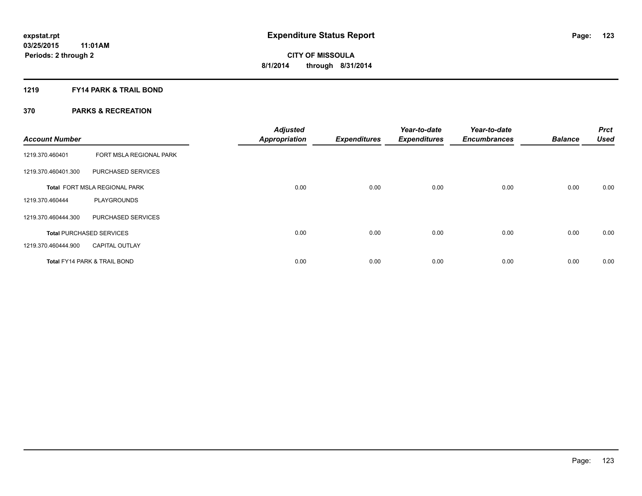#### **1219 FY14 PARK & TRAIL BOND**

| <b>Account Number</b> |                                         | <b>Adjusted</b><br><b>Appropriation</b> | <b>Expenditures</b> | Year-to-date<br><b>Expenditures</b> | Year-to-date<br><b>Encumbrances</b> | <b>Balance</b> | <b>Prct</b><br><b>Used</b> |
|-----------------------|-----------------------------------------|-----------------------------------------|---------------------|-------------------------------------|-------------------------------------|----------------|----------------------------|
| 1219.370.460401       | FORT MSLA REGIONAL PARK                 |                                         |                     |                                     |                                     |                |                            |
| 1219.370.460401.300   | PURCHASED SERVICES                      |                                         |                     |                                     |                                     |                |                            |
|                       | Total FORT MSLA REGIONAL PARK           | 0.00                                    | 0.00                | 0.00                                | 0.00                                | 0.00           | 0.00                       |
| 1219.370.460444       | <b>PLAYGROUNDS</b>                      |                                         |                     |                                     |                                     |                |                            |
| 1219.370.460444.300   | PURCHASED SERVICES                      |                                         |                     |                                     |                                     |                |                            |
|                       | <b>Total PURCHASED SERVICES</b>         | 0.00                                    | 0.00                | 0.00                                | 0.00                                | 0.00           | 0.00                       |
| 1219.370.460444.900   | <b>CAPITAL OUTLAY</b>                   |                                         |                     |                                     |                                     |                |                            |
|                       | <b>Total FY14 PARK &amp; TRAIL BOND</b> | 0.00                                    | 0.00                | 0.00                                | 0.00                                | 0.00           | 0.00                       |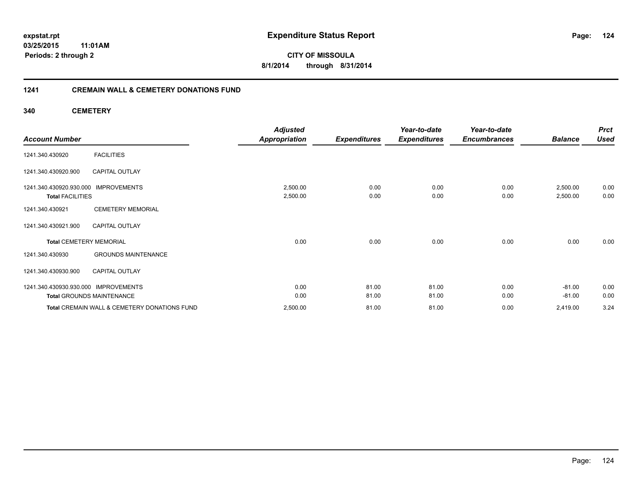#### **03/25/2015 11:01AM Periods: 2 through 2**

**124**

**CITY OF MISSOULA 8/1/2014 through 8/31/2014**

#### **1241 CREMAIN WALL & CEMETERY DONATIONS FUND**

**340 CEMETERY**

|                                               | <b>Adjusted</b>      |                     | Year-to-date        | Year-to-date        |                | <b>Prct</b> |
|-----------------------------------------------|----------------------|---------------------|---------------------|---------------------|----------------|-------------|
| <b>Account Number</b>                         | <b>Appropriation</b> | <b>Expenditures</b> | <b>Expenditures</b> | <b>Encumbrances</b> | <b>Balance</b> | <b>Used</b> |
| <b>FACILITIES</b><br>1241.340.430920          |                      |                     |                     |                     |                |             |
| 1241.340.430920.900<br><b>CAPITAL OUTLAY</b>  |                      |                     |                     |                     |                |             |
| 1241.340.430920.930.000 IMPROVEMENTS          | 2,500.00             | 0.00                | 0.00                | 0.00                | 2,500.00       | 0.00        |
| <b>Total FACILITIES</b>                       | 2,500.00             | 0.00                | 0.00                | 0.00                | 2,500.00       | 0.00        |
| <b>CEMETERY MEMORIAL</b><br>1241.340.430921   |                      |                     |                     |                     |                |             |
| <b>CAPITAL OUTLAY</b><br>1241.340.430921.900  |                      |                     |                     |                     |                |             |
| <b>Total CEMETERY MEMORIAL</b>                | 0.00                 | 0.00                | 0.00                | 0.00                | 0.00           | 0.00        |
| <b>GROUNDS MAINTENANCE</b><br>1241.340.430930 |                      |                     |                     |                     |                |             |
| 1241.340.430930.900<br><b>CAPITAL OUTLAY</b>  |                      |                     |                     |                     |                |             |
| 1241.340.430930.930.000 IMPROVEMENTS          | 0.00                 | 81.00               | 81.00               | 0.00                | $-81.00$       | 0.00        |
| <b>Total GROUNDS MAINTENANCE</b>              | 0.00                 | 81.00               | 81.00               | 0.00                | $-81.00$       | 0.00        |
| Total CREMAIN WALL & CEMETERY DONATIONS FUND  | 2,500.00             | 81.00               | 81.00               | 0.00                | 2,419.00       | 3.24        |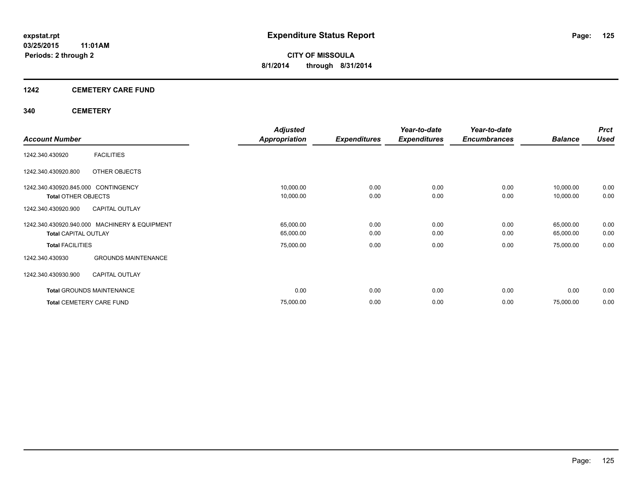#### **1242 CEMETERY CARE FUND**

#### **340 CEMETERY**

|                                     |                                               | <b>Adjusted</b> |                     | Year-to-date        | Year-to-date        |                | <b>Prct</b> |
|-------------------------------------|-----------------------------------------------|-----------------|---------------------|---------------------|---------------------|----------------|-------------|
| <b>Account Number</b>               |                                               | Appropriation   | <b>Expenditures</b> | <b>Expenditures</b> | <b>Encumbrances</b> | <b>Balance</b> | <b>Used</b> |
| 1242.340.430920                     | <b>FACILITIES</b>                             |                 |                     |                     |                     |                |             |
| 1242.340.430920.800                 | OTHER OBJECTS                                 |                 |                     |                     |                     |                |             |
| 1242.340.430920.845.000 CONTINGENCY |                                               | 10,000.00       | 0.00                | 0.00                | 0.00                | 10,000.00      | 0.00        |
| <b>Total OTHER OBJECTS</b>          |                                               | 10,000.00       | 0.00                | 0.00                | 0.00                | 10,000.00      | 0.00        |
| 1242.340.430920.900                 | <b>CAPITAL OUTLAY</b>                         |                 |                     |                     |                     |                |             |
|                                     | 1242.340.430920.940.000 MACHINERY & EQUIPMENT | 65,000.00       | 0.00                | 0.00                | 0.00                | 65,000.00      | 0.00        |
| <b>Total CAPITAL OUTLAY</b>         |                                               | 65,000.00       | 0.00                | 0.00                | 0.00                | 65,000.00      | 0.00        |
| <b>Total FACILITIES</b>             |                                               | 75,000.00       | 0.00                | 0.00                | 0.00                | 75,000.00      | 0.00        |
| 1242.340.430930                     | <b>GROUNDS MAINTENANCE</b>                    |                 |                     |                     |                     |                |             |
| 1242.340.430930.900                 | <b>CAPITAL OUTLAY</b>                         |                 |                     |                     |                     |                |             |
|                                     | <b>Total GROUNDS MAINTENANCE</b>              | 0.00            | 0.00                | 0.00                | 0.00                | 0.00           | 0.00        |
| <b>Total CEMETERY CARE FUND</b>     |                                               | 75,000.00       | 0.00                | 0.00                | 0.00                | 75,000.00      | 0.00        |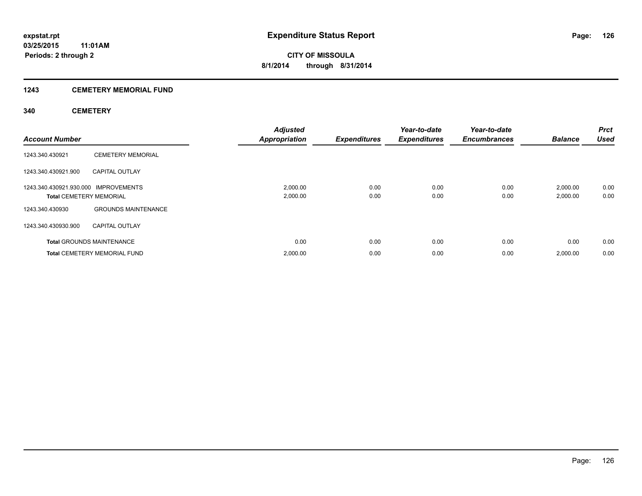#### **1243 CEMETERY MEMORIAL FUND**

#### **340 CEMETERY**

| <b>Account Number</b>                                                  |                                     | <b>Adjusted</b><br><b>Appropriation</b> | <b>Expenditures</b> | Year-to-date<br><b>Expenditures</b> | Year-to-date<br><b>Encumbrances</b> | <b>Balance</b>       | Prct<br><b>Used</b> |
|------------------------------------------------------------------------|-------------------------------------|-----------------------------------------|---------------------|-------------------------------------|-------------------------------------|----------------------|---------------------|
| 1243.340.430921                                                        | <b>CEMETERY MEMORIAL</b>            |                                         |                     |                                     |                                     |                      |                     |
| 1243.340.430921.900                                                    | <b>CAPITAL OUTLAY</b>               |                                         |                     |                                     |                                     |                      |                     |
| 1243.340.430921.930.000 IMPROVEMENTS<br><b>Total CEMETERY MEMORIAL</b> |                                     | 2,000.00<br>2,000.00                    | 0.00<br>0.00        | 0.00<br>0.00                        | 0.00<br>0.00                        | 2,000.00<br>2,000.00 | 0.00<br>0.00        |
| 1243.340.430930                                                        | <b>GROUNDS MAINTENANCE</b>          |                                         |                     |                                     |                                     |                      |                     |
| 1243.340.430930.900                                                    | <b>CAPITAL OUTLAY</b>               |                                         |                     |                                     |                                     |                      |                     |
|                                                                        | <b>Total GROUNDS MAINTENANCE</b>    | 0.00                                    | 0.00                | 0.00                                | 0.00                                | 0.00                 | 0.00                |
|                                                                        | <b>Total CEMETERY MEMORIAL FUND</b> | 2,000.00                                | 0.00                | 0.00                                | 0.00                                | 2,000.00             | 0.00                |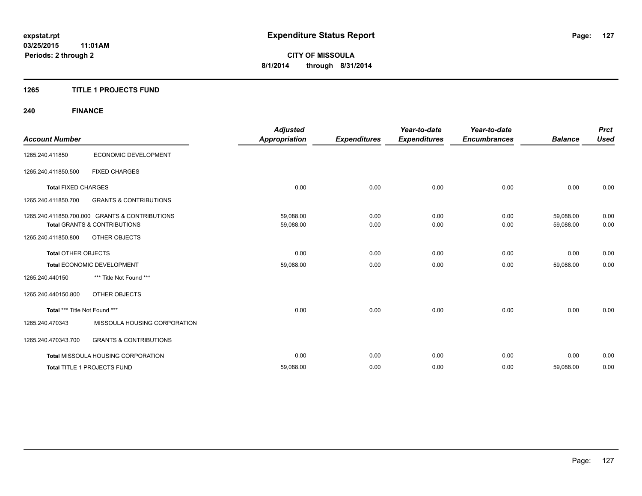#### **1265 TITLE 1 PROJECTS FUND**

## **240 FINANCE**

| <b>Account Number</b>         |                                                | <b>Adjusted</b><br><b>Appropriation</b> | <b>Expenditures</b> | Year-to-date<br><b>Expenditures</b> | Year-to-date<br><b>Encumbrances</b> | <b>Balance</b> | <b>Prct</b><br><b>Used</b> |
|-------------------------------|------------------------------------------------|-----------------------------------------|---------------------|-------------------------------------|-------------------------------------|----------------|----------------------------|
|                               |                                                |                                         |                     |                                     |                                     |                |                            |
| 1265.240.411850               | ECONOMIC DEVELOPMENT                           |                                         |                     |                                     |                                     |                |                            |
| 1265.240.411850.500           | <b>FIXED CHARGES</b>                           |                                         |                     |                                     |                                     |                |                            |
| <b>Total FIXED CHARGES</b>    |                                                | 0.00                                    | 0.00                | 0.00                                | 0.00                                | 0.00           | 0.00                       |
| 1265.240.411850.700           | <b>GRANTS &amp; CONTRIBUTIONS</b>              |                                         |                     |                                     |                                     |                |                            |
|                               | 1265.240.411850.700.000 GRANTS & CONTRIBUTIONS | 59,088.00                               | 0.00                | 0.00                                | 0.00                                | 59,088.00      | 0.00                       |
|                               | <b>Total GRANTS &amp; CONTRIBUTIONS</b>        | 59,088.00                               | 0.00                | 0.00                                | 0.00                                | 59,088.00      | 0.00                       |
| 1265.240.411850.800           | <b>OTHER OBJECTS</b>                           |                                         |                     |                                     |                                     |                |                            |
| <b>Total OTHER OBJECTS</b>    |                                                | 0.00                                    | 0.00                | 0.00                                | 0.00                                | 0.00           | 0.00                       |
|                               | Total ECONOMIC DEVELOPMENT                     | 59,088.00                               | 0.00                | 0.00                                | 0.00                                | 59,088.00      | 0.00                       |
| 1265.240.440150               | *** Title Not Found ***                        |                                         |                     |                                     |                                     |                |                            |
| 1265.240.440150.800           | <b>OTHER OBJECTS</b>                           |                                         |                     |                                     |                                     |                |                            |
| Total *** Title Not Found *** |                                                | 0.00                                    | 0.00                | 0.00                                | 0.00                                | 0.00           | 0.00                       |
| 1265.240.470343               | MISSOULA HOUSING CORPORATION                   |                                         |                     |                                     |                                     |                |                            |
| 1265.240.470343.700           | <b>GRANTS &amp; CONTRIBUTIONS</b>              |                                         |                     |                                     |                                     |                |                            |
|                               | <b>Total MISSOULA HOUSING CORPORATION</b>      | 0.00                                    | 0.00                | 0.00                                | 0.00                                | 0.00           | 0.00                       |
|                               | Total TITLE 1 PROJECTS FUND                    | 59,088.00                               | 0.00                | 0.00                                | 0.00                                | 59,088.00      | 0.00                       |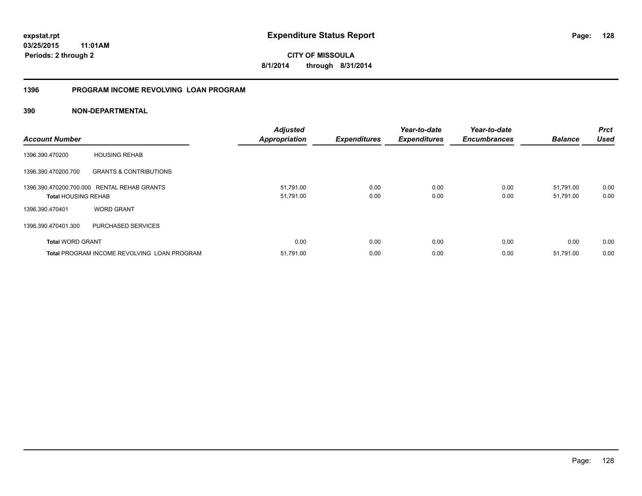**03/25/2015 11:01AM Periods: 2 through 2**

**CITY OF MISSOULA 8/1/2014 through 8/31/2014**

#### **1396 PROGRAM INCOME REVOLVING LOAN PROGRAM**

| <b>Account Number</b>      |                                                    | <b>Adjusted</b><br><b>Appropriation</b> | <b>Expenditures</b> | Year-to-date<br><b>Expenditures</b> | Year-to-date<br><b>Encumbrances</b> | <b>Balance</b> | <b>Prct</b><br><b>Used</b> |
|----------------------------|----------------------------------------------------|-----------------------------------------|---------------------|-------------------------------------|-------------------------------------|----------------|----------------------------|
| 1396.390.470200            | <b>HOUSING REHAB</b>                               |                                         |                     |                                     |                                     |                |                            |
| 1396.390.470200.700        | <b>GRANTS &amp; CONTRIBUTIONS</b>                  |                                         |                     |                                     |                                     |                |                            |
|                            | 1396.390.470200.700.000 RENTAL REHAB GRANTS        | 51,791.00                               | 0.00                | 0.00                                | 0.00                                | 51,791.00      | 0.00                       |
| <b>Total HOUSING REHAB</b> |                                                    | 51,791.00                               | 0.00                | 0.00                                | 0.00                                | 51,791.00      | 0.00                       |
| 1396.390.470401            | <b>WORD GRANT</b>                                  |                                         |                     |                                     |                                     |                |                            |
| 1396.390.470401.300        | PURCHASED SERVICES                                 |                                         |                     |                                     |                                     |                |                            |
| <b>Total WORD GRANT</b>    |                                                    | 0.00                                    | 0.00                | 0.00                                | 0.00                                | 0.00           | 0.00                       |
|                            | <b>Total PROGRAM INCOME REVOLVING LOAN PROGRAM</b> | 51,791.00                               | 0.00                | 0.00                                | 0.00                                | 51,791.00      | 0.00                       |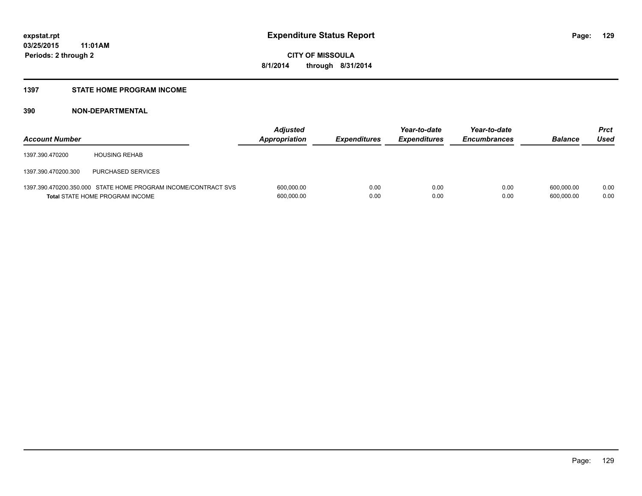#### **1397 STATE HOME PROGRAM INCOME**

| <b>Account Number</b> |                                                                                                          | <b>Adjusted</b><br>Appropriation | <b>Expenditures</b> | Year-to-date<br><b>Expenditures</b> | Year-to-date<br><b>Encumbrances</b> | <b>Balance</b>           | Prct<br>Used |
|-----------------------|----------------------------------------------------------------------------------------------------------|----------------------------------|---------------------|-------------------------------------|-------------------------------------|--------------------------|--------------|
| 1397.390.470200       | <b>HOUSING REHAB</b>                                                                                     |                                  |                     |                                     |                                     |                          |              |
| 1397.390.470200.300   | PURCHASED SERVICES                                                                                       |                                  |                     |                                     |                                     |                          |              |
|                       | 1397.390.470200.350.000 STATE HOME PROGRAM INCOME/CONTRACT SVS<br><b>Total STATE HOME PROGRAM INCOME</b> | 600,000.00<br>600,000.00         | 0.00<br>0.00        | 0.00<br>0.00                        | 0.00<br>0.00                        | 600.000.00<br>600.000.00 | 0.00<br>0.00 |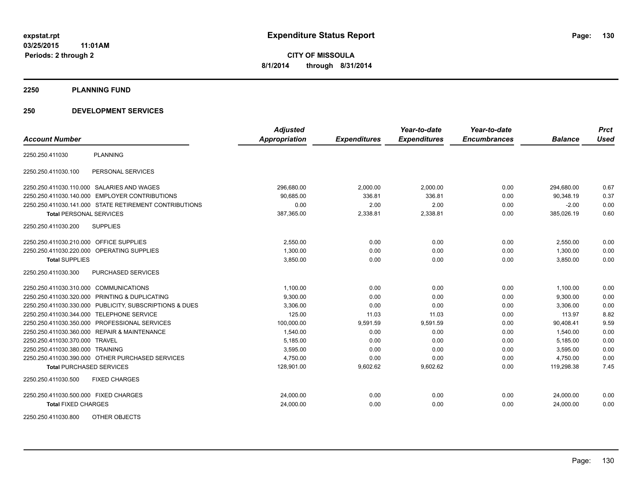**2250 PLANNING FUND**

#### **250 DEVELOPMENT SERVICES**

|                                           |                                                         | <b>Adjusted</b>      |                     | Year-to-date        | Year-to-date        |                | <b>Prct</b> |
|-------------------------------------------|---------------------------------------------------------|----------------------|---------------------|---------------------|---------------------|----------------|-------------|
| <b>Account Number</b>                     |                                                         | <b>Appropriation</b> | <b>Expenditures</b> | <b>Expenditures</b> | <b>Encumbrances</b> | <b>Balance</b> | <b>Used</b> |
| 2250.250.411030                           | <b>PLANNING</b>                                         |                      |                     |                     |                     |                |             |
| 2250.250.411030.100                       | PERSONAL SERVICES                                       |                      |                     |                     |                     |                |             |
|                                           | 2250.250.411030.110.000 SALARIES AND WAGES              | 296,680.00           | 2,000.00            | 2,000.00            | 0.00                | 294,680.00     | 0.67        |
| 2250.250.411030.140.000                   | <b>EMPLOYER CONTRIBUTIONS</b>                           | 90,685.00            | 336.81              | 336.81              | 0.00                | 90,348.19      | 0.37        |
|                                           | 2250.250.411030.141.000 STATE RETIREMENT CONTRIBUTIONS  | 0.00                 | 2.00                | 2.00                | 0.00                | $-2.00$        | 0.00        |
| <b>Total PERSONAL SERVICES</b>            |                                                         | 387,365.00           | 2,338.81            | 2,338.81            | 0.00                | 385,026.19     | 0.60        |
| 2250.250.411030.200                       | <b>SUPPLIES</b>                                         |                      |                     |                     |                     |                |             |
| 2250.250.411030.210.000 OFFICE SUPPLIES   |                                                         | 2,550.00             | 0.00                | 0.00                | 0.00                | 2,550.00       | 0.00        |
|                                           | 2250.250.411030.220.000 OPERATING SUPPLIES              | 1,300.00             | 0.00                | 0.00                | 0.00                | 1,300.00       | 0.00        |
| <b>Total SUPPLIES</b>                     |                                                         | 3,850.00             | 0.00                | 0.00                | 0.00                | 3,850.00       | 0.00        |
| 2250.250.411030.300                       | PURCHASED SERVICES                                      |                      |                     |                     |                     |                |             |
| 2250.250.411030.310.000 COMMUNICATIONS    |                                                         | 1,100.00             | 0.00                | 0.00                | 0.00                | 1,100.00       | 0.00        |
|                                           | 2250.250.411030.320.000 PRINTING & DUPLICATING          | 9,300.00             | 0.00                | 0.00                | 0.00                | 9,300.00       | 0.00        |
|                                           | 2250.250.411030.330.000 PUBLICITY, SUBSCRIPTIONS & DUES | 3,306.00             | 0.00                | 0.00                | 0.00                | 3,306.00       | 0.00        |
| 2250.250.411030.344.000 TELEPHONE SERVICE |                                                         | 125.00               | 11.03               | 11.03               | 0.00                | 113.97         | 8.82        |
|                                           | 2250.250.411030.350.000 PROFESSIONAL SERVICES           | 100,000.00           | 9,591.59            | 9,591.59            | 0.00                | 90,408.41      | 9.59        |
|                                           | 2250.250.411030.360.000 REPAIR & MAINTENANCE            | 1,540.00             | 0.00                | 0.00                | 0.00                | 1,540.00       | 0.00        |
| 2250.250.411030.370.000                   | <b>TRAVEL</b>                                           | 5,185.00             | 0.00                | 0.00                | 0.00                | 5,185.00       | 0.00        |
| 2250.250.411030.380.000 TRAINING          |                                                         | 3,595.00             | 0.00                | 0.00                | 0.00                | 3,595.00       | 0.00        |
|                                           | 2250.250.411030.390.000 OTHER PURCHASED SERVICES        | 4,750.00             | 0.00                | 0.00                | 0.00                | 4,750.00       | 0.00        |
| <b>Total PURCHASED SERVICES</b>           |                                                         | 128,901.00           | 9,602.62            | 9,602.62            | 0.00                | 119,298.38     | 7.45        |
| 2250.250.411030.500                       | <b>FIXED CHARGES</b>                                    |                      |                     |                     |                     |                |             |
| 2250.250.411030.500.000 FIXED CHARGES     |                                                         | 24,000.00            | 0.00                | 0.00                | 0.00                | 24,000.00      | 0.00        |
| <b>Total FIXED CHARGES</b>                |                                                         | 24,000.00            | 0.00                | 0.00                | 0.00                | 24,000.00      | 0.00        |
| 2250.250.411030.800                       | OTHER OBJECTS                                           |                      |                     |                     |                     |                |             |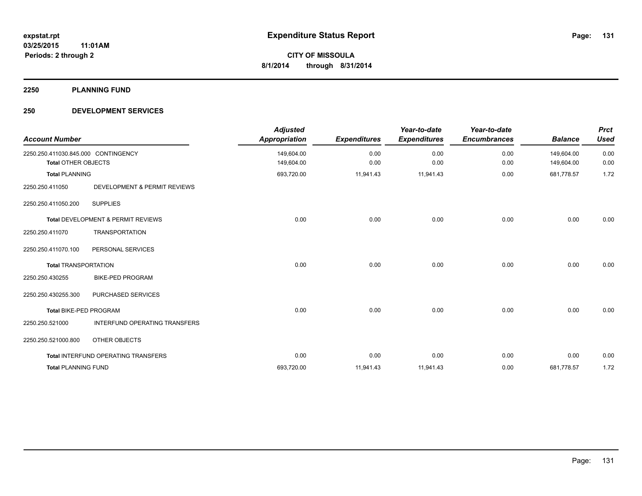**2250 PLANNING FUND**

#### **250 DEVELOPMENT SERVICES**

| <b>Account Number</b>                                             |                                     | <b>Adjusted</b><br><b>Appropriation</b> | <b>Expenditures</b> | Year-to-date<br><b>Expenditures</b> | Year-to-date<br><b>Encumbrances</b> | <b>Balance</b>           | <b>Prct</b><br><b>Used</b> |
|-------------------------------------------------------------------|-------------------------------------|-----------------------------------------|---------------------|-------------------------------------|-------------------------------------|--------------------------|----------------------------|
| 2250.250.411030.845.000 CONTINGENCY<br><b>Total OTHER OBJECTS</b> |                                     | 149,604.00<br>149,604.00                | 0.00<br>0.00        | 0.00<br>0.00                        | 0.00<br>0.00                        | 149,604.00<br>149,604.00 | 0.00<br>0.00               |
| <b>Total PLANNING</b>                                             |                                     | 693,720.00                              | 11,941.43           | 11,941.43                           | 0.00                                | 681,778.57               | 1.72                       |
| 2250.250.411050                                                   | DEVELOPMENT & PERMIT REVIEWS        |                                         |                     |                                     |                                     |                          |                            |
| 2250.250.411050.200                                               | <b>SUPPLIES</b>                     |                                         |                     |                                     |                                     |                          |                            |
|                                                                   | Total DEVELOPMENT & PERMIT REVIEWS  | 0.00                                    | 0.00                | 0.00                                | 0.00                                | 0.00                     | 0.00                       |
| 2250.250.411070                                                   | <b>TRANSPORTATION</b>               |                                         |                     |                                     |                                     |                          |                            |
| 2250.250.411070.100                                               | PERSONAL SERVICES                   |                                         |                     |                                     |                                     |                          |                            |
| <b>Total TRANSPORTATION</b>                                       |                                     | 0.00                                    | 0.00                | 0.00                                | 0.00                                | 0.00                     | 0.00                       |
| 2250.250.430255                                                   | <b>BIKE-PED PROGRAM</b>             |                                         |                     |                                     |                                     |                          |                            |
| 2250.250.430255.300                                               | PURCHASED SERVICES                  |                                         |                     |                                     |                                     |                          |                            |
| Total BIKE-PED PROGRAM                                            |                                     | 0.00                                    | 0.00                | 0.00                                | 0.00                                | 0.00                     | 0.00                       |
| 2250.250.521000                                                   | INTERFUND OPERATING TRANSFERS       |                                         |                     |                                     |                                     |                          |                            |
| 2250.250.521000.800                                               | <b>OTHER OBJECTS</b>                |                                         |                     |                                     |                                     |                          |                            |
|                                                                   | Total INTERFUND OPERATING TRANSFERS | 0.00                                    | 0.00                | 0.00                                | 0.00                                | 0.00                     | 0.00                       |
| <b>Total PLANNING FUND</b>                                        |                                     | 693,720.00                              | 11,941.43           | 11,941.43                           | 0.00                                | 681,778.57               | 1.72                       |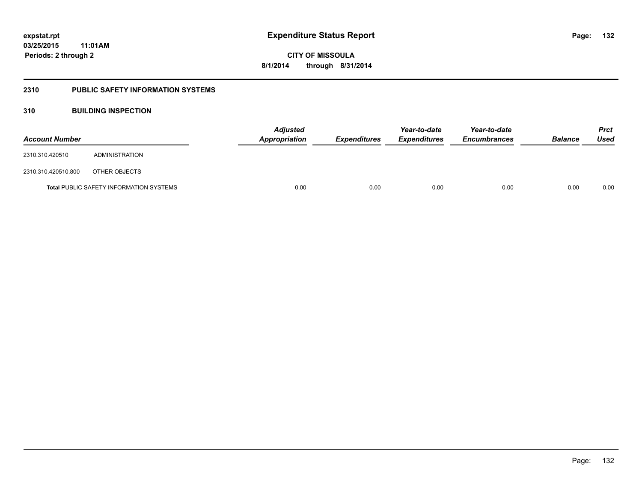#### **2310 PUBLIC SAFETY INFORMATION SYSTEMS**

#### **310 BUILDING INSPECTION**

| <b>Account Number</b> |                                                | <b>Adjusted</b><br><b>Appropriation</b> | <b>Expenditures</b> | Year-to-date<br><b>Expenditures</b> | Year-to-date<br><b>Encumbrances</b> | <b>Balance</b> | <b>Prct</b><br>Used |
|-----------------------|------------------------------------------------|-----------------------------------------|---------------------|-------------------------------------|-------------------------------------|----------------|---------------------|
| 2310.310.420510       | ADMINISTRATION                                 |                                         |                     |                                     |                                     |                |                     |
| 2310.310.420510.800   | OTHER OBJECTS                                  |                                         |                     |                                     |                                     |                |                     |
|                       | <b>Total PUBLIC SAFETY INFORMATION SYSTEMS</b> | 0.00                                    | 0.00                | 0.00                                | 0.00                                | 0.00           | 0.00                |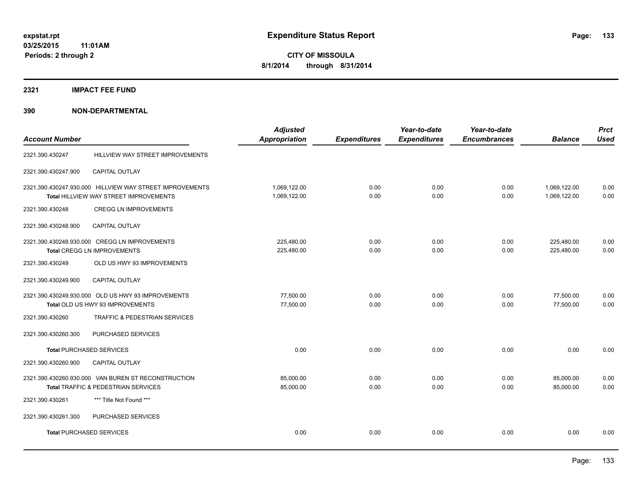**2321 IMPACT FEE FUND**

| <b>Account Number</b>           |                                                                                                    | <b>Adjusted</b><br><b>Appropriation</b> | <b>Expenditures</b> | Year-to-date<br><b>Expenditures</b> | Year-to-date<br><b>Encumbrances</b> | <b>Balance</b>               | <b>Prct</b><br><b>Used</b> |
|---------------------------------|----------------------------------------------------------------------------------------------------|-----------------------------------------|---------------------|-------------------------------------|-------------------------------------|------------------------------|----------------------------|
| 2321.390.430247                 | HILLVIEW WAY STREET IMPROVEMENTS                                                                   |                                         |                     |                                     |                                     |                              |                            |
| 2321.390.430247.900             | CAPITAL OUTLAY                                                                                     |                                         |                     |                                     |                                     |                              |                            |
|                                 | 2321.390.430247.930.000 HILLVIEW WAY STREET IMPROVEMENTS<br>Total HILLVIEW WAY STREET IMPROVEMENTS | 1,069,122.00<br>1,069,122.00            | 0.00<br>0.00        | 0.00<br>0.00                        | 0.00<br>0.00                        | 1,069,122.00<br>1,069,122.00 | 0.00<br>0.00               |
| 2321.390.430248                 | <b>CREGG LN IMPROVEMENTS</b>                                                                       |                                         |                     |                                     |                                     |                              |                            |
| 2321.390.430248.900             | <b>CAPITAL OUTLAY</b>                                                                              |                                         |                     |                                     |                                     |                              |                            |
|                                 | 2321.390.430248.930.000 CREGG LN IMPROVEMENTS<br><b>Total CREGG LN IMPROVEMENTS</b>                | 225,480.00<br>225,480.00                | 0.00<br>0.00        | 0.00<br>0.00                        | 0.00<br>0.00                        | 225,480.00<br>225,480.00     | 0.00<br>0.00               |
| 2321.390.430249                 | OLD US HWY 93 IMPROVEMENTS                                                                         |                                         |                     |                                     |                                     |                              |                            |
| 2321.390.430249.900             | <b>CAPITAL OUTLAY</b>                                                                              |                                         |                     |                                     |                                     |                              |                            |
|                                 | 2321.390.430249.930.000 OLD US HWY 93 IMPROVEMENTS<br>Total OLD US HWY 93 IMPROVEMENTS             | 77,500.00<br>77,500.00                  | 0.00<br>0.00        | 0.00<br>0.00                        | 0.00<br>0.00                        | 77,500.00<br>77,500.00       | 0.00<br>0.00               |
| 2321.390.430260                 | TRAFFIC & PEDESTRIAN SERVICES                                                                      |                                         |                     |                                     |                                     |                              |                            |
| 2321.390.430260.300             | <b>PURCHASED SERVICES</b>                                                                          |                                         |                     |                                     |                                     |                              |                            |
| <b>Total PURCHASED SERVICES</b> |                                                                                                    | 0.00                                    | 0.00                | 0.00                                | 0.00                                | 0.00                         | 0.00                       |
| 2321.390.430260.900             | CAPITAL OUTLAY                                                                                     |                                         |                     |                                     |                                     |                              |                            |
|                                 | 2321.390.430260.930.000 VAN BUREN ST RECONSTRUCTION<br>Total TRAFFIC & PEDESTRIAN SERVICES         | 85,000.00<br>85,000.00                  | 0.00<br>0.00        | 0.00<br>0.00                        | 0.00<br>0.00                        | 85,000.00<br>85,000.00       | 0.00<br>0.00               |
| 2321.390.430261                 | *** Title Not Found ***                                                                            |                                         |                     |                                     |                                     |                              |                            |
| 2321.390.430261.300             | PURCHASED SERVICES                                                                                 |                                         |                     |                                     |                                     |                              |                            |
| <b>Total PURCHASED SERVICES</b> |                                                                                                    | 0.00                                    | 0.00                | 0.00                                | 0.00                                | 0.00                         | 0.00                       |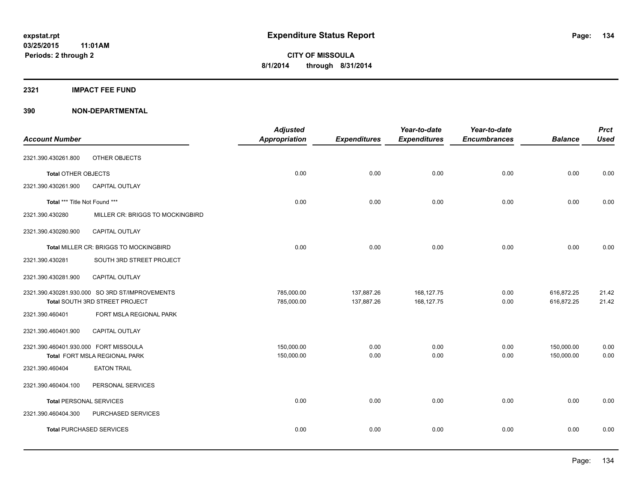#### **2321 IMPACT FEE FUND**

| <b>Account Number</b>                 |                                                | <b>Adjusted</b><br>Appropriation | <b>Expenditures</b> | Year-to-date<br><b>Expenditures</b> | Year-to-date<br><b>Encumbrances</b> | <b>Balance</b> | <b>Prct</b><br><b>Used</b> |
|---------------------------------------|------------------------------------------------|----------------------------------|---------------------|-------------------------------------|-------------------------------------|----------------|----------------------------|
|                                       |                                                |                                  |                     |                                     |                                     |                |                            |
| 2321.390.430261.800                   | OTHER OBJECTS                                  |                                  |                     |                                     |                                     |                |                            |
| <b>Total OTHER OBJECTS</b>            |                                                | 0.00                             | 0.00                | 0.00                                | 0.00                                | 0.00           | 0.00                       |
| 2321.390.430261.900                   | <b>CAPITAL OUTLAY</b>                          |                                  |                     |                                     |                                     |                |                            |
| Total *** Title Not Found ***         |                                                | 0.00                             | 0.00                | 0.00                                | 0.00                                | 0.00           | 0.00                       |
| 2321.390.430280                       | MILLER CR: BRIGGS TO MOCKINGBIRD               |                                  |                     |                                     |                                     |                |                            |
| 2321.390.430280.900                   | <b>CAPITAL OUTLAY</b>                          |                                  |                     |                                     |                                     |                |                            |
|                                       | Total MILLER CR: BRIGGS TO MOCKINGBIRD         | 0.00                             | 0.00                | 0.00                                | 0.00                                | 0.00           | 0.00                       |
| 2321.390.430281                       | SOUTH 3RD STREET PROJECT                       |                                  |                     |                                     |                                     |                |                            |
| 2321.390.430281.900                   | <b>CAPITAL OUTLAY</b>                          |                                  |                     |                                     |                                     |                |                            |
|                                       | 2321.390.430281.930.000 SO 3RD ST/IMPROVEMENTS | 785,000.00                       | 137,887.26          | 168,127.75                          | 0.00                                | 616,872.25     | 21.42                      |
|                                       | Total SOUTH 3RD STREET PROJECT                 | 785,000.00                       | 137,887.26          | 168,127.75                          | 0.00                                | 616,872.25     | 21.42                      |
| 2321.390.460401                       | FORT MSLA REGIONAL PARK                        |                                  |                     |                                     |                                     |                |                            |
| 2321.390.460401.900                   | CAPITAL OUTLAY                                 |                                  |                     |                                     |                                     |                |                            |
| 2321.390.460401.930.000 FORT MISSOULA |                                                | 150,000.00                       | 0.00                | 0.00                                | 0.00                                | 150,000.00     | 0.00                       |
|                                       | Total FORT MSLA REGIONAL PARK                  | 150,000.00                       | 0.00                | 0.00                                | 0.00                                | 150,000.00     | 0.00                       |
| 2321.390.460404                       | <b>EATON TRAIL</b>                             |                                  |                     |                                     |                                     |                |                            |
| 2321.390.460404.100                   | PERSONAL SERVICES                              |                                  |                     |                                     |                                     |                |                            |
|                                       | <b>Total PERSONAL SERVICES</b>                 | 0.00                             | 0.00                | 0.00                                | 0.00                                | 0.00           | 0.00                       |
| 2321.390.460404.300                   | PURCHASED SERVICES                             |                                  |                     |                                     |                                     |                |                            |
|                                       | <b>Total PURCHASED SERVICES</b>                | 0.00                             | 0.00                | 0.00                                | 0.00                                | 0.00           | 0.00                       |
|                                       |                                                |                                  |                     |                                     |                                     |                |                            |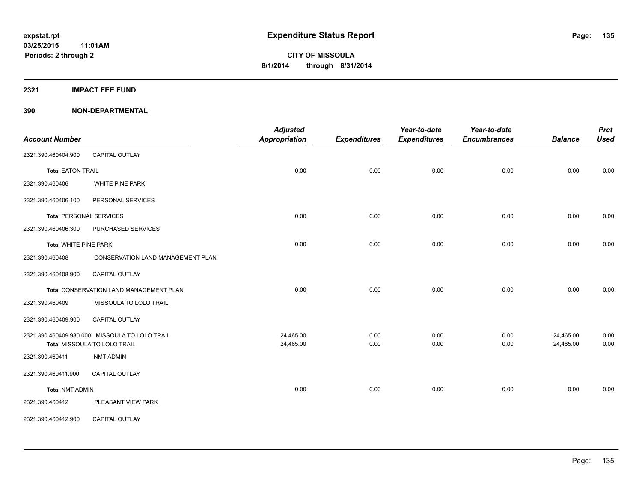**2321 IMPACT FEE FUND**

| <b>Account Number</b>          |                                                | <b>Adjusted</b><br><b>Appropriation</b> | <b>Expenditures</b> | Year-to-date<br><b>Expenditures</b> | Year-to-date<br><b>Encumbrances</b> | <b>Balance</b> | <b>Prct</b><br><b>Used</b> |
|--------------------------------|------------------------------------------------|-----------------------------------------|---------------------|-------------------------------------|-------------------------------------|----------------|----------------------------|
|                                |                                                |                                         |                     |                                     |                                     |                |                            |
| 2321.390.460404.900            | CAPITAL OUTLAY                                 |                                         |                     |                                     |                                     |                |                            |
| <b>Total EATON TRAIL</b>       |                                                | 0.00                                    | 0.00                | 0.00                                | 0.00                                | 0.00           | 0.00                       |
| 2321.390.460406                | WHITE PINE PARK                                |                                         |                     |                                     |                                     |                |                            |
| 2321.390.460406.100            | PERSONAL SERVICES                              |                                         |                     |                                     |                                     |                |                            |
| <b>Total PERSONAL SERVICES</b> |                                                | 0.00                                    | 0.00                | 0.00                                | 0.00                                | 0.00           | 0.00                       |
| 2321.390.460406.300            | PURCHASED SERVICES                             |                                         |                     |                                     |                                     |                |                            |
| <b>Total WHITE PINE PARK</b>   |                                                | 0.00                                    | 0.00                | 0.00                                | 0.00                                | 0.00           | 0.00                       |
| 2321.390.460408                | <b>CONSERVATION LAND MANAGEMENT PLAN</b>       |                                         |                     |                                     |                                     |                |                            |
| 2321.390.460408.900            | CAPITAL OUTLAY                                 |                                         |                     |                                     |                                     |                |                            |
|                                | Total CONSERVATION LAND MANAGEMENT PLAN        | 0.00                                    | 0.00                | 0.00                                | 0.00                                | 0.00           | 0.00                       |
| 2321.390.460409                | MISSOULA TO LOLO TRAIL                         |                                         |                     |                                     |                                     |                |                            |
| 2321.390.460409.900            | CAPITAL OUTLAY                                 |                                         |                     |                                     |                                     |                |                            |
|                                | 2321.390.460409.930.000 MISSOULA TO LOLO TRAIL | 24,465.00                               | 0.00                | 0.00                                | 0.00                                | 24,465.00      | 0.00                       |
|                                | Total MISSOULA TO LOLO TRAIL                   | 24,465.00                               | 0.00                | 0.00                                | 0.00                                | 24,465.00      | 0.00                       |
| 2321.390.460411                | <b>NMT ADMIN</b>                               |                                         |                     |                                     |                                     |                |                            |
| 2321.390.460411.900            | <b>CAPITAL OUTLAY</b>                          |                                         |                     |                                     |                                     |                |                            |
| <b>Total NMT ADMIN</b>         |                                                | 0.00                                    | 0.00                | 0.00                                | 0.00                                | 0.00           | 0.00                       |
| 2321.390.460412                | PLEASANT VIEW PARK                             |                                         |                     |                                     |                                     |                |                            |
| 2321.390.460412.900            | CAPITAL OUTLAY                                 |                                         |                     |                                     |                                     |                |                            |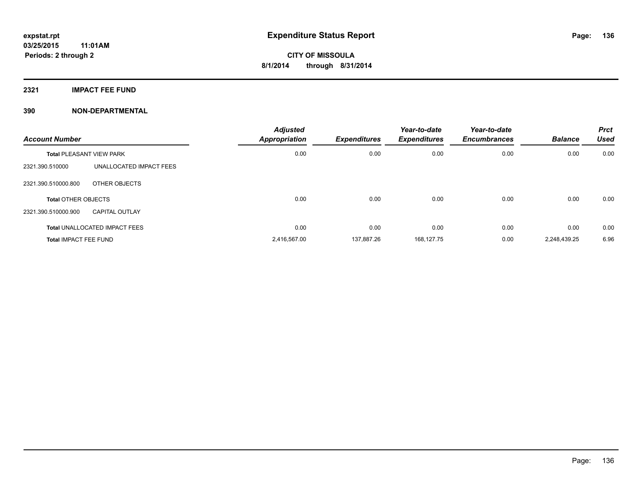**2321 IMPACT FEE FUND**

| <b>Account Number</b>           |                                      | <b>Adjusted</b><br><b>Appropriation</b> | <b>Expenditures</b> | Year-to-date<br><b>Expenditures</b> | Year-to-date<br><b>Encumbrances</b> | <b>Balance</b> | <b>Prct</b><br><b>Used</b> |
|---------------------------------|--------------------------------------|-----------------------------------------|---------------------|-------------------------------------|-------------------------------------|----------------|----------------------------|
| <b>Total PLEASANT VIEW PARK</b> |                                      | 0.00                                    | 0.00                | 0.00                                | 0.00                                | 0.00           | 0.00                       |
| 2321.390.510000                 | UNALLOCATED IMPACT FEES              |                                         |                     |                                     |                                     |                |                            |
| 2321.390.510000.800             | OTHER OBJECTS                        |                                         |                     |                                     |                                     |                |                            |
| <b>Total OTHER OBJECTS</b>      |                                      | 0.00                                    | 0.00                | 0.00                                | 0.00                                | 0.00           | 0.00                       |
| 2321.390.510000.900             | CAPITAL OUTLAY                       |                                         |                     |                                     |                                     |                |                            |
|                                 | <b>Total UNALLOCATED IMPACT FEES</b> | 0.00                                    | 0.00                | 0.00                                | 0.00                                | 0.00           | 0.00                       |
| <b>Total IMPACT FEE FUND</b>    |                                      | 2,416,567.00                            | 137.887.26          | 168.127.75                          | 0.00                                | 2.248.439.25   | 6.96                       |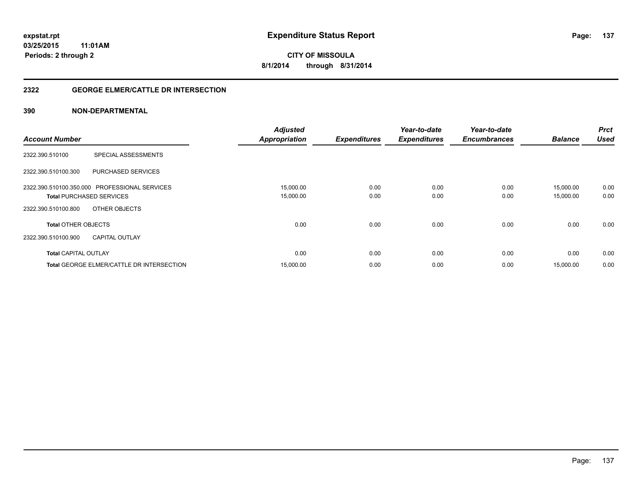#### **2322 GEORGE ELMER/CATTLE DR INTERSECTION**

|                                                  | <b>Adjusted</b>      |                     | Year-to-date        | Year-to-date        |                | <b>Prct</b> |
|--------------------------------------------------|----------------------|---------------------|---------------------|---------------------|----------------|-------------|
| <b>Account Number</b>                            | <b>Appropriation</b> | <b>Expenditures</b> | <b>Expenditures</b> | <b>Encumbrances</b> | <b>Balance</b> | <b>Used</b> |
| SPECIAL ASSESSMENTS<br>2322.390.510100           |                      |                     |                     |                     |                |             |
| <b>PURCHASED SERVICES</b><br>2322.390.510100.300 |                      |                     |                     |                     |                |             |
| 2322.390.510100.350.000 PROFESSIONAL SERVICES    | 15,000.00            | 0.00                | 0.00                | 0.00                | 15.000.00      | 0.00        |
| <b>Total PURCHASED SERVICES</b>                  | 15,000.00            | 0.00                | 0.00                | 0.00                | 15,000.00      | 0.00        |
| OTHER OBJECTS<br>2322.390.510100.800             |                      |                     |                     |                     |                |             |
| <b>Total OTHER OBJECTS</b>                       | 0.00                 | 0.00                | 0.00                | 0.00                | 0.00           | 0.00        |
| 2322.390.510100.900<br><b>CAPITAL OUTLAY</b>     |                      |                     |                     |                     |                |             |
| <b>Total CAPITAL OUTLAY</b>                      | 0.00                 | 0.00                | 0.00                | 0.00                | 0.00           | 0.00        |
| <b>Total GEORGE ELMER/CATTLE DR INTERSECTION</b> | 15,000.00            | 0.00                | 0.00                | 0.00                | 15,000.00      | 0.00        |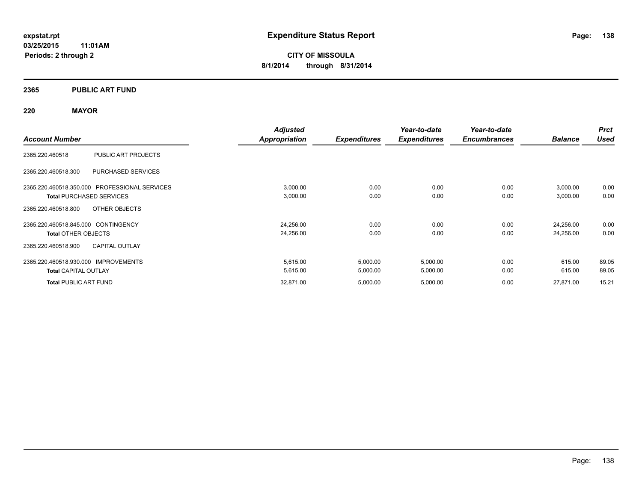#### **2365 PUBLIC ART FUND**

#### **220 MAYOR**

|                                                  | <b>Adjusted</b>      |                     | Year-to-date        | Year-to-date        |                | <b>Prct</b> |
|--------------------------------------------------|----------------------|---------------------|---------------------|---------------------|----------------|-------------|
| <b>Account Number</b>                            | <b>Appropriation</b> | <b>Expenditures</b> | <b>Expenditures</b> | <b>Encumbrances</b> | <b>Balance</b> | <b>Used</b> |
| 2365.220.460518<br>PUBLIC ART PROJECTS           |                      |                     |                     |                     |                |             |
| 2365.220.460518.300<br><b>PURCHASED SERVICES</b> |                      |                     |                     |                     |                |             |
| 2365.220.460518.350.000 PROFESSIONAL SERVICES    | 3,000.00             | 0.00                | 0.00                | 0.00                | 3,000.00       | 0.00        |
| <b>Total PURCHASED SERVICES</b>                  | 3,000.00             | 0.00                | 0.00                | 0.00                | 3,000.00       | 0.00        |
| OTHER OBJECTS<br>2365.220.460518.800             |                      |                     |                     |                     |                |             |
| 2365.220.460518.845.000 CONTINGENCY              | 24,256.00            | 0.00                | 0.00                | 0.00                | 24,256.00      | 0.00        |
| <b>Total OTHER OBJECTS</b>                       | 24,256.00            | 0.00                | 0.00                | 0.00                | 24,256.00      | 0.00        |
| <b>CAPITAL OUTLAY</b><br>2365.220.460518.900     |                      |                     |                     |                     |                |             |
| 2365.220.460518.930.000 IMPROVEMENTS             | 5,615.00             | 5,000.00            | 5,000.00            | 0.00                | 615.00         | 89.05       |
| <b>Total CAPITAL OUTLAY</b>                      | 5,615.00             | 5,000.00            | 5,000.00            | 0.00                | 615.00         | 89.05       |
| <b>Total PUBLIC ART FUND</b>                     | 32,871.00            | 5,000.00            | 5,000.00            | 0.00                | 27,871.00      | 15.21       |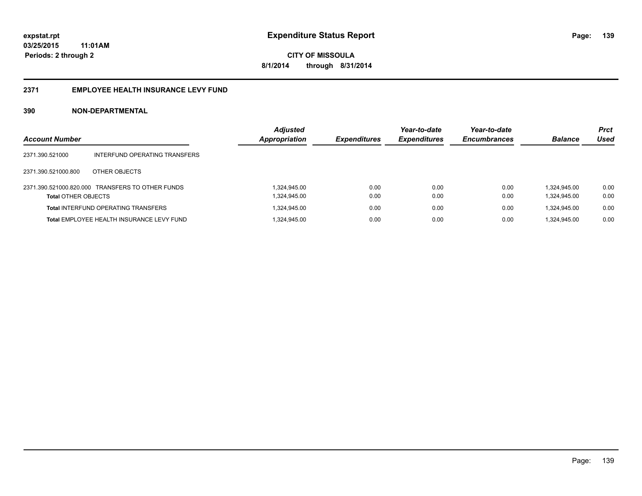#### **2371 EMPLOYEE HEALTH INSURANCE LEVY FUND**

| <b>Account Number</b>      |                                                  | <b>Adjusted</b><br><b>Appropriation</b> | <b>Expenditures</b> | Year-to-date<br><b>Expenditures</b> | Year-to-date<br><b>Encumbrances</b> | <b>Balance</b>               | <b>Prct</b><br>Used |
|----------------------------|--------------------------------------------------|-----------------------------------------|---------------------|-------------------------------------|-------------------------------------|------------------------------|---------------------|
| 2371.390.521000            | INTERFUND OPERATING TRANSFERS                    |                                         |                     |                                     |                                     |                              |                     |
| 2371.390.521000.800        | OTHER OBJECTS                                    |                                         |                     |                                     |                                     |                              |                     |
| <b>Total OTHER OBJECTS</b> | 2371.390.521000.820.000 TRANSFERS TO OTHER FUNDS | 1.324.945.00<br>1,324,945.00            | 0.00<br>0.00        | 0.00<br>0.00                        | 0.00<br>0.00                        | 1.324.945.00<br>1,324,945.00 | 0.00<br>0.00        |
|                            | <b>Total INTERFUND OPERATING TRANSFERS</b>       | 1.324.945.00                            | 0.00                | 0.00                                | 0.00                                | 1.324.945.00                 | 0.00                |
|                            | <b>Total EMPLOYEE HEALTH INSURANCE LEVY FUND</b> | 1.324.945.00                            | 0.00                | 0.00                                | 0.00                                | 1.324.945.00                 | 0.00                |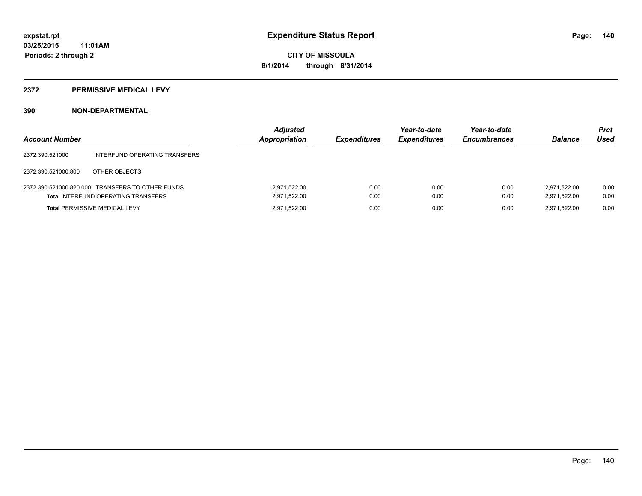#### **2372 PERMISSIVE MEDICAL LEVY**

| <b>Account Number</b> |                                                                                                | <b>Adjusted</b><br>Appropriation | <b>Expenditures</b> | Year-to-date<br><b>Expenditures</b> | Year-to-date<br><b>Encumbrances</b> | <b>Balance</b>               | <b>Prct</b><br>Used |
|-----------------------|------------------------------------------------------------------------------------------------|----------------------------------|---------------------|-------------------------------------|-------------------------------------|------------------------------|---------------------|
| 2372.390.521000       | INTERFUND OPERATING TRANSFERS                                                                  |                                  |                     |                                     |                                     |                              |                     |
| 2372.390.521000.800   | OTHER OBJECTS                                                                                  |                                  |                     |                                     |                                     |                              |                     |
|                       | 2372.390.521000.820.000 TRANSFERS TO OTHER FUNDS<br><b>Total INTERFUND OPERATING TRANSFERS</b> | 2,971,522.00<br>2,971,522.00     | 0.00<br>0.00        | 0.00<br>0.00                        | 0.00<br>0.00                        | 2.971.522.00<br>2.971.522.00 | 0.00<br>0.00        |
|                       | <b>Total PERMISSIVE MEDICAL LEVY</b>                                                           | 2,971,522.00                     | 0.00                | 0.00                                | 0.00                                | 2.971.522.00                 | 0.00                |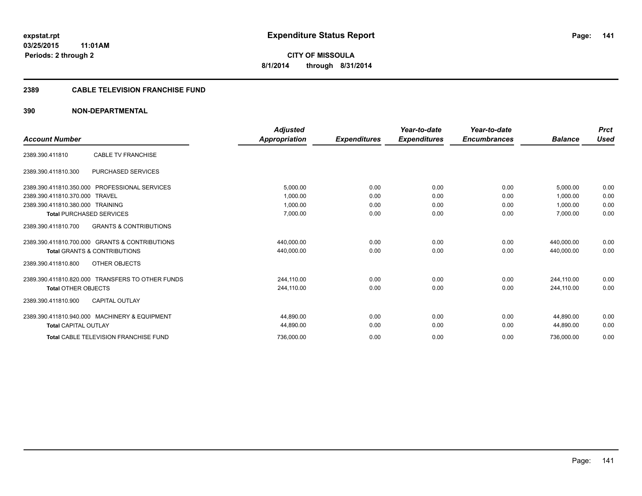#### **2389 CABLE TELEVISION FRANCHISE FUND**

|                                                          | <b>Adjusted</b> |                     | Year-to-date        | Year-to-date        |                | <b>Prct</b> |
|----------------------------------------------------------|-----------------|---------------------|---------------------|---------------------|----------------|-------------|
| <b>Account Number</b>                                    | Appropriation   | <b>Expenditures</b> | <b>Expenditures</b> | <b>Encumbrances</b> | <b>Balance</b> | <b>Used</b> |
| <b>CABLE TV FRANCHISE</b><br>2389.390.411810             |                 |                     |                     |                     |                |             |
| <b>PURCHASED SERVICES</b><br>2389.390.411810.300         |                 |                     |                     |                     |                |             |
| 2389.390.411810.350.000<br><b>PROFESSIONAL SERVICES</b>  | 5,000.00        | 0.00                | 0.00                | 0.00                | 5,000.00       | 0.00        |
| 2389.390.411810.370.000 TRAVEL                           | 1,000.00        | 0.00                | 0.00                | 0.00                | 1.000.00       | 0.00        |
| 2389.390.411810.380.000 TRAINING                         | 1.000.00        | 0.00                | 0.00                | 0.00                | 1.000.00       | 0.00        |
| <b>Total PURCHASED SERVICES</b>                          | 7,000.00        | 0.00                | 0.00                | 0.00                | 7,000.00       | 0.00        |
| <b>GRANTS &amp; CONTRIBUTIONS</b><br>2389.390.411810.700 |                 |                     |                     |                     |                |             |
| 2389.390.411810.700.000 GRANTS & CONTRIBUTIONS           | 440,000.00      | 0.00                | 0.00                | 0.00                | 440.000.00     | 0.00        |
| <b>Total GRANTS &amp; CONTRIBUTIONS</b>                  | 440,000.00      | 0.00                | 0.00                | 0.00                | 440,000.00     | 0.00        |
| OTHER OBJECTS<br>2389.390.411810.800                     |                 |                     |                     |                     |                |             |
| 2389.390.411810.820.000 TRANSFERS TO OTHER FUNDS         | 244,110.00      | 0.00                | 0.00                | 0.00                | 244.110.00     | 0.00        |
| <b>Total OTHER OBJECTS</b>                               | 244.110.00      | 0.00                | 0.00                | 0.00                | 244.110.00     | 0.00        |
| 2389.390.411810.900<br><b>CAPITAL OUTLAY</b>             |                 |                     |                     |                     |                |             |
| 2389.390.411810.940.000 MACHINERY & EQUIPMENT            | 44,890.00       | 0.00                | 0.00                | 0.00                | 44,890.00      | 0.00        |
| <b>Total CAPITAL OUTLAY</b>                              | 44,890.00       | 0.00                | 0.00                | 0.00                | 44,890.00      | 0.00        |
| <b>Total CABLE TELEVISION FRANCHISE FUND</b>             | 736,000.00      | 0.00                | 0.00                | 0.00                | 736,000.00     | 0.00        |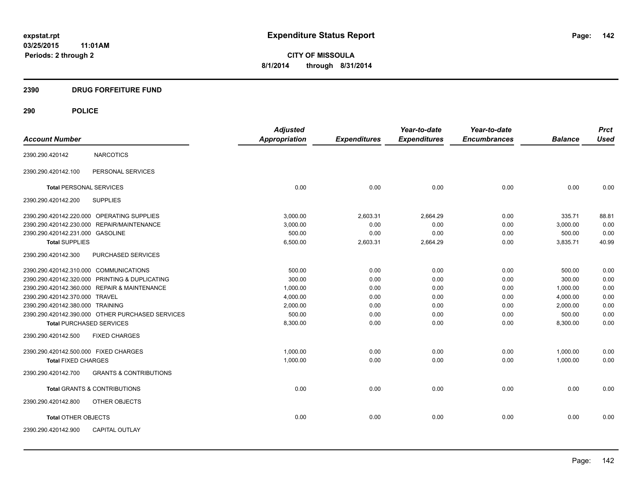#### **2390 DRUG FORFEITURE FUND**

## **290 POLICE**

|                                                          | <b>Adjusted</b>      |                     | Year-to-date        | Year-to-date        |                | <b>Prct</b> |
|----------------------------------------------------------|----------------------|---------------------|---------------------|---------------------|----------------|-------------|
| <b>Account Number</b>                                    | <b>Appropriation</b> | <b>Expenditures</b> | <b>Expenditures</b> | <b>Encumbrances</b> | <b>Balance</b> | <b>Used</b> |
| <b>NARCOTICS</b><br>2390.290.420142                      |                      |                     |                     |                     |                |             |
| PERSONAL SERVICES<br>2390.290.420142.100                 |                      |                     |                     |                     |                |             |
| <b>Total PERSONAL SERVICES</b>                           | 0.00                 | 0.00                | 0.00                | 0.00                | 0.00           | 0.00        |
| 2390.290.420142.200<br><b>SUPPLIES</b>                   |                      |                     |                     |                     |                |             |
| 2390.290.420142.220.000 OPERATING SUPPLIES               | 3,000.00             | 2,603.31            | 2,664.29            | 0.00                | 335.71         | 88.81       |
| 2390.290.420142.230.000<br><b>REPAIR/MAINTENANCE</b>     | 3,000.00             | 0.00                | 0.00                | 0.00                | 3,000.00       | 0.00        |
| 2390.290.420142.231.000<br><b>GASOLINE</b>               | 500.00               | 0.00                | 0.00                | 0.00                | 500.00         | 0.00        |
| <b>Total SUPPLIES</b>                                    | 6,500.00             | 2,603.31            | 2,664.29            | 0.00                | 3,835.71       | 40.99       |
| 2390.290.420142.300<br>PURCHASED SERVICES                |                      |                     |                     |                     |                |             |
| 2390.290.420142.310.000 COMMUNICATIONS                   | 500.00               | 0.00                | 0.00                | 0.00                | 500.00         | 0.00        |
| 2390.290.420142.320.000 PRINTING & DUPLICATING           | 300.00               | 0.00                | 0.00                | 0.00                | 300.00         | 0.00        |
| 2390.290.420142.360.000 REPAIR & MAINTENANCE             | 1,000.00             | 0.00                | 0.00                | 0.00                | 1,000.00       | 0.00        |
| 2390.290.420142.370.000 TRAVEL                           | 4,000.00             | 0.00                | 0.00                | 0.00                | 4,000.00       | 0.00        |
| 2390.290.420142.380.000 TRAINING                         | 2.000.00             | 0.00                | 0.00                | 0.00                | 2,000.00       | 0.00        |
| 2390.290.420142.390.000 OTHER PURCHASED SERVICES         | 500.00               | 0.00                | 0.00                | 0.00                | 500.00         | 0.00        |
| <b>Total PURCHASED SERVICES</b>                          | 8,300.00             | 0.00                | 0.00                | 0.00                | 8,300.00       | 0.00        |
| 2390.290.420142.500<br><b>FIXED CHARGES</b>              |                      |                     |                     |                     |                |             |
| 2390.290.420142.500.000 FIXED CHARGES                    | 1,000.00             | 0.00                | 0.00                | 0.00                | 1,000.00       | 0.00        |
| <b>Total FIXED CHARGES</b>                               | 1,000.00             | 0.00                | 0.00                | 0.00                | 1,000.00       | 0.00        |
| 2390.290.420142.700<br><b>GRANTS &amp; CONTRIBUTIONS</b> |                      |                     |                     |                     |                |             |
| <b>Total GRANTS &amp; CONTRIBUTIONS</b>                  | 0.00                 | 0.00                | 0.00                | 0.00                | 0.00           | 0.00        |
| 2390.290.420142.800<br>OTHER OBJECTS                     |                      |                     |                     |                     |                |             |
| <b>Total OTHER OBJECTS</b>                               | 0.00                 | 0.00                | 0.00                | 0.00                | 0.00           | 0.00        |
| 2390.290.420142.900<br><b>CAPITAL OUTLAY</b>             |                      |                     |                     |                     |                |             |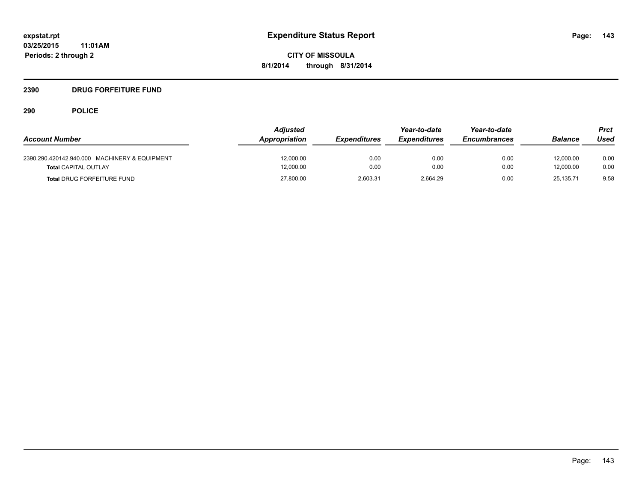#### **2390 DRUG FORFEITURE FUND**

## **290 POLICE**

| <b>Account Number</b>                                                        | <b>Adjusted</b><br>Appropriation | <b>Expenditures</b> | Year-to-date<br><b>Expenditures</b> | Year-to-date<br><b>Encumbrances</b> | <b>Balance</b>         | Prct<br>Used |
|------------------------------------------------------------------------------|----------------------------------|---------------------|-------------------------------------|-------------------------------------|------------------------|--------------|
| 2390.290.420142.940.000 MACHINERY & EQUIPMENT<br><b>Total CAPITAL OUTLAY</b> | 12,000.00<br>12,000.00           | 0.00<br>0.00        | 0.00<br>0.00                        | 0.00<br>0.00                        | 12.000.00<br>12.000.00 | 0.00<br>0.00 |
| <b>Total DRUG FORFEITURE FUND</b>                                            | 27,800.00                        | 2.603.31            | 2.664.29                            | 0.00                                | 25.135.71              | 9.58         |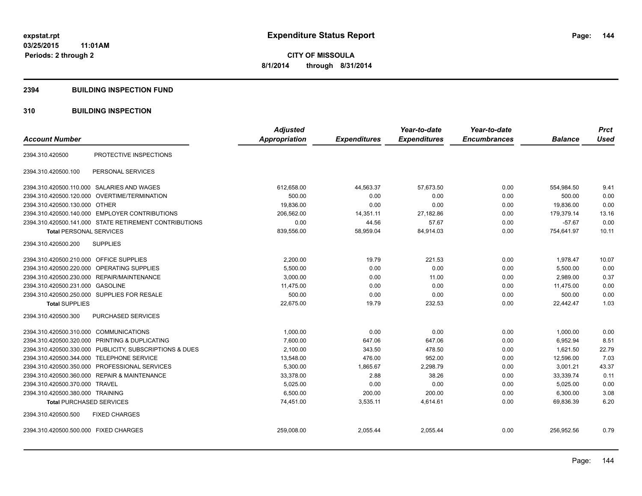#### **2394 BUILDING INSPECTION FUND**

#### **310 BUILDING INSPECTION**

| <b>Account Number</b>                                      | <b>Adjusted</b><br>Appropriation | <b>Expenditures</b> | Year-to-date<br><b>Expenditures</b> | Year-to-date<br><b>Encumbrances</b> | <b>Balance</b> | <b>Prct</b><br><b>Used</b> |
|------------------------------------------------------------|----------------------------------|---------------------|-------------------------------------|-------------------------------------|----------------|----------------------------|
|                                                            |                                  |                     |                                     |                                     |                |                            |
| PROTECTIVE INSPECTIONS<br>2394.310.420500                  |                                  |                     |                                     |                                     |                |                            |
| 2394.310.420500.100<br>PERSONAL SERVICES                   |                                  |                     |                                     |                                     |                |                            |
| 2394.310.420500.110.000 SALARIES AND WAGES                 | 612,658.00                       | 44,563.37           | 57,673.50                           | 0.00                                | 554,984.50     | 9.41                       |
| 2394.310.420500.120.000<br>OVERTIME/TERMINATION            | 500.00                           | 0.00                | 0.00                                | 0.00                                | 500.00         | 0.00                       |
| 2394.310.420500.130.000 OTHER                              | 19,836.00                        | 0.00                | 0.00                                | 0.00                                | 19,836.00      | 0.00                       |
| 2394.310.420500.140.000 EMPLOYER CONTRIBUTIONS             | 206,562.00                       | 14,351.11           | 27,182.86                           | 0.00                                | 179,379.14     | 13.16                      |
| 2394.310.420500.141.000 STATE RETIREMENT CONTRIBUTIONS     | 0.00                             | 44.56               | 57.67                               | 0.00                                | $-57.67$       | 0.00                       |
| <b>Total PERSONAL SERVICES</b>                             | 839,556.00                       | 58,959.04           | 84,914.03                           | 0.00                                | 754,641.97     | 10.11                      |
| <b>SUPPLIES</b><br>2394.310.420500.200                     |                                  |                     |                                     |                                     |                |                            |
| 2394.310.420500.210.000 OFFICE SUPPLIES                    | 2,200.00                         | 19.79               | 221.53                              | 0.00                                | 1,978.47       | 10.07                      |
| OPERATING SUPPLIES<br>2394.310.420500.220.000              | 5,500.00                         | 0.00                | 0.00                                | 0.00                                | 5,500.00       | 0.00                       |
| 2394.310.420500.230.000 REPAIR/MAINTENANCE                 | 3,000.00                         | 0.00                | 11.00                               | 0.00                                | 2.989.00       | 0.37                       |
| 2394.310.420500.231.000 GASOLINE                           | 11,475.00                        | 0.00                | 0.00                                | 0.00                                | 11,475.00      | 0.00                       |
| 2394.310.420500.250.000 SUPPLIES FOR RESALE                | 500.00                           | 0.00                | 0.00                                | 0.00                                | 500.00         | 0.00                       |
| <b>Total SUPPLIES</b>                                      | 22,675.00                        | 19.79               | 232.53                              | 0.00                                | 22,442.47      | 1.03                       |
| 2394.310.420500.300<br>PURCHASED SERVICES                  |                                  |                     |                                     |                                     |                |                            |
| 2394.310.420500.310.000 COMMUNICATIONS                     | 1,000.00                         | 0.00                | 0.00                                | 0.00                                | 1,000.00       | 0.00                       |
| 2394.310.420500.320.000 PRINTING & DUPLICATING             | 7,600.00                         | 647.06              | 647.06                              | 0.00                                | 6,952.94       | 8.51                       |
| PUBLICITY, SUBSCRIPTIONS & DUES<br>2394.310.420500.330.000 | 2,100.00                         | 343.50              | 478.50                              | 0.00                                | 1.621.50       | 22.79                      |
| 2394.310.420500.344.000 TELEPHONE SERVICE                  | 13,548.00                        | 476.00              | 952.00                              | 0.00                                | 12,596.00      | 7.03                       |
| PROFESSIONAL SERVICES<br>2394.310.420500.350.000           | 5,300.00                         | 1,865.67            | 2,298.79                            | 0.00                                | 3,001.21       | 43.37                      |
| 2394.310.420500.360.000 REPAIR & MAINTENANCE               | 33,378.00                        | 2.88                | 38.26                               | 0.00                                | 33,339.74      | 0.11                       |
| 2394.310.420500.370.000 TRAVEL                             | 5,025.00                         | 0.00                | 0.00                                | 0.00                                | 5,025.00       | 0.00                       |
| 2394.310.420500.380.000 TRAINING                           | 6,500.00                         | 200.00              | 200.00                              | 0.00                                | 6,300.00       | 3.08                       |
| <b>Total PURCHASED SERVICES</b>                            | 74,451.00                        | 3,535.11            | 4,614.61                            | 0.00                                | 69,836.39      | 6.20                       |
| 2394.310.420500.500<br><b>FIXED CHARGES</b>                |                                  |                     |                                     |                                     |                |                            |
| 2394.310.420500.500.000 FIXED CHARGES                      | 259,008.00                       | 2,055.44            | 2,055.44                            | 0.00                                | 256,952.56     | 0.79                       |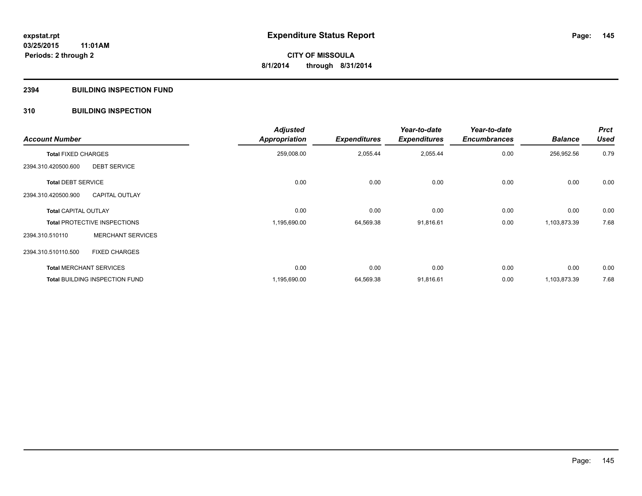#### **2394 BUILDING INSPECTION FUND**

#### **310 BUILDING INSPECTION**

| <b>Account Number</b>          |                                       | <b>Adjusted</b><br>Appropriation | <b>Expenditures</b> | Year-to-date<br><b>Expenditures</b> | Year-to-date<br><b>Encumbrances</b> | <b>Balance</b> | <b>Prct</b><br><b>Used</b> |
|--------------------------------|---------------------------------------|----------------------------------|---------------------|-------------------------------------|-------------------------------------|----------------|----------------------------|
| <b>Total FIXED CHARGES</b>     |                                       | 259,008.00                       | 2,055.44            | 2,055.44                            | 0.00                                | 256,952.56     | 0.79                       |
| 2394.310.420500.600            | <b>DEBT SERVICE</b>                   |                                  |                     |                                     |                                     |                |                            |
| <b>Total DEBT SERVICE</b>      |                                       | 0.00                             | 0.00                | 0.00                                | 0.00                                | 0.00           | 0.00                       |
| 2394.310.420500.900            | <b>CAPITAL OUTLAY</b>                 |                                  |                     |                                     |                                     |                |                            |
| <b>Total CAPITAL OUTLAY</b>    |                                       | 0.00                             | 0.00                | 0.00                                | 0.00                                | 0.00           | 0.00                       |
|                                | <b>Total PROTECTIVE INSPECTIONS</b>   | 1,195,690.00                     | 64,569.38           | 91,816.61                           | 0.00                                | 1,103,873.39   | 7.68                       |
| 2394.310.510110                | <b>MERCHANT SERVICES</b>              |                                  |                     |                                     |                                     |                |                            |
| 2394.310.510110.500            | <b>FIXED CHARGES</b>                  |                                  |                     |                                     |                                     |                |                            |
| <b>Total MERCHANT SERVICES</b> |                                       | 0.00                             | 0.00                | 0.00                                | 0.00                                | 0.00           | 0.00                       |
|                                | <b>Total BUILDING INSPECTION FUND</b> | 1,195,690.00                     | 64,569.38           | 91,816.61                           | 0.00                                | 1,103,873.39   | 7.68                       |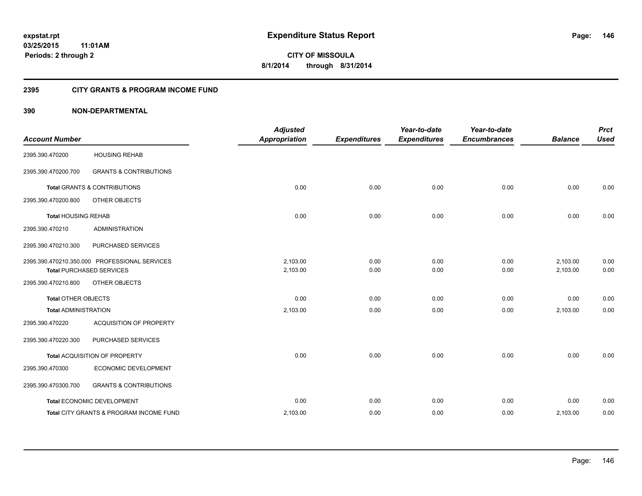#### **2395 CITY GRANTS & PROGRAM INCOME FUND**

#### **390 NON-DEPARTMENTAL**

| <b>Account Number</b>       |                                                                                  | <b>Adjusted</b><br><b>Appropriation</b> | <b>Expenditures</b> | Year-to-date<br><b>Expenditures</b> | Year-to-date<br><b>Encumbrances</b> | <b>Balance</b>       | <b>Prct</b><br><b>Used</b> |
|-----------------------------|----------------------------------------------------------------------------------|-----------------------------------------|---------------------|-------------------------------------|-------------------------------------|----------------------|----------------------------|
| 2395.390.470200             | <b>HOUSING REHAB</b>                                                             |                                         |                     |                                     |                                     |                      |                            |
| 2395.390.470200.700         | <b>GRANTS &amp; CONTRIBUTIONS</b>                                                |                                         |                     |                                     |                                     |                      |                            |
|                             | <b>Total GRANTS &amp; CONTRIBUTIONS</b>                                          | 0.00                                    | 0.00                | 0.00                                | 0.00                                | 0.00                 | 0.00                       |
| 2395.390.470200.800         | OTHER OBJECTS                                                                    |                                         |                     |                                     |                                     |                      |                            |
| <b>Total HOUSING REHAB</b>  |                                                                                  | 0.00                                    | 0.00                | 0.00                                | 0.00                                | 0.00                 | 0.00                       |
| 2395.390.470210             | <b>ADMINISTRATION</b>                                                            |                                         |                     |                                     |                                     |                      |                            |
| 2395.390.470210.300         | PURCHASED SERVICES                                                               |                                         |                     |                                     |                                     |                      |                            |
|                             | 2395.390.470210.350.000 PROFESSIONAL SERVICES<br><b>Total PURCHASED SERVICES</b> | 2,103.00<br>2,103.00                    | 0.00<br>0.00        | 0.00<br>0.00                        | 0.00<br>0.00                        | 2,103.00<br>2,103.00 | 0.00<br>0.00               |
| 2395.390.470210.800         | OTHER OBJECTS                                                                    |                                         |                     |                                     |                                     |                      |                            |
| <b>Total OTHER OBJECTS</b>  |                                                                                  | 0.00                                    | 0.00                | 0.00                                | 0.00                                | 0.00                 | 0.00                       |
| <b>Total ADMINISTRATION</b> |                                                                                  | 2,103.00                                | 0.00                | 0.00                                | 0.00                                | 2,103.00             | 0.00                       |
| 2395.390.470220             | ACQUISITION OF PROPERTY                                                          |                                         |                     |                                     |                                     |                      |                            |
| 2395.390.470220.300         | PURCHASED SERVICES                                                               |                                         |                     |                                     |                                     |                      |                            |
|                             | Total ACQUISITION OF PROPERTY                                                    | 0.00                                    | 0.00                | 0.00                                | 0.00                                | 0.00                 | 0.00                       |
| 2395.390.470300             | ECONOMIC DEVELOPMENT                                                             |                                         |                     |                                     |                                     |                      |                            |
| 2395.390.470300.700         | <b>GRANTS &amp; CONTRIBUTIONS</b>                                                |                                         |                     |                                     |                                     |                      |                            |
|                             | Total ECONOMIC DEVELOPMENT                                                       | 0.00                                    | 0.00                | 0.00                                | 0.00                                | 0.00                 | 0.00                       |
|                             | Total CITY GRANTS & PROGRAM INCOME FUND                                          | 2,103.00                                | 0.00                | 0.00                                | 0.00                                | 2,103.00             | 0.00                       |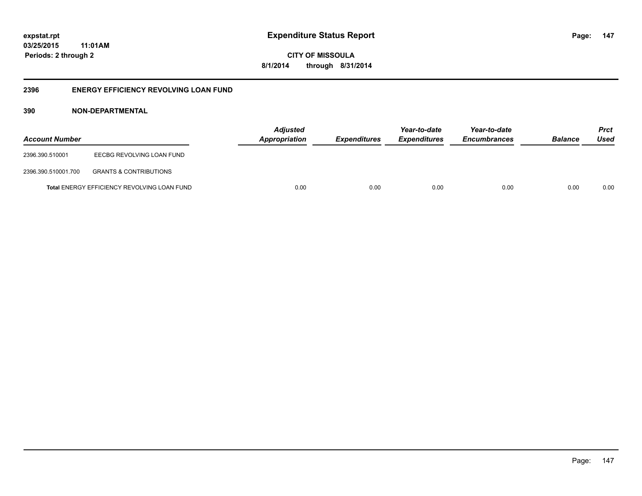**CITY OF MISSOULA 8/1/2014 through 8/31/2014**

#### **2396 ENERGY EFFICIENCY REVOLVING LOAN FUND**

#### **390 NON-DEPARTMENTAL**

| <b>Account Number</b> |                                             | <b>Adjusted</b><br><b>Appropriation</b> | <b>Expenditures</b> | Year-to-date<br><b>Expenditures</b> | Year-to-date<br><b>Encumbrances</b> | <b>Balance</b> | <b>Prct</b><br>Used |
|-----------------------|---------------------------------------------|-----------------------------------------|---------------------|-------------------------------------|-------------------------------------|----------------|---------------------|
| 2396.390.510001       | EECBG REVOLVING LOAN FUND                   |                                         |                     |                                     |                                     |                |                     |
| 2396.390.510001.700   | <b>GRANTS &amp; CONTRIBUTIONS</b>           |                                         |                     |                                     |                                     |                |                     |
|                       | Total ENERGY EFFICIENCY REVOLVING LOAN FUND | 0.00                                    | 0.00                | 0.00                                | 0.00                                | 0.00           | 0.00                |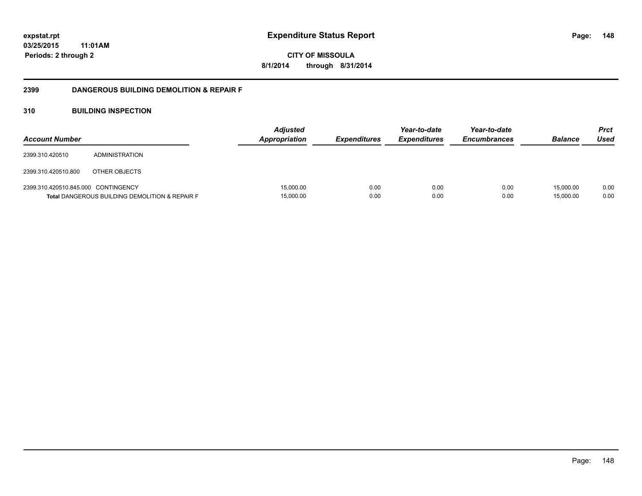**CITY OF MISSOULA 8/1/2014 through 8/31/2014**

#### **2399 DANGEROUS BUILDING DEMOLITION & REPAIR F**

#### **310 BUILDING INSPECTION**

| <b>Account Number</b>               |                                                           | <b>Adjusted</b><br><b>Appropriation</b> | <b>Expenditures</b> | Year-to-date<br><b>Expenditures</b> | Year-to-date<br><b>Encumbrances</b> | <b>Balance</b>         | <b>Prct</b><br>Used |
|-------------------------------------|-----------------------------------------------------------|-----------------------------------------|---------------------|-------------------------------------|-------------------------------------|------------------------|---------------------|
| 2399.310.420510                     | ADMINISTRATION                                            |                                         |                     |                                     |                                     |                        |                     |
| 2399.310.420510.800                 | OTHER OBJECTS                                             |                                         |                     |                                     |                                     |                        |                     |
| 2399.310.420510.845.000 CONTINGENCY | <b>Total DANGEROUS BUILDING DEMOLITION &amp; REPAIR F</b> | 15,000.00<br>15,000.00                  | 0.00<br>0.00        | 0.00<br>0.00                        | 0.00<br>0.00                        | 15,000.00<br>15,000.00 | 0.00<br>0.00        |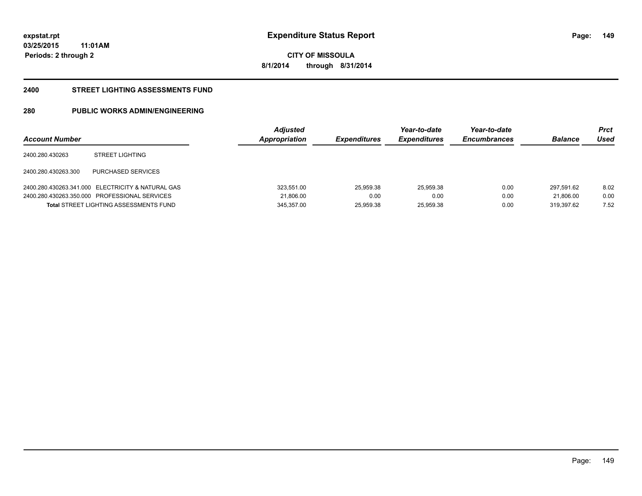**CITY OF MISSOULA 8/1/2014 through 8/31/2014**

#### **2400 STREET LIGHTING ASSESSMENTS FUND**

### **280 PUBLIC WORKS ADMIN/ENGINEERING**

| <b>Account Number</b> |                                                   | <b>Adjusted</b><br>Appropriation | <b>Expenditures</b> | Year-to-date<br><b>Expenditures</b> | Year-to-date<br><b>Encumbrances</b> | <b>Balance</b> | Prct<br>Used |
|-----------------------|---------------------------------------------------|----------------------------------|---------------------|-------------------------------------|-------------------------------------|----------------|--------------|
| 2400.280.430263       | <b>STREET LIGHTING</b>                            |                                  |                     |                                     |                                     |                |              |
| 2400.280.430263.300   | PURCHASED SERVICES                                |                                  |                     |                                     |                                     |                |              |
|                       | 2400.280.430263.341.000 ELECTRICITY & NATURAL GAS | 323,551.00                       | 25.959.38           | 25,959.38                           | 0.00                                | 297.591.62     | 8.02         |
|                       | 2400.280.430263.350.000 PROFESSIONAL SERVICES     | 21,806.00                        | 0.00                | 0.00                                | 0.00                                | 21.806.00      | 0.00         |
|                       | <b>Total STREET LIGHTING ASSESSMENTS FUND</b>     | 345.357.00                       | 25.959.38           | 25,959.38                           | 0.00                                | 319.397.62     | 7.52         |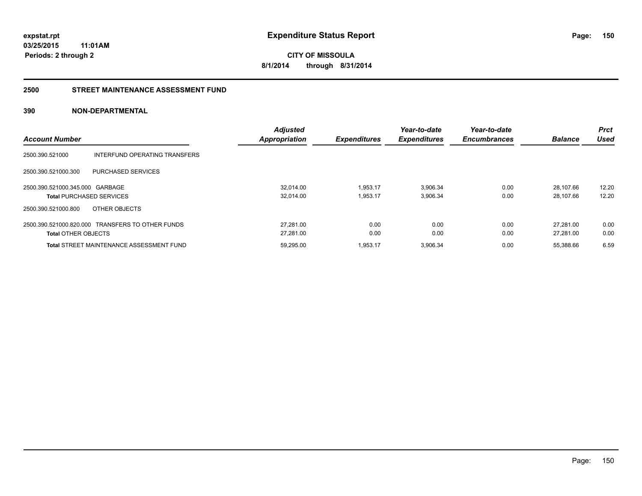**CITY OF MISSOULA 8/1/2014 through 8/31/2014**

#### **2500 STREET MAINTENANCE ASSESSMENT FUND**

#### **390 NON-DEPARTMENTAL**

| <b>Account Number</b>                                                          | <b>Adjusted</b><br><b>Appropriation</b> | <b>Expenditures</b>  | Year-to-date<br><b>Expenditures</b> | Year-to-date<br><b>Encumbrances</b> | <b>Balance</b>         | <b>Prct</b><br>Used |
|--------------------------------------------------------------------------------|-----------------------------------------|----------------------|-------------------------------------|-------------------------------------|------------------------|---------------------|
| 2500.390.521000<br>INTERFUND OPERATING TRANSFERS                               |                                         |                      |                                     |                                     |                        |                     |
| 2500.390.521000.300<br>PURCHASED SERVICES                                      |                                         |                      |                                     |                                     |                        |                     |
| 2500.390.521000.345.000 GARBAGE<br><b>Total PURCHASED SERVICES</b>             | 32.014.00<br>32,014.00                  | 1,953.17<br>1,953.17 | 3,906.34<br>3,906.34                | 0.00<br>0.00                        | 28.107.66<br>28.107.66 | 12.20<br>12.20      |
| 2500.390.521000.800<br>OTHER OBJECTS                                           |                                         |                      |                                     |                                     |                        |                     |
| 2500.390.521000.820.000 TRANSFERS TO OTHER FUNDS<br><b>Total OTHER OBJECTS</b> | 27.281.00<br>27,281.00                  | 0.00<br>0.00         | 0.00<br>0.00                        | 0.00<br>0.00                        | 27.281.00<br>27.281.00 | 0.00<br>0.00        |
| <b>Total STREET MAINTENANCE ASSESSMENT FUND</b>                                | 59.295.00                               | 1.953.17             | 3,906.34                            | 0.00                                | 55.388.66              | 6.59                |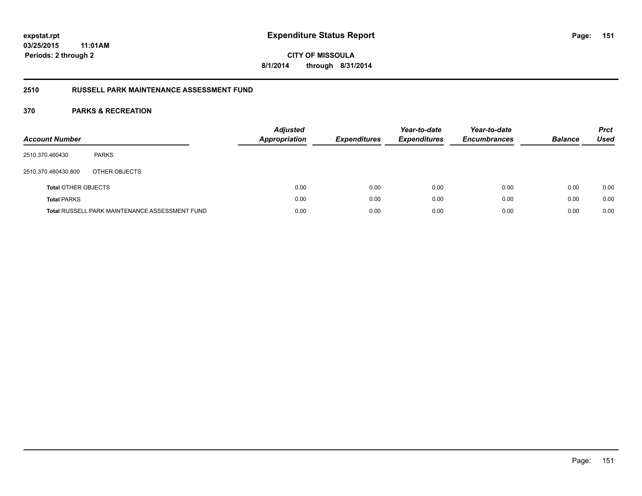**CITY OF MISSOULA 8/1/2014 through 8/31/2014**

#### **2510 RUSSELL PARK MAINTENANCE ASSESSMENT FUND**

| <b>Account Number</b>      |                                                       | <b>Adjusted</b><br>Appropriation | <b>Expenditures</b> | Year-to-date<br><b>Expenditures</b> | Year-to-date<br><b>Encumbrances</b> | <b>Balance</b> | <b>Prct</b><br><b>Used</b> |
|----------------------------|-------------------------------------------------------|----------------------------------|---------------------|-------------------------------------|-------------------------------------|----------------|----------------------------|
| 2510.370.460430            | <b>PARKS</b>                                          |                                  |                     |                                     |                                     |                |                            |
| 2510.370.460430.800        | OTHER OBJECTS                                         |                                  |                     |                                     |                                     |                |                            |
| <b>Total OTHER OBJECTS</b> |                                                       | 0.00                             | 0.00                | 0.00                                | 0.00                                | 0.00           | 0.00                       |
| <b>Total PARKS</b>         |                                                       | 0.00                             | 0.00                | 0.00                                | 0.00                                | 0.00           | 0.00                       |
|                            | <b>Total RUSSELL PARK MAINTENANCE ASSESSMENT FUND</b> | 0.00                             | 0.00                | 0.00                                | 0.00                                | 0.00           | 0.00                       |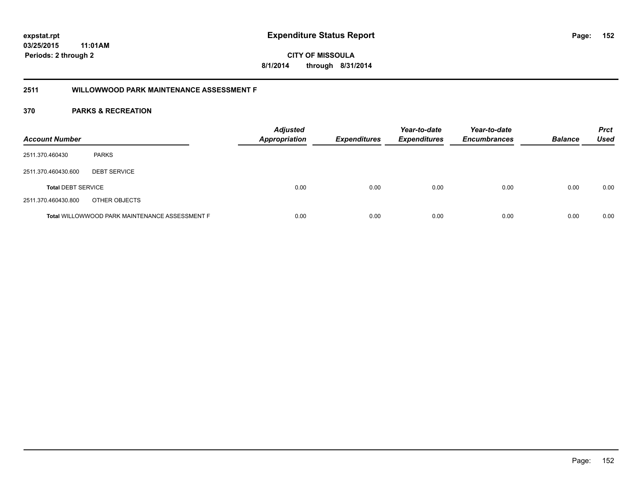**CITY OF MISSOULA 8/1/2014 through 8/31/2014**

#### **2511 WILLOWWOOD PARK MAINTENANCE ASSESSMENT F**

| <b>Account Number</b>     |                                                       | <b>Adjusted</b><br><b>Appropriation</b> | <b>Expenditures</b> | Year-to-date<br><b>Expenditures</b> | Year-to-date<br><b>Encumbrances</b> | <b>Balance</b> | <b>Prct</b><br><b>Used</b> |
|---------------------------|-------------------------------------------------------|-----------------------------------------|---------------------|-------------------------------------|-------------------------------------|----------------|----------------------------|
| 2511.370.460430           | <b>PARKS</b>                                          |                                         |                     |                                     |                                     |                |                            |
| 2511.370.460430.600       | <b>DEBT SERVICE</b>                                   |                                         |                     |                                     |                                     |                |                            |
| <b>Total DEBT SERVICE</b> |                                                       | 0.00                                    | 0.00                | 0.00                                | 0.00                                | 0.00           | 0.00                       |
| 2511.370.460430.800       | OTHER OBJECTS                                         |                                         |                     |                                     |                                     |                |                            |
|                           | <b>Total WILLOWWOOD PARK MAINTENANCE ASSESSMENT F</b> | 0.00                                    | 0.00                | 0.00                                | 0.00                                | 0.00           | 0.00                       |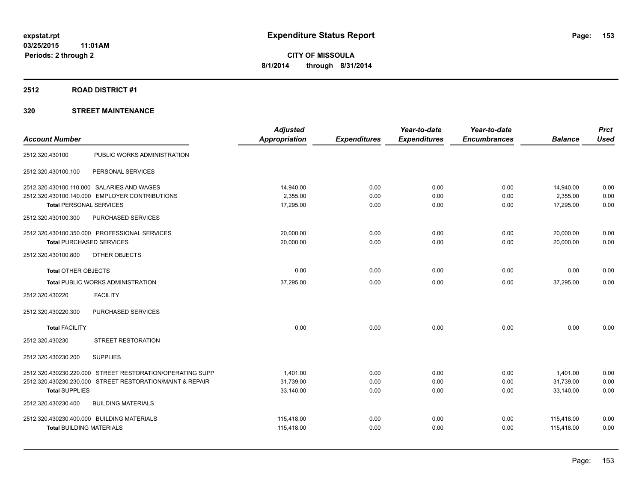#### **2512 ROAD DISTRICT #1**

|                                                           | <b>Adjusted</b>      |                     | Year-to-date        | Year-to-date        |                | <b>Prct</b> |
|-----------------------------------------------------------|----------------------|---------------------|---------------------|---------------------|----------------|-------------|
| <b>Account Number</b>                                     | <b>Appropriation</b> | <b>Expenditures</b> | <b>Expenditures</b> | <b>Encumbrances</b> | <b>Balance</b> | <b>Used</b> |
| PUBLIC WORKS ADMINISTRATION<br>2512.320.430100            |                      |                     |                     |                     |                |             |
| 2512.320.430100.100<br>PERSONAL SERVICES                  |                      |                     |                     |                     |                |             |
| 2512.320.430100.110.000 SALARIES AND WAGES                | 14.940.00            | 0.00                | 0.00                | 0.00                | 14,940.00      | 0.00        |
| 2512.320.430100.140.000 EMPLOYER CONTRIBUTIONS            | 2,355.00             | 0.00                | 0.00                | 0.00                | 2,355.00       | 0.00        |
| Total PERSONAL SERVICES                                   | 17,295.00            | 0.00                | 0.00                | 0.00                | 17,295.00      | 0.00        |
| PURCHASED SERVICES<br>2512.320.430100.300                 |                      |                     |                     |                     |                |             |
| 2512.320.430100.350.000 PROFESSIONAL SERVICES             | 20,000.00            | 0.00                | 0.00                | 0.00                | 20,000.00      | 0.00        |
| <b>Total PURCHASED SERVICES</b>                           | 20,000.00            | 0.00                | 0.00                | 0.00                | 20,000.00      | 0.00        |
| 2512.320.430100.800<br>OTHER OBJECTS                      |                      |                     |                     |                     |                |             |
| <b>Total OTHER OBJECTS</b>                                | 0.00                 | 0.00                | 0.00                | 0.00                | 0.00           | 0.00        |
| <b>Total PUBLIC WORKS ADMINISTRATION</b>                  | 37,295.00            | 0.00                | 0.00                | 0.00                | 37,295.00      | 0.00        |
| <b>FACILITY</b><br>2512.320.430220                        |                      |                     |                     |                     |                |             |
| PURCHASED SERVICES<br>2512.320.430220.300                 |                      |                     |                     |                     |                |             |
| <b>Total FACILITY</b>                                     | 0.00                 | 0.00                | 0.00                | 0.00                | 0.00           | 0.00        |
| 2512.320.430230<br><b>STREET RESTORATION</b>              |                      |                     |                     |                     |                |             |
| <b>SUPPLIES</b><br>2512.320.430230.200                    |                      |                     |                     |                     |                |             |
| 2512.320.430230.220.000 STREET RESTORATION/OPERATING SUPP | 1,401.00             | 0.00                | 0.00                | 0.00                | 1,401.00       | 0.00        |
| 2512.320.430230.230.000 STREET RESTORATION/MAINT & REPAIR | 31,739.00            | 0.00                | 0.00                | 0.00                | 31,739.00      | 0.00        |
| <b>Total SUPPLIES</b>                                     | 33,140.00            | 0.00                | 0.00                | 0.00                | 33,140.00      | 0.00        |
| 2512.320.430230.400<br><b>BUILDING MATERIALS</b>          |                      |                     |                     |                     |                |             |
| 2512.320.430230.400.000 BUILDING MATERIALS                | 115,418.00           | 0.00                | 0.00                | 0.00                | 115,418.00     | 0.00        |
| <b>Total BUILDING MATERIALS</b>                           | 115,418.00           | 0.00                | 0.00                | 0.00                | 115,418.00     | 0.00        |
|                                                           |                      |                     |                     |                     |                |             |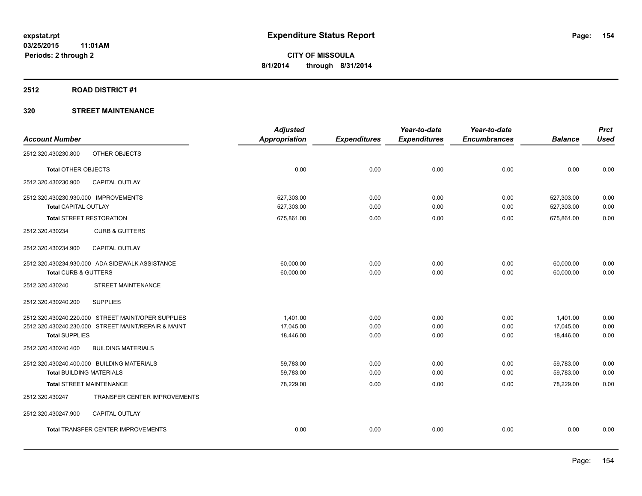#### **2512 ROAD DISTRICT #1**

|                                                                                                                                    | <b>Adjusted</b>                    |                      | Year-to-date         | Year-to-date         |                                    | <b>Prct</b>          |
|------------------------------------------------------------------------------------------------------------------------------------|------------------------------------|----------------------|----------------------|----------------------|------------------------------------|----------------------|
| <b>Account Number</b>                                                                                                              | <b>Appropriation</b>               | <b>Expenditures</b>  | <b>Expenditures</b>  | <b>Encumbrances</b>  | <b>Balance</b>                     | <b>Used</b>          |
| OTHER OBJECTS<br>2512.320.430230.800                                                                                               |                                    |                      |                      |                      |                                    |                      |
| <b>Total OTHER OBJECTS</b>                                                                                                         | 0.00                               | 0.00                 | 0.00                 | 0.00                 | 0.00                               | 0.00                 |
| 2512.320.430230.900<br><b>CAPITAL OUTLAY</b>                                                                                       |                                    |                      |                      |                      |                                    |                      |
| 2512.320.430230.930.000 IMPROVEMENTS<br><b>Total CAPITAL OUTLAY</b>                                                                | 527,303.00<br>527,303.00           | 0.00<br>0.00         | 0.00<br>0.00         | 0.00<br>0.00         | 527,303.00<br>527,303.00           | 0.00<br>0.00         |
| <b>Total STREET RESTORATION</b>                                                                                                    | 675,861.00                         | 0.00                 | 0.00                 | 0.00                 | 675,861.00                         | 0.00                 |
| 2512.320.430234<br><b>CURB &amp; GUTTERS</b>                                                                                       |                                    |                      |                      |                      |                                    |                      |
| <b>CAPITAL OUTLAY</b><br>2512.320.430234.900                                                                                       |                                    |                      |                      |                      |                                    |                      |
| 2512.320.430234.930.000 ADA SIDEWALK ASSISTANCE<br>Total CURB & GUTTERS                                                            | 60,000.00<br>60,000.00             | 0.00<br>0.00         | 0.00<br>0.00         | 0.00<br>0.00         | 60,000.00<br>60,000.00             | 0.00<br>0.00         |
| 2512.320.430240<br>STREET MAINTENANCE                                                                                              |                                    |                      |                      |                      |                                    |                      |
| <b>SUPPLIES</b><br>2512.320.430240.200                                                                                             |                                    |                      |                      |                      |                                    |                      |
| 2512.320.430240.220.000 STREET MAINT/OPER SUPPLIES<br>2512.320.430240.230.000 STREET MAINT/REPAIR & MAINT<br><b>Total SUPPLIES</b> | 1,401.00<br>17,045.00<br>18,446.00 | 0.00<br>0.00<br>0.00 | 0.00<br>0.00<br>0.00 | 0.00<br>0.00<br>0.00 | 1,401.00<br>17,045.00<br>18,446.00 | 0.00<br>0.00<br>0.00 |
| 2512.320.430240.400<br><b>BUILDING MATERIALS</b>                                                                                   |                                    |                      |                      |                      |                                    |                      |
| 2512.320.430240.400.000 BUILDING MATERIALS<br><b>Total BUILDING MATERIALS</b>                                                      | 59,783.00<br>59.783.00             | 0.00<br>0.00         | 0.00<br>0.00         | 0.00<br>0.00         | 59,783.00<br>59.783.00             | 0.00<br>0.00         |
| <b>Total STREET MAINTENANCE</b>                                                                                                    | 78,229.00                          | 0.00                 | 0.00                 | 0.00                 | 78.229.00                          | 0.00                 |
| TRANSFER CENTER IMPROVEMENTS<br>2512.320.430247                                                                                    |                                    |                      |                      |                      |                                    |                      |
| 2512.320.430247.900<br><b>CAPITAL OUTLAY</b>                                                                                       |                                    |                      |                      |                      |                                    |                      |
| Total TRANSFER CENTER IMPROVEMENTS                                                                                                 | 0.00                               | 0.00                 | 0.00                 | 0.00                 | 0.00                               | 0.00                 |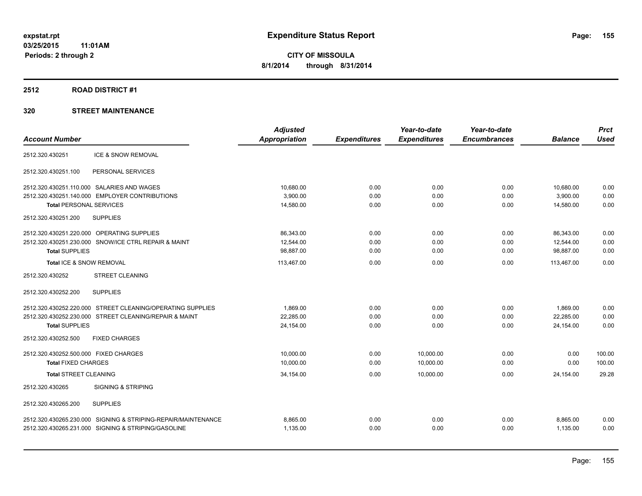#### **2512 ROAD DISTRICT #1**

|                                                               | <b>Adjusted</b>      |                     | Year-to-date        | Year-to-date        |                | <b>Prct</b> |
|---------------------------------------------------------------|----------------------|---------------------|---------------------|---------------------|----------------|-------------|
| <b>Account Number</b>                                         | <b>Appropriation</b> | <b>Expenditures</b> | <b>Expenditures</b> | <b>Encumbrances</b> | <b>Balance</b> | <b>Used</b> |
| ICE & SNOW REMOVAL<br>2512.320.430251                         |                      |                     |                     |                     |                |             |
| 2512.320.430251.100<br>PERSONAL SERVICES                      |                      |                     |                     |                     |                |             |
| 2512.320.430251.110.000 SALARIES AND WAGES                    | 10,680.00            | 0.00                | 0.00                | 0.00                | 10,680.00      | 0.00        |
| 2512.320.430251.140.000 EMPLOYER CONTRIBUTIONS                | 3,900.00             | 0.00                | 0.00                | 0.00                | 3,900.00       | 0.00        |
| <b>Total PERSONAL SERVICES</b>                                | 14,580.00            | 0.00                | 0.00                | 0.00                | 14,580.00      | 0.00        |
| <b>SUPPLIES</b><br>2512.320.430251.200                        |                      |                     |                     |                     |                |             |
| 2512.320.430251.220.000 OPERATING SUPPLIES                    | 86,343.00            | 0.00                | 0.00                | 0.00                | 86,343.00      | 0.00        |
| 2512.320.430251.230.000 SNOW/ICE CTRL REPAIR & MAINT          | 12,544.00            | 0.00                | 0.00                | 0.00                | 12,544.00      | 0.00        |
| <b>Total SUPPLIES</b>                                         | 98,887.00            | 0.00                | 0.00                | 0.00                | 98,887.00      | 0.00        |
| Total ICE & SNOW REMOVAL                                      | 113.467.00           | 0.00                | 0.00                | 0.00                | 113.467.00     | 0.00        |
| 2512.320.430252<br><b>STREET CLEANING</b>                     |                      |                     |                     |                     |                |             |
| 2512.320.430252.200<br><b>SUPPLIES</b>                        |                      |                     |                     |                     |                |             |
| 2512.320.430252.220.000 STREET CLEANING/OPERATING SUPPLIES    | 1.869.00             | 0.00                | 0.00                | 0.00                | 1,869.00       | 0.00        |
| 2512.320.430252.230.000 STREET CLEANING/REPAIR & MAINT        | 22,285.00            | 0.00                | 0.00                | 0.00                | 22,285.00      | 0.00        |
| <b>Total SUPPLIES</b>                                         | 24,154.00            | 0.00                | 0.00                | 0.00                | 24,154.00      | 0.00        |
| 2512.320.430252.500<br><b>FIXED CHARGES</b>                   |                      |                     |                     |                     |                |             |
| 2512.320.430252.500.000 FIXED CHARGES                         | 10,000.00            | 0.00                | 10,000.00           | 0.00                | 0.00           | 100.00      |
| <b>Total FIXED CHARGES</b>                                    | 10,000.00            | 0.00                | 10,000.00           | 0.00                | 0.00           | 100.00      |
| <b>Total STREET CLEANING</b>                                  | 34,154.00            | 0.00                | 10.000.00           | 0.00                | 24,154.00      | 29.28       |
| 2512.320.430265<br><b>SIGNING &amp; STRIPING</b>              |                      |                     |                     |                     |                |             |
| 2512.320.430265.200<br><b>SUPPLIES</b>                        |                      |                     |                     |                     |                |             |
| 2512.320.430265.230.000 SIGNING & STRIPING-REPAIR/MAINTENANCE | 8,865.00             | 0.00                | 0.00                | 0.00                | 8,865.00       | 0.00        |
| 2512.320.430265.231.000 SIGNING & STRIPING/GASOLINE           | 1,135.00             | 0.00                | 0.00                | 0.00                | 1,135.00       | 0.00        |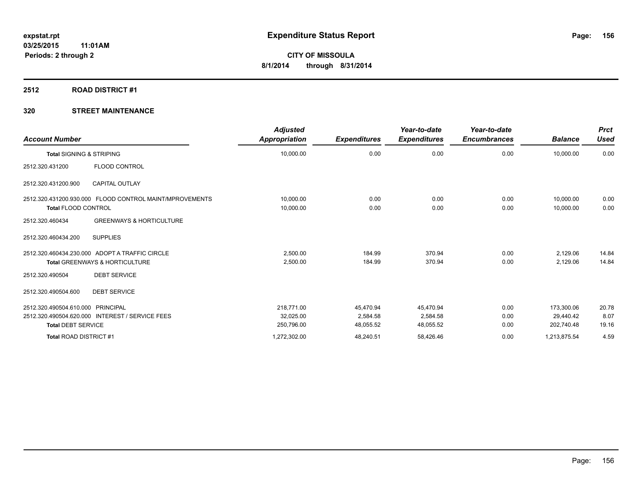#### **2512 ROAD DISTRICT #1**

| <b>Account Number</b>               |                                                         | <b>Adjusted</b><br>Appropriation | <b>Expenditures</b> | Year-to-date<br><b>Expenditures</b> | Year-to-date<br><b>Encumbrances</b> | <b>Balance</b> | <b>Prct</b><br><b>Used</b> |
|-------------------------------------|---------------------------------------------------------|----------------------------------|---------------------|-------------------------------------|-------------------------------------|----------------|----------------------------|
| <b>Total SIGNING &amp; STRIPING</b> |                                                         | 10,000.00                        | 0.00                | 0.00                                | 0.00                                | 10,000.00      | 0.00                       |
| 2512.320.431200                     | FLOOD CONTROL                                           |                                  |                     |                                     |                                     |                |                            |
| 2512.320.431200.900                 | <b>CAPITAL OUTLAY</b>                                   |                                  |                     |                                     |                                     |                |                            |
|                                     | 2512.320.431200.930.000 FLOOD CONTROL MAINT/MPROVEMENTS | 10,000.00                        | 0.00                | 0.00                                | 0.00                                | 10,000.00      | 0.00                       |
| <b>Total FLOOD CONTROL</b>          |                                                         | 10,000.00                        | 0.00                | 0.00                                | 0.00                                | 10,000.00      | 0.00                       |
| 2512.320.460434                     | <b>GREENWAYS &amp; HORTICULTURE</b>                     |                                  |                     |                                     |                                     |                |                            |
| 2512.320.460434.200                 | <b>SUPPLIES</b>                                         |                                  |                     |                                     |                                     |                |                            |
|                                     | 2512.320.460434.230.000 ADOPT A TRAFFIC CIRCLE          | 2.500.00                         | 184.99              | 370.94                              | 0.00                                | 2,129.06       | 14.84                      |
|                                     | <b>Total GREENWAYS &amp; HORTICULTURE</b>               | 2,500.00                         | 184.99              | 370.94                              | 0.00                                | 2,129.06       | 14.84                      |
| 2512.320.490504                     | <b>DEBT SERVICE</b>                                     |                                  |                     |                                     |                                     |                |                            |
| 2512.320.490504.600                 | <b>DEBT SERVICE</b>                                     |                                  |                     |                                     |                                     |                |                            |
| 2512.320.490504.610.000             | PRINCIPAL                                               | 218,771.00                       | 45,470.94           | 45,470.94                           | 0.00                                | 173,300.06     | 20.78                      |
|                                     | 2512.320.490504.620.000 INTEREST / SERVICE FEES         | 32,025.00                        | 2,584.58            | 2,584.58                            | 0.00                                | 29.440.42      | 8.07                       |
| <b>Total DEBT SERVICE</b>           |                                                         | 250,796.00                       | 48,055.52           | 48,055.52                           | 0.00                                | 202,740.48     | 19.16                      |
| Total ROAD DISTRICT #1              |                                                         | 1,272,302.00                     | 48,240.51           | 58,426.46                           | 0.00                                | 1,213,875.54   | 4.59                       |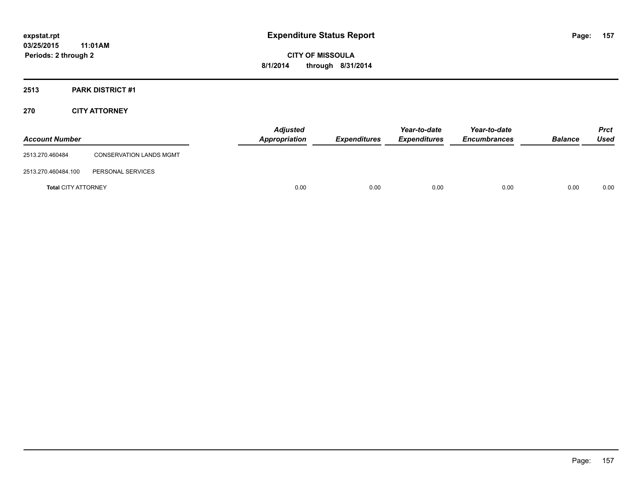### **2513 PARK DISTRICT #1**

#### **270 CITY ATTORNEY**

| <b>Account Number</b>      |                                | <b>Adjusted</b><br><b>Appropriation</b> | <b>Expenditures</b> | Year-to-date<br><b>Expenditures</b> | Year-to-date<br><b>Encumbrances</b> | <b>Balance</b> | <b>Prct</b><br>Used |
|----------------------------|--------------------------------|-----------------------------------------|---------------------|-------------------------------------|-------------------------------------|----------------|---------------------|
| 2513.270.460484            | <b>CONSERVATION LANDS MGMT</b> |                                         |                     |                                     |                                     |                |                     |
| 2513.270.460484.100        | PERSONAL SERVICES              |                                         |                     |                                     |                                     |                |                     |
| <b>Total CITY ATTORNEY</b> |                                | 0.00                                    | 0.00                | 0.00                                | 0.00                                | 0.00           | 0.00                |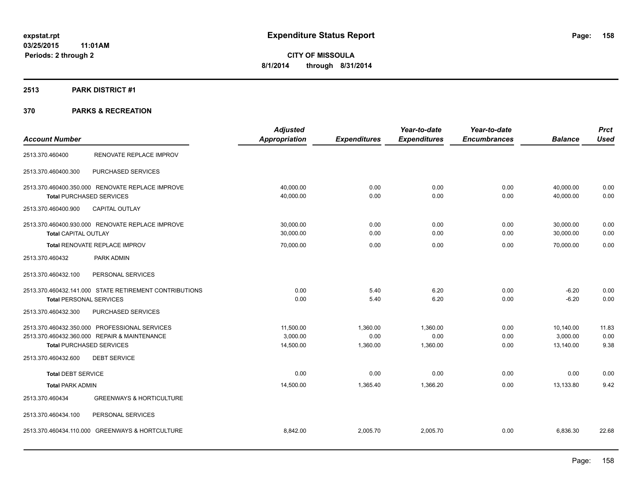### **2513 PARK DISTRICT #1**

|                                |                                                        | <b>Adjusted</b> |                     | Year-to-date        | Year-to-date        |                | <b>Prct</b> |
|--------------------------------|--------------------------------------------------------|-----------------|---------------------|---------------------|---------------------|----------------|-------------|
| <b>Account Number</b>          |                                                        | Appropriation   | <b>Expenditures</b> | <b>Expenditures</b> | <b>Encumbrances</b> | <b>Balance</b> | <b>Used</b> |
| 2513.370.460400                | RENOVATE REPLACE IMPROV                                |                 |                     |                     |                     |                |             |
| 2513.370.460400.300            | PURCHASED SERVICES                                     |                 |                     |                     |                     |                |             |
|                                | 2513.370.460400.350.000 RENOVATE REPLACE IMPROVE       | 40,000.00       | 0.00                | 0.00                | 0.00                | 40,000.00      | 0.00        |
|                                | <b>Total PURCHASED SERVICES</b>                        | 40,000.00       | 0.00                | 0.00                | 0.00                | 40,000.00      | 0.00        |
| 2513.370.460400.900            | <b>CAPITAL OUTLAY</b>                                  |                 |                     |                     |                     |                |             |
|                                | 2513.370.460400.930.000 RENOVATE REPLACE IMPROVE       | 30,000.00       | 0.00                | 0.00                | 0.00                | 30,000.00      | 0.00        |
| <b>Total CAPITAL OUTLAY</b>    |                                                        | 30.000.00       | 0.00                | 0.00                | 0.00                | 30.000.00      | 0.00        |
|                                | Total RENOVATE REPLACE IMPROV                          | 70,000.00       | 0.00                | 0.00                | 0.00                | 70,000.00      | 0.00        |
| 2513.370.460432                | PARK ADMIN                                             |                 |                     |                     |                     |                |             |
| 2513.370.460432.100            | PERSONAL SERVICES                                      |                 |                     |                     |                     |                |             |
|                                | 2513.370.460432.141.000 STATE RETIREMENT CONTRIBUTIONS | 0.00            | 5.40                | 6.20                | 0.00                | $-6.20$        | 0.00        |
| <b>Total PERSONAL SERVICES</b> |                                                        | 0.00            | 5.40                | 6.20                | 0.00                | $-6.20$        | 0.00        |
| 2513.370.460432.300            | PURCHASED SERVICES                                     |                 |                     |                     |                     |                |             |
|                                | 2513.370.460432.350.000 PROFESSIONAL SERVICES          | 11.500.00       | 1.360.00            | 1.360.00            | 0.00                | 10,140.00      | 11.83       |
|                                | 2513.370.460432.360.000 REPAIR & MAINTENANCE           | 3,000.00        | 0.00                | 0.00                | 0.00                | 3,000.00       | 0.00        |
|                                | <b>Total PURCHASED SERVICES</b>                        | 14,500.00       | 1,360.00            | 1,360.00            | 0.00                | 13,140.00      | 9.38        |
| 2513.370.460432.600            | <b>DEBT SERVICE</b>                                    |                 |                     |                     |                     |                |             |
| <b>Total DEBT SERVICE</b>      |                                                        | 0.00            | 0.00                | 0.00                | 0.00                | 0.00           | 0.00        |
| <b>Total PARK ADMIN</b>        |                                                        | 14,500.00       | 1,365.40            | 1,366.20            | 0.00                | 13,133.80      | 9.42        |
| 2513.370.460434                | <b>GREENWAYS &amp; HORTICULTURE</b>                    |                 |                     |                     |                     |                |             |
| 2513.370.460434.100            | PERSONAL SERVICES                                      |                 |                     |                     |                     |                |             |
|                                | 2513.370.460434.110.000 GREENWAYS & HORTCULTURE        | 8,842.00        | 2,005.70            | 2,005.70            | 0.00                | 6,836.30       | 22.68       |
|                                |                                                        |                 |                     |                     |                     |                |             |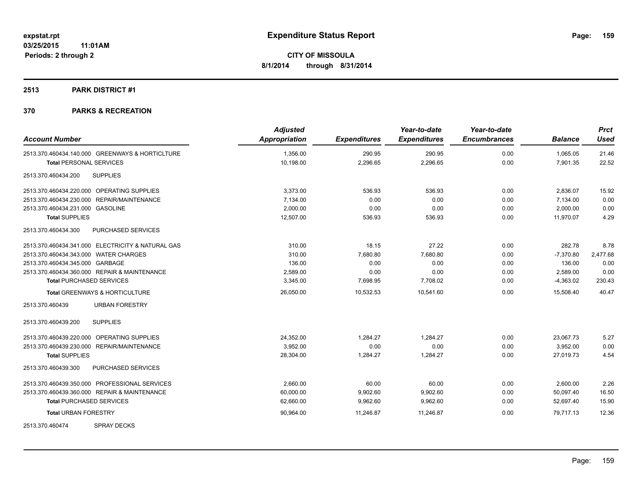#### **2513 PARK DISTRICT #1**

| <b>Account Number</b>                                | <b>Adjusted</b><br>Appropriation | <b>Expenditures</b> | Year-to-date<br><b>Expenditures</b> | Year-to-date<br><b>Encumbrances</b> | <b>Balance</b> | <b>Prct</b><br><b>Used</b> |
|------------------------------------------------------|----------------------------------|---------------------|-------------------------------------|-------------------------------------|----------------|----------------------------|
| 2513.370.460434.140.000 GREENWAYS & HORTICLTURE      | 1,356.00                         | 290.95              | 290.95                              | 0.00                                | 1,065.05       | 21.46                      |
| <b>Total PERSONAL SERVICES</b>                       | 10,198.00                        | 2,296.65            | 2,296.65                            | 0.00                                | 7,901.35       | 22.52                      |
| <b>SUPPLIES</b><br>2513.370.460434.200               |                                  |                     |                                     |                                     |                |                            |
| 2513.370.460434.220.000 OPERATING SUPPLIES           | 3,373.00                         | 536.93              | 536.93                              | 0.00                                | 2,836.07       | 15.92                      |
| 2513.370.460434.230.000 REPAIR/MAINTENANCE           | 7,134.00                         | 0.00                | 0.00                                | 0.00                                | 7,134.00       | 0.00                       |
| 2513.370.460434.231.000 GASOLINE                     | 2,000.00                         | 0.00                | 0.00                                | 0.00                                | 2,000.00       | 0.00                       |
| <b>Total SUPPLIES</b>                                | 12,507.00                        | 536.93              | 536.93                              | 0.00                                | 11,970.07      | 4.29                       |
| PURCHASED SERVICES<br>2513.370.460434.300            |                                  |                     |                                     |                                     |                |                            |
| 2513.370.460434.341.000 ELECTRICITY & NATURAL GAS    | 310.00                           | 18.15               | 27.22                               | 0.00                                | 282.78         | 8.78                       |
| 2513.370.460434.343.000 WATER CHARGES                | 310.00                           | 7,680.80            | 7,680.80                            | 0.00                                | $-7,370.80$    | 2,477.68                   |
| 2513.370.460434.345.000 GARBAGE                      | 136.00                           | 0.00                | 0.00                                | 0.00                                | 136.00         | 0.00                       |
| 2513.370.460434.360.000 REPAIR & MAINTENANCE         | 2,589.00                         | 0.00                | 0.00                                | 0.00                                | 2,589.00       | 0.00                       |
| <b>Total PURCHASED SERVICES</b>                      | 3,345.00                         | 7,698.95            | 7,708.02                            | 0.00                                | $-4,363.02$    | 230.43                     |
| <b>Total GREENWAYS &amp; HORTICULTURE</b>            | 26,050.00                        | 10,532.53           | 10.541.60                           | 0.00                                | 15,508.40      | 40.47                      |
| 2513.370.460439<br><b>URBAN FORESTRY</b>             |                                  |                     |                                     |                                     |                |                            |
| <b>SUPPLIES</b><br>2513.370.460439.200               |                                  |                     |                                     |                                     |                |                            |
| OPERATING SUPPLIES<br>2513.370.460439.220.000        | 24,352.00                        | 1,284.27            | 1,284.27                            | 0.00                                | 23,067.73      | 5.27                       |
| <b>REPAIR/MAINTENANCE</b><br>2513.370.460439.230.000 | 3.952.00                         | 0.00                | 0.00                                | 0.00                                | 3.952.00       | 0.00                       |
| <b>Total SUPPLIES</b>                                | 28,304.00                        | 1,284.27            | 1,284.27                            | 0.00                                | 27,019.73      | 4.54                       |
| PURCHASED SERVICES<br>2513.370.460439.300            |                                  |                     |                                     |                                     |                |                            |
| 2513.370.460439.350.000 PROFESSIONAL SERVICES        | 2,660.00                         | 60.00               | 60.00                               | 0.00                                | 2,600.00       | 2.26                       |
| 2513.370.460439.360.000 REPAIR & MAINTENANCE         | 60,000.00                        | 9,902.60            | 9,902.60                            | 0.00                                | 50,097.40      | 16.50                      |
| <b>Total PURCHASED SERVICES</b>                      | 62,660.00                        | 9,962.60            | 9,962.60                            | 0.00                                | 52,697.40      | 15.90                      |
| <b>Total URBAN FORESTRY</b>                          | 90,964.00                        | 11,246.87           | 11,246.87                           | 0.00                                | 79,717.13      | 12.36                      |
| <b>SPRAY DECKS</b><br>2513.370.460474                |                                  |                     |                                     |                                     |                |                            |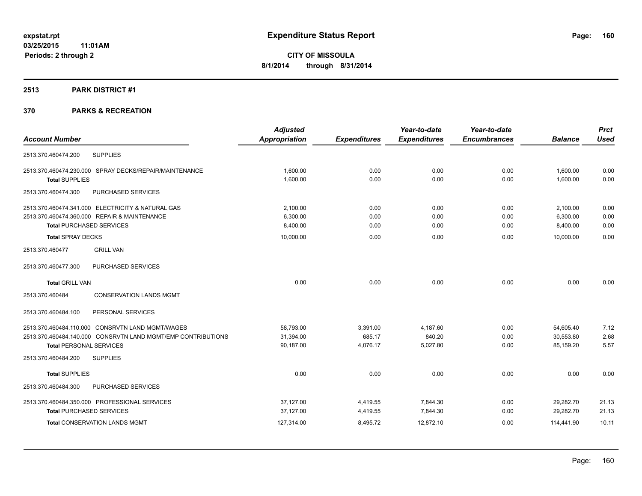#### **2513 PARK DISTRICT #1**

| <b>Account Number</b>                                        | <b>Adjusted</b><br><b>Appropriation</b> | <b>Expenditures</b> | Year-to-date<br><b>Expenditures</b> | Year-to-date<br><b>Encumbrances</b> | <b>Balance</b> | <b>Prct</b><br><b>Used</b> |
|--------------------------------------------------------------|-----------------------------------------|---------------------|-------------------------------------|-------------------------------------|----------------|----------------------------|
|                                                              |                                         |                     |                                     |                                     |                |                            |
| <b>SUPPLIES</b><br>2513.370.460474.200                       |                                         |                     |                                     |                                     |                |                            |
| 2513.370.460474.230.000 SPRAY DECKS/REPAIR/MAINTENANCE       | 1,600.00                                | 0.00                | 0.00                                | 0.00                                | 1,600.00       | 0.00                       |
| <b>Total SUPPLIES</b>                                        | 1,600.00                                | 0.00                | 0.00                                | 0.00                                | 1.600.00       | 0.00                       |
| 2513.370.460474.300<br><b>PURCHASED SERVICES</b>             |                                         |                     |                                     |                                     |                |                            |
| 2513.370.460474.341.000 ELECTRICITY & NATURAL GAS            | 2.100.00                                | 0.00                | 0.00                                | 0.00                                | 2,100.00       | 0.00                       |
| 2513.370.460474.360.000 REPAIR & MAINTENANCE                 | 6,300.00                                | 0.00                | 0.00                                | 0.00                                | 6,300.00       | 0.00                       |
| <b>Total PURCHASED SERVICES</b>                              | 8,400.00                                | 0.00                | 0.00                                | 0.00                                | 8,400.00       | 0.00                       |
| <b>Total SPRAY DECKS</b>                                     | 10,000.00                               | 0.00                | 0.00                                | 0.00                                | 10,000.00      | 0.00                       |
| 2513.370.460477<br><b>GRILL VAN</b>                          |                                         |                     |                                     |                                     |                |                            |
| PURCHASED SERVICES<br>2513.370.460477.300                    |                                         |                     |                                     |                                     |                |                            |
| <b>Total GRILL VAN</b>                                       | 0.00                                    | 0.00                | 0.00                                | 0.00                                | 0.00           | 0.00                       |
| 2513.370.460484<br><b>CONSERVATION LANDS MGMT</b>            |                                         |                     |                                     |                                     |                |                            |
| 2513.370.460484.100<br>PERSONAL SERVICES                     |                                         |                     |                                     |                                     |                |                            |
| 2513.370.460484.110.000 CONSRVTN LAND MGMT/WAGES             | 58,793.00                               | 3,391.00            | 4.187.60                            | 0.00                                | 54,605.40      | 7.12                       |
| 2513.370.460484.140.000 CONSRVTN LAND MGMT/EMP CONTRIBUTIONS | 31,394.00                               | 685.17              | 840.20                              | 0.00                                | 30,553.80      | 2.68                       |
| <b>Total PERSONAL SERVICES</b>                               | 90,187.00                               | 4,076.17            | 5,027.80                            | 0.00                                | 85,159.20      | 5.57                       |
| 2513.370.460484.200<br><b>SUPPLIES</b>                       |                                         |                     |                                     |                                     |                |                            |
| <b>Total SUPPLIES</b>                                        | 0.00                                    | 0.00                | 0.00                                | 0.00                                | 0.00           | 0.00                       |
| 2513.370.460484.300<br>PURCHASED SERVICES                    |                                         |                     |                                     |                                     |                |                            |
| 2513.370.460484.350.000 PROFESSIONAL SERVICES                | 37,127.00                               | 4,419.55            | 7,844.30                            | 0.00                                | 29,282.70      | 21.13                      |
| <b>Total PURCHASED SERVICES</b>                              | 37,127.00                               | 4,419.55            | 7,844.30                            | 0.00                                | 29,282.70      | 21.13                      |
| <b>Total CONSERVATION LANDS MGMT</b>                         | 127,314.00                              | 8,495.72            | 12,872.10                           | 0.00                                | 114,441.90     | 10.11                      |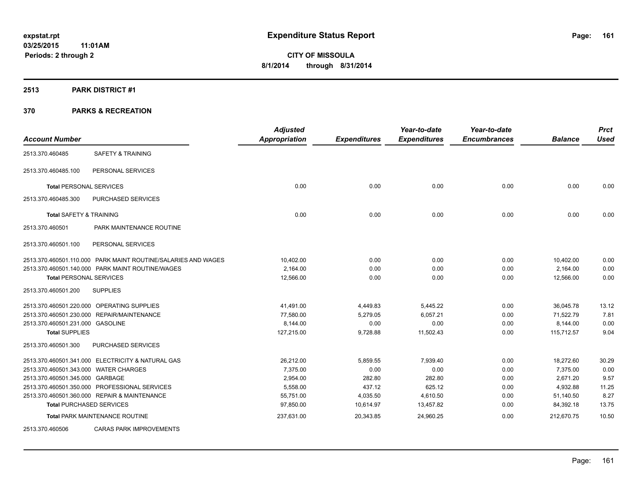#### **2513 PARK DISTRICT #1**

|                                       |                                                               | <b>Adjusted</b>      |                     | Year-to-date        | Year-to-date        |                | <b>Prct</b> |
|---------------------------------------|---------------------------------------------------------------|----------------------|---------------------|---------------------|---------------------|----------------|-------------|
| <b>Account Number</b>                 |                                                               | <b>Appropriation</b> | <b>Expenditures</b> | <b>Expenditures</b> | <b>Encumbrances</b> | <b>Balance</b> | <b>Used</b> |
| 2513.370.460485                       | <b>SAFETY &amp; TRAINING</b>                                  |                      |                     |                     |                     |                |             |
| 2513.370.460485.100                   | PERSONAL SERVICES                                             |                      |                     |                     |                     |                |             |
| <b>Total PERSONAL SERVICES</b>        |                                                               | 0.00                 | 0.00                | 0.00                | 0.00                | 0.00           | 0.00        |
| 2513.370.460485.300                   | PURCHASED SERVICES                                            |                      |                     |                     |                     |                |             |
| <b>Total SAFETY &amp; TRAINING</b>    |                                                               | 0.00                 | 0.00                | 0.00                | 0.00                | 0.00           | 0.00        |
| 2513.370.460501                       | PARK MAINTENANCE ROUTINE                                      |                      |                     |                     |                     |                |             |
| 2513.370.460501.100                   | PERSONAL SERVICES                                             |                      |                     |                     |                     |                |             |
|                                       | 2513.370.460501.110.000 PARK MAINT ROUTINE/SALARIES AND WAGES | 10,402.00            | 0.00                | 0.00                | 0.00                | 10,402.00      | 0.00        |
|                                       | 2513.370.460501.140.000 PARK MAINT ROUTINE/WAGES              | 2,164.00             | 0.00                | 0.00                | 0.00                | 2,164.00       | 0.00        |
| <b>Total PERSONAL SERVICES</b>        |                                                               | 12,566.00            | 0.00                | 0.00                | 0.00                | 12,566.00      | 0.00        |
| 2513.370.460501.200                   | <b>SUPPLIES</b>                                               |                      |                     |                     |                     |                |             |
|                                       | 2513.370.460501.220.000 OPERATING SUPPLIES                    | 41,491.00            | 4,449.83            | 5,445.22            | 0.00                | 36,045.78      | 13.12       |
|                                       | 2513.370.460501.230.000 REPAIR/MAINTENANCE                    | 77,580.00            | 5,279.05            | 6,057.21            | 0.00                | 71,522.79      | 7.81        |
| 2513.370.460501.231.000 GASOLINE      |                                                               | 8,144.00             | 0.00                | 0.00                | 0.00                | 8,144.00       | 0.00        |
| <b>Total SUPPLIES</b>                 |                                                               | 127,215.00           | 9,728.88            | 11,502.43           | 0.00                | 115,712.57     | 9.04        |
| 2513.370.460501.300                   | PURCHASED SERVICES                                            |                      |                     |                     |                     |                |             |
|                                       | 2513.370.460501.341.000 ELECTRICITY & NATURAL GAS             | 26,212.00            | 5,859.55            | 7,939.40            | 0.00                | 18,272.60      | 30.29       |
| 2513.370.460501.343.000 WATER CHARGES |                                                               | 7,375.00             | 0.00                | 0.00                | 0.00                | 7,375.00       | 0.00        |
| 2513.370.460501.345.000 GARBAGE       |                                                               | 2,954.00             | 282.80              | 282.80              | 0.00                | 2,671.20       | 9.57        |
|                                       | 2513.370.460501.350.000 PROFESSIONAL SERVICES                 | 5,558.00             | 437.12              | 625.12              | 0.00                | 4,932.88       | 11.25       |
|                                       | 2513.370.460501.360.000 REPAIR & MAINTENANCE                  | 55,751.00            | 4,035.50            | 4,610.50            | 0.00                | 51,140.50      | 8.27        |
|                                       | <b>Total PURCHASED SERVICES</b>                               | 97,850.00            | 10,614.97           | 13,457.82           | 0.00                | 84,392.18      | 13.75       |
|                                       | Total PARK MAINTENANCE ROUTINE                                | 237,631.00           | 20,343.85           | 24,960.25           | 0.00                | 212,670.75     | 10.50       |
| 2513.370.460506                       | <b>CARAS PARK IMPROVEMENTS</b>                                |                      |                     |                     |                     |                |             |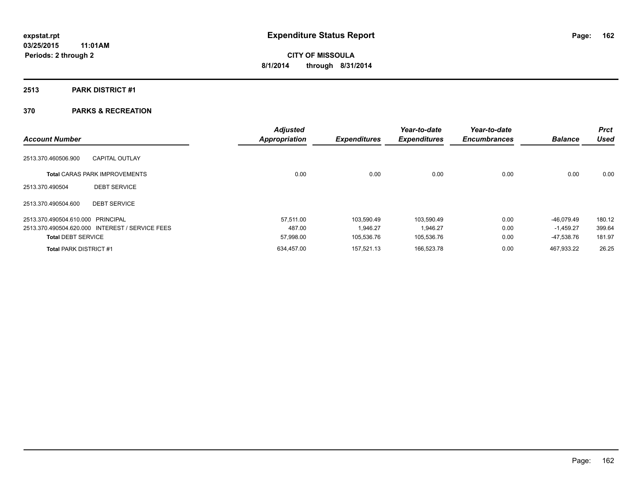### **2513 PARK DISTRICT #1**

| <b>Account Number</b>             |                                                 | <b>Adjusted</b><br><b>Appropriation</b> | <b>Expenditures</b> | Year-to-date<br><b>Expenditures</b> | Year-to-date<br><b>Encumbrances</b> | <b>Balance</b> | <b>Prct</b><br><b>Used</b> |
|-----------------------------------|-------------------------------------------------|-----------------------------------------|---------------------|-------------------------------------|-------------------------------------|----------------|----------------------------|
| 2513.370.460506.900               | <b>CAPITAL OUTLAY</b>                           |                                         |                     |                                     |                                     |                |                            |
|                                   | <b>Total CARAS PARK IMPROVEMENTS</b>            | 0.00                                    | 0.00                | 0.00                                | 0.00                                | 0.00           | 0.00                       |
| 2513.370.490504                   | <b>DEBT SERVICE</b>                             |                                         |                     |                                     |                                     |                |                            |
| 2513.370.490504.600               | <b>DEBT SERVICE</b>                             |                                         |                     |                                     |                                     |                |                            |
| 2513.370.490504.610.000 PRINCIPAL |                                                 | 57.511.00                               | 103.590.49          | 103.590.49                          | 0.00                                | $-46.079.49$   | 180.12                     |
|                                   | 2513.370.490504.620.000 INTEREST / SERVICE FEES | 487.00                                  | 1.946.27            | 1,946.27                            | 0.00                                | $-1,459.27$    | 399.64                     |
| <b>Total DEBT SERVICE</b>         |                                                 | 57,998.00                               | 105,536.76          | 105,536.76                          | 0.00                                | -47,538.76     | 181.97                     |
| <b>Total PARK DISTRICT #1</b>     |                                                 | 634.457.00                              | 157.521.13          | 166.523.78                          | 0.00                                | 467.933.22     | 26.25                      |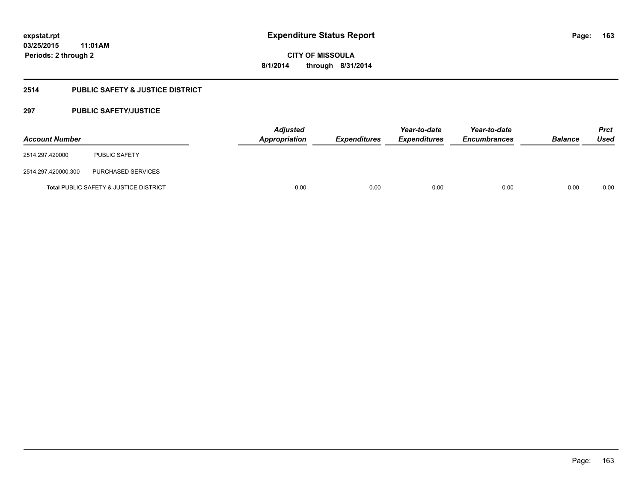### **2514 PUBLIC SAFETY & JUSTICE DISTRICT**

#### **297 PUBLIC SAFETY/JUSTICE**

| <b>Account Number</b> |                                                   | <b>Adjusted</b><br>Appropriation | <b>Expenditures</b> | Year-to-date<br><b>Expenditures</b> | Year-to-date<br><b>Encumbrances</b> | <b>Balance</b> | <b>Prct</b><br><b>Used</b> |
|-----------------------|---------------------------------------------------|----------------------------------|---------------------|-------------------------------------|-------------------------------------|----------------|----------------------------|
| 2514.297.420000       | <b>PUBLIC SAFETY</b>                              |                                  |                     |                                     |                                     |                |                            |
| 2514.297.420000.300   | PURCHASED SERVICES                                |                                  |                     |                                     |                                     |                |                            |
|                       | <b>Total PUBLIC SAFETY &amp; JUSTICE DISTRICT</b> | 0.00                             | 0.00                | 0.00                                | 0.00                                | 0.00           | 0.00                       |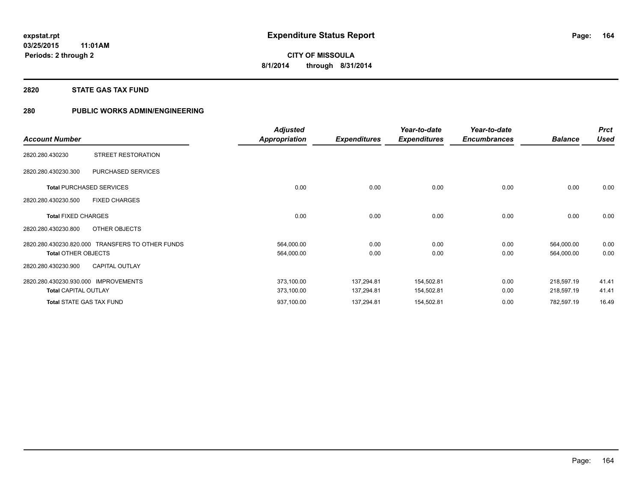#### **2820 STATE GAS TAX FUND**

#### **280 PUBLIC WORKS ADMIN/ENGINEERING**

|                                                  | <b>Adjusted</b>      |                     | Year-to-date        | Year-to-date        |                | <b>Prct</b> |
|--------------------------------------------------|----------------------|---------------------|---------------------|---------------------|----------------|-------------|
| <b>Account Number</b>                            | <b>Appropriation</b> | <b>Expenditures</b> | <b>Expenditures</b> | <b>Encumbrances</b> | <b>Balance</b> | <b>Used</b> |
| STREET RESTORATION<br>2820.280.430230            |                      |                     |                     |                     |                |             |
| PURCHASED SERVICES<br>2820.280.430230.300        |                      |                     |                     |                     |                |             |
| <b>Total PURCHASED SERVICES</b>                  | 0.00                 | 0.00                | 0.00                | 0.00                | 0.00           | 0.00        |
| 2820.280.430230.500<br><b>FIXED CHARGES</b>      |                      |                     |                     |                     |                |             |
| <b>Total FIXED CHARGES</b>                       | 0.00                 | 0.00                | 0.00                | 0.00                | 0.00           | 0.00        |
| 2820.280.430230.800<br>OTHER OBJECTS             |                      |                     |                     |                     |                |             |
| 2820.280.430230.820.000 TRANSFERS TO OTHER FUNDS | 564,000.00           | 0.00                | 0.00                | 0.00                | 564,000.00     | 0.00        |
| <b>Total OTHER OBJECTS</b>                       | 564,000.00           | 0.00                | 0.00                | 0.00                | 564,000.00     | 0.00        |
| <b>CAPITAL OUTLAY</b><br>2820.280.430230.900     |                      |                     |                     |                     |                |             |
| 2820.280.430230.930.000<br><b>IMPROVEMENTS</b>   | 373,100.00           | 137,294.81          | 154,502.81          | 0.00                | 218,597.19     | 41.41       |
| <b>Total CAPITAL OUTLAY</b>                      | 373,100.00           | 137,294.81          | 154,502.81          | 0.00                | 218,597.19     | 41.41       |
| <b>Total STATE GAS TAX FUND</b>                  | 937,100.00           | 137,294.81          | 154,502.81          | 0.00                | 782,597.19     | 16.49       |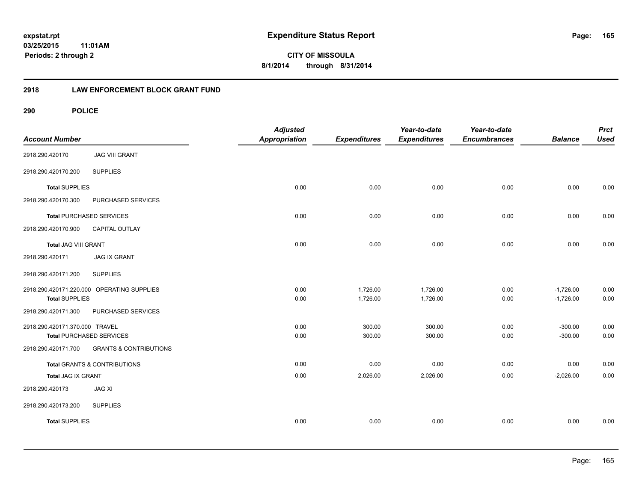**165**

**03/25/2015 11:01AM Periods: 2 through 2**

**CITY OF MISSOULA 8/1/2014 through 8/31/2014**

#### **2918 LAW ENFORCEMENT BLOCK GRANT FUND**

| <b>Account Number</b>           |                                            | <b>Adjusted</b><br>Appropriation | <b>Expenditures</b> | Year-to-date<br><b>Expenditures</b> | Year-to-date<br><b>Encumbrances</b> | <b>Balance</b> | <b>Prct</b><br><b>Used</b> |
|---------------------------------|--------------------------------------------|----------------------------------|---------------------|-------------------------------------|-------------------------------------|----------------|----------------------------|
| 2918.290.420170                 | <b>JAG VIII GRANT</b>                      |                                  |                     |                                     |                                     |                |                            |
| 2918.290.420170.200             | <b>SUPPLIES</b>                            |                                  |                     |                                     |                                     |                |                            |
| <b>Total SUPPLIES</b>           |                                            | 0.00                             | 0.00                | 0.00                                | 0.00                                | 0.00           | 0.00                       |
| 2918.290.420170.300             | PURCHASED SERVICES                         |                                  |                     |                                     |                                     |                |                            |
| <b>Total PURCHASED SERVICES</b> |                                            | 0.00                             | 0.00                | 0.00                                | 0.00                                | 0.00           | 0.00                       |
| 2918.290.420170.900             | <b>CAPITAL OUTLAY</b>                      |                                  |                     |                                     |                                     |                |                            |
| Total JAG VIII GRANT            |                                            | 0.00                             | 0.00                | 0.00                                | 0.00                                | 0.00           | 0.00                       |
| 2918.290.420171                 | <b>JAG IX GRANT</b>                        |                                  |                     |                                     |                                     |                |                            |
| 2918.290.420171.200             | <b>SUPPLIES</b>                            |                                  |                     |                                     |                                     |                |                            |
|                                 | 2918.290.420171.220.000 OPERATING SUPPLIES | 0.00                             | 1,726.00            | 1,726.00                            | 0.00                                | $-1,726.00$    | 0.00                       |
| <b>Total SUPPLIES</b>           |                                            | 0.00                             | 1,726.00            | 1,726.00                            | 0.00                                | $-1,726.00$    | 0.00                       |
| 2918.290.420171.300             | PURCHASED SERVICES                         |                                  |                     |                                     |                                     |                |                            |
| 2918.290.420171.370.000 TRAVEL  |                                            | 0.00                             | 300.00              | 300.00                              | 0.00                                | $-300.00$      | 0.00                       |
| <b>Total PURCHASED SERVICES</b> |                                            | 0.00                             | 300.00              | 300.00                              | 0.00                                | $-300.00$      | 0.00                       |
| 2918.290.420171.700             | <b>GRANTS &amp; CONTRIBUTIONS</b>          |                                  |                     |                                     |                                     |                |                            |
|                                 | Total GRANTS & CONTRIBUTIONS               | 0.00                             | 0.00                | 0.00                                | 0.00                                | 0.00           | 0.00                       |
| Total JAG IX GRANT              |                                            | 0.00                             | 2,026.00            | 2,026.00                            | 0.00                                | $-2,026.00$    | 0.00                       |
| 2918.290.420173                 | <b>JAG XI</b>                              |                                  |                     |                                     |                                     |                |                            |
| 2918.290.420173.200             | <b>SUPPLIES</b>                            |                                  |                     |                                     |                                     |                |                            |
| <b>Total SUPPLIES</b>           |                                            | 0.00                             | 0.00                | 0.00                                | 0.00                                | 0.00           | 0.00                       |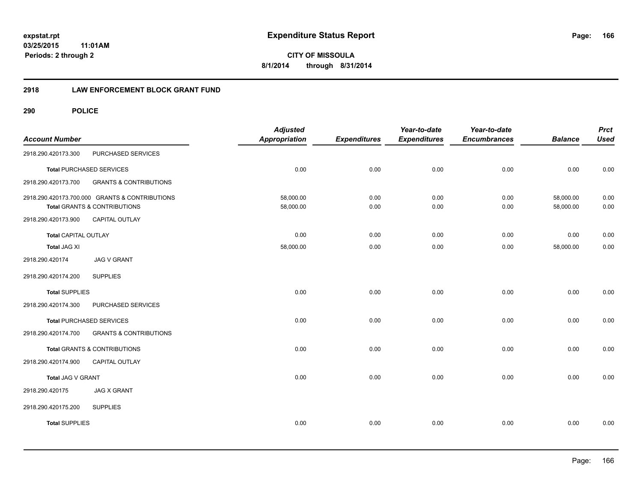**CITY OF MISSOULA 8/1/2014 through 8/31/2014**

#### **2918 LAW ENFORCEMENT BLOCK GRANT FUND**

| <b>Account Number</b>       |                                                                                | <b>Adjusted</b><br><b>Appropriation</b> | <b>Expenditures</b> | Year-to-date<br><b>Expenditures</b> | Year-to-date<br><b>Encumbrances</b> | <b>Balance</b>         | <b>Prct</b><br><b>Used</b> |
|-----------------------------|--------------------------------------------------------------------------------|-----------------------------------------|---------------------|-------------------------------------|-------------------------------------|------------------------|----------------------------|
| 2918.290.420173.300         | PURCHASED SERVICES                                                             |                                         |                     |                                     |                                     |                        |                            |
|                             | <b>Total PURCHASED SERVICES</b>                                                | 0.00                                    | 0.00                | 0.00                                | 0.00                                | 0.00                   | 0.00                       |
| 2918.290.420173.700         | <b>GRANTS &amp; CONTRIBUTIONS</b>                                              |                                         |                     |                                     |                                     |                        |                            |
|                             | 2918.290.420173.700.000 GRANTS & CONTRIBUTIONS<br>Total GRANTS & CONTRIBUTIONS | 58,000.00<br>58,000.00                  | 0.00<br>0.00        | 0.00<br>0.00                        | 0.00<br>0.00                        | 58,000.00<br>58,000.00 | 0.00<br>0.00               |
| 2918.290.420173.900         | CAPITAL OUTLAY                                                                 |                                         |                     |                                     |                                     |                        |                            |
| <b>Total CAPITAL OUTLAY</b> |                                                                                | 0.00                                    | 0.00                | 0.00                                | 0.00                                | 0.00                   | 0.00                       |
| Total JAG XI                |                                                                                | 58,000.00                               | 0.00                | 0.00                                | 0.00                                | 58,000.00              | 0.00                       |
| 2918.290.420174             | <b>JAG V GRANT</b>                                                             |                                         |                     |                                     |                                     |                        |                            |
| 2918.290.420174.200         | <b>SUPPLIES</b>                                                                |                                         |                     |                                     |                                     |                        |                            |
| <b>Total SUPPLIES</b>       |                                                                                | 0.00                                    | 0.00                | 0.00                                | 0.00                                | 0.00                   | 0.00                       |
| 2918.290.420174.300         | PURCHASED SERVICES                                                             |                                         |                     |                                     |                                     |                        |                            |
|                             | <b>Total PURCHASED SERVICES</b>                                                | 0.00                                    | 0.00                | 0.00                                | 0.00                                | 0.00                   | 0.00                       |
| 2918.290.420174.700         | <b>GRANTS &amp; CONTRIBUTIONS</b>                                              |                                         |                     |                                     |                                     |                        |                            |
|                             | Total GRANTS & CONTRIBUTIONS                                                   | 0.00                                    | 0.00                | 0.00                                | 0.00                                | 0.00                   | 0.00                       |
| 2918.290.420174.900         | CAPITAL OUTLAY                                                                 |                                         |                     |                                     |                                     |                        |                            |
| Total JAG V GRANT           |                                                                                | 0.00                                    | 0.00                | 0.00                                | 0.00                                | 0.00                   | 0.00                       |
| 2918.290.420175             | <b>JAG X GRANT</b>                                                             |                                         |                     |                                     |                                     |                        |                            |
| 2918.290.420175.200         | <b>SUPPLIES</b>                                                                |                                         |                     |                                     |                                     |                        |                            |
| <b>Total SUPPLIES</b>       |                                                                                | 0.00                                    | 0.00                | 0.00                                | 0.00                                | 0.00                   | 0.00                       |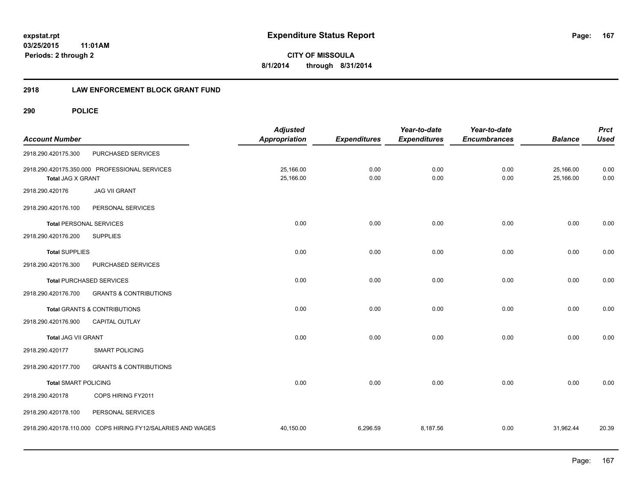# **03/25/2015**

**167**

**11:01AM Periods: 2 through 2**

**CITY OF MISSOULA 8/1/2014 through 8/31/2014**

#### **2918 LAW ENFORCEMENT BLOCK GRANT FUND**

| <b>Account Number</b>          |                                                             | <b>Adjusted</b><br><b>Appropriation</b> | <b>Expenditures</b> | Year-to-date<br><b>Expenditures</b> | Year-to-date<br><b>Encumbrances</b> | <b>Balance</b>         | <b>Prct</b><br><b>Used</b> |
|--------------------------------|-------------------------------------------------------------|-----------------------------------------|---------------------|-------------------------------------|-------------------------------------|------------------------|----------------------------|
| 2918.290.420175.300            | PURCHASED SERVICES                                          |                                         |                     |                                     |                                     |                        |                            |
| <b>Total JAG X GRANT</b>       | 2918.290.420175.350.000 PROFESSIONAL SERVICES               | 25,166.00<br>25,166.00                  | 0.00<br>0.00        | 0.00<br>0.00                        | 0.00<br>0.00                        | 25,166.00<br>25,166.00 | 0.00<br>0.00               |
| 2918.290.420176                | <b>JAG VII GRANT</b>                                        |                                         |                     |                                     |                                     |                        |                            |
| 2918.290.420176.100            | PERSONAL SERVICES                                           |                                         |                     |                                     |                                     |                        |                            |
| <b>Total PERSONAL SERVICES</b> |                                                             | 0.00                                    | 0.00                | 0.00                                | 0.00                                | 0.00                   | 0.00                       |
| 2918.290.420176.200            | <b>SUPPLIES</b>                                             |                                         |                     |                                     |                                     |                        |                            |
| <b>Total SUPPLIES</b>          |                                                             | 0.00                                    | 0.00                | 0.00                                | 0.00                                | 0.00                   | 0.00                       |
| 2918.290.420176.300            | PURCHASED SERVICES                                          |                                         |                     |                                     |                                     |                        |                            |
|                                | <b>Total PURCHASED SERVICES</b>                             | 0.00                                    | 0.00                | 0.00                                | 0.00                                | 0.00                   | 0.00                       |
| 2918.290.420176.700            | <b>GRANTS &amp; CONTRIBUTIONS</b>                           |                                         |                     |                                     |                                     |                        |                            |
|                                | Total GRANTS & CONTRIBUTIONS                                | 0.00                                    | 0.00                | 0.00                                | 0.00                                | 0.00                   | 0.00                       |
| 2918.290.420176.900            | <b>CAPITAL OUTLAY</b>                                       |                                         |                     |                                     |                                     |                        |                            |
| Total JAG VII GRANT            |                                                             | 0.00                                    | 0.00                | 0.00                                | 0.00                                | 0.00                   | 0.00                       |
| 2918.290.420177                | <b>SMART POLICING</b>                                       |                                         |                     |                                     |                                     |                        |                            |
| 2918.290.420177.700            | <b>GRANTS &amp; CONTRIBUTIONS</b>                           |                                         |                     |                                     |                                     |                        |                            |
| <b>Total SMART POLICING</b>    |                                                             | 0.00                                    | 0.00                | 0.00                                | 0.00                                | 0.00                   | 0.00                       |
| 2918.290.420178                | COPS HIRING FY2011                                          |                                         |                     |                                     |                                     |                        |                            |
| 2918.290.420178.100            | PERSONAL SERVICES                                           |                                         |                     |                                     |                                     |                        |                            |
|                                | 2918.290.420178.110.000 COPS HIRING FY12/SALARIES AND WAGES | 40,150.00                               | 6,296.59            | 8,187.56                            | 0.00                                | 31,962.44              | 20.39                      |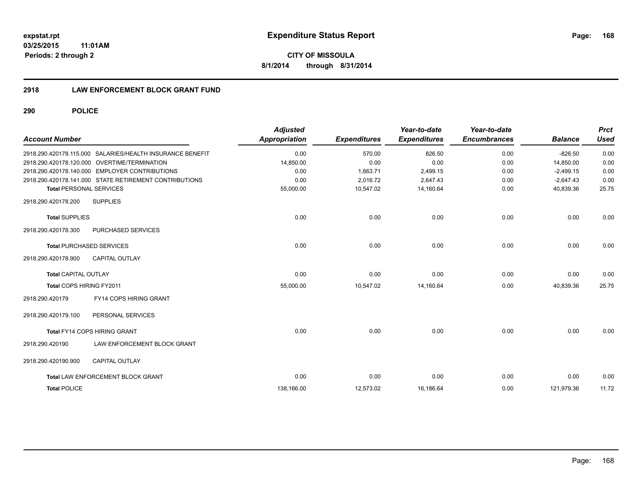#### **2918 LAW ENFORCEMENT BLOCK GRANT FUND**

| <b>Account Number</b>           |                                                           | <b>Adjusted</b><br>Appropriation | <b>Expenditures</b> | Year-to-date<br><b>Expenditures</b> | Year-to-date<br><b>Encumbrances</b> | <b>Balance</b> | <b>Prct</b><br><b>Used</b> |
|---------------------------------|-----------------------------------------------------------|----------------------------------|---------------------|-------------------------------------|-------------------------------------|----------------|----------------------------|
|                                 | 2918.290.420178.115.000 SALARIES/HEALTH INSURANCE BENEFIT | 0.00                             | 570.00              | 826.50                              | 0.00                                | $-826.50$      | 0.00                       |
|                                 | 2918.290.420178.120.000 OVERTIME/TERMINATION              | 14,850.00                        | 0.00                | 0.00                                | 0.00                                | 14,850.00      | 0.00                       |
|                                 | 2918.290.420178.140.000 EMPLOYER CONTRIBUTIONS            | 0.00                             | 1,663.71            | 2,499.15                            | 0.00                                | $-2,499.15$    | 0.00                       |
|                                 | 2918.290.420178.141.000 STATE RETIREMENT CONTRIBUTIONS    | 0.00                             | 2,016.72            | 2,647.43                            | 0.00                                | $-2,647.43$    | 0.00                       |
| <b>Total PERSONAL SERVICES</b>  |                                                           | 55,000.00                        | 10,547.02           | 14,160.64                           | 0.00                                | 40,839.36      | 25.75                      |
| 2918.290.420178.200             | <b>SUPPLIES</b>                                           |                                  |                     |                                     |                                     |                |                            |
| <b>Total SUPPLIES</b>           |                                                           | 0.00                             | 0.00                | 0.00                                | 0.00                                | 0.00           | 0.00                       |
| 2918.290.420178.300             | PURCHASED SERVICES                                        |                                  |                     |                                     |                                     |                |                            |
| <b>Total PURCHASED SERVICES</b> |                                                           | 0.00                             | 0.00                | 0.00                                | 0.00                                | 0.00           | 0.00                       |
| 2918.290.420178.900             | <b>CAPITAL OUTLAY</b>                                     |                                  |                     |                                     |                                     |                |                            |
| <b>Total CAPITAL OUTLAY</b>     |                                                           | 0.00                             | 0.00                | 0.00                                | 0.00                                | 0.00           | 0.00                       |
| Total COPS HIRING FY2011        |                                                           | 55,000.00                        | 10,547.02           | 14,160.64                           | 0.00                                | 40,839.36      | 25.75                      |
| 2918.290.420179                 | <b>FY14 COPS HIRING GRANT</b>                             |                                  |                     |                                     |                                     |                |                            |
| 2918.290.420179.100             | PERSONAL SERVICES                                         |                                  |                     |                                     |                                     |                |                            |
|                                 | <b>Total FY14 COPS HIRING GRANT</b>                       | 0.00                             | 0.00                | 0.00                                | 0.00                                | 0.00           | 0.00                       |
| 2918.290.420190                 | LAW ENFORCEMENT BLOCK GRANT                               |                                  |                     |                                     |                                     |                |                            |
| 2918.290.420190.900             | <b>CAPITAL OUTLAY</b>                                     |                                  |                     |                                     |                                     |                |                            |
|                                 | Total LAW ENFORCEMENT BLOCK GRANT                         | 0.00                             | 0.00                | 0.00                                | 0.00                                | 0.00           | 0.00                       |
| <b>Total POLICE</b>             |                                                           | 138,166.00                       | 12,573.02           | 16,186.64                           | 0.00                                | 121,979.36     | 11.72                      |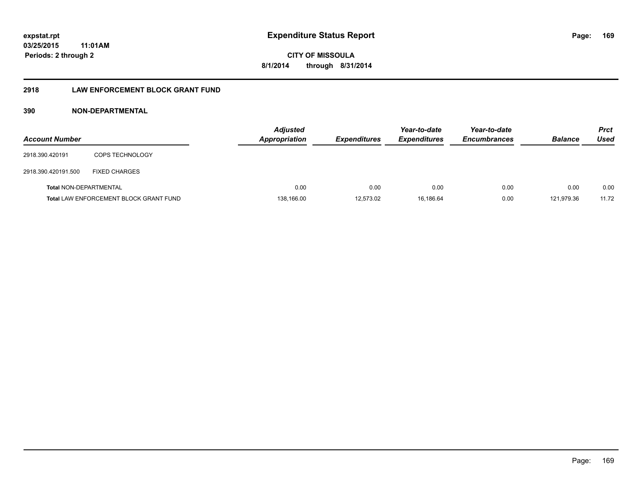**CITY OF MISSOULA 8/1/2014 through 8/31/2014**

#### **2918 LAW ENFORCEMENT BLOCK GRANT FUND**

#### **390 NON-DEPARTMENTAL**

| <b>Account Number</b>         |                                               | <b>Adjusted</b><br><b>Appropriation</b> | <b>Expenditures</b> | Year-to-date<br><b>Expenditures</b> | Year-to-date<br><b>Encumbrances</b> | <b>Balance</b> | <b>Prct</b><br>Used |
|-------------------------------|-----------------------------------------------|-----------------------------------------|---------------------|-------------------------------------|-------------------------------------|----------------|---------------------|
| 2918.390.420191               | <b>COPS TECHNOLOGY</b>                        |                                         |                     |                                     |                                     |                |                     |
| 2918.390.420191.500           | <b>FIXED CHARGES</b>                          |                                         |                     |                                     |                                     |                |                     |
| <b>Total NON-DEPARTMENTAL</b> |                                               | 0.00                                    | 0.00                | 0.00                                | 0.00                                | 0.00           | 0.00                |
|                               | <b>Total LAW ENFORCEMENT BLOCK GRANT FUND</b> | 138,166.00                              | 12,573.02           | 16.186.64                           | 0.00                                | 121.979.36     | 11.72               |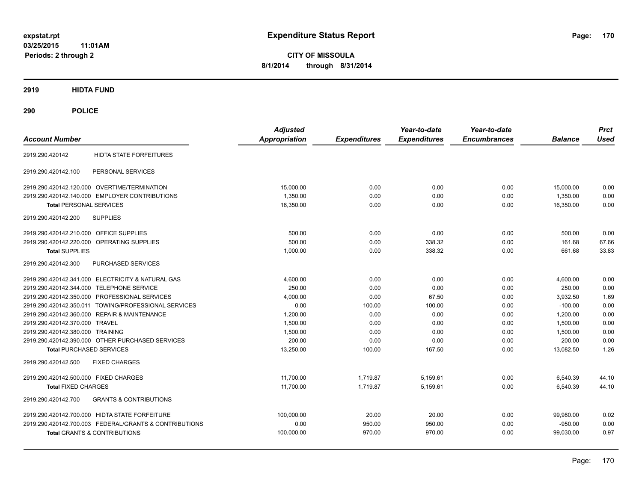**CITY OF MISSOULA 8/1/2014 through 8/31/2014**

**2919 HIDTA FUND**

| <b>Account Number</b>                                    | <b>Adjusted</b><br><b>Appropriation</b> | <b>Expenditures</b> | Year-to-date<br><b>Expenditures</b> | Year-to-date<br><b>Encumbrances</b> | <b>Balance</b> | <b>Prct</b><br><b>Used</b> |
|----------------------------------------------------------|-----------------------------------------|---------------------|-------------------------------------|-------------------------------------|----------------|----------------------------|
| <b>HIDTA STATE FORFEITURES</b><br>2919.290.420142        |                                         |                     |                                     |                                     |                |                            |
| PERSONAL SERVICES<br>2919.290.420142.100                 |                                         |                     |                                     |                                     |                |                            |
| 2919.290.420142.120.000 OVERTIME/TERMINATION             | 15,000.00                               | 0.00                | 0.00                                | 0.00                                | 15,000.00      | 0.00                       |
| 2919.290.420142.140.000 EMPLOYER CONTRIBUTIONS           | 1,350.00                                | 0.00                | 0.00                                | 0.00                                | 1,350.00       | 0.00                       |
| <b>Total PERSONAL SERVICES</b>                           | 16,350.00                               | 0.00                | 0.00                                | 0.00                                | 16,350.00      | 0.00                       |
| <b>SUPPLIES</b><br>2919.290.420142.200                   |                                         |                     |                                     |                                     |                |                            |
| 2919.290.420142.210.000 OFFICE SUPPLIES                  | 500.00                                  | 0.00                | 0.00                                | 0.00                                | 500.00         | 0.00                       |
| 2919.290.420142.220.000 OPERATING SUPPLIES               | 500.00                                  | 0.00                | 338.32                              | 0.00                                | 161.68         | 67.66                      |
| <b>Total SUPPLIES</b>                                    | 1,000.00                                | 0.00                | 338.32                              | 0.00                                | 661.68         | 33.83                      |
| 2919.290.420142.300<br>PURCHASED SERVICES                |                                         |                     |                                     |                                     |                |                            |
| 2919.290.420142.341.000 ELECTRICITY & NATURAL GAS        | 4.600.00                                | 0.00                | 0.00                                | 0.00                                | 4,600.00       | 0.00                       |
| 2919.290.420142.344.000 TELEPHONE SERVICE                | 250.00                                  | 0.00                | 0.00                                | 0.00                                | 250.00         | 0.00                       |
| 2919.290.420142.350.000 PROFESSIONAL SERVICES            | 4.000.00                                | 0.00                | 67.50                               | 0.00                                | 3,932.50       | 1.69                       |
| 2919.290.420142.350.011 TOWING/PROFESSIONAL SERVICES     | 0.00                                    | 100.00              | 100.00                              | 0.00                                | $-100.00$      | 0.00                       |
| 2919.290.420142.360.000 REPAIR & MAINTENANCE             | 1.200.00                                | 0.00                | 0.00                                | 0.00                                | 1.200.00       | 0.00                       |
| 2919.290.420142.370.000 TRAVEL                           | 1,500.00                                | 0.00                | 0.00                                | 0.00                                | 1.500.00       | 0.00                       |
| 2919.290.420142.380.000 TRAINING                         | 1,500.00                                | 0.00                | 0.00                                | 0.00                                | 1,500.00       | 0.00                       |
| 2919.290.420142.390.000 OTHER PURCHASED SERVICES         | 200.00                                  | 0.00                | 0.00                                | 0.00                                | 200.00         | 0.00                       |
| <b>Total PURCHASED SERVICES</b>                          | 13,250.00                               | 100.00              | 167.50                              | 0.00                                | 13,082.50      | 1.26                       |
| 2919.290.420142.500<br><b>FIXED CHARGES</b>              |                                         |                     |                                     |                                     |                |                            |
| 2919.290.420142.500.000 FIXED CHARGES                    | 11.700.00                               | 1,719.87            | 5,159.61                            | 0.00                                | 6,540.39       | 44.10                      |
| <b>Total FIXED CHARGES</b>                               | 11,700.00                               | 1.719.87            | 5,159.61                            | 0.00                                | 6,540.39       | 44.10                      |
| <b>GRANTS &amp; CONTRIBUTIONS</b><br>2919.290.420142.700 |                                         |                     |                                     |                                     |                |                            |
| 2919.290.420142.700.000 HIDTA STATE FORFEITURE           | 100,000.00                              | 20.00               | 20.00                               | 0.00                                | 99,980.00      | 0.02                       |
| 2919.290.420142.700.003 FEDERAL/GRANTS & CONTRIBUTIONS   | 0.00                                    | 950.00              | 950.00                              | 0.00                                | $-950.00$      | 0.00                       |
| <b>Total GRANTS &amp; CONTRIBUTIONS</b>                  | 100,000.00                              | 970.00              | 970.00                              | 0.00                                | 99,030.00      | 0.97                       |
|                                                          |                                         |                     |                                     |                                     |                |                            |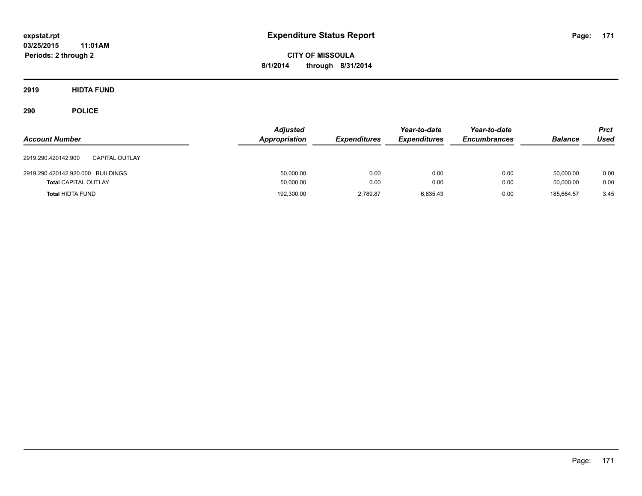**CITY OF MISSOULA 8/1/2014 through 8/31/2014**

**2919 HIDTA FUND**

| <b>Account Number</b>                        | <b>Adjusted</b><br>Appropriation | <b>Expenditures</b> | Year-to-date<br><b>Expenditures</b> | Year-to-date<br><b>Encumbrances</b> | <b>Balance</b> | <b>Prct</b><br><b>Used</b> |
|----------------------------------------------|----------------------------------|---------------------|-------------------------------------|-------------------------------------|----------------|----------------------------|
| <b>CAPITAL OUTLAY</b><br>2919.290.420142.900 |                                  |                     |                                     |                                     |                |                            |
| 2919.290.420142.920.000 BUILDINGS            | 50,000.00                        | 0.00                | 0.00                                | 0.00                                | 50.000.00      | 0.00                       |
| <b>Total CAPITAL OUTLAY</b>                  | 50,000.00                        | 0.00                | 0.00                                | 0.00                                | 50,000.00      | 0.00                       |
| <b>Total HIDTA FUND</b>                      | 192,300.00                       | 2.789.87            | 6,635.43                            | 0.00                                | 185.664.57     | 3.45                       |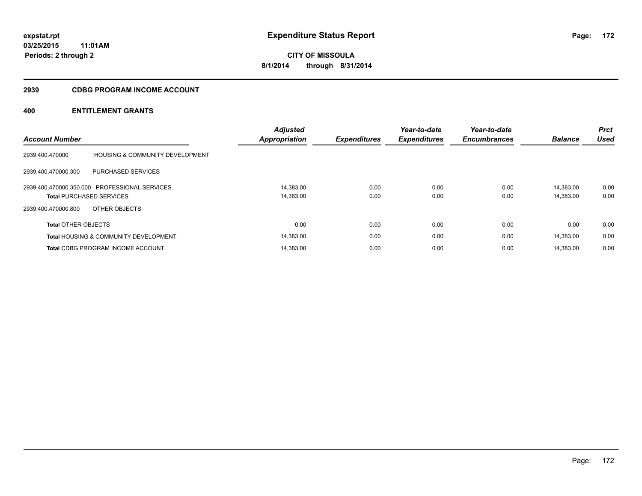#### **2939 CDBG PROGRAM INCOME ACCOUNT**

|                                 |                                                  | <b>Adjusted</b>      |                     | Year-to-date        | Year-to-date        |                | <b>Prct</b> |
|---------------------------------|--------------------------------------------------|----------------------|---------------------|---------------------|---------------------|----------------|-------------|
| <b>Account Number</b>           |                                                  | <b>Appropriation</b> | <b>Expenditures</b> | <b>Expenditures</b> | <b>Encumbrances</b> | <b>Balance</b> | <b>Used</b> |
| 2939.400.470000                 | <b>HOUSING &amp; COMMUNITY DEVELOPMENT</b>       |                      |                     |                     |                     |                |             |
| 2939.400.470000.300             | PURCHASED SERVICES                               |                      |                     |                     |                     |                |             |
|                                 | 2939.400.470000.350.000 PROFESSIONAL SERVICES    | 14.383.00            | 0.00                | 0.00                | 0.00                | 14.383.00      | 0.00        |
| <b>Total PURCHASED SERVICES</b> |                                                  | 14,383.00            | 0.00                | 0.00                | 0.00                | 14,383.00      | 0.00        |
| 2939.400.470000.800             | OTHER OBJECTS                                    |                      |                     |                     |                     |                |             |
| <b>Total OTHER OBJECTS</b>      |                                                  | 0.00                 | 0.00                | 0.00                | 0.00                | 0.00           | 0.00        |
|                                 | <b>Total HOUSING &amp; COMMUNITY DEVELOPMENT</b> | 14,383.00            | 0.00                | 0.00                | 0.00                | 14,383.00      | 0.00        |
|                                 | <b>Total CDBG PROGRAM INCOME ACCOUNT</b>         | 14.383.00            | 0.00                | 0.00                | 0.00                | 14.383.00      | 0.00        |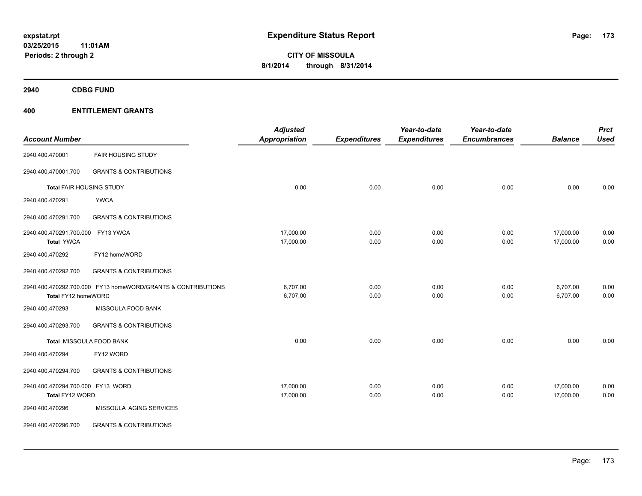**2940 CDBG FUND**

| <b>Account Number</b>                                |                                                              | <b>Adjusted</b><br><b>Appropriation</b> | <b>Expenditures</b> | Year-to-date<br><b>Expenditures</b> | Year-to-date<br><b>Encumbrances</b> | <b>Balance</b>         | <b>Prct</b><br><b>Used</b> |
|------------------------------------------------------|--------------------------------------------------------------|-----------------------------------------|---------------------|-------------------------------------|-------------------------------------|------------------------|----------------------------|
| 2940.400.470001                                      | <b>FAIR HOUSING STUDY</b>                                    |                                         |                     |                                     |                                     |                        |                            |
| 2940.400.470001.700                                  | <b>GRANTS &amp; CONTRIBUTIONS</b>                            |                                         |                     |                                     |                                     |                        |                            |
| Total FAIR HOUSING STUDY                             |                                                              | 0.00                                    | 0.00                | 0.00                                | 0.00                                | 0.00                   | 0.00                       |
| 2940.400.470291                                      | <b>YWCA</b>                                                  |                                         |                     |                                     |                                     |                        |                            |
| 2940.400.470291.700                                  | <b>GRANTS &amp; CONTRIBUTIONS</b>                            |                                         |                     |                                     |                                     |                        |                            |
| 2940.400.470291.700.000<br><b>Total YWCA</b>         | FY13 YWCA                                                    | 17,000.00<br>17,000.00                  | 0.00<br>0.00        | 0.00<br>0.00                        | 0.00<br>0.00                        | 17,000.00<br>17,000.00 | 0.00<br>0.00               |
| 2940.400.470292                                      | FY12 homeWORD                                                |                                         |                     |                                     |                                     |                        |                            |
| 2940.400.470292.700                                  | <b>GRANTS &amp; CONTRIBUTIONS</b>                            |                                         |                     |                                     |                                     |                        |                            |
| Total FY12 homeWORD                                  | 2940.400.470292.700.000 FY13 homeWORD/GRANTS & CONTRIBUTIONS | 6,707.00<br>6,707.00                    | 0.00<br>0.00        | 0.00<br>0.00                        | 0.00<br>0.00                        | 6,707.00<br>6,707.00   | 0.00<br>0.00               |
| 2940.400.470293                                      | MISSOULA FOOD BANK                                           |                                         |                     |                                     |                                     |                        |                            |
| 2940.400.470293.700                                  | <b>GRANTS &amp; CONTRIBUTIONS</b>                            |                                         |                     |                                     |                                     |                        |                            |
|                                                      | Total MISSOULA FOOD BANK                                     | 0.00                                    | 0.00                | 0.00                                | 0.00                                | 0.00                   | 0.00                       |
| 2940.400.470294                                      | FY12 WORD                                                    |                                         |                     |                                     |                                     |                        |                            |
| 2940.400.470294.700                                  | <b>GRANTS &amp; CONTRIBUTIONS</b>                            |                                         |                     |                                     |                                     |                        |                            |
| 2940.400.470294.700.000 FY13 WORD<br>Total FY12 WORD |                                                              | 17,000.00<br>17,000.00                  | 0.00<br>0.00        | 0.00<br>0.00                        | 0.00<br>0.00                        | 17,000.00<br>17,000.00 | 0.00<br>0.00               |
| 2940.400.470296                                      | MISSOULA AGING SERVICES                                      |                                         |                     |                                     |                                     |                        |                            |
| 2940.400.470296.700                                  | <b>GRANTS &amp; CONTRIBUTIONS</b>                            |                                         |                     |                                     |                                     |                        |                            |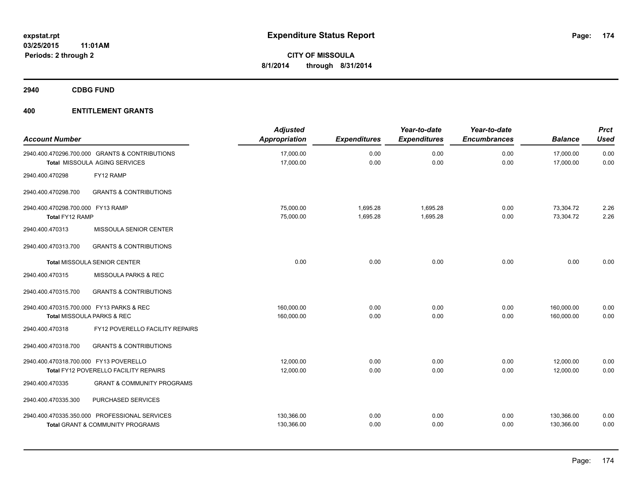**2940 CDBG FUND**

| <b>Account Number</b>                                |                                                                                              | <b>Adjusted</b><br>Appropriation | <b>Expenditures</b>  | Year-to-date<br><b>Expenditures</b> | Year-to-date<br><b>Encumbrances</b> | <b>Balance</b>           | <b>Prct</b><br><b>Used</b> |
|------------------------------------------------------|----------------------------------------------------------------------------------------------|----------------------------------|----------------------|-------------------------------------|-------------------------------------|--------------------------|----------------------------|
|                                                      | 2940.400.470296.700.000 GRANTS & CONTRIBUTIONS<br>Total MISSOULA AGING SERVICES              | 17,000.00<br>17,000.00           | 0.00<br>0.00         | 0.00<br>0.00                        | 0.00<br>0.00                        | 17,000.00<br>17,000.00   | 0.00<br>0.00               |
| 2940.400.470298                                      | FY12 RAMP                                                                                    |                                  |                      |                                     |                                     |                          |                            |
| 2940.400.470298.700                                  | <b>GRANTS &amp; CONTRIBUTIONS</b>                                                            |                                  |                      |                                     |                                     |                          |                            |
| 2940.400.470298.700.000 FY13 RAMP<br>Total FY12 RAMP |                                                                                              | 75,000.00<br>75,000.00           | 1,695.28<br>1,695.28 | 1,695.28<br>1,695.28                | 0.00<br>0.00                        | 73,304.72<br>73,304.72   | 2.26<br>2.26               |
| 2940.400.470313                                      | MISSOULA SENIOR CENTER                                                                       |                                  |                      |                                     |                                     |                          |                            |
| 2940.400.470313.700                                  | <b>GRANTS &amp; CONTRIBUTIONS</b>                                                            |                                  |                      |                                     |                                     |                          |                            |
|                                                      | <b>Total MISSOULA SENIOR CENTER</b>                                                          | 0.00                             | 0.00                 | 0.00                                | 0.00                                | 0.00                     | 0.00                       |
| 2940.400.470315                                      | MISSOULA PARKS & REC                                                                         |                                  |                      |                                     |                                     |                          |                            |
| 2940.400.470315.700                                  | <b>GRANTS &amp; CONTRIBUTIONS</b>                                                            |                                  |                      |                                     |                                     |                          |                            |
| 2940.400.470315.700.000 FY13 PARKS & REC             | Total MISSOULA PARKS & REC                                                                   | 160,000.00<br>160,000.00         | 0.00<br>0.00         | 0.00<br>0.00                        | 0.00<br>0.00                        | 160,000.00<br>160,000.00 | 0.00<br>0.00               |
| 2940.400.470318                                      | FY12 POVERELLO FACILITY REPAIRS                                                              |                                  |                      |                                     |                                     |                          |                            |
| 2940.400.470318.700                                  | <b>GRANTS &amp; CONTRIBUTIONS</b>                                                            |                                  |                      |                                     |                                     |                          |                            |
| 2940.400.470318.700.000 FY13 POVERELLO               | Total FY12 POVERELLO FACILITY REPAIRS                                                        | 12,000.00<br>12,000.00           | 0.00<br>0.00         | 0.00<br>0.00                        | 0.00<br>0.00                        | 12,000.00<br>12,000.00   | 0.00<br>0.00               |
| 2940.400.470335                                      | <b>GRANT &amp; COMMUNITY PROGRAMS</b>                                                        |                                  |                      |                                     |                                     |                          |                            |
| 2940.400.470335.300                                  | PURCHASED SERVICES                                                                           |                                  |                      |                                     |                                     |                          |                            |
|                                                      | 2940.400.470335.350.000 PROFESSIONAL SERVICES<br><b>Total GRANT &amp; COMMUNITY PROGRAMS</b> | 130,366.00<br>130,366.00         | 0.00<br>0.00         | 0.00<br>0.00                        | 0.00<br>0.00                        | 130,366.00<br>130,366.00 | 0.00<br>0.00               |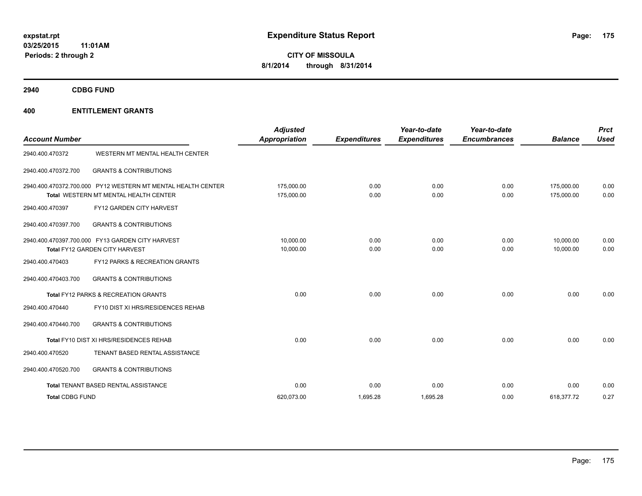**2940 CDBG FUND**

| <b>Account Number</b>  |                                                                                                       | <b>Adjusted</b><br>Appropriation | <b>Expenditures</b> | Year-to-date<br><b>Expenditures</b> | Year-to-date<br><b>Encumbrances</b> | <b>Balance</b>           | <b>Prct</b><br><b>Used</b> |
|------------------------|-------------------------------------------------------------------------------------------------------|----------------------------------|---------------------|-------------------------------------|-------------------------------------|--------------------------|----------------------------|
| 2940.400.470372        | WESTERN MT MENTAL HEALTH CENTER                                                                       |                                  |                     |                                     |                                     |                          |                            |
| 2940.400.470372.700    | <b>GRANTS &amp; CONTRIBUTIONS</b>                                                                     |                                  |                     |                                     |                                     |                          |                            |
|                        | 2940.400.470372.700.000 PY12 WESTERN MT MENTAL HEALTH CENTER<br>Total WESTERN MT MENTAL HEALTH CENTER | 175,000.00<br>175,000.00         | 0.00<br>0.00        | 0.00<br>0.00                        | 0.00<br>0.00                        | 175,000.00<br>175.000.00 | 0.00<br>0.00               |
| 2940.400.470397        | FY12 GARDEN CITY HARVEST                                                                              |                                  |                     |                                     |                                     |                          |                            |
| 2940.400.470397.700    | <b>GRANTS &amp; CONTRIBUTIONS</b>                                                                     |                                  |                     |                                     |                                     |                          |                            |
|                        | 2940.400.470397.700.000 FY13 GARDEN CITY HARVEST<br>Total FY12 GARDEN CITY HARVEST                    | 10,000.00<br>10,000.00           | 0.00<br>0.00        | 0.00<br>0.00                        | 0.00<br>0.00                        | 10,000.00<br>10.000.00   | 0.00<br>0.00               |
| 2940.400.470403        | FY12 PARKS & RECREATION GRANTS                                                                        |                                  |                     |                                     |                                     |                          |                            |
| 2940.400.470403.700    | <b>GRANTS &amp; CONTRIBUTIONS</b>                                                                     |                                  |                     |                                     |                                     |                          |                            |
|                        | <b>Total FY12 PARKS &amp; RECREATION GRANTS</b>                                                       | 0.00                             | 0.00                | 0.00                                | 0.00                                | 0.00                     | 0.00                       |
| 2940.400.470440        | FY10 DIST XI HRS/RESIDENCES REHAB                                                                     |                                  |                     |                                     |                                     |                          |                            |
| 2940.400.470440.700    | <b>GRANTS &amp; CONTRIBUTIONS</b>                                                                     |                                  |                     |                                     |                                     |                          |                            |
|                        | Total FY10 DIST XI HRS/RESIDENCES REHAB                                                               | 0.00                             | 0.00                | 0.00                                | 0.00                                | 0.00                     | 0.00                       |
| 2940.400.470520        | TENANT BASED RENTAL ASSISTANCE                                                                        |                                  |                     |                                     |                                     |                          |                            |
| 2940.400.470520.700    | <b>GRANTS &amp; CONTRIBUTIONS</b>                                                                     |                                  |                     |                                     |                                     |                          |                            |
|                        | Total TENANT BASED RENTAL ASSISTANCE                                                                  | 0.00                             | 0.00                | 0.00                                | 0.00                                | 0.00                     | 0.00                       |
| <b>Total CDBG FUND</b> |                                                                                                       | 620.073.00                       | 1,695.28            | 1,695.28                            | 0.00                                | 618,377.72               | 0.27                       |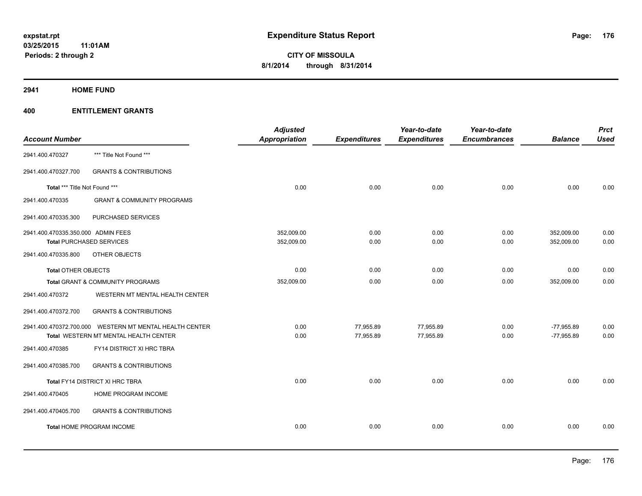**2941 HOME FUND**

|                                    |                                                         | <b>Adjusted</b>      |                     | Year-to-date        | Year-to-date        |                | <b>Prct</b> |
|------------------------------------|---------------------------------------------------------|----------------------|---------------------|---------------------|---------------------|----------------|-------------|
| <b>Account Number</b>              |                                                         | <b>Appropriation</b> | <b>Expenditures</b> | <b>Expenditures</b> | <b>Encumbrances</b> | <b>Balance</b> | <b>Used</b> |
| 2941.400.470327                    | *** Title Not Found ***                                 |                      |                     |                     |                     |                |             |
| 2941.400.470327.700                | <b>GRANTS &amp; CONTRIBUTIONS</b>                       |                      |                     |                     |                     |                |             |
| Total *** Title Not Found ***      |                                                         | 0.00                 | 0.00                | 0.00                | 0.00                | 0.00           | 0.00        |
| 2941.400.470335                    | <b>GRANT &amp; COMMUNITY PROGRAMS</b>                   |                      |                     |                     |                     |                |             |
| 2941.400.470335.300                | PURCHASED SERVICES                                      |                      |                     |                     |                     |                |             |
| 2941.400.470335.350.000 ADMIN FEES |                                                         | 352,009.00           | 0.00                | 0.00                | 0.00                | 352,009.00     | 0.00        |
| <b>Total PURCHASED SERVICES</b>    |                                                         | 352,009.00           | 0.00                | 0.00                | 0.00                | 352,009.00     | 0.00        |
| 2941.400.470335.800                | OTHER OBJECTS                                           |                      |                     |                     |                     |                |             |
| <b>Total OTHER OBJECTS</b>         |                                                         | 0.00                 | 0.00                | 0.00                | 0.00                | 0.00           | 0.00        |
|                                    | Total GRANT & COMMUNITY PROGRAMS                        | 352,009.00           | 0.00                | 0.00                | 0.00                | 352,009.00     | 0.00        |
| 2941.400.470372                    | WESTERN MT MENTAL HEALTH CENTER                         |                      |                     |                     |                     |                |             |
| 2941.400.470372.700                | <b>GRANTS &amp; CONTRIBUTIONS</b>                       |                      |                     |                     |                     |                |             |
|                                    | 2941.400.470372.700.000 WESTERN MT MENTAL HEALTH CENTER | 0.00                 | 77,955.89           | 77,955.89           | 0.00                | $-77,955.89$   | 0.00        |
|                                    | Total WESTERN MT MENTAL HEALTH CENTER                   | 0.00                 | 77,955.89           | 77,955.89           | 0.00                | $-77,955.89$   | 0.00        |
| 2941.400.470385                    | FY14 DISTRICT XI HRC TBRA                               |                      |                     |                     |                     |                |             |
| 2941.400.470385.700                | <b>GRANTS &amp; CONTRIBUTIONS</b>                       |                      |                     |                     |                     |                |             |
|                                    | Total FY14 DISTRICT XI HRC TBRA                         | 0.00                 | 0.00                | 0.00                | 0.00                | 0.00           | 0.00        |
| 2941.400.470405                    | HOME PROGRAM INCOME                                     |                      |                     |                     |                     |                |             |
| 2941.400.470405.700                | <b>GRANTS &amp; CONTRIBUTIONS</b>                       |                      |                     |                     |                     |                |             |
|                                    | Total HOME PROGRAM INCOME                               | 0.00                 | 0.00                | 0.00                | 0.00                | 0.00           | 0.00        |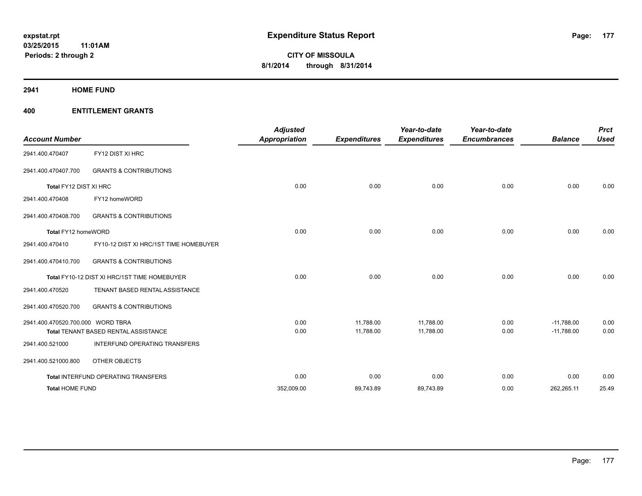**2941 HOME FUND**

| <b>Account Number</b>             |                                              | <b>Adjusted</b><br><b>Appropriation</b> | <b>Expenditures</b> | Year-to-date<br><b>Expenditures</b> | Year-to-date<br><b>Encumbrances</b> | <b>Balance</b> | <b>Prct</b><br><b>Used</b> |
|-----------------------------------|----------------------------------------------|-----------------------------------------|---------------------|-------------------------------------|-------------------------------------|----------------|----------------------------|
| 2941.400.470407                   | FY12 DIST XI HRC                             |                                         |                     |                                     |                                     |                |                            |
| 2941.400.470407.700               | <b>GRANTS &amp; CONTRIBUTIONS</b>            |                                         |                     |                                     |                                     |                |                            |
| Total FY12 DIST XI HRC            |                                              | 0.00                                    | 0.00                | 0.00                                | 0.00                                | 0.00           | 0.00                       |
| 2941.400.470408                   | FY12 homeWORD                                |                                         |                     |                                     |                                     |                |                            |
| 2941.400.470408.700               | <b>GRANTS &amp; CONTRIBUTIONS</b>            |                                         |                     |                                     |                                     |                |                            |
| Total FY12 homeWORD               |                                              | 0.00                                    | 0.00                | 0.00                                | 0.00                                | 0.00           | 0.00                       |
| 2941.400.470410                   | FY10-12 DIST XI HRC/1ST TIME HOMEBUYER       |                                         |                     |                                     |                                     |                |                            |
| 2941.400.470410.700               | <b>GRANTS &amp; CONTRIBUTIONS</b>            |                                         |                     |                                     |                                     |                |                            |
|                                   | Total FY10-12 DIST XI HRC/1ST TIME HOMEBUYER | 0.00                                    | 0.00                | 0.00                                | 0.00                                | 0.00           | 0.00                       |
| 2941.400.470520                   | TENANT BASED RENTAL ASSISTANCE               |                                         |                     |                                     |                                     |                |                            |
| 2941.400.470520.700               | <b>GRANTS &amp; CONTRIBUTIONS</b>            |                                         |                     |                                     |                                     |                |                            |
| 2941.400.470520.700.000 WORD TBRA |                                              | 0.00                                    | 11,788.00           | 11,788.00                           | 0.00                                | $-11,788.00$   | 0.00                       |
|                                   | Total TENANT BASED RENTAL ASSISTANCE         | 0.00                                    | 11,788.00           | 11,788.00                           | 0.00                                | $-11,788.00$   | 0.00                       |
| 2941.400.521000                   | <b>INTERFUND OPERATING TRANSFERS</b>         |                                         |                     |                                     |                                     |                |                            |
| 2941.400.521000.800               | OTHER OBJECTS                                |                                         |                     |                                     |                                     |                |                            |
|                                   | Total INTERFUND OPERATING TRANSFERS          | 0.00                                    | 0.00                | 0.00                                | 0.00                                | 0.00           | 0.00                       |
| <b>Total HOME FUND</b>            |                                              | 352,009.00                              | 89,743.89           | 89,743.89                           | 0.00                                | 262,265.11     | 25.49                      |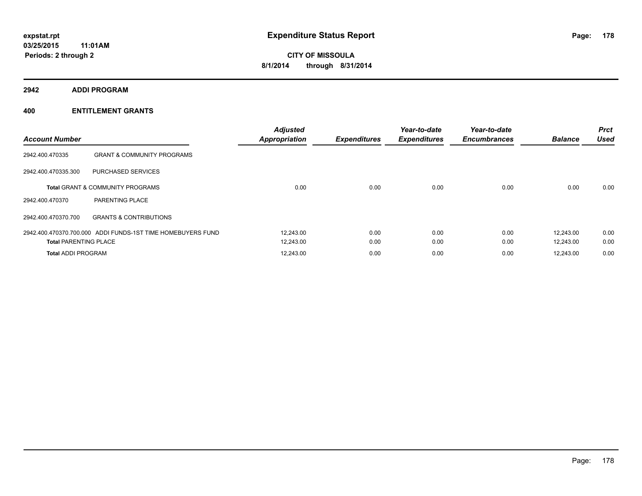**2942 ADDI PROGRAM**

| <b>Account Number</b>        |                                                             | <b>Adjusted</b><br><b>Appropriation</b> | <b>Expenditures</b> | Year-to-date<br><b>Expenditures</b> | Year-to-date<br><b>Encumbrances</b> | <b>Balance</b> | <b>Prct</b><br><b>Used</b> |
|------------------------------|-------------------------------------------------------------|-----------------------------------------|---------------------|-------------------------------------|-------------------------------------|----------------|----------------------------|
| 2942.400.470335              | <b>GRANT &amp; COMMUNITY PROGRAMS</b>                       |                                         |                     |                                     |                                     |                |                            |
| 2942.400.470335.300          | PURCHASED SERVICES                                          |                                         |                     |                                     |                                     |                |                            |
|                              | <b>Total GRANT &amp; COMMUNITY PROGRAMS</b>                 | 0.00                                    | 0.00                | 0.00                                | 0.00                                | 0.00           | 0.00                       |
| 2942.400.470370              | PARENTING PLACE                                             |                                         |                     |                                     |                                     |                |                            |
| 2942.400.470370.700          | <b>GRANTS &amp; CONTRIBUTIONS</b>                           |                                         |                     |                                     |                                     |                |                            |
|                              | 2942.400.470370.700.000 ADDI FUNDS-1ST TIME HOMEBUYERS FUND | 12,243.00                               | 0.00                | 0.00                                | 0.00                                | 12.243.00      | 0.00                       |
| <b>Total PARENTING PLACE</b> |                                                             | 12,243.00                               | 0.00                | 0.00                                | 0.00                                | 12.243.00      | 0.00                       |
| <b>Total ADDI PROGRAM</b>    |                                                             | 12,243.00                               | 0.00                | 0.00                                | 0.00                                | 12,243.00      | 0.00                       |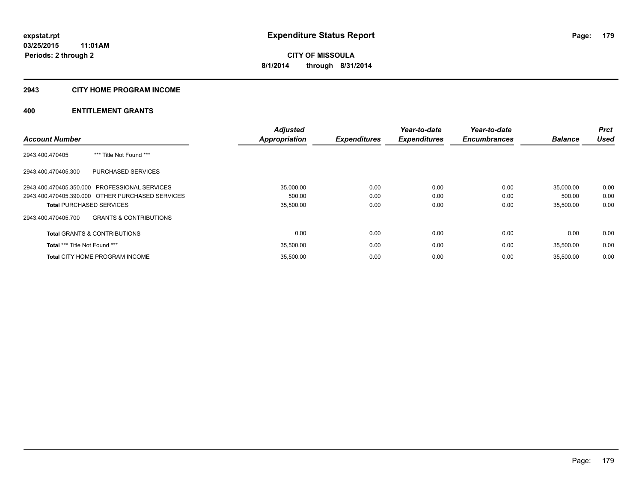#### **2943 CITY HOME PROGRAM INCOME**

|                                                          | <b>Adjusted</b>      |                     | Year-to-date        | Year-to-date        |                | <b>Prct</b> |
|----------------------------------------------------------|----------------------|---------------------|---------------------|---------------------|----------------|-------------|
| <b>Account Number</b>                                    | <b>Appropriation</b> | <b>Expenditures</b> | <b>Expenditures</b> | <b>Encumbrances</b> | <b>Balance</b> | <b>Used</b> |
| *** Title Not Found ***<br>2943.400.470405               |                      |                     |                     |                     |                |             |
| 2943.400.470405.300<br>PURCHASED SERVICES                |                      |                     |                     |                     |                |             |
| 2943.400.470405.350.000 PROFESSIONAL SERVICES            | 35.000.00            | 0.00                | 0.00                | 0.00                | 35.000.00      | 0.00        |
| 2943.400.470405.390.000 OTHER PURCHASED SERVICES         | 500.00               | 0.00                | 0.00                | 0.00                | 500.00         | 0.00        |
| <b>Total PURCHASED SERVICES</b>                          | 35,500.00            | 0.00                | 0.00                | 0.00                | 35.500.00      | 0.00        |
| <b>GRANTS &amp; CONTRIBUTIONS</b><br>2943.400.470405.700 |                      |                     |                     |                     |                |             |
| <b>Total GRANTS &amp; CONTRIBUTIONS</b>                  | 0.00                 | 0.00                | 0.00                | 0.00                | 0.00           | 0.00        |
| Total *** Title Not Found ***                            | 35,500.00            | 0.00                | 0.00                | 0.00                | 35.500.00      | 0.00        |
| <b>Total CITY HOME PROGRAM INCOME</b>                    | 35.500.00            | 0.00                | 0.00                | 0.00                | 35.500.00      | 0.00        |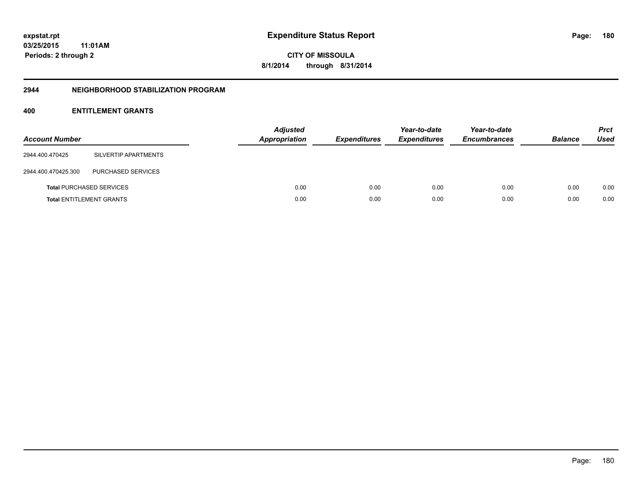**CITY OF MISSOULA 8/1/2014 through 8/31/2014**

#### **2944 NEIGHBORHOOD STABILIZATION PROGRAM**

| <b>Account Number</b> |                                 | <b>Adjusted</b><br>Appropriation | <b>Expenditures</b> | Year-to-date<br><b>Expenditures</b> | Year-to-date<br><b>Encumbrances</b> | <b>Balance</b> | <b>Prct</b><br><b>Used</b> |
|-----------------------|---------------------------------|----------------------------------|---------------------|-------------------------------------|-------------------------------------|----------------|----------------------------|
| 2944.400.470425       | SILVERTIP APARTMENTS            |                                  |                     |                                     |                                     |                |                            |
| 2944.400.470425.300   | PURCHASED SERVICES              |                                  |                     |                                     |                                     |                |                            |
|                       | <b>Total PURCHASED SERVICES</b> | 0.00                             | 0.00                | 0.00                                | 0.00                                | 0.00           | 0.00                       |
|                       | <b>Total ENTITLEMENT GRANTS</b> | 0.00                             | 0.00                | 0.00                                | 0.00                                | 0.00           | 0.00                       |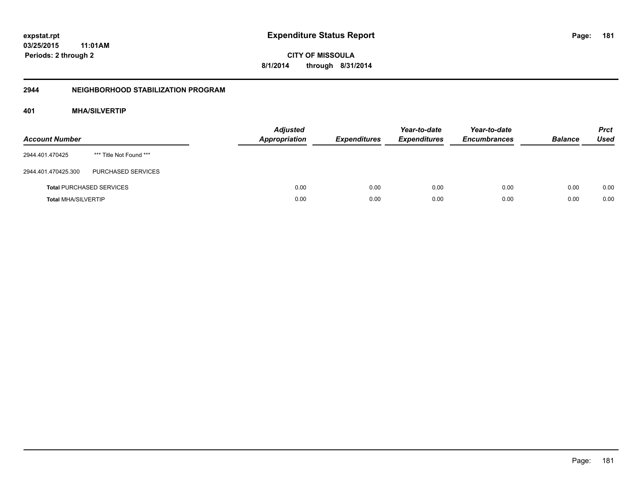**03/25/2015 11:01AM Periods: 2 through 2**

**CITY OF MISSOULA 8/1/2014 through 8/31/2014**

#### **2944 NEIGHBORHOOD STABILIZATION PROGRAM**

## **401 MHA/SILVERTIP**

| <b>Account Number</b>      |                                 | <b>Adjusted</b><br><b>Appropriation</b> | <b>Expenditures</b> | Year-to-date<br><b>Expenditures</b> | Year-to-date<br><b>Encumbrances</b> | <b>Balance</b> | <b>Prct</b><br><b>Used</b> |
|----------------------------|---------------------------------|-----------------------------------------|---------------------|-------------------------------------|-------------------------------------|----------------|----------------------------|
| 2944.401.470425            | *** Title Not Found ***         |                                         |                     |                                     |                                     |                |                            |
| 2944.401.470425.300        | PURCHASED SERVICES              |                                         |                     |                                     |                                     |                |                            |
|                            | <b>Total PURCHASED SERVICES</b> | 0.00                                    | 0.00                | 0.00                                | 0.00                                | 0.00           | 0.00                       |
| <b>Total MHA/SILVERTIP</b> |                                 | 0.00                                    | 0.00                | 0.00                                | 0.00                                | 0.00           | 0.00                       |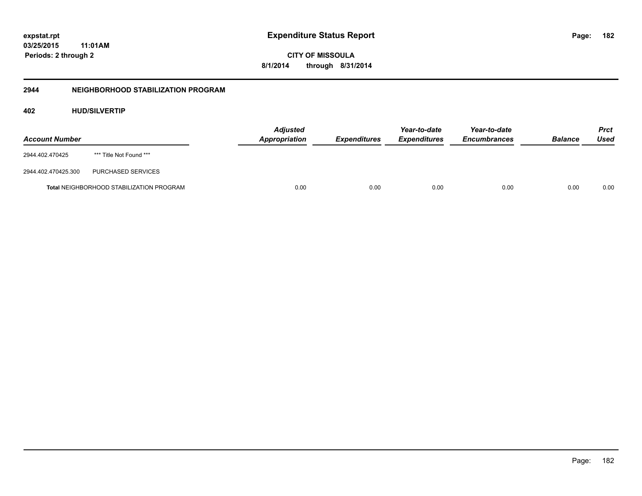**03/25/2015 11:01AM Periods: 2 through 2**

**CITY OF MISSOULA 8/1/2014 through 8/31/2014**

## **2944 NEIGHBORHOOD STABILIZATION PROGRAM**

## **402 HUD/SILVERTIP**

| <b>Account Number</b> |                                                 | <b>Adjusted</b><br>Appropriation | <b>Expenditures</b> | Year-to-date<br><b>Expenditures</b> | Year-to-date<br><b>Encumbrances</b> | <b>Balance</b> | Prct<br>Used |
|-----------------------|-------------------------------------------------|----------------------------------|---------------------|-------------------------------------|-------------------------------------|----------------|--------------|
| 2944.402.470425       | *** Title Not Found ***                         |                                  |                     |                                     |                                     |                |              |
| 2944.402.470425.300   | PURCHASED SERVICES                              |                                  |                     |                                     |                                     |                |              |
|                       | <b>Total NEIGHBORHOOD STABILIZATION PROGRAM</b> | 0.00                             | 0.00                | 0.00                                | 0.00                                | 0.00           | 0.00         |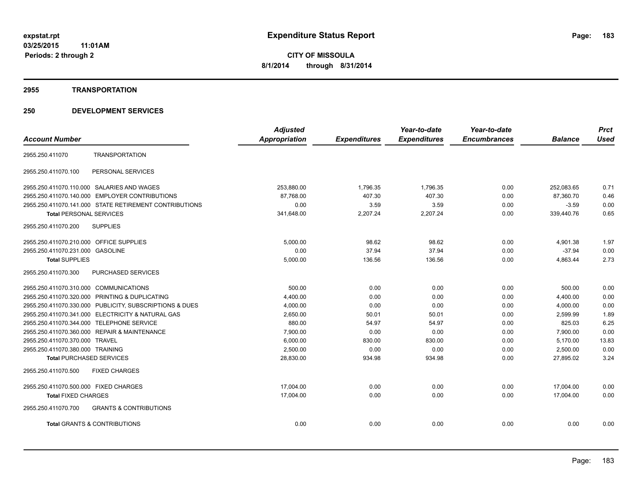#### **2955 TRANSPORTATION**

|                                            |                                                         | <b>Adjusted</b>      |                     | Year-to-date        | Year-to-date        |                | <b>Prct</b> |
|--------------------------------------------|---------------------------------------------------------|----------------------|---------------------|---------------------|---------------------|----------------|-------------|
| <b>Account Number</b>                      |                                                         | <b>Appropriation</b> | <b>Expenditures</b> | <b>Expenditures</b> | <b>Encumbrances</b> | <b>Balance</b> | <b>Used</b> |
| 2955.250.411070                            | <b>TRANSPORTATION</b>                                   |                      |                     |                     |                     |                |             |
| 2955.250.411070.100                        | PERSONAL SERVICES                                       |                      |                     |                     |                     |                |             |
| 2955.250.411070.110.000 SALARIES AND WAGES |                                                         | 253,880.00           | 1,796.35            | 1,796.35            | 0.00                | 252,083.65     | 0.71        |
|                                            | 2955.250.411070.140.000 EMPLOYER CONTRIBUTIONS          | 87.768.00            | 407.30              | 407.30              | 0.00                | 87.360.70      | 0.46        |
|                                            | 2955.250.411070.141.000 STATE RETIREMENT CONTRIBUTIONS  | 0.00                 | 3.59                | 3.59                | 0.00                | $-3.59$        | 0.00        |
| <b>Total PERSONAL SERVICES</b>             |                                                         | 341,648.00           | 2,207.24            | 2,207.24            | 0.00                | 339,440.76     | 0.65        |
| 2955.250.411070.200                        | <b>SUPPLIES</b>                                         |                      |                     |                     |                     |                |             |
| 2955.250.411070.210.000 OFFICE SUPPLIES    |                                                         | 5,000.00             | 98.62               | 98.62               | 0.00                | 4,901.38       | 1.97        |
| 2955.250.411070.231.000                    | <b>GASOLINE</b>                                         | 0.00                 | 37.94               | 37.94               | 0.00                | $-37.94$       | 0.00        |
| <b>Total SUPPLIES</b>                      |                                                         | 5,000.00             | 136.56              | 136.56              | 0.00                | 4,863.44       | 2.73        |
| 2955.250.411070.300                        | PURCHASED SERVICES                                      |                      |                     |                     |                     |                |             |
| 2955.250.411070.310.000 COMMUNICATIONS     |                                                         | 500.00               | 0.00                | 0.00                | 0.00                | 500.00         | 0.00        |
|                                            | 2955.250.411070.320.000 PRINTING & DUPLICATING          | 4,400.00             | 0.00                | 0.00                | 0.00                | 4,400.00       | 0.00        |
|                                            | 2955.250.411070.330.000 PUBLICITY, SUBSCRIPTIONS & DUES | 4,000.00             | 0.00                | 0.00                | 0.00                | 4,000.00       | 0.00        |
|                                            | 2955.250.411070.341.000 ELECTRICITY & NATURAL GAS       | 2,650.00             | 50.01               | 50.01               | 0.00                | 2,599.99       | 1.89        |
| 2955.250.411070.344.000 TELEPHONE SERVICE  |                                                         | 880.00               | 54.97               | 54.97               | 0.00                | 825.03         | 6.25        |
|                                            | 2955.250.411070.360.000 REPAIR & MAINTENANCE            | 7,900.00             | 0.00                | 0.00                | 0.00                | 7,900.00       | 0.00        |
| 2955.250.411070.370.000 TRAVEL             |                                                         | 6,000.00             | 830.00              | 830.00              | 0.00                | 5,170.00       | 13.83       |
| 2955.250.411070.380.000 TRAINING           |                                                         | 2,500.00             | 0.00                | 0.00                | 0.00                | 2,500.00       | 0.00        |
| <b>Total PURCHASED SERVICES</b>            |                                                         | 28,830.00            | 934.98              | 934.98              | 0.00                | 27,895.02      | 3.24        |
| 2955.250.411070.500                        | <b>FIXED CHARGES</b>                                    |                      |                     |                     |                     |                |             |
| 2955.250.411070.500.000 FIXED CHARGES      |                                                         | 17,004.00            | 0.00                | 0.00                | 0.00                | 17,004.00      | 0.00        |
| <b>Total FIXED CHARGES</b>                 |                                                         | 17,004.00            | 0.00                | 0.00                | 0.00                | 17.004.00      | 0.00        |
| 2955.250.411070.700                        | <b>GRANTS &amp; CONTRIBUTIONS</b>                       |                      |                     |                     |                     |                |             |
| <b>Total GRANTS &amp; CONTRIBUTIONS</b>    |                                                         | 0.00                 | 0.00                | 0.00                | 0.00                | 0.00           | 0.00        |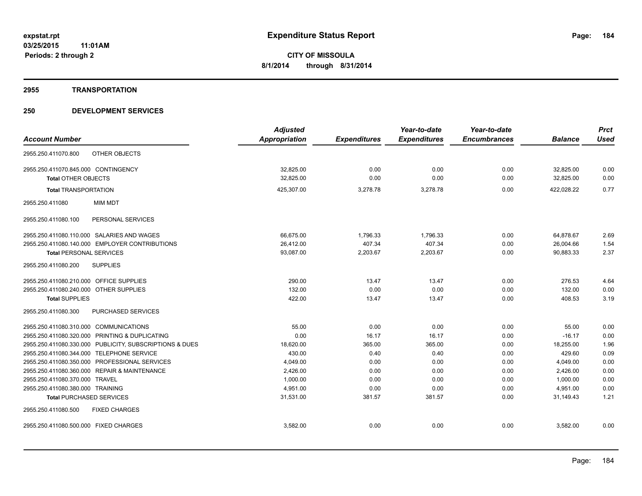#### **2955 TRANSPORTATION**

|                                                         | <b>Adjusted</b>      |                     | Year-to-date        | Year-to-date        |                | <b>Prct</b> |
|---------------------------------------------------------|----------------------|---------------------|---------------------|---------------------|----------------|-------------|
| <b>Account Number</b>                                   | <b>Appropriation</b> | <b>Expenditures</b> | <b>Expenditures</b> | <b>Encumbrances</b> | <b>Balance</b> | <b>Used</b> |
| OTHER OBJECTS<br>2955.250.411070.800                    |                      |                     |                     |                     |                |             |
| 2955.250.411070.845.000 CONTINGENCY                     | 32,825.00            | 0.00                | 0.00                | 0.00                | 32,825.00      | 0.00        |
| <b>Total OTHER OBJECTS</b>                              | 32,825.00            | 0.00                | 0.00                | 0.00                | 32,825.00      | 0.00        |
| <b>Total TRANSPORTATION</b>                             | 425,307.00           | 3,278.78            | 3,278.78            | 0.00                | 422,028.22     | 0.77        |
| <b>MIM MDT</b><br>2955.250.411080                       |                      |                     |                     |                     |                |             |
| 2955.250.411080.100<br>PERSONAL SERVICES                |                      |                     |                     |                     |                |             |
| 2955.250.411080.110.000 SALARIES AND WAGES              | 66,675.00            | 1,796.33            | 1,796.33            | 0.00                | 64,878.67      | 2.69        |
| 2955.250.411080.140.000 EMPLOYER CONTRIBUTIONS          | 26,412.00            | 407.34              | 407.34              | 0.00                | 26,004.66      | 1.54        |
| <b>Total PERSONAL SERVICES</b>                          | 93,087.00            | 2,203.67            | 2,203.67            | 0.00                | 90,883.33      | 2.37        |
| 2955.250.411080.200<br><b>SUPPLIES</b>                  |                      |                     |                     |                     |                |             |
| 2955.250.411080.210.000 OFFICE SUPPLIES                 | 290.00               | 13.47               | 13.47               | 0.00                | 276.53         | 4.64        |
| 2955.250.411080.240.000 OTHER SUPPLIES                  | 132.00               | 0.00                | 0.00                | 0.00                | 132.00         | 0.00        |
| <b>Total SUPPLIES</b>                                   | 422.00               | 13.47               | 13.47               | 0.00                | 408.53         | 3.19        |
| PURCHASED SERVICES<br>2955.250.411080.300               |                      |                     |                     |                     |                |             |
| 2955.250.411080.310.000 COMMUNICATIONS                  | 55.00                | 0.00                | 0.00                | 0.00                | 55.00          | 0.00        |
| PRINTING & DUPLICATING<br>2955.250.411080.320.000       | 0.00                 | 16.17               | 16.17               | 0.00                | $-16.17$       | 0.00        |
| 2955.250.411080.330.000 PUBLICITY, SUBSCRIPTIONS & DUES | 18,620.00            | 365.00              | 365.00              | 0.00                | 18,255.00      | 1.96        |
| 2955.250.411080.344.000 TELEPHONE SERVICE               | 430.00               | 0.40                | 0.40                | 0.00                | 429.60         | 0.09        |
| 2955.250.411080.350.000 PROFESSIONAL SERVICES           | 4,049.00             | 0.00                | 0.00                | 0.00                | 4,049.00       | 0.00        |
| 2955.250.411080.360.000 REPAIR & MAINTENANCE            | 2,426.00             | 0.00                | 0.00                | 0.00                | 2,426.00       | 0.00        |
| 2955.250.411080.370.000 TRAVEL                          | 1.000.00             | 0.00                | 0.00                | 0.00                | 1.000.00       | 0.00        |
| 2955.250.411080.380.000 TRAINING                        | 4.951.00             | 0.00                | 0.00                | 0.00                | 4,951.00       | 0.00        |
| <b>Total PURCHASED SERVICES</b>                         | 31,531.00            | 381.57              | 381.57              | 0.00                | 31,149.43      | 1.21        |
| 2955.250.411080.500<br><b>FIXED CHARGES</b>             |                      |                     |                     |                     |                |             |
| 2955.250.411080.500.000 FIXED CHARGES                   | 3,582.00             | 0.00                | 0.00                | 0.00                | 3,582.00       | 0.00        |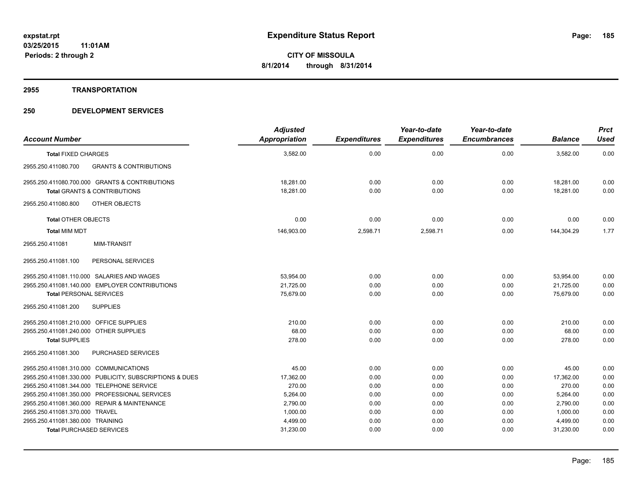#### **2955 TRANSPORTATION**

|                                                          | <b>Adjusted</b> |                     | Year-to-date        | Year-to-date        |                | <b>Prct</b> |
|----------------------------------------------------------|-----------------|---------------------|---------------------|---------------------|----------------|-------------|
| <b>Account Number</b>                                    | Appropriation   | <b>Expenditures</b> | <b>Expenditures</b> | <b>Encumbrances</b> | <b>Balance</b> | <b>Used</b> |
| <b>Total FIXED CHARGES</b>                               | 3,582.00        | 0.00                | 0.00                | 0.00                | 3,582.00       | 0.00        |
| <b>GRANTS &amp; CONTRIBUTIONS</b><br>2955.250.411080.700 |                 |                     |                     |                     |                |             |
| 2955.250.411080.700.000 GRANTS & CONTRIBUTIONS           | 18.281.00       | 0.00                | 0.00                | 0.00                | 18.281.00      | 0.00        |
| <b>Total GRANTS &amp; CONTRIBUTIONS</b>                  | 18,281.00       | 0.00                | 0.00                | 0.00                | 18,281.00      | 0.00        |
| OTHER OBJECTS<br>2955.250.411080.800                     |                 |                     |                     |                     |                |             |
| <b>Total OTHER OBJECTS</b>                               | 0.00            | 0.00                | 0.00                | 0.00                | 0.00           | 0.00        |
| <b>Total MIM MDT</b>                                     | 146,903.00      | 2,598.71            | 2,598.71            | 0.00                | 144,304.29     | 1.77        |
| 2955.250.411081<br><b>MIM-TRANSIT</b>                    |                 |                     |                     |                     |                |             |
| PERSONAL SERVICES<br>2955.250.411081.100                 |                 |                     |                     |                     |                |             |
| 2955.250.411081.110.000 SALARIES AND WAGES               | 53,954.00       | 0.00                | 0.00                | 0.00                | 53,954.00      | 0.00        |
| 2955.250.411081.140.000 EMPLOYER CONTRIBUTIONS           | 21,725.00       | 0.00                | 0.00                | 0.00                | 21,725.00      | 0.00        |
| <b>Total PERSONAL SERVICES</b>                           | 75,679.00       | 0.00                | 0.00                | 0.00                | 75,679.00      | 0.00        |
| 2955.250.411081.200<br><b>SUPPLIES</b>                   |                 |                     |                     |                     |                |             |
| 2955.250.411081.210.000 OFFICE SUPPLIES                  | 210.00          | 0.00                | 0.00                | 0.00                | 210.00         | 0.00        |
| 2955.250.411081.240.000 OTHER SUPPLIES                   | 68.00           | 0.00                | 0.00                | 0.00                | 68.00          | 0.00        |
| <b>Total SUPPLIES</b>                                    | 278.00          | 0.00                | 0.00                | 0.00                | 278.00         | 0.00        |
| <b>PURCHASED SERVICES</b><br>2955.250.411081.300         |                 |                     |                     |                     |                |             |
| 2955.250.411081.310.000 COMMUNICATIONS                   | 45.00           | 0.00                | 0.00                | 0.00                | 45.00          | 0.00        |
| 2955.250.411081.330.000 PUBLICITY, SUBSCRIPTIONS & DUES  | 17,362.00       | 0.00                | 0.00                | 0.00                | 17,362.00      | 0.00        |
| 2955.250.411081.344.000 TELEPHONE SERVICE                | 270.00          | 0.00                | 0.00                | 0.00                | 270.00         | 0.00        |
| 2955.250.411081.350.000 PROFESSIONAL SERVICES            | 5,264.00        | 0.00                | 0.00                | 0.00                | 5,264.00       | 0.00        |
| 2955.250.411081.360.000 REPAIR & MAINTENANCE             | 2,790.00        | 0.00                | 0.00                | 0.00                | 2,790.00       | 0.00        |
| 2955.250.411081.370.000 TRAVEL                           | 1,000.00        | 0.00                | 0.00                | 0.00                | 1,000.00       | 0.00        |
| 2955.250.411081.380.000 TRAINING                         | 4,499.00        | 0.00                | 0.00                | 0.00                | 4,499.00       | 0.00        |
| <b>Total PURCHASED SERVICES</b>                          | 31,230.00       | 0.00                | 0.00                | 0.00                | 31,230.00      | 0.00        |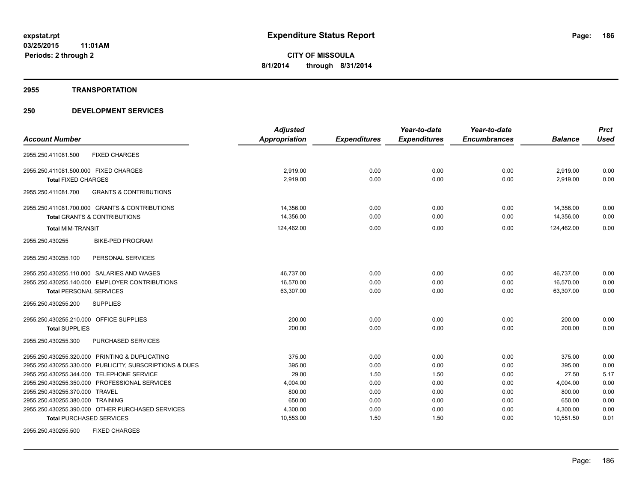#### **2955 TRANSPORTATION**

|                                                          | <b>Adjusted</b>      |                     | Year-to-date        | Year-to-date        |                | <b>Prct</b> |
|----------------------------------------------------------|----------------------|---------------------|---------------------|---------------------|----------------|-------------|
| <b>Account Number</b>                                    | <b>Appropriation</b> | <b>Expenditures</b> | <b>Expenditures</b> | <b>Encumbrances</b> | <b>Balance</b> | <b>Used</b> |
| <b>FIXED CHARGES</b><br>2955.250.411081.500              |                      |                     |                     |                     |                |             |
| 2955.250.411081.500.000 FIXED CHARGES                    | 2,919.00             | 0.00                | 0.00                | 0.00                | 2,919.00       | 0.00        |
| <b>Total FIXED CHARGES</b>                               | 2,919.00             | 0.00                | 0.00                | 0.00                | 2,919.00       | 0.00        |
| <b>GRANTS &amp; CONTRIBUTIONS</b><br>2955.250.411081.700 |                      |                     |                     |                     |                |             |
| 2955.250.411081.700.000 GRANTS & CONTRIBUTIONS           | 14,356.00            | 0.00                | 0.00                | 0.00                | 14,356.00      | 0.00        |
| Total GRANTS & CONTRIBUTIONS                             | 14,356.00            | 0.00                | 0.00                | 0.00                | 14,356.00      | 0.00        |
| <b>Total MIM-TRANSIT</b>                                 | 124,462.00           | 0.00                | 0.00                | 0.00                | 124,462.00     | 0.00        |
| <b>BIKE-PED PROGRAM</b><br>2955.250.430255               |                      |                     |                     |                     |                |             |
| 2955.250.430255.100<br>PERSONAL SERVICES                 |                      |                     |                     |                     |                |             |
| 2955.250.430255.110.000 SALARIES AND WAGES               | 46,737.00            | 0.00                | 0.00                | 0.00                | 46,737.00      | 0.00        |
| 2955.250.430255.140.000 EMPLOYER CONTRIBUTIONS           | 16,570.00            | 0.00                | 0.00                | 0.00                | 16,570.00      | 0.00        |
| <b>Total PERSONAL SERVICES</b>                           | 63,307.00            | 0.00                | 0.00                | 0.00                | 63,307.00      | 0.00        |
| 2955.250.430255.200<br><b>SUPPLIES</b>                   |                      |                     |                     |                     |                |             |
| 2955.250.430255.210.000 OFFICE SUPPLIES                  | 200.00               | 0.00                | 0.00                | 0.00                | 200.00         | 0.00        |
| <b>Total SUPPLIES</b>                                    | 200.00               | 0.00                | 0.00                | 0.00                | 200.00         | 0.00        |
| PURCHASED SERVICES<br>2955.250.430255.300                |                      |                     |                     |                     |                |             |
| 2955.250.430255.320.000 PRINTING & DUPLICATING           | 375.00               | 0.00                | 0.00                | 0.00                | 375.00         | 0.00        |
| 2955.250.430255.330.000 PUBLICITY, SUBSCRIPTIONS & DUES  | 395.00               | 0.00                | 0.00                | 0.00                | 395.00         | 0.00        |
| 2955.250.430255.344.000 TELEPHONE SERVICE                | 29.00                | 1.50                | 1.50                | 0.00                | 27.50          | 5.17        |
| 2955.250.430255.350.000 PROFESSIONAL SERVICES            | 4,004.00             | 0.00                | 0.00                | 0.00                | 4,004.00       | 0.00        |
| 2955.250.430255.370.000 TRAVEL                           | 800.00               | 0.00                | 0.00                | 0.00                | 800.00         | 0.00        |
| 2955.250.430255.380.000 TRAINING                         | 650.00               | 0.00                | 0.00                | 0.00                | 650.00         | 0.00        |
| 2955.250.430255.390.000 OTHER PURCHASED SERVICES         | 4,300.00             | 0.00                | 0.00                | 0.00                | 4,300.00       | 0.00        |
| <b>Total PURCHASED SERVICES</b>                          | 10,553.00            | 1.50                | 1.50                | 0.00                | 10,551.50      | 0.01        |
| 2955.250.430255.500<br><b>FIXED CHARGES</b>              |                      |                     |                     |                     |                |             |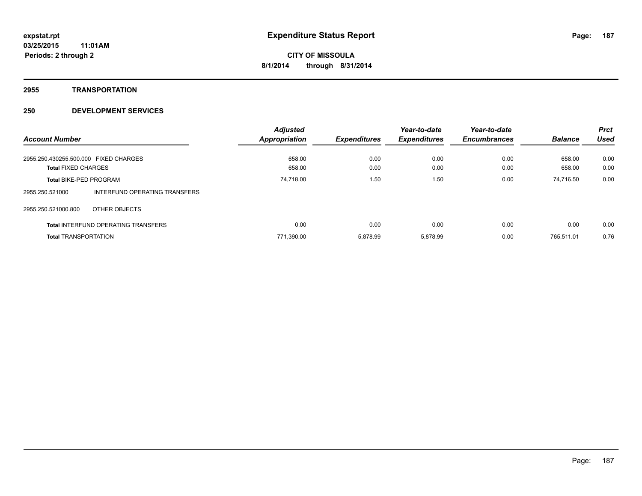**2955 TRANSPORTATION**

|                                       |                                            | <b>Adjusted</b>      |                     | Year-to-date        | Year-to-date        |                | <b>Prct</b> |
|---------------------------------------|--------------------------------------------|----------------------|---------------------|---------------------|---------------------|----------------|-------------|
| <b>Account Number</b>                 |                                            | <b>Appropriation</b> | <b>Expenditures</b> | <b>Expenditures</b> | <b>Encumbrances</b> | <b>Balance</b> | Used        |
| 2955.250.430255.500.000 FIXED CHARGES |                                            | 658.00               | 0.00                | 0.00                | 0.00                | 658.00         | 0.00        |
| <b>Total FIXED CHARGES</b>            |                                            | 658.00               | 0.00                | 0.00                | 0.00                | 658.00         | 0.00        |
| <b>Total BIKE-PED PROGRAM</b>         |                                            | 74,718.00            | 1.50                | 1.50                | 0.00                | 74,716.50      | 0.00        |
| 2955.250.521000                       | INTERFUND OPERATING TRANSFERS              |                      |                     |                     |                     |                |             |
| 2955.250.521000.800                   | OTHER OBJECTS                              |                      |                     |                     |                     |                |             |
|                                       | <b>Total INTERFUND OPERATING TRANSFERS</b> | 0.00                 | 0.00                | 0.00                | 0.00                | 0.00           | 0.00        |
| <b>Total TRANSPORTATION</b>           |                                            | 771,390.00           | 5.878.99            | 5.878.99            | 0.00                | 765.511.01     | 0.76        |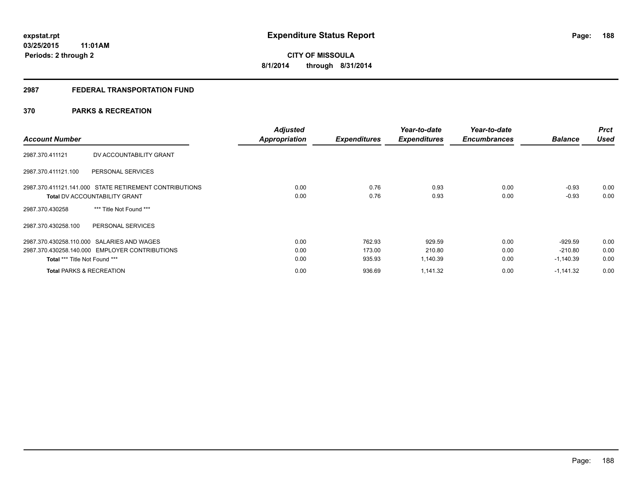## **2987 FEDERAL TRANSPORTATION FUND**

## **370 PARKS & RECREATION**

| <b>Account Number</b>                                  | <b>Adjusted</b><br><b>Appropriation</b> | <b>Expenditures</b> | Year-to-date<br><b>Expenditures</b> | Year-to-date<br><b>Encumbrances</b> | <b>Balance</b> | <b>Prct</b><br><b>Used</b> |
|--------------------------------------------------------|-----------------------------------------|---------------------|-------------------------------------|-------------------------------------|----------------|----------------------------|
| DV ACCOUNTABILITY GRANT<br>2987.370.411121             |                                         |                     |                                     |                                     |                |                            |
| 2987.370.411121.100<br>PERSONAL SERVICES               |                                         |                     |                                     |                                     |                |                            |
| 2987.370.411121.141.000 STATE RETIREMENT CONTRIBUTIONS | 0.00                                    | 0.76                | 0.93                                | 0.00                                | $-0.93$        | 0.00                       |
| <b>Total DV ACCOUNTABILITY GRANT</b>                   | 0.00                                    | 0.76                | 0.93                                | 0.00                                | $-0.93$        | 0.00                       |
| *** Title Not Found ***<br>2987.370.430258             |                                         |                     |                                     |                                     |                |                            |
| PERSONAL SERVICES<br>2987.370.430258.100               |                                         |                     |                                     |                                     |                |                            |
| 2987.370.430258.110.000 SALARIES AND WAGES             | 0.00                                    | 762.93              | 929.59                              | 0.00                                | $-929.59$      | 0.00                       |
| 2987.370.430258.140.000 EMPLOYER CONTRIBUTIONS         | 0.00                                    | 173.00              | 210.80                              | 0.00                                | $-210.80$      | 0.00                       |
| Total *** Title Not Found ***                          | 0.00                                    | 935.93              | 1,140.39                            | 0.00                                | $-1,140.39$    | 0.00                       |
| <b>Total PARKS &amp; RECREATION</b>                    | 0.00                                    | 936.69              | 1,141.32                            | 0.00                                | $-1,141.32$    | 0.00                       |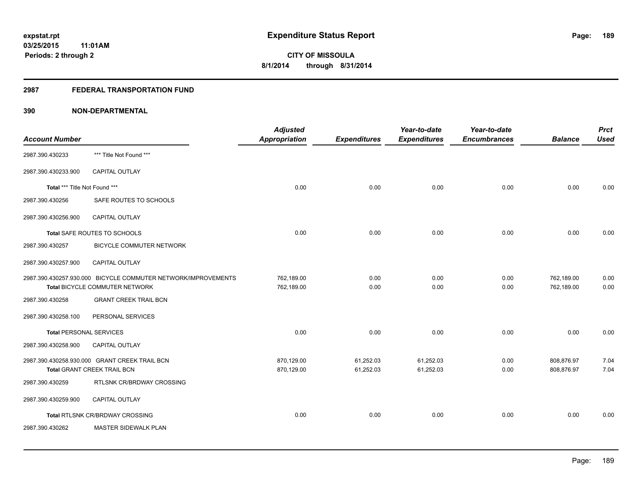## **2987 FEDERAL TRANSPORTATION FUND**

| <b>Account Number</b>          |                                                                                                 | <b>Adjusted</b><br><b>Appropriation</b> | <b>Expenditures</b>    | Year-to-date<br><b>Expenditures</b> | Year-to-date<br><b>Encumbrances</b> | <b>Balance</b>           | <b>Prct</b><br><b>Used</b> |
|--------------------------------|-------------------------------------------------------------------------------------------------|-----------------------------------------|------------------------|-------------------------------------|-------------------------------------|--------------------------|----------------------------|
| 2987.390.430233                | *** Title Not Found ***                                                                         |                                         |                        |                                     |                                     |                          |                            |
| 2987.390.430233.900            | <b>CAPITAL OUTLAY</b>                                                                           |                                         |                        |                                     |                                     |                          |                            |
| Total *** Title Not Found ***  |                                                                                                 | 0.00                                    | 0.00                   | 0.00                                | 0.00                                | 0.00                     | 0.00                       |
| 2987.390.430256                | SAFE ROUTES TO SCHOOLS                                                                          |                                         |                        |                                     |                                     |                          |                            |
| 2987.390.430256.900            | CAPITAL OUTLAY                                                                                  |                                         |                        |                                     |                                     |                          |                            |
|                                | Total SAFE ROUTES TO SCHOOLS                                                                    | 0.00                                    | 0.00                   | 0.00                                | 0.00                                | 0.00                     | 0.00                       |
| 2987.390.430257                | <b>BICYCLE COMMUTER NETWORK</b>                                                                 |                                         |                        |                                     |                                     |                          |                            |
| 2987.390.430257.900            | <b>CAPITAL OUTLAY</b>                                                                           |                                         |                        |                                     |                                     |                          |                            |
|                                | 2987.390.430257.930.000 BICYCLE COMMUTER NETWORK/IMPROVEMENTS<br>Total BICYCLE COMMUTER NETWORK | 762,189.00<br>762,189.00                | 0.00<br>0.00           | 0.00<br>0.00                        | 0.00<br>0.00                        | 762,189.00<br>762,189.00 | 0.00<br>0.00               |
| 2987.390.430258                | <b>GRANT CREEK TRAIL BCN</b>                                                                    |                                         |                        |                                     |                                     |                          |                            |
| 2987.390.430258.100            | PERSONAL SERVICES                                                                               |                                         |                        |                                     |                                     |                          |                            |
| <b>Total PERSONAL SERVICES</b> |                                                                                                 | 0.00                                    | 0.00                   | 0.00                                | 0.00                                | 0.00                     | 0.00                       |
| 2987.390.430258.900            | <b>CAPITAL OUTLAY</b>                                                                           |                                         |                        |                                     |                                     |                          |                            |
|                                | 2987.390.430258.930.000 GRANT CREEK TRAIL BCN<br>Total GRANT CREEK TRAIL BCN                    | 870,129.00<br>870,129.00                | 61,252.03<br>61,252.03 | 61,252.03<br>61,252.03              | 0.00<br>0.00                        | 808,876.97<br>808,876.97 | 7.04<br>7.04               |
| 2987.390.430259                | RTLSNK CR/BRDWAY CROSSING                                                                       |                                         |                        |                                     |                                     |                          |                            |
| 2987.390.430259.900            | <b>CAPITAL OUTLAY</b>                                                                           |                                         |                        |                                     |                                     |                          |                            |
|                                | Total RTLSNK CR/BRDWAY CROSSING                                                                 | 0.00                                    | 0.00                   | 0.00                                | 0.00                                | 0.00                     | 0.00                       |
| 2987.390.430262                | MASTER SIDEWALK PLAN                                                                            |                                         |                        |                                     |                                     |                          |                            |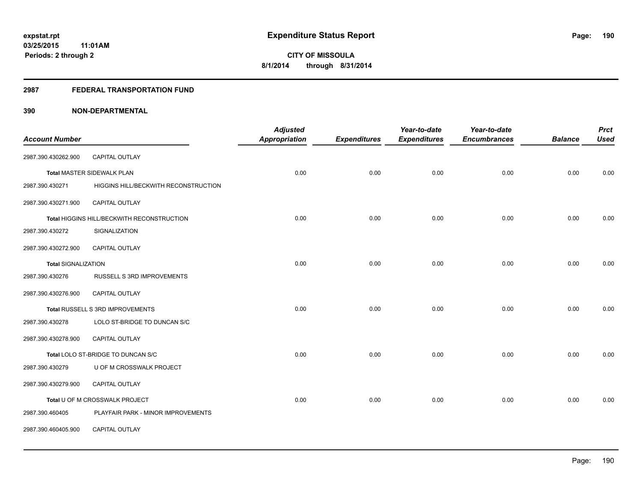### **2987 FEDERAL TRANSPORTATION FUND**

| <b>Account Number</b>      |                                            | <b>Adjusted</b><br><b>Appropriation</b> | <b>Expenditures</b> | Year-to-date<br><b>Expenditures</b> | Year-to-date<br><b>Encumbrances</b> | <b>Balance</b> | <b>Prct</b><br><b>Used</b> |
|----------------------------|--------------------------------------------|-----------------------------------------|---------------------|-------------------------------------|-------------------------------------|----------------|----------------------------|
|                            |                                            |                                         |                     |                                     |                                     |                |                            |
| 2987.390.430262.900        | CAPITAL OUTLAY                             |                                         |                     |                                     |                                     |                |                            |
|                            | <b>Total MASTER SIDEWALK PLAN</b>          | 0.00                                    | 0.00                | 0.00                                | 0.00                                | 0.00           | 0.00                       |
| 2987.390.430271            | HIGGINS HILL/BECKWITH RECONSTRUCTION       |                                         |                     |                                     |                                     |                |                            |
| 2987.390.430271.900        | <b>CAPITAL OUTLAY</b>                      |                                         |                     |                                     |                                     |                |                            |
|                            | Total HIGGINS HILL/BECKWITH RECONSTRUCTION | 0.00                                    | 0.00                | 0.00                                | 0.00                                | 0.00           | 0.00                       |
| 2987.390.430272            | SIGNALIZATION                              |                                         |                     |                                     |                                     |                |                            |
| 2987.390.430272.900        | <b>CAPITAL OUTLAY</b>                      |                                         |                     |                                     |                                     |                |                            |
| <b>Total SIGNALIZATION</b> |                                            | 0.00                                    | 0.00                | 0.00                                | 0.00                                | 0.00           | 0.00                       |
| 2987.390.430276            | RUSSELL S 3RD IMPROVEMENTS                 |                                         |                     |                                     |                                     |                |                            |
| 2987.390.430276.900        | <b>CAPITAL OUTLAY</b>                      |                                         |                     |                                     |                                     |                |                            |
|                            | Total RUSSELL S 3RD IMPROVEMENTS           | 0.00                                    | 0.00                | 0.00                                | 0.00                                | 0.00           | 0.00                       |
| 2987.390.430278            | LOLO ST-BRIDGE TO DUNCAN S/C               |                                         |                     |                                     |                                     |                |                            |
| 2987.390.430278.900        | CAPITAL OUTLAY                             |                                         |                     |                                     |                                     |                |                            |
|                            | Total LOLO ST-BRIDGE TO DUNCAN S/C         | 0.00                                    | 0.00                | 0.00                                | 0.00                                | 0.00           | 0.00                       |
| 2987.390.430279            | U OF M CROSSWALK PROJECT                   |                                         |                     |                                     |                                     |                |                            |
| 2987.390.430279.900        | CAPITAL OUTLAY                             |                                         |                     |                                     |                                     |                |                            |
|                            | Total U OF M CROSSWALK PROJECT             | 0.00                                    | 0.00                | 0.00                                | 0.00                                | 0.00           | 0.00                       |
| 2987.390.460405            | PLAYFAIR PARK - MINOR IMPROVEMENTS         |                                         |                     |                                     |                                     |                |                            |
| 2987.390.460405.900        | CAPITAL OUTLAY                             |                                         |                     |                                     |                                     |                |                            |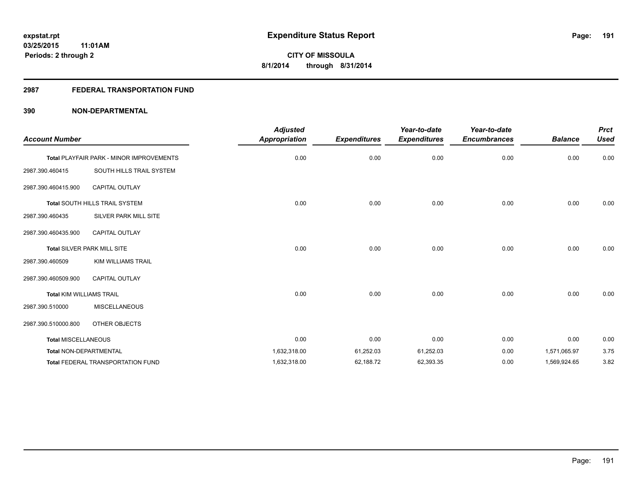## **2987 FEDERAL TRANSPORTATION FUND**

| <b>Account Number</b>           |                                                 | <b>Adjusted</b><br>Appropriation | <b>Expenditures</b> | Year-to-date<br><b>Expenditures</b> | Year-to-date<br><b>Encumbrances</b> | <b>Balance</b> | <b>Prct</b><br><b>Used</b> |
|---------------------------------|-------------------------------------------------|----------------------------------|---------------------|-------------------------------------|-------------------------------------|----------------|----------------------------|
|                                 | <b>Total PLAYFAIR PARK - MINOR IMPROVEMENTS</b> | 0.00                             | 0.00                | 0.00                                | 0.00                                | 0.00           | 0.00                       |
| 2987.390.460415                 | SOUTH HILLS TRAIL SYSTEM                        |                                  |                     |                                     |                                     |                |                            |
| 2987.390.460415.900             | <b>CAPITAL OUTLAY</b>                           |                                  |                     |                                     |                                     |                |                            |
|                                 | Total SOUTH HILLS TRAIL SYSTEM                  | 0.00                             | 0.00                | 0.00                                | 0.00                                | 0.00           | 0.00                       |
| 2987.390.460435                 | SILVER PARK MILL SITE                           |                                  |                     |                                     |                                     |                |                            |
| 2987.390.460435.900             | <b>CAPITAL OUTLAY</b>                           |                                  |                     |                                     |                                     |                |                            |
|                                 | Total SILVER PARK MILL SITE                     | 0.00                             | 0.00                | 0.00                                | 0.00                                | 0.00           | 0.00                       |
| 2987.390.460509                 | <b>KIM WILLIAMS TRAIL</b>                       |                                  |                     |                                     |                                     |                |                            |
| 2987.390.460509.900             | <b>CAPITAL OUTLAY</b>                           |                                  |                     |                                     |                                     |                |                            |
| <b>Total KIM WILLIAMS TRAIL</b> |                                                 | 0.00                             | 0.00                | 0.00                                | 0.00                                | 0.00           | 0.00                       |
| 2987.390.510000                 | <b>MISCELLANEOUS</b>                            |                                  |                     |                                     |                                     |                |                            |
| 2987.390.510000.800             | OTHER OBJECTS                                   |                                  |                     |                                     |                                     |                |                            |
| <b>Total MISCELLANEOUS</b>      |                                                 | 0.00                             | 0.00                | 0.00                                | 0.00                                | 0.00           | 0.00                       |
| <b>Total NON-DEPARTMENTAL</b>   |                                                 | 1,632,318.00                     | 61,252.03           | 61,252.03                           | 0.00                                | 1,571,065.97   | 3.75                       |
|                                 | <b>Total FEDERAL TRANSPORTATION FUND</b>        | 1,632,318.00                     | 62,188.72           | 62,393.35                           | 0.00                                | 1,569,924.65   | 3.82                       |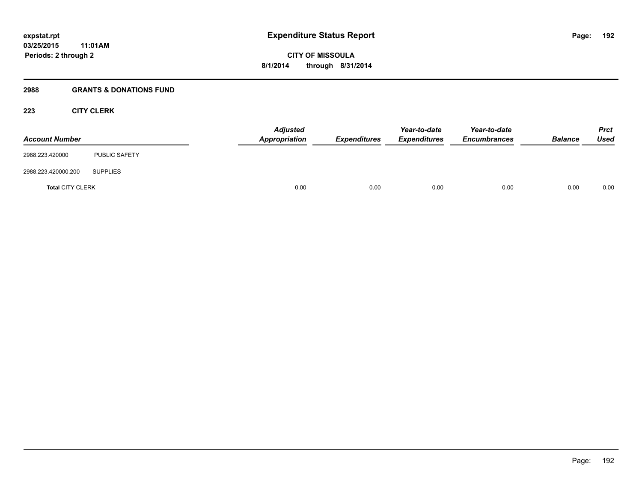### **2988 GRANTS & DONATIONS FUND**

## **223 CITY CLERK**

| <b>Account Number</b>   |                      | <b>Adjusted</b><br>Appropriation | <b>Expenditures</b> | Year-to-date<br><b>Expenditures</b> | Year-to-date<br><b>Encumbrances</b> | <b>Balance</b> | <b>Prct</b><br><b>Used</b> |
|-------------------------|----------------------|----------------------------------|---------------------|-------------------------------------|-------------------------------------|----------------|----------------------------|
| 2988.223.420000         | <b>PUBLIC SAFETY</b> |                                  |                     |                                     |                                     |                |                            |
| 2988.223.420000.200     | <b>SUPPLIES</b>      |                                  |                     |                                     |                                     |                |                            |
| <b>Total CITY CLERK</b> |                      | 0.00                             | 0.00                | 0.00                                | 0.00                                | 0.00           | 0.00                       |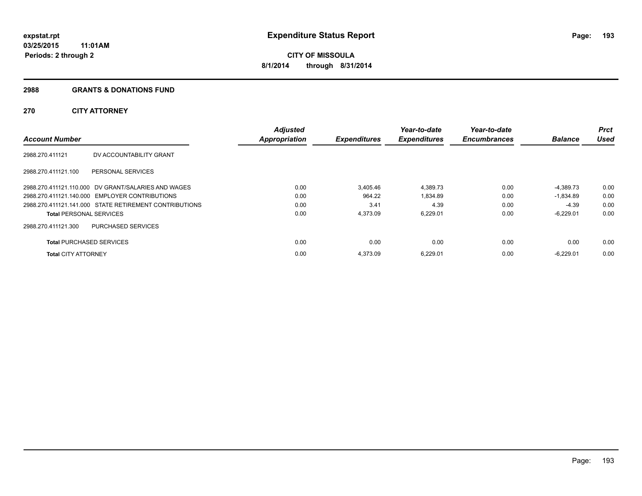#### **2988 GRANTS & DONATIONS FUND**

## **270 CITY ATTORNEY**

| <b>Account Number</b>           |                                                        | <b>Adjusted</b><br><b>Appropriation</b> | <b>Expenditures</b> | Year-to-date<br><b>Expenditures</b> | Year-to-date<br><b>Encumbrances</b> | <b>Balance</b> | <b>Prct</b><br>Used |
|---------------------------------|--------------------------------------------------------|-----------------------------------------|---------------------|-------------------------------------|-------------------------------------|----------------|---------------------|
| 2988.270.411121                 | DV ACCOUNTABILITY GRANT                                |                                         |                     |                                     |                                     |                |                     |
| 2988.270.411121.100             | PERSONAL SERVICES                                      |                                         |                     |                                     |                                     |                |                     |
|                                 | 2988.270.411121.110.000 DV GRANT/SALARIES AND WAGES    | 0.00                                    | 3.405.46            | 4,389.73                            | 0.00                                | $-4,389.73$    | 0.00                |
|                                 | 2988.270.411121.140.000 EMPLOYER CONTRIBUTIONS         | 0.00                                    | 964.22              | 1.834.89                            | 0.00                                | $-1.834.89$    | 0.00                |
|                                 | 2988.270.411121.141.000 STATE RETIREMENT CONTRIBUTIONS | 0.00                                    | 3.41                | 4.39                                | 0.00                                | -4.39          | 0.00                |
| <b>Total PERSONAL SERVICES</b>  |                                                        | 0.00                                    | 4,373.09            | 6,229.01                            | 0.00                                | $-6,229.01$    | 0.00                |
| 2988.270.411121.300             | PURCHASED SERVICES                                     |                                         |                     |                                     |                                     |                |                     |
| <b>Total PURCHASED SERVICES</b> |                                                        | 0.00                                    | 0.00                | 0.00                                | 0.00                                | 0.00           | 0.00                |
| <b>Total CITY ATTORNEY</b>      |                                                        | 0.00                                    | 4.373.09            | 6,229.01                            | 0.00                                | $-6.229.01$    | 0.00                |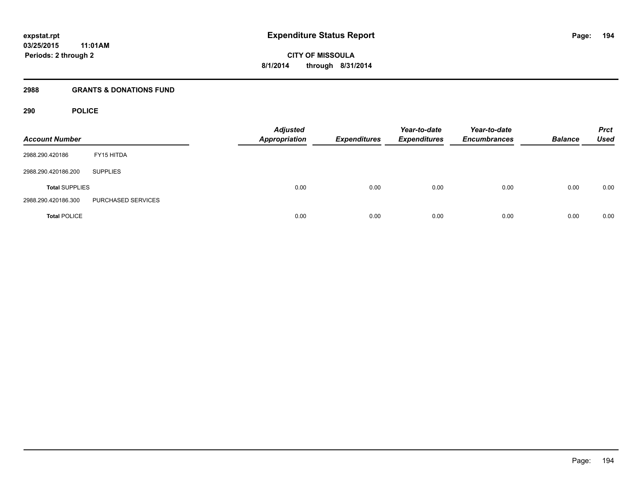### **2988 GRANTS & DONATIONS FUND**

## **290 POLICE**

| <b>Account Number</b> |                    | <b>Adjusted</b><br><b>Appropriation</b> | <b>Expenditures</b> | Year-to-date<br><b>Expenditures</b> | Year-to-date<br><b>Encumbrances</b> | <b>Balance</b> | <b>Prct</b><br><b>Used</b> |
|-----------------------|--------------------|-----------------------------------------|---------------------|-------------------------------------|-------------------------------------|----------------|----------------------------|
| 2988.290.420186       | FY15 HITDA         |                                         |                     |                                     |                                     |                |                            |
| 2988.290.420186.200   | <b>SUPPLIES</b>    |                                         |                     |                                     |                                     |                |                            |
| <b>Total SUPPLIES</b> |                    | 0.00                                    | 0.00                | 0.00                                | 0.00                                | 0.00           | 0.00                       |
| 2988.290.420186.300   | PURCHASED SERVICES |                                         |                     |                                     |                                     |                |                            |
| <b>Total POLICE</b>   |                    | 0.00                                    | 0.00                | 0.00                                | 0.00                                | 0.00           | 0.00                       |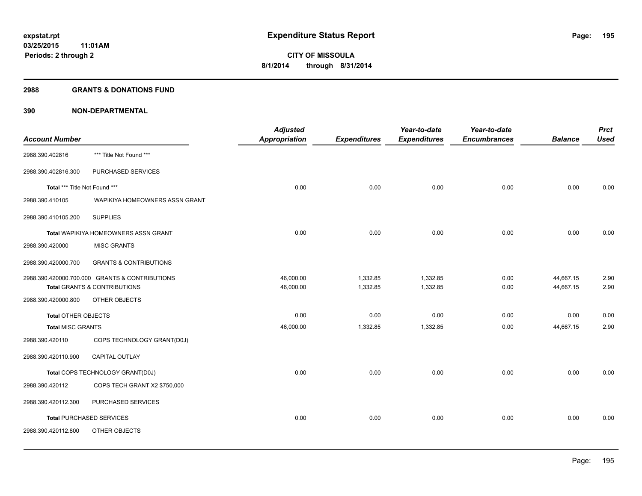#### **2988 GRANTS & DONATIONS FUND**

|                               |                                                | <b>Adjusted</b> |                     | Year-to-date        | Year-to-date        |                | <b>Prct</b> |
|-------------------------------|------------------------------------------------|-----------------|---------------------|---------------------|---------------------|----------------|-------------|
| <b>Account Number</b>         |                                                | Appropriation   | <b>Expenditures</b> | <b>Expenditures</b> | <b>Encumbrances</b> | <b>Balance</b> | <b>Used</b> |
| 2988.390.402816               | *** Title Not Found ***                        |                 |                     |                     |                     |                |             |
| 2988.390.402816.300           | PURCHASED SERVICES                             |                 |                     |                     |                     |                |             |
| Total *** Title Not Found *** |                                                | 0.00            | 0.00                | 0.00                | 0.00                | 0.00           | 0.00        |
| 2988.390.410105               | WAPIKIYA HOMEOWNERS ASSN GRANT                 |                 |                     |                     |                     |                |             |
| 2988.390.410105.200           | <b>SUPPLIES</b>                                |                 |                     |                     |                     |                |             |
|                               | Total WAPIKIYA HOMEOWNERS ASSN GRANT           | 0.00            | 0.00                | 0.00                | 0.00                | 0.00           | 0.00        |
| 2988.390.420000               | <b>MISC GRANTS</b>                             |                 |                     |                     |                     |                |             |
| 2988.390.420000.700           | <b>GRANTS &amp; CONTRIBUTIONS</b>              |                 |                     |                     |                     |                |             |
|                               | 2988.390.420000.700.000 GRANTS & CONTRIBUTIONS | 46,000.00       | 1,332.85            | 1,332.85            | 0.00                | 44,667.15      | 2.90        |
|                               | Total GRANTS & CONTRIBUTIONS                   | 46,000.00       | 1,332.85            | 1,332.85            | 0.00                | 44,667.15      | 2.90        |
| 2988.390.420000.800           | OTHER OBJECTS                                  |                 |                     |                     |                     |                |             |
| <b>Total OTHER OBJECTS</b>    |                                                | 0.00            | 0.00                | 0.00                | 0.00                | 0.00           | 0.00        |
| <b>Total MISC GRANTS</b>      |                                                | 46,000.00       | 1,332.85            | 1,332.85            | 0.00                | 44,667.15      | 2.90        |
| 2988.390.420110               | COPS TECHNOLOGY GRANT(D0J)                     |                 |                     |                     |                     |                |             |
| 2988.390.420110.900           | <b>CAPITAL OUTLAY</b>                          |                 |                     |                     |                     |                |             |
|                               | Total COPS TECHNOLOGY GRANT(D0J)               | 0.00            | 0.00                | 0.00                | 0.00                | 0.00           | 0.00        |
| 2988.390.420112               | COPS TECH GRANT X2 \$750,000                   |                 |                     |                     |                     |                |             |
| 2988.390.420112.300           | PURCHASED SERVICES                             |                 |                     |                     |                     |                |             |
|                               | <b>Total PURCHASED SERVICES</b>                | 0.00            | 0.00                | 0.00                | 0.00                | 0.00           | 0.00        |
| 2988.390.420112.800           | OTHER OBJECTS                                  |                 |                     |                     |                     |                |             |
|                               |                                                |                 |                     |                     |                     |                |             |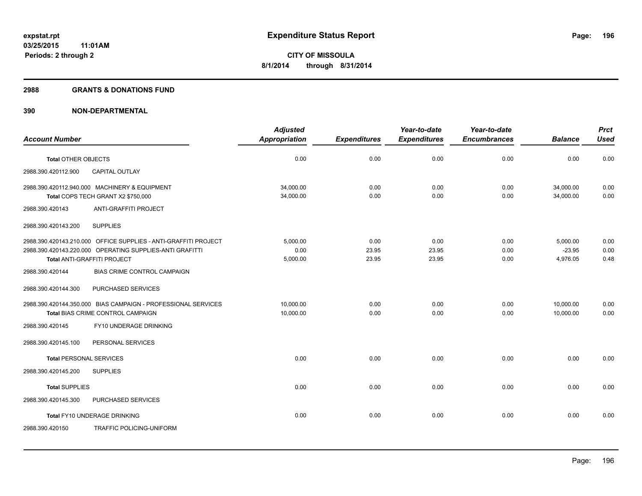#### **2988 GRANTS & DONATIONS FUND**

|                                                                                                                                                            | <b>Adjusted</b>              |                        | Year-to-date           | Year-to-date         |                                  | <b>Prct</b>          |
|------------------------------------------------------------------------------------------------------------------------------------------------------------|------------------------------|------------------------|------------------------|----------------------|----------------------------------|----------------------|
| <b>Account Number</b>                                                                                                                                      | <b>Appropriation</b>         | <b>Expenditures</b>    | <b>Expenditures</b>    | <b>Encumbrances</b>  | <b>Balance</b>                   | <b>Used</b>          |
| <b>Total OTHER OBJECTS</b>                                                                                                                                 | 0.00                         | 0.00                   | 0.00                   | 0.00                 | 0.00                             | 0.00                 |
| CAPITAL OUTLAY<br>2988.390.420112.900                                                                                                                      |                              |                        |                        |                      |                                  |                      |
| 2988.390.420112.940.000 MACHINERY & EQUIPMENT<br>Total COPS TECH GRANT X2 \$750,000                                                                        | 34,000.00<br>34,000.00       | 0.00<br>0.00           | 0.00<br>0.00           | 0.00<br>0.00         | 34,000.00<br>34,000.00           | 0.00<br>0.00         |
| ANTI-GRAFFITI PROJECT<br>2988.390.420143                                                                                                                   |                              |                        |                        |                      |                                  |                      |
| <b>SUPPLIES</b><br>2988.390.420143.200                                                                                                                     |                              |                        |                        |                      |                                  |                      |
| 2988.390.420143.210.000 OFFICE SUPPLIES - ANTI-GRAFFITI PROJECT<br>2988.390.420143.220.000 OPERATING SUPPLIES-ANTI GRAFITTI<br>Total ANTI-GRAFFITI PROJECT | 5,000.00<br>0.00<br>5,000.00 | 0.00<br>23.95<br>23.95 | 0.00<br>23.95<br>23.95 | 0.00<br>0.00<br>0.00 | 5,000.00<br>$-23.95$<br>4,976.05 | 0.00<br>0.00<br>0.48 |
| <b>BIAS CRIME CONTROL CAMPAIGN</b><br>2988.390.420144                                                                                                      |                              |                        |                        |                      |                                  |                      |
| 2988.390.420144.300<br>PURCHASED SERVICES                                                                                                                  |                              |                        |                        |                      |                                  |                      |
| 2988.390.420144.350.000 BIAS CAMPAIGN - PROFESSIONAL SERVICES<br>Total BIAS CRIME CONTROL CAMPAIGN                                                         | 10.000.00<br>10,000.00       | 0.00<br>0.00           | 0.00<br>0.00           | 0.00<br>0.00         | 10,000.00<br>10,000.00           | 0.00<br>0.00         |
| FY10 UNDERAGE DRINKING<br>2988.390.420145                                                                                                                  |                              |                        |                        |                      |                                  |                      |
| PERSONAL SERVICES<br>2988.390.420145.100                                                                                                                   |                              |                        |                        |                      |                                  |                      |
| <b>Total PERSONAL SERVICES</b>                                                                                                                             | 0.00                         | 0.00                   | 0.00                   | 0.00                 | 0.00                             | 0.00                 |
| <b>SUPPLIES</b><br>2988.390.420145.200                                                                                                                     |                              |                        |                        |                      |                                  |                      |
| <b>Total SUPPLIES</b>                                                                                                                                      | 0.00                         | 0.00                   | 0.00                   | 0.00                 | 0.00                             | 0.00                 |
| 2988.390.420145.300<br>PURCHASED SERVICES                                                                                                                  |                              |                        |                        |                      |                                  |                      |
| Total FY10 UNDERAGE DRINKING                                                                                                                               | 0.00                         | 0.00                   | 0.00                   | 0.00                 | 0.00                             | 0.00                 |
| <b>TRAFFIC POLICING-UNIFORM</b><br>2988.390.420150                                                                                                         |                              |                        |                        |                      |                                  |                      |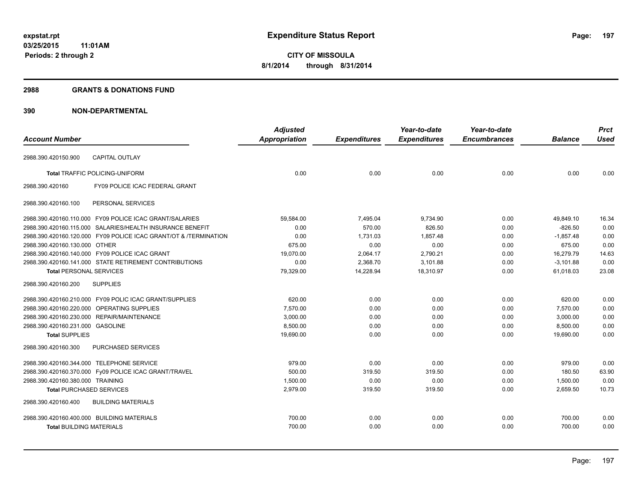### **2988 GRANTS & DONATIONS FUND**

|                                            |                                                                  | <b>Adjusted</b>      |                     | Year-to-date        | Year-to-date        |                | <b>Prct</b> |
|--------------------------------------------|------------------------------------------------------------------|----------------------|---------------------|---------------------|---------------------|----------------|-------------|
| <b>Account Number</b>                      |                                                                  | <b>Appropriation</b> | <b>Expenditures</b> | <b>Expenditures</b> | <b>Encumbrances</b> | <b>Balance</b> | <b>Used</b> |
| 2988.390.420150.900                        | <b>CAPITAL OUTLAY</b>                                            |                      |                     |                     |                     |                |             |
|                                            |                                                                  |                      |                     |                     |                     |                |             |
|                                            | <b>Total TRAFFIC POLICING-UNIFORM</b>                            | 0.00                 | 0.00                | 0.00                | 0.00                | 0.00           | 0.00        |
| 2988.390.420160                            | FY09 POLICE ICAC FEDERAL GRANT                                   |                      |                     |                     |                     |                |             |
| 2988.390.420160.100                        | PERSONAL SERVICES                                                |                      |                     |                     |                     |                |             |
|                                            | 2988.390.420160.110.000 FY09 POLICE ICAC GRANT/SALARIES          | 59,584.00            | 7,495.04            | 9,734.90            | 0.00                | 49,849.10      | 16.34       |
|                                            | 2988.390.420160.115.000 SALARIES/HEALTH INSURANCE BENEFIT        | 0.00                 | 570.00              | 826.50              | 0.00                | $-826.50$      | 0.00        |
|                                            | 2988.390.420160.120.000 FY09 POLICE ICAC GRANT/OT & /TERMINATION | 0.00                 | 1,731.03            | 1,857.48            | 0.00                | $-1,857.48$    | 0.00        |
| 2988.390.420160.130.000 OTHER              |                                                                  | 675.00               | 0.00                | 0.00                | 0.00                | 675.00         | 0.00        |
|                                            | 2988.390.420160.140.000 FY09 POLICE ICAC GRANT                   | 19,070.00            | 2,064.17            | 2,790.21            | 0.00                | 16,279.79      | 14.63       |
|                                            | 2988.390.420160.141.000 STATE RETIREMENT CONTRIBUTIONS           | 0.00                 | 2,368.70            | 3,101.88            | 0.00                | $-3,101.88$    | 0.00        |
| <b>Total PERSONAL SERVICES</b>             |                                                                  | 79,329.00            | 14,228.94           | 18.310.97           | 0.00                | 61.018.03      | 23.08       |
| 2988.390.420160.200                        | <b>SUPPLIES</b>                                                  |                      |                     |                     |                     |                |             |
|                                            | 2988.390.420160.210.000 FY09 POLIC ICAC GRANT/SUPPLIES           | 620.00               | 0.00                | 0.00                | 0.00                | 620.00         | 0.00        |
|                                            | 2988.390.420160.220.000 OPERATING SUPPLIES                       | 7,570.00             | 0.00                | 0.00                | 0.00                | 7,570.00       | 0.00        |
|                                            | 2988.390.420160.230.000 REPAIR/MAINTENANCE                       | 3.000.00             | 0.00                | 0.00                | 0.00                | 3.000.00       | 0.00        |
| 2988.390.420160.231.000 GASOLINE           |                                                                  | 8.500.00             | 0.00                | 0.00                | 0.00                | 8.500.00       | 0.00        |
| <b>Total SUPPLIES</b>                      |                                                                  | 19,690.00            | 0.00                | 0.00                | 0.00                | 19,690.00      | 0.00        |
| 2988.390.420160.300                        | PURCHASED SERVICES                                               |                      |                     |                     |                     |                |             |
| 2988.390.420160.344.000 TELEPHONE SERVICE  |                                                                  | 979.00               | 0.00                | 0.00                | 0.00                | 979.00         | 0.00        |
|                                            | 2988.390.420160.370.000 Fy09 POLICE ICAC GRANT/TRAVEL            | 500.00               | 319.50              | 319.50              | 0.00                | 180.50         | 63.90       |
| 2988.390.420160.380.000 TRAINING           |                                                                  | 1,500.00             | 0.00                | 0.00                | 0.00                | 1,500.00       | 0.00        |
| <b>Total PURCHASED SERVICES</b>            |                                                                  | 2,979.00             | 319.50              | 319.50              | 0.00                | 2,659.50       | 10.73       |
| 2988.390.420160.400                        | <b>BUILDING MATERIALS</b>                                        |                      |                     |                     |                     |                |             |
| 2988.390.420160.400.000 BUILDING MATERIALS |                                                                  | 700.00               | 0.00                | 0.00                | 0.00                | 700.00         | 0.00        |
| <b>Total BUILDING MATERIALS</b>            |                                                                  | 700.00               | 0.00                | 0.00                | 0.00                | 700.00         | 0.00        |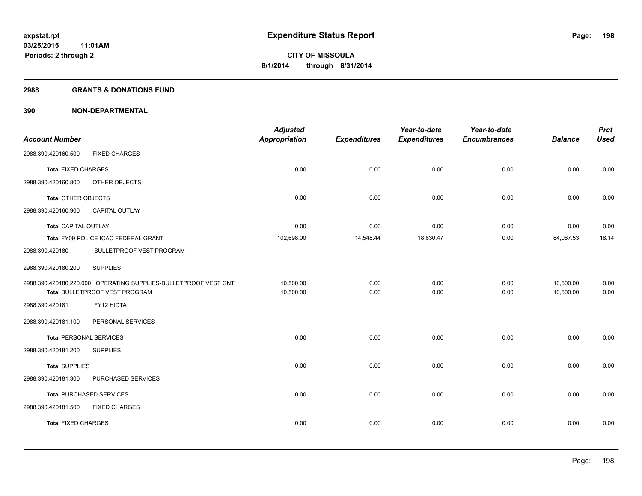#### **2988 GRANTS & DONATIONS FUND**

|                                |                                                                 | <b>Adjusted</b>      |                     | Year-to-date        | Year-to-date        |                | <b>Prct</b> |
|--------------------------------|-----------------------------------------------------------------|----------------------|---------------------|---------------------|---------------------|----------------|-------------|
| <b>Account Number</b>          |                                                                 | <b>Appropriation</b> | <b>Expenditures</b> | <b>Expenditures</b> | <b>Encumbrances</b> | <b>Balance</b> | <b>Used</b> |
| 2988.390.420160.500            | <b>FIXED CHARGES</b>                                            |                      |                     |                     |                     |                |             |
| <b>Total FIXED CHARGES</b>     |                                                                 | 0.00                 | 0.00                | 0.00                | 0.00                | 0.00           | 0.00        |
| 2988.390.420160.800            | OTHER OBJECTS                                                   |                      |                     |                     |                     |                |             |
| <b>Total OTHER OBJECTS</b>     |                                                                 | 0.00                 | 0.00                | 0.00                | 0.00                | 0.00           | 0.00        |
| 2988.390.420160.900            | <b>CAPITAL OUTLAY</b>                                           |                      |                     |                     |                     |                |             |
| <b>Total CAPITAL OUTLAY</b>    |                                                                 | 0.00                 | 0.00                | 0.00                | 0.00                | 0.00           | 0.00        |
|                                | Total FY09 POLICE ICAC FEDERAL GRANT                            | 102,698.00           | 14,548.44           | 18,630.47           | 0.00                | 84,067.53      | 18.14       |
| 2988.390.420180                | <b>BULLETPROOF VEST PROGRAM</b>                                 |                      |                     |                     |                     |                |             |
| 2988.390.420180.200            | <b>SUPPLIES</b>                                                 |                      |                     |                     |                     |                |             |
|                                | 2988.390.420180.220.000 OPERATING SUPPLIES-BULLETPROOF VEST GNT | 10,500.00            | 0.00                | 0.00                | 0.00                | 10,500.00      | 0.00        |
|                                | Total BULLETPROOF VEST PROGRAM                                  | 10,500.00            | 0.00                | 0.00                | 0.00                | 10,500.00      | 0.00        |
| 2988.390.420181                | FY12 HIDTA                                                      |                      |                     |                     |                     |                |             |
| 2988.390.420181.100            | PERSONAL SERVICES                                               |                      |                     |                     |                     |                |             |
| <b>Total PERSONAL SERVICES</b> |                                                                 | 0.00                 | 0.00                | 0.00                | 0.00                | 0.00           | 0.00        |
| 2988.390.420181.200            | <b>SUPPLIES</b>                                                 |                      |                     |                     |                     |                |             |
| <b>Total SUPPLIES</b>          |                                                                 | 0.00                 | 0.00                | 0.00                | 0.00                | 0.00           | 0.00        |
| 2988.390.420181.300            | PURCHASED SERVICES                                              |                      |                     |                     |                     |                |             |
|                                | <b>Total PURCHASED SERVICES</b>                                 | 0.00                 | 0.00                | 0.00                | 0.00                | 0.00           | 0.00        |
| 2988.390.420181.500            | <b>FIXED CHARGES</b>                                            |                      |                     |                     |                     |                |             |
| <b>Total FIXED CHARGES</b>     |                                                                 | 0.00                 | 0.00                | 0.00                | 0.00                | 0.00           | 0.00        |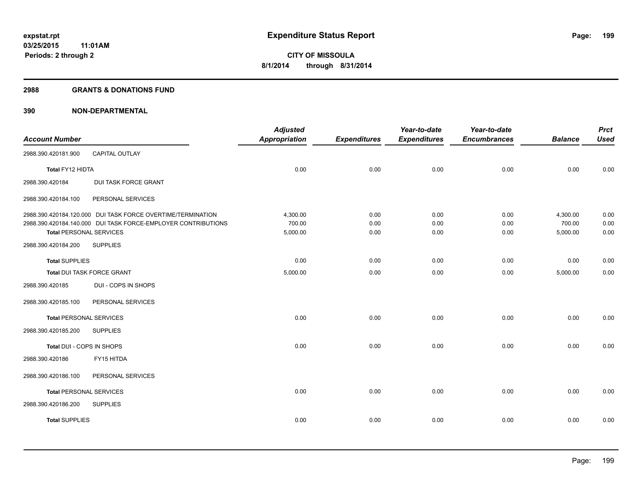#### **2988 GRANTS & DONATIONS FUND**

|                                |                                                               | <b>Adjusted</b>      |                     | Year-to-date        | Year-to-date        |                    | <b>Prct</b>  |
|--------------------------------|---------------------------------------------------------------|----------------------|---------------------|---------------------|---------------------|--------------------|--------------|
| <b>Account Number</b>          |                                                               | <b>Appropriation</b> | <b>Expenditures</b> | <b>Expenditures</b> | <b>Encumbrances</b> | <b>Balance</b>     | <b>Used</b>  |
| 2988.390.420181.900            | CAPITAL OUTLAY                                                |                      |                     |                     |                     |                    |              |
| Total FY12 HIDTA               |                                                               | 0.00                 | 0.00                | 0.00                | 0.00                | 0.00               | 0.00         |
| 2988.390.420184                | DUI TASK FORCE GRANT                                          |                      |                     |                     |                     |                    |              |
| 2988.390.420184.100            | PERSONAL SERVICES                                             |                      |                     |                     |                     |                    |              |
|                                | 2988.390.420184.120.000 DUI TASK FORCE OVERTIME/TERMINATION   | 4,300.00             | 0.00                | 0.00                | 0.00                | 4,300.00           | 0.00         |
| <b>Total PERSONAL SERVICES</b> | 2988.390.420184.140.000 DUI TASK FORCE-EMPLOYER CONTRIBUTIONS | 700.00<br>5,000.00   | 0.00<br>0.00        | 0.00<br>0.00        | 0.00<br>0.00        | 700.00<br>5,000.00 | 0.00<br>0.00 |
| 2988.390.420184.200            | <b>SUPPLIES</b>                                               |                      |                     |                     |                     |                    |              |
| <b>Total SUPPLIES</b>          |                                                               | 0.00                 | 0.00                | 0.00                | 0.00                | 0.00               | 0.00         |
| Total DUI TASK FORCE GRANT     |                                                               | 5,000.00             | 0.00                | 0.00                | 0.00                | 5,000.00           | 0.00         |
| 2988.390.420185                | DUI - COPS IN SHOPS                                           |                      |                     |                     |                     |                    |              |
| 2988.390.420185.100            | PERSONAL SERVICES                                             |                      |                     |                     |                     |                    |              |
| <b>Total PERSONAL SERVICES</b> |                                                               | 0.00                 | 0.00                | 0.00                | 0.00                | 0.00               | 0.00         |
| 2988.390.420185.200            | <b>SUPPLIES</b>                                               |                      |                     |                     |                     |                    |              |
| Total DUI - COPS IN SHOPS      |                                                               | 0.00                 | 0.00                | 0.00                | 0.00                | 0.00               | 0.00         |
| 2988.390.420186                | FY15 HITDA                                                    |                      |                     |                     |                     |                    |              |
| 2988.390.420186.100            | PERSONAL SERVICES                                             |                      |                     |                     |                     |                    |              |
| <b>Total PERSONAL SERVICES</b> |                                                               | 0.00                 | 0.00                | 0.00                | 0.00                | 0.00               | 0.00         |
| 2988.390.420186.200            | <b>SUPPLIES</b>                                               |                      |                     |                     |                     |                    |              |
| <b>Total SUPPLIES</b>          |                                                               | 0.00                 | 0.00                | 0.00                | 0.00                | 0.00               | 0.00         |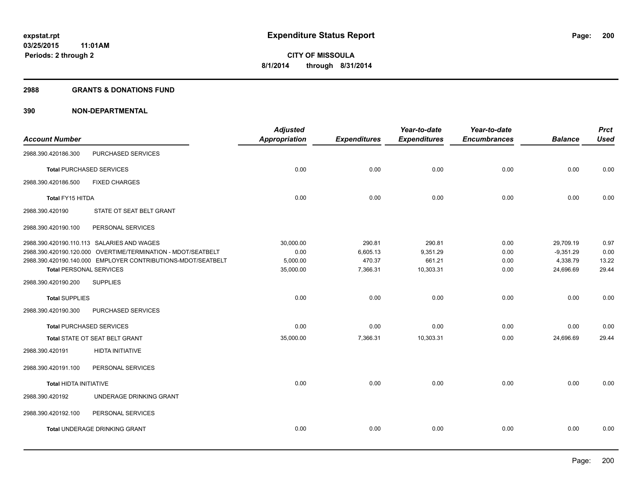#### **2988 GRANTS & DONATIONS FUND**

| <b>Account Number</b>  |                                                              | <b>Adjusted</b><br><b>Appropriation</b> | <b>Expenditures</b> | Year-to-date<br><b>Expenditures</b> | Year-to-date<br><b>Encumbrances</b> | <b>Balance</b> | <b>Prct</b><br><b>Used</b> |
|------------------------|--------------------------------------------------------------|-----------------------------------------|---------------------|-------------------------------------|-------------------------------------|----------------|----------------------------|
|                        |                                                              |                                         |                     |                                     |                                     |                |                            |
| 2988.390.420186.300    | PURCHASED SERVICES                                           |                                         |                     |                                     |                                     |                |                            |
|                        | <b>Total PURCHASED SERVICES</b>                              | 0.00                                    | 0.00                | 0.00                                | 0.00                                | 0.00           | 0.00                       |
| 2988.390.420186.500    | <b>FIXED CHARGES</b>                                         |                                         |                     |                                     |                                     |                |                            |
| Total FY15 HITDA       |                                                              | 0.00                                    | 0.00                | 0.00                                | 0.00                                | 0.00           | 0.00                       |
| 2988.390.420190        | STATE OT SEAT BELT GRANT                                     |                                         |                     |                                     |                                     |                |                            |
| 2988.390.420190.100    | PERSONAL SERVICES                                            |                                         |                     |                                     |                                     |                |                            |
|                        | 2988.390.420190.110.113 SALARIES AND WAGES                   | 30,000.00                               | 290.81              | 290.81                              | 0.00                                | 29,709.19      | 0.97                       |
|                        | 2988.390.420190.120.000 OVERTIME/TERMINATION - MDOT/SEATBELT | 0.00                                    | 6,605.13            | 9,351.29                            | 0.00                                | $-9,351.29$    | 0.00                       |
|                        | 2988.390.420190.140.000 EMPLOYER CONTRIBUTIONS-MDOT/SEATBELT | 5,000.00                                | 470.37              | 661.21                              | 0.00                                | 4,338.79       | 13.22                      |
|                        | <b>Total PERSONAL SERVICES</b>                               | 35,000.00                               | 7,366.31            | 10,303.31                           | 0.00                                | 24,696.69      | 29.44                      |
| 2988.390.420190.200    | <b>SUPPLIES</b>                                              |                                         |                     |                                     |                                     |                |                            |
| <b>Total SUPPLIES</b>  |                                                              | 0.00                                    | 0.00                | 0.00                                | 0.00                                | 0.00           | 0.00                       |
| 2988.390.420190.300    | PURCHASED SERVICES                                           |                                         |                     |                                     |                                     |                |                            |
|                        | <b>Total PURCHASED SERVICES</b>                              | 0.00                                    | 0.00                | 0.00                                | 0.00                                | 0.00           | 0.00                       |
|                        | Total STATE OT SEAT BELT GRANT                               | 35,000.00                               | 7,366.31            | 10,303.31                           | 0.00                                | 24,696.69      | 29.44                      |
| 2988.390.420191        | <b>HIDTA INITIATIVE</b>                                      |                                         |                     |                                     |                                     |                |                            |
| 2988.390.420191.100    | PERSONAL SERVICES                                            |                                         |                     |                                     |                                     |                |                            |
| Total HIDTA INITIATIVE |                                                              | 0.00                                    | 0.00                | 0.00                                | 0.00                                | 0.00           | 0.00                       |
| 2988.390.420192        | UNDERAGE DRINKING GRANT                                      |                                         |                     |                                     |                                     |                |                            |
| 2988.390.420192.100    | PERSONAL SERVICES                                            |                                         |                     |                                     |                                     |                |                            |
|                        | <b>Total UNDERAGE DRINKING GRANT</b>                         | 0.00                                    | 0.00                | 0.00                                | 0.00                                | 0.00           | 0.00                       |
|                        |                                                              |                                         |                     |                                     |                                     |                |                            |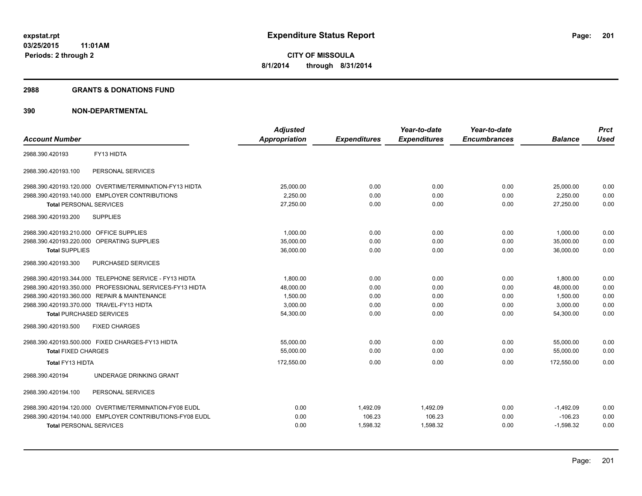#### **2988 GRANTS & DONATIONS FUND**

| <b>Account Number</b>                                    | <b>Adjusted</b><br>Appropriation | <b>Expenditures</b> | Year-to-date<br><b>Expenditures</b> | Year-to-date<br><b>Encumbrances</b> | <b>Balance</b> | <b>Prct</b><br><b>Used</b> |
|----------------------------------------------------------|----------------------------------|---------------------|-------------------------------------|-------------------------------------|----------------|----------------------------|
| FY13 HIDTA<br>2988.390.420193                            |                                  |                     |                                     |                                     |                |                            |
| PERSONAL SERVICES<br>2988.390.420193.100                 |                                  |                     |                                     |                                     |                |                            |
| 2988.390.420193.120.000 OVERTIME/TERMINATION-FY13 HIDTA  | 25,000.00                        | 0.00                | 0.00                                | 0.00                                | 25,000.00      | 0.00                       |
| 2988.390.420193.140.000 EMPLOYER CONTRIBUTIONS           | 2,250.00                         | 0.00                | 0.00                                | 0.00                                | 2,250.00       | 0.00                       |
| <b>Total PERSONAL SERVICES</b>                           | 27.250.00                        | 0.00                | 0.00                                | 0.00                                | 27.250.00      | 0.00                       |
| 2988.390.420193.200<br><b>SUPPLIES</b>                   |                                  |                     |                                     |                                     |                |                            |
| 2988.390.420193.210.000 OFFICE SUPPLIES                  | 1,000.00                         | 0.00                | 0.00                                | 0.00                                | 1,000.00       | 0.00                       |
| 2988.390.420193.220.000 OPERATING SUPPLIES               | 35,000.00                        | 0.00                | 0.00                                | 0.00                                | 35,000.00      | 0.00                       |
| <b>Total SUPPLIES</b>                                    | 36,000.00                        | 0.00                | 0.00                                | 0.00                                | 36,000.00      | 0.00                       |
| 2988.390.420193.300<br><b>PURCHASED SERVICES</b>         |                                  |                     |                                     |                                     |                |                            |
| 2988.390.420193.344.000 TELEPHONE SERVICE - FY13 HIDTA   | 1.800.00                         | 0.00                | 0.00                                | 0.00                                | 1,800.00       | 0.00                       |
| 2988.390.420193.350.000 PROFESSIONAL SERVICES-FY13 HIDTA | 48.000.00                        | 0.00                | 0.00                                | 0.00                                | 48,000.00      | 0.00                       |
| 2988.390.420193.360.000 REPAIR & MAINTENANCE             | 1,500.00                         | 0.00                | 0.00                                | 0.00                                | 1,500.00       | 0.00                       |
| 2988.390.420193.370.000 TRAVEL-FY13 HIDTA                | 3.000.00                         | 0.00                | 0.00                                | 0.00                                | 3.000.00       | 0.00                       |
| <b>Total PURCHASED SERVICES</b>                          | 54,300.00                        | 0.00                | 0.00                                | 0.00                                | 54,300.00      | 0.00                       |
| <b>FIXED CHARGES</b><br>2988.390.420193.500              |                                  |                     |                                     |                                     |                |                            |
| 2988.390.420193.500.000 FIXED CHARGES-FY13 HIDTA         | 55.000.00                        | 0.00                | 0.00                                | 0.00                                | 55,000.00      | 0.00                       |
| <b>Total FIXED CHARGES</b>                               | 55,000.00                        | 0.00                | 0.00                                | 0.00                                | 55,000.00      | 0.00                       |
| Total FY13 HIDTA                                         | 172,550.00                       | 0.00                | 0.00                                | 0.00                                | 172,550.00     | 0.00                       |
| UNDERAGE DRINKING GRANT<br>2988.390.420194               |                                  |                     |                                     |                                     |                |                            |
| PERSONAL SERVICES<br>2988.390.420194.100                 |                                  |                     |                                     |                                     |                |                            |
| 2988.390.420194.120.000 OVERTIME/TERMINATION-FY08 EUDL   | 0.00                             | 1,492.09            | 1,492.09                            | 0.00                                | $-1,492.09$    | 0.00                       |
| 2988.390.420194.140.000 EMPLOYER CONTRIBUTIONS-FY08 EUDL | 0.00                             | 106.23              | 106.23                              | 0.00                                | $-106.23$      | 0.00                       |
| <b>Total PERSONAL SERVICES</b>                           | 0.00                             | 1,598.32            | 1,598.32                            | 0.00                                | $-1,598.32$    | 0.00                       |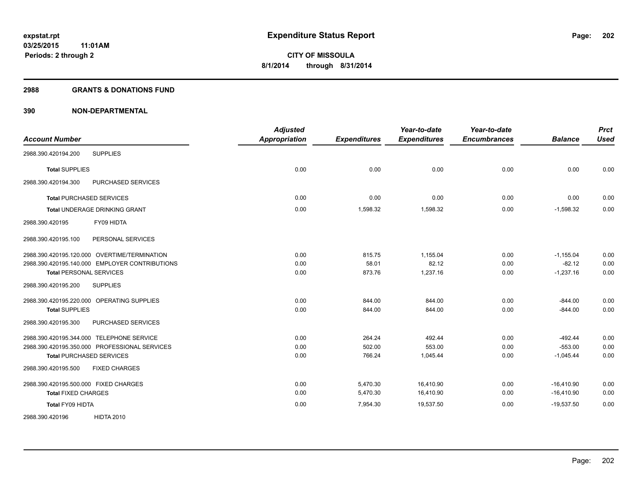#### **2988 GRANTS & DONATIONS FUND**

| <b>Account Number</b>                          | <b>Adjusted</b><br><b>Appropriation</b> | <b>Expenditures</b> | Year-to-date<br><b>Expenditures</b> | Year-to-date<br><b>Encumbrances</b> | <b>Balance</b> | <b>Prct</b><br><b>Used</b> |
|------------------------------------------------|-----------------------------------------|---------------------|-------------------------------------|-------------------------------------|----------------|----------------------------|
| <b>SUPPLIES</b><br>2988.390.420194.200         |                                         |                     |                                     |                                     |                |                            |
| <b>Total SUPPLIES</b>                          | 0.00                                    | 0.00                | 0.00                                | 0.00                                | 0.00           | 0.00                       |
| PURCHASED SERVICES<br>2988.390.420194.300      |                                         |                     |                                     |                                     |                |                            |
| <b>Total PURCHASED SERVICES</b>                | 0.00                                    | 0.00                | 0.00                                | 0.00                                | 0.00           | 0.00                       |
| <b>Total UNDERAGE DRINKING GRANT</b>           | 0.00                                    | 1,598.32            | 1,598.32                            | 0.00                                | $-1,598.32$    | 0.00                       |
| FY09 HIDTA<br>2988.390.420195                  |                                         |                     |                                     |                                     |                |                            |
| 2988.390.420195.100<br>PERSONAL SERVICES       |                                         |                     |                                     |                                     |                |                            |
| 2988.390.420195.120.000 OVERTIME/TERMINATION   | 0.00                                    | 815.75              | 1,155.04                            | 0.00                                | $-1,155.04$    | 0.00                       |
| 2988.390.420195.140.000 EMPLOYER CONTRIBUTIONS | 0.00                                    | 58.01               | 82.12                               | 0.00                                | $-82.12$       | 0.00                       |
| <b>Total PERSONAL SERVICES</b>                 | 0.00                                    | 873.76              | 1,237.16                            | 0.00                                | $-1,237.16$    | 0.00                       |
| 2988.390.420195.200<br><b>SUPPLIES</b>         |                                         |                     |                                     |                                     |                |                            |
| 2988.390.420195.220.000 OPERATING SUPPLIES     | 0.00                                    | 844.00              | 844.00                              | 0.00                                | $-844.00$      | 0.00                       |
| <b>Total SUPPLIES</b>                          | 0.00                                    | 844.00              | 844.00                              | 0.00                                | $-844.00$      | 0.00                       |
| 2988.390.420195.300<br>PURCHASED SERVICES      |                                         |                     |                                     |                                     |                |                            |
| 2988.390.420195.344.000 TELEPHONE SERVICE      | 0.00                                    | 264.24              | 492.44                              | 0.00                                | $-492.44$      | 0.00                       |
| 2988.390.420195.350.000 PROFESSIONAL SERVICES  | 0.00                                    | 502.00              | 553.00                              | 0.00                                | $-553.00$      | 0.00                       |
| <b>Total PURCHASED SERVICES</b>                | 0.00                                    | 766.24              | 1,045.44                            | 0.00                                | $-1,045.44$    | 0.00                       |
| 2988.390.420195.500<br><b>FIXED CHARGES</b>    |                                         |                     |                                     |                                     |                |                            |
| 2988.390.420195.500.000 FIXED CHARGES          | 0.00                                    | 5,470.30            | 16,410.90                           | 0.00                                | $-16,410.90$   | 0.00                       |
| <b>Total FIXED CHARGES</b>                     | 0.00                                    | 5,470.30            | 16,410.90                           | 0.00                                | $-16,410.90$   | 0.00                       |
| Total FY09 HIDTA                               | 0.00                                    | 7,954.30            | 19,537.50                           | 0.00                                | $-19,537.50$   | 0.00                       |
| <b>HIDTA 2010</b><br>2988.390.420196           |                                         |                     |                                     |                                     |                |                            |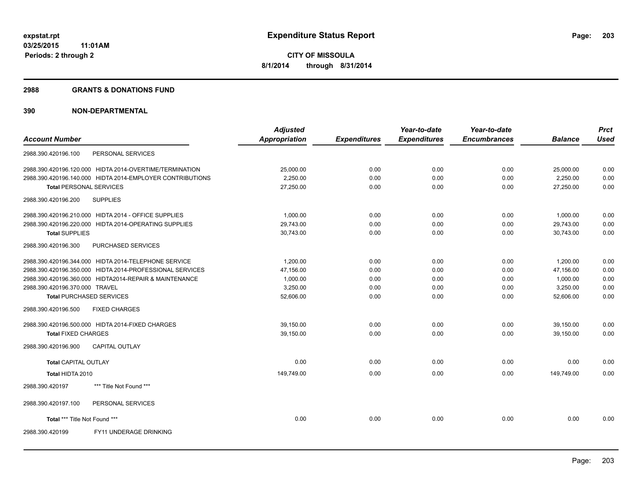#### **2988 GRANTS & DONATIONS FUND**

|                                 |                                                           | <b>Adjusted</b>      |                     | Year-to-date        | Year-to-date        |                | <b>Prct</b> |
|---------------------------------|-----------------------------------------------------------|----------------------|---------------------|---------------------|---------------------|----------------|-------------|
| <b>Account Number</b>           |                                                           | <b>Appropriation</b> | <b>Expenditures</b> | <b>Expenditures</b> | <b>Encumbrances</b> | <b>Balance</b> | <b>Used</b> |
| 2988.390.420196.100             | PERSONAL SERVICES                                         |                      |                     |                     |                     |                |             |
|                                 | 2988.390.420196.120.000 HIDTA 2014-OVERTIME/TERMINATION   | 25,000.00            | 0.00                | 0.00                | 0.00                | 25,000.00      | 0.00        |
|                                 | 2988.390.420196.140.000 HIDTA 2014-EMPLOYER CONTRIBUTIONS | 2,250.00             | 0.00                | 0.00                | 0.00                | 2,250.00       | 0.00        |
| <b>Total PERSONAL SERVICES</b>  |                                                           | 27,250.00            | 0.00                | 0.00                | 0.00                | 27.250.00      | 0.00        |
| 2988.390.420196.200             | <b>SUPPLIES</b>                                           |                      |                     |                     |                     |                |             |
|                                 | 2988.390.420196.210.000 HIDTA 2014 - OFFICE SUPPLIES      | 1,000.00             | 0.00                | 0.00                | 0.00                | 1,000.00       | 0.00        |
|                                 | 2988.390.420196.220.000 HIDTA 2014-OPERATING SUPPLIES     | 29,743.00            | 0.00                | 0.00                | 0.00                | 29,743.00      | 0.00        |
| <b>Total SUPPLIES</b>           |                                                           | 30,743.00            | 0.00                | 0.00                | 0.00                | 30.743.00      | 0.00        |
| 2988.390.420196.300             | PURCHASED SERVICES                                        |                      |                     |                     |                     |                |             |
|                                 | 2988.390.420196.344.000 HIDTA 2014-TELEPHONE SERVICE      | 1.200.00             | 0.00                | 0.00                | 0.00                | 1.200.00       | 0.00        |
|                                 | 2988.390.420196.350.000 HIDTA 2014-PROFESSIONAL SERVICES  | 47,156.00            | 0.00                | 0.00                | 0.00                | 47,156.00      | 0.00        |
|                                 | 2988.390.420196.360.000 HIDTA2014-REPAIR & MAINTENANCE    | 1,000.00             | 0.00                | 0.00                | 0.00                | 1,000.00       | 0.00        |
| 2988.390.420196.370.000 TRAVEL  |                                                           | 3.250.00             | 0.00                | 0.00                | 0.00                | 3.250.00       | 0.00        |
| <b>Total PURCHASED SERVICES</b> |                                                           | 52,606.00            | 0.00                | 0.00                | 0.00                | 52,606.00      | 0.00        |
| 2988.390.420196.500             | <b>FIXED CHARGES</b>                                      |                      |                     |                     |                     |                |             |
|                                 | 2988.390.420196.500.000 HIDTA 2014-FIXED CHARGES          | 39,150.00            | 0.00                | 0.00                | 0.00                | 39,150.00      | 0.00        |
| <b>Total FIXED CHARGES</b>      |                                                           | 39,150.00            | 0.00                | 0.00                | 0.00                | 39,150.00      | 0.00        |
| 2988.390.420196.900             | <b>CAPITAL OUTLAY</b>                                     |                      |                     |                     |                     |                |             |
| <b>Total CAPITAL OUTLAY</b>     |                                                           | 0.00                 | 0.00                | 0.00                | 0.00                | 0.00           | 0.00        |
| Total HIDTA 2010                |                                                           | 149,749.00           | 0.00                | 0.00                | 0.00                | 149,749.00     | 0.00        |
| 2988.390.420197                 | *** Title Not Found ***                                   |                      |                     |                     |                     |                |             |
| 2988.390.420197.100             | PERSONAL SERVICES                                         |                      |                     |                     |                     |                |             |
| Total *** Title Not Found ***   |                                                           | 0.00                 | 0.00                | 0.00                | 0.00                | 0.00           | 0.00        |
| 2988.390.420199                 | FY11 UNDERAGE DRINKING                                    |                      |                     |                     |                     |                |             |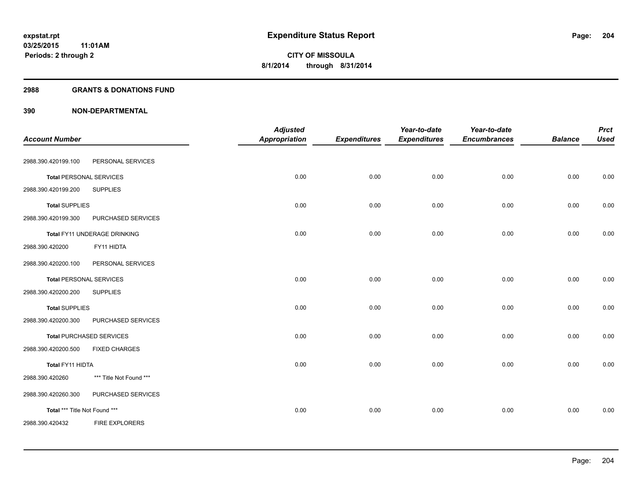#### **2988 GRANTS & DONATIONS FUND**

|                                |                                 | <b>Adjusted</b>      |                     | Year-to-date        | Year-to-date        |                | <b>Prct</b> |
|--------------------------------|---------------------------------|----------------------|---------------------|---------------------|---------------------|----------------|-------------|
| <b>Account Number</b>          |                                 | <b>Appropriation</b> | <b>Expenditures</b> | <b>Expenditures</b> | <b>Encumbrances</b> | <b>Balance</b> | <b>Used</b> |
| 2988.390.420199.100            | PERSONAL SERVICES               |                      |                     |                     |                     |                |             |
| <b>Total PERSONAL SERVICES</b> |                                 | 0.00                 | 0.00                | 0.00                | 0.00                | 0.00           | 0.00        |
| 2988.390.420199.200            | <b>SUPPLIES</b>                 |                      |                     |                     |                     |                |             |
| <b>Total SUPPLIES</b>          |                                 | 0.00                 | 0.00                | 0.00                | 0.00                | 0.00           | 0.00        |
| 2988.390.420199.300            | PURCHASED SERVICES              |                      |                     |                     |                     |                |             |
|                                | Total FY11 UNDERAGE DRINKING    | 0.00                 | 0.00                | 0.00                | 0.00                | 0.00           | 0.00        |
| 2988.390.420200                | FY11 HIDTA                      |                      |                     |                     |                     |                |             |
| 2988.390.420200.100            | PERSONAL SERVICES               |                      |                     |                     |                     |                |             |
| <b>Total PERSONAL SERVICES</b> |                                 | 0.00                 | 0.00                | 0.00                | 0.00                | 0.00           | 0.00        |
| 2988.390.420200.200            | <b>SUPPLIES</b>                 |                      |                     |                     |                     |                |             |
| <b>Total SUPPLIES</b>          |                                 | 0.00                 | 0.00                | 0.00                | 0.00                | 0.00           | 0.00        |
| 2988.390.420200.300            | PURCHASED SERVICES              |                      |                     |                     |                     |                |             |
|                                | <b>Total PURCHASED SERVICES</b> | 0.00                 | 0.00                | 0.00                | 0.00                | 0.00           | 0.00        |
| 2988.390.420200.500            | <b>FIXED CHARGES</b>            |                      |                     |                     |                     |                |             |
| Total FY11 HIDTA               |                                 | 0.00                 | 0.00                | 0.00                | 0.00                | 0.00           | 0.00        |
| 2988.390.420260                | *** Title Not Found ***         |                      |                     |                     |                     |                |             |
| 2988.390.420260.300            | PURCHASED SERVICES              |                      |                     |                     |                     |                |             |
| Total *** Title Not Found ***  |                                 | 0.00                 | 0.00                | 0.00                | 0.00                | 0.00           | 0.00        |
| 2988.390.420432                | <b>FIRE EXPLORERS</b>           |                      |                     |                     |                     |                |             |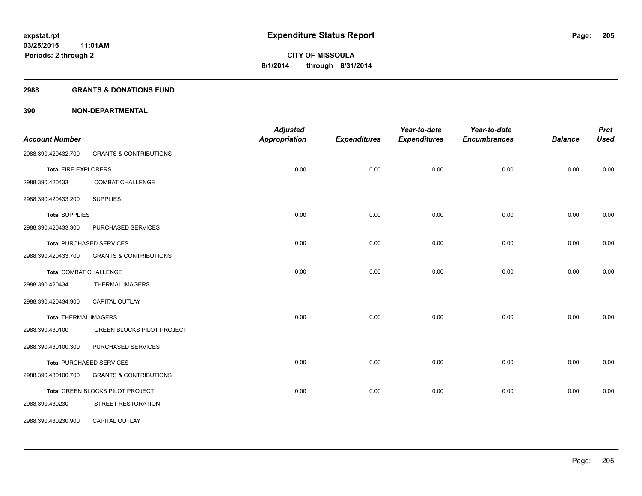#### **2988 GRANTS & DONATIONS FUND**

| <b>Account Number</b>         |                                   | <b>Adjusted</b><br>Appropriation | <b>Expenditures</b> | Year-to-date<br><b>Expenditures</b> | Year-to-date<br><b>Encumbrances</b> | <b>Balance</b> | <b>Prct</b><br><b>Used</b> |
|-------------------------------|-----------------------------------|----------------------------------|---------------------|-------------------------------------|-------------------------------------|----------------|----------------------------|
| 2988.390.420432.700           | <b>GRANTS &amp; CONTRIBUTIONS</b> |                                  |                     |                                     |                                     |                |                            |
| <b>Total FIRE EXPLORERS</b>   |                                   | 0.00                             | 0.00                | 0.00                                | 0.00                                | 0.00           | 0.00                       |
| 2988.390.420433               | <b>COMBAT CHALLENGE</b>           |                                  |                     |                                     |                                     |                |                            |
| 2988.390.420433.200           | <b>SUPPLIES</b>                   |                                  |                     |                                     |                                     |                |                            |
| <b>Total SUPPLIES</b>         |                                   | 0.00                             | 0.00                | 0.00                                | 0.00                                | 0.00           | 0.00                       |
| 2988.390.420433.300           | PURCHASED SERVICES                |                                  |                     |                                     |                                     |                |                            |
|                               | <b>Total PURCHASED SERVICES</b>   | 0.00                             | 0.00                | 0.00                                | 0.00                                | 0.00           | 0.00                       |
| 2988.390.420433.700           | <b>GRANTS &amp; CONTRIBUTIONS</b> |                                  |                     |                                     |                                     |                |                            |
| <b>Total COMBAT CHALLENGE</b> |                                   | 0.00                             | 0.00                | 0.00                                | 0.00                                | 0.00           | 0.00                       |
| 2988.390.420434               | THERMAL IMAGERS                   |                                  |                     |                                     |                                     |                |                            |
| 2988.390.420434.900           | <b>CAPITAL OUTLAY</b>             |                                  |                     |                                     |                                     |                |                            |
| <b>Total THERMAL IMAGERS</b>  |                                   | 0.00                             | 0.00                | 0.00                                | 0.00                                | 0.00           | 0.00                       |
| 2988.390.430100               | <b>GREEN BLOCKS PILOT PROJECT</b> |                                  |                     |                                     |                                     |                |                            |
| 2988.390.430100.300           | PURCHASED SERVICES                |                                  |                     |                                     |                                     |                |                            |
|                               | <b>Total PURCHASED SERVICES</b>   | 0.00                             | 0.00                | 0.00                                | 0.00                                | 0.00           | 0.00                       |
| 2988.390.430100.700           | <b>GRANTS &amp; CONTRIBUTIONS</b> |                                  |                     |                                     |                                     |                |                            |
|                               | Total GREEN BLOCKS PILOT PROJECT  | 0.00                             | 0.00                | 0.00                                | 0.00                                | 0.00           | 0.00                       |
| 2988.390.430230               | STREET RESTORATION                |                                  |                     |                                     |                                     |                |                            |
| 2988.390.430230.900           | CAPITAL OUTLAY                    |                                  |                     |                                     |                                     |                |                            |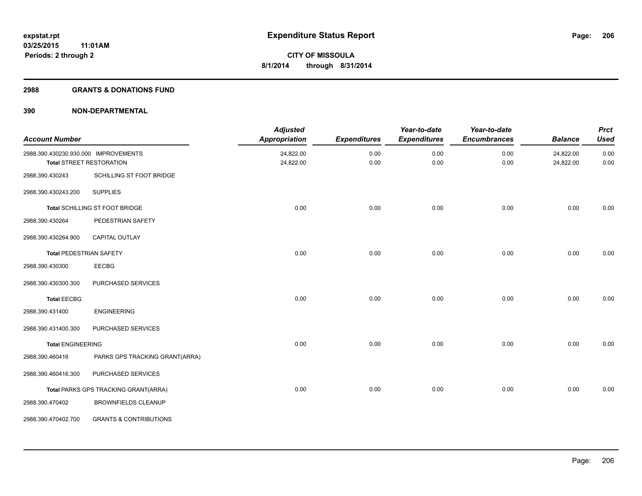#### **2988 GRANTS & DONATIONS FUND**

| <b>Account Number</b>                |                                      | <b>Adjusted</b><br><b>Appropriation</b> | <b>Expenditures</b> | Year-to-date<br><b>Expenditures</b> | Year-to-date<br><b>Encumbrances</b> | <b>Balance</b>         | <b>Prct</b><br><b>Used</b> |
|--------------------------------------|--------------------------------------|-----------------------------------------|---------------------|-------------------------------------|-------------------------------------|------------------------|----------------------------|
| 2988.390.430230.930.000 IMPROVEMENTS | <b>Total STREET RESTORATION</b>      | 24,822.00<br>24,822.00                  | 0.00<br>0.00        | 0.00<br>0.00                        | 0.00<br>0.00                        | 24,822.00<br>24,822.00 | 0.00<br>0.00               |
| 2988.390.430243                      | SCHILLING ST FOOT BRIDGE             |                                         |                     |                                     |                                     |                        |                            |
| 2988.390.430243.200                  | <b>SUPPLIES</b>                      |                                         |                     |                                     |                                     |                        |                            |
|                                      | Total SCHILLING ST FOOT BRIDGE       | 0.00                                    | 0.00                | 0.00                                | 0.00                                | 0.00                   | 0.00                       |
| 2988.390.430264                      | PEDESTRIAN SAFETY                    |                                         |                     |                                     |                                     |                        |                            |
| 2988.390.430264.900                  | <b>CAPITAL OUTLAY</b>                |                                         |                     |                                     |                                     |                        |                            |
| <b>Total PEDESTRIAN SAFETY</b>       |                                      | 0.00                                    | 0.00                | 0.00                                | 0.00                                | 0.00                   | 0.00                       |
| 2988.390.430300                      | <b>EECBG</b>                         |                                         |                     |                                     |                                     |                        |                            |
| 2988.390.430300.300                  | PURCHASED SERVICES                   |                                         |                     |                                     |                                     |                        |                            |
| <b>Total EECBG</b>                   |                                      | 0.00                                    | 0.00                | 0.00                                | 0.00                                | 0.00                   | 0.00                       |
| 2988.390.431400                      | <b>ENGINEERING</b>                   |                                         |                     |                                     |                                     |                        |                            |
| 2988.390.431400.300                  | PURCHASED SERVICES                   |                                         |                     |                                     |                                     |                        |                            |
| <b>Total ENGINEERING</b>             |                                      | 0.00                                    | 0.00                | 0.00                                | 0.00                                | 0.00                   | 0.00                       |
| 2988.390.460416                      | PARKS GPS TRACKING GRANT(ARRA)       |                                         |                     |                                     |                                     |                        |                            |
| 2988.390.460416.300                  | PURCHASED SERVICES                   |                                         |                     |                                     |                                     |                        |                            |
|                                      | Total PARKS GPS TRACKING GRANT(ARRA) | 0.00                                    | 0.00                | 0.00                                | 0.00                                | 0.00                   | 0.00                       |
| 2988.390.470402                      | <b>BROWNFIELDS CLEANUP</b>           |                                         |                     |                                     |                                     |                        |                            |
| 2988.390.470402.700                  | <b>GRANTS &amp; CONTRIBUTIONS</b>    |                                         |                     |                                     |                                     |                        |                            |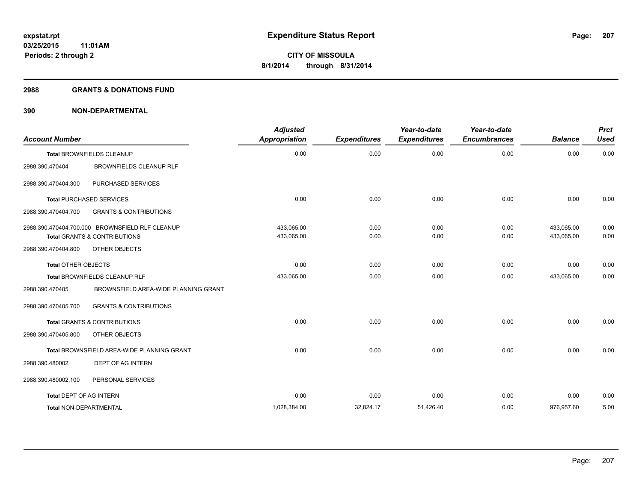#### **2988 GRANTS & DONATIONS FUND**

| <b>Account Number</b>                                                                      |                                            | <b>Adjusted</b><br><b>Appropriation</b> | <b>Expenditures</b> | Year-to-date<br><b>Expenditures</b> | Year-to-date<br><b>Encumbrances</b> | <b>Balance</b>           | <b>Prct</b><br><b>Used</b> |
|--------------------------------------------------------------------------------------------|--------------------------------------------|-----------------------------------------|---------------------|-------------------------------------|-------------------------------------|--------------------------|----------------------------|
| <b>Total BROWNFIELDS CLEANUP</b>                                                           |                                            | 0.00                                    | 0.00                | 0.00                                | 0.00                                | 0.00                     | 0.00                       |
| 2988.390.470404                                                                            | <b>BROWNFIELDS CLEANUP RLF</b>             |                                         |                     |                                     |                                     |                          |                            |
| 2988.390.470404.300                                                                        | PURCHASED SERVICES                         |                                         |                     |                                     |                                     |                          |                            |
| <b>Total PURCHASED SERVICES</b>                                                            |                                            | 0.00                                    | 0.00                | 0.00                                | 0.00                                | 0.00                     | 0.00                       |
| 2988.390.470404.700                                                                        | <b>GRANTS &amp; CONTRIBUTIONS</b>          |                                         |                     |                                     |                                     |                          |                            |
| 2988.390.470404.700.000 BROWNSFIELD RLF CLEANUP<br><b>Total GRANTS &amp; CONTRIBUTIONS</b> |                                            | 433,065.00<br>433,065.00                | 0.00<br>0.00        | 0.00<br>0.00                        | 0.00<br>0.00                        | 433,065.00<br>433,065.00 | 0.00<br>0.00               |
| 2988.390.470404.800                                                                        | OTHER OBJECTS                              |                                         |                     |                                     |                                     |                          |                            |
| <b>Total OTHER OBJECTS</b>                                                                 |                                            | 0.00                                    | 0.00                | 0.00                                | 0.00                                | 0.00                     | 0.00                       |
| Total BROWNFIELDS CLEANUP RLF                                                              |                                            | 433,065.00                              | 0.00                | 0.00                                | 0.00                                | 433,065.00               | 0.00                       |
| 2988.390.470405                                                                            | BROWNSFIELD AREA-WIDE PLANNING GRANT       |                                         |                     |                                     |                                     |                          |                            |
| 2988.390.470405.700                                                                        | <b>GRANTS &amp; CONTRIBUTIONS</b>          |                                         |                     |                                     |                                     |                          |                            |
| <b>Total GRANTS &amp; CONTRIBUTIONS</b>                                                    |                                            | 0.00                                    | 0.00                | 0.00                                | 0.00                                | 0.00                     | 0.00                       |
| 2988.390.470405.800                                                                        | OTHER OBJECTS                              |                                         |                     |                                     |                                     |                          |                            |
|                                                                                            | Total BROWNSFIELD AREA-WIDE PLANNING GRANT | 0.00                                    | 0.00                | 0.00                                | 0.00                                | 0.00                     | 0.00                       |
| 2988.390.480002                                                                            | <b>DEPT OF AG INTERN</b>                   |                                         |                     |                                     |                                     |                          |                            |
| 2988.390.480002.100                                                                        | PERSONAL SERVICES                          |                                         |                     |                                     |                                     |                          |                            |
| <b>Total DEPT OF AG INTERN</b>                                                             |                                            | 0.00                                    | 0.00                | 0.00                                | 0.00                                | 0.00                     | 0.00                       |
| <b>Total NON-DEPARTMENTAL</b>                                                              |                                            | 1,028,384.00                            | 32,824.17           | 51,426.40                           | 0.00                                | 976,957.60               | 5.00                       |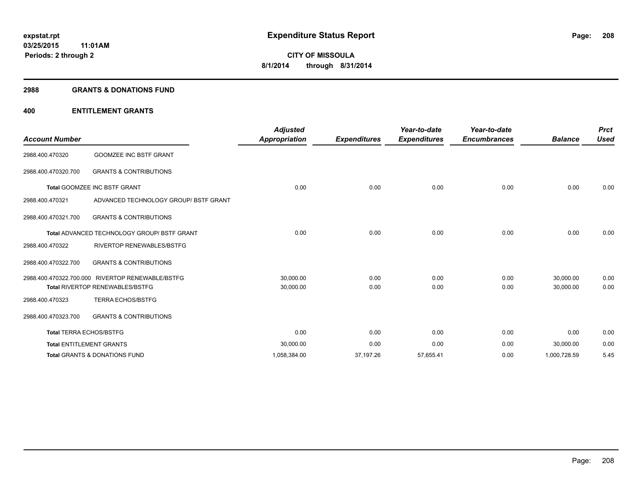#### **2988 GRANTS & DONATIONS FUND**

## **400 ENTITLEMENT GRANTS**

| <b>Account Number</b>               |                                                  | <b>Adjusted</b><br><b>Appropriation</b> | <b>Expenditures</b> | Year-to-date<br><b>Expenditures</b> | Year-to-date<br><b>Encumbrances</b> | <b>Balance</b> | <b>Prct</b><br><b>Used</b> |
|-------------------------------------|--------------------------------------------------|-----------------------------------------|---------------------|-------------------------------------|-------------------------------------|----------------|----------------------------|
| 2988.400.470320                     | <b>GOOMZEE INC BSTF GRANT</b>                    |                                         |                     |                                     |                                     |                |                            |
| 2988.400.470320.700                 | <b>GRANTS &amp; CONTRIBUTIONS</b>                |                                         |                     |                                     |                                     |                |                            |
| <b>Total GOOMZEE INC BSTF GRANT</b> |                                                  | 0.00                                    | 0.00                | 0.00                                | 0.00                                | 0.00           | 0.00                       |
| 2988.400.470321                     | ADVANCED TECHNOLOGY GROUP/ BSTF GRANT            |                                         |                     |                                     |                                     |                |                            |
| 2988.400.470321.700                 | <b>GRANTS &amp; CONTRIBUTIONS</b>                |                                         |                     |                                     |                                     |                |                            |
|                                     | Total ADVANCED TECHNOLOGY GROUP/ BSTF GRANT      | 0.00                                    | 0.00                | 0.00                                | 0.00                                | 0.00           | 0.00                       |
| 2988.400.470322                     | RIVERTOP RENEWABLES/BSTFG                        |                                         |                     |                                     |                                     |                |                            |
| 2988.400.470322.700                 | <b>GRANTS &amp; CONTRIBUTIONS</b>                |                                         |                     |                                     |                                     |                |                            |
|                                     | 2988.400.470322.700.000 RIVERTOP RENEWABLE/BSTFG | 30,000.00                               | 0.00                | 0.00                                | 0.00                                | 30,000.00      | 0.00                       |
|                                     | <b>Total RIVERTOP RENEWABLES/BSTFG</b>           | 30,000.00                               | 0.00                | 0.00                                | 0.00                                | 30,000.00      | 0.00                       |
| 2988.400.470323                     | <b>TERRA ECHOS/BSTFG</b>                         |                                         |                     |                                     |                                     |                |                            |
| 2988.400.470323.700                 | <b>GRANTS &amp; CONTRIBUTIONS</b>                |                                         |                     |                                     |                                     |                |                            |
|                                     | <b>Total TERRA ECHOS/BSTFG</b>                   | 0.00                                    | 0.00                | 0.00                                | 0.00                                | 0.00           | 0.00                       |
|                                     | <b>Total ENTITLEMENT GRANTS</b>                  | 30,000.00                               | 0.00                | 0.00                                | 0.00                                | 30,000.00      | 0.00                       |
|                                     | <b>Total GRANTS &amp; DONATIONS FUND</b>         | 1,058,384.00                            | 37,197.26           | 57,655.41                           | 0.00                                | 1,000,728.59   | 5.45                       |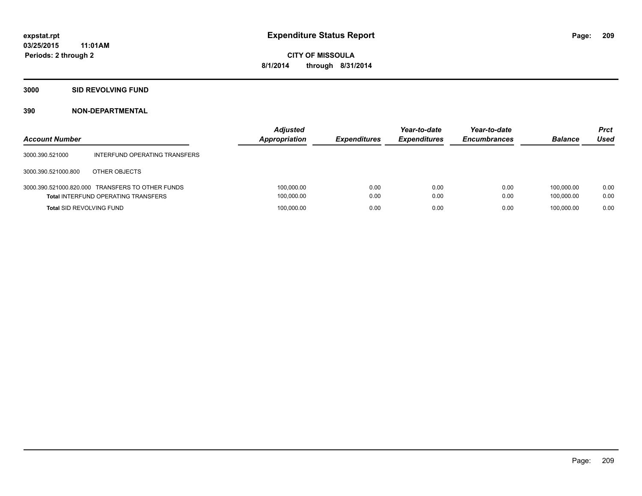## **3000 SID REVOLVING FUND**

| <b>Account Number</b>           |                                                                                                | <b>Adjusted</b><br><b>Appropriation</b> | <b>Expenditures</b> | Year-to-date<br><b>Expenditures</b> | Year-to-date<br><b>Encumbrances</b> | <b>Balance</b>           | <b>Prct</b><br>Used |
|---------------------------------|------------------------------------------------------------------------------------------------|-----------------------------------------|---------------------|-------------------------------------|-------------------------------------|--------------------------|---------------------|
| 3000.390.521000                 | INTERFUND OPERATING TRANSFERS                                                                  |                                         |                     |                                     |                                     |                          |                     |
| 3000.390.521000.800             | OTHER OBJECTS                                                                                  |                                         |                     |                                     |                                     |                          |                     |
|                                 | 3000.390.521000.820.000 TRANSFERS TO OTHER FUNDS<br><b>Total INTERFUND OPERATING TRANSFERS</b> | 100,000.00<br>100,000.00                | 0.00<br>0.00        | 0.00<br>0.00                        | 0.00<br>0.00                        | 100.000.00<br>100.000.00 | 0.00<br>0.00        |
| <b>Total SID REVOLVING FUND</b> |                                                                                                | 100,000.00                              | 0.00                | 0.00                                | 0.00                                | 100.000.00               | 0.00                |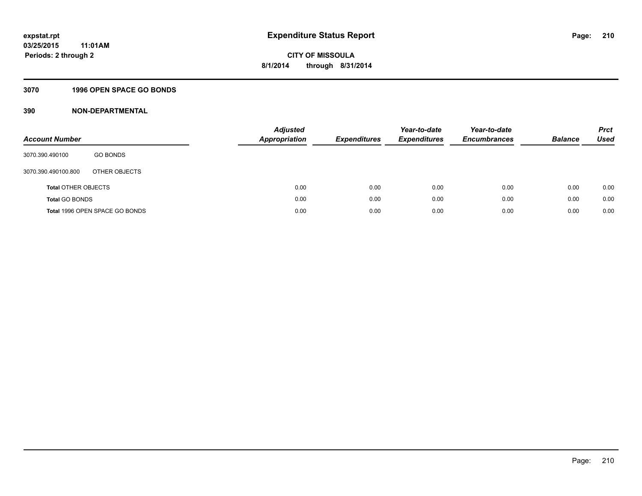## **3070 1996 OPEN SPACE GO BONDS**

| <b>Account Number</b>      |                                | Adjusted<br><b>Appropriation</b> | <b>Expenditures</b> | Year-to-date<br><b>Expenditures</b> | Year-to-date<br><b>Encumbrances</b> | <b>Balance</b> | <b>Prct</b><br>Used |
|----------------------------|--------------------------------|----------------------------------|---------------------|-------------------------------------|-------------------------------------|----------------|---------------------|
| 3070.390.490100            | <b>GO BONDS</b>                |                                  |                     |                                     |                                     |                |                     |
| 3070.390.490100.800        | OTHER OBJECTS                  |                                  |                     |                                     |                                     |                |                     |
| <b>Total OTHER OBJECTS</b> |                                | 0.00                             | 0.00                | 0.00                                | 0.00                                | 0.00           | 0.00                |
| <b>Total GO BONDS</b>      |                                | 0.00                             | 0.00                | 0.00                                | 0.00                                | 0.00           | 0.00                |
|                            | Total 1996 OPEN SPACE GO BONDS | 0.00                             | 0.00                | 0.00                                | 0.00                                | 0.00           | 0.00                |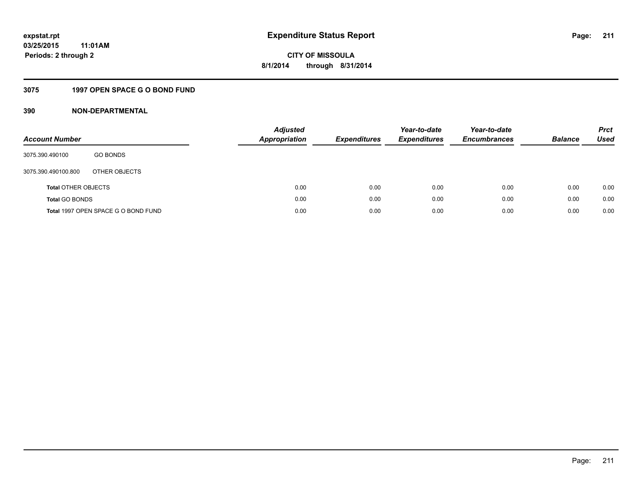## **3075 1997 OPEN SPACE G O BOND FUND**

| <b>Account Number</b>      |                                     | <b>Adjusted</b><br><b>Appropriation</b> | <b>Expenditures</b> | Year-to-date<br><b>Expenditures</b> | Year-to-date<br><b>Encumbrances</b> | <b>Balance</b> | <b>Prct</b><br>Used |
|----------------------------|-------------------------------------|-----------------------------------------|---------------------|-------------------------------------|-------------------------------------|----------------|---------------------|
| 3075.390.490100            | <b>GO BONDS</b>                     |                                         |                     |                                     |                                     |                |                     |
| 3075.390.490100.800        | OTHER OBJECTS                       |                                         |                     |                                     |                                     |                |                     |
| <b>Total OTHER OBJECTS</b> |                                     | 0.00                                    | 0.00                | 0.00                                | 0.00                                | 0.00           | 0.00                |
| <b>Total GO BONDS</b>      |                                     | 0.00                                    | 0.00                | 0.00                                | 0.00                                | 0.00           | 0.00                |
|                            | Total 1997 OPEN SPACE G O BOND FUND | 0.00                                    | 0.00                | 0.00                                | 0.00                                | 0.00           | 0.00                |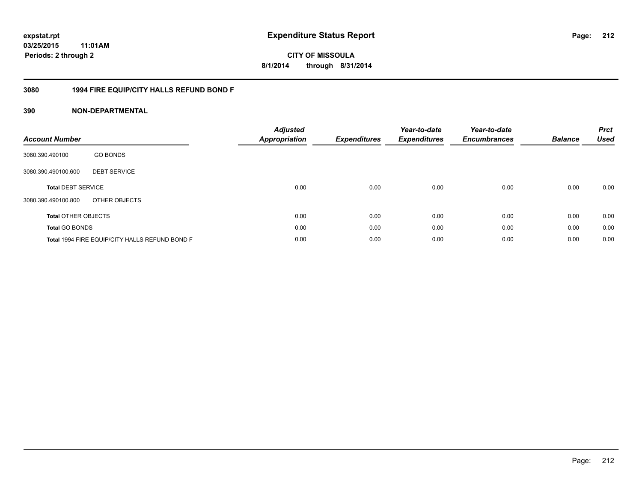## **03/25/2015 11:01AM Periods: 2 through 2**

**CITY OF MISSOULA 8/1/2014 through 8/31/2014**

## **3080 1994 FIRE EQUIP/CITY HALLS REFUND BOND F**

| <b>Account Number</b>      |                                                | <b>Adjusted</b><br><b>Appropriation</b> | <b>Expenditures</b> | Year-to-date<br><b>Expenditures</b> | Year-to-date<br><b>Encumbrances</b> | <b>Balance</b> | <b>Prct</b><br><b>Used</b> |
|----------------------------|------------------------------------------------|-----------------------------------------|---------------------|-------------------------------------|-------------------------------------|----------------|----------------------------|
| 3080.390.490100            | <b>GO BONDS</b>                                |                                         |                     |                                     |                                     |                |                            |
| 3080.390.490100.600        | <b>DEBT SERVICE</b>                            |                                         |                     |                                     |                                     |                |                            |
| <b>Total DEBT SERVICE</b>  |                                                | 0.00                                    | 0.00                | 0.00                                | 0.00                                | 0.00           | 0.00                       |
| 3080.390.490100.800        | OTHER OBJECTS                                  |                                         |                     |                                     |                                     |                |                            |
| <b>Total OTHER OBJECTS</b> |                                                | 0.00                                    | 0.00                | 0.00                                | 0.00                                | 0.00           | 0.00                       |
| <b>Total GO BONDS</b>      |                                                | 0.00                                    | 0.00                | 0.00                                | 0.00                                | 0.00           | 0.00                       |
|                            | Total 1994 FIRE EQUIP/CITY HALLS REFUND BOND F | 0.00                                    | 0.00                | 0.00                                | 0.00                                | 0.00           | 0.00                       |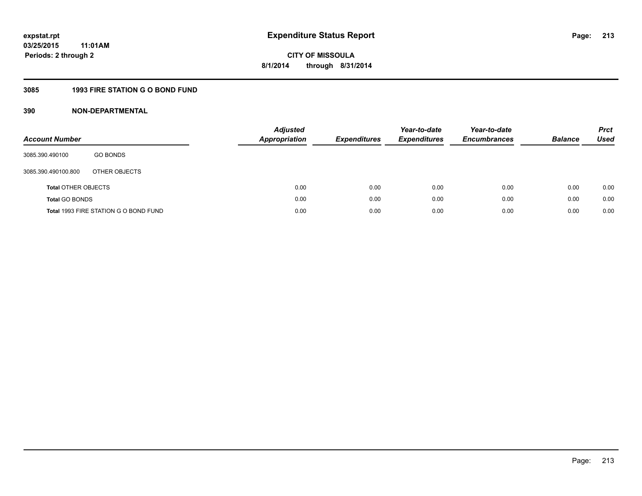## **3085 1993 FIRE STATION G O BOND FUND**

| <b>Account Number</b>      |                                       | Adjusted<br><b>Appropriation</b> | <b>Expenditures</b> | Year-to-date<br><b>Expenditures</b> | Year-to-date<br><b>Encumbrances</b> | <b>Balance</b> | <b>Prct</b><br><b>Used</b> |
|----------------------------|---------------------------------------|----------------------------------|---------------------|-------------------------------------|-------------------------------------|----------------|----------------------------|
| 3085.390.490100            | <b>GO BONDS</b>                       |                                  |                     |                                     |                                     |                |                            |
| 3085.390.490100.800        | OTHER OBJECTS                         |                                  |                     |                                     |                                     |                |                            |
| <b>Total OTHER OBJECTS</b> |                                       | 0.00                             | 0.00                | 0.00                                | 0.00                                | 0.00           | 0.00                       |
| <b>Total GO BONDS</b>      |                                       | 0.00                             | 0.00                | 0.00                                | 0.00                                | 0.00           | 0.00                       |
|                            | Total 1993 FIRE STATION G O BOND FUND | 0.00                             | 0.00                | 0.00                                | 0.00                                | 0.00           | 0.00                       |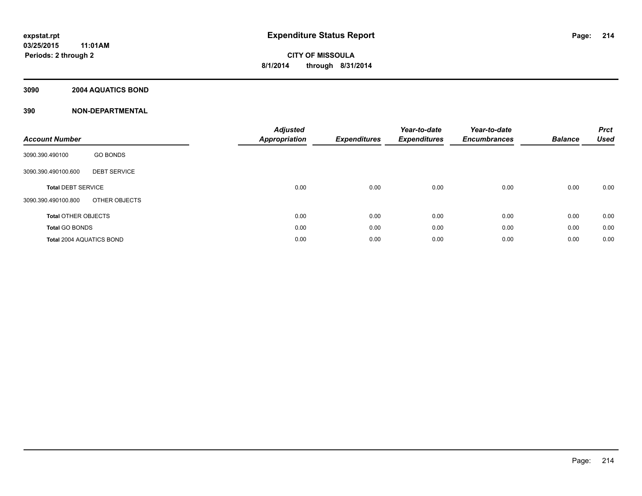## **3090 2004 AQUATICS BOND**

| <b>Account Number</b>           |                     | <b>Adjusted</b><br>Appropriation | <b>Expenditures</b> | Year-to-date<br><b>Expenditures</b> | Year-to-date<br><b>Encumbrances</b> | <b>Balance</b> | <b>Prct</b><br><b>Used</b> |
|---------------------------------|---------------------|----------------------------------|---------------------|-------------------------------------|-------------------------------------|----------------|----------------------------|
| 3090.390.490100                 | <b>GO BONDS</b>     |                                  |                     |                                     |                                     |                |                            |
| 3090.390.490100.600             | <b>DEBT SERVICE</b> |                                  |                     |                                     |                                     |                |                            |
| <b>Total DEBT SERVICE</b>       |                     | 0.00                             | 0.00                | 0.00                                | 0.00                                | 0.00           | 0.00                       |
| 3090.390.490100.800             | OTHER OBJECTS       |                                  |                     |                                     |                                     |                |                            |
| <b>Total OTHER OBJECTS</b>      |                     | 0.00                             | 0.00                | 0.00                                | 0.00                                | 0.00           | 0.00                       |
| <b>Total GO BONDS</b>           |                     | 0.00                             | 0.00                | 0.00                                | 0.00                                | 0.00           | 0.00                       |
| <b>Total 2004 AQUATICS BOND</b> |                     | 0.00                             | 0.00                | 0.00                                | 0.00                                | 0.00           | 0.00                       |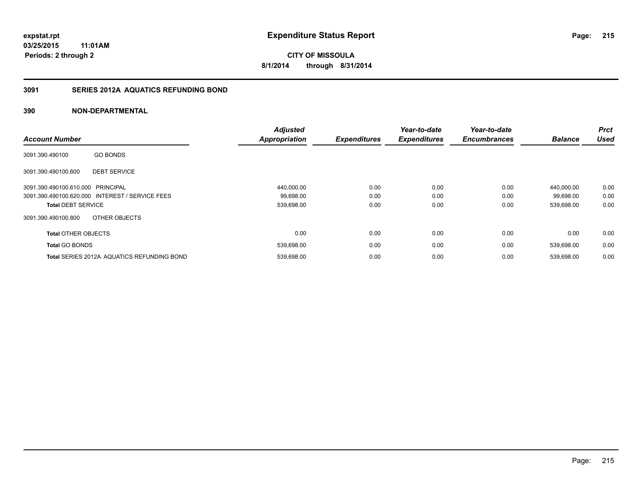## **3091 SERIES 2012A AQUATICS REFUNDING BOND**

|                                                   | <b>Adjusted</b>      |                     | Year-to-date        | Year-to-date        |                | <b>Prct</b> |
|---------------------------------------------------|----------------------|---------------------|---------------------|---------------------|----------------|-------------|
| <b>Account Number</b>                             | <b>Appropriation</b> | <b>Expenditures</b> | <b>Expenditures</b> | <b>Encumbrances</b> | <b>Balance</b> | <b>Used</b> |
| <b>GO BONDS</b><br>3091.390.490100                |                      |                     |                     |                     |                |             |
| <b>DEBT SERVICE</b><br>3091.390.490100.600        |                      |                     |                     |                     |                |             |
| 3091.390.490100.610.000 PRINCIPAL                 | 440,000.00           | 0.00                | 0.00                | 0.00                | 440.000.00     | 0.00        |
| 3091.390.490100.620.000 INTEREST / SERVICE FEES   | 99,698.00            | 0.00                | 0.00                | 0.00                | 99,698.00      | 0.00        |
| <b>Total DEBT SERVICE</b>                         | 539,698.00           | 0.00                | 0.00                | 0.00                | 539,698.00     | 0.00        |
| OTHER OBJECTS<br>3091.390.490100.800              |                      |                     |                     |                     |                |             |
| <b>Total OTHER OBJECTS</b>                        | 0.00                 | 0.00                | 0.00                | 0.00                | 0.00           | 0.00        |
| <b>Total GO BONDS</b>                             | 539,698.00           | 0.00                | 0.00                | 0.00                | 539,698.00     | 0.00        |
| <b>Total SERIES 2012A AQUATICS REFUNDING BOND</b> | 539,698.00           | 0.00                | 0.00                | 0.00                | 539.698.00     | 0.00        |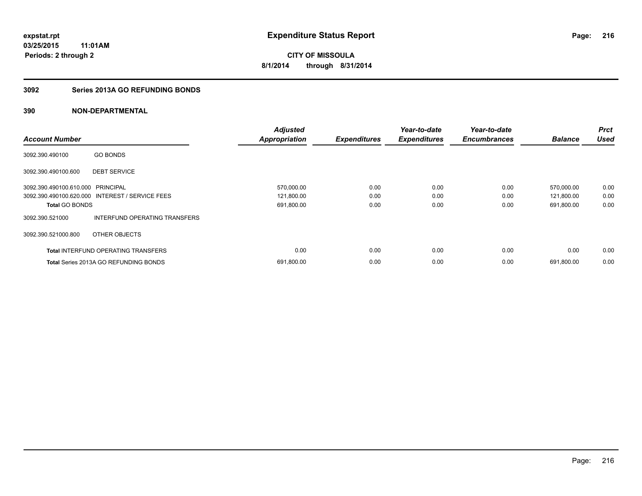## **3092 Series 2013A GO REFUNDING BONDS**

| <b>Account Number</b>             |                                                 | <b>Adjusted</b><br><b>Appropriation</b> | <b>Expenditures</b> | Year-to-date<br><b>Expenditures</b> | Year-to-date<br><b>Encumbrances</b> | <b>Balance</b> | <b>Prct</b><br><b>Used</b> |
|-----------------------------------|-------------------------------------------------|-----------------------------------------|---------------------|-------------------------------------|-------------------------------------|----------------|----------------------------|
|                                   |                                                 |                                         |                     |                                     |                                     |                |                            |
| 3092.390.490100                   | <b>GO BONDS</b>                                 |                                         |                     |                                     |                                     |                |                            |
| 3092.390.490100.600               | <b>DEBT SERVICE</b>                             |                                         |                     |                                     |                                     |                |                            |
| 3092.390.490100.610.000 PRINCIPAL |                                                 | 570,000.00                              | 0.00                | 0.00                                | 0.00                                | 570,000.00     | 0.00                       |
|                                   | 3092.390.490100.620.000 INTEREST / SERVICE FEES | 121,800.00                              | 0.00                | 0.00                                | 0.00                                | 121,800.00     | 0.00                       |
| <b>Total GO BONDS</b>             |                                                 | 691,800.00                              | 0.00                | 0.00                                | 0.00                                | 691,800.00     | 0.00                       |
| 3092.390.521000                   | INTERFUND OPERATING TRANSFERS                   |                                         |                     |                                     |                                     |                |                            |
| 3092.390.521000.800               | OTHER OBJECTS                                   |                                         |                     |                                     |                                     |                |                            |
|                                   | <b>Total INTERFUND OPERATING TRANSFERS</b>      | 0.00                                    | 0.00                | 0.00                                | 0.00                                | 0.00           | 0.00                       |
|                                   | <b>Total Series 2013A GO REFUNDING BONDS</b>    | 691,800.00                              | 0.00                | 0.00                                | 0.00                                | 691,800.00     | 0.00                       |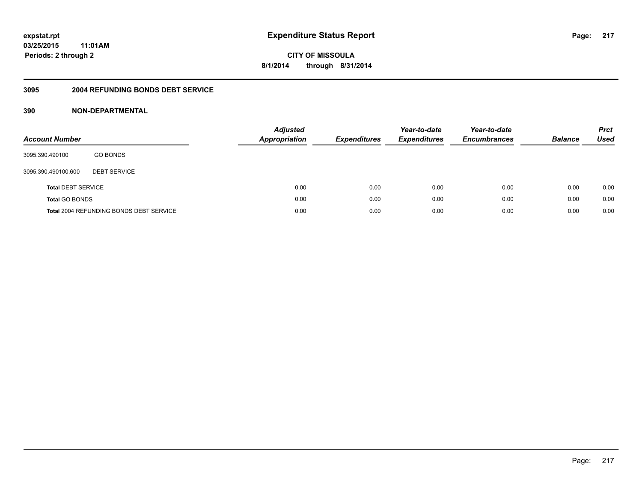### **03/25/2015 11:01AM Periods: 2 through 2**

**CITY OF MISSOULA 8/1/2014 through 8/31/2014**

#### **3095 2004 REFUNDING BONDS DEBT SERVICE**

| <b>Account Number</b>     |                                                | <b>Adjusted</b><br><b>Appropriation</b> | <b>Expenditures</b> | Year-to-date<br><b>Expenditures</b> | Year-to-date<br><b>Encumbrances</b> | <b>Balance</b> | <b>Prct</b><br><b>Used</b> |
|---------------------------|------------------------------------------------|-----------------------------------------|---------------------|-------------------------------------|-------------------------------------|----------------|----------------------------|
| 3095.390.490100           | <b>GO BONDS</b>                                |                                         |                     |                                     |                                     |                |                            |
| 3095.390.490100.600       | <b>DEBT SERVICE</b>                            |                                         |                     |                                     |                                     |                |                            |
| <b>Total DEBT SERVICE</b> |                                                | 0.00                                    | 0.00                | 0.00                                | 0.00                                | 0.00           | 0.00                       |
| <b>Total GO BONDS</b>     |                                                | 0.00                                    | 0.00                | 0.00                                | 0.00                                | 0.00           | 0.00                       |
|                           | <b>Total 2004 REFUNDING BONDS DEBT SERVICE</b> | 0.00                                    | 0.00                | 0.00                                | 0.00                                | 0.00           | 0.00                       |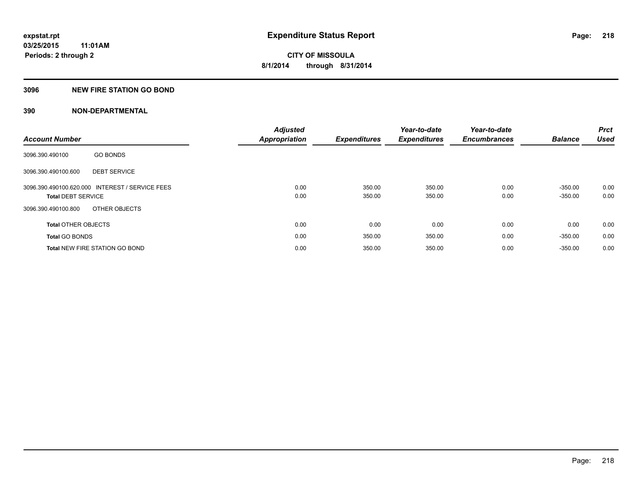### **3096 NEW FIRE STATION GO BOND**

|                            |                                                 | <b>Adjusted</b>      |                     | Year-to-date        | Year-to-date        |                | <b>Prct</b> |
|----------------------------|-------------------------------------------------|----------------------|---------------------|---------------------|---------------------|----------------|-------------|
| <b>Account Number</b>      |                                                 | <b>Appropriation</b> | <b>Expenditures</b> | <b>Expenditures</b> | <b>Encumbrances</b> | <b>Balance</b> | <b>Used</b> |
| 3096.390.490100            | <b>GO BONDS</b>                                 |                      |                     |                     |                     |                |             |
| 3096.390.490100.600        | <b>DEBT SERVICE</b>                             |                      |                     |                     |                     |                |             |
|                            | 3096.390.490100.620.000 INTEREST / SERVICE FEES | 0.00                 | 350.00              | 350.00              | 0.00                | $-350.00$      | 0.00        |
| <b>Total DEBT SERVICE</b>  |                                                 | 0.00                 | 350.00              | 350.00              | 0.00                | $-350.00$      | 0.00        |
| 3096.390.490100.800        | OTHER OBJECTS                                   |                      |                     |                     |                     |                |             |
| <b>Total OTHER OBJECTS</b> |                                                 | 0.00                 | 0.00                | 0.00                | 0.00                | 0.00           | 0.00        |
| <b>Total GO BONDS</b>      |                                                 | 0.00                 | 350.00              | 350.00              | 0.00                | $-350.00$      | 0.00        |
|                            | <b>Total NEW FIRE STATION GO BOND</b>           | 0.00                 | 350.00              | 350.00              | 0.00                | $-350.00$      | 0.00        |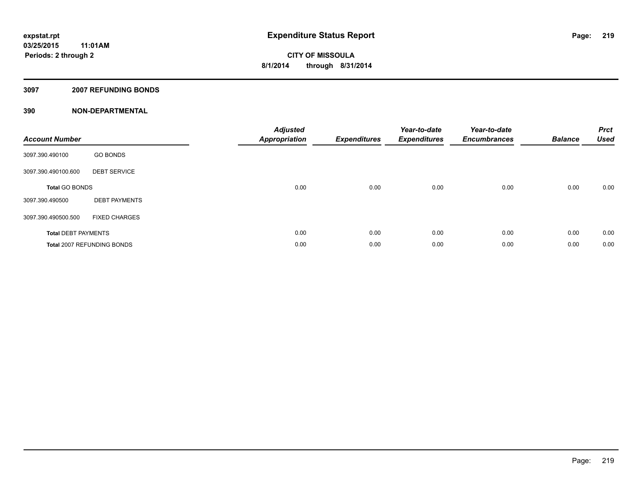### **3097 2007 REFUNDING BONDS**

| <b>Account Number</b>      |                            | <b>Adjusted</b><br><b>Appropriation</b> | <b>Expenditures</b> | Year-to-date<br><b>Expenditures</b> | Year-to-date<br><b>Encumbrances</b> | <b>Balance</b> | <b>Prct</b><br><b>Used</b> |
|----------------------------|----------------------------|-----------------------------------------|---------------------|-------------------------------------|-------------------------------------|----------------|----------------------------|
| 3097.390.490100            | <b>GO BONDS</b>            |                                         |                     |                                     |                                     |                |                            |
| 3097.390.490100.600        | <b>DEBT SERVICE</b>        |                                         |                     |                                     |                                     |                |                            |
| <b>Total GO BONDS</b>      |                            | 0.00                                    | 0.00                | 0.00                                | 0.00                                | 0.00           | 0.00                       |
| 3097.390.490500            | <b>DEBT PAYMENTS</b>       |                                         |                     |                                     |                                     |                |                            |
| 3097.390.490500.500        | <b>FIXED CHARGES</b>       |                                         |                     |                                     |                                     |                |                            |
| <b>Total DEBT PAYMENTS</b> |                            | 0.00                                    | 0.00                | 0.00                                | 0.00                                | 0.00           | 0.00                       |
|                            | Total 2007 REFUNDING BONDS | 0.00                                    | 0.00                | 0.00                                | 0.00                                | 0.00           | 0.00                       |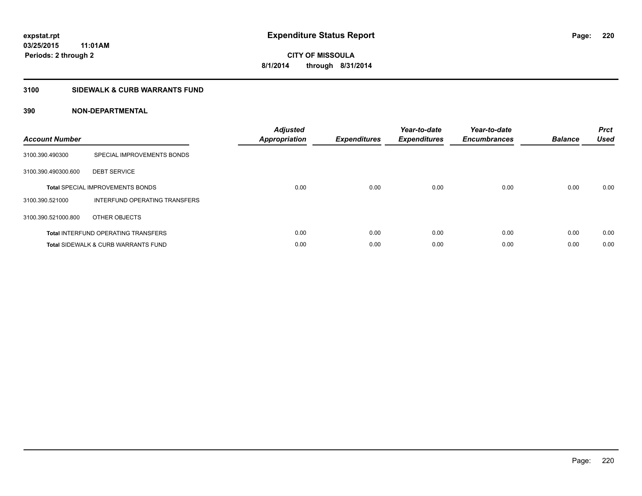### **3100 SIDEWALK & CURB WARRANTS FUND**

| <b>Account Number</b> |                                                | <b>Adjusted</b><br><b>Appropriation</b> | <b>Expenditures</b> | Year-to-date<br><b>Expenditures</b> | Year-to-date<br><b>Encumbrances</b> | <b>Balance</b> | <b>Prct</b><br><b>Used</b> |
|-----------------------|------------------------------------------------|-----------------------------------------|---------------------|-------------------------------------|-------------------------------------|----------------|----------------------------|
| 3100.390.490300       | SPECIAL IMPROVEMENTS BONDS                     |                                         |                     |                                     |                                     |                |                            |
| 3100.390.490300.600   | <b>DEBT SERVICE</b>                            |                                         |                     |                                     |                                     |                |                            |
|                       | <b>Total SPECIAL IMPROVEMENTS BONDS</b>        | 0.00                                    | 0.00                | 0.00                                | 0.00                                | 0.00           | 0.00                       |
| 3100.390.521000       | INTERFUND OPERATING TRANSFERS                  |                                         |                     |                                     |                                     |                |                            |
| 3100.390.521000.800   | OTHER OBJECTS                                  |                                         |                     |                                     |                                     |                |                            |
|                       | <b>Total INTERFUND OPERATING TRANSFERS</b>     | 0.00                                    | 0.00                | 0.00                                | 0.00                                | 0.00           | 0.00                       |
|                       | <b>Total SIDEWALK &amp; CURB WARRANTS FUND</b> | 0.00                                    | 0.00                | 0.00                                | 0.00                                | 0.00           | 0.00                       |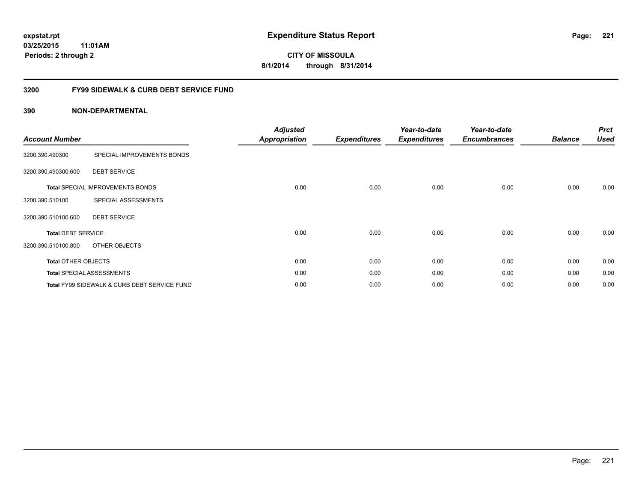### **03/25/2015 11:01AM Periods: 2 through 2**

**CITY OF MISSOULA 8/1/2014 through 8/31/2014**

### **3200 FY99 SIDEWALK & CURB DEBT SERVICE FUND**

| <b>Account Number</b>      |                                              | <b>Adjusted</b><br><b>Appropriation</b> | <b>Expenditures</b> | Year-to-date<br><b>Expenditures</b> | Year-to-date<br><b>Encumbrances</b> | <b>Balance</b> | <b>Prct</b><br><b>Used</b> |
|----------------------------|----------------------------------------------|-----------------------------------------|---------------------|-------------------------------------|-------------------------------------|----------------|----------------------------|
| 3200.390.490300            | SPECIAL IMPROVEMENTS BONDS                   |                                         |                     |                                     |                                     |                |                            |
| 3200.390.490300.600        | <b>DEBT SERVICE</b>                          |                                         |                     |                                     |                                     |                |                            |
|                            | <b>Total SPECIAL IMPROVEMENTS BONDS</b>      | 0.00                                    | 0.00                | 0.00                                | 0.00                                | 0.00           | 0.00                       |
| 3200.390.510100            | SPECIAL ASSESSMENTS                          |                                         |                     |                                     |                                     |                |                            |
| 3200.390.510100.600        | <b>DEBT SERVICE</b>                          |                                         |                     |                                     |                                     |                |                            |
| <b>Total DEBT SERVICE</b>  |                                              | 0.00                                    | 0.00                | 0.00                                | 0.00                                | 0.00           | 0.00                       |
| 3200.390.510100.800        | OTHER OBJECTS                                |                                         |                     |                                     |                                     |                |                            |
| <b>Total OTHER OBJECTS</b> |                                              | 0.00                                    | 0.00                | 0.00                                | 0.00                                | 0.00           | 0.00                       |
|                            | <b>Total SPECIAL ASSESSMENTS</b>             | 0.00                                    | 0.00                | 0.00                                | 0.00                                | 0.00           | 0.00                       |
|                            | Total FY99 SIDEWALK & CURB DEBT SERVICE FUND | 0.00                                    | 0.00                | 0.00                                | 0.00                                | 0.00           | 0.00                       |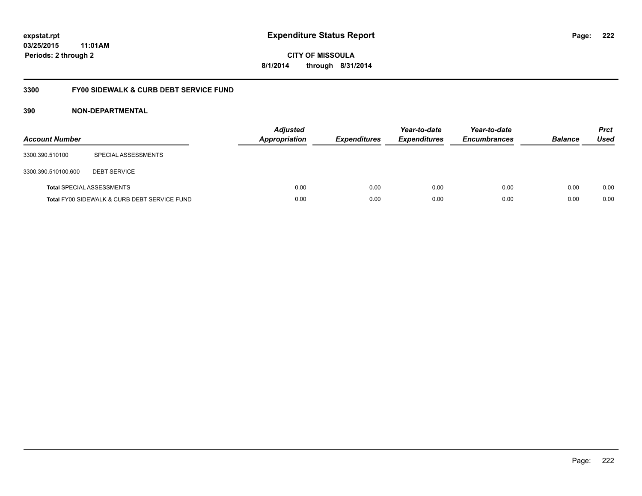### **03/25/2015 11:01AM Periods: 2 through 2**

**CITY OF MISSOULA 8/1/2014 through 8/31/2014**

### **3300 FY00 SIDEWALK & CURB DEBT SERVICE FUND**

| <b>Account Number</b> |                                              | <b>Adjusted</b><br>Appropriation | <b>Expenditures</b> | Year-to-date<br><b>Expenditures</b> | Year-to-date<br><b>Encumbrances</b> | <b>Balance</b> | <b>Prct</b><br>Used |
|-----------------------|----------------------------------------------|----------------------------------|---------------------|-------------------------------------|-------------------------------------|----------------|---------------------|
| 3300.390.510100       | SPECIAL ASSESSMENTS                          |                                  |                     |                                     |                                     |                |                     |
| 3300.390.510100.600   | <b>DEBT SERVICE</b>                          |                                  |                     |                                     |                                     |                |                     |
|                       | <b>Total SPECIAL ASSESSMENTS</b>             | 0.00                             | 0.00                | 0.00                                | 0.00                                | 0.00           | 0.00                |
|                       | Total FY00 SIDEWALK & CURB DEBT SERVICE FUND | 0.00                             | 0.00                | 0.00                                | 0.00                                | 0.00           | 0.00                |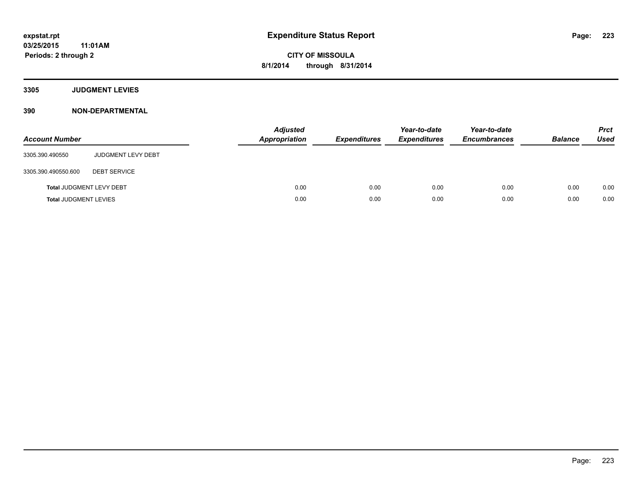**3305 JUDGMENT LEVIES**

| <b>Account Number</b>           |                           | <b>Adjusted</b><br>Appropriation | <b>Expenditures</b> | Year-to-date<br><b>Expenditures</b> | Year-to-date<br><b>Encumbrances</b> | <b>Balance</b> | <b>Prct</b><br><b>Used</b> |
|---------------------------------|---------------------------|----------------------------------|---------------------|-------------------------------------|-------------------------------------|----------------|----------------------------|
| 3305.390.490550                 | <b>JUDGMENT LEVY DEBT</b> |                                  |                     |                                     |                                     |                |                            |
| 3305.390.490550.600             | <b>DEBT SERVICE</b>       |                                  |                     |                                     |                                     |                |                            |
| <b>Total JUDGMENT LEVY DEBT</b> |                           | 0.00                             | 0.00                | 0.00                                | 0.00                                | 0.00           | 0.00                       |
| <b>Total JUDGMENT LEVIES</b>    |                           | 0.00                             | 0.00                | 0.00                                | 0.00                                | 0.00           | 0.00                       |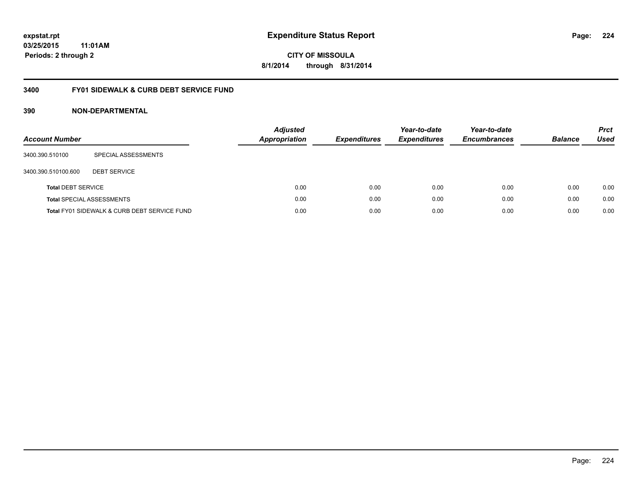### **03/25/2015 11:01AM Periods: 2 through 2**

**CITY OF MISSOULA 8/1/2014 through 8/31/2014**

### **3400 FY01 SIDEWALK & CURB DEBT SERVICE FUND**

| <b>Account Number</b>     |                                              | <b>Adjusted</b><br><b>Appropriation</b> | <b>Expenditures</b> | Year-to-date<br><b>Expenditures</b> | Year-to-date<br><b>Encumbrances</b> | <b>Balance</b> | <b>Prct</b><br>Used |
|---------------------------|----------------------------------------------|-----------------------------------------|---------------------|-------------------------------------|-------------------------------------|----------------|---------------------|
| 3400.390.510100           | SPECIAL ASSESSMENTS                          |                                         |                     |                                     |                                     |                |                     |
| 3400.390.510100.600       | <b>DEBT SERVICE</b>                          |                                         |                     |                                     |                                     |                |                     |
| <b>Total DEBT SERVICE</b> |                                              | 0.00                                    | 0.00                | 0.00                                | 0.00                                | 0.00           | 0.00                |
|                           | <b>Total SPECIAL ASSESSMENTS</b>             | 0.00                                    | 0.00                | 0.00                                | 0.00                                | 0.00           | 0.00                |
|                           | Total FY01 SIDEWALK & CURB DEBT SERVICE FUND | 0.00                                    | 0.00                | 0.00                                | 0.00                                | 0.00           | 0.00                |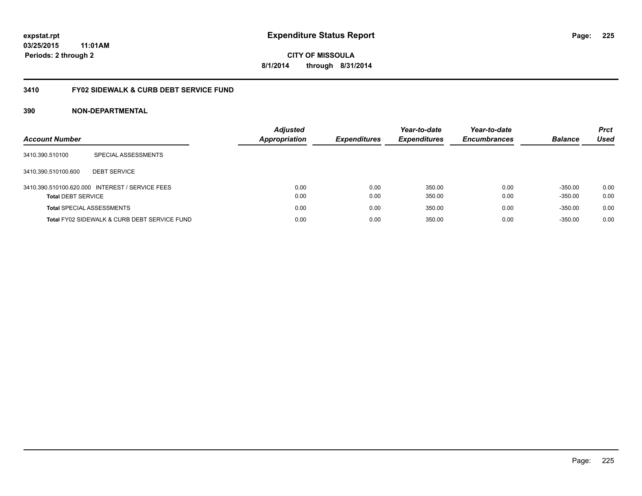### **03/25/2015 11:01AM Periods: 2 through 2**

**CITY OF MISSOULA 8/1/2014 through 8/31/2014**

### **3410 FY02 SIDEWALK & CURB DEBT SERVICE FUND**

| <b>Account Number</b>            |                                                 | <b>Adjusted</b><br><b>Appropriation</b> | <b>Expenditures</b> | Year-to-date<br><b>Expenditures</b> | Year-to-date<br><b>Encumbrances</b> | <b>Balance</b>         | <b>Prct</b><br>Used |
|----------------------------------|-------------------------------------------------|-----------------------------------------|---------------------|-------------------------------------|-------------------------------------|------------------------|---------------------|
| 3410.390.510100                  | SPECIAL ASSESSMENTS                             |                                         |                     |                                     |                                     |                        |                     |
| 3410.390.510100.600              | <b>DEBT SERVICE</b>                             |                                         |                     |                                     |                                     |                        |                     |
| <b>Total DEBT SERVICE</b>        | 3410.390.510100.620.000 INTEREST / SERVICE FEES | 0.00<br>0.00                            | 0.00<br>0.00        | 350.00<br>350.00                    | 0.00<br>0.00                        | $-350.00$<br>$-350.00$ | 0.00<br>0.00        |
| <b>Total SPECIAL ASSESSMENTS</b> |                                                 | 0.00                                    | 0.00                | 350.00                              | 0.00                                | $-350.00$              | 0.00                |
|                                  | Total FY02 SIDEWALK & CURB DEBT SERVICE FUND    | 0.00                                    | 0.00                | 350.00                              | 0.00                                | $-350.00$              | 0.00                |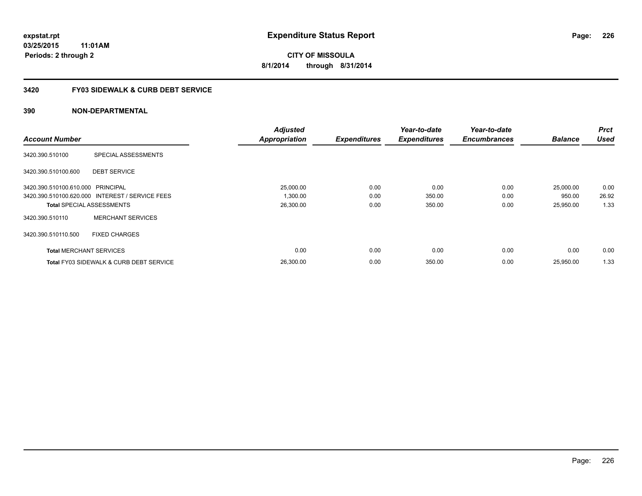### **3420 FY03 SIDEWALK & CURB DEBT SERVICE**

|                                   |                                                    | <b>Adjusted</b>      |                     | Year-to-date        | Year-to-date        |                | <b>Prct</b> |
|-----------------------------------|----------------------------------------------------|----------------------|---------------------|---------------------|---------------------|----------------|-------------|
| <b>Account Number</b>             |                                                    | <b>Appropriation</b> | <b>Expenditures</b> | <b>Expenditures</b> | <b>Encumbrances</b> | <b>Balance</b> | <b>Used</b> |
| 3420.390.510100                   | SPECIAL ASSESSMENTS                                |                      |                     |                     |                     |                |             |
| 3420.390.510100.600               | <b>DEBT SERVICE</b>                                |                      |                     |                     |                     |                |             |
| 3420.390.510100.610.000 PRINCIPAL |                                                    | 25,000.00            | 0.00                | 0.00                | 0.00                | 25,000.00      | 0.00        |
|                                   | 3420.390.510100.620.000 INTEREST / SERVICE FEES    | 1,300.00             | 0.00                | 350.00              | 0.00                | 950.00         | 26.92       |
|                                   | <b>Total SPECIAL ASSESSMENTS</b>                   | 26,300.00            | 0.00                | 350.00              | 0.00                | 25,950.00      | 1.33        |
| 3420.390.510110                   | <b>MERCHANT SERVICES</b>                           |                      |                     |                     |                     |                |             |
| 3420.390.510110.500               | <b>FIXED CHARGES</b>                               |                      |                     |                     |                     |                |             |
| <b>Total MERCHANT SERVICES</b>    |                                                    | 0.00                 | 0.00                | 0.00                | 0.00                | 0.00           | 0.00        |
|                                   | <b>Total FY03 SIDEWALK &amp; CURB DEBT SERVICE</b> | 26.300.00            | 0.00                | 350.00              | 0.00                | 25.950.00      | 1.33        |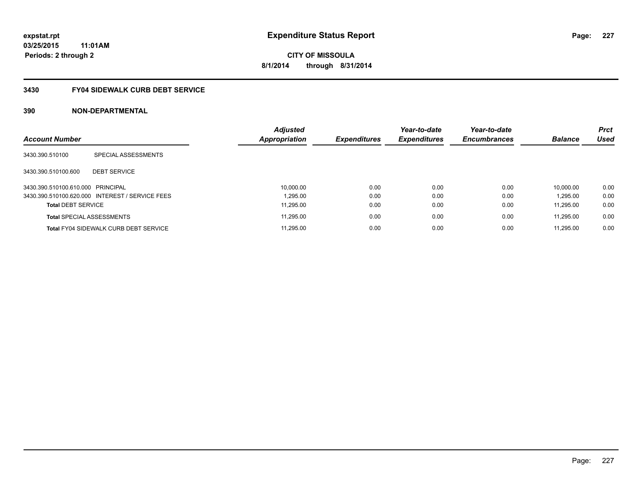### **3430 FY04 SIDEWALK CURB DEBT SERVICE**

|                                   |                                                 | <b>Adjusted</b> |                     | Year-to-date        | Year-to-date        |                | <b>Prct</b> |
|-----------------------------------|-------------------------------------------------|-----------------|---------------------|---------------------|---------------------|----------------|-------------|
| <b>Account Number</b>             |                                                 | Appropriation   | <b>Expenditures</b> | <b>Expenditures</b> | <b>Encumbrances</b> | <b>Balance</b> | <b>Used</b> |
| 3430.390.510100                   | SPECIAL ASSESSMENTS                             |                 |                     |                     |                     |                |             |
| 3430.390.510100.600               | <b>DEBT SERVICE</b>                             |                 |                     |                     |                     |                |             |
| 3430.390.510100.610.000 PRINCIPAL |                                                 | 10.000.00       | 0.00                | 0.00                | 0.00                | 10.000.00      | 0.00        |
|                                   | 3430.390.510100.620.000 INTEREST / SERVICE FEES | 1.295.00        | 0.00                | 0.00                | 0.00                | 1.295.00       | 0.00        |
| <b>Total DEBT SERVICE</b>         |                                                 | 11.295.00       | 0.00                | 0.00                | 0.00                | 11.295.00      | 0.00        |
|                                   | <b>Total SPECIAL ASSESSMENTS</b>                | 11.295.00       | 0.00                | 0.00                | 0.00                | 11.295.00      | 0.00        |
|                                   | <b>Total FY04 SIDEWALK CURB DEBT SERVICE</b>    | 11.295.00       | 0.00                | 0.00                | 0.00                | 11.295.00      | 0.00        |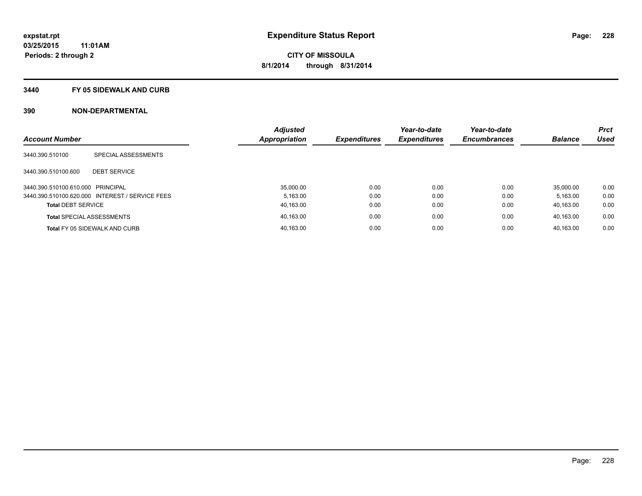#### **3440 FY 05 SIDEWALK AND CURB**

|                                   |                                                 | <b>Adjusted</b> |                     | Year-to-date        | Year-to-date        |                | <b>Prct</b> |
|-----------------------------------|-------------------------------------------------|-----------------|---------------------|---------------------|---------------------|----------------|-------------|
| <b>Account Number</b>             |                                                 | Appropriation   | <b>Expenditures</b> | <b>Expenditures</b> | <b>Encumbrances</b> | <b>Balance</b> | <b>Used</b> |
| 3440.390.510100                   | SPECIAL ASSESSMENTS                             |                 |                     |                     |                     |                |             |
| 3440.390.510100.600               | <b>DEBT SERVICE</b>                             |                 |                     |                     |                     |                |             |
| 3440.390.510100.610.000 PRINCIPAL |                                                 | 35.000.00       | 0.00                | 0.00                | 0.00                | 35.000.00      | 0.00        |
|                                   | 3440.390.510100.620.000 INTEREST / SERVICE FEES | 5.163.00        | 0.00                | 0.00                | 0.00                | 5.163.00       | 0.00        |
| <b>Total DEBT SERVICE</b>         |                                                 | 40,163.00       | 0.00                | 0.00                | 0.00                | 40.163.00      | 0.00        |
|                                   | <b>Total SPECIAL ASSESSMENTS</b>                | 40.163.00       | 0.00                | 0.00                | 0.00                | 40.163.00      | 0.00        |
|                                   | Total FY 05 SIDEWALK AND CURB                   | 40.163.00       | 0.00                | 0.00                | 0.00                | 40.163.00      | 0.00        |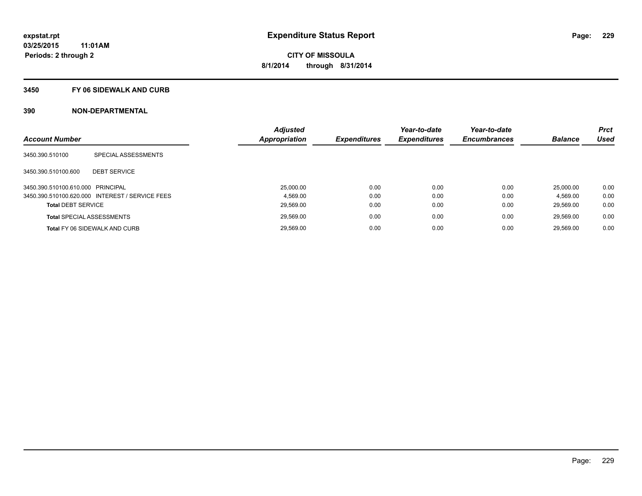#### **3450 FY 06 SIDEWALK AND CURB**

| <b>Account Number</b>             |                                                 | <b>Adjusted</b><br><b>Appropriation</b> | <b>Expenditures</b> | Year-to-date<br><b>Expenditures</b> | Year-to-date<br><b>Encumbrances</b> | <b>Balance</b> | <b>Prct</b><br><b>Used</b> |
|-----------------------------------|-------------------------------------------------|-----------------------------------------|---------------------|-------------------------------------|-------------------------------------|----------------|----------------------------|
| 3450.390.510100                   | SPECIAL ASSESSMENTS                             |                                         |                     |                                     |                                     |                |                            |
| 3450.390.510100.600               | <b>DEBT SERVICE</b>                             |                                         |                     |                                     |                                     |                |                            |
| 3450.390.510100.610.000 PRINCIPAL |                                                 | 25.000.00                               | 0.00                | 0.00                                | 0.00                                | 25.000.00      | 0.00                       |
|                                   | 3450.390.510100.620.000 INTEREST / SERVICE FEES | 4.569.00                                | 0.00                | 0.00                                | 0.00                                | 4.569.00       | 0.00                       |
| <b>Total DEBT SERVICE</b>         |                                                 | 29,569.00                               | 0.00                | 0.00                                | 0.00                                | 29.569.00      | 0.00                       |
|                                   | <b>Total SPECIAL ASSESSMENTS</b>                | 29,569.00                               | 0.00                | 0.00                                | 0.00                                | 29.569.00      | 0.00                       |
|                                   | <b>Total FY 06 SIDEWALK AND CURB</b>            | 29.569.00                               | 0.00                | 0.00                                | 0.00                                | 29.569.00      | 0.00                       |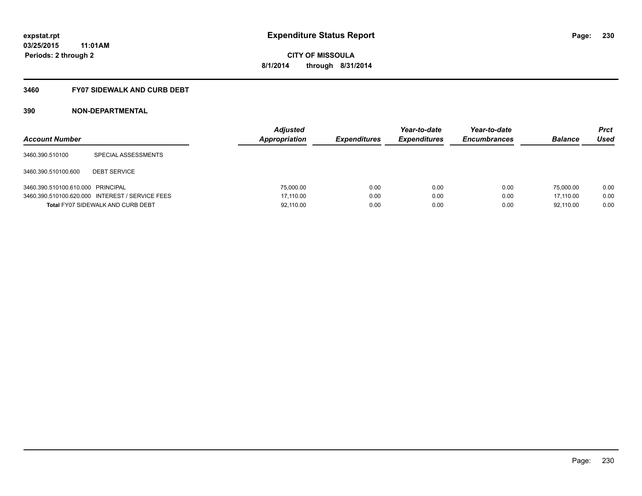### **3460 FY07 SIDEWALK AND CURB DEBT**

| <b>Account Number</b>             |                                                 | <b>Adjusted</b><br>Appropriation | <b>Expenditures</b> | Year-to-date<br><b>Expenditures</b> | Year-to-date<br><b>Encumbrances</b> | <b>Balance</b> | <b>Prct</b><br>Used |
|-----------------------------------|-------------------------------------------------|----------------------------------|---------------------|-------------------------------------|-------------------------------------|----------------|---------------------|
| 3460.390.510100                   | SPECIAL ASSESSMENTS                             |                                  |                     |                                     |                                     |                |                     |
| 3460.390.510100.600               | <b>DEBT SERVICE</b>                             |                                  |                     |                                     |                                     |                |                     |
| 3460.390.510100.610.000 PRINCIPAL |                                                 | 75,000.00                        | 0.00                | 0.00                                | 0.00                                | 75,000.00      | 0.00                |
|                                   | 3460.390.510100.620.000 INTEREST / SERVICE FEES | 17.110.00                        | 0.00                | 0.00                                | 0.00                                | 17.110.00      | 0.00                |
|                                   | <b>Total FY07 SIDEWALK AND CURB DEBT</b>        | 92,110.00                        | 0.00                | 0.00                                | 0.00                                | 92,110.00      | 0.00                |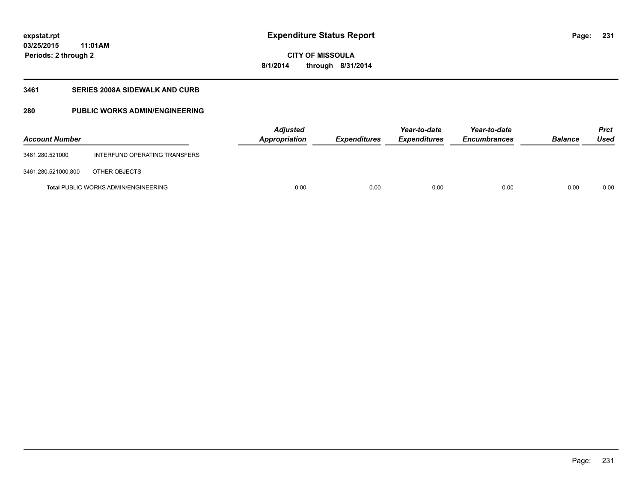**03/25/2015 11:01AM Periods: 2 through 2**

# **CITY OF MISSOULA 8/1/2014 through 8/31/2014**

### **3461 SERIES 2008A SIDEWALK AND CURB**

### **280 PUBLIC WORKS ADMIN/ENGINEERING**

| <b>Account Number</b> |                                             | Adjusted<br>Appropriation | <b>Expenditures</b> | Year-to-date<br><b>Expenditures</b> | Year-to-date<br><b>Encumbrances</b> | <b>Balance</b> | <b>Prct</b><br><b>Used</b> |
|-----------------------|---------------------------------------------|---------------------------|---------------------|-------------------------------------|-------------------------------------|----------------|----------------------------|
| 3461.280.521000       | INTERFUND OPERATING TRANSFERS               |                           |                     |                                     |                                     |                |                            |
| 3461.280.521000.800   | OTHER OBJECTS                               |                           |                     |                                     |                                     |                |                            |
|                       | <b>Total PUBLIC WORKS ADMIN/ENGINEERING</b> | 0.00                      | 0.00                | 0.00                                | 0.00                                | 0.00           | 0.00                       |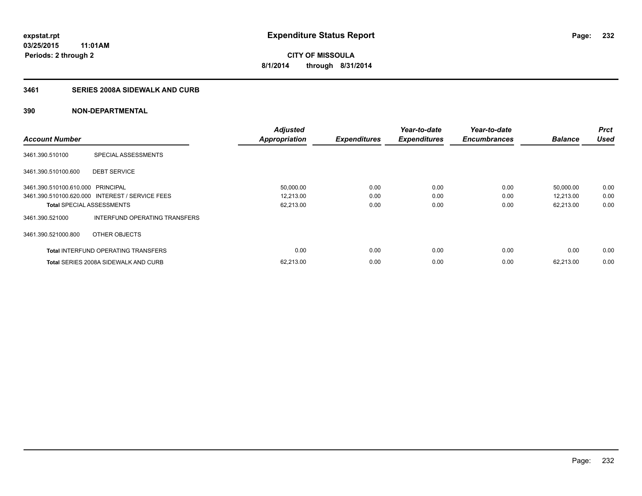### **3461 SERIES 2008A SIDEWALK AND CURB**

| <b>Account Number</b>             |                                                 | <b>Adjusted</b><br><b>Appropriation</b> | <b>Expenditures</b> | Year-to-date<br><b>Expenditures</b> | Year-to-date<br><b>Encumbrances</b> | <b>Balance</b> | <b>Prct</b><br><b>Used</b> |
|-----------------------------------|-------------------------------------------------|-----------------------------------------|---------------------|-------------------------------------|-------------------------------------|----------------|----------------------------|
|                                   |                                                 |                                         |                     |                                     |                                     |                |                            |
| 3461.390.510100                   | SPECIAL ASSESSMENTS                             |                                         |                     |                                     |                                     |                |                            |
| 3461.390.510100.600               | <b>DEBT SERVICE</b>                             |                                         |                     |                                     |                                     |                |                            |
| 3461.390.510100.610.000 PRINCIPAL |                                                 | 50,000.00                               | 0.00                | 0.00                                | 0.00                                | 50,000.00      | 0.00                       |
|                                   | 3461.390.510100.620.000 INTEREST / SERVICE FEES | 12,213.00                               | 0.00                | 0.00                                | 0.00                                | 12,213.00      | 0.00                       |
| <b>Total SPECIAL ASSESSMENTS</b>  |                                                 | 62,213.00                               | 0.00                | 0.00                                | 0.00                                | 62,213.00      | 0.00                       |
| 3461.390.521000                   | INTERFUND OPERATING TRANSFERS                   |                                         |                     |                                     |                                     |                |                            |
| 3461.390.521000.800               | OTHER OBJECTS                                   |                                         |                     |                                     |                                     |                |                            |
|                                   | <b>Total INTERFUND OPERATING TRANSFERS</b>      | 0.00                                    | 0.00                | 0.00                                | 0.00                                | 0.00           | 0.00                       |
|                                   | <b>Total SERIES 2008A SIDEWALK AND CURB</b>     | 62,213.00                               | 0.00                | 0.00                                | 0.00                                | 62.213.00      | 0.00                       |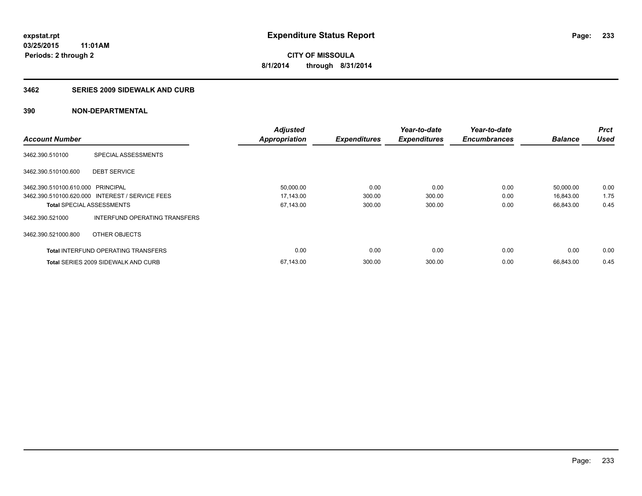#### **3462 SERIES 2009 SIDEWALK AND CURB**

|                                   |                                                 | <b>Adjusted</b>      |                     | Year-to-date        | Year-to-date        |                | <b>Prct</b> |
|-----------------------------------|-------------------------------------------------|----------------------|---------------------|---------------------|---------------------|----------------|-------------|
| <b>Account Number</b>             |                                                 | <b>Appropriation</b> | <b>Expenditures</b> | <b>Expenditures</b> | <b>Encumbrances</b> | <b>Balance</b> | <b>Used</b> |
| 3462.390.510100                   | SPECIAL ASSESSMENTS                             |                      |                     |                     |                     |                |             |
| 3462.390.510100.600               | <b>DEBT SERVICE</b>                             |                      |                     |                     |                     |                |             |
| 3462.390.510100.610.000 PRINCIPAL |                                                 | 50,000.00            | 0.00                | 0.00                | 0.00                | 50.000.00      | 0.00        |
|                                   | 3462.390.510100.620.000 INTEREST / SERVICE FEES | 17,143.00            | 300.00              | 300.00              | 0.00                | 16,843.00      | 1.75        |
| <b>Total SPECIAL ASSESSMENTS</b>  |                                                 | 67,143.00            | 300.00              | 300.00              | 0.00                | 66,843.00      | 0.45        |
| 3462.390.521000                   | INTERFUND OPERATING TRANSFERS                   |                      |                     |                     |                     |                |             |
| 3462.390.521000.800               | OTHER OBJECTS                                   |                      |                     |                     |                     |                |             |
|                                   | <b>Total INTERFUND OPERATING TRANSFERS</b>      | 0.00                 | 0.00                | 0.00                | 0.00                | 0.00           | 0.00        |
|                                   | <b>Total SERIES 2009 SIDEWALK AND CURB</b>      | 67,143.00            | 300.00              | 300.00              | 0.00                | 66.843.00      | 0.45        |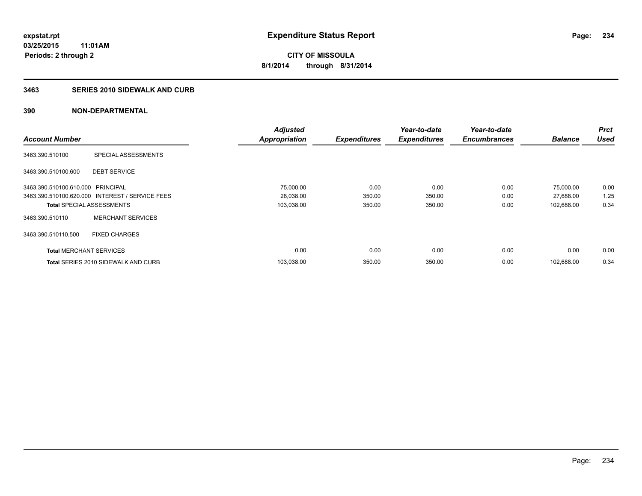#### **3463 SERIES 2010 SIDEWALK AND CURB**

|                                   |                                                 | <b>Adjusted</b>      |                     | Year-to-date        | Year-to-date        |                | <b>Prct</b> |
|-----------------------------------|-------------------------------------------------|----------------------|---------------------|---------------------|---------------------|----------------|-------------|
| <b>Account Number</b>             |                                                 | <b>Appropriation</b> | <b>Expenditures</b> | <b>Expenditures</b> | <b>Encumbrances</b> | <b>Balance</b> | <b>Used</b> |
| 3463.390.510100                   | SPECIAL ASSESSMENTS                             |                      |                     |                     |                     |                |             |
| 3463.390.510100.600               | <b>DEBT SERVICE</b>                             |                      |                     |                     |                     |                |             |
| 3463.390.510100.610.000 PRINCIPAL |                                                 | 75,000.00            | 0.00                | 0.00                | 0.00                | 75.000.00      | 0.00        |
|                                   | 3463.390.510100.620.000 INTEREST / SERVICE FEES | 28,038.00            | 350.00              | 350.00              | 0.00                | 27,688.00      | 1.25        |
|                                   | <b>Total SPECIAL ASSESSMENTS</b>                | 103,038.00           | 350.00              | 350.00              | 0.00                | 102,688.00     | 0.34        |
| 3463.390.510110                   | <b>MERCHANT SERVICES</b>                        |                      |                     |                     |                     |                |             |
| 3463.390.510110.500               | <b>FIXED CHARGES</b>                            |                      |                     |                     |                     |                |             |
| <b>Total MERCHANT SERVICES</b>    |                                                 | 0.00                 | 0.00                | 0.00                | 0.00                | 0.00           | 0.00        |
|                                   | <b>Total SERIES 2010 SIDEWALK AND CURB</b>      | 103,038.00           | 350.00              | 350.00              | 0.00                | 102.688.00     | 0.34        |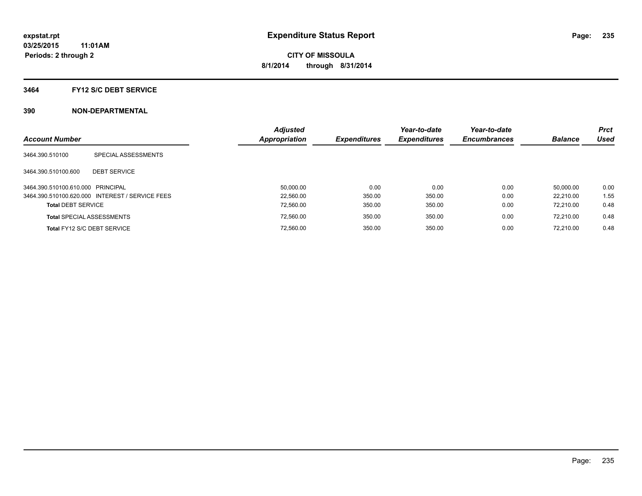#### **3464 FY12 S/C DEBT SERVICE**

| <b>Account Number</b>             |                                                 | <b>Adjusted</b><br><b>Appropriation</b> | <b>Expenditures</b> | Year-to-date<br><b>Expenditures</b> | Year-to-date<br><b>Encumbrances</b> | <b>Balance</b> | <b>Prct</b><br><b>Used</b> |
|-----------------------------------|-------------------------------------------------|-----------------------------------------|---------------------|-------------------------------------|-------------------------------------|----------------|----------------------------|
| 3464.390.510100                   | SPECIAL ASSESSMENTS                             |                                         |                     |                                     |                                     |                |                            |
| 3464.390.510100.600               | <b>DEBT SERVICE</b>                             |                                         |                     |                                     |                                     |                |                            |
| 3464.390.510100.610.000 PRINCIPAL |                                                 | 50.000.00                               | 0.00                | 0.00                                | 0.00                                | 50.000.00      | 0.00                       |
|                                   | 3464.390.510100.620.000 INTEREST / SERVICE FEES | 22.560.00                               | 350.00              | 350.00                              | 0.00                                | 22.210.00      | 1.55                       |
| <b>Total DEBT SERVICE</b>         |                                                 | 72.560.00                               | 350.00              | 350.00                              | 0.00                                | 72.210.00      | 0.48                       |
|                                   | <b>Total SPECIAL ASSESSMENTS</b>                | 72.560.00                               | 350.00              | 350.00                              | 0.00                                | 72.210.00      | 0.48                       |
|                                   | Total FY12 S/C DEBT SERVICE                     | 72.560.00                               | 350.00              | 350.00                              | 0.00                                | 72.210.00      | 0.48                       |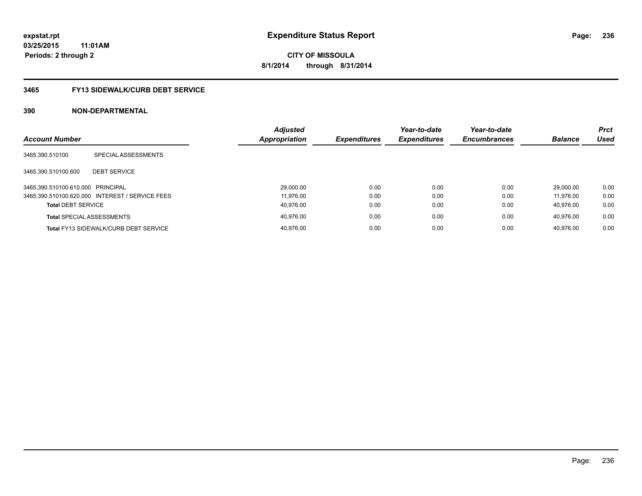### **3465 FY13 SIDEWALK/CURB DEBT SERVICE**

| <b>Account Number</b>             |                                                 | <b>Adjusted</b><br>Appropriation | <b>Expenditures</b> | Year-to-date<br><b>Expenditures</b> | Year-to-date<br><b>Encumbrances</b> | <b>Balance</b> | <b>Prct</b><br>Used |
|-----------------------------------|-------------------------------------------------|----------------------------------|---------------------|-------------------------------------|-------------------------------------|----------------|---------------------|
| 3465.390.510100                   | SPECIAL ASSESSMENTS                             |                                  |                     |                                     |                                     |                |                     |
|                                   |                                                 |                                  |                     |                                     |                                     |                |                     |
| 3465.390.510100.600               | <b>DEBT SERVICE</b>                             |                                  |                     |                                     |                                     |                |                     |
| 3465.390.510100.610.000 PRINCIPAL |                                                 | 29,000.00                        | 0.00                | 0.00                                | 0.00                                | 29.000.00      | 0.00                |
|                                   | 3465.390.510100.620.000 INTEREST / SERVICE FEES | 11.976.00                        | 0.00                | 0.00                                | 0.00                                | 11.976.00      | 0.00                |
| <b>Total DEBT SERVICE</b>         |                                                 | 40.976.00                        | 0.00                | 0.00                                | 0.00                                | 40.976.00      | 0.00                |
| <b>Total SPECIAL ASSESSMENTS</b>  |                                                 | 40.976.00                        | 0.00                | 0.00                                | 0.00                                | 40.976.00      | 0.00                |
|                                   | <b>Total FY13 SIDEWALK/CURB DEBT SERVICE</b>    | 40.976.00                        | 0.00                | 0.00                                | 0.00                                | 40.976.00      | 0.00                |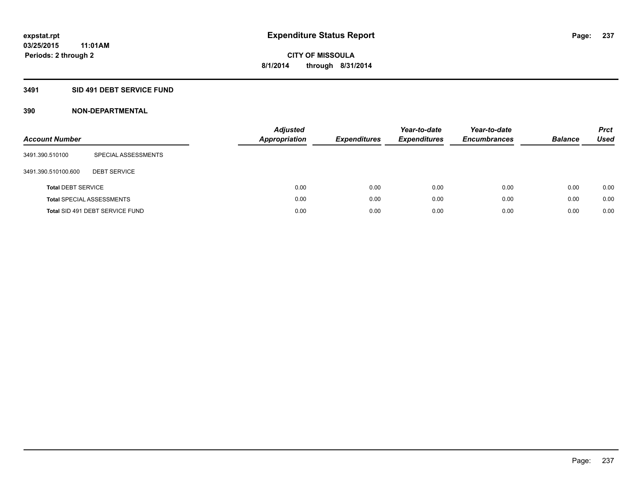### **3491 SID 491 DEBT SERVICE FUND**

| <b>Account Number</b>     |                                  | <b>Adjusted</b><br><b>Appropriation</b> | <b>Expenditures</b> | Year-to-date<br><b>Expenditures</b> | Year-to-date<br><b>Encumbrances</b> | <b>Balance</b> | <b>Prct</b><br>Used |
|---------------------------|----------------------------------|-----------------------------------------|---------------------|-------------------------------------|-------------------------------------|----------------|---------------------|
| 3491.390.510100           | SPECIAL ASSESSMENTS              |                                         |                     |                                     |                                     |                |                     |
| 3491.390.510100.600       | <b>DEBT SERVICE</b>              |                                         |                     |                                     |                                     |                |                     |
| <b>Total DEBT SERVICE</b> |                                  | 0.00                                    | 0.00                | 0.00                                | 0.00                                | 0.00           | 0.00                |
|                           | <b>Total SPECIAL ASSESSMENTS</b> | 0.00                                    | 0.00                | 0.00                                | 0.00                                | 0.00           | 0.00                |
|                           | Total SID 491 DEBT SERVICE FUND  | 0.00                                    | 0.00                | 0.00                                | 0.00                                | 0.00           | 0.00                |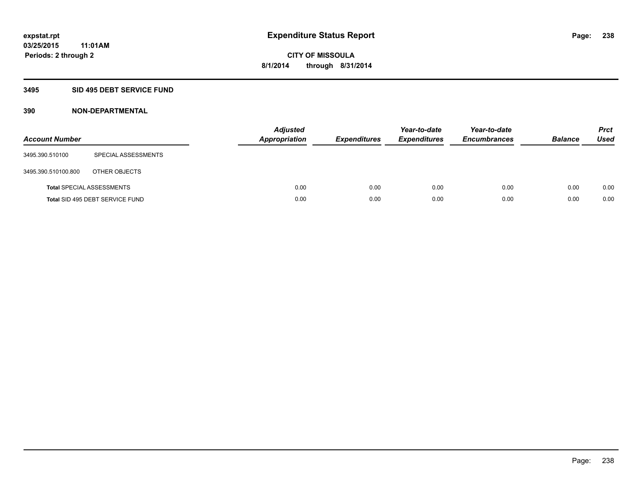### **3495 SID 495 DEBT SERVICE FUND**

| <b>Account Number</b> |                                  | <b>Adjusted</b><br>Appropriation | <b>Expenditures</b> | Year-to-date<br><b>Expenditures</b> | Year-to-date<br><b>Encumbrances</b> | <b>Balance</b> | <b>Prct</b><br><b>Used</b> |
|-----------------------|----------------------------------|----------------------------------|---------------------|-------------------------------------|-------------------------------------|----------------|----------------------------|
| 3495.390.510100       | SPECIAL ASSESSMENTS              |                                  |                     |                                     |                                     |                |                            |
| 3495.390.510100.800   | OTHER OBJECTS                    |                                  |                     |                                     |                                     |                |                            |
|                       | <b>Total SPECIAL ASSESSMENTS</b> | 0.00                             | 0.00                | 0.00                                | 0.00                                | 0.00           | 0.00                       |
|                       | Total SID 495 DEBT SERVICE FUND  | 0.00                             | 0.00                | 0.00                                | 0.00                                | 0.00           | 0.00                       |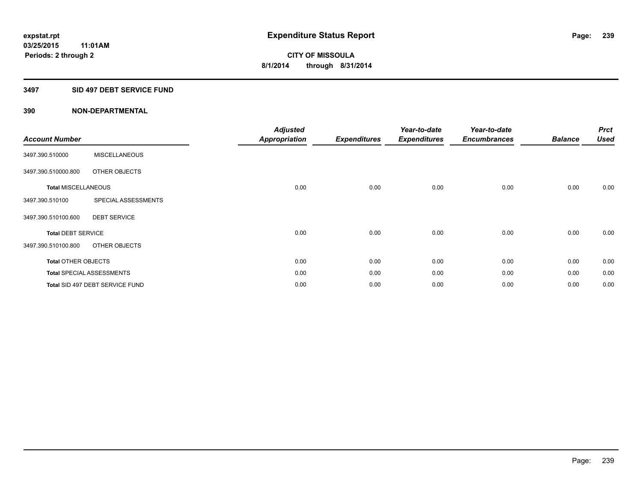### **3497 SID 497 DEBT SERVICE FUND**

| <b>Account Number</b>      |                                  | <b>Adjusted</b><br><b>Appropriation</b> | <b>Expenditures</b> | Year-to-date<br><b>Expenditures</b> | Year-to-date<br><b>Encumbrances</b> | <b>Balance</b> | <b>Prct</b><br><b>Used</b> |
|----------------------------|----------------------------------|-----------------------------------------|---------------------|-------------------------------------|-------------------------------------|----------------|----------------------------|
| 3497.390.510000            | <b>MISCELLANEOUS</b>             |                                         |                     |                                     |                                     |                |                            |
| 3497.390.510000.800        | OTHER OBJECTS                    |                                         |                     |                                     |                                     |                |                            |
| <b>Total MISCELLANEOUS</b> |                                  | 0.00                                    | 0.00                | 0.00                                | 0.00                                | 0.00           | 0.00                       |
| 3497.390.510100            | SPECIAL ASSESSMENTS              |                                         |                     |                                     |                                     |                |                            |
| 3497.390.510100.600        | <b>DEBT SERVICE</b>              |                                         |                     |                                     |                                     |                |                            |
| <b>Total DEBT SERVICE</b>  |                                  | 0.00                                    | 0.00                | 0.00                                | 0.00                                | 0.00           | 0.00                       |
| 3497.390.510100.800        | OTHER OBJECTS                    |                                         |                     |                                     |                                     |                |                            |
| <b>Total OTHER OBJECTS</b> |                                  | 0.00                                    | 0.00                | 0.00                                | 0.00                                | 0.00           | 0.00                       |
|                            | <b>Total SPECIAL ASSESSMENTS</b> | 0.00                                    | 0.00                | 0.00                                | 0.00                                | 0.00           | 0.00                       |
|                            | Total SID 497 DEBT SERVICE FUND  | 0.00                                    | 0.00                | 0.00                                | 0.00                                | 0.00           | 0.00                       |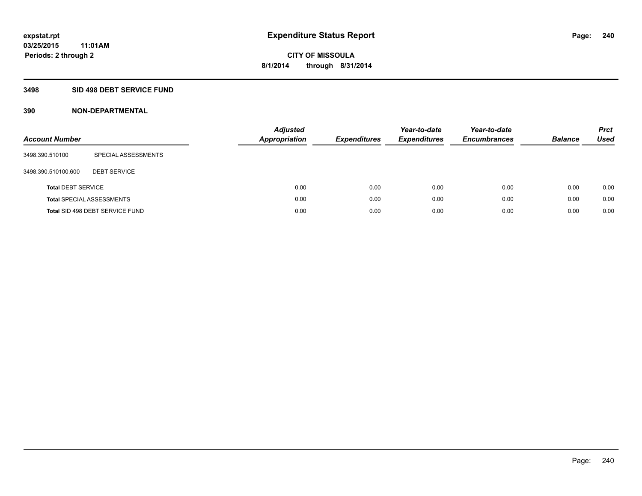### **3498 SID 498 DEBT SERVICE FUND**

| <b>Account Number</b>     |                                  | <b>Adjusted</b><br><b>Appropriation</b> | <b>Expenditures</b> | Year-to-date<br><b>Expenditures</b> | Year-to-date<br><b>Encumbrances</b> | <b>Balance</b> | <b>Prct</b><br>Used |
|---------------------------|----------------------------------|-----------------------------------------|---------------------|-------------------------------------|-------------------------------------|----------------|---------------------|
| 3498.390.510100           | SPECIAL ASSESSMENTS              |                                         |                     |                                     |                                     |                |                     |
| 3498.390.510100.600       | <b>DEBT SERVICE</b>              |                                         |                     |                                     |                                     |                |                     |
| <b>Total DEBT SERVICE</b> |                                  | 0.00                                    | 0.00                | 0.00                                | 0.00                                | 0.00           | 0.00                |
|                           | <b>Total SPECIAL ASSESSMENTS</b> | 0.00                                    | 0.00                | 0.00                                | 0.00                                | 0.00           | 0.00                |
|                           | Total SID 498 DEBT SERVICE FUND  | 0.00                                    | 0.00                | 0.00                                | 0.00                                | 0.00           | 0.00                |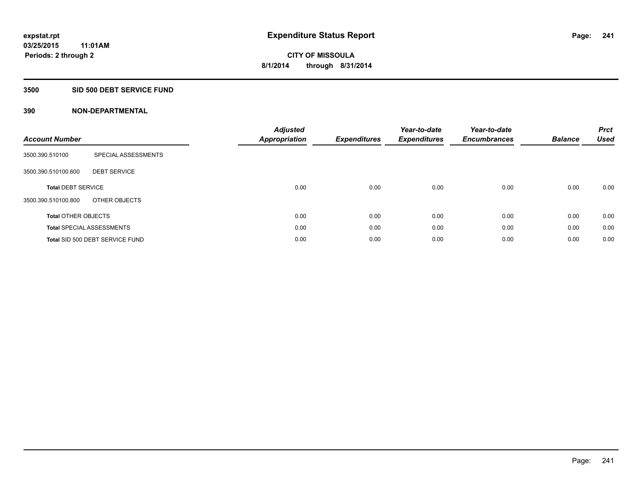#### **3500 SID 500 DEBT SERVICE FUND**

| <b>Account Number</b>      |                                  | <b>Adjusted</b><br>Appropriation | <b>Expenditures</b> | Year-to-date<br><b>Expenditures</b> | Year-to-date<br><b>Encumbrances</b> | <b>Balance</b> | <b>Prct</b><br><b>Used</b> |
|----------------------------|----------------------------------|----------------------------------|---------------------|-------------------------------------|-------------------------------------|----------------|----------------------------|
| 3500.390.510100            | SPECIAL ASSESSMENTS              |                                  |                     |                                     |                                     |                |                            |
| 3500.390.510100.600        | <b>DEBT SERVICE</b>              |                                  |                     |                                     |                                     |                |                            |
| <b>Total DEBT SERVICE</b>  |                                  | 0.00                             | 0.00                | 0.00                                | 0.00                                | 0.00           | 0.00                       |
| 3500.390.510100.800        | OTHER OBJECTS                    |                                  |                     |                                     |                                     |                |                            |
| <b>Total OTHER OBJECTS</b> |                                  | 0.00                             | 0.00                | 0.00                                | 0.00                                | 0.00           | 0.00                       |
|                            | <b>Total SPECIAL ASSESSMENTS</b> | 0.00                             | 0.00                | 0.00                                | 0.00                                | 0.00           | 0.00                       |
|                            | Total SID 500 DEBT SERVICE FUND  | 0.00                             | 0.00                | 0.00                                | 0.00                                | 0.00           | 0.00                       |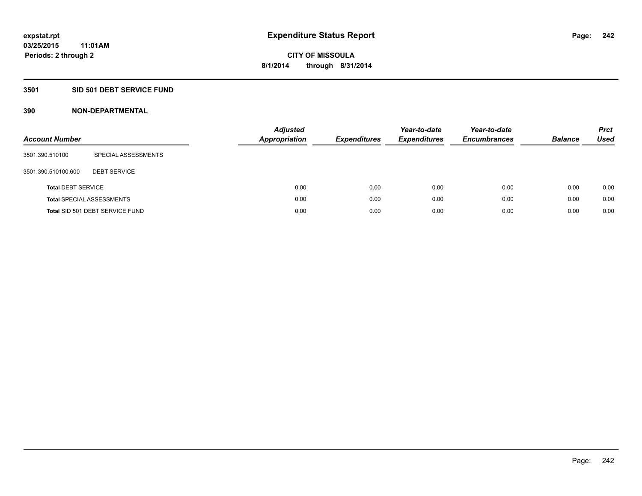### **3501 SID 501 DEBT SERVICE FUND**

| <b>Account Number</b>     |                                  | Adjusted<br><b>Appropriation</b> | <b>Expenditures</b> | Year-to-date<br><b>Expenditures</b> | Year-to-date<br><b>Encumbrances</b> | <b>Balance</b> | <b>Prct</b><br>Used |
|---------------------------|----------------------------------|----------------------------------|---------------------|-------------------------------------|-------------------------------------|----------------|---------------------|
| 3501.390.510100           | SPECIAL ASSESSMENTS              |                                  |                     |                                     |                                     |                |                     |
| 3501.390.510100.600       | <b>DEBT SERVICE</b>              |                                  |                     |                                     |                                     |                |                     |
| <b>Total DEBT SERVICE</b> |                                  | 0.00                             | 0.00                | 0.00                                | 0.00                                | 0.00           | 0.00                |
|                           | <b>Total SPECIAL ASSESSMENTS</b> | 0.00                             | 0.00                | 0.00                                | 0.00                                | 0.00           | 0.00                |
|                           | Total SID 501 DEBT SERVICE FUND  | 0.00                             | 0.00                | 0.00                                | 0.00                                | 0.00           | 0.00                |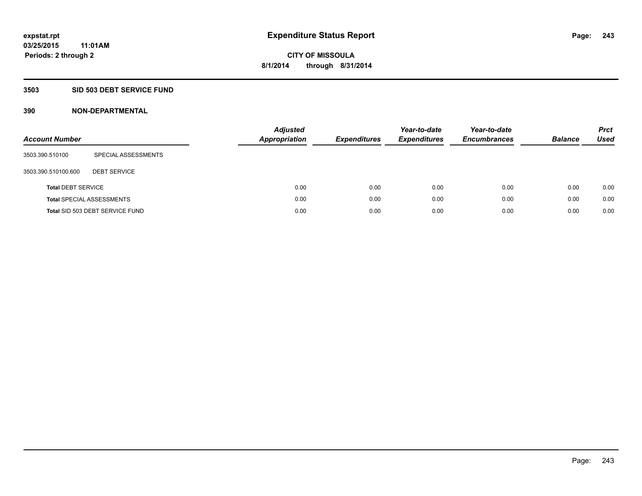### **3503 SID 503 DEBT SERVICE FUND**

| <b>Account Number</b>     |                                  | Adjusted<br><b>Appropriation</b> | <b>Expenditures</b> | Year-to-date<br><b>Expenditures</b> | Year-to-date<br><b>Encumbrances</b> | <b>Balance</b> | <b>Prct</b><br>Used |
|---------------------------|----------------------------------|----------------------------------|---------------------|-------------------------------------|-------------------------------------|----------------|---------------------|
| 3503.390.510100           | SPECIAL ASSESSMENTS              |                                  |                     |                                     |                                     |                |                     |
| 3503.390.510100.600       | <b>DEBT SERVICE</b>              |                                  |                     |                                     |                                     |                |                     |
| <b>Total DEBT SERVICE</b> |                                  |                                  | 0.00<br>0.00        | 0.00                                | 0.00                                | 0.00           | 0.00                |
|                           | <b>Total SPECIAL ASSESSMENTS</b> |                                  | 0.00<br>0.00        | 0.00                                | 0.00                                | 0.00           | 0.00                |
|                           | Total SID 503 DEBT SERVICE FUND  |                                  | 0.00<br>0.00        | 0.00                                | 0.00                                | 0.00           | 0.00                |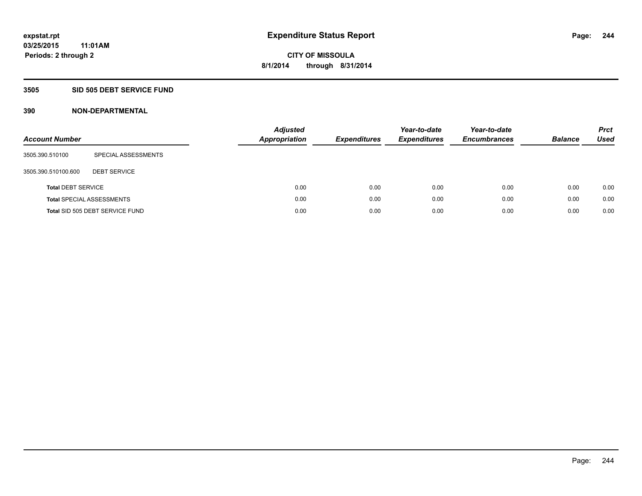### **3505 SID 505 DEBT SERVICE FUND**

| <b>Account Number</b>     |                                  | <b>Adjusted</b><br><b>Appropriation</b> | <b>Expenditures</b> | Year-to-date<br><b>Expenditures</b> | Year-to-date<br><b>Encumbrances</b> | <b>Balance</b> | <b>Prct</b><br>Used |
|---------------------------|----------------------------------|-----------------------------------------|---------------------|-------------------------------------|-------------------------------------|----------------|---------------------|
| 3505.390.510100           | SPECIAL ASSESSMENTS              |                                         |                     |                                     |                                     |                |                     |
| 3505.390.510100.600       | <b>DEBT SERVICE</b>              |                                         |                     |                                     |                                     |                |                     |
| <b>Total DEBT SERVICE</b> |                                  | 0.00                                    | 0.00                | 0.00                                | 0.00                                | 0.00           | 0.00                |
|                           | <b>Total SPECIAL ASSESSMENTS</b> | 0.00                                    | 0.00                | 0.00                                | 0.00                                | 0.00           | 0.00                |
|                           | Total SID 505 DEBT SERVICE FUND  | 0.00                                    | 0.00                | 0.00                                | 0.00                                | 0.00           | 0.00                |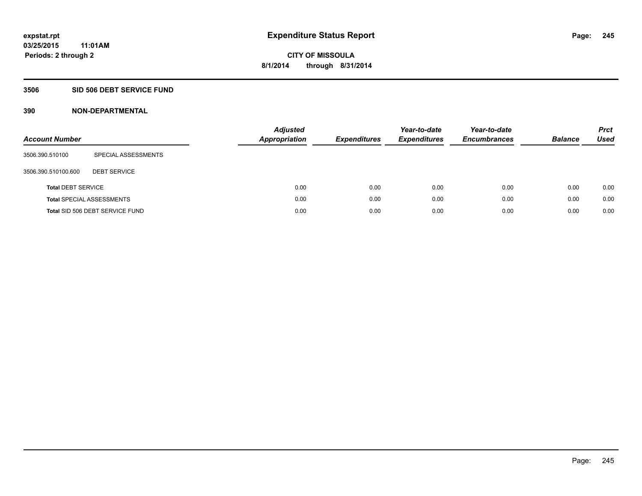### **3506 SID 506 DEBT SERVICE FUND**

| <b>Account Number</b>     |                                  | <b>Adjusted</b><br><b>Appropriation</b> | <b>Expenditures</b> | Year-to-date<br><b>Expenditures</b> | Year-to-date<br><b>Encumbrances</b> | <b>Balance</b> | <b>Prct</b><br>Used |
|---------------------------|----------------------------------|-----------------------------------------|---------------------|-------------------------------------|-------------------------------------|----------------|---------------------|
| 3506.390.510100           | SPECIAL ASSESSMENTS              |                                         |                     |                                     |                                     |                |                     |
| 3506.390.510100.600       | <b>DEBT SERVICE</b>              |                                         |                     |                                     |                                     |                |                     |
| <b>Total DEBT SERVICE</b> |                                  | 0.00                                    | 0.00                | 0.00                                | 0.00                                | 0.00           | 0.00                |
|                           | <b>Total SPECIAL ASSESSMENTS</b> | 0.00                                    | 0.00                | 0.00                                | 0.00                                | 0.00           | 0.00                |
|                           | Total SID 506 DEBT SERVICE FUND  | 0.00                                    | 0.00                | 0.00                                | 0.00                                | 0.00           | 0.00                |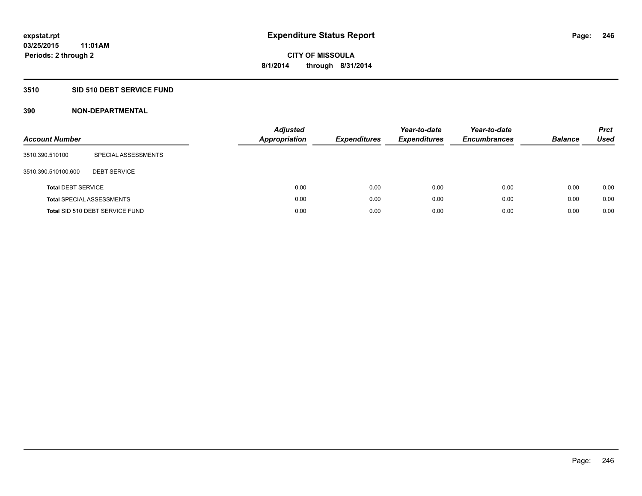### **3510 SID 510 DEBT SERVICE FUND**

| <b>Account Number</b>     |                                  | <b>Adjusted</b><br><b>Appropriation</b> | <b>Expenditures</b> | Year-to-date<br><b>Expenditures</b> | Year-to-date<br><b>Encumbrances</b> | <b>Balance</b> | <b>Prct</b><br>Used |
|---------------------------|----------------------------------|-----------------------------------------|---------------------|-------------------------------------|-------------------------------------|----------------|---------------------|
| 3510.390.510100           | SPECIAL ASSESSMENTS              |                                         |                     |                                     |                                     |                |                     |
| 3510.390.510100.600       | <b>DEBT SERVICE</b>              |                                         |                     |                                     |                                     |                |                     |
| <b>Total DEBT SERVICE</b> |                                  | 0.00                                    | 0.00                | 0.00                                | 0.00                                | 0.00           | 0.00                |
|                           | <b>Total SPECIAL ASSESSMENTS</b> | 0.00                                    | 0.00                | 0.00                                | 0.00                                | 0.00           | 0.00                |
|                           | Total SID 510 DEBT SERVICE FUND  | 0.00                                    | 0.00                | 0.00                                | 0.00                                | 0.00           | 0.00                |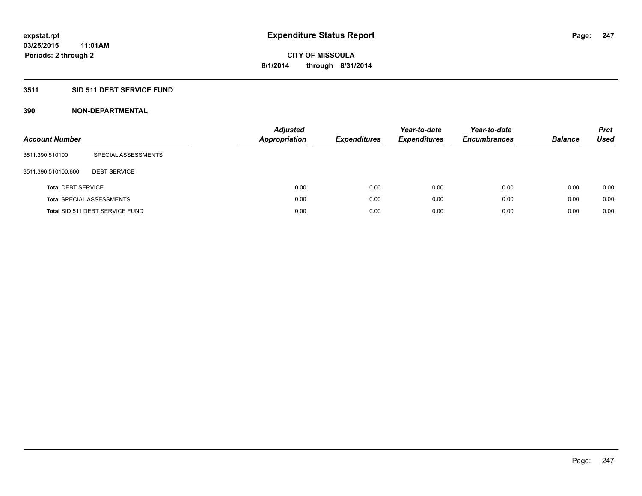### **3511 SID 511 DEBT SERVICE FUND**

| <b>Account Number</b>     |                                  | <b>Adjusted</b><br><b>Appropriation</b> | <b>Expenditures</b> | Year-to-date<br><b>Expenditures</b> | Year-to-date<br><b>Encumbrances</b> | <b>Balance</b> | <b>Prct</b><br>Used |
|---------------------------|----------------------------------|-----------------------------------------|---------------------|-------------------------------------|-------------------------------------|----------------|---------------------|
| 3511.390.510100           | SPECIAL ASSESSMENTS              |                                         |                     |                                     |                                     |                |                     |
| 3511.390.510100.600       | <b>DEBT SERVICE</b>              |                                         |                     |                                     |                                     |                |                     |
| <b>Total DEBT SERVICE</b> |                                  | 0.00                                    | 0.00                | 0.00                                | 0.00                                | 0.00           | 0.00                |
|                           | <b>Total SPECIAL ASSESSMENTS</b> | 0.00                                    | 0.00                | 0.00                                | 0.00                                | 0.00           | 0.00                |
|                           | Total SID 511 DEBT SERVICE FUND  | 0.00                                    | 0.00                | 0.00                                | 0.00                                | 0.00           | 0.00                |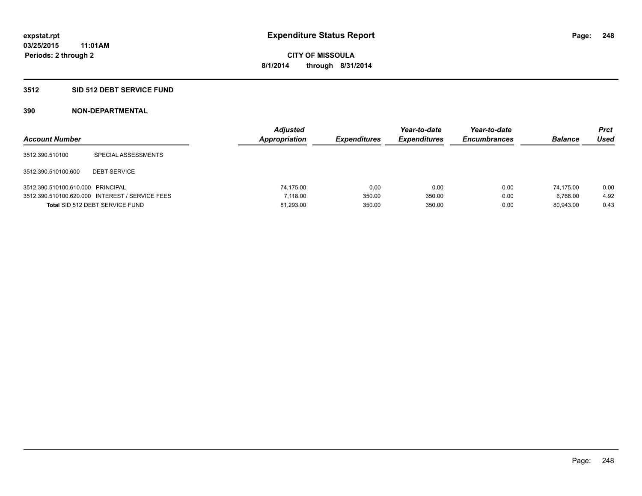### **3512 SID 512 DEBT SERVICE FUND**

| <b>Account Number</b>             |                                                 | <b>Adjusted</b><br>Appropriation | <b>Expenditures</b> | Year-to-date<br><b>Expenditures</b> | Year-to-date<br><b>Encumbrances</b> | <b>Balance</b> | Prct<br><b>Used</b> |
|-----------------------------------|-------------------------------------------------|----------------------------------|---------------------|-------------------------------------|-------------------------------------|----------------|---------------------|
| 3512.390.510100                   | SPECIAL ASSESSMENTS                             |                                  |                     |                                     |                                     |                |                     |
| 3512.390.510100.600               | <b>DEBT SERVICE</b>                             |                                  |                     |                                     |                                     |                |                     |
| 3512.390.510100.610.000 PRINCIPAL |                                                 | 74.175.00                        | 0.00                | 0.00                                | 0.00                                | 74.175.00      | 0.00                |
|                                   | 3512.390.510100.620.000 INTEREST / SERVICE FEES | 7.118.00                         | 350.00              | 350.00                              | 0.00                                | 6.768.00       | 4.92                |
|                                   | Total SID 512 DEBT SERVICE FUND                 | 81,293.00                        | 350.00              | 350.00                              | 0.00                                | 80.943.00      | 0.43                |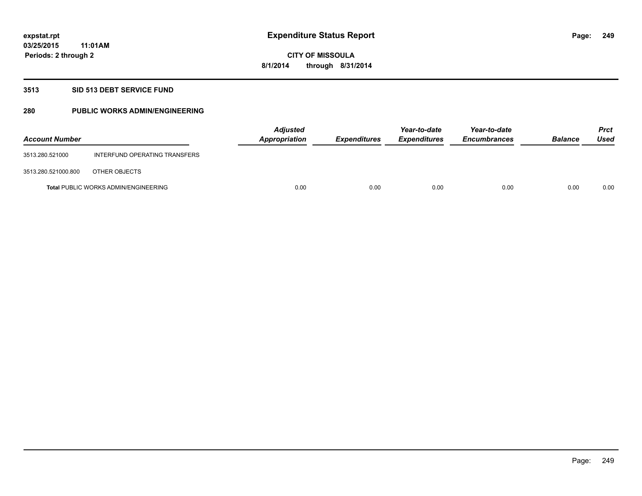### **3513 SID 513 DEBT SERVICE FUND**

### **280 PUBLIC WORKS ADMIN/ENGINEERING**

| <b>Account Number</b> |                                             | <b>Adjusted</b><br>Appropriation | <b>Expenditures</b> | Year-to-date<br><b>Expenditures</b> | Year-to-date<br><b>Encumbrances</b> | <b>Balance</b> | <b>Prct</b><br>Used |
|-----------------------|---------------------------------------------|----------------------------------|---------------------|-------------------------------------|-------------------------------------|----------------|---------------------|
| 3513.280.521000       | INTERFUND OPERATING TRANSFERS               |                                  |                     |                                     |                                     |                |                     |
| 3513.280.521000.800   | OTHER OBJECTS                               |                                  |                     |                                     |                                     |                |                     |
|                       | <b>Total PUBLIC WORKS ADMIN/ENGINEERING</b> | 0.00                             | 0.00                | 0.00                                | 0.00                                | 0.00           | 0.00                |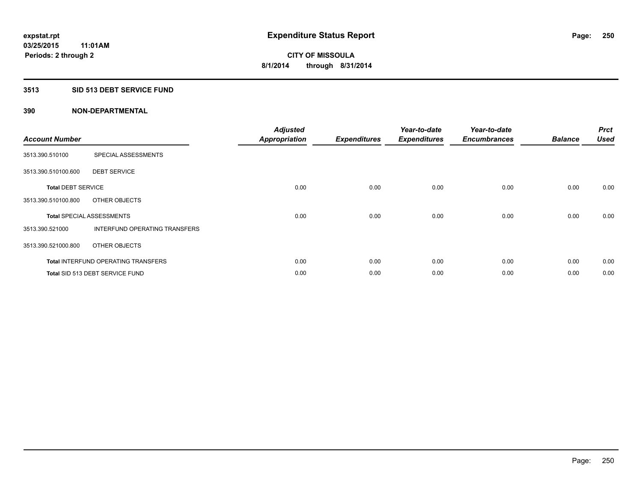### **3513 SID 513 DEBT SERVICE FUND**

| <b>Account Number</b>     |                                            | <b>Adjusted</b><br><b>Appropriation</b> | <b>Expenditures</b> | Year-to-date<br><b>Expenditures</b> | Year-to-date<br><b>Encumbrances</b> | <b>Balance</b> | <b>Prct</b><br><b>Used</b> |
|---------------------------|--------------------------------------------|-----------------------------------------|---------------------|-------------------------------------|-------------------------------------|----------------|----------------------------|
| 3513.390.510100           | SPECIAL ASSESSMENTS                        |                                         |                     |                                     |                                     |                |                            |
| 3513.390.510100.600       | <b>DEBT SERVICE</b>                        |                                         |                     |                                     |                                     |                |                            |
| <b>Total DEBT SERVICE</b> |                                            | 0.00                                    | 0.00                | 0.00                                | 0.00                                | 0.00           | 0.00                       |
| 3513.390.510100.800       | OTHER OBJECTS                              |                                         |                     |                                     |                                     |                |                            |
|                           | <b>Total SPECIAL ASSESSMENTS</b>           | 0.00                                    | 0.00                | 0.00                                | 0.00                                | 0.00           | 0.00                       |
| 3513.390.521000           | INTERFUND OPERATING TRANSFERS              |                                         |                     |                                     |                                     |                |                            |
| 3513.390.521000.800       | OTHER OBJECTS                              |                                         |                     |                                     |                                     |                |                            |
|                           | <b>Total INTERFUND OPERATING TRANSFERS</b> | 0.00                                    | 0.00                | 0.00                                | 0.00                                | 0.00           | 0.00                       |
|                           | Total SID 513 DEBT SERVICE FUND            | 0.00                                    | 0.00                | 0.00                                | 0.00                                | 0.00           | 0.00                       |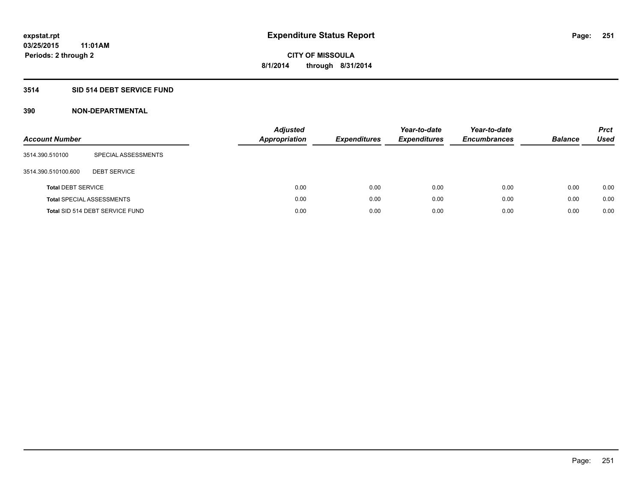### **3514 SID 514 DEBT SERVICE FUND**

| <b>Account Number</b>     |                                  | <b>Adjusted</b><br><b>Appropriation</b> | <b>Expenditures</b> | Year-to-date<br><b>Expenditures</b> | Year-to-date<br><b>Encumbrances</b> | <b>Balance</b> | <b>Prct</b><br>Used |
|---------------------------|----------------------------------|-----------------------------------------|---------------------|-------------------------------------|-------------------------------------|----------------|---------------------|
| 3514.390.510100           | SPECIAL ASSESSMENTS              |                                         |                     |                                     |                                     |                |                     |
| 3514.390.510100.600       | <b>DEBT SERVICE</b>              |                                         |                     |                                     |                                     |                |                     |
| <b>Total DEBT SERVICE</b> |                                  |                                         | 0.00<br>0.00        | 0.00                                | 0.00                                | 0.00           | 0.00                |
|                           | <b>Total SPECIAL ASSESSMENTS</b> |                                         | 0.00<br>0.00        | 0.00                                | 0.00                                | 0.00           | 0.00                |
|                           | Total SID 514 DEBT SERVICE FUND  |                                         | 0.00<br>0.00        | 0.00                                | 0.00                                | 0.00           | 0.00                |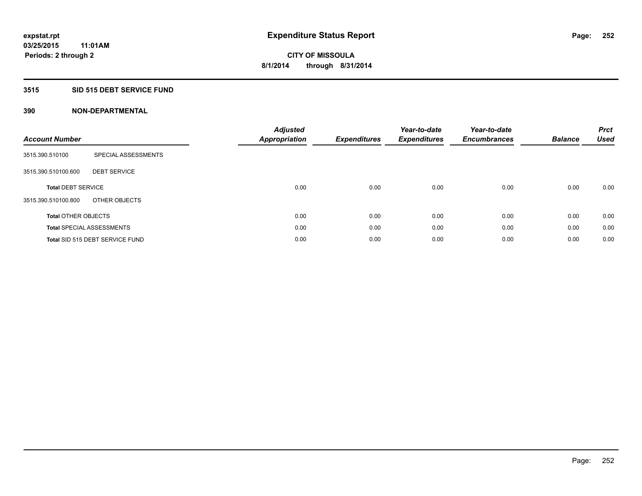### **3515 SID 515 DEBT SERVICE FUND**

| <b>Account Number</b>      |                                  | <b>Adjusted</b><br>Appropriation | <b>Expenditures</b> | Year-to-date<br><b>Expenditures</b> | Year-to-date<br><b>Encumbrances</b> | <b>Balance</b> | <b>Prct</b><br><b>Used</b> |
|----------------------------|----------------------------------|----------------------------------|---------------------|-------------------------------------|-------------------------------------|----------------|----------------------------|
| 3515.390.510100            | SPECIAL ASSESSMENTS              |                                  |                     |                                     |                                     |                |                            |
| 3515.390.510100.600        | <b>DEBT SERVICE</b>              |                                  |                     |                                     |                                     |                |                            |
| <b>Total DEBT SERVICE</b>  |                                  | 0.00                             | 0.00                | 0.00                                | 0.00                                | 0.00           | 0.00                       |
| 3515.390.510100.800        | OTHER OBJECTS                    |                                  |                     |                                     |                                     |                |                            |
| <b>Total OTHER OBJECTS</b> |                                  | 0.00                             | 0.00                | 0.00                                | 0.00                                | 0.00           | 0.00                       |
|                            | <b>Total SPECIAL ASSESSMENTS</b> | 0.00                             | 0.00                | 0.00                                | 0.00                                | 0.00           | 0.00                       |
|                            | Total SID 515 DEBT SERVICE FUND  | 0.00                             | 0.00                | 0.00                                | 0.00                                | 0.00           | 0.00                       |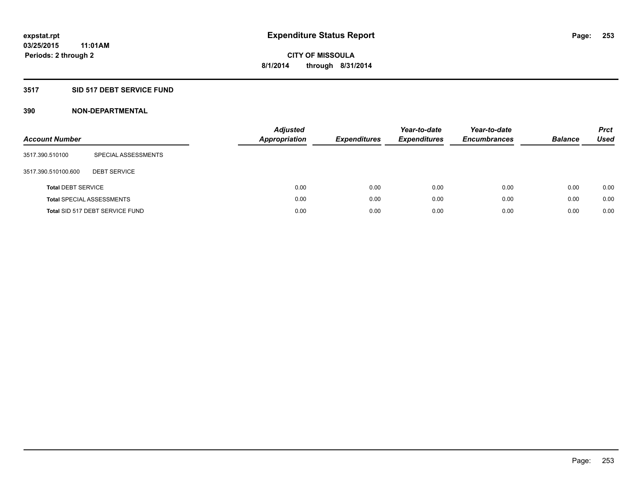### **3517 SID 517 DEBT SERVICE FUND**

| <b>Account Number</b>     |                                  | <b>Adjusted</b><br><b>Appropriation</b> | <b>Expenditures</b> | Year-to-date<br><b>Expenditures</b> | Year-to-date<br><b>Encumbrances</b> | <b>Balance</b> | <b>Prct</b><br>Used |
|---------------------------|----------------------------------|-----------------------------------------|---------------------|-------------------------------------|-------------------------------------|----------------|---------------------|
| 3517.390.510100           | SPECIAL ASSESSMENTS              |                                         |                     |                                     |                                     |                |                     |
| 3517.390.510100.600       | <b>DEBT SERVICE</b>              |                                         |                     |                                     |                                     |                |                     |
| <b>Total DEBT SERVICE</b> |                                  | 0.00                                    | 0.00                | 0.00                                | 0.00                                | 0.00           | 0.00                |
|                           | <b>Total SPECIAL ASSESSMENTS</b> | 0.00                                    | 0.00                | 0.00                                | 0.00                                | 0.00           | 0.00                |
|                           | Total SID 517 DEBT SERVICE FUND  | 0.00                                    | 0.00                | 0.00                                | 0.00                                | 0.00           | 0.00                |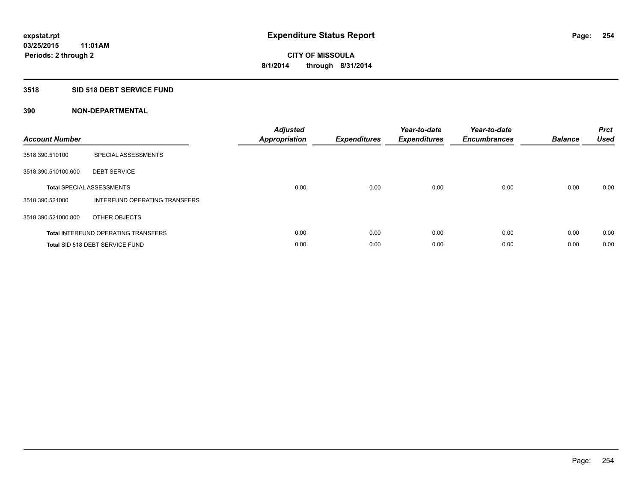### **3518 SID 518 DEBT SERVICE FUND**

| <b>Account Number</b> |                                            | <b>Adjusted</b><br>Appropriation | <b>Expenditures</b> | Year-to-date<br><b>Expenditures</b> | Year-to-date<br><b>Encumbrances</b> | <b>Balance</b> | <b>Prct</b><br><b>Used</b> |
|-----------------------|--------------------------------------------|----------------------------------|---------------------|-------------------------------------|-------------------------------------|----------------|----------------------------|
| 3518.390.510100       | SPECIAL ASSESSMENTS                        |                                  |                     |                                     |                                     |                |                            |
| 3518.390.510100.600   | <b>DEBT SERVICE</b>                        |                                  |                     |                                     |                                     |                |                            |
|                       | <b>Total SPECIAL ASSESSMENTS</b>           | 0.00                             | 0.00                | 0.00                                | 0.00                                | 0.00           | 0.00                       |
| 3518.390.521000       | INTERFUND OPERATING TRANSFERS              |                                  |                     |                                     |                                     |                |                            |
| 3518.390.521000.800   | OTHER OBJECTS                              |                                  |                     |                                     |                                     |                |                            |
|                       | <b>Total INTERFUND OPERATING TRANSFERS</b> | 0.00                             | 0.00                | 0.00                                | 0.00                                | 0.00           | 0.00                       |
|                       | Total SID 518 DEBT SERVICE FUND            | 0.00                             | 0.00                | 0.00                                | 0.00                                | 0.00           | 0.00                       |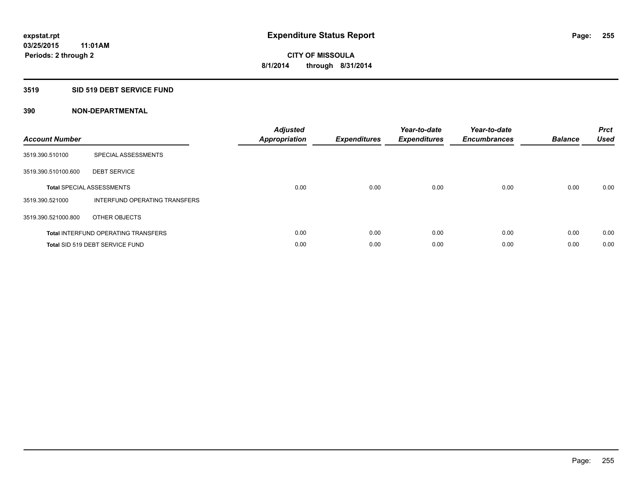### **3519 SID 519 DEBT SERVICE FUND**

| <b>Account Number</b> |                                            | <b>Adjusted</b><br>Appropriation | <b>Expenditures</b> | Year-to-date<br><b>Expenditures</b> | Year-to-date<br><b>Encumbrances</b> | <b>Balance</b> | <b>Prct</b><br><b>Used</b> |
|-----------------------|--------------------------------------------|----------------------------------|---------------------|-------------------------------------|-------------------------------------|----------------|----------------------------|
| 3519.390.510100       | SPECIAL ASSESSMENTS                        |                                  |                     |                                     |                                     |                |                            |
| 3519.390.510100.600   | <b>DEBT SERVICE</b>                        |                                  |                     |                                     |                                     |                |                            |
|                       | <b>Total SPECIAL ASSESSMENTS</b>           | 0.00                             | 0.00                | 0.00                                | 0.00                                | 0.00           | 0.00                       |
| 3519.390.521000       | INTERFUND OPERATING TRANSFERS              |                                  |                     |                                     |                                     |                |                            |
| 3519.390.521000.800   | OTHER OBJECTS                              |                                  |                     |                                     |                                     |                |                            |
|                       | <b>Total INTERFUND OPERATING TRANSFERS</b> | 0.00                             | 0.00                | 0.00                                | 0.00                                | 0.00           | 0.00                       |
|                       | Total SID 519 DEBT SERVICE FUND            | 0.00                             | 0.00                | 0.00                                | 0.00                                | 0.00           | 0.00                       |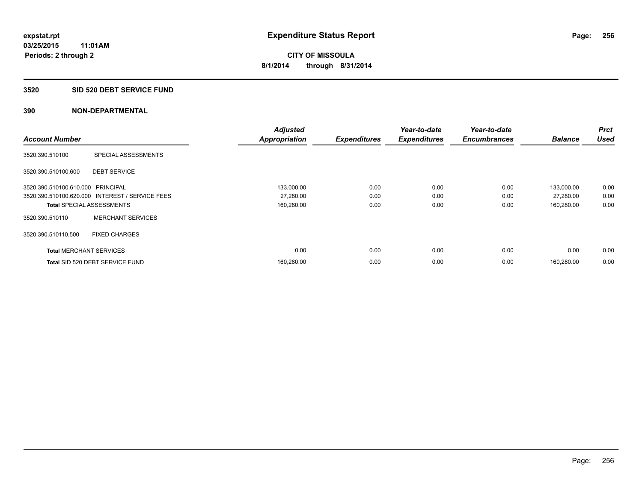#### **3520 SID 520 DEBT SERVICE FUND**

|                                   |                                                 | <b>Adjusted</b>      |                     | Year-to-date        | Year-to-date        |                | Prct        |
|-----------------------------------|-------------------------------------------------|----------------------|---------------------|---------------------|---------------------|----------------|-------------|
| <b>Account Number</b>             |                                                 | <b>Appropriation</b> | <b>Expenditures</b> | <b>Expenditures</b> | <b>Encumbrances</b> | <b>Balance</b> | <b>Used</b> |
| 3520.390.510100                   | SPECIAL ASSESSMENTS                             |                      |                     |                     |                     |                |             |
| 3520.390.510100.600               | <b>DEBT SERVICE</b>                             |                      |                     |                     |                     |                |             |
| 3520.390.510100.610.000 PRINCIPAL |                                                 | 133,000.00           | 0.00                | 0.00                | 0.00                | 133.000.00     | 0.00        |
|                                   | 3520.390.510100.620.000 INTEREST / SERVICE FEES | 27,280.00            | 0.00                | 0.00                | 0.00                | 27,280.00      | 0.00        |
| <b>Total SPECIAL ASSESSMENTS</b>  |                                                 | 160,280.00           | 0.00                | 0.00                | 0.00                | 160,280.00     | 0.00        |
| 3520.390.510110                   | <b>MERCHANT SERVICES</b>                        |                      |                     |                     |                     |                |             |
| 3520.390.510110.500               | <b>FIXED CHARGES</b>                            |                      |                     |                     |                     |                |             |
| <b>Total MERCHANT SERVICES</b>    |                                                 | 0.00                 | 0.00                | 0.00                | 0.00                | 0.00           | 0.00        |
|                                   | Total SID 520 DEBT SERVICE FUND                 | 160,280.00           | 0.00                | 0.00                | 0.00                | 160.280.00     | 0.00        |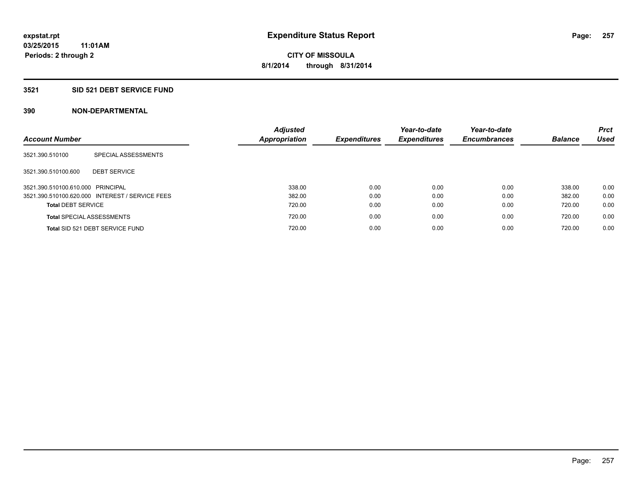### **3521 SID 521 DEBT SERVICE FUND**

| <b>Account Number</b>             |                                                 | <b>Adjusted</b><br>Appropriation | <b>Expenditures</b> | Year-to-date<br><b>Expenditures</b> | Year-to-date<br><b>Encumbrances</b> | <b>Balance</b> | <b>Prct</b><br>Used |
|-----------------------------------|-------------------------------------------------|----------------------------------|---------------------|-------------------------------------|-------------------------------------|----------------|---------------------|
| 3521.390.510100                   | SPECIAL ASSESSMENTS                             |                                  |                     |                                     |                                     |                |                     |
| 3521.390.510100.600               | <b>DEBT SERVICE</b>                             |                                  |                     |                                     |                                     |                |                     |
| 3521.390.510100.610.000 PRINCIPAL |                                                 | 338.00                           | 0.00                | 0.00                                | 0.00                                | 338.00         | 0.00                |
|                                   | 3521.390.510100.620.000 INTEREST / SERVICE FEES | 382.00                           | 0.00                | 0.00                                | 0.00                                | 382.00         | 0.00                |
| <b>Total DEBT SERVICE</b>         |                                                 | 720.00                           | 0.00                | 0.00                                | 0.00                                | 720.00         | 0.00                |
|                                   | <b>Total SPECIAL ASSESSMENTS</b>                | 720.00                           | 0.00                | 0.00                                | 0.00                                | 720.00         | 0.00                |
|                                   | Total SID 521 DEBT SERVICE FUND                 | 720.00                           | 0.00                | 0.00                                | 0.00                                | 720.00         | 0.00                |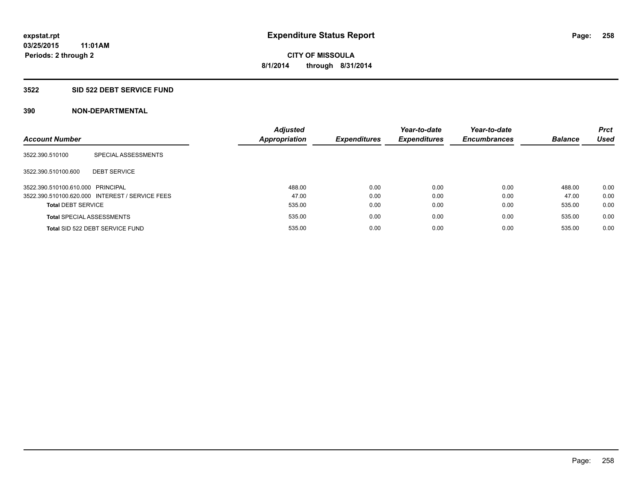### **3522 SID 522 DEBT SERVICE FUND**

| <b>Account Number</b>             |                                                 | <b>Adjusted</b><br><b>Appropriation</b> | <b>Expenditures</b> | Year-to-date<br><b>Expenditures</b> | Year-to-date<br><b>Encumbrances</b> | <b>Balance</b> | <b>Prct</b><br><b>Used</b> |
|-----------------------------------|-------------------------------------------------|-----------------------------------------|---------------------|-------------------------------------|-------------------------------------|----------------|----------------------------|
| 3522.390.510100                   | SPECIAL ASSESSMENTS                             |                                         |                     |                                     |                                     |                |                            |
| 3522.390.510100.600               | <b>DEBT SERVICE</b>                             |                                         |                     |                                     |                                     |                |                            |
| 3522.390.510100.610.000 PRINCIPAL |                                                 | 488.00                                  | 0.00                | 0.00                                | 0.00                                | 488.00         | 0.00                       |
|                                   | 3522.390.510100.620.000 INTEREST / SERVICE FEES | 47.00                                   | 0.00                | 0.00                                | 0.00                                | 47.00          | 0.00                       |
| <b>Total DEBT SERVICE</b>         |                                                 | 535.00                                  | 0.00                | 0.00                                | 0.00                                | 535.00         | 0.00                       |
|                                   | <b>Total SPECIAL ASSESSMENTS</b>                | 535.00                                  | 0.00                | 0.00                                | 0.00                                | 535.00         | 0.00                       |
|                                   | Total SID 522 DEBT SERVICE FUND                 | 535.00                                  | 0.00                | 0.00                                | 0.00                                | 535.00         | 0.00                       |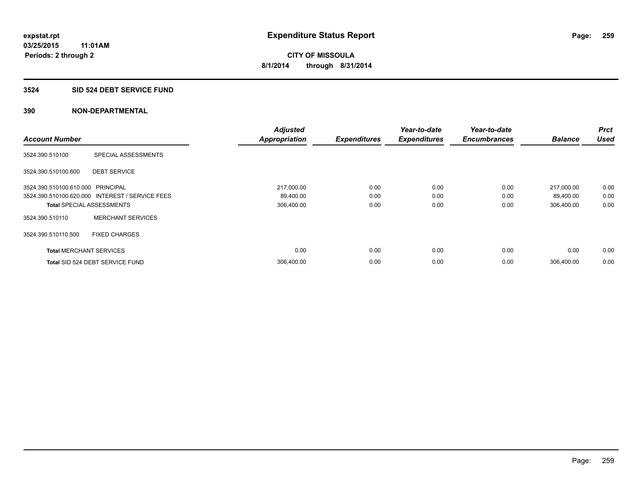### **3524 SID 524 DEBT SERVICE FUND**

|                                   |                                                 | <b>Adjusted</b>      |                     | Year-to-date        | Year-to-date        |                | Prct        |
|-----------------------------------|-------------------------------------------------|----------------------|---------------------|---------------------|---------------------|----------------|-------------|
| <b>Account Number</b>             |                                                 | <b>Appropriation</b> | <b>Expenditures</b> | <b>Expenditures</b> | <b>Encumbrances</b> | <b>Balance</b> | <b>Used</b> |
| 3524.390.510100                   | SPECIAL ASSESSMENTS                             |                      |                     |                     |                     |                |             |
| 3524.390.510100.600               | <b>DEBT SERVICE</b>                             |                      |                     |                     |                     |                |             |
| 3524.390.510100.610.000 PRINCIPAL |                                                 | 217,000.00           | 0.00                | 0.00                | 0.00                | 217,000.00     | 0.00        |
|                                   | 3524.390.510100.620.000 INTEREST / SERVICE FEES | 89,400.00            | 0.00                | 0.00                | 0.00                | 89,400.00      | 0.00        |
| <b>Total SPECIAL ASSESSMENTS</b>  |                                                 | 306,400.00           | 0.00                | 0.00                | 0.00                | 306,400.00     | 0.00        |
| 3524.390.510110                   | <b>MERCHANT SERVICES</b>                        |                      |                     |                     |                     |                |             |
| 3524.390.510110.500               | <b>FIXED CHARGES</b>                            |                      |                     |                     |                     |                |             |
| <b>Total MERCHANT SERVICES</b>    |                                                 | 0.00                 | 0.00                | 0.00                | 0.00                | 0.00           | 0.00        |
|                                   | Total SID 524 DEBT SERVICE FUND                 | 306,400.00           | 0.00                | 0.00                | 0.00                | 306.400.00     | 0.00        |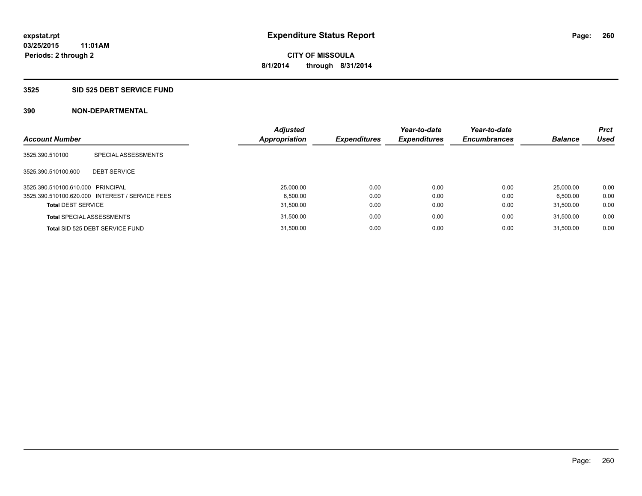#### **3525 SID 525 DEBT SERVICE FUND**

| <b>Account Number</b>             |                                                 | <b>Adjusted</b><br><b>Appropriation</b> | <b>Expenditures</b> | Year-to-date<br><b>Expenditures</b> | Year-to-date<br><b>Encumbrances</b> | <b>Balance</b> | <b>Prct</b><br><b>Used</b> |
|-----------------------------------|-------------------------------------------------|-----------------------------------------|---------------------|-------------------------------------|-------------------------------------|----------------|----------------------------|
| 3525.390.510100                   | SPECIAL ASSESSMENTS                             |                                         |                     |                                     |                                     |                |                            |
| 3525.390.510100.600               | <b>DEBT SERVICE</b>                             |                                         |                     |                                     |                                     |                |                            |
| 3525.390.510100.610.000 PRINCIPAL |                                                 | 25.000.00                               | 0.00                | 0.00                                | 0.00                                | 25.000.00      | 0.00                       |
|                                   | 3525.390.510100.620.000 INTEREST / SERVICE FEES | 6.500.00                                | 0.00                | 0.00                                | 0.00                                | 6.500.00       | 0.00                       |
| <b>Total DEBT SERVICE</b>         |                                                 | 31,500.00                               | 0.00                | 0.00                                | 0.00                                | 31.500.00      | 0.00                       |
|                                   | <b>Total SPECIAL ASSESSMENTS</b>                | 31,500.00                               | 0.00                | 0.00                                | 0.00                                | 31.500.00      | 0.00                       |
|                                   | Total SID 525 DEBT SERVICE FUND                 | 31.500.00                               | 0.00                | 0.00                                | 0.00                                | 31.500.00      | 0.00                       |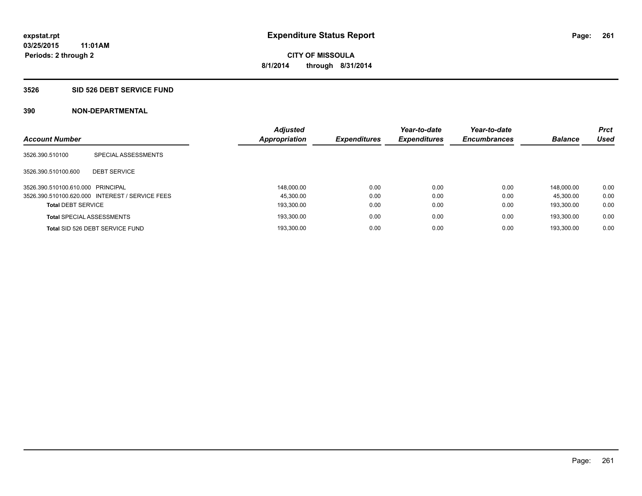### **3526 SID 526 DEBT SERVICE FUND**

| <b>Account Number</b>             |                                                 | <b>Adjusted</b><br><b>Appropriation</b> | <b>Expenditures</b> | Year-to-date<br><b>Expenditures</b> | Year-to-date<br><b>Encumbrances</b> | <b>Balance</b> | <b>Prct</b><br><b>Used</b> |
|-----------------------------------|-------------------------------------------------|-----------------------------------------|---------------------|-------------------------------------|-------------------------------------|----------------|----------------------------|
| 3526.390.510100                   | SPECIAL ASSESSMENTS                             |                                         |                     |                                     |                                     |                |                            |
| 3526.390.510100.600               | <b>DEBT SERVICE</b>                             |                                         |                     |                                     |                                     |                |                            |
| 3526.390.510100.610.000 PRINCIPAL |                                                 | 148.000.00                              | 0.00                | 0.00                                | 0.00                                | 148.000.00     | 0.00                       |
|                                   | 3526.390.510100.620.000 INTEREST / SERVICE FEES | 45.300.00                               | 0.00                | 0.00                                | 0.00                                | 45.300.00      | 0.00                       |
| <b>Total DEBT SERVICE</b>         |                                                 | 193,300.00                              | 0.00                | 0.00                                | 0.00                                | 193.300.00     | 0.00                       |
|                                   | <b>Total SPECIAL ASSESSMENTS</b>                | 193.300.00                              | 0.00                | 0.00                                | 0.00                                | 193.300.00     | 0.00                       |
|                                   | Total SID 526 DEBT SERVICE FUND                 | 193.300.00                              | 0.00                | 0.00                                | 0.00                                | 193.300.00     | 0.00                       |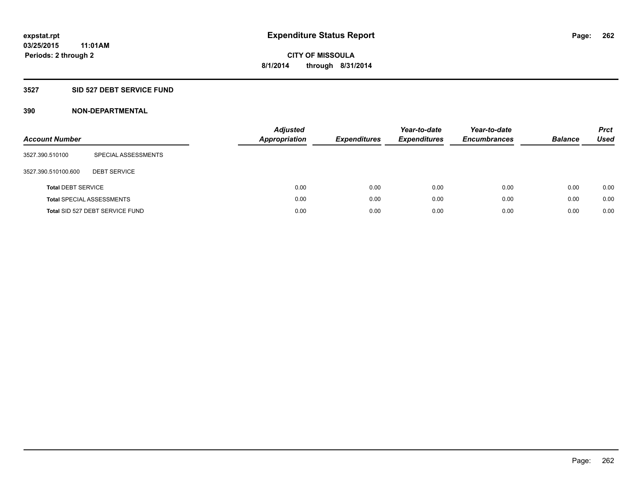### **3527 SID 527 DEBT SERVICE FUND**

| <b>Account Number</b>     |                                  | <b>Adjusted</b><br><b>Appropriation</b> | <b>Expenditures</b> | Year-to-date<br><b>Expenditures</b> | Year-to-date<br><b>Encumbrances</b> | <b>Balance</b> | <b>Prct</b><br>Used |
|---------------------------|----------------------------------|-----------------------------------------|---------------------|-------------------------------------|-------------------------------------|----------------|---------------------|
| 3527.390.510100           | SPECIAL ASSESSMENTS              |                                         |                     |                                     |                                     |                |                     |
| 3527.390.510100.600       | <b>DEBT SERVICE</b>              |                                         |                     |                                     |                                     |                |                     |
| <b>Total DEBT SERVICE</b> |                                  | 0.00                                    | 0.00                | 0.00                                | 0.00                                | 0.00           | 0.00                |
|                           | <b>Total SPECIAL ASSESSMENTS</b> | 0.00                                    | 0.00                | 0.00                                | 0.00                                | 0.00           | 0.00                |
|                           | Total SID 527 DEBT SERVICE FUND  | 0.00                                    | 0.00                | 0.00                                | 0.00                                | 0.00           | 0.00                |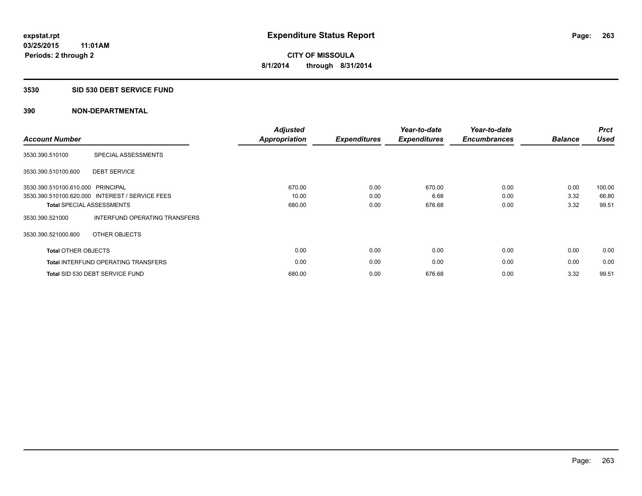### **3530 SID 530 DEBT SERVICE FUND**

| <b>Account Number</b>             |                                                 | <b>Adjusted</b><br>Appropriation | <b>Expenditures</b> | Year-to-date<br><b>Expenditures</b> | Year-to-date<br><b>Encumbrances</b> | <b>Balance</b> | <b>Prct</b><br><b>Used</b> |
|-----------------------------------|-------------------------------------------------|----------------------------------|---------------------|-------------------------------------|-------------------------------------|----------------|----------------------------|
| 3530.390.510100                   | SPECIAL ASSESSMENTS                             |                                  |                     |                                     |                                     |                |                            |
| 3530.390.510100.600               | <b>DEBT SERVICE</b>                             |                                  |                     |                                     |                                     |                |                            |
| 3530.390.510100.610.000 PRINCIPAL |                                                 | 670.00                           | 0.00                | 670.00                              | 0.00                                | 0.00           | 100.00                     |
|                                   | 3530.390.510100.620.000 INTEREST / SERVICE FEES | 10.00                            | 0.00                | 6.68                                | 0.00                                | 3.32           | 66.80                      |
|                                   | <b>Total SPECIAL ASSESSMENTS</b>                | 680.00                           | 0.00                | 676.68                              | 0.00                                | 3.32           | 99.51                      |
| 3530.390.521000                   | INTERFUND OPERATING TRANSFERS                   |                                  |                     |                                     |                                     |                |                            |
| 3530.390.521000.800               | OTHER OBJECTS                                   |                                  |                     |                                     |                                     |                |                            |
| <b>Total OTHER OBJECTS</b>        |                                                 | 0.00                             | 0.00                | 0.00                                | 0.00                                | 0.00           | 0.00                       |
|                                   | <b>Total INTERFUND OPERATING TRANSFERS</b>      | 0.00                             | 0.00                | 0.00                                | 0.00                                | 0.00           | 0.00                       |
|                                   | Total SID 530 DEBT SERVICE FUND                 | 680.00                           | 0.00                | 676.68                              | 0.00                                | 3.32           | 99.51                      |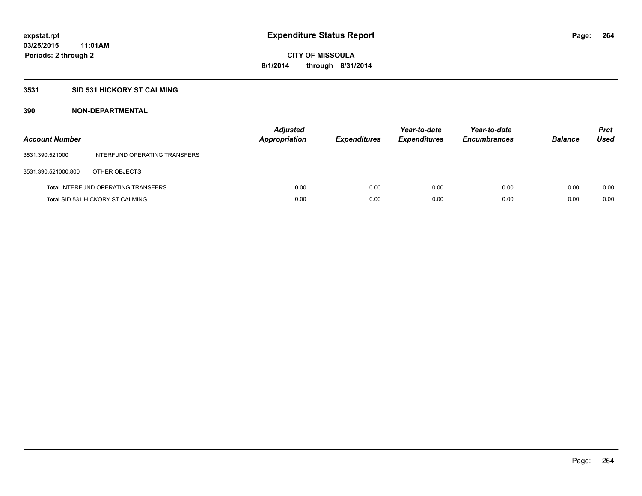### **3531 SID 531 HICKORY ST CALMING**

| <b>Account Number</b> |                                            | <b>Adjusted</b><br>Appropriation | <b>Expenditures</b> | Year-to-date<br><b>Expenditures</b> | Year-to-date<br><b>Encumbrances</b> | <b>Balance</b> | <b>Prct</b><br>Used |
|-----------------------|--------------------------------------------|----------------------------------|---------------------|-------------------------------------|-------------------------------------|----------------|---------------------|
| 3531.390.521000       | INTERFUND OPERATING TRANSFERS              |                                  |                     |                                     |                                     |                |                     |
| 3531.390.521000.800   | OTHER OBJECTS                              |                                  |                     |                                     |                                     |                |                     |
|                       | <b>Total INTERFUND OPERATING TRANSFERS</b> | 0.00                             | 0.00                | 0.00                                | 0.00                                | 0.00           | 0.00                |
|                       | <b>Total SID 531 HICKORY ST CALMING</b>    | 0.00                             | 0.00                | 0.00                                | 0.00                                | 0.00           | 0.00                |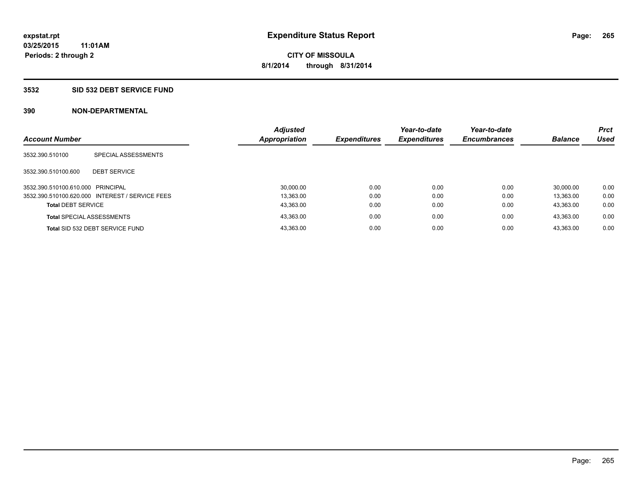### **3532 SID 532 DEBT SERVICE FUND**

| <b>Account Number</b>             |                                                 | <b>Adjusted</b><br>Appropriation | <b>Expenditures</b> | Year-to-date<br><b>Expenditures</b> | Year-to-date<br><b>Encumbrances</b> | <b>Balance</b> | <b>Prct</b><br><b>Used</b> |
|-----------------------------------|-------------------------------------------------|----------------------------------|---------------------|-------------------------------------|-------------------------------------|----------------|----------------------------|
| 3532.390.510100                   | SPECIAL ASSESSMENTS                             |                                  |                     |                                     |                                     |                |                            |
| 3532.390.510100.600               | <b>DEBT SERVICE</b>                             |                                  |                     |                                     |                                     |                |                            |
| 3532.390.510100.610.000 PRINCIPAL |                                                 | 30,000.00                        | 0.00                | 0.00                                | 0.00                                | 30.000.00      | 0.00                       |
|                                   | 3532.390.510100.620.000 INTEREST / SERVICE FEES | 13.363.00                        | 0.00                | 0.00                                | 0.00                                | 13.363.00      | 0.00                       |
| <b>Total DEBT SERVICE</b>         |                                                 | 43,363.00                        | 0.00                | 0.00                                | 0.00                                | 43.363.00      | 0.00                       |
|                                   | <b>Total SPECIAL ASSESSMENTS</b>                | 43.363.00                        | 0.00                | 0.00                                | 0.00                                | 43.363.00      | 0.00                       |
|                                   | Total SID 532 DEBT SERVICE FUND                 | 43.363.00                        | 0.00                | 0.00                                | 0.00                                | 43.363.00      | 0.00                       |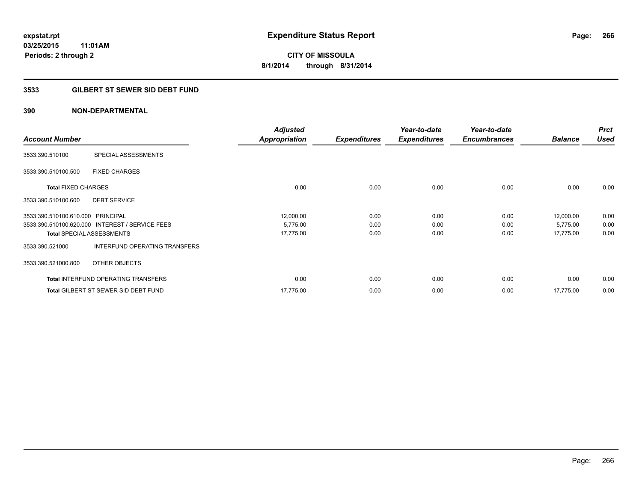### **3533 GILBERT ST SEWER SID DEBT FUND**

|                                   |                                                 | <b>Adjusted</b>      |                     | Year-to-date        | Year-to-date        |                | <b>Prct</b> |
|-----------------------------------|-------------------------------------------------|----------------------|---------------------|---------------------|---------------------|----------------|-------------|
| <b>Account Number</b>             |                                                 | <b>Appropriation</b> | <b>Expenditures</b> | <b>Expenditures</b> | <b>Encumbrances</b> | <b>Balance</b> | <b>Used</b> |
| 3533.390.510100                   | SPECIAL ASSESSMENTS                             |                      |                     |                     |                     |                |             |
| 3533.390.510100.500               | <b>FIXED CHARGES</b>                            |                      |                     |                     |                     |                |             |
| <b>Total FIXED CHARGES</b>        |                                                 | 0.00                 | 0.00                | 0.00                | 0.00                | 0.00           | 0.00        |
| 3533.390.510100.600               | <b>DEBT SERVICE</b>                             |                      |                     |                     |                     |                |             |
| 3533.390.510100.610.000 PRINCIPAL |                                                 | 12,000.00            | 0.00                | 0.00                | 0.00                | 12,000.00      | 0.00        |
|                                   | 3533.390.510100.620.000 INTEREST / SERVICE FEES | 5,775.00             | 0.00                | 0.00                | 0.00                | 5,775.00       | 0.00        |
|                                   | <b>Total SPECIAL ASSESSMENTS</b>                | 17,775.00            | 0.00                | 0.00                | 0.00                | 17,775.00      | 0.00        |
| 3533.390.521000                   | INTERFUND OPERATING TRANSFERS                   |                      |                     |                     |                     |                |             |
| 3533.390.521000.800               | OTHER OBJECTS                                   |                      |                     |                     |                     |                |             |
|                                   | <b>Total INTERFUND OPERATING TRANSFERS</b>      | 0.00                 | 0.00                | 0.00                | 0.00                | 0.00           | 0.00        |
|                                   | Total GILBERT ST SEWER SID DEBT FUND            | 17,775.00            | 0.00                | 0.00                | 0.00                | 17,775.00      | 0.00        |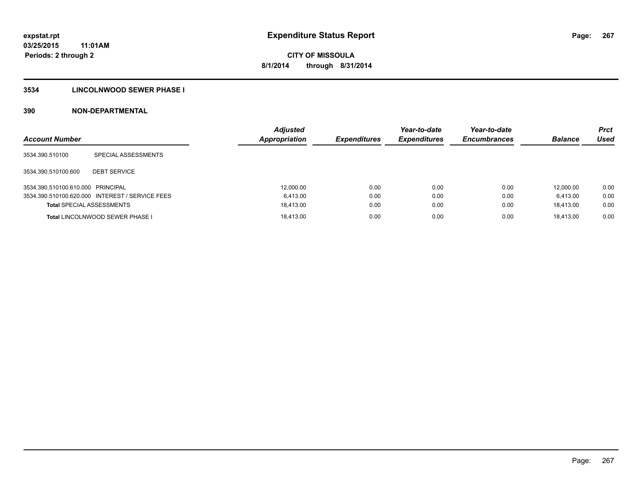### **3534 LINCOLNWOOD SEWER PHASE I**

| <b>Account Number</b>             |                                                 | <b>Adiusted</b><br><b>Appropriation</b> | <b>Expenditures</b> | Year-to-date<br><b>Expenditures</b> | Year-to-date<br><b>Encumbrances</b> | <b>Balance</b> | <b>Prct</b><br>Used |
|-----------------------------------|-------------------------------------------------|-----------------------------------------|---------------------|-------------------------------------|-------------------------------------|----------------|---------------------|
| 3534.390.510100                   | SPECIAL ASSESSMENTS                             |                                         |                     |                                     |                                     |                |                     |
| 3534.390.510100.600               | <b>DEBT SERVICE</b>                             |                                         |                     |                                     |                                     |                |                     |
| 3534.390.510100.610.000 PRINCIPAL |                                                 | 12,000.00                               | 0.00                | 0.00                                | 0.00                                | 12,000.00      | 0.00                |
|                                   | 3534.390.510100.620.000 INTEREST / SERVICE FEES | 6.413.00                                | 0.00                | 0.00                                | 0.00                                | 6.413.00       | 0.00                |
| <b>Total SPECIAL ASSESSMENTS</b>  |                                                 | 18.413.00                               | 0.00                | 0.00                                | 0.00                                | 18.413.00      | 0.00                |
|                                   | Total LINCOLNWOOD SEWER PHASE I                 | 18.413.00                               | 0.00                | 0.00                                | 0.00                                | 18.413.00      | 0.00                |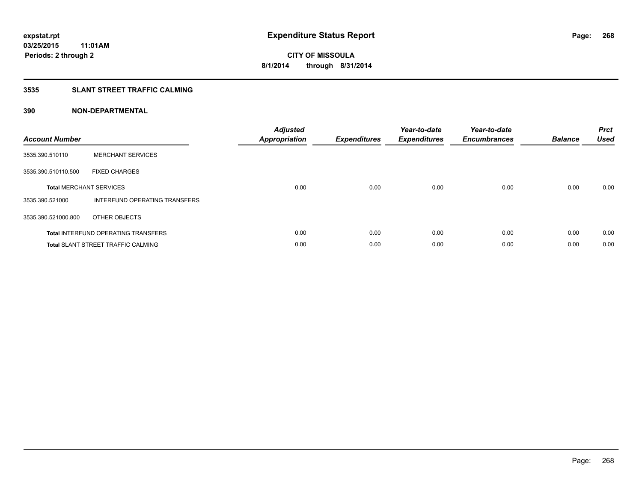### **3535 SLANT STREET TRAFFIC CALMING**

| <b>Account Number</b> |                                            | <b>Adjusted</b><br><b>Appropriation</b> | <b>Expenditures</b> | Year-to-date<br><b>Expenditures</b> | Year-to-date<br><b>Encumbrances</b> | <b>Balance</b> | <b>Prct</b><br><b>Used</b> |
|-----------------------|--------------------------------------------|-----------------------------------------|---------------------|-------------------------------------|-------------------------------------|----------------|----------------------------|
| 3535.390.510110       | <b>MERCHANT SERVICES</b>                   |                                         |                     |                                     |                                     |                |                            |
| 3535.390.510110.500   | <b>FIXED CHARGES</b>                       |                                         |                     |                                     |                                     |                |                            |
|                       | <b>Total MERCHANT SERVICES</b>             | 0.00                                    | 0.00                | 0.00                                | 0.00                                | 0.00           | 0.00                       |
| 3535.390.521000       | INTERFUND OPERATING TRANSFERS              |                                         |                     |                                     |                                     |                |                            |
| 3535.390.521000.800   | OTHER OBJECTS                              |                                         |                     |                                     |                                     |                |                            |
|                       | <b>Total INTERFUND OPERATING TRANSFERS</b> | 0.00                                    | 0.00                | 0.00                                | 0.00                                | 0.00           | 0.00                       |
|                       | <b>Total SLANT STREET TRAFFIC CALMING</b>  | 0.00                                    | 0.00                | 0.00                                | 0.00                                | 0.00           | 0.00                       |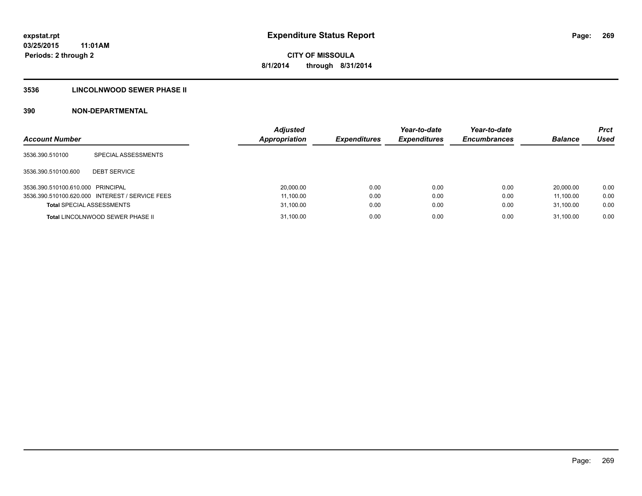### **3536 LINCOLNWOOD SEWER PHASE II**

| <b>Account Number</b>             |                                                 | <b>Adjusted</b><br><b>Appropriation</b> | <b>Expenditures</b> | Year-to-date<br><b>Expenditures</b> | Year-to-date<br><b>Encumbrances</b> | <b>Balance</b> | <b>Prct</b><br>Used |
|-----------------------------------|-------------------------------------------------|-----------------------------------------|---------------------|-------------------------------------|-------------------------------------|----------------|---------------------|
| 3536.390.510100                   | SPECIAL ASSESSMENTS                             |                                         |                     |                                     |                                     |                |                     |
| 3536.390.510100.600               | <b>DEBT SERVICE</b>                             |                                         |                     |                                     |                                     |                |                     |
| 3536.390.510100.610.000 PRINCIPAL |                                                 | 20,000.00                               | 0.00                | 0.00                                | 0.00                                | 20.000.00      | 0.00                |
|                                   | 3536.390.510100.620.000 INTEREST / SERVICE FEES | 11,100.00                               | 0.00                | 0.00                                | 0.00                                | 11.100.00      | 0.00                |
| <b>Total SPECIAL ASSESSMENTS</b>  |                                                 | 31,100.00                               | 0.00                | 0.00                                | 0.00                                | 31.100.00      | 0.00                |
|                                   | <b>Total LINCOLNWOOD SEWER PHASE II</b>         | 31,100.00                               | 0.00                | 0.00                                | 0.00                                | 31.100.00      | 0.00                |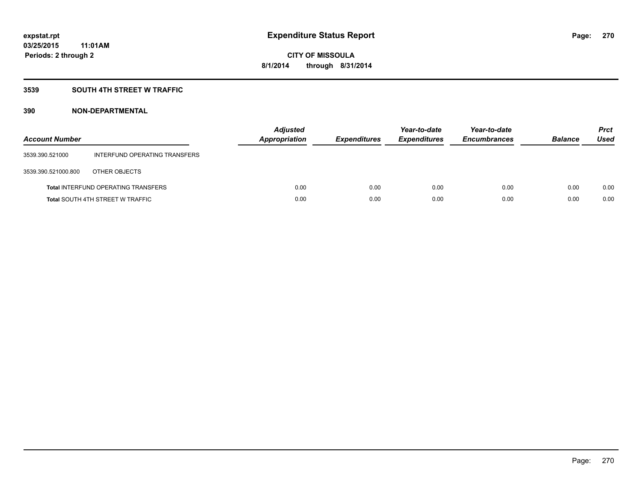### **3539 SOUTH 4TH STREET W TRAFFIC**

| <b>Account Number</b> |                                            | <b>Adjusted</b><br>Appropriation | <b>Expenditures</b> | Year-to-date<br><b>Expenditures</b> | Year-to-date<br><b>Encumbrances</b> | <b>Balance</b> | <b>Prct</b><br>Used |
|-----------------------|--------------------------------------------|----------------------------------|---------------------|-------------------------------------|-------------------------------------|----------------|---------------------|
| 3539.390.521000       | INTERFUND OPERATING TRANSFERS              |                                  |                     |                                     |                                     |                |                     |
| 3539.390.521000.800   | OTHER OBJECTS                              |                                  |                     |                                     |                                     |                |                     |
|                       | <b>Total INTERFUND OPERATING TRANSFERS</b> | 0.00                             | 0.00                | 0.00                                | 0.00                                | 0.00           | 0.00                |
|                       | <b>Total SOUTH 4TH STREET W TRAFFIC</b>    | 0.00                             | 0.00                | 0.00                                | 0.00                                | 0.00           | 0.00                |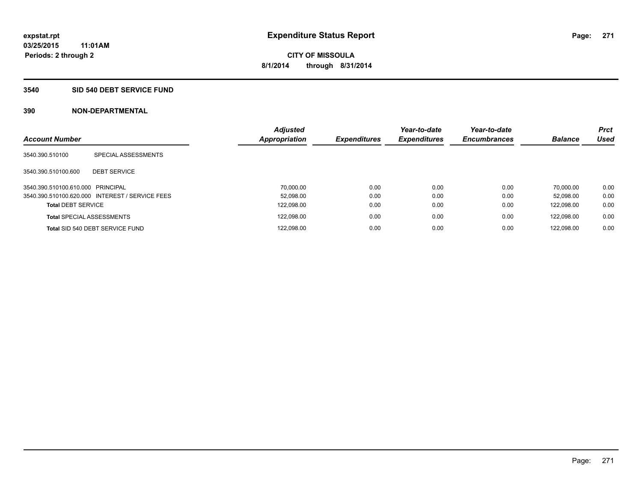### **3540 SID 540 DEBT SERVICE FUND**

| <b>Account Number</b>             |                                                 | <b>Adjusted</b><br>Appropriation | <b>Expenditures</b> | Year-to-date<br><b>Expenditures</b> | Year-to-date<br><b>Encumbrances</b> | <b>Balance</b> | <b>Prct</b><br><b>Used</b> |
|-----------------------------------|-------------------------------------------------|----------------------------------|---------------------|-------------------------------------|-------------------------------------|----------------|----------------------------|
|                                   |                                                 |                                  |                     |                                     |                                     |                |                            |
| 3540.390.510100                   | SPECIAL ASSESSMENTS                             |                                  |                     |                                     |                                     |                |                            |
| 3540.390.510100.600               | <b>DEBT SERVICE</b>                             |                                  |                     |                                     |                                     |                |                            |
| 3540.390.510100.610.000 PRINCIPAL |                                                 | 70.000.00                        | 0.00                | 0.00                                | 0.00                                | 70.000.00      | 0.00                       |
|                                   | 3540.390.510100.620.000 INTEREST / SERVICE FEES | 52.098.00                        | 0.00                | 0.00                                | 0.00                                | 52.098.00      | 0.00                       |
| <b>Total DEBT SERVICE</b>         |                                                 | 122,098.00                       | 0.00                | 0.00                                | 0.00                                | 122.098.00     | 0.00                       |
|                                   | <b>Total SPECIAL ASSESSMENTS</b>                | 122,098.00                       | 0.00                | 0.00                                | 0.00                                | 122.098.00     | 0.00                       |
|                                   | Total SID 540 DEBT SERVICE FUND                 | 122,098.00                       | 0.00                | 0.00                                | 0.00                                | 122.098.00     | 0.00                       |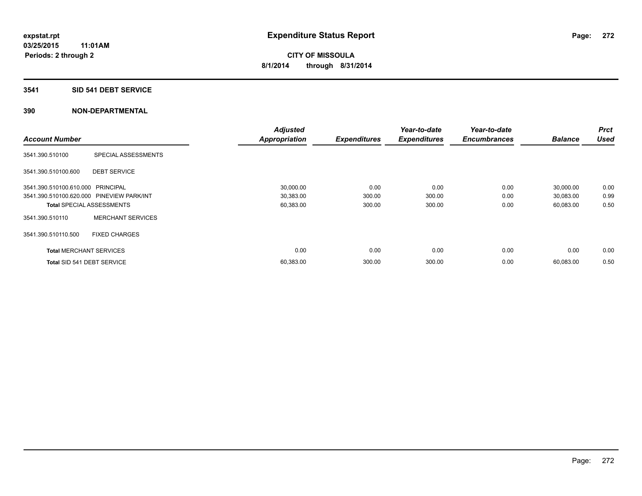### **3541 SID 541 DEBT SERVICE**

|                                           |                                  | <b>Adjusted</b>      |                     | Year-to-date        | Year-to-date        |                | <b>Prct</b> |
|-------------------------------------------|----------------------------------|----------------------|---------------------|---------------------|---------------------|----------------|-------------|
| <b>Account Number</b>                     |                                  | <b>Appropriation</b> | <b>Expenditures</b> | <b>Expenditures</b> | <b>Encumbrances</b> | <b>Balance</b> | <b>Used</b> |
| 3541.390.510100                           | SPECIAL ASSESSMENTS              |                      |                     |                     |                     |                |             |
| 3541.390.510100.600                       | <b>DEBT SERVICE</b>              |                      |                     |                     |                     |                |             |
| 3541.390.510100.610.000 PRINCIPAL         |                                  | 30,000.00            | 0.00                | 0.00                | 0.00                | 30,000.00      | 0.00        |
| 3541.390.510100.620.000 PINEVIEW PARK/INT |                                  | 30,383.00            | 300.00              | 300.00              | 0.00                | 30,083.00      | 0.99        |
|                                           | <b>Total SPECIAL ASSESSMENTS</b> | 60,383.00            | 300.00              | 300.00              | 0.00                | 60,083.00      | 0.50        |
| 3541.390.510110                           | <b>MERCHANT SERVICES</b>         |                      |                     |                     |                     |                |             |
| 3541.390.510110.500                       | <b>FIXED CHARGES</b>             |                      |                     |                     |                     |                |             |
| <b>Total MERCHANT SERVICES</b>            |                                  | 0.00                 | 0.00                | 0.00                | 0.00                | 0.00           | 0.00        |
| Total SID 541 DEBT SERVICE                |                                  | 60,383.00            | 300.00              | 300.00              | 0.00                | 60,083.00      | 0.50        |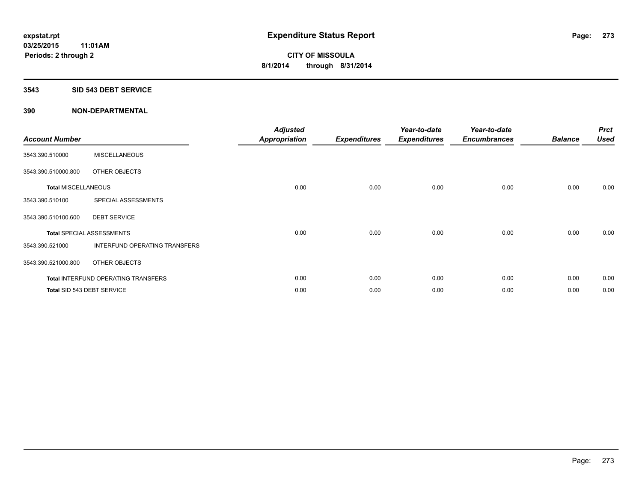#### **3543 SID 543 DEBT SERVICE**

| <b>Account Number</b>      |                                     | <b>Adjusted</b><br><b>Appropriation</b> | <b>Expenditures</b> | Year-to-date<br><b>Expenditures</b> | Year-to-date<br><b>Encumbrances</b> | <b>Balance</b> | <b>Prct</b><br><b>Used</b> |
|----------------------------|-------------------------------------|-----------------------------------------|---------------------|-------------------------------------|-------------------------------------|----------------|----------------------------|
| 3543.390.510000            | <b>MISCELLANEOUS</b>                |                                         |                     |                                     |                                     |                |                            |
| 3543.390.510000.800        | OTHER OBJECTS                       |                                         |                     |                                     |                                     |                |                            |
| <b>Total MISCELLANEOUS</b> |                                     | 0.00                                    | 0.00                | 0.00                                | 0.00                                | 0.00           | 0.00                       |
| 3543.390.510100            | SPECIAL ASSESSMENTS                 |                                         |                     |                                     |                                     |                |                            |
| 3543.390.510100.600        | <b>DEBT SERVICE</b>                 |                                         |                     |                                     |                                     |                |                            |
|                            | <b>Total SPECIAL ASSESSMENTS</b>    | 0.00                                    | 0.00                | 0.00                                | 0.00                                | 0.00           | 0.00                       |
| 3543.390.521000            | INTERFUND OPERATING TRANSFERS       |                                         |                     |                                     |                                     |                |                            |
| 3543.390.521000.800        | OTHER OBJECTS                       |                                         |                     |                                     |                                     |                |                            |
|                            | Total INTERFUND OPERATING TRANSFERS | 0.00                                    | 0.00                | 0.00                                | 0.00                                | 0.00           | 0.00                       |
|                            | Total SID 543 DEBT SERVICE          | 0.00                                    | 0.00                | 0.00                                | 0.00                                | 0.00           | 0.00                       |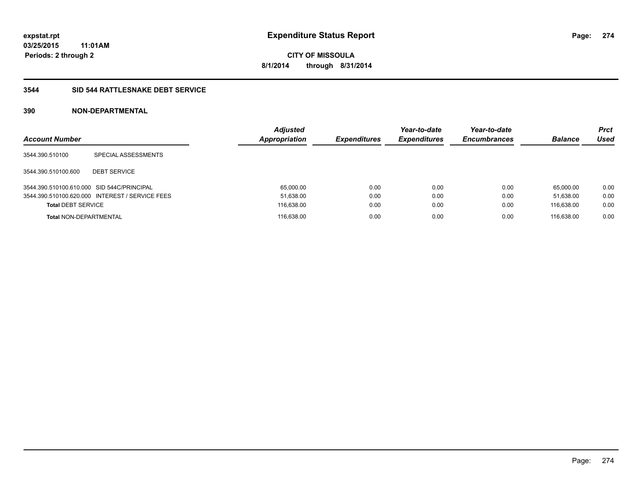### **3544 SID 544 RATTLESNAKE DEBT SERVICE**

| <b>Account Number</b>                      |                                                 | <b>Adjusted</b><br>Appropriation | <b>Expenditures</b> | Year-to-date<br><b>Expenditures</b> | Year-to-date<br><b>Encumbrances</b> | <b>Balance</b> | <b>Prct</b><br>Used |
|--------------------------------------------|-------------------------------------------------|----------------------------------|---------------------|-------------------------------------|-------------------------------------|----------------|---------------------|
| 3544.390.510100                            | SPECIAL ASSESSMENTS                             |                                  |                     |                                     |                                     |                |                     |
| 3544.390.510100.600                        | <b>DEBT SERVICE</b>                             |                                  |                     |                                     |                                     |                |                     |
| 3544.390.510100.610.000 SID 544C/PRINCIPAL |                                                 | 65.000.00                        | 0.00                | 0.00                                | 0.00                                | 65.000.00      | 0.00                |
|                                            | 3544.390.510100.620.000 INTEREST / SERVICE FEES | 51,638.00                        | 0.00                | 0.00                                | 0.00                                | 51.638.00      | 0.00                |
| <b>Total DEBT SERVICE</b>                  |                                                 | 116,638.00                       | 0.00                | 0.00                                | 0.00                                | 116.638.00     | 0.00                |
| <b>Total NON-DEPARTMENTAL</b>              |                                                 | 116.638.00                       | 0.00                | 0.00                                | 0.00                                | 116.638.00     | 0.00                |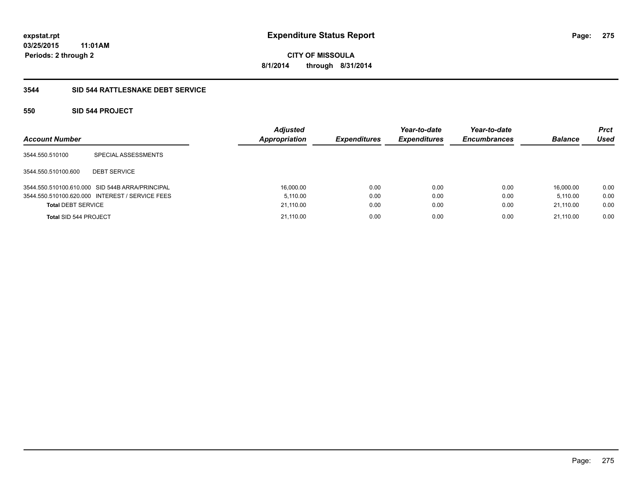**Periods: 2 through 2**

**CITY OF MISSOULA 8/1/2014 through 8/31/2014**

### **3544 SID 544 RATTLESNAKE DEBT SERVICE**

### **550 SID 544 PROJECT**

| <b>Account Number</b>     |                                                 | <b>Adjusted</b><br><b>Appropriation</b> | <b>Expenditures</b> | Year-to-date<br><b>Expenditures</b> | Year-to-date<br><b>Encumbrances</b> | <b>Balance</b> | Prct<br>Used |
|---------------------------|-------------------------------------------------|-----------------------------------------|---------------------|-------------------------------------|-------------------------------------|----------------|--------------|
| 3544.550.510100           | SPECIAL ASSESSMENTS                             |                                         |                     |                                     |                                     |                |              |
| 3544.550.510100.600       | <b>DEBT SERVICE</b>                             |                                         |                     |                                     |                                     |                |              |
|                           | 3544.550.510100.610.000 SID 544B ARRA/PRINCIPAL | 16,000.00                               | 0.00                | 0.00                                | 0.00                                | 16.000.00      | 0.00         |
|                           | 3544.550.510100.620.000 INTEREST / SERVICE FEES | 5.110.00                                | 0.00                | 0.00                                | 0.00                                | 5.110.00       | 0.00         |
| <b>Total DEBT SERVICE</b> |                                                 | 21,110.00                               | 0.00                | 0.00                                | 0.00                                | 21,110.00      | 0.00         |
| Total SID 544 PROJECT     |                                                 | 21.110.00                               | 0.00                | 0.00                                | 0.00                                | 21.110.00      | 0.00         |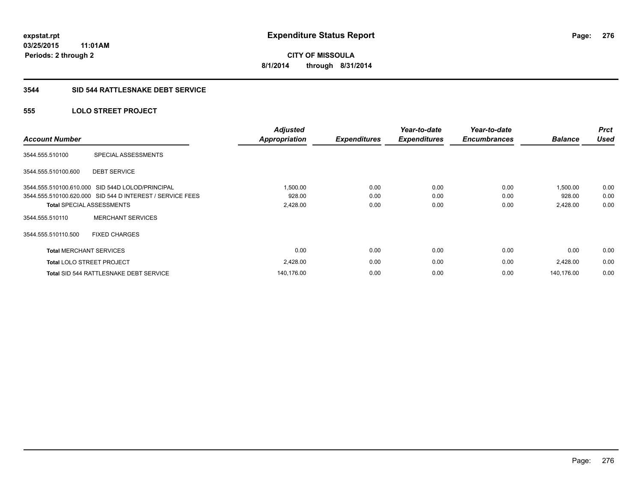### **3544 SID 544 RATTLESNAKE DEBT SERVICE**

### **555 LOLO STREET PROJECT**

| <b>Account Number</b>          |                                                           | <b>Adjusted</b><br><b>Appropriation</b> | <b>Expenditures</b> | Year-to-date<br><b>Expenditures</b> | Year-to-date<br><b>Encumbrances</b> | <b>Balance</b> | <b>Prct</b><br><b>Used</b> |
|--------------------------------|-----------------------------------------------------------|-----------------------------------------|---------------------|-------------------------------------|-------------------------------------|----------------|----------------------------|
| 3544.555.510100                | SPECIAL ASSESSMENTS                                       |                                         |                     |                                     |                                     |                |                            |
| 3544.555.510100.600            | <b>DEBT SERVICE</b>                                       |                                         |                     |                                     |                                     |                |                            |
|                                | 3544.555.510100.610.000 SID 544D LOLOD/PRINCIPAL          | 1,500.00                                | 0.00                | 0.00                                | 0.00                                | 1,500.00       | 0.00                       |
|                                | 3544.555.510100.620.000 SID 544 D INTEREST / SERVICE FEES | 928.00                                  | 0.00                | 0.00                                | 0.00                                | 928.00         | 0.00                       |
|                                | <b>Total SPECIAL ASSESSMENTS</b>                          | 2,428.00                                | 0.00                | 0.00                                | 0.00                                | 2,428.00       | 0.00                       |
| 3544.555.510110                | <b>MERCHANT SERVICES</b>                                  |                                         |                     |                                     |                                     |                |                            |
| 3544.555.510110.500            | <b>FIXED CHARGES</b>                                      |                                         |                     |                                     |                                     |                |                            |
| <b>Total MERCHANT SERVICES</b> |                                                           | 0.00                                    | 0.00                | 0.00                                | 0.00                                | 0.00           | 0.00                       |
|                                | <b>Total LOLO STREET PROJECT</b>                          | 2,428.00                                | 0.00                | 0.00                                | 0.00                                | 2,428.00       | 0.00                       |
|                                | Total SID 544 RATTLESNAKE DEBT SERVICE                    | 140,176.00                              | 0.00                | 0.00                                | 0.00                                | 140.176.00     | 0.00                       |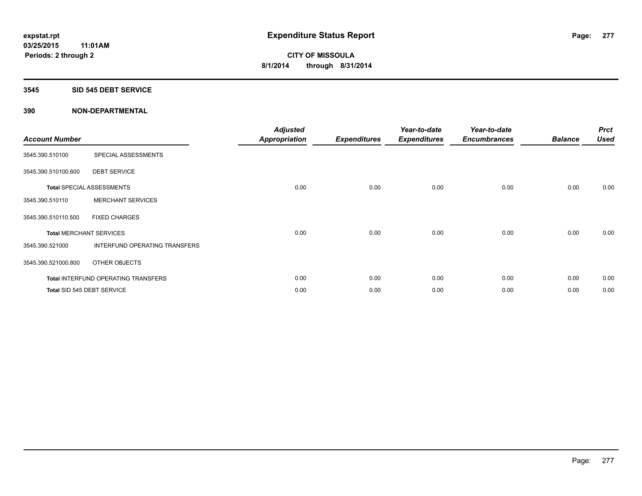### **3545 SID 545 DEBT SERVICE**

| <b>Account Number</b>          |                                            | <b>Adjusted</b><br><b>Appropriation</b> | <b>Expenditures</b> | Year-to-date<br><b>Expenditures</b> | Year-to-date<br><b>Encumbrances</b> | <b>Balance</b> | <b>Prct</b><br><b>Used</b> |
|--------------------------------|--------------------------------------------|-----------------------------------------|---------------------|-------------------------------------|-------------------------------------|----------------|----------------------------|
| 3545.390.510100                | SPECIAL ASSESSMENTS                        |                                         |                     |                                     |                                     |                |                            |
| 3545.390.510100.600            | <b>DEBT SERVICE</b>                        |                                         |                     |                                     |                                     |                |                            |
|                                | <b>Total SPECIAL ASSESSMENTS</b>           | 0.00                                    | 0.00                | 0.00                                | 0.00                                | 0.00           | 0.00                       |
| 3545.390.510110                | <b>MERCHANT SERVICES</b>                   |                                         |                     |                                     |                                     |                |                            |
| 3545.390.510110.500            | <b>FIXED CHARGES</b>                       |                                         |                     |                                     |                                     |                |                            |
| <b>Total MERCHANT SERVICES</b> |                                            | 0.00                                    | 0.00                | 0.00                                | 0.00                                | 0.00           | 0.00                       |
| 3545.390.521000                | INTERFUND OPERATING TRANSFERS              |                                         |                     |                                     |                                     |                |                            |
| 3545.390.521000.800            | OTHER OBJECTS                              |                                         |                     |                                     |                                     |                |                            |
|                                | <b>Total INTERFUND OPERATING TRANSFERS</b> | 0.00                                    | 0.00                | 0.00                                | 0.00                                | 0.00           | 0.00                       |
|                                | Total SID 545 DEBT SERVICE                 | 0.00                                    | 0.00                | 0.00                                | 0.00                                | 0.00           | 0.00                       |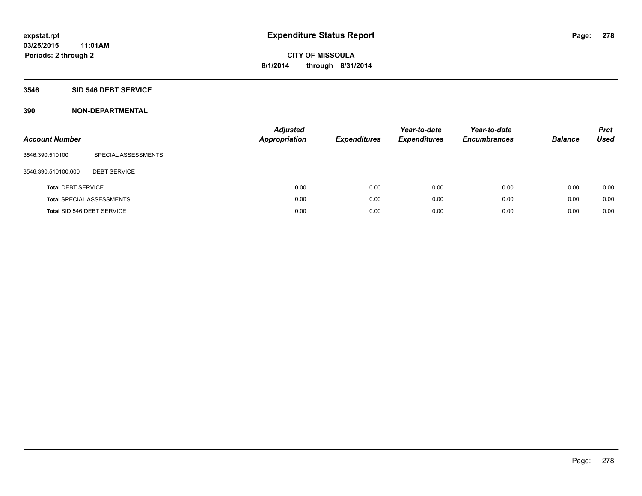#### **3546 SID 546 DEBT SERVICE**

| <b>Account Number</b>     |                                  | <b>Adjusted</b><br><b>Appropriation</b> | <b>Expenditures</b> | Year-to-date<br><b>Expenditures</b> | Year-to-date<br><b>Encumbrances</b> | <b>Balance</b> | <b>Prct</b><br>Used |
|---------------------------|----------------------------------|-----------------------------------------|---------------------|-------------------------------------|-------------------------------------|----------------|---------------------|
| 3546.390.510100           | SPECIAL ASSESSMENTS              |                                         |                     |                                     |                                     |                |                     |
| 3546.390.510100.600       | <b>DEBT SERVICE</b>              |                                         |                     |                                     |                                     |                |                     |
| <b>Total DEBT SERVICE</b> |                                  | 0.00                                    | 0.00                | 0.00                                | 0.00                                | 0.00           | 0.00                |
|                           | <b>Total SPECIAL ASSESSMENTS</b> | 0.00                                    | 0.00                | 0.00                                | 0.00                                | 0.00           | 0.00                |
|                           | Total SID 546 DEBT SERVICE       | 0.00                                    | 0.00                | 0.00                                | 0.00                                | 0.00           | 0.00                |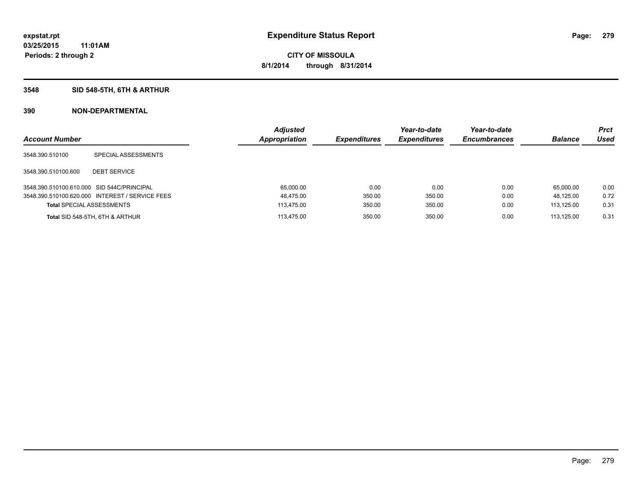### **3548 SID 548-5TH, 6TH & ARTHUR**

| <b>Account Number</b>                      |                                                 | <b>Adjusted</b><br><b>Appropriation</b> | <b>Expenditures</b> | Year-to-date<br><b>Expenditures</b> | Year-to-date<br><b>Encumbrances</b> | <b>Balance</b> | <b>Prct</b><br>Used |
|--------------------------------------------|-------------------------------------------------|-----------------------------------------|---------------------|-------------------------------------|-------------------------------------|----------------|---------------------|
| 3548.390.510100                            | SPECIAL ASSESSMENTS                             |                                         |                     |                                     |                                     |                |                     |
| 3548.390.510100.600                        | <b>DEBT SERVICE</b>                             |                                         |                     |                                     |                                     |                |                     |
| 3548.390.510100.610.000 SID 544C/PRINCIPAL |                                                 | 65.000.00                               | 0.00                | 0.00                                | 0.00                                | 65.000.00      | 0.00                |
|                                            | 3548.390.510100.620.000 INTEREST / SERVICE FEES | 48,475.00                               | 350.00              | 350.00                              | 0.00                                | 48.125.00      | 0.72                |
| <b>Total SPECIAL ASSESSMENTS</b>           |                                                 | 113.475.00                              | 350.00              | 350.00                              | 0.00                                | 113.125.00     | 0.31                |
|                                            | Total SID 548-5TH, 6TH & ARTHUR                 | 113.475.00                              | 350.00              | 350.00                              | 0.00                                | 113.125.00     | 0.31                |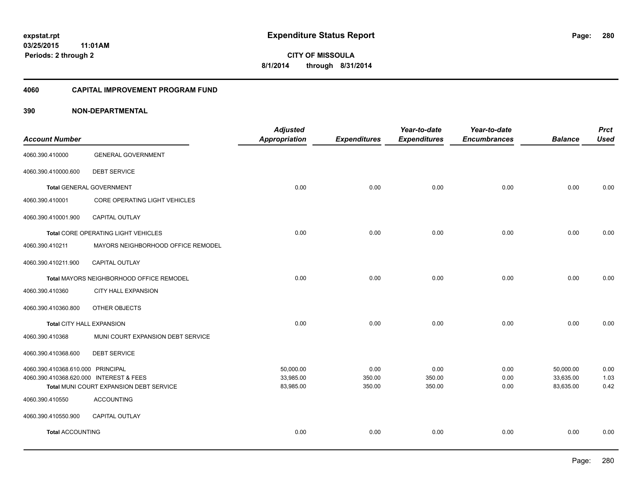#### **4060 CAPITAL IMPROVEMENT PROGRAM FUND**

| <b>Account Number</b>                   |                                          | <b>Adjusted</b><br><b>Appropriation</b> | <b>Expenditures</b> | Year-to-date<br><b>Expenditures</b> | Year-to-date<br><b>Encumbrances</b> | <b>Balance</b> | <b>Prct</b><br><b>Used</b> |
|-----------------------------------------|------------------------------------------|-----------------------------------------|---------------------|-------------------------------------|-------------------------------------|----------------|----------------------------|
|                                         |                                          |                                         |                     |                                     |                                     |                |                            |
| 4060.390.410000                         | <b>GENERAL GOVERNMENT</b>                |                                         |                     |                                     |                                     |                |                            |
| 4060.390.410000.600                     | <b>DEBT SERVICE</b>                      |                                         |                     |                                     |                                     |                |                            |
| <b>Total GENERAL GOVERNMENT</b>         |                                          | 0.00                                    | 0.00                | 0.00                                | 0.00                                | 0.00           | 0.00                       |
| 4060.390.410001                         | CORE OPERATING LIGHT VEHICLES            |                                         |                     |                                     |                                     |                |                            |
| 4060.390.410001.900                     | <b>CAPITAL OUTLAY</b>                    |                                         |                     |                                     |                                     |                |                            |
|                                         | Total CORE OPERATING LIGHT VEHICLES      | 0.00                                    | 0.00                | 0.00                                | 0.00                                | 0.00           | 0.00                       |
| 4060.390.410211                         | MAYORS NEIGHBORHOOD OFFICE REMODEL       |                                         |                     |                                     |                                     |                |                            |
| 4060.390.410211.900                     | CAPITAL OUTLAY                           |                                         |                     |                                     |                                     |                |                            |
|                                         | Total MAYORS NEIGHBORHOOD OFFICE REMODEL | 0.00                                    | 0.00                | 0.00                                | 0.00                                | 0.00           | 0.00                       |
| 4060.390.410360                         | <b>CITY HALL EXPANSION</b>               |                                         |                     |                                     |                                     |                |                            |
| 4060.390.410360.800                     | OTHER OBJECTS                            |                                         |                     |                                     |                                     |                |                            |
| Total CITY HALL EXPANSION               |                                          | 0.00                                    | 0.00                | 0.00                                | 0.00                                | 0.00           | 0.00                       |
| 4060.390.410368                         | MUNI COURT EXPANSION DEBT SERVICE        |                                         |                     |                                     |                                     |                |                            |
| 4060.390.410368.600                     | <b>DEBT SERVICE</b>                      |                                         |                     |                                     |                                     |                |                            |
| 4060.390.410368.610.000 PRINCIPAL       |                                          | 50,000.00                               | 0.00                | 0.00                                | 0.00                                | 50,000.00      | 0.00                       |
| 4060.390.410368.620.000 INTEREST & FEES |                                          | 33,985.00                               | 350.00              | 350.00                              | 0.00                                | 33,635.00      | 1.03                       |
|                                         | Total MUNI COURT EXPANSION DEBT SERVICE  | 83,985.00                               | 350.00              | 350.00                              | 0.00                                | 83,635.00      | 0.42                       |
| 4060.390.410550                         | <b>ACCOUNTING</b>                        |                                         |                     |                                     |                                     |                |                            |
| 4060.390.410550.900                     | <b>CAPITAL OUTLAY</b>                    |                                         |                     |                                     |                                     |                |                            |
| <b>Total ACCOUNTING</b>                 |                                          | 0.00                                    | 0.00                | 0.00                                | 0.00                                | 0.00           | 0.00                       |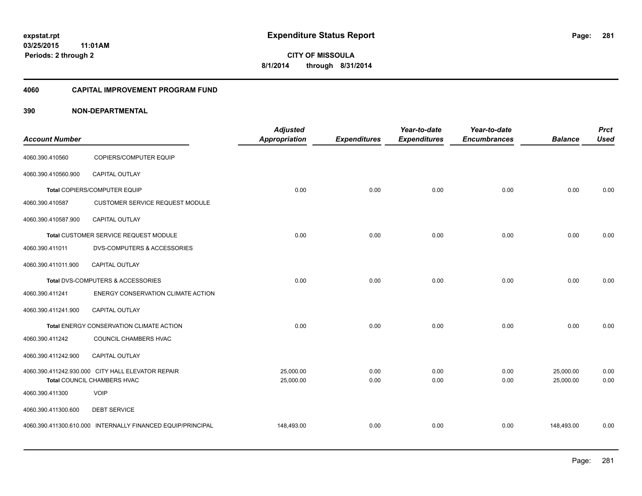### **03/25/2015 11:01AM Periods: 2 through 2**

**281**

**CITY OF MISSOULA 8/1/2014 through 8/31/2014**

#### **4060 CAPITAL IMPROVEMENT PROGRAM FUND**

| <b>Account Number</b> |                                                             | <b>Adjusted</b><br><b>Appropriation</b> | <b>Expenditures</b> | Year-to-date<br><b>Expenditures</b> | Year-to-date<br><b>Encumbrances</b> | <b>Balance</b> | <b>Prct</b><br><b>Used</b> |
|-----------------------|-------------------------------------------------------------|-----------------------------------------|---------------------|-------------------------------------|-------------------------------------|----------------|----------------------------|
| 4060.390.410560       | COPIERS/COMPUTER EQUIP                                      |                                         |                     |                                     |                                     |                |                            |
| 4060.390.410560.900   | <b>CAPITAL OUTLAY</b>                                       |                                         |                     |                                     |                                     |                |                            |
|                       | Total COPIERS/COMPUTER EQUIP                                | 0.00                                    | 0.00                | 0.00                                | 0.00                                | 0.00           | 0.00                       |
| 4060.390.410587       | <b>CUSTOMER SERVICE REQUEST MODULE</b>                      |                                         |                     |                                     |                                     |                |                            |
| 4060.390.410587.900   | CAPITAL OUTLAY                                              |                                         |                     |                                     |                                     |                |                            |
|                       | Total CUSTOMER SERVICE REQUEST MODULE                       | 0.00                                    | 0.00                | 0.00                                | 0.00                                | 0.00           | 0.00                       |
| 4060.390.411011       | <b>DVS-COMPUTERS &amp; ACCESSORIES</b>                      |                                         |                     |                                     |                                     |                |                            |
| 4060.390.411011.900   | <b>CAPITAL OUTLAY</b>                                       |                                         |                     |                                     |                                     |                |                            |
|                       | Total DVS-COMPUTERS & ACCESSORIES                           | 0.00                                    | 0.00                | 0.00                                | 0.00                                | 0.00           | 0.00                       |
| 4060.390.411241       | ENERGY CONSERVATION CLIMATE ACTION                          |                                         |                     |                                     |                                     |                |                            |
| 4060.390.411241.900   | CAPITAL OUTLAY                                              |                                         |                     |                                     |                                     |                |                            |
|                       | Total ENERGY CONSERVATION CLIMATE ACTION                    | 0.00                                    | 0.00                | 0.00                                | 0.00                                | 0.00           | 0.00                       |
| 4060.390.411242       | COUNCIL CHAMBERS HVAC                                       |                                         |                     |                                     |                                     |                |                            |
| 4060.390.411242.900   | <b>CAPITAL OUTLAY</b>                                       |                                         |                     |                                     |                                     |                |                            |
|                       | 4060.390.411242.930.000 CITY HALL ELEVATOR REPAIR           | 25,000.00                               | 0.00                | 0.00                                | 0.00                                | 25,000.00      | 0.00                       |
|                       | Total COUNCIL CHAMBERS HVAC                                 | 25,000.00                               | 0.00                | 0.00                                | 0.00                                | 25,000.00      | 0.00                       |
| 4060.390.411300       | <b>VOIP</b>                                                 |                                         |                     |                                     |                                     |                |                            |
| 4060.390.411300.600   | <b>DEBT SERVICE</b>                                         |                                         |                     |                                     |                                     |                |                            |
|                       | 4060.390.411300.610.000 INTERNALLY FINANCED EQUIP/PRINCIPAL | 148,493.00                              | 0.00                | 0.00                                | 0.00                                | 148,493.00     | 0.00                       |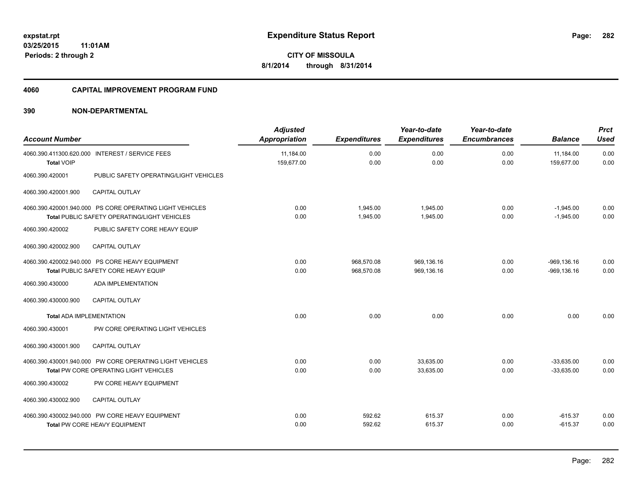#### **4060 CAPITAL IMPROVEMENT PROGRAM FUND**

| <b>Account Number</b>           |                                                                                                          | <b>Adjusted</b><br><b>Appropriation</b> | <b>Expenditures</b>      | Year-to-date<br><b>Expenditures</b> | Year-to-date<br><b>Encumbrances</b> | <b>Balance</b>                   | <b>Prct</b><br><b>Used</b> |
|---------------------------------|----------------------------------------------------------------------------------------------------------|-----------------------------------------|--------------------------|-------------------------------------|-------------------------------------|----------------------------------|----------------------------|
| <b>Total VOIP</b>               | 4060.390.411300.620.000 INTEREST / SERVICE FEES                                                          | 11,184.00<br>159,677.00                 | 0.00<br>0.00             | 0.00<br>0.00                        | 0.00<br>0.00                        | 11,184.00<br>159,677.00          | 0.00<br>0.00               |
| 4060.390.420001                 | PUBLIC SAFETY OPERATING/LIGHT VEHICLES                                                                   |                                         |                          |                                     |                                     |                                  |                            |
| 4060.390.420001.900             | <b>CAPITAL OUTLAY</b>                                                                                    |                                         |                          |                                     |                                     |                                  |                            |
|                                 | 4060.390.420001.940.000 PS CORE OPERATING LIGHT VEHICLES<br>Total PUBLIC SAFETY OPERATING/LIGHT VEHICLES | 0.00<br>0.00                            | 1.945.00<br>1,945.00     | 1.945.00<br>1,945.00                | 0.00<br>0.00                        | $-1,945.00$<br>$-1,945.00$       | 0.00<br>0.00               |
| 4060.390.420002                 | PUBLIC SAFETY CORE HEAVY EQUIP                                                                           |                                         |                          |                                     |                                     |                                  |                            |
| 4060.390.420002.900             | <b>CAPITAL OUTLAY</b>                                                                                    |                                         |                          |                                     |                                     |                                  |                            |
|                                 | 4060.390.420002.940.000 PS CORE HEAVY EQUIPMENT<br>Total PUBLIC SAFETY CORE HEAVY EQUIP                  | 0.00<br>0.00                            | 968,570.08<br>968,570.08 | 969,136.16<br>969,136.16            | 0.00<br>0.00                        | $-969, 136.16$<br>$-969, 136.16$ | 0.00<br>0.00               |
| 4060.390.430000                 | ADA IMPLEMENTATION                                                                                       |                                         |                          |                                     |                                     |                                  |                            |
| 4060.390.430000.900             | <b>CAPITAL OUTLAY</b>                                                                                    |                                         |                          |                                     |                                     |                                  |                            |
| <b>Total ADA IMPLEMENTATION</b> |                                                                                                          | 0.00                                    | 0.00                     | 0.00                                | 0.00                                | 0.00                             | 0.00                       |
| 4060.390.430001                 | PW CORE OPERATING LIGHT VEHICLES                                                                         |                                         |                          |                                     |                                     |                                  |                            |
| 4060.390.430001.900             | CAPITAL OUTLAY                                                                                           |                                         |                          |                                     |                                     |                                  |                            |
|                                 | 4060.390.430001.940.000 PW CORE OPERATING LIGHT VEHICLES<br>Total PW CORE OPERATING LIGHT VEHICLES       | 0.00<br>0.00                            | 0.00<br>0.00             | 33.635.00<br>33,635.00              | 0.00<br>0.00                        | $-33.635.00$<br>$-33,635.00$     | 0.00<br>0.00               |
| 4060.390.430002                 | PW CORE HEAVY EQUIPMENT                                                                                  |                                         |                          |                                     |                                     |                                  |                            |
| 4060.390.430002.900             | <b>CAPITAL OUTLAY</b>                                                                                    |                                         |                          |                                     |                                     |                                  |                            |
|                                 | 4060.390.430002.940.000 PW CORE HEAVY EQUIPMENT<br><b>Total PW CORE HEAVY EQUIPMENT</b>                  | 0.00<br>0.00                            | 592.62<br>592.62         | 615.37<br>615.37                    | 0.00<br>0.00                        | $-615.37$<br>$-615.37$           | 0.00<br>0.00               |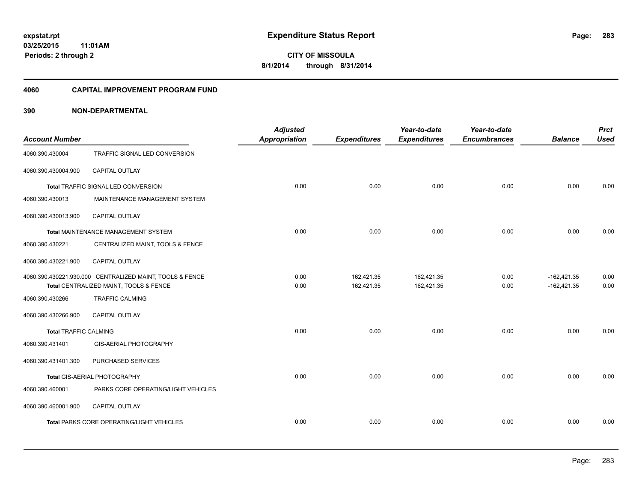### **03/25/2015 11:01AM Periods: 2 through 2**

**283**

**CITY OF MISSOULA 8/1/2014 through 8/31/2014**

#### **4060 CAPITAL IMPROVEMENT PROGRAM FUND**

|                              |                                                          | <b>Adjusted</b>      |                     | Year-to-date        | Year-to-date        |                | <b>Prct</b> |
|------------------------------|----------------------------------------------------------|----------------------|---------------------|---------------------|---------------------|----------------|-------------|
| <b>Account Number</b>        |                                                          | <b>Appropriation</b> | <b>Expenditures</b> | <b>Expenditures</b> | <b>Encumbrances</b> | <b>Balance</b> | <b>Used</b> |
| 4060.390.430004              | TRAFFIC SIGNAL LED CONVERSION                            |                      |                     |                     |                     |                |             |
| 4060.390.430004.900          | CAPITAL OUTLAY                                           |                      |                     |                     |                     |                |             |
|                              | Total TRAFFIC SIGNAL LED CONVERSION                      | 0.00                 | 0.00                | 0.00                | 0.00                | 0.00           | 0.00        |
| 4060.390.430013              | MAINTENANCE MANAGEMENT SYSTEM                            |                      |                     |                     |                     |                |             |
| 4060.390.430013.900          | <b>CAPITAL OUTLAY</b>                                    |                      |                     |                     |                     |                |             |
|                              | Total MAINTENANCE MANAGEMENT SYSTEM                      | 0.00                 | 0.00                | 0.00                | 0.00                | 0.00           | 0.00        |
| 4060.390.430221              | CENTRALIZED MAINT, TOOLS & FENCE                         |                      |                     |                     |                     |                |             |
| 4060.390.430221.900          | CAPITAL OUTLAY                                           |                      |                     |                     |                     |                |             |
|                              | 4060.390.430221.930.000 CENTRALIZED MAINT, TOOLS & FENCE | 0.00                 | 162,421.35          | 162,421.35          | 0.00                | $-162,421.35$  | 0.00        |
|                              | Total CENTRALIZED MAINT, TOOLS & FENCE                   | 0.00                 | 162,421.35          | 162,421.35          | 0.00                | $-162,421.35$  | 0.00        |
| 4060.390.430266              | <b>TRAFFIC CALMING</b>                                   |                      |                     |                     |                     |                |             |
| 4060.390.430266.900          | <b>CAPITAL OUTLAY</b>                                    |                      |                     |                     |                     |                |             |
| <b>Total TRAFFIC CALMING</b> |                                                          | 0.00                 | 0.00                | 0.00                | 0.00                | 0.00           | 0.00        |
| 4060.390.431401              | GIS-AERIAL PHOTOGRAPHY                                   |                      |                     |                     |                     |                |             |
| 4060.390.431401.300          | PURCHASED SERVICES                                       |                      |                     |                     |                     |                |             |
|                              | Total GIS-AERIAL PHOTOGRAPHY                             | 0.00                 | 0.00                | 0.00                | 0.00                | 0.00           | 0.00        |
| 4060.390.460001              | PARKS CORE OPERATING/LIGHT VEHICLES                      |                      |                     |                     |                     |                |             |
| 4060.390.460001.900          | <b>CAPITAL OUTLAY</b>                                    |                      |                     |                     |                     |                |             |
|                              | <b>Total PARKS CORE OPERATING/LIGHT VEHICLES</b>         | 0.00                 | 0.00                | 0.00                | 0.00                | 0.00           | 0.00        |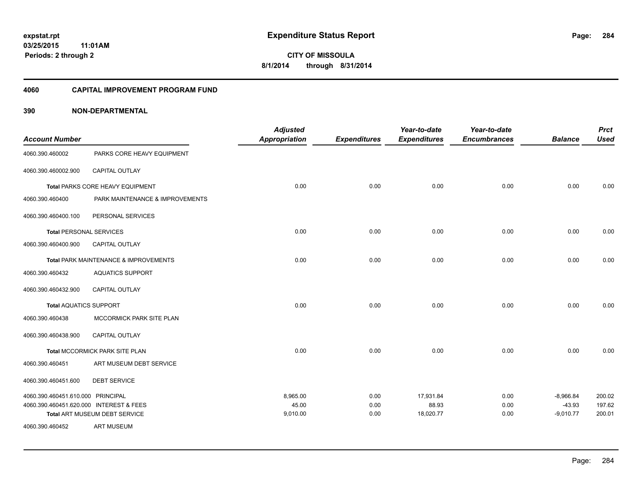### **03/25/2015 11:01AM Periods: 2 through 2**

**284**

**CITY OF MISSOULA 8/1/2014 through 8/31/2014**

#### **4060 CAPITAL IMPROVEMENT PROGRAM FUND**

|                                         |                                       | <b>Adjusted</b>      |                     | Year-to-date        | Year-to-date        |                         | <b>Prct</b>      |
|-----------------------------------------|---------------------------------------|----------------------|---------------------|---------------------|---------------------|-------------------------|------------------|
| <b>Account Number</b>                   |                                       | <b>Appropriation</b> | <b>Expenditures</b> | <b>Expenditures</b> | <b>Encumbrances</b> | <b>Balance</b>          | <b>Used</b>      |
| 4060.390.460002                         | PARKS CORE HEAVY EQUIPMENT            |                      |                     |                     |                     |                         |                  |
| 4060.390.460002.900                     | CAPITAL OUTLAY                        |                      |                     |                     |                     |                         |                  |
|                                         | Total PARKS CORE HEAVY EQUIPMENT      | 0.00                 | 0.00                | 0.00                | 0.00                | 0.00                    | 0.00             |
| 4060.390.460400                         | PARK MAINTENANCE & IMPROVEMENTS       |                      |                     |                     |                     |                         |                  |
| 4060.390.460400.100                     | PERSONAL SERVICES                     |                      |                     |                     |                     |                         |                  |
| <b>Total PERSONAL SERVICES</b>          |                                       | 0.00                 | 0.00                | 0.00                | 0.00                | 0.00                    | 0.00             |
| 4060.390.460400.900                     | <b>CAPITAL OUTLAY</b>                 |                      |                     |                     |                     |                         |                  |
|                                         | Total PARK MAINTENANCE & IMPROVEMENTS | 0.00                 | 0.00                | 0.00                | 0.00                | 0.00                    | 0.00             |
| 4060.390.460432                         | <b>AQUATICS SUPPORT</b>               |                      |                     |                     |                     |                         |                  |
| 4060.390.460432.900                     | CAPITAL OUTLAY                        |                      |                     |                     |                     |                         |                  |
| <b>Total AQUATICS SUPPORT</b>           |                                       | 0.00                 | 0.00                | 0.00                | 0.00                | 0.00                    | 0.00             |
| 4060.390.460438                         | MCCORMICK PARK SITE PLAN              |                      |                     |                     |                     |                         |                  |
| 4060.390.460438.900                     | CAPITAL OUTLAY                        |                      |                     |                     |                     |                         |                  |
|                                         | Total MCCORMICK PARK SITE PLAN        | 0.00                 | 0.00                | 0.00                | 0.00                | 0.00                    | 0.00             |
| 4060.390.460451                         | ART MUSEUM DEBT SERVICE               |                      |                     |                     |                     |                         |                  |
| 4060.390.460451.600                     | <b>DEBT SERVICE</b>                   |                      |                     |                     |                     |                         |                  |
| 4060.390.460451.610.000 PRINCIPAL       |                                       | 8.965.00             | 0.00                | 17,931.84           | 0.00                | $-8,966.84$             | 200.02           |
| 4060.390.460451.620.000 INTEREST & FEES | Total ART MUSEUM DEBT SERVICE         | 45.00<br>9,010.00    | 0.00<br>0.00        | 88.93<br>18,020.77  | 0.00<br>0.00        | $-43.93$<br>$-9,010.77$ | 197.62<br>200.01 |
| 4060.390.460452                         | <b>ART MUSEUM</b>                     |                      |                     |                     |                     |                         |                  |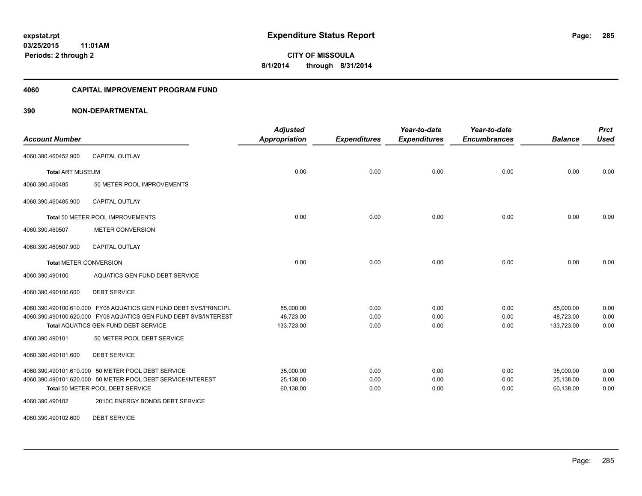#### **4060 CAPITAL IMPROVEMENT PROGRAM FUND**

### **390 NON-DEPARTMENTAL**

|                               |                                                                  | <b>Adjusted</b>      |                     | Year-to-date        | Year-to-date        |                | <b>Prct</b> |
|-------------------------------|------------------------------------------------------------------|----------------------|---------------------|---------------------|---------------------|----------------|-------------|
| <b>Account Number</b>         |                                                                  | <b>Appropriation</b> | <b>Expenditures</b> | <b>Expenditures</b> | <b>Encumbrances</b> | <b>Balance</b> | <b>Used</b> |
| 4060.390.460452.900           | <b>CAPITAL OUTLAY</b>                                            |                      |                     |                     |                     |                |             |
| <b>Total ART MUSEUM</b>       |                                                                  | 0.00                 | 0.00                | 0.00                | 0.00                | 0.00           | 0.00        |
| 4060.390.460485               | 50 METER POOL IMPROVEMENTS                                       |                      |                     |                     |                     |                |             |
| 4060.390.460485.900           | <b>CAPITAL OUTLAY</b>                                            |                      |                     |                     |                     |                |             |
|                               | Total 50 METER POOL IMPROVEMENTS                                 | 0.00                 | 0.00                | 0.00                | 0.00                | 0.00           | 0.00        |
| 4060.390.460507               | <b>METER CONVERSION</b>                                          |                      |                     |                     |                     |                |             |
| 4060.390.460507.900           | <b>CAPITAL OUTLAY</b>                                            |                      |                     |                     |                     |                |             |
| <b>Total METER CONVERSION</b> |                                                                  | 0.00                 | 0.00                | 0.00                | 0.00                | 0.00           | 0.00        |
| 4060.390.490100               | AQUATICS GEN FUND DEBT SERVICE                                   |                      |                     |                     |                     |                |             |
| 4060.390.490100.600           | <b>DEBT SERVICE</b>                                              |                      |                     |                     |                     |                |             |
|                               | 4060.390.490100.610.000 FY08 AQUATICS GEN FUND DEBT SVS/PRINCIPL | 85,000.00            | 0.00                | 0.00                | 0.00                | 85,000.00      | 0.00        |
|                               | 4060.390.490100.620.000 FY08 AQUATICS GEN FUND DEBT SVS/INTEREST | 48,723.00            | 0.00                | 0.00                | 0.00                | 48,723.00      | 0.00        |
|                               | <b>Total AQUATICS GEN FUND DEBT SERVICE</b>                      | 133,723.00           | 0.00                | 0.00                | 0.00                | 133,723.00     | 0.00        |
| 4060.390.490101               | 50 METER POOL DEBT SERVICE                                       |                      |                     |                     |                     |                |             |
| 4060.390.490101.600           | <b>DEBT SERVICE</b>                                              |                      |                     |                     |                     |                |             |
|                               | 4060.390.490101.610.000 50 METER POOL DEBT SERVICE               | 35.000.00            | 0.00                | 0.00                | 0.00                | 35.000.00      | 0.00        |
|                               | 4060.390.490101.620.000 50 METER POOL DEBT SERVICE/INTEREST      | 25,138.00            | 0.00                | 0.00                | 0.00                | 25,138.00      | 0.00        |
|                               | Total 50 METER POOL DEBT SERVICE                                 | 60,138.00            | 0.00                | 0.00                | 0.00                | 60,138.00      | 0.00        |
| 4060.390.490102               | 2010C ENERGY BONDS DEBT SERVICE                                  |                      |                     |                     |                     |                |             |

4060.390.490102.600 DEBT SERVICE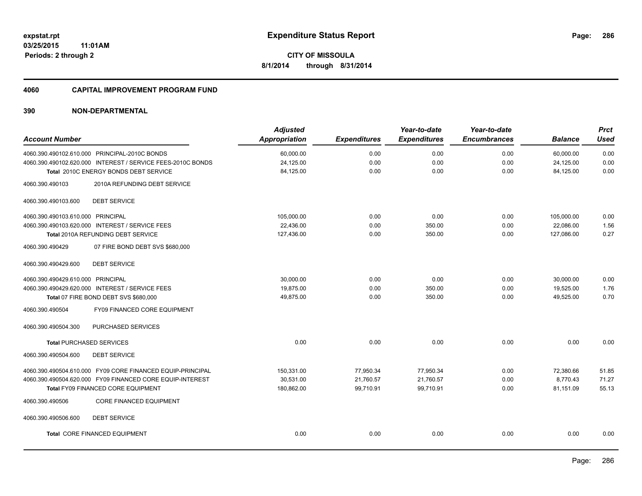#### **4060 CAPITAL IMPROVEMENT PROGRAM FUND**

| <b>Account Number</b>                                       | <b>Adjusted</b>      |                     | Year-to-date        | Year-to-date<br><b>Encumbrances</b> |                | <b>Prct</b><br><b>Used</b> |
|-------------------------------------------------------------|----------------------|---------------------|---------------------|-------------------------------------|----------------|----------------------------|
|                                                             | <b>Appropriation</b> | <b>Expenditures</b> | <b>Expenditures</b> |                                     | <b>Balance</b> |                            |
| 4060.390.490102.610.000 PRINCIPAL-2010C BONDS               | 60,000.00            | 0.00                | 0.00                | 0.00                                | 60,000.00      | 0.00                       |
| 4060.390.490102.620.000 INTEREST / SERVICE FEES-2010C BONDS | 24,125.00            | 0.00                | 0.00                | 0.00                                | 24,125.00      | 0.00                       |
| Total 2010C ENERGY BONDS DEBT SERVICE                       | 84,125.00            | 0.00                | 0.00                | 0.00                                | 84,125.00      | 0.00                       |
| 2010A REFUNDING DEBT SERVICE<br>4060.390.490103             |                      |                     |                     |                                     |                |                            |
| <b>DEBT SERVICE</b><br>4060.390.490103.600                  |                      |                     |                     |                                     |                |                            |
| 4060.390.490103.610.000 PRINCIPAL                           | 105,000.00           | 0.00                | 0.00                | 0.00                                | 105,000.00     | 0.00                       |
| 4060.390.490103.620.000 INTEREST / SERVICE FEES             | 22,436.00            | 0.00                | 350.00              | 0.00                                | 22,086.00      | 1.56                       |
| Total 2010A REFUNDING DEBT SERVICE                          | 127,436.00           | 0.00                | 350.00              | 0.00                                | 127,086.00     | 0.27                       |
| 07 FIRE BOND DEBT SVS \$680,000<br>4060.390.490429          |                      |                     |                     |                                     |                |                            |
| <b>DEBT SERVICE</b><br>4060.390.490429.600                  |                      |                     |                     |                                     |                |                            |
| 4060.390.490429.610.000 PRINCIPAL                           | 30,000.00            | 0.00                | 0.00                | 0.00                                | 30,000.00      | 0.00                       |
| 4060.390.490429.620.000 INTEREST / SERVICE FEES             | 19,875.00            | 0.00                | 350.00              | 0.00                                | 19,525.00      | 1.76                       |
| Total 07 FIRE BOND DEBT SVS \$680,000                       | 49,875.00            | 0.00                | 350.00              | 0.00                                | 49,525.00      | 0.70                       |
| 4060.390.490504<br>FY09 FINANCED CORE EQUIPMENT             |                      |                     |                     |                                     |                |                            |
| PURCHASED SERVICES<br>4060.390.490504.300                   |                      |                     |                     |                                     |                |                            |
| <b>Total PURCHASED SERVICES</b>                             | 0.00                 | 0.00                | 0.00                | 0.00                                | 0.00           | 0.00                       |
| <b>DEBT SERVICE</b><br>4060.390.490504.600                  |                      |                     |                     |                                     |                |                            |
| 4060.390.490504.610.000 FY09 CORE FINANCED EQUIP-PRINCIPAL  | 150,331.00           | 77,950.34           | 77,950.34           | 0.00                                | 72,380.66      | 51.85                      |
| 4060.390.490504.620.000 FY09 FINANCED CORE EQUIP-INTEREST   | 30,531.00            | 21,760.57           | 21,760.57           | 0.00                                | 8,770.43       | 71.27                      |
| Total FY09 FINANCED CORE EQUIPMENT                          | 180,862.00           | 99,710.91           | 99,710.91           | 0.00                                | 81,151.09      | 55.13                      |
| <b>CORE FINANCED EQUIPMENT</b><br>4060.390.490506           |                      |                     |                     |                                     |                |                            |
| <b>DEBT SERVICE</b><br>4060.390.490506.600                  |                      |                     |                     |                                     |                |                            |
| Total CORE FINANCED EQUIPMENT                               | 0.00                 | 0.00                | 0.00                | 0.00                                | 0.00           | 0.00                       |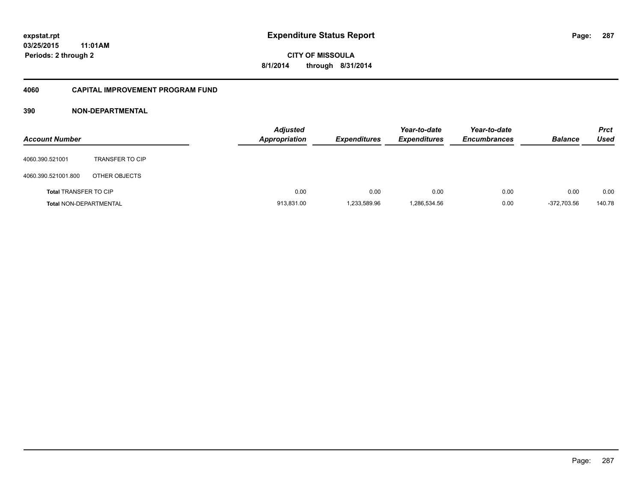### **03/25/2015 11:01AM Periods: 2 through 2**

**CITY OF MISSOULA 8/1/2014 through 8/31/2014**

### **4060 CAPITAL IMPROVEMENT PROGRAM FUND**

| <b>Account Number</b>         |                        | <b>Adjusted</b><br><b>Appropriation</b> | <b>Expenditures</b> | Year-to-date<br><b>Expenditures</b> | Year-to-date<br><b>Encumbrances</b> | <b>Balance</b> | <b>Prct</b><br><b>Used</b> |
|-------------------------------|------------------------|-----------------------------------------|---------------------|-------------------------------------|-------------------------------------|----------------|----------------------------|
| 4060.390.521001               | <b>TRANSFER TO CIP</b> |                                         |                     |                                     |                                     |                |                            |
| 4060.390.521001.800           | OTHER OBJECTS          |                                         |                     |                                     |                                     |                |                            |
| <b>Total TRANSFER TO CIP</b>  |                        | 0.00                                    | 0.00                | 0.00                                | 0.00                                | 0.00           | 0.00                       |
| <b>Total NON-DEPARTMENTAL</b> |                        | 913,831.00                              | 1,233,589.96        | 1,286,534.56                        | 0.00                                | $-372,703.56$  | 140.78                     |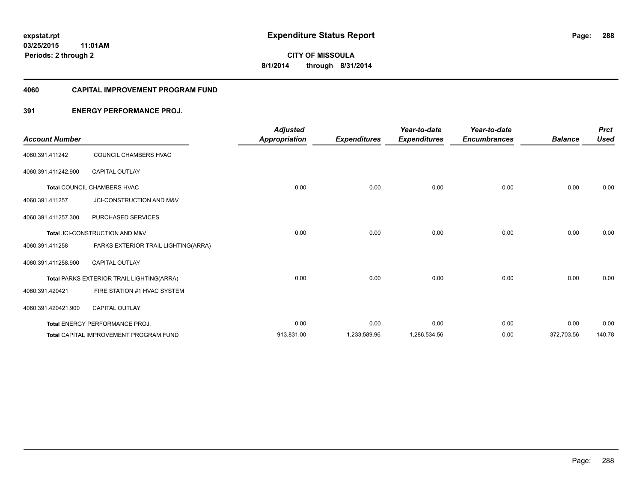#### **4060 CAPITAL IMPROVEMENT PROGRAM FUND**

### **391 ENERGY PERFORMANCE PROJ.**

| <b>Account Number</b> |                                               | <b>Adjusted</b><br><b>Appropriation</b> | <b>Expenditures</b> | Year-to-date<br><b>Expenditures</b> | Year-to-date<br><b>Encumbrances</b> | <b>Balance</b> | <b>Prct</b><br><b>Used</b> |
|-----------------------|-----------------------------------------------|-----------------------------------------|---------------------|-------------------------------------|-------------------------------------|----------------|----------------------------|
| 4060.391.411242       | COUNCIL CHAMBERS HVAC                         |                                         |                     |                                     |                                     |                |                            |
| 4060.391.411242.900   | <b>CAPITAL OUTLAY</b>                         |                                         |                     |                                     |                                     |                |                            |
|                       | <b>Total COUNCIL CHAMBERS HVAC</b>            | 0.00                                    | 0.00                | 0.00                                | 0.00                                | 0.00           | 0.00                       |
| 4060.391.411257       | JCI-CONSTRUCTION AND M&V                      |                                         |                     |                                     |                                     |                |                            |
| 4060.391.411257.300   | PURCHASED SERVICES                            |                                         |                     |                                     |                                     |                |                            |
|                       | Total JCI-CONSTRUCTION AND M&V                | 0.00                                    | 0.00                | 0.00                                | 0.00                                | 0.00           | 0.00                       |
| 4060.391.411258       | PARKS EXTERIOR TRAIL LIGHTING(ARRA)           |                                         |                     |                                     |                                     |                |                            |
| 4060.391.411258.900   | <b>CAPITAL OUTLAY</b>                         |                                         |                     |                                     |                                     |                |                            |
|                       | Total PARKS EXTERIOR TRAIL LIGHTING(ARRA)     | 0.00                                    | 0.00                | 0.00                                | 0.00                                | 0.00           | 0.00                       |
| 4060.391.420421       | FIRE STATION #1 HVAC SYSTEM                   |                                         |                     |                                     |                                     |                |                            |
| 4060.391.420421.900   | <b>CAPITAL OUTLAY</b>                         |                                         |                     |                                     |                                     |                |                            |
|                       | Total ENERGY PERFORMANCE PROJ.                | 0.00                                    | 0.00                | 0.00                                | 0.00                                | 0.00           | 0.00                       |
|                       | <b>Total CAPITAL IMPROVEMENT PROGRAM FUND</b> | 913,831.00                              | 1,233,589.96        | 1,286,534.56                        | 0.00                                | $-372,703.56$  | 140.78                     |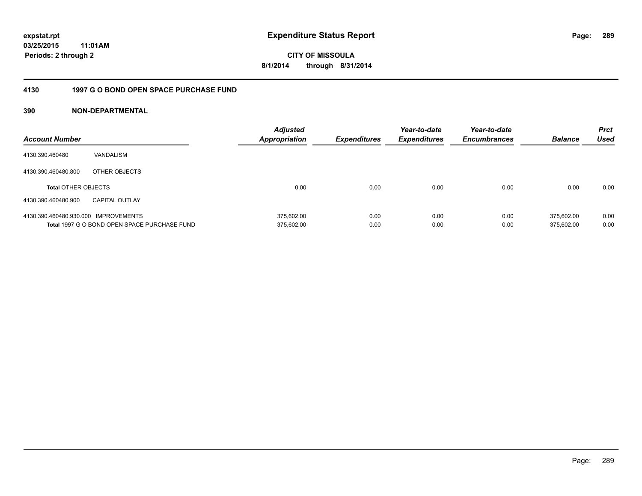**CITY OF MISSOULA 8/1/2014 through 8/31/2014**

#### **4130 1997 G O BOND OPEN SPACE PURCHASE FUND**

| <b>Account Number</b>                |                                              | <b>Adjusted</b><br><b>Appropriation</b> | <b>Expenditures</b> | Year-to-date<br><b>Expenditures</b> | Year-to-date<br><b>Encumbrances</b> | <b>Balance</b> | <b>Prct</b><br>Used |
|--------------------------------------|----------------------------------------------|-----------------------------------------|---------------------|-------------------------------------|-------------------------------------|----------------|---------------------|
| 4130.390.460480                      | VANDALISM                                    |                                         |                     |                                     |                                     |                |                     |
| 4130.390.460480.800                  | OTHER OBJECTS                                |                                         |                     |                                     |                                     |                |                     |
| <b>Total OTHER OBJECTS</b>           |                                              | 0.00                                    | 0.00                | 0.00                                | 0.00                                | 0.00           | 0.00                |
| 4130.390.460480.900                  | <b>CAPITAL OUTLAY</b>                        |                                         |                     |                                     |                                     |                |                     |
| 4130.390.460480.930.000 IMPROVEMENTS |                                              | 375.602.00                              | 0.00                | 0.00                                | 0.00                                | 375.602.00     | 0.00                |
|                                      | Total 1997 G O BOND OPEN SPACE PURCHASE FUND | 375,602.00                              | 0.00                | 0.00                                | 0.00                                | 375.602.00     | 0.00                |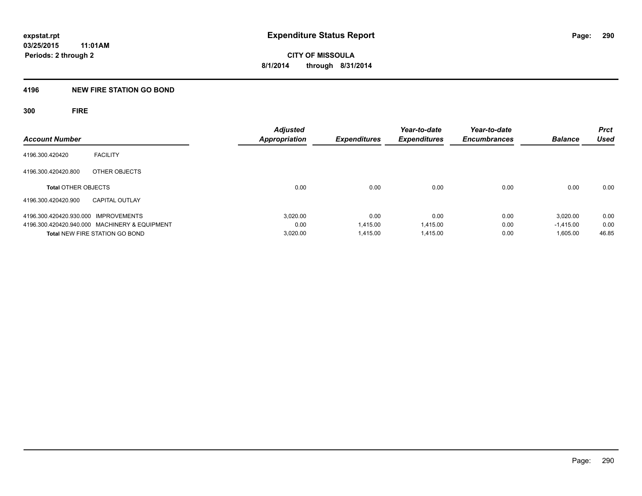#### **4196 NEW FIRE STATION GO BOND**

**300 FIRE**

| <b>Account Number</b>                         | <b>Adjusted</b><br><b>Appropriation</b> | Expenditures | Year-to-date<br><b>Expenditures</b> | Year-to-date<br><b>Encumbrances</b> | <b>Balance</b> | <b>Prct</b><br>Used |
|-----------------------------------------------|-----------------------------------------|--------------|-------------------------------------|-------------------------------------|----------------|---------------------|
| <b>FACILITY</b><br>4196.300.420420            |                                         |              |                                     |                                     |                |                     |
|                                               |                                         |              |                                     |                                     |                |                     |
| 4196.300.420420.800<br>OTHER OBJECTS          |                                         |              |                                     |                                     |                |                     |
| <b>Total OTHER OBJECTS</b>                    | 0.00                                    | 0.00         | 0.00                                | 0.00                                | 0.00           | 0.00                |
| 4196.300.420420.900<br><b>CAPITAL OUTLAY</b>  |                                         |              |                                     |                                     |                |                     |
| 4196.300.420420.930.000 IMPROVEMENTS          | 3.020.00                                | 0.00         | 0.00                                | 0.00                                | 3.020.00       | 0.00                |
| 4196.300.420420.940.000 MACHINERY & EQUIPMENT | 0.00                                    | 1.415.00     | 1,415.00                            | 0.00                                | $-1.415.00$    | 0.00                |
| <b>Total NEW FIRE STATION GO BOND</b>         | 3,020.00                                | 1.415.00     | 1,415.00                            | 0.00                                | 1,605.00       | 46.85               |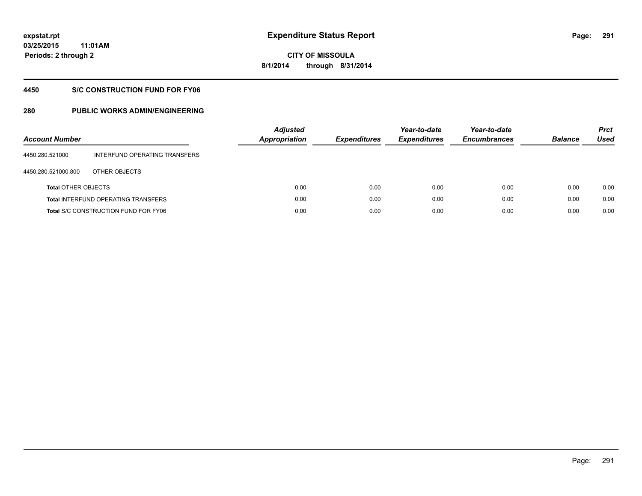**291**

**03/25/2015 11:01AM Periods: 2 through 2**

# **CITY OF MISSOULA 8/1/2014 through 8/31/2014**

#### **4450 S/C CONSTRUCTION FUND FOR FY06**

| <b>Account Number</b>      |                                             | <b>Adjusted</b><br>Appropriation | <b>Expenditures</b> | Year-to-date<br><b>Expenditures</b> | Year-to-date<br><b>Encumbrances</b> | <b>Balance</b> | <b>Prct</b><br>Used |
|----------------------------|---------------------------------------------|----------------------------------|---------------------|-------------------------------------|-------------------------------------|----------------|---------------------|
| 4450.280.521000            | INTERFUND OPERATING TRANSFERS               |                                  |                     |                                     |                                     |                |                     |
| 4450.280.521000.800        | OTHER OBJECTS                               |                                  |                     |                                     |                                     |                |                     |
| <b>Total OTHER OBJECTS</b> |                                             | 0.00                             | 0.00                | 0.00                                | 0.00                                | 0.00           | 0.00                |
|                            | <b>Total INTERFUND OPERATING TRANSFERS</b>  | 0.00                             | 0.00                | 0.00                                | 0.00                                | 0.00           | 0.00                |
|                            | <b>Total S/C CONSTRUCTION FUND FOR FY06</b> | 0.00                             | 0.00                | 0.00                                | 0.00                                | 0.00           | 0.00                |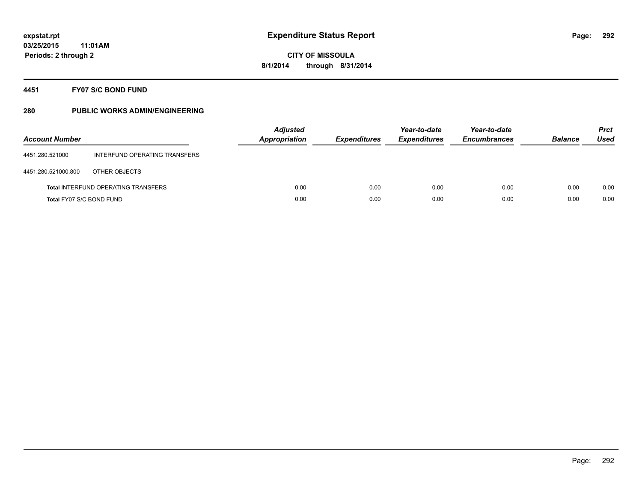#### **4451 FY07 S/C BOND FUND**

| <b>Account Number</b>    |                                            | <b>Adjusted</b><br><b>Appropriation</b> | <b>Expenditures</b> | Year-to-date<br><b>Expenditures</b> | Year-to-date<br><b>Encumbrances</b> | <b>Balance</b> | <b>Prct</b><br>Used |
|--------------------------|--------------------------------------------|-----------------------------------------|---------------------|-------------------------------------|-------------------------------------|----------------|---------------------|
| 4451.280.521000          | INTERFUND OPERATING TRANSFERS              |                                         |                     |                                     |                                     |                |                     |
| 4451.280.521000.800      | OTHER OBJECTS                              |                                         |                     |                                     |                                     |                |                     |
|                          | <b>Total INTERFUND OPERATING TRANSFERS</b> | 0.00                                    | 0.00                | 0.00                                | 0.00                                | 0.00           | 0.00                |
| Total FY07 S/C BOND FUND |                                            | 0.00                                    | 0.00                | 0.00                                | 0.00                                | 0.00           | 0.00                |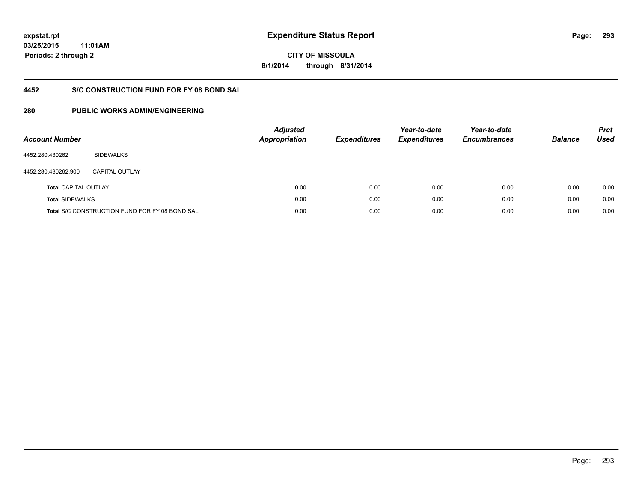**293**

**03/25/2015 11:01AM Periods: 2 through 2**

# **CITY OF MISSOULA 8/1/2014 through 8/31/2014**

### **4452 S/C CONSTRUCTION FUND FOR FY 08 BOND SAL**

| <b>Account Number</b>       |                                                       | <b>Adjusted</b><br><b>Appropriation</b> | <b>Expenditures</b> | Year-to-date<br><b>Expenditures</b> | Year-to-date<br><b>Encumbrances</b> | <b>Balance</b> | <b>Prct</b><br>Used |
|-----------------------------|-------------------------------------------------------|-----------------------------------------|---------------------|-------------------------------------|-------------------------------------|----------------|---------------------|
| 4452.280.430262             | <b>SIDEWALKS</b>                                      |                                         |                     |                                     |                                     |                |                     |
| 4452.280.430262.900         | CAPITAL OUTLAY                                        |                                         |                     |                                     |                                     |                |                     |
| <b>Total CAPITAL OUTLAY</b> |                                                       | 0.00                                    | 0.00                | 0.00                                | 0.00                                | 0.00           | 0.00                |
| <b>Total SIDEWALKS</b>      |                                                       | 0.00                                    | 0.00                | 0.00                                | 0.00                                | 0.00           | 0.00                |
|                             | <b>Total S/C CONSTRUCTION FUND FOR FY 08 BOND SAL</b> | 0.00                                    | 0.00                | 0.00                                | 0.00                                | 0.00           | 0.00                |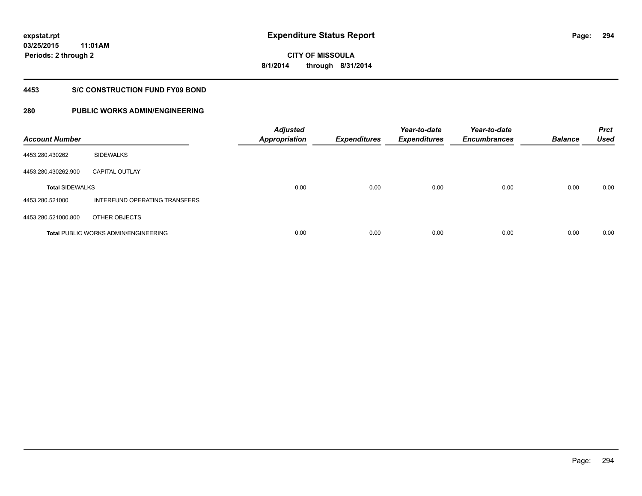# **03/25/2015**

**294**

**11:01AM Periods: 2 through 2**

**CITY OF MISSOULA 8/1/2014 through 8/31/2014**

#### **4453 S/C CONSTRUCTION FUND FY09 BOND**

| <b>Account Number</b>  |                                             | <b>Adjusted</b><br>Appropriation | <b>Expenditures</b> | Year-to-date<br><b>Expenditures</b> | Year-to-date<br><b>Encumbrances</b> | <b>Balance</b> | <b>Prct</b><br><b>Used</b> |
|------------------------|---------------------------------------------|----------------------------------|---------------------|-------------------------------------|-------------------------------------|----------------|----------------------------|
| 4453.280.430262        | <b>SIDEWALKS</b>                            |                                  |                     |                                     |                                     |                |                            |
| 4453.280.430262.900    | <b>CAPITAL OUTLAY</b>                       |                                  |                     |                                     |                                     |                |                            |
| <b>Total SIDEWALKS</b> |                                             | 0.00                             | 0.00                | 0.00                                | 0.00                                | 0.00           | 0.00                       |
| 4453.280.521000        | INTERFUND OPERATING TRANSFERS               |                                  |                     |                                     |                                     |                |                            |
| 4453.280.521000.800    | OTHER OBJECTS                               |                                  |                     |                                     |                                     |                |                            |
|                        | <b>Total PUBLIC WORKS ADMIN/ENGINEERING</b> | 0.00                             | 0.00                | 0.00                                | 0.00                                | 0.00           | 0.00                       |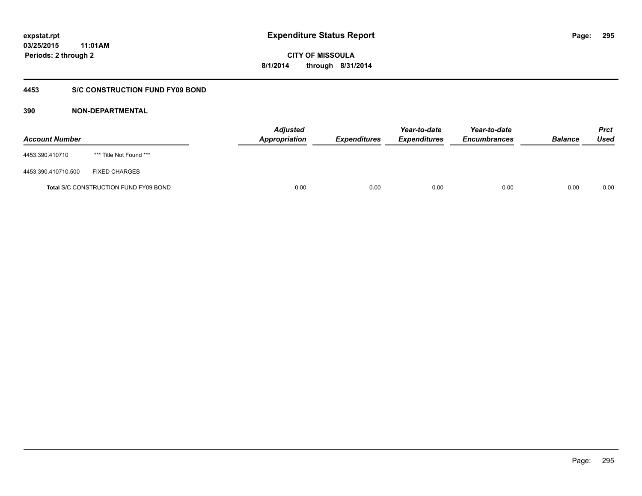**CITY OF MISSOULA 8/1/2014 through 8/31/2014**

#### **4453 S/C CONSTRUCTION FUND FY09 BOND**

| <b>Account Number</b> |                                              | <b>Adjusted</b><br>Appropriation | <b>Expenditures</b> | Year-to-date<br><b>Expenditures</b> | Year-to-date<br><b>Encumbrances</b> | <b>Balance</b> | <b>Prct</b><br>Used |
|-----------------------|----------------------------------------------|----------------------------------|---------------------|-------------------------------------|-------------------------------------|----------------|---------------------|
| 4453.390.410710       | *** Title Not Found ***                      |                                  |                     |                                     |                                     |                |                     |
| 4453.390.410710.500   | <b>FIXED CHARGES</b>                         |                                  |                     |                                     |                                     |                |                     |
|                       | <b>Total S/C CONSTRUCTION FUND FY09 BOND</b> | 0.00                             | 0.00                | 0.00                                | 0.00                                | 0.00           | 0.00                |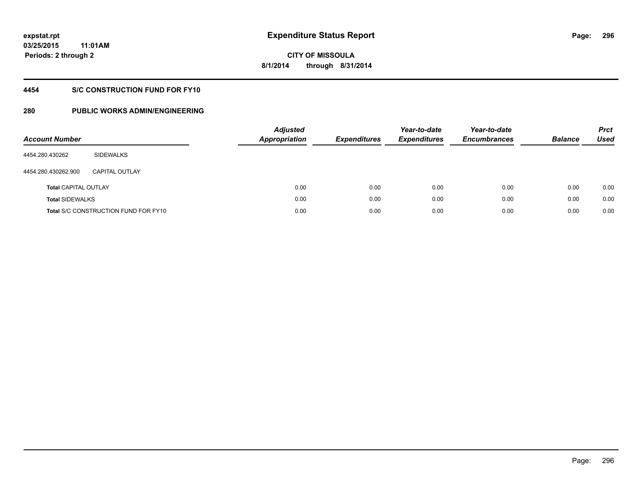# **CITY OF MISSOULA 8/1/2014 through 8/31/2014**

#### **4454 S/C CONSTRUCTION FUND FOR FY10**

| <b>Account Number</b>       |                                             | <b>Adjusted</b><br><b>Appropriation</b> | <b>Expenditures</b> | Year-to-date<br><b>Expenditures</b> | Year-to-date<br><b>Encumbrances</b> | <b>Balance</b> | <b>Prct</b><br><b>Used</b> |
|-----------------------------|---------------------------------------------|-----------------------------------------|---------------------|-------------------------------------|-------------------------------------|----------------|----------------------------|
| 4454.280.430262             | SIDEWALKS                                   |                                         |                     |                                     |                                     |                |                            |
| 4454.280.430262.900         | <b>CAPITAL OUTLAY</b>                       |                                         |                     |                                     |                                     |                |                            |
| <b>Total CAPITAL OUTLAY</b> |                                             | 0.00                                    | 0.00                | 0.00                                | 0.00                                | 0.00           | 0.00                       |
| <b>Total SIDEWALKS</b>      |                                             | 0.00                                    | 0.00                | 0.00                                | 0.00                                | 0.00           | 0.00                       |
|                             | <b>Total S/C CONSTRUCTION FUND FOR FY10</b> | 0.00                                    | 0.00                | 0.00                                | 0.00                                | 0.00           | 0.00                       |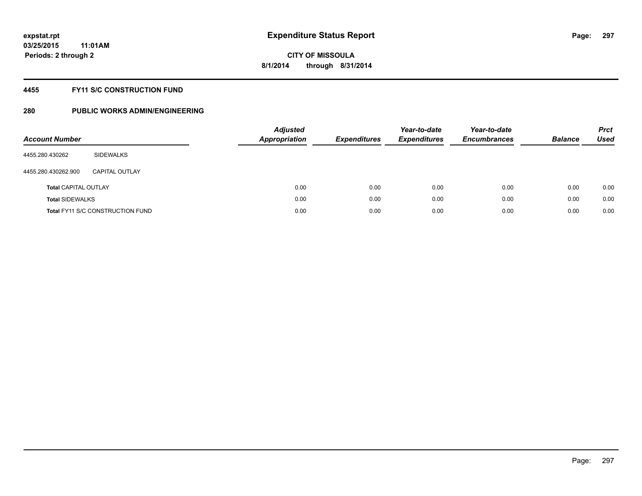#### **4455 FY11 S/C CONSTRUCTION FUND**

| <b>Account Number</b>       |                                         | <b>Adjusted</b><br><b>Appropriation</b> | <b>Expenditures</b> | Year-to-date<br><b>Expenditures</b> | Year-to-date<br><b>Encumbrances</b> | <b>Balance</b> | <b>Prct</b><br>Used |
|-----------------------------|-----------------------------------------|-----------------------------------------|---------------------|-------------------------------------|-------------------------------------|----------------|---------------------|
| 4455.280.430262             | SIDEWALKS                               |                                         |                     |                                     |                                     |                |                     |
| 4455.280.430262.900         | CAPITAL OUTLAY                          |                                         |                     |                                     |                                     |                |                     |
| <b>Total CAPITAL OUTLAY</b> |                                         | 0.00                                    | 0.00                | 0.00                                | 0.00                                | 0.00           | 0.00                |
| <b>Total SIDEWALKS</b>      |                                         | 0.00                                    | 0.00                | 0.00                                | 0.00                                | 0.00           | 0.00                |
|                             | <b>Total FY11 S/C CONSTRUCTION FUND</b> | 0.00                                    | 0.00                | 0.00                                | 0.00                                | 0.00           | 0.00                |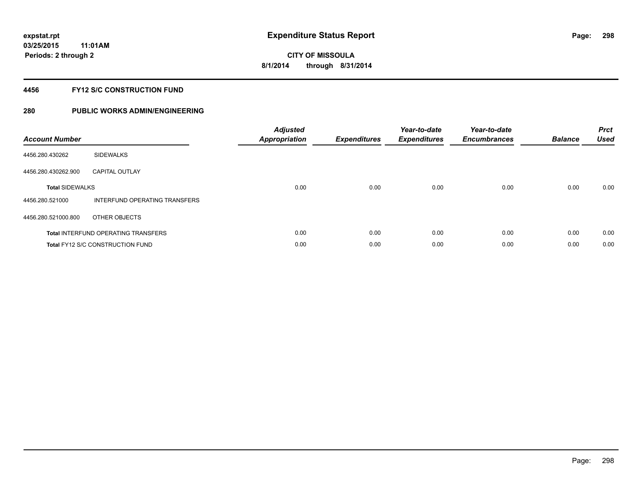#### **4456 FY12 S/C CONSTRUCTION FUND**

| <b>Account Number</b>  |                                            | <b>Adjusted</b><br><b>Appropriation</b> | <b>Expenditures</b> | Year-to-date<br><b>Expenditures</b> | Year-to-date<br><b>Encumbrances</b> | <b>Balance</b> | <b>Prct</b><br><b>Used</b> |
|------------------------|--------------------------------------------|-----------------------------------------|---------------------|-------------------------------------|-------------------------------------|----------------|----------------------------|
| 4456.280.430262        | <b>SIDEWALKS</b>                           |                                         |                     |                                     |                                     |                |                            |
| 4456.280.430262.900    | <b>CAPITAL OUTLAY</b>                      |                                         |                     |                                     |                                     |                |                            |
| <b>Total SIDEWALKS</b> |                                            | 0.00                                    | 0.00                | 0.00                                | 0.00                                | 0.00           | 0.00                       |
| 4456.280.521000        | INTERFUND OPERATING TRANSFERS              |                                         |                     |                                     |                                     |                |                            |
| 4456.280.521000.800    | OTHER OBJECTS                              |                                         |                     |                                     |                                     |                |                            |
|                        | <b>Total INTERFUND OPERATING TRANSFERS</b> | 0.00                                    | 0.00                | 0.00                                | 0.00                                | 0.00           | 0.00                       |
|                        | <b>Total FY12 S/C CONSTRUCTION FUND</b>    | 0.00                                    | 0.00                | 0.00                                | 0.00                                | 0.00           | 0.00                       |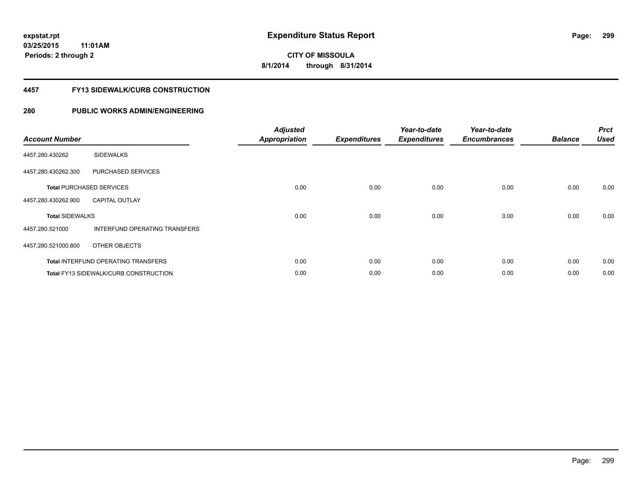# **CITY OF MISSOULA 8/1/2014 through 8/31/2014**

#### **4457 FY13 SIDEWALK/CURB CONSTRUCTION**

| <b>Account Number</b>  |                                              | <b>Adjusted</b><br><b>Appropriation</b> | <b>Expenditures</b> | Year-to-date<br><b>Expenditures</b> | Year-to-date<br><b>Encumbrances</b> | <b>Balance</b> | <b>Prct</b><br><b>Used</b> |
|------------------------|----------------------------------------------|-----------------------------------------|---------------------|-------------------------------------|-------------------------------------|----------------|----------------------------|
| 4457.280.430262        | <b>SIDEWALKS</b>                             |                                         |                     |                                     |                                     |                |                            |
| 4457.280.430262.300    | PURCHASED SERVICES                           |                                         |                     |                                     |                                     |                |                            |
|                        | <b>Total PURCHASED SERVICES</b>              | 0.00                                    | 0.00                | 0.00                                | 0.00                                | 0.00           | 0.00                       |
| 4457.280.430262.900    | <b>CAPITAL OUTLAY</b>                        |                                         |                     |                                     |                                     |                |                            |
| <b>Total SIDEWALKS</b> |                                              | 0.00                                    | 0.00                | 0.00                                | 0.00                                | 0.00           | 0.00                       |
| 4457.280.521000        | <b>INTERFUND OPERATING TRANSFERS</b>         |                                         |                     |                                     |                                     |                |                            |
| 4457.280.521000.800    | OTHER OBJECTS                                |                                         |                     |                                     |                                     |                |                            |
|                        | <b>Total INTERFUND OPERATING TRANSFERS</b>   | 0.00                                    | 0.00                | 0.00                                | 0.00                                | 0.00           | 0.00                       |
|                        | <b>Total FY13 SIDEWALK/CURB CONSTRUCTION</b> | 0.00                                    | 0.00                | 0.00                                | 0.00                                | 0.00           | 0.00                       |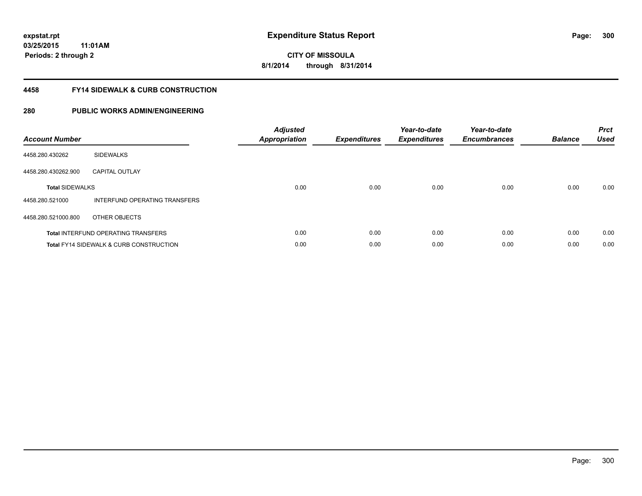**CITY OF MISSOULA 8/1/2014 through 8/31/2014**

#### **4458 FY14 SIDEWALK & CURB CONSTRUCTION**

| <b>Account Number</b>  |                                                    | <b>Adjusted</b><br>Appropriation | <b>Expenditures</b> | Year-to-date<br><b>Expenditures</b> | Year-to-date<br><b>Encumbrances</b> | <b>Balance</b> | <b>Prct</b><br><b>Used</b> |
|------------------------|----------------------------------------------------|----------------------------------|---------------------|-------------------------------------|-------------------------------------|----------------|----------------------------|
| 4458.280.430262        | <b>SIDEWALKS</b>                                   |                                  |                     |                                     |                                     |                |                            |
| 4458.280.430262.900    | <b>CAPITAL OUTLAY</b>                              |                                  |                     |                                     |                                     |                |                            |
| <b>Total SIDEWALKS</b> |                                                    | 0.00                             | 0.00                | 0.00                                | 0.00                                | 0.00           | 0.00                       |
| 4458.280.521000        | INTERFUND OPERATING TRANSFERS                      |                                  |                     |                                     |                                     |                |                            |
| 4458.280.521000.800    | OTHER OBJECTS                                      |                                  |                     |                                     |                                     |                |                            |
|                        | <b>Total INTERFUND OPERATING TRANSFERS</b>         | 0.00                             | 0.00                | 0.00                                | 0.00                                | 0.00           | 0.00                       |
|                        | <b>Total FY14 SIDEWALK &amp; CURB CONSTRUCTION</b> | 0.00                             | 0.00                | 0.00                                | 0.00                                | 0.00           | 0.00                       |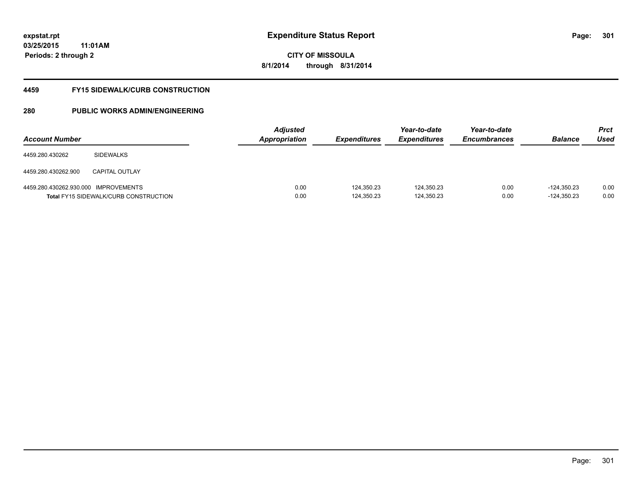# **CITY OF MISSOULA 8/1/2014 through 8/31/2014**

#### **4459 FY15 SIDEWALK/CURB CONSTRUCTION**

| <b>Account Number</b>                |                                              | <b>Adjusted</b><br><b>Appropriation</b> | <b>Expenditures</b>      | Year-to-date<br><i><b>Expenditures</b></i> | Year-to-date<br><b>Encumbrances</b> | <b>Balance</b>                 | <b>Prct</b><br>Used |
|--------------------------------------|----------------------------------------------|-----------------------------------------|--------------------------|--------------------------------------------|-------------------------------------|--------------------------------|---------------------|
| 4459.280.430262                      | <b>SIDEWALKS</b>                             |                                         |                          |                                            |                                     |                                |                     |
| 4459.280.430262.900                  | <b>CAPITAL OUTLAY</b>                        |                                         |                          |                                            |                                     |                                |                     |
| 4459.280.430262.930.000 IMPROVEMENTS | <b>Total FY15 SIDEWALK/CURB CONSTRUCTION</b> | 0.00<br>0.00                            | 124.350.23<br>124,350.23 | 124,350.23<br>124,350.23                   | 0.00<br>0.00                        | $-124.350.23$<br>$-124,350.23$ | 0.00<br>0.00        |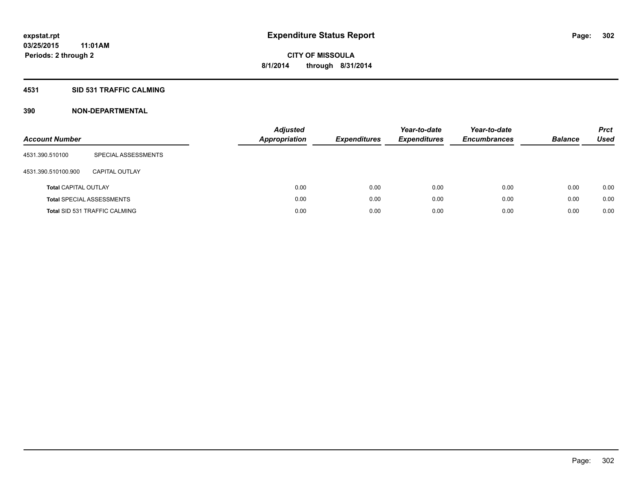#### **4531 SID 531 TRAFFIC CALMING**

| <b>Account Number</b>       |                                      | <b>Adjusted</b><br><b>Appropriation</b> | <b>Expenditures</b> | Year-to-date<br><b>Expenditures</b> | Year-to-date<br><b>Encumbrances</b> | <b>Balance</b> | <b>Prct</b><br>Used |
|-----------------------------|--------------------------------------|-----------------------------------------|---------------------|-------------------------------------|-------------------------------------|----------------|---------------------|
| 4531.390.510100             | SPECIAL ASSESSMENTS                  |                                         |                     |                                     |                                     |                |                     |
| 4531.390.510100.900         | CAPITAL OUTLAY                       |                                         |                     |                                     |                                     |                |                     |
| <b>Total CAPITAL OUTLAY</b> |                                      | 0.00                                    | 0.00                | 0.00                                | 0.00                                | 0.00           | 0.00                |
|                             | <b>Total SPECIAL ASSESSMENTS</b>     | 0.00                                    | 0.00                | 0.00                                | 0.00                                | 0.00           | 0.00                |
|                             | <b>Total SID 531 TRAFFIC CALMING</b> | 0.00                                    | 0.00                | 0.00                                | 0.00                                | 0.00           | 0.00                |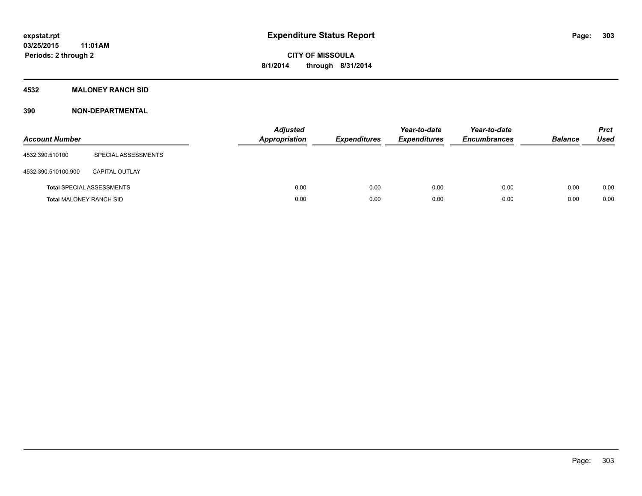#### **4532 MALONEY RANCH SID**

| <b>Account Number</b>          |                                  | <b>Adjusted</b><br>Appropriation | <b>Expenditures</b> | Year-to-date<br><b>Expenditures</b> | Year-to-date<br><b>Encumbrances</b> | <b>Balance</b> | <b>Prct</b><br><b>Used</b> |
|--------------------------------|----------------------------------|----------------------------------|---------------------|-------------------------------------|-------------------------------------|----------------|----------------------------|
| 4532.390.510100                | SPECIAL ASSESSMENTS              |                                  |                     |                                     |                                     |                |                            |
| 4532.390.510100.900            | <b>CAPITAL OUTLAY</b>            |                                  |                     |                                     |                                     |                |                            |
|                                | <b>Total SPECIAL ASSESSMENTS</b> | 0.00                             | 0.00                | 0.00                                | 0.00                                | 0.00           | 0.00                       |
| <b>Total MALONEY RANCH SID</b> |                                  | 0.00                             | 0.00                | 0.00                                | 0.00                                | 0.00           | 0.00                       |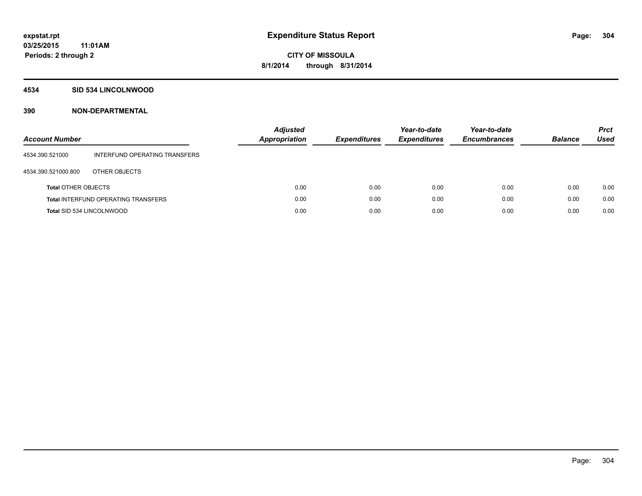#### **4534 SID 534 LINCOLNWOOD**

| <b>Account Number</b>      |                                            | <b>Adjusted</b><br>Appropriation | <b>Expenditures</b> | Year-to-date<br><b>Expenditures</b> | Year-to-date<br><b>Encumbrances</b> | <b>Balance</b> | <b>Prct</b><br><b>Used</b> |
|----------------------------|--------------------------------------------|----------------------------------|---------------------|-------------------------------------|-------------------------------------|----------------|----------------------------|
| 4534.390.521000            | INTERFUND OPERATING TRANSFERS              |                                  |                     |                                     |                                     |                |                            |
| 4534.390.521000.800        | OTHER OBJECTS                              |                                  |                     |                                     |                                     |                |                            |
| <b>Total OTHER OBJECTS</b> |                                            | 0.00                             | 0.00                | 0.00                                | 0.00                                | 0.00           | 0.00                       |
|                            | <b>Total INTERFUND OPERATING TRANSFERS</b> | 0.00                             | 0.00                | 0.00                                | 0.00                                | 0.00           | 0.00                       |
| Total SID 534 LINCOLNWOOD  |                                            | 0.00                             | 0.00                | 0.00                                | 0.00                                | 0.00           | 0.00                       |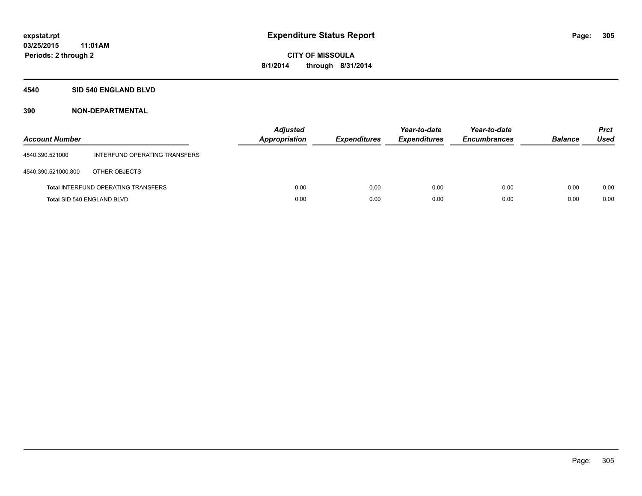#### **4540 SID 540 ENGLAND BLVD**

| <b>Account Number</b>      |                                            | <b>Adjusted</b><br>Appropriation | <b>Expenditures</b> | Year-to-date<br><b>Expenditures</b> | Year-to-date<br><b>Encumbrances</b> | <b>Balance</b> | <b>Prct</b><br>Used |
|----------------------------|--------------------------------------------|----------------------------------|---------------------|-------------------------------------|-------------------------------------|----------------|---------------------|
| 4540.390.521000            | INTERFUND OPERATING TRANSFERS              |                                  |                     |                                     |                                     |                |                     |
| 4540.390.521000.800        | OTHER OBJECTS                              |                                  |                     |                                     |                                     |                |                     |
|                            | <b>Total INTERFUND OPERATING TRANSFERS</b> | 0.00                             | 0.00                | 0.00                                | 0.00                                | 0.00           | 0.00                |
| Total SID 540 ENGLAND BLVD |                                            | 0.00                             | 0.00                | 0.00                                | 0.00                                | 0.00           | 0.00                |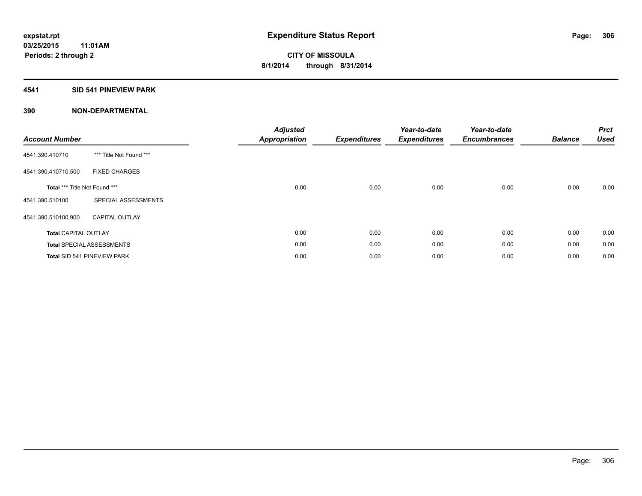#### **4541 SID 541 PINEVIEW PARK**

| <b>Account Number</b>         |                                  | <b>Adjusted</b><br><b>Appropriation</b> | <b>Expenditures</b> | Year-to-date<br><b>Expenditures</b> | Year-to-date<br><b>Encumbrances</b> | <b>Balance</b> | <b>Prct</b><br><b>Used</b> |
|-------------------------------|----------------------------------|-----------------------------------------|---------------------|-------------------------------------|-------------------------------------|----------------|----------------------------|
| 4541.390.410710               | *** Title Not Found ***          |                                         |                     |                                     |                                     |                |                            |
| 4541.390.410710.500           | <b>FIXED CHARGES</b>             |                                         |                     |                                     |                                     |                |                            |
| Total *** Title Not Found *** |                                  | 0.00                                    | 0.00                | 0.00                                | 0.00                                | 0.00           | 0.00                       |
| 4541.390.510100               | SPECIAL ASSESSMENTS              |                                         |                     |                                     |                                     |                |                            |
| 4541.390.510100.900           | <b>CAPITAL OUTLAY</b>            |                                         |                     |                                     |                                     |                |                            |
| <b>Total CAPITAL OUTLAY</b>   |                                  | 0.00                                    | 0.00                | 0.00                                | 0.00                                | 0.00           | 0.00                       |
|                               | <b>Total SPECIAL ASSESSMENTS</b> | 0.00                                    | 0.00                | 0.00                                | 0.00                                | 0.00           | 0.00                       |
|                               | Total SID 541 PINEVIEW PARK      | 0.00                                    | 0.00                | 0.00                                | 0.00                                | 0.00           | 0.00                       |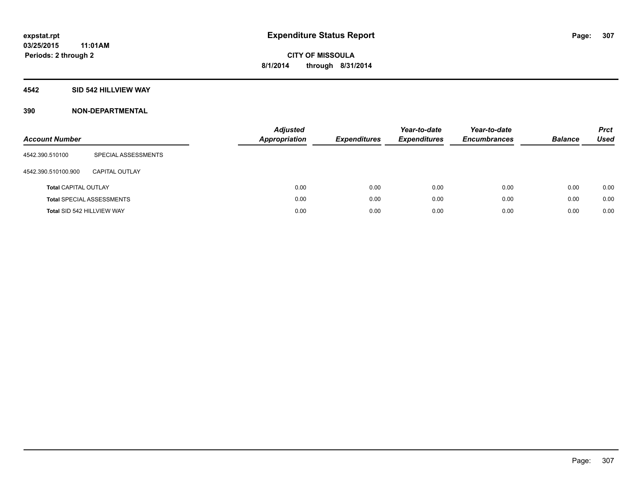#### **4542 SID 542 HILLVIEW WAY**

| <b>Account Number</b>       |                                  | <b>Adjusted</b><br><b>Appropriation</b> | <b>Expenditures</b> | Year-to-date<br><b>Expenditures</b> | Year-to-date<br><b>Encumbrances</b> | <b>Balance</b> | <b>Prct</b><br>Used |
|-----------------------------|----------------------------------|-----------------------------------------|---------------------|-------------------------------------|-------------------------------------|----------------|---------------------|
| 4542.390.510100             | SPECIAL ASSESSMENTS              |                                         |                     |                                     |                                     |                |                     |
| 4542.390.510100.900         | CAPITAL OUTLAY                   |                                         |                     |                                     |                                     |                |                     |
| <b>Total CAPITAL OUTLAY</b> |                                  | 0.00                                    | 0.00                | 0.00                                | 0.00                                | 0.00           | 0.00                |
|                             | <b>Total SPECIAL ASSESSMENTS</b> | 0.00                                    | 0.00                | 0.00                                | 0.00                                | 0.00           | 0.00                |
| Total SID 542 HILLVIEW WAY  |                                  | 0.00                                    | 0.00                | 0.00                                | 0.00                                | 0.00           | 0.00                |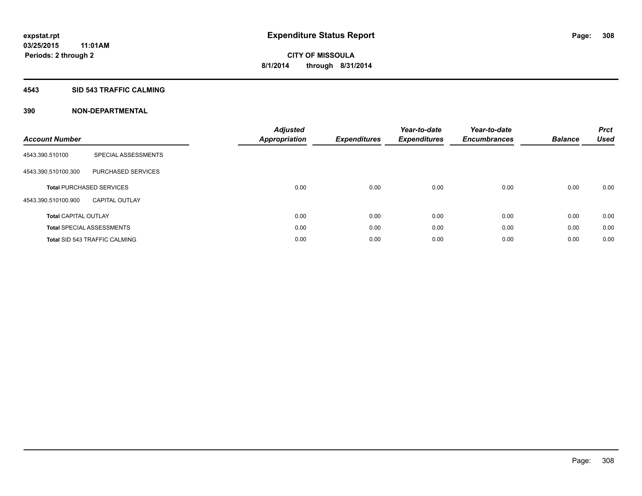#### **4543 SID 543 TRAFFIC CALMING**

| <b>Account Number</b>       |                                      | <b>Adjusted</b><br><b>Appropriation</b> | <b>Expenditures</b> | Year-to-date<br><b>Expenditures</b> | Year-to-date<br><b>Encumbrances</b> | <b>Balance</b> | <b>Prct</b><br><b>Used</b> |
|-----------------------------|--------------------------------------|-----------------------------------------|---------------------|-------------------------------------|-------------------------------------|----------------|----------------------------|
| 4543.390.510100             | SPECIAL ASSESSMENTS                  |                                         |                     |                                     |                                     |                |                            |
| 4543.390.510100.300         | PURCHASED SERVICES                   |                                         |                     |                                     |                                     |                |                            |
|                             | <b>Total PURCHASED SERVICES</b>      | 0.00                                    | 0.00                | 0.00                                | 0.00                                | 0.00           | 0.00                       |
| 4543.390.510100.900         | <b>CAPITAL OUTLAY</b>                |                                         |                     |                                     |                                     |                |                            |
| <b>Total CAPITAL OUTLAY</b> |                                      | 0.00                                    | 0.00                | 0.00                                | 0.00                                | 0.00           | 0.00                       |
|                             | <b>Total SPECIAL ASSESSMENTS</b>     | 0.00                                    | 0.00                | 0.00                                | 0.00                                | 0.00           | 0.00                       |
|                             | <b>Total SID 543 TRAFFIC CALMING</b> | 0.00                                    | 0.00                | 0.00                                | 0.00                                | 0.00           | 0.00                       |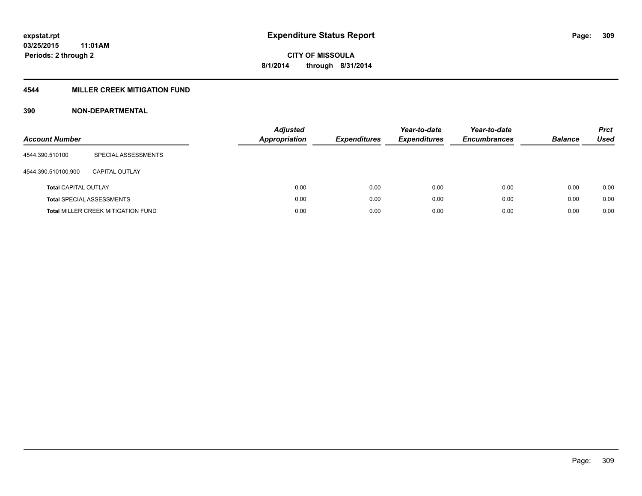### **4544 MILLER CREEK MITIGATION FUND**

| <b>Account Number</b>       |                                           | <b>Adjusted</b><br>Appropriation | <b>Expenditures</b> | Year-to-date<br><b>Expenditures</b> | Year-to-date<br><b>Encumbrances</b> | <b>Balance</b> | <b>Prct</b><br>Used |
|-----------------------------|-------------------------------------------|----------------------------------|---------------------|-------------------------------------|-------------------------------------|----------------|---------------------|
| 4544.390.510100             | SPECIAL ASSESSMENTS                       |                                  |                     |                                     |                                     |                |                     |
| 4544.390.510100.900         | CAPITAL OUTLAY                            |                                  |                     |                                     |                                     |                |                     |
| <b>Total CAPITAL OUTLAY</b> |                                           | 0.00                             | 0.00                | 0.00                                | 0.00                                | 0.00           | 0.00                |
|                             | <b>Total SPECIAL ASSESSMENTS</b>          | 0.00                             | 0.00                | 0.00                                | 0.00                                | 0.00           | 0.00                |
|                             | <b>Total MILLER CREEK MITIGATION FUND</b> | 0.00                             | 0.00                | 0.00                                | 0.00                                | 0.00           | 0.00                |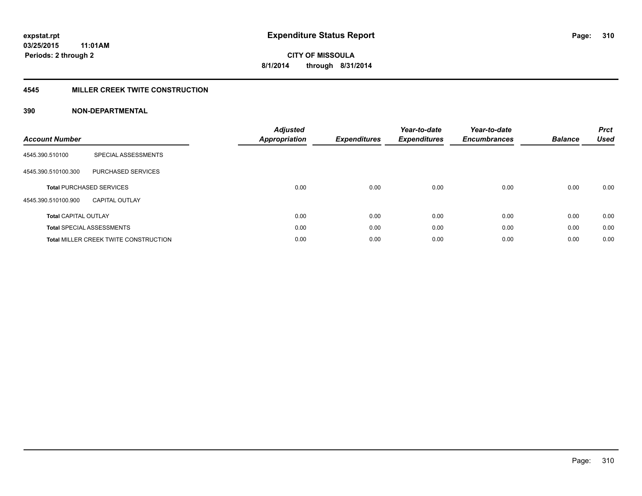#### **4545 MILLER CREEK TWITE CONSTRUCTION**

| <b>Account Number</b>       |                                              | <b>Adjusted</b><br>Appropriation | <b>Expenditures</b> | Year-to-date<br><b>Expenditures</b> | Year-to-date<br><b>Encumbrances</b> | <b>Balance</b> | <b>Prct</b><br><b>Used</b> |
|-----------------------------|----------------------------------------------|----------------------------------|---------------------|-------------------------------------|-------------------------------------|----------------|----------------------------|
| 4545.390.510100             | SPECIAL ASSESSMENTS                          |                                  |                     |                                     |                                     |                |                            |
| 4545.390.510100.300         | <b>PURCHASED SERVICES</b>                    |                                  |                     |                                     |                                     |                |                            |
|                             | <b>Total PURCHASED SERVICES</b>              | 0.00                             | 0.00                | 0.00                                | 0.00                                | 0.00           | 0.00                       |
| 4545.390.510100.900         | <b>CAPITAL OUTLAY</b>                        |                                  |                     |                                     |                                     |                |                            |
| <b>Total CAPITAL OUTLAY</b> |                                              | 0.00                             | 0.00                | 0.00                                | 0.00                                | 0.00           | 0.00                       |
|                             | <b>Total SPECIAL ASSESSMENTS</b>             | 0.00                             | 0.00                | 0.00                                | 0.00                                | 0.00           | 0.00                       |
|                             | <b>Total MILLER CREEK TWITE CONSTRUCTION</b> | 0.00                             | 0.00                | 0.00                                | 0.00                                | 0.00           | 0.00                       |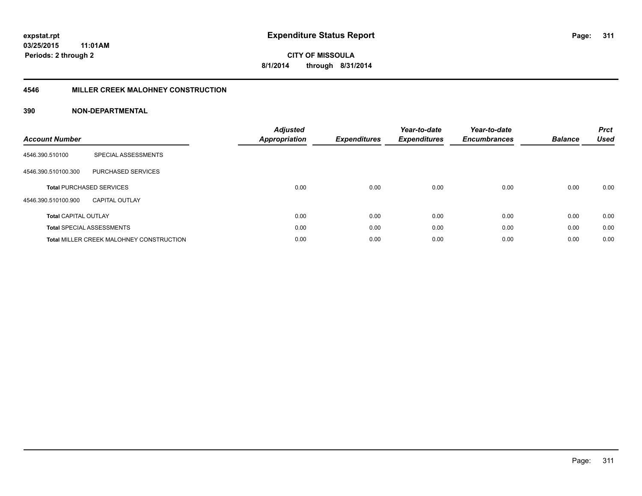#### **4546 MILLER CREEK MALOHNEY CONSTRUCTION**

| <b>Account Number</b>           |                                                 | <b>Adjusted</b><br><b>Appropriation</b> | <b>Expenditures</b> | Year-to-date<br><b>Expenditures</b> | Year-to-date<br><b>Encumbrances</b> | <b>Balance</b> | <b>Prct</b><br><b>Used</b> |
|---------------------------------|-------------------------------------------------|-----------------------------------------|---------------------|-------------------------------------|-------------------------------------|----------------|----------------------------|
| 4546.390.510100                 | SPECIAL ASSESSMENTS                             |                                         |                     |                                     |                                     |                |                            |
| 4546.390.510100.300             | PURCHASED SERVICES                              |                                         |                     |                                     |                                     |                |                            |
| <b>Total PURCHASED SERVICES</b> |                                                 | 0.00                                    | 0.00                | 0.00                                | 0.00                                | 0.00           | 0.00                       |
| 4546.390.510100.900             | CAPITAL OUTLAY                                  |                                         |                     |                                     |                                     |                |                            |
| <b>Total CAPITAL OUTLAY</b>     |                                                 | 0.00                                    | 0.00                | 0.00                                | 0.00                                | 0.00           | 0.00                       |
|                                 | <b>Total SPECIAL ASSESSMENTS</b>                | 0.00                                    | 0.00                | 0.00                                | 0.00                                | 0.00           | 0.00                       |
|                                 | <b>Total MILLER CREEK MALOHNEY CONSTRUCTION</b> | 0.00                                    | 0.00                | 0.00                                | 0.00                                | 0.00           | 0.00                       |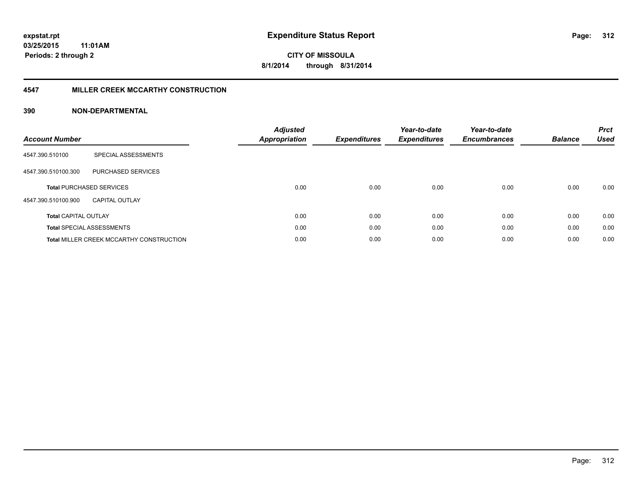#### **4547 MILLER CREEK MCCARTHY CONSTRUCTION**

| <b>Account Number</b>       |                                                 | <b>Adjusted</b><br><b>Appropriation</b> | <b>Expenditures</b> | Year-to-date<br><b>Expenditures</b> | Year-to-date<br><b>Encumbrances</b> | <b>Balance</b> | <b>Prct</b><br><b>Used</b> |
|-----------------------------|-------------------------------------------------|-----------------------------------------|---------------------|-------------------------------------|-------------------------------------|----------------|----------------------------|
| 4547.390.510100             | SPECIAL ASSESSMENTS                             |                                         |                     |                                     |                                     |                |                            |
| 4547.390.510100.300         | <b>PURCHASED SERVICES</b>                       |                                         |                     |                                     |                                     |                |                            |
|                             | <b>Total PURCHASED SERVICES</b>                 | 0.00                                    | 0.00                | 0.00                                | 0.00                                | 0.00           | 0.00                       |
| 4547.390.510100.900         | <b>CAPITAL OUTLAY</b>                           |                                         |                     |                                     |                                     |                |                            |
| <b>Total CAPITAL OUTLAY</b> |                                                 | 0.00                                    | 0.00                | 0.00                                | 0.00                                | 0.00           | 0.00                       |
|                             | <b>Total SPECIAL ASSESSMENTS</b>                | 0.00                                    | 0.00                | 0.00                                | 0.00                                | 0.00           | 0.00                       |
|                             | <b>Total MILLER CREEK MCCARTHY CONSTRUCTION</b> | 0.00                                    | 0.00                | 0.00                                | 0.00                                | 0.00           | 0.00                       |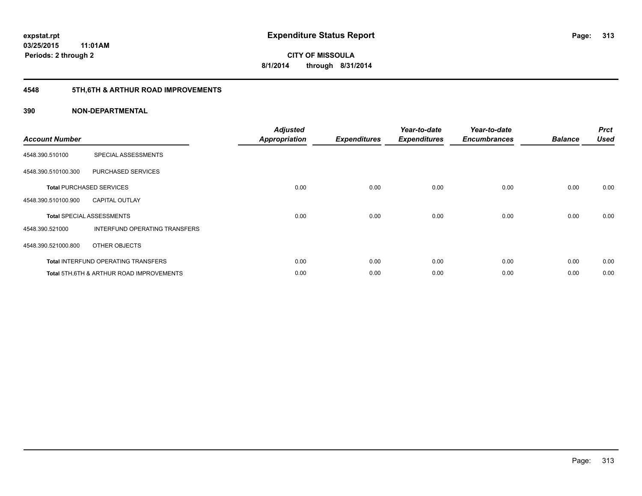# **4548 5TH,6TH & ARTHUR ROAD IMPROVEMENTS**

| <b>Account Number</b> |                                            | <b>Adjusted</b><br><b>Appropriation</b> | <b>Expenditures</b> | Year-to-date<br><b>Expenditures</b> | Year-to-date<br><b>Encumbrances</b> | <b>Balance</b> | <b>Prct</b><br><b>Used</b> |
|-----------------------|--------------------------------------------|-----------------------------------------|---------------------|-------------------------------------|-------------------------------------|----------------|----------------------------|
| 4548.390.510100       | SPECIAL ASSESSMENTS                        |                                         |                     |                                     |                                     |                |                            |
| 4548.390.510100.300   | PURCHASED SERVICES                         |                                         |                     |                                     |                                     |                |                            |
|                       | <b>Total PURCHASED SERVICES</b>            | 0.00                                    | 0.00                | 0.00                                | 0.00                                | 0.00           | 0.00                       |
| 4548.390.510100.900   | <b>CAPITAL OUTLAY</b>                      |                                         |                     |                                     |                                     |                |                            |
|                       | <b>Total SPECIAL ASSESSMENTS</b>           | 0.00                                    | 0.00                | 0.00                                | 0.00                                | 0.00           | 0.00                       |
| 4548.390.521000       | INTERFUND OPERATING TRANSFERS              |                                         |                     |                                     |                                     |                |                            |
| 4548.390.521000.800   | OTHER OBJECTS                              |                                         |                     |                                     |                                     |                |                            |
|                       | <b>Total INTERFUND OPERATING TRANSFERS</b> | 0.00                                    | 0.00                | 0.00                                | 0.00                                | 0.00           | 0.00                       |
|                       | Total 5TH.6TH & ARTHUR ROAD IMPROVEMENTS   | 0.00                                    | 0.00                | 0.00                                | 0.00                                | 0.00           | 0.00                       |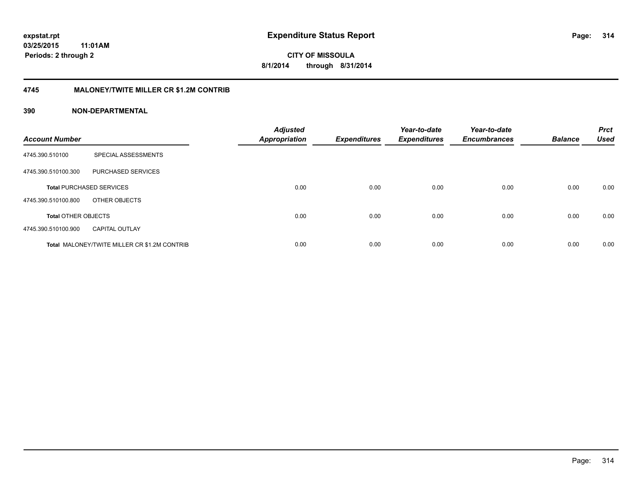**CITY OF MISSOULA 8/1/2014 through 8/31/2014**

#### **4745 MALONEY/TWITE MILLER CR \$1.2M CONTRIB**

| <b>Account Number</b>      |                                                     | <b>Adjusted</b><br>Appropriation | <b>Expenditures</b> | Year-to-date<br><b>Expenditures</b> | Year-to-date<br><b>Encumbrances</b> | <b>Balance</b> | <b>Prct</b><br><b>Used</b> |
|----------------------------|-----------------------------------------------------|----------------------------------|---------------------|-------------------------------------|-------------------------------------|----------------|----------------------------|
| 4745.390.510100            | SPECIAL ASSESSMENTS                                 |                                  |                     |                                     |                                     |                |                            |
| 4745.390.510100.300        | PURCHASED SERVICES                                  |                                  |                     |                                     |                                     |                |                            |
|                            | <b>Total PURCHASED SERVICES</b>                     | 0.00                             | 0.00                | 0.00                                | 0.00                                | 0.00           | 0.00                       |
| 4745.390.510100.800        | OTHER OBJECTS                                       |                                  |                     |                                     |                                     |                |                            |
| <b>Total OTHER OBJECTS</b> |                                                     | 0.00                             | 0.00                | 0.00                                | 0.00                                | 0.00           | 0.00                       |
| 4745.390.510100.900        | <b>CAPITAL OUTLAY</b>                               |                                  |                     |                                     |                                     |                |                            |
|                            | <b>Total MALONEY/TWITE MILLER CR \$1.2M CONTRIB</b> | 0.00                             | 0.00                | 0.00                                | 0.00                                | 0.00           | 0.00                       |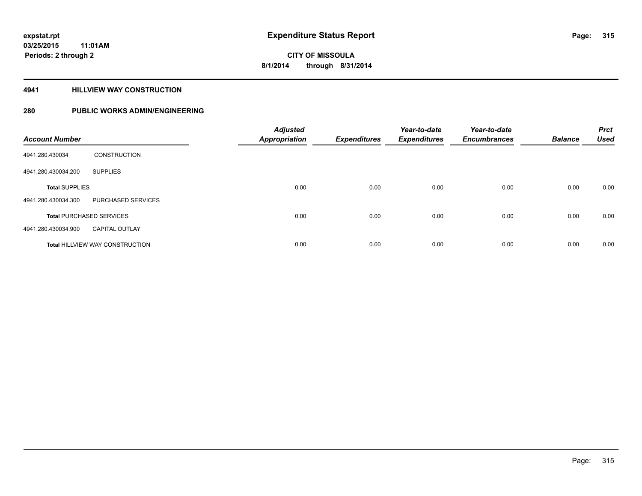#### **4941 HILLVIEW WAY CONSTRUCTION**

| <b>Account Number</b> |                                        | <b>Adjusted</b><br>Appropriation | <b>Expenditures</b> | Year-to-date<br><b>Expenditures</b> | Year-to-date<br><b>Encumbrances</b> | <b>Balance</b> | <b>Prct</b><br><b>Used</b> |
|-----------------------|----------------------------------------|----------------------------------|---------------------|-------------------------------------|-------------------------------------|----------------|----------------------------|
| 4941.280.430034       | <b>CONSTRUCTION</b>                    |                                  |                     |                                     |                                     |                |                            |
| 4941.280.430034.200   | <b>SUPPLIES</b>                        |                                  |                     |                                     |                                     |                |                            |
| <b>Total SUPPLIES</b> |                                        | 0.00                             | 0.00                | 0.00                                | 0.00                                | 0.00           | 0.00                       |
| 4941.280.430034.300   | PURCHASED SERVICES                     |                                  |                     |                                     |                                     |                |                            |
|                       | <b>Total PURCHASED SERVICES</b>        | 0.00                             | 0.00                | 0.00                                | 0.00                                | 0.00           | 0.00                       |
| 4941.280.430034.900   | <b>CAPITAL OUTLAY</b>                  |                                  |                     |                                     |                                     |                |                            |
|                       | <b>Total HILLVIEW WAY CONSTRUCTION</b> | 0.00                             | 0.00                | 0.00                                | 0.00                                | 0.00           | 0.00                       |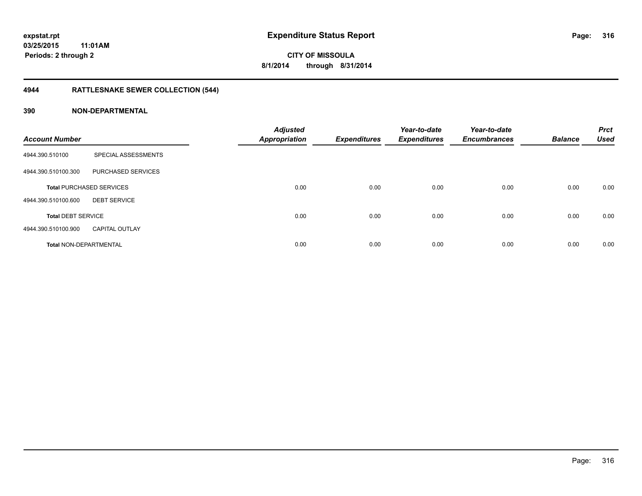# **4944 RATTLESNAKE SEWER COLLECTION (544)**

| <b>Account Number</b>         |                                 | <b>Adjusted</b><br><b>Appropriation</b> | <b>Expenditures</b> | Year-to-date<br><b>Expenditures</b> | Year-to-date<br><b>Encumbrances</b> | <b>Balance</b> | <b>Prct</b><br><b>Used</b> |
|-------------------------------|---------------------------------|-----------------------------------------|---------------------|-------------------------------------|-------------------------------------|----------------|----------------------------|
| 4944.390.510100               | SPECIAL ASSESSMENTS             |                                         |                     |                                     |                                     |                |                            |
| 4944.390.510100.300           | PURCHASED SERVICES              |                                         |                     |                                     |                                     |                |                            |
|                               | <b>Total PURCHASED SERVICES</b> | 0.00                                    | 0.00                | 0.00                                | 0.00                                | 0.00           | 0.00                       |
| 4944.390.510100.600           | <b>DEBT SERVICE</b>             |                                         |                     |                                     |                                     |                |                            |
| <b>Total DEBT SERVICE</b>     |                                 | 0.00                                    | 0.00                | 0.00                                | 0.00                                | 0.00           | 0.00                       |
| 4944.390.510100.900           | <b>CAPITAL OUTLAY</b>           |                                         |                     |                                     |                                     |                |                            |
| <b>Total NON-DEPARTMENTAL</b> |                                 | 0.00                                    | 0.00                | 0.00                                | 0.00                                | 0.00           | 0.00                       |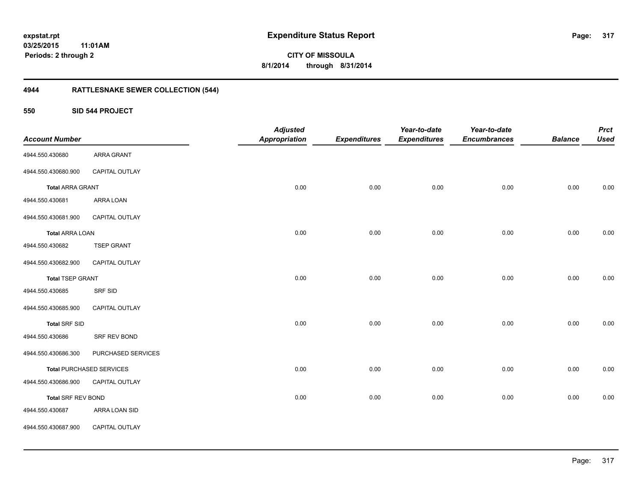**CITY OF MISSOULA 8/1/2014 through 8/31/2014**

# **4944 RATTLESNAKE SEWER COLLECTION (544)**

**550 SID 544 PROJECT**

| <b>Account Number</b>   |                                 | <b>Adjusted</b><br><b>Appropriation</b> | <b>Expenditures</b> | Year-to-date<br><b>Expenditures</b> | Year-to-date<br><b>Encumbrances</b> | <b>Balance</b> | <b>Prct</b><br><b>Used</b> |
|-------------------------|---------------------------------|-----------------------------------------|---------------------|-------------------------------------|-------------------------------------|----------------|----------------------------|
| 4944.550.430680         | <b>ARRA GRANT</b>               |                                         |                     |                                     |                                     |                |                            |
| 4944.550.430680.900     | CAPITAL OUTLAY                  |                                         |                     |                                     |                                     |                |                            |
| <b>Total ARRA GRANT</b> |                                 | 0.00                                    | 0.00                | 0.00                                | 0.00                                | 0.00           | 0.00                       |
| 4944.550.430681         | ARRA LOAN                       |                                         |                     |                                     |                                     |                |                            |
| 4944.550.430681.900     | CAPITAL OUTLAY                  |                                         |                     |                                     |                                     |                |                            |
| <b>Total ARRA LOAN</b>  |                                 | 0.00                                    | 0.00                | 0.00                                | 0.00                                | 0.00           | 0.00                       |
| 4944.550.430682         | <b>TSEP GRANT</b>               |                                         |                     |                                     |                                     |                |                            |
| 4944.550.430682.900     | CAPITAL OUTLAY                  |                                         |                     |                                     |                                     |                |                            |
| <b>Total TSEP GRANT</b> |                                 | 0.00                                    | 0.00                | 0.00                                | 0.00                                | 0.00           | 0.00                       |
| 4944.550.430685         | <b>SRF SID</b>                  |                                         |                     |                                     |                                     |                |                            |
| 4944.550.430685.900     | CAPITAL OUTLAY                  |                                         |                     |                                     |                                     |                |                            |
| <b>Total SRF SID</b>    |                                 | 0.00                                    | 0.00                | 0.00                                | 0.00                                | 0.00           | 0.00                       |
| 4944.550.430686         | SRF REV BOND                    |                                         |                     |                                     |                                     |                |                            |
| 4944.550.430686.300     | PURCHASED SERVICES              |                                         |                     |                                     |                                     |                |                            |
|                         | <b>Total PURCHASED SERVICES</b> | 0.00                                    | 0.00                | 0.00                                | 0.00                                | 0.00           | 0.00                       |
| 4944.550.430686.900     | CAPITAL OUTLAY                  |                                         |                     |                                     |                                     |                |                            |
| Total SRF REV BOND      |                                 | 0.00                                    | 0.00                | 0.00                                | 0.00                                | 0.00           | 0.00                       |
| 4944.550.430687         | ARRA LOAN SID                   |                                         |                     |                                     |                                     |                |                            |
| 4944.550.430687.900     | CAPITAL OUTLAY                  |                                         |                     |                                     |                                     |                |                            |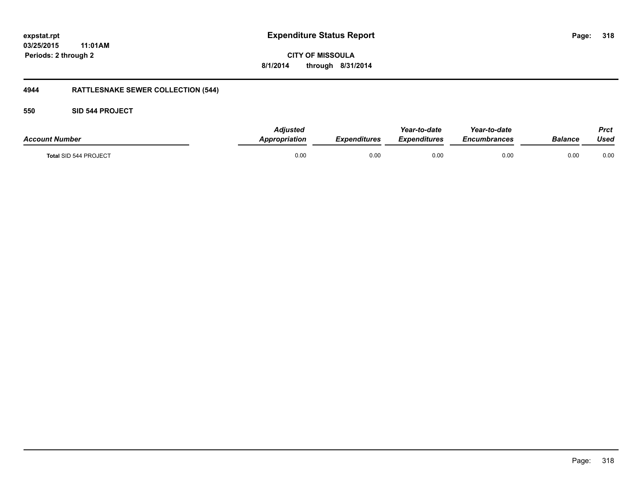**CITY OF MISSOULA 8/1/2014 through 8/31/2014**

# **4944 RATTLESNAKE SEWER COLLECTION (544)**

#### **550 SID 544 PROJECT**

| <b>Account Number</b> | <b>Adjusted</b><br><b>Appropriation</b> | <b>Expenditures</b> | Year-to-date<br><b>Expenditures</b> | Year-to-date<br><i><b>Encumbrances</b></i> | Balance | <b>Prct</b><br>Used |
|-----------------------|-----------------------------------------|---------------------|-------------------------------------|--------------------------------------------|---------|---------------------|
| Total SID 544 PROJECT | 0.00                                    | 0.00                | 0.00                                | 0.00                                       | 0.00    | 0.00                |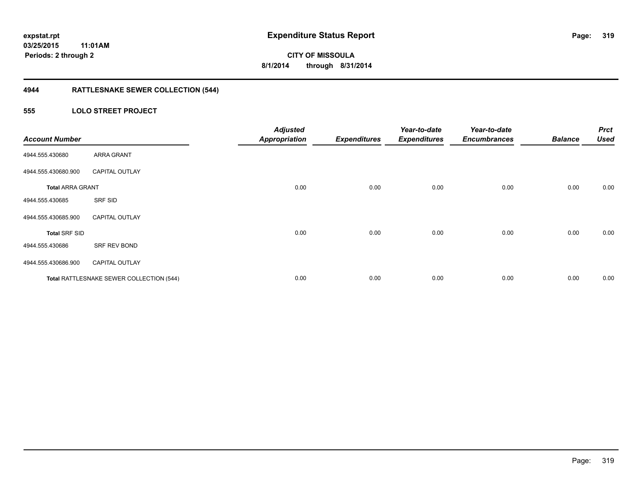# **4944 RATTLESNAKE SEWER COLLECTION (544)**

#### **555 LOLO STREET PROJECT**

| <b>Account Number</b>   |                                          | <b>Adjusted</b><br><b>Appropriation</b> | <b>Expenditures</b> | Year-to-date<br><b>Expenditures</b> | Year-to-date<br><b>Encumbrances</b> | <b>Balance</b> | <b>Prct</b><br><b>Used</b> |
|-------------------------|------------------------------------------|-----------------------------------------|---------------------|-------------------------------------|-------------------------------------|----------------|----------------------------|
| 4944.555.430680         | <b>ARRA GRANT</b>                        |                                         |                     |                                     |                                     |                |                            |
| 4944.555.430680.900     | <b>CAPITAL OUTLAY</b>                    |                                         |                     |                                     |                                     |                |                            |
| <b>Total ARRA GRANT</b> |                                          | 0.00                                    | 0.00                | 0.00                                | 0.00                                | 0.00           | 0.00                       |
| 4944.555.430685         | SRF SID                                  |                                         |                     |                                     |                                     |                |                            |
| 4944.555.430685.900     | <b>CAPITAL OUTLAY</b>                    |                                         |                     |                                     |                                     |                |                            |
| <b>Total SRF SID</b>    |                                          | 0.00                                    | 0.00                | 0.00                                | 0.00                                | 0.00           | 0.00                       |
| 4944.555.430686         | SRF REV BOND                             |                                         |                     |                                     |                                     |                |                            |
| 4944.555.430686.900     | <b>CAPITAL OUTLAY</b>                    |                                         |                     |                                     |                                     |                |                            |
|                         | Total RATTLESNAKE SEWER COLLECTION (544) | 0.00                                    | 0.00                | 0.00                                | 0.00                                | 0.00           | 0.00                       |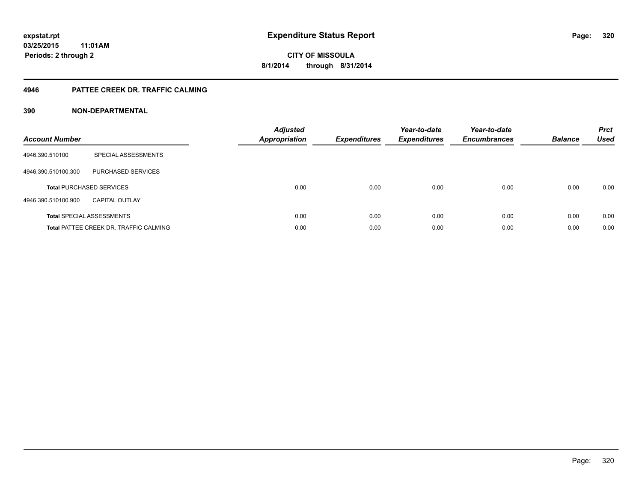#### **4946 PATTEE CREEK DR. TRAFFIC CALMING**

| <b>Account Number</b> |                                               | <b>Adjusted</b><br>Appropriation | <b>Expenditures</b> | Year-to-date<br><b>Expenditures</b> | Year-to-date<br><b>Encumbrances</b> | <b>Balance</b> | <b>Prct</b><br><b>Used</b> |
|-----------------------|-----------------------------------------------|----------------------------------|---------------------|-------------------------------------|-------------------------------------|----------------|----------------------------|
| 4946.390.510100       | SPECIAL ASSESSMENTS                           |                                  |                     |                                     |                                     |                |                            |
| 4946.390.510100.300   | PURCHASED SERVICES                            |                                  |                     |                                     |                                     |                |                            |
|                       | <b>Total PURCHASED SERVICES</b>               | 0.00                             | 0.00                | 0.00                                | 0.00                                | 0.00           | 0.00                       |
| 4946.390.510100.900   | <b>CAPITAL OUTLAY</b>                         |                                  |                     |                                     |                                     |                |                            |
|                       | <b>Total SPECIAL ASSESSMENTS</b>              | 0.00                             | 0.00                | 0.00                                | 0.00                                | 0.00           | 0.00                       |
|                       | <b>Total PATTEE CREEK DR. TRAFFIC CALMING</b> | 0.00                             | 0.00                | 0.00                                | 0.00                                | 0.00           | 0.00                       |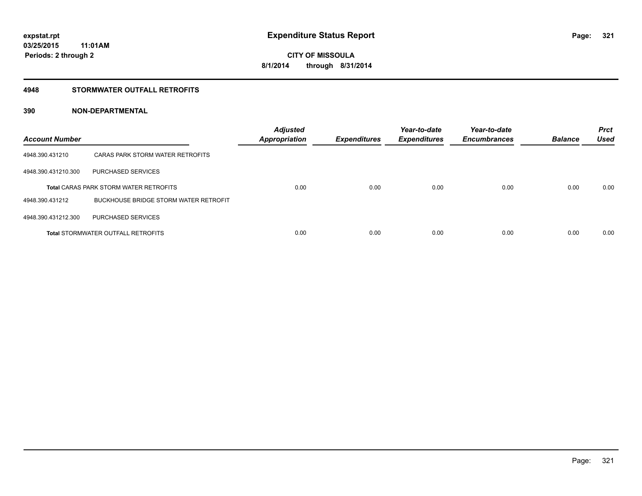#### **4948 STORMWATER OUTFALL RETROFITS**

| <b>Account Number</b> |                                               | <b>Adjusted</b><br><b>Appropriation</b> | <b>Expenditures</b> | Year-to-date<br><b>Expenditures</b> | Year-to-date<br><b>Encumbrances</b> | <b>Balance</b> | <b>Prct</b><br><b>Used</b> |
|-----------------------|-----------------------------------------------|-----------------------------------------|---------------------|-------------------------------------|-------------------------------------|----------------|----------------------------|
| 4948.390.431210       | CARAS PARK STORM WATER RETROFITS              |                                         |                     |                                     |                                     |                |                            |
| 4948.390.431210.300   | PURCHASED SERVICES                            |                                         |                     |                                     |                                     |                |                            |
|                       | <b>Total CARAS PARK STORM WATER RETROFITS</b> | 0.00                                    | 0.00                | 0.00                                | 0.00                                | 0.00           | 0.00                       |
| 4948.390.431212       | <b>BUCKHOUSE BRIDGE STORM WATER RETROFIT</b>  |                                         |                     |                                     |                                     |                |                            |
| 4948.390.431212.300   | PURCHASED SERVICES                            |                                         |                     |                                     |                                     |                |                            |
|                       | <b>Total STORMWATER OUTFALL RETROFITS</b>     | 0.00                                    | 0.00                | 0.00                                | 0.00                                | 0.00           | 0.00                       |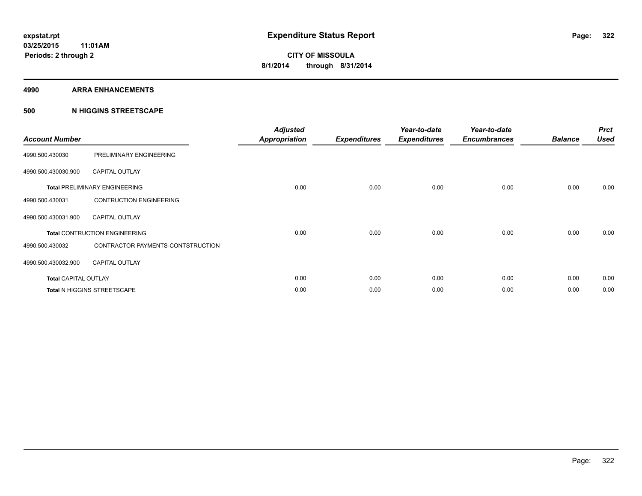#### **4990 ARRA ENHANCEMENTS**

#### **500 N HIGGINS STREETSCAPE**

| <b>Account Number</b>       |                                      | <b>Adjusted</b><br><b>Appropriation</b> | <b>Expenditures</b> | Year-to-date<br><b>Expenditures</b> | Year-to-date<br><b>Encumbrances</b> | <b>Balance</b> | <b>Prct</b><br><b>Used</b> |
|-----------------------------|--------------------------------------|-----------------------------------------|---------------------|-------------------------------------|-------------------------------------|----------------|----------------------------|
| 4990.500.430030             | PRELIMINARY ENGINEERING              |                                         |                     |                                     |                                     |                |                            |
| 4990.500.430030.900         | <b>CAPITAL OUTLAY</b>                |                                         |                     |                                     |                                     |                |                            |
|                             | <b>Total PRELIMINARY ENGINEERING</b> | 0.00                                    | 0.00                | 0.00                                | 0.00                                | 0.00           | 0.00                       |
| 4990.500.430031             | <b>CONTRUCTION ENGINEERING</b>       |                                         |                     |                                     |                                     |                |                            |
| 4990.500.430031.900         | <b>CAPITAL OUTLAY</b>                |                                         |                     |                                     |                                     |                |                            |
|                             | <b>Total CONTRUCTION ENGINEERING</b> | 0.00                                    | 0.00                | 0.00                                | 0.00                                | 0.00           | 0.00                       |
| 4990.500.430032             | CONTRACTOR PAYMENTS-CONTSTRUCTION    |                                         |                     |                                     |                                     |                |                            |
| 4990.500.430032.900         | <b>CAPITAL OUTLAY</b>                |                                         |                     |                                     |                                     |                |                            |
| <b>Total CAPITAL OUTLAY</b> |                                      | 0.00                                    | 0.00                | 0.00                                | 0.00                                | 0.00           | 0.00                       |
|                             | Total N HIGGINS STREETSCAPE          | 0.00                                    | 0.00                | 0.00                                | 0.00                                | 0.00           | 0.00                       |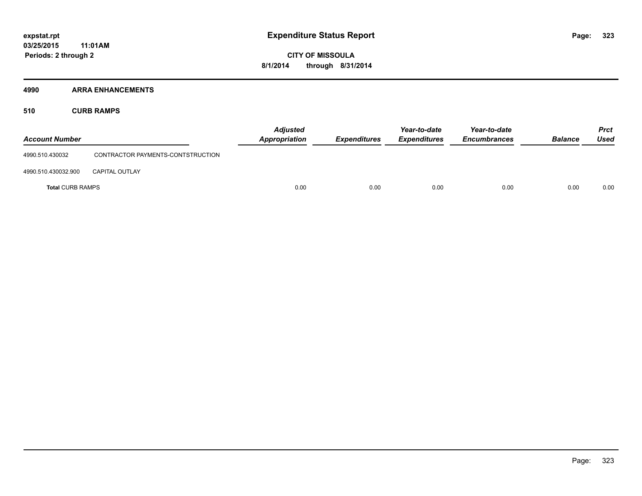#### **4990 ARRA ENHANCEMENTS**

#### **510 CURB RAMPS**

| <b>Account Number</b>   |                                   | <b>Adjusted</b><br>Appropriation | <b>Expenditures</b> | Year-to-date<br><b>Expenditures</b> | Year-to-date<br><b>Encumbrances</b> | <b>Balance</b> | <b>Prct</b><br>Used |
|-------------------------|-----------------------------------|----------------------------------|---------------------|-------------------------------------|-------------------------------------|----------------|---------------------|
| 4990.510.430032         | CONTRACTOR PAYMENTS-CONTSTRUCTION |                                  |                     |                                     |                                     |                |                     |
| 4990.510.430032.900     | <b>CAPITAL OUTLAY</b>             |                                  |                     |                                     |                                     |                |                     |
| <b>Total CURB RAMPS</b> |                                   | 0.00                             | 0.00                | 0.00                                | 0.00                                | 0.00           | 0.00                |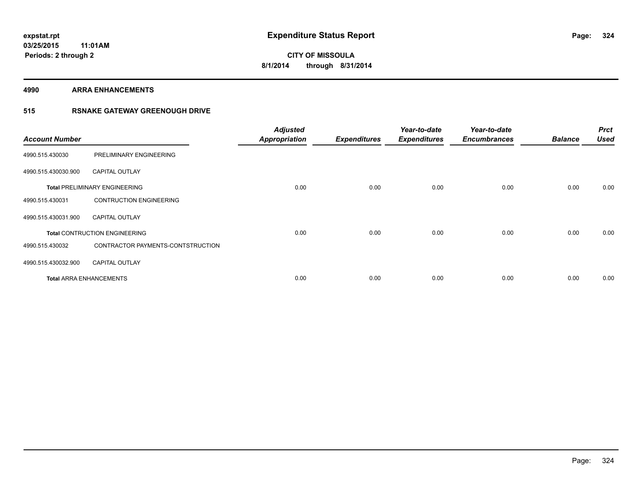**4990 ARRA ENHANCEMENTS**

#### **515 RSNAKE GATEWAY GREENOUGH DRIVE**

| <b>Account Number</b> |                                      | <b>Adjusted</b><br><b>Appropriation</b> | <b>Expenditures</b> | Year-to-date<br><b>Expenditures</b> | Year-to-date<br><b>Encumbrances</b> | <b>Balance</b> | <b>Prct</b><br><b>Used</b> |
|-----------------------|--------------------------------------|-----------------------------------------|---------------------|-------------------------------------|-------------------------------------|----------------|----------------------------|
| 4990.515.430030       | PRELIMINARY ENGINEERING              |                                         |                     |                                     |                                     |                |                            |
| 4990.515.430030.900   | <b>CAPITAL OUTLAY</b>                |                                         |                     |                                     |                                     |                |                            |
|                       | <b>Total PRELIMINARY ENGINEERING</b> | 0.00                                    | 0.00                | 0.00                                | 0.00                                | 0.00           | 0.00                       |
| 4990.515.430031       | <b>CONTRUCTION ENGINEERING</b>       |                                         |                     |                                     |                                     |                |                            |
| 4990.515.430031.900   | <b>CAPITAL OUTLAY</b>                |                                         |                     |                                     |                                     |                |                            |
|                       | <b>Total CONTRUCTION ENGINEERING</b> | 0.00                                    | 0.00                | 0.00                                | 0.00                                | 0.00           | 0.00                       |
| 4990.515.430032       | CONTRACTOR PAYMENTS-CONTSTRUCTION    |                                         |                     |                                     |                                     |                |                            |
| 4990.515.430032.900   | <b>CAPITAL OUTLAY</b>                |                                         |                     |                                     |                                     |                |                            |
|                       | <b>Total ARRA ENHANCEMENTS</b>       | 0.00                                    | 0.00                | 0.00                                | 0.00                                | 0.00           | 0.00                       |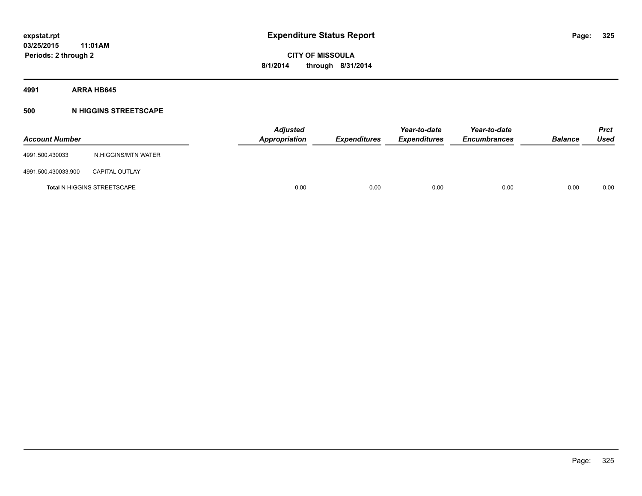**4991 ARRA HB645**

# **500 N HIGGINS STREETSCAPE**

| <b>Account Number</b> |                                    | <b>Adjusted</b><br>Appropriation | <b>Expenditures</b> | Year-to-date<br><b>Expenditures</b> | Year-to-date<br><b>Encumbrances</b> | <b>Balance</b> | Prct<br><b>Used</b> |
|-----------------------|------------------------------------|----------------------------------|---------------------|-------------------------------------|-------------------------------------|----------------|---------------------|
| 4991.500.430033       | N.HIGGINS/MTN WATER                |                                  |                     |                                     |                                     |                |                     |
| 4991.500.430033.900   | <b>CAPITAL OUTLAY</b>              |                                  |                     |                                     |                                     |                |                     |
|                       | <b>Total N HIGGINS STREETSCAPE</b> | 0.00                             | 0.00                | 0.00                                | 0.00                                | 0.00           | 0.00                |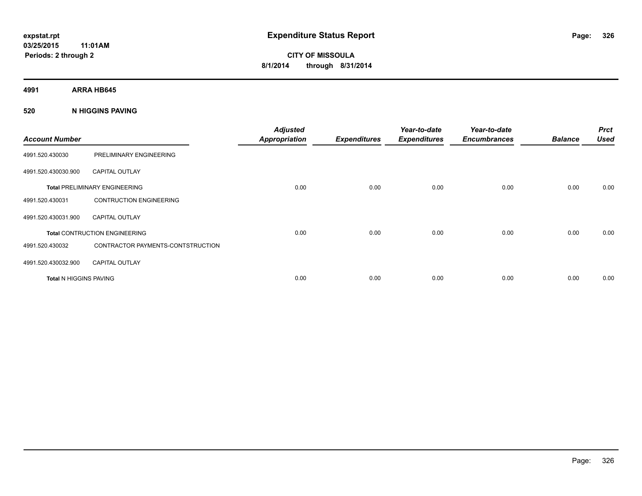**4991 ARRA HB645**

# **520 N HIGGINS PAVING**

| <b>Account Number</b>         |                                      | <b>Adjusted</b><br><b>Appropriation</b> | <b>Expenditures</b> | Year-to-date<br><b>Expenditures</b> | Year-to-date<br><b>Encumbrances</b> | <b>Balance</b> | <b>Prct</b><br><b>Used</b> |
|-------------------------------|--------------------------------------|-----------------------------------------|---------------------|-------------------------------------|-------------------------------------|----------------|----------------------------|
| 4991.520.430030               | PRELIMINARY ENGINEERING              |                                         |                     |                                     |                                     |                |                            |
| 4991.520.430030.900           | <b>CAPITAL OUTLAY</b>                |                                         |                     |                                     |                                     |                |                            |
|                               | <b>Total PRELIMINARY ENGINEERING</b> | 0.00                                    | 0.00                | 0.00                                | 0.00                                | 0.00           | 0.00                       |
| 4991.520.430031               | <b>CONTRUCTION ENGINEERING</b>       |                                         |                     |                                     |                                     |                |                            |
| 4991.520.430031.900           | <b>CAPITAL OUTLAY</b>                |                                         |                     |                                     |                                     |                |                            |
|                               | <b>Total CONTRUCTION ENGINEERING</b> | 0.00                                    | 0.00                | 0.00                                | 0.00                                | 0.00           | 0.00                       |
| 4991.520.430032               | CONTRACTOR PAYMENTS-CONTSTRUCTION    |                                         |                     |                                     |                                     |                |                            |
| 4991.520.430032.900           | <b>CAPITAL OUTLAY</b>                |                                         |                     |                                     |                                     |                |                            |
| <b>Total N HIGGINS PAVING</b> |                                      | 0.00                                    | 0.00                | 0.00                                | 0.00                                | 0.00           | 0.00                       |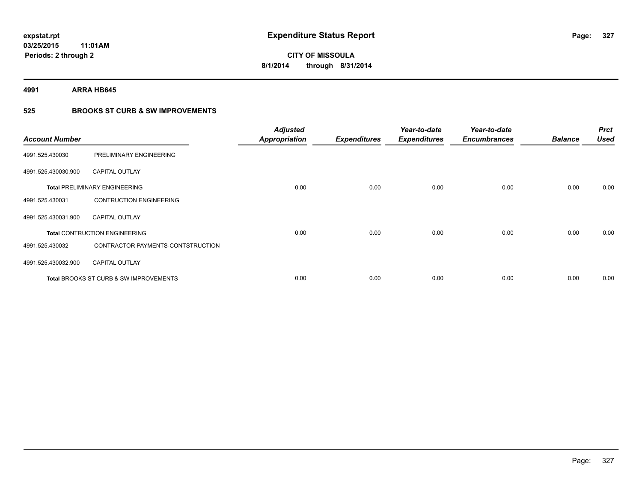**4991 ARRA HB645**

# **525 BROOKS ST CURB & SW IMPROVEMENTS**

| <b>Account Number</b> |                                                   | <b>Adjusted</b><br><b>Appropriation</b> | <b>Expenditures</b> | Year-to-date<br><b>Expenditures</b> | Year-to-date<br><b>Encumbrances</b> | <b>Balance</b> | <b>Prct</b><br><b>Used</b> |
|-----------------------|---------------------------------------------------|-----------------------------------------|---------------------|-------------------------------------|-------------------------------------|----------------|----------------------------|
| 4991.525.430030       | PRELIMINARY ENGINEERING                           |                                         |                     |                                     |                                     |                |                            |
| 4991.525.430030.900   | <b>CAPITAL OUTLAY</b>                             |                                         |                     |                                     |                                     |                |                            |
|                       | <b>Total PRELIMINARY ENGINEERING</b>              | 0.00                                    | 0.00                | 0.00                                | 0.00                                | 0.00           | 0.00                       |
| 4991.525.430031       | <b>CONTRUCTION ENGINEERING</b>                    |                                         |                     |                                     |                                     |                |                            |
| 4991.525.430031.900   | <b>CAPITAL OUTLAY</b>                             |                                         |                     |                                     |                                     |                |                            |
|                       | <b>Total CONTRUCTION ENGINEERING</b>              | 0.00                                    | 0.00                | 0.00                                | 0.00                                | 0.00           | 0.00                       |
| 4991.525.430032       | CONTRACTOR PAYMENTS-CONTSTRUCTION                 |                                         |                     |                                     |                                     |                |                            |
| 4991.525.430032.900   | <b>CAPITAL OUTLAY</b>                             |                                         |                     |                                     |                                     |                |                            |
|                       | <b>Total BROOKS ST CURB &amp; SW IMPROVEMENTS</b> | 0.00                                    | 0.00                | 0.00                                | 0.00                                | 0.00           | 0.00                       |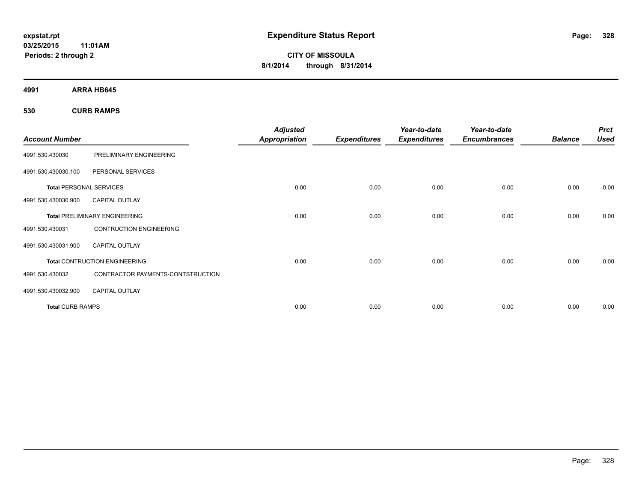**CITY OF MISSOULA 8/1/2014 through 8/31/2014**

**4991 ARRA HB645**

**530 CURB RAMPS**

| <b>Account Number</b>          |                                      | <b>Adjusted</b><br><b>Appropriation</b> | <b>Expenditures</b> | Year-to-date<br><b>Expenditures</b> | Year-to-date<br><b>Encumbrances</b> | <b>Balance</b> | <b>Prct</b><br><b>Used</b> |
|--------------------------------|--------------------------------------|-----------------------------------------|---------------------|-------------------------------------|-------------------------------------|----------------|----------------------------|
| 4991.530.430030                | PRELIMINARY ENGINEERING              |                                         |                     |                                     |                                     |                |                            |
| 4991.530.430030.100            | PERSONAL SERVICES                    |                                         |                     |                                     |                                     |                |                            |
| <b>Total PERSONAL SERVICES</b> |                                      | 0.00                                    | 0.00                | 0.00                                | 0.00                                | 0.00           | 0.00                       |
| 4991.530.430030.900            | <b>CAPITAL OUTLAY</b>                |                                         |                     |                                     |                                     |                |                            |
|                                | <b>Total PRELIMINARY ENGINEERING</b> | 0.00                                    | 0.00                | 0.00                                | 0.00                                | 0.00           | 0.00                       |
| 4991.530.430031                | <b>CONTRUCTION ENGINEERING</b>       |                                         |                     |                                     |                                     |                |                            |
| 4991.530.430031.900            | <b>CAPITAL OUTLAY</b>                |                                         |                     |                                     |                                     |                |                            |
|                                | <b>Total CONTRUCTION ENGINEERING</b> | 0.00                                    | 0.00                | 0.00                                | 0.00                                | 0.00           | 0.00                       |
| 4991.530.430032                | CONTRACTOR PAYMENTS-CONTSTRUCTION    |                                         |                     |                                     |                                     |                |                            |
| 4991.530.430032.900            | <b>CAPITAL OUTLAY</b>                |                                         |                     |                                     |                                     |                |                            |
| <b>Total CURB RAMPS</b>        |                                      | 0.00                                    | 0.00                | 0.00                                | 0.00                                | 0.00           | 0.00                       |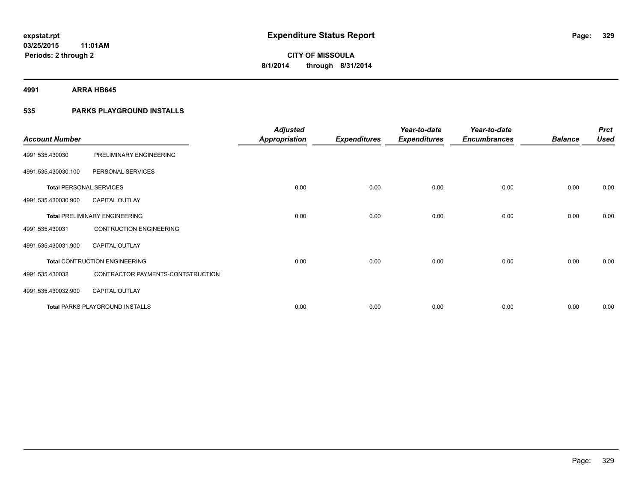**4991 ARRA HB645**

# **535 PARKS PLAYGROUND INSTALLS**

| <b>Account Number</b>          |                                        | <b>Adjusted</b><br><b>Appropriation</b> | <b>Expenditures</b> | Year-to-date<br><b>Expenditures</b> | Year-to-date<br><b>Encumbrances</b> | <b>Balance</b> | <b>Prct</b><br><b>Used</b> |
|--------------------------------|----------------------------------------|-----------------------------------------|---------------------|-------------------------------------|-------------------------------------|----------------|----------------------------|
| 4991.535.430030                | PRELIMINARY ENGINEERING                |                                         |                     |                                     |                                     |                |                            |
| 4991.535.430030.100            | PERSONAL SERVICES                      |                                         |                     |                                     |                                     |                |                            |
| <b>Total PERSONAL SERVICES</b> |                                        | 0.00                                    | 0.00                | 0.00                                | 0.00                                | 0.00           | 0.00                       |
| 4991.535.430030.900            | <b>CAPITAL OUTLAY</b>                  |                                         |                     |                                     |                                     |                |                            |
|                                | <b>Total PRELIMINARY ENGINEERING</b>   | 0.00                                    | 0.00                | 0.00                                | 0.00                                | 0.00           | 0.00                       |
| 4991.535.430031                | <b>CONTRUCTION ENGINEERING</b>         |                                         |                     |                                     |                                     |                |                            |
| 4991.535.430031.900            | <b>CAPITAL OUTLAY</b>                  |                                         |                     |                                     |                                     |                |                            |
|                                | <b>Total CONTRUCTION ENGINEERING</b>   | 0.00                                    | 0.00                | 0.00                                | 0.00                                | 0.00           | 0.00                       |
| 4991.535.430032                | CONTRACTOR PAYMENTS-CONTSTRUCTION      |                                         |                     |                                     |                                     |                |                            |
| 4991.535.430032.900            | <b>CAPITAL OUTLAY</b>                  |                                         |                     |                                     |                                     |                |                            |
|                                | <b>Total PARKS PLAYGROUND INSTALLS</b> | 0.00                                    | 0.00                | 0.00                                | 0.00                                | 0.00           | 0.00                       |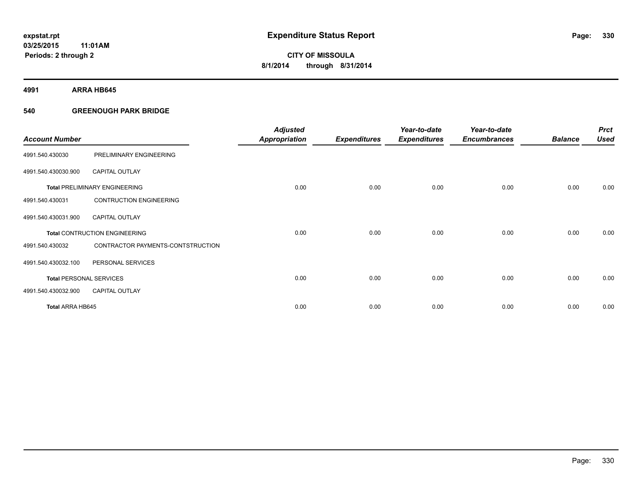**4991 ARRA HB645**

# **540 GREENOUGH PARK BRIDGE**

| <b>Account Number</b>          |                                      | <b>Adjusted</b><br><b>Appropriation</b> | <b>Expenditures</b> | Year-to-date<br><b>Expenditures</b> | Year-to-date<br><b>Encumbrances</b> | <b>Balance</b> | <b>Prct</b><br><b>Used</b> |
|--------------------------------|--------------------------------------|-----------------------------------------|---------------------|-------------------------------------|-------------------------------------|----------------|----------------------------|
| 4991.540.430030                | PRELIMINARY ENGINEERING              |                                         |                     |                                     |                                     |                |                            |
| 4991.540.430030.900            | <b>CAPITAL OUTLAY</b>                |                                         |                     |                                     |                                     |                |                            |
|                                | <b>Total PRELIMINARY ENGINEERING</b> | 0.00                                    | 0.00                | 0.00                                | 0.00                                | 0.00           | 0.00                       |
| 4991.540.430031                | <b>CONTRUCTION ENGINEERING</b>       |                                         |                     |                                     |                                     |                |                            |
| 4991.540.430031.900            | <b>CAPITAL OUTLAY</b>                |                                         |                     |                                     |                                     |                |                            |
|                                | <b>Total CONTRUCTION ENGINEERING</b> | 0.00                                    | 0.00                | 0.00                                | 0.00                                | 0.00           | 0.00                       |
| 4991.540.430032                | CONTRACTOR PAYMENTS-CONTSTRUCTION    |                                         |                     |                                     |                                     |                |                            |
| 4991.540.430032.100            | PERSONAL SERVICES                    |                                         |                     |                                     |                                     |                |                            |
| <b>Total PERSONAL SERVICES</b> |                                      | 0.00                                    | 0.00                | 0.00                                | 0.00                                | 0.00           | 0.00                       |
| 4991.540.430032.900            | <b>CAPITAL OUTLAY</b>                |                                         |                     |                                     |                                     |                |                            |
| <b>Total ARRA HB645</b>        |                                      | 0.00                                    | 0.00                | 0.00                                | 0.00                                | 0.00           | 0.00                       |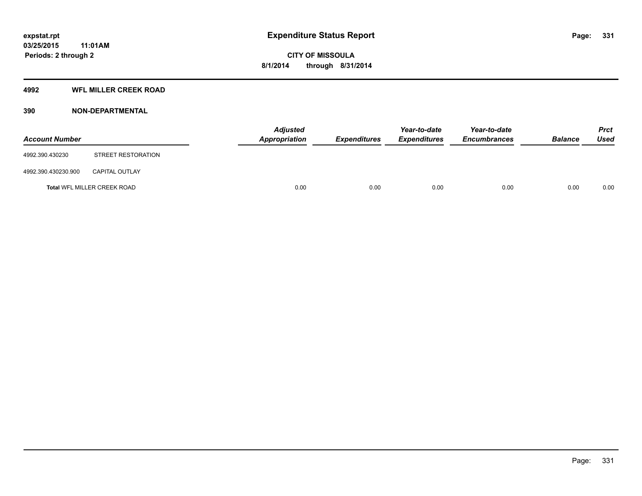# **4992 WFL MILLER CREEK ROAD**

# **390 NON-DEPARTMENTAL**

| <b>Account Number</b> |                             | Adjusted<br><b>Appropriation</b> | <b>Expenditures</b> | Year-to-date<br><b>Expenditures</b> | Year-to-date<br><b>Encumbrances</b> | <b>Balance</b> | <b>Prct</b><br><b>Used</b> |
|-----------------------|-----------------------------|----------------------------------|---------------------|-------------------------------------|-------------------------------------|----------------|----------------------------|
| 4992.390.430230       | STREET RESTORATION          |                                  |                     |                                     |                                     |                |                            |
| 4992.390.430230.900   | <b>CAPITAL OUTLAY</b>       |                                  |                     |                                     |                                     |                |                            |
|                       | Total WFL MILLER CREEK ROAD | 0.00                             | 0.00                | 0.00                                | 0.00                                | 0.00           | 0.00                       |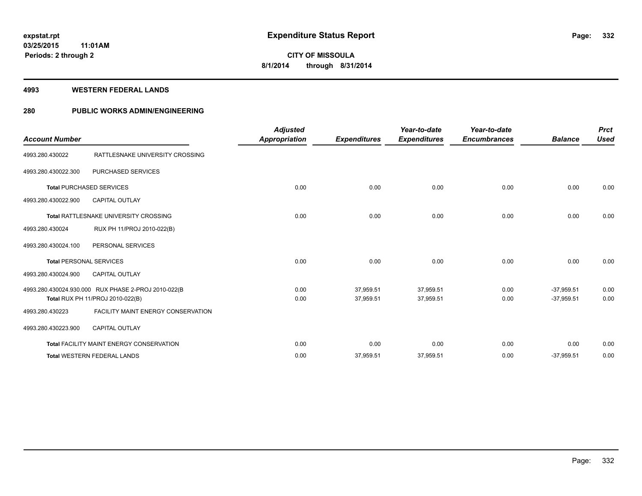### **4993 WESTERN FEDERAL LANDS**

# **280 PUBLIC WORKS ADMIN/ENGINEERING**

| <b>Account Number</b>          |                                                                                         | <b>Adjusted</b><br>Appropriation | <b>Expenditures</b>    | Year-to-date<br><b>Expenditures</b> | Year-to-date<br><b>Encumbrances</b> | <b>Balance</b>               | <b>Prct</b><br><b>Used</b> |
|--------------------------------|-----------------------------------------------------------------------------------------|----------------------------------|------------------------|-------------------------------------|-------------------------------------|------------------------------|----------------------------|
| 4993.280.430022                | RATTLESNAKE UNIVERSITY CROSSING                                                         |                                  |                        |                                     |                                     |                              |                            |
| 4993.280.430022.300            | <b>PURCHASED SERVICES</b>                                                               |                                  |                        |                                     |                                     |                              |                            |
|                                | <b>Total PURCHASED SERVICES</b>                                                         | 0.00                             | 0.00                   | 0.00                                | 0.00                                | 0.00                         | 0.00                       |
| 4993.280.430022.900            | <b>CAPITAL OUTLAY</b>                                                                   |                                  |                        |                                     |                                     |                              |                            |
|                                | Total RATTLESNAKE UNIVERSITY CROSSING                                                   | 0.00                             | 0.00                   | 0.00                                | 0.00                                | 0.00                         | 0.00                       |
| 4993.280.430024                | RUX PH 11/PROJ 2010-022(B)                                                              |                                  |                        |                                     |                                     |                              |                            |
| 4993.280.430024.100            | PERSONAL SERVICES                                                                       |                                  |                        |                                     |                                     |                              |                            |
| <b>Total PERSONAL SERVICES</b> |                                                                                         | 0.00                             | 0.00                   | 0.00                                | 0.00                                | 0.00                         | 0.00                       |
| 4993.280.430024.900            | <b>CAPITAL OUTLAY</b>                                                                   |                                  |                        |                                     |                                     |                              |                            |
|                                | 4993.280.430024.930.000 RUX PHASE 2-PROJ 2010-022(B<br>Total RUX PH 11/PROJ 2010-022(B) | 0.00<br>0.00                     | 37,959.51<br>37,959.51 | 37,959.51<br>37,959.51              | 0.00<br>0.00                        | $-37,959.51$<br>$-37,959.51$ | 0.00<br>0.00               |
| 4993.280.430223                | <b>FACILITY MAINT ENERGY CONSERVATION</b>                                               |                                  |                        |                                     |                                     |                              |                            |
| 4993.280.430223.900            | <b>CAPITAL OUTLAY</b>                                                                   |                                  |                        |                                     |                                     |                              |                            |
|                                | <b>Total FACILITY MAINT ENERGY CONSERVATION</b>                                         | 0.00                             | 0.00                   | 0.00                                | 0.00                                | 0.00                         | 0.00                       |
|                                | <b>Total WESTERN FEDERAL LANDS</b>                                                      | 0.00                             | 37,959.51              | 37,959.51                           | 0.00                                | $-37,959.51$                 | 0.00                       |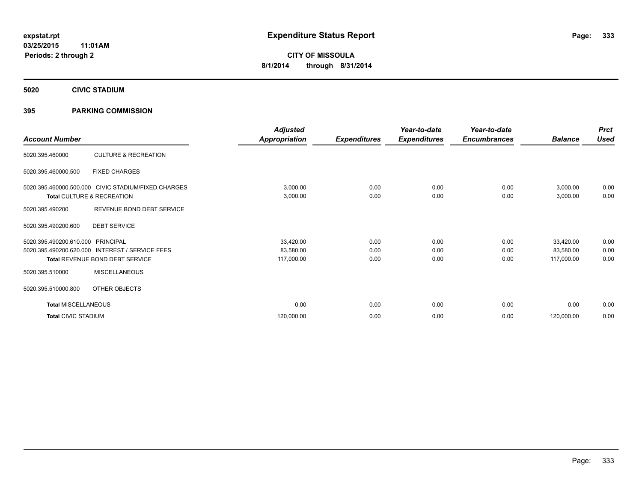**5020 CIVIC STADIUM**

# **395 PARKING COMMISSION**

| <b>Account Number</b>      |                                                     | <b>Adjusted</b><br><b>Appropriation</b> | <b>Expenditures</b> | Year-to-date<br><b>Expenditures</b> | Year-to-date<br><b>Encumbrances</b> | <b>Balance</b> | <b>Prct</b><br><b>Used</b> |
|----------------------------|-----------------------------------------------------|-----------------------------------------|---------------------|-------------------------------------|-------------------------------------|----------------|----------------------------|
|                            |                                                     |                                         |                     |                                     |                                     |                |                            |
| 5020.395.460000            | <b>CULTURE &amp; RECREATION</b>                     |                                         |                     |                                     |                                     |                |                            |
| 5020.395.460000.500        | <b>FIXED CHARGES</b>                                |                                         |                     |                                     |                                     |                |                            |
|                            | 5020.395.460000.500.000 CIVIC STADIUM/FIXED CHARGES | 3,000.00                                | 0.00                | 0.00                                | 0.00                                | 3,000.00       | 0.00                       |
|                            | Total CULTURE & RECREATION                          | 3,000.00                                | 0.00                | 0.00                                | 0.00                                | 3,000.00       | 0.00                       |
| 5020.395.490200            | REVENUE BOND DEBT SERVICE                           |                                         |                     |                                     |                                     |                |                            |
| 5020.395.490200.600        | <b>DEBT SERVICE</b>                                 |                                         |                     |                                     |                                     |                |                            |
| 5020.395.490200.610.000    | PRINCIPAL                                           | 33,420.00                               | 0.00                | 0.00                                | 0.00                                | 33,420.00      | 0.00                       |
| 5020.395.490200.620.000    | <b>INTEREST / SERVICE FEES</b>                      | 83,580.00                               | 0.00                | 0.00                                | 0.00                                | 83,580.00      | 0.00                       |
|                            | Total REVENUE BOND DEBT SERVICE                     | 117,000.00                              | 0.00                | 0.00                                | 0.00                                | 117,000.00     | 0.00                       |
| 5020.395.510000            | <b>MISCELLANEOUS</b>                                |                                         |                     |                                     |                                     |                |                            |
| 5020.395.510000.800        | OTHER OBJECTS                                       |                                         |                     |                                     |                                     |                |                            |
| <b>Total MISCELLANEOUS</b> |                                                     | 0.00                                    | 0.00                | 0.00                                | 0.00                                | 0.00           | 0.00                       |
| <b>Total CIVIC STADIUM</b> |                                                     | 120,000.00                              | 0.00                | 0.00                                | 0.00                                | 120,000.00     | 0.00                       |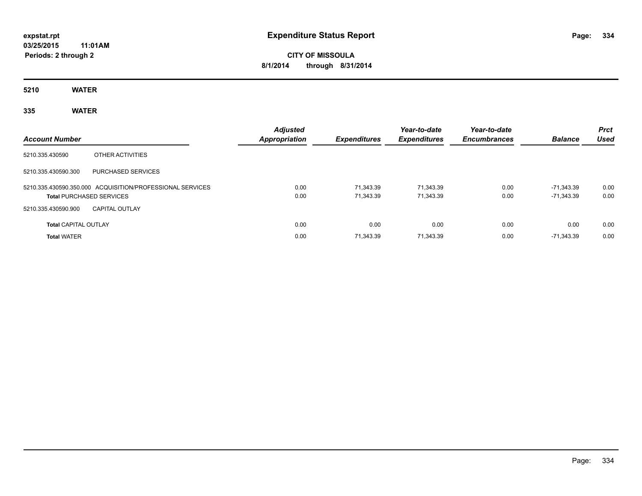# **CITY OF MISSOULA 8/1/2014 through 8/31/2014**

**5210 WATER**

# **335 WATER**

| <b>Account Number</b>           |                                                           | <b>Adjusted</b><br><b>Appropriation</b> | <b>Expenditures</b>    | Year-to-date<br><b>Expenditures</b> | Year-to-date<br><b>Encumbrances</b> | <b>Balance</b>           | <b>Prct</b><br><b>Used</b> |
|---------------------------------|-----------------------------------------------------------|-----------------------------------------|------------------------|-------------------------------------|-------------------------------------|--------------------------|----------------------------|
| 5210.335.430590                 | OTHER ACTIVITIES                                          |                                         |                        |                                     |                                     |                          |                            |
| 5210.335.430590.300             | <b>PURCHASED SERVICES</b>                                 |                                         |                        |                                     |                                     |                          |                            |
| <b>Total PURCHASED SERVICES</b> | 5210.335.430590.350.000 ACQUISITION/PROFESSIONAL SERVICES | 0.00<br>0.00                            | 71.343.39<br>71,343.39 | 71.343.39<br>71,343.39              | 0.00<br>0.00                        | -71.343.39<br>-71,343.39 | 0.00<br>0.00               |
| 5210.335.430590.900             | <b>CAPITAL OUTLAY</b>                                     |                                         |                        |                                     |                                     |                          |                            |
| <b>Total CAPITAL OUTLAY</b>     |                                                           | 0.00                                    | 0.00                   | 0.00                                | 0.00                                | 0.00                     | 0.00                       |
| <b>Total WATER</b>              |                                                           | 0.00                                    | 71,343.39              | 71,343.39                           | 0.00                                | -71.343.39               | 0.00                       |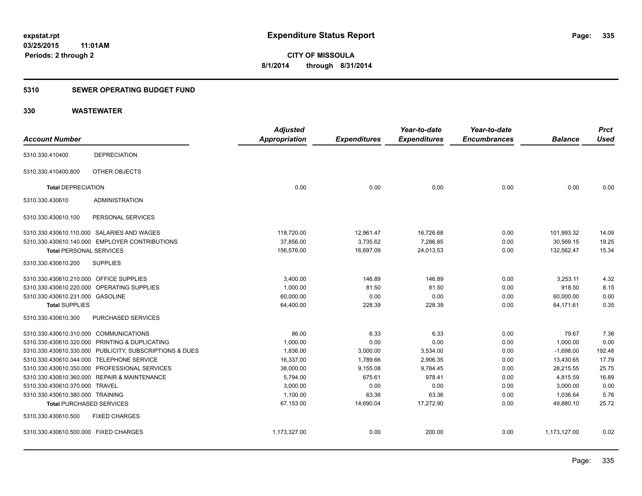# **5310 SEWER OPERATING BUDGET FUND**

|                                         |                                                         | <b>Adjusted</b>      |                     | Year-to-date        | Year-to-date        |                | <b>Prct</b> |
|-----------------------------------------|---------------------------------------------------------|----------------------|---------------------|---------------------|---------------------|----------------|-------------|
| <b>Account Number</b>                   |                                                         | <b>Appropriation</b> | <b>Expenditures</b> | <b>Expenditures</b> | <b>Encumbrances</b> | <b>Balance</b> | <b>Used</b> |
| 5310.330.410400                         | <b>DEPRECIATION</b>                                     |                      |                     |                     |                     |                |             |
| 5310.330.410400.800                     | OTHER OBJECTS                                           |                      |                     |                     |                     |                |             |
| <b>Total DEPRECIATION</b>               |                                                         | 0.00                 | 0.00                | 0.00                | 0.00                | 0.00           | 0.00        |
| 5310.330.430610                         | <b>ADMINISTRATION</b>                                   |                      |                     |                     |                     |                |             |
| 5310.330.430610.100                     | PERSONAL SERVICES                                       |                      |                     |                     |                     |                |             |
|                                         | 5310.330.430610.110.000 SALARIES AND WAGES              | 118,720.00           | 12,961.47           | 16,726.68           | 0.00                | 101,993.32     | 14.09       |
|                                         | 5310.330.430610.140.000 EMPLOYER CONTRIBUTIONS          | 37,856.00            | 3,735.62            | 7,286.85            | 0.00                | 30,569.15      | 19.25       |
| <b>Total PERSONAL SERVICES</b>          |                                                         | 156,576.00           | 16,697.09           | 24,013.53           | 0.00                | 132,562.47     | 15.34       |
| 5310.330.430610.200                     | <b>SUPPLIES</b>                                         |                      |                     |                     |                     |                |             |
| 5310.330.430610.210.000 OFFICE SUPPLIES |                                                         | 3,400.00             | 146.89              | 146.89              | 0.00                | 3,253.11       | 4.32        |
|                                         | 5310.330.430610.220.000 OPERATING SUPPLIES              | 1,000.00             | 81.50               | 81.50               | 0.00                | 918.50         | 8.15        |
| 5310.330.430610.231.000 GASOLINE        |                                                         | 60,000.00            | 0.00                | 0.00                | 0.00                | 60,000.00      | 0.00        |
| <b>Total SUPPLIES</b>                   |                                                         | 64,400.00            | 228.39              | 228.39              | 0.00                | 64,171.61      | 0.35        |
| 5310.330.430610.300                     | PURCHASED SERVICES                                      |                      |                     |                     |                     |                |             |
| 5310.330.430610.310.000 COMMUNICATIONS  |                                                         | 86.00                | 6.33                | 6.33                | 0.00                | 79.67          | 7.36        |
|                                         | 5310.330.430610.320.000 PRINTING & DUPLICATING          | 1,000.00             | 0.00                | 0.00                | 0.00                | 1,000.00       | 0.00        |
|                                         | 5310.330.430610.330.000 PUBLICITY, SUBSCRIPTIONS & DUES | 1,836.00             | 3,000.00            | 3,534.00            | 0.00                | $-1,698.00$    | 192.48      |
|                                         | 5310.330.430610.344.000 TELEPHONE SERVICE               | 16,337.00            | 1,789.66            | 2,906.35            | 0.00                | 13,430.65      | 17.79       |
|                                         | 5310.330.430610.350.000 PROFESSIONAL SERVICES           | 38,000.00            | 9,155.08            | 9,784.45            | 0.00                | 28,215.55      | 25.75       |
|                                         | 5310.330.430610.360.000 REPAIR & MAINTENANCE            | 5,794.00             | 675.61              | 978.41              | 0.00                | 4,815.59       | 16.89       |
| 5310.330.430610.370.000 TRAVEL          |                                                         | 3,000.00             | 0.00                | 0.00                | 0.00                | 3,000.00       | 0.00        |
| 5310.330.430610.380.000 TRAINING        |                                                         | 1,100.00             | 63.36               | 63.36               | 0.00                | 1,036.64       | 5.76        |
| <b>Total PURCHASED SERVICES</b>         |                                                         | 67,153.00            | 14,690.04           | 17,272.90           | 0.00                | 49,880.10      | 25.72       |
| 5310.330.430610.500                     | <b>FIXED CHARGES</b>                                    |                      |                     |                     |                     |                |             |
| 5310.330.430610.500.000 FIXED CHARGES   |                                                         | 1,173,327.00         | 0.00                | 200.00              | 0.00                | 1,173,127.00   | 0.02        |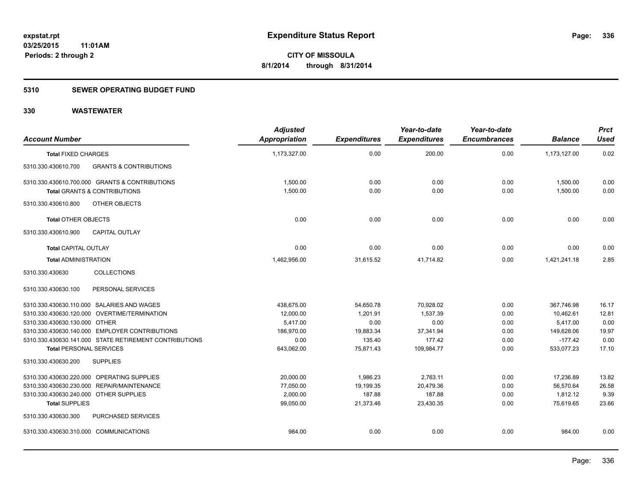# **5310 SEWER OPERATING BUDGET FUND**

| <b>Account Number</b>                      |                                                        | <b>Adjusted</b><br><b>Appropriation</b> | <b>Expenditures</b> | Year-to-date<br><b>Expenditures</b> | Year-to-date<br><b>Encumbrances</b> | <b>Balance</b> | <b>Prct</b><br><b>Used</b> |
|--------------------------------------------|--------------------------------------------------------|-----------------------------------------|---------------------|-------------------------------------|-------------------------------------|----------------|----------------------------|
| <b>Total FIXED CHARGES</b>                 |                                                        | 1,173,327.00                            | 0.00                | 200.00                              | 0.00                                | 1,173,127.00   | 0.02                       |
| 5310.330.430610.700                        | <b>GRANTS &amp; CONTRIBUTIONS</b>                      |                                         |                     |                                     |                                     |                |                            |
|                                            | 5310.330.430610.700.000 GRANTS & CONTRIBUTIONS         | 1,500.00                                | 0.00                | 0.00                                | 0.00                                | 1,500.00       | 0.00                       |
|                                            | <b>Total GRANTS &amp; CONTRIBUTIONS</b>                | 1,500.00                                | 0.00                | 0.00                                | 0.00                                | 1,500.00       | 0.00                       |
| 5310.330.430610.800                        | OTHER OBJECTS                                          |                                         |                     |                                     |                                     |                |                            |
| <b>Total OTHER OBJECTS</b>                 |                                                        | 0.00                                    | 0.00                | 0.00                                | 0.00                                | 0.00           | 0.00                       |
| 5310.330.430610.900                        | <b>CAPITAL OUTLAY</b>                                  |                                         |                     |                                     |                                     |                |                            |
| <b>Total CAPITAL OUTLAY</b>                |                                                        | 0.00                                    | 0.00                | 0.00                                | 0.00                                | 0.00           | 0.00                       |
| <b>Total ADMINISTRATION</b>                |                                                        | 1,462,956.00                            | 31,615.52           | 41,714.82                           | 0.00                                | 1,421,241.18   | 2.85                       |
| 5310.330.430630                            | <b>COLLECTIONS</b>                                     |                                         |                     |                                     |                                     |                |                            |
| 5310.330.430630.100                        | PERSONAL SERVICES                                      |                                         |                     |                                     |                                     |                |                            |
| 5310.330.430630.110.000 SALARIES AND WAGES |                                                        | 438.675.00                              | 54,650.78           | 70,928.02                           | 0.00                                | 367.746.98     | 16.17                      |
|                                            | 5310.330.430630.120.000 OVERTIME/TERMINATION           | 12,000.00                               | 1,201.91            | 1.537.39                            | 0.00                                | 10,462.61      | 12.81                      |
| 5310.330.430630.130.000 OTHER              |                                                        | 5,417.00                                | 0.00                | 0.00                                | 0.00                                | 5,417.00       | 0.00                       |
|                                            | 5310.330.430630.140.000 EMPLOYER CONTRIBUTIONS         | 186,970.00                              | 19,883.34           | 37,341.94                           | 0.00                                | 149,628.06     | 19.97                      |
|                                            | 5310.330.430630.141.000 STATE RETIREMENT CONTRIBUTIONS | 0.00                                    | 135.40              | 177.42                              | 0.00                                | $-177.42$      | 0.00                       |
| <b>Total PERSONAL SERVICES</b>             |                                                        | 643,062.00                              | 75,871.43           | 109,984.77                          | 0.00                                | 533,077.23     | 17.10                      |
| 5310.330.430630.200                        | <b>SUPPLIES</b>                                        |                                         |                     |                                     |                                     |                |                            |
| 5310.330.430630.220.000 OPERATING SUPPLIES |                                                        | 20,000.00                               | 1,986.23            | 2,763.11                            | 0.00                                | 17,236.89      | 13.82                      |
| 5310.330.430630.230.000 REPAIR/MAINTENANCE |                                                        | 77,050.00                               | 19,199.35           | 20,479.36                           | 0.00                                | 56,570.64      | 26.58                      |
| 5310.330.430630.240.000 OTHER SUPPLIES     |                                                        | 2,000.00                                | 187.88              | 187.88                              | 0.00                                | 1,812.12       | 9.39                       |
| <b>Total SUPPLIES</b>                      |                                                        | 99,050.00                               | 21,373.46           | 23,430.35                           | 0.00                                | 75.619.65      | 23.66                      |
| 5310.330.430630.300                        | PURCHASED SERVICES                                     |                                         |                     |                                     |                                     |                |                            |
| 5310.330.430630.310.000 COMMUNICATIONS     |                                                        | 984.00                                  | 0.00                | 0.00                                | 0.00                                | 984.00         | 0.00                       |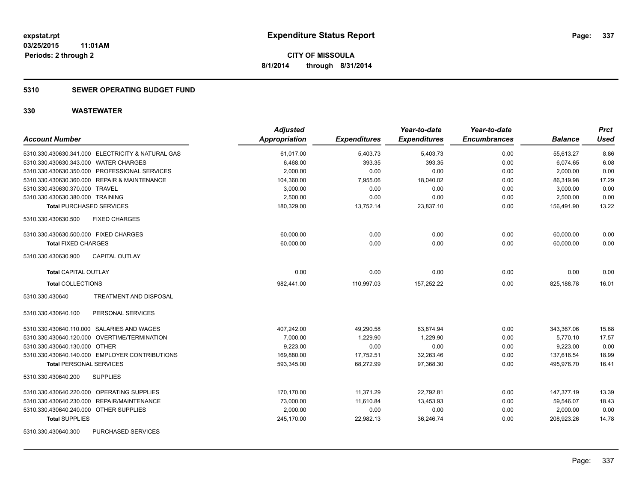# **5310 SEWER OPERATING BUDGET FUND**

| <b>Account Number</b>                             | <b>Adjusted</b><br>Appropriation | <b>Expenditures</b> | Year-to-date<br><b>Expenditures</b> | Year-to-date<br><b>Encumbrances</b> | <b>Balance</b> | <b>Prct</b><br><b>Used</b> |
|---------------------------------------------------|----------------------------------|---------------------|-------------------------------------|-------------------------------------|----------------|----------------------------|
| 5310.330.430630.341.000 ELECTRICITY & NATURAL GAS | 61,017.00                        | 5,403.73            | 5,403.73                            | 0.00                                | 55,613.27      | 8.86                       |
| 5310.330.430630.343.000 WATER CHARGES             | 6,468.00                         | 393.35              | 393.35                              | 0.00                                | 6,074.65       | 6.08                       |
| 5310.330.430630.350.000 PROFESSIONAL SERVICES     | 2,000.00                         | 0.00                | 0.00                                | 0.00                                | 2,000.00       | 0.00                       |
| 5310.330.430630.360.000 REPAIR & MAINTENANCE      | 104,360.00                       | 7,955.06            | 18,040.02                           | 0.00                                | 86,319.98      | 17.29                      |
| 5310.330.430630.370.000 TRAVEL                    | 3,000.00                         | 0.00                | 0.00                                | 0.00                                | 3,000.00       | 0.00                       |
| 5310.330.430630.380.000 TRAINING                  | 2,500.00                         | 0.00                | 0.00                                | 0.00                                | 2,500.00       | 0.00                       |
| <b>Total PURCHASED SERVICES</b>                   | 180,329.00                       | 13,752.14           | 23,837.10                           | 0.00                                | 156,491.90     | 13.22                      |
| 5310.330.430630.500<br><b>FIXED CHARGES</b>       |                                  |                     |                                     |                                     |                |                            |
| 5310.330.430630.500.000 FIXED CHARGES             | 60,000.00                        | 0.00                | 0.00                                | 0.00                                | 60,000.00      | 0.00                       |
| <b>Total FIXED CHARGES</b>                        | 60,000.00                        | 0.00                | 0.00                                | 0.00                                | 60,000.00      | 0.00                       |
| <b>CAPITAL OUTLAY</b><br>5310.330.430630.900      |                                  |                     |                                     |                                     |                |                            |
| <b>Total CAPITAL OUTLAY</b>                       | 0.00                             | 0.00                | 0.00                                | 0.00                                | 0.00           | 0.00                       |
| <b>Total COLLECTIONS</b>                          | 982,441.00                       | 110,997.03          | 157,252.22                          | 0.00                                | 825,188.78     | 16.01                      |
| 5310.330.430640<br>TREATMENT AND DISPOSAL         |                                  |                     |                                     |                                     |                |                            |
| 5310.330.430640.100<br>PERSONAL SERVICES          |                                  |                     |                                     |                                     |                |                            |
| 5310.330.430640.110.000 SALARIES AND WAGES        | 407,242.00                       | 49,290.58           | 63,874.94                           | 0.00                                | 343,367.06     | 15.68                      |
| 5310.330.430640.120.000 OVERTIME/TERMINATION      | 7,000.00                         | 1,229.90            | 1.229.90                            | 0.00                                | 5.770.10       | 17.57                      |
| 5310.330.430640.130.000 OTHER                     | 9.223.00                         | 0.00                | 0.00                                | 0.00                                | 9,223.00       | 0.00                       |
| 5310.330.430640.140.000 EMPLOYER CONTRIBUTIONS    | 169,880.00                       | 17,752.51           | 32,263.46                           | 0.00                                | 137,616.54     | 18.99                      |
| <b>Total PERSONAL SERVICES</b>                    | 593,345.00                       | 68,272.99           | 97,368.30                           | 0.00                                | 495,976.70     | 16.41                      |
| <b>SUPPLIES</b><br>5310.330.430640.200            |                                  |                     |                                     |                                     |                |                            |
| 5310.330.430640.220.000 OPERATING SUPPLIES        | 170,170.00                       | 11,371.29           | 22,792.81                           | 0.00                                | 147,377.19     | 13.39                      |
| REPAIR/MAINTENANCE<br>5310.330.430640.230.000     | 73,000.00                        | 11,610.84           | 13,453.93                           | 0.00                                | 59,546.07      | 18.43                      |
| 5310.330.430640.240.000 OTHER SUPPLIES            | 2,000.00                         | 0.00                | 0.00                                | 0.00                                | 2,000.00       | 0.00                       |
| <b>Total SUPPLIES</b>                             | 245,170.00                       | 22,982.13           | 36,246.74                           | 0.00                                | 208,923.26     | 14.78                      |
| PURCHASED SERVICES<br>5310.330.430640.300         |                                  |                     |                                     |                                     |                |                            |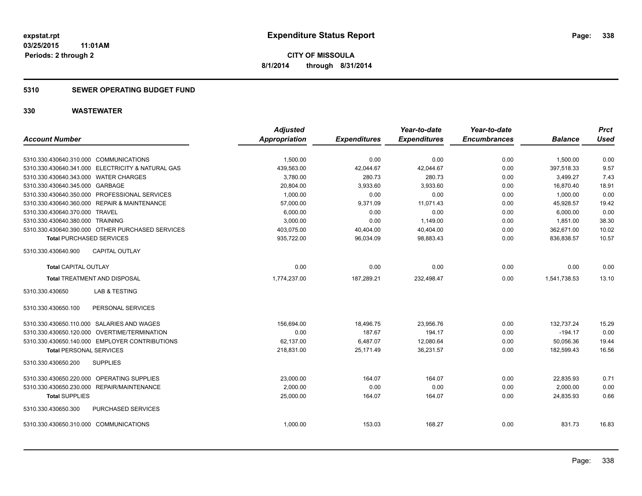# **5310 SEWER OPERATING BUDGET FUND**

|                                                   | <b>Adjusted</b> |                     | Year-to-date        | Year-to-date        |                | <b>Prct</b> |
|---------------------------------------------------|-----------------|---------------------|---------------------|---------------------|----------------|-------------|
| <b>Account Number</b>                             | Appropriation   | <b>Expenditures</b> | <b>Expenditures</b> | <b>Encumbrances</b> | <b>Balance</b> | <b>Used</b> |
| 5310.330.430640.310.000 COMMUNICATIONS            | 1,500.00        | 0.00                | 0.00                | 0.00                | 1,500.00       | 0.00        |
| 5310.330.430640.341.000 ELECTRICITY & NATURAL GAS | 439,563.00      | 42,044.67           | 42,044.67           | 0.00                | 397,518.33     | 9.57        |
| 5310.330.430640.343.000 WATER CHARGES             | 3,780.00        | 280.73              | 280.73              | 0.00                | 3,499.27       | 7.43        |
| 5310.330.430640.345.000 GARBAGE                   | 20,804.00       | 3,933.60            | 3,933.60            | 0.00                | 16,870.40      | 18.91       |
| 5310.330.430640.350.000 PROFESSIONAL SERVICES     | 1,000.00        | 0.00                | 0.00                | 0.00                | 1,000.00       | 0.00        |
| 5310.330.430640.360.000 REPAIR & MAINTENANCE      | 57,000.00       | 9,371.09            | 11,071.43           | 0.00                | 45,928.57      | 19.42       |
| 5310.330.430640.370.000 TRAVEL                    | 6,000.00        | 0.00                | 0.00                | 0.00                | 6,000.00       | 0.00        |
| 5310.330.430640.380.000 TRAINING                  | 3,000.00        | 0.00                | 1,149.00            | 0.00                | 1,851.00       | 38.30       |
| 5310.330.430640.390.000 OTHER PURCHASED SERVICES  | 403,075.00      | 40,404.00           | 40,404.00           | 0.00                | 362,671.00     | 10.02       |
| <b>Total PURCHASED SERVICES</b>                   | 935,722.00      | 96,034.09           | 98,883.43           | 0.00                | 836,838.57     | 10.57       |
| 5310.330.430640.900<br><b>CAPITAL OUTLAY</b>      |                 |                     |                     |                     |                |             |
| <b>Total CAPITAL OUTLAY</b>                       | 0.00            | 0.00                | 0.00                | 0.00                | 0.00           | 0.00        |
| <b>Total TREATMENT AND DISPOSAL</b>               | 1,774,237.00    | 187,289.21          | 232,498.47          | 0.00                | 1,541,738.53   | 13.10       |
| 5310.330.430650<br><b>LAB &amp; TESTING</b>       |                 |                     |                     |                     |                |             |
| PERSONAL SERVICES<br>5310.330.430650.100          |                 |                     |                     |                     |                |             |
| 5310.330.430650.110.000 SALARIES AND WAGES        | 156,694.00      | 18,496.75           | 23,956.76           | 0.00                | 132,737.24     | 15.29       |
| 5310.330.430650.120.000 OVERTIME/TERMINATION      | 0.00            | 187.67              | 194.17              | 0.00                | $-194.17$      | 0.00        |
| 5310.330.430650.140.000 EMPLOYER CONTRIBUTIONS    | 62,137.00       | 6,487.07            | 12,080.64           | 0.00                | 50,056.36      | 19.44       |
| <b>Total PERSONAL SERVICES</b>                    | 218,831.00      | 25,171.49           | 36,231.57           | 0.00                | 182,599.43     | 16.56       |
| 5310.330.430650.200<br><b>SUPPLIES</b>            |                 |                     |                     |                     |                |             |
| 5310.330.430650.220.000 OPERATING SUPPLIES        | 23,000.00       | 164.07              | 164.07              | 0.00                | 22,835.93      | 0.71        |
| 5310.330.430650.230.000 REPAIR/MAINTENANCE        | 2,000.00        | 0.00                | 0.00                | 0.00                | 2,000.00       | 0.00        |
| <b>Total SUPPLIES</b>                             | 25,000.00       | 164.07              | 164.07              | 0.00                | 24,835.93      | 0.66        |
| 5310.330.430650.300<br>PURCHASED SERVICES         |                 |                     |                     |                     |                |             |
| 5310.330.430650.310.000 COMMUNICATIONS            | 1,000.00        | 153.03              | 168.27              | 0.00                | 831.73         | 16.83       |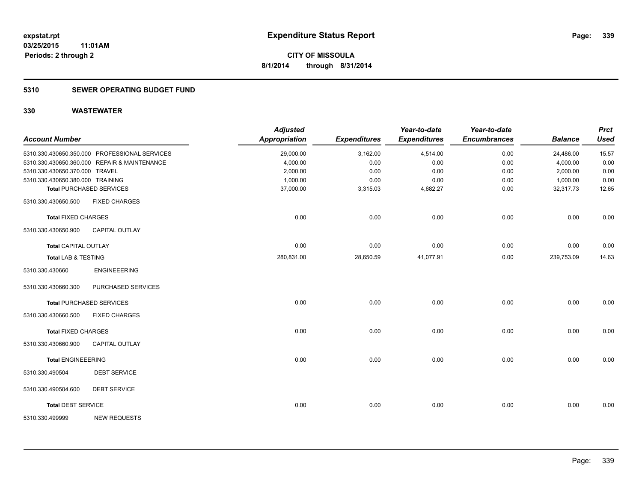# **5310 SEWER OPERATING BUDGET FUND**

| <b>Account Number</b>            |                                               | <b>Adjusted</b><br><b>Appropriation</b> | <b>Expenditures</b> | Year-to-date<br><b>Expenditures</b> | Year-to-date<br><b>Encumbrances</b> | <b>Balance</b> | <b>Prct</b><br><b>Used</b> |
|----------------------------------|-----------------------------------------------|-----------------------------------------|---------------------|-------------------------------------|-------------------------------------|----------------|----------------------------|
|                                  | 5310.330.430650.350.000 PROFESSIONAL SERVICES | 29,000.00                               | 3,162.00            | 4,514.00                            | 0.00                                | 24,486.00      | 15.57                      |
|                                  | 5310.330.430650.360.000 REPAIR & MAINTENANCE  | 4,000.00                                | 0.00                | 0.00                                | 0.00                                | 4,000.00       | 0.00                       |
| 5310.330.430650.370.000 TRAVEL   |                                               | 2,000.00                                | 0.00                | 0.00                                | 0.00                                | 2,000.00       | 0.00                       |
| 5310.330.430650.380.000 TRAINING |                                               | 1,000.00                                | 0.00                | 0.00                                | 0.00                                | 1,000.00       | 0.00                       |
|                                  | <b>Total PURCHASED SERVICES</b>               | 37,000.00                               | 3,315.03            | 4,682.27                            | 0.00                                | 32,317.73      | 12.65                      |
| 5310.330.430650.500              | <b>FIXED CHARGES</b>                          |                                         |                     |                                     |                                     |                |                            |
| <b>Total FIXED CHARGES</b>       |                                               | 0.00                                    | 0.00                | 0.00                                | 0.00                                | 0.00           | 0.00                       |
| 5310.330.430650.900              | CAPITAL OUTLAY                                |                                         |                     |                                     |                                     |                |                            |
| Total CAPITAL OUTLAY             |                                               | 0.00                                    | 0.00                | 0.00                                | 0.00                                | 0.00           | 0.00                       |
| <b>Total LAB &amp; TESTING</b>   |                                               | 280,831.00                              | 28,650.59           | 41,077.91                           | 0.00                                | 239,753.09     | 14.63                      |
| 5310.330.430660                  | <b>ENGINEEERING</b>                           |                                         |                     |                                     |                                     |                |                            |
| 5310.330.430660.300              | PURCHASED SERVICES                            |                                         |                     |                                     |                                     |                |                            |
|                                  | <b>Total PURCHASED SERVICES</b>               | 0.00                                    | 0.00                | 0.00                                | 0.00                                | 0.00           | 0.00                       |
| 5310.330.430660.500              | <b>FIXED CHARGES</b>                          |                                         |                     |                                     |                                     |                |                            |
| <b>Total FIXED CHARGES</b>       |                                               | 0.00                                    | 0.00                | 0.00                                | 0.00                                | 0.00           | 0.00                       |
| 5310.330.430660.900              | <b>CAPITAL OUTLAY</b>                         |                                         |                     |                                     |                                     |                |                            |
| <b>Total ENGINEEERING</b>        |                                               | 0.00                                    | 0.00                | 0.00                                | 0.00                                | 0.00           | 0.00                       |
| 5310.330.490504                  | <b>DEBT SERVICE</b>                           |                                         |                     |                                     |                                     |                |                            |
| 5310.330.490504.600              | <b>DEBT SERVICE</b>                           |                                         |                     |                                     |                                     |                |                            |
| <b>Total DEBT SERVICE</b>        |                                               | 0.00                                    | 0.00                | 0.00                                | 0.00                                | 0.00           | 0.00                       |
| 5310.330.499999                  | <b>NEW REQUESTS</b>                           |                                         |                     |                                     |                                     |                |                            |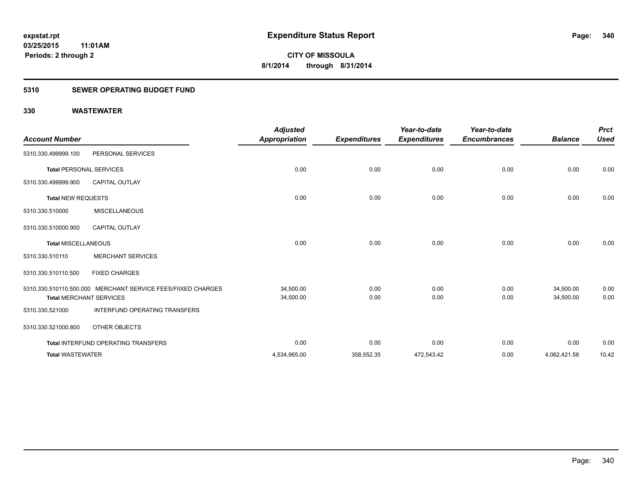# **5310 SEWER OPERATING BUDGET FUND**

| <b>Account Number</b>          |                                                              | <b>Adjusted</b><br><b>Appropriation</b> | <b>Expenditures</b> | Year-to-date<br><b>Expenditures</b> | Year-to-date<br><b>Encumbrances</b> | <b>Balance</b> | <b>Prct</b><br><b>Used</b> |
|--------------------------------|--------------------------------------------------------------|-----------------------------------------|---------------------|-------------------------------------|-------------------------------------|----------------|----------------------------|
| 5310.330.499999.100            | PERSONAL SERVICES                                            |                                         |                     |                                     |                                     |                |                            |
| <b>Total PERSONAL SERVICES</b> |                                                              | 0.00                                    | 0.00                | 0.00                                | 0.00                                | 0.00           | 0.00                       |
| 5310.330.499999.900            | <b>CAPITAL OUTLAY</b>                                        |                                         |                     |                                     |                                     |                |                            |
| <b>Total NEW REQUESTS</b>      |                                                              | 0.00                                    | 0.00                | 0.00                                | 0.00                                | 0.00           | 0.00                       |
| 5310.330.510000                | <b>MISCELLANEOUS</b>                                         |                                         |                     |                                     |                                     |                |                            |
| 5310.330.510000.900            | <b>CAPITAL OUTLAY</b>                                        |                                         |                     |                                     |                                     |                |                            |
| <b>Total MISCELLANEOUS</b>     |                                                              | 0.00                                    | 0.00                | 0.00                                | 0.00                                | 0.00           | 0.00                       |
| 5310.330.510110                | <b>MERCHANT SERVICES</b>                                     |                                         |                     |                                     |                                     |                |                            |
| 5310.330.510110.500            | <b>FIXED CHARGES</b>                                         |                                         |                     |                                     |                                     |                |                            |
|                                | 5310.330.510110.500.000 MERCHANT SERVICE FEES/FIIXED CHARGES | 34,500.00                               | 0.00                | 0.00                                | 0.00                                | 34,500.00      | 0.00                       |
|                                | <b>Total MERCHANT SERVICES</b>                               | 34,500.00                               | 0.00                | 0.00                                | 0.00                                | 34,500.00      | 0.00                       |
| 5310.330.521000                | <b>INTERFUND OPERATING TRANSFERS</b>                         |                                         |                     |                                     |                                     |                |                            |
| 5310.330.521000.800            | OTHER OBJECTS                                                |                                         |                     |                                     |                                     |                |                            |
|                                | Total INTERFUND OPERATING TRANSFERS                          | 0.00                                    | 0.00                | 0.00                                | 0.00                                | 0.00           | 0.00                       |
| <b>Total WASTEWATER</b>        |                                                              | 4,534,965.00                            | 358,552.35          | 472,543.42                          | 0.00                                | 4,062,421.58   | 10.42                      |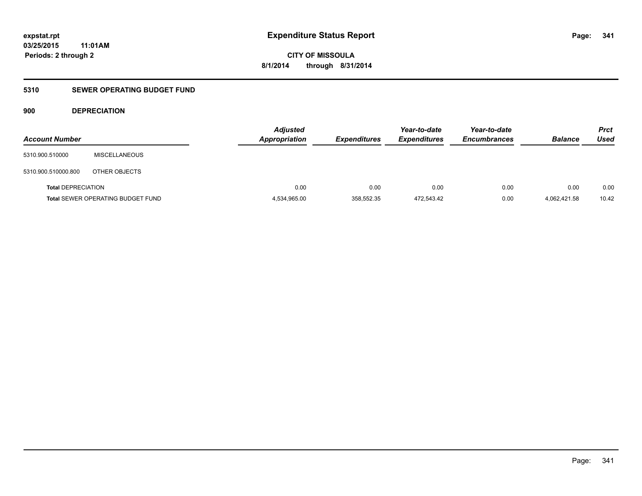**CITY OF MISSOULA 8/1/2014 through 8/31/2014**

# **5310 SEWER OPERATING BUDGET FUND**

# **900 DEPRECIATION**

| <b>Account Number</b>     |                                          | <b>Adjusted</b><br><b>Appropriation</b> | <b>Expenditures</b> | Year-to-date<br><b>Expenditures</b> | Year-to-date<br><b>Encumbrances</b> | <b>Balance</b> | <b>Prct</b><br><b>Used</b> |
|---------------------------|------------------------------------------|-----------------------------------------|---------------------|-------------------------------------|-------------------------------------|----------------|----------------------------|
| 5310.900.510000           | <b>MISCELLANEOUS</b>                     |                                         |                     |                                     |                                     |                |                            |
| 5310.900.510000.800       | OTHER OBJECTS                            |                                         |                     |                                     |                                     |                |                            |
| <b>Total DEPRECIATION</b> |                                          | 0.00                                    | 0.00                | 0.00                                | 0.00                                | 0.00           | 0.00                       |
|                           | <b>Total SEWER OPERATING BUDGET FUND</b> | 4,534,965.00                            | 358,552.35          | 472,543.42                          | 0.00                                | 4.062.421.58   | 10.42                      |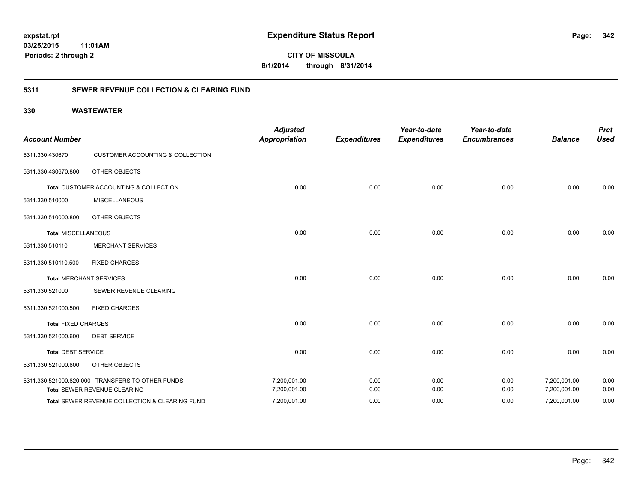**342**

**CITY OF MISSOULA 8/1/2014 through 8/31/2014**

# **5311 SEWER REVENUE COLLECTION & CLEARING FUND**

| <b>Account Number</b>      |                                                  | <b>Adjusted</b><br><b>Appropriation</b> | <b>Expenditures</b> | Year-to-date<br><b>Expenditures</b> | Year-to-date<br><b>Encumbrances</b> | <b>Balance</b> | <b>Prct</b><br><b>Used</b> |
|----------------------------|--------------------------------------------------|-----------------------------------------|---------------------|-------------------------------------|-------------------------------------|----------------|----------------------------|
| 5311.330.430670            | <b>CUSTOMER ACCOUNTING &amp; COLLECTION</b>      |                                         |                     |                                     |                                     |                |                            |
| 5311.330.430670.800        | OTHER OBJECTS                                    |                                         |                     |                                     |                                     |                |                            |
|                            | Total CUSTOMER ACCOUNTING & COLLECTION           | 0.00                                    | 0.00                | 0.00                                | 0.00                                | 0.00           | 0.00                       |
| 5311.330.510000            | <b>MISCELLANEOUS</b>                             |                                         |                     |                                     |                                     |                |                            |
| 5311.330.510000.800        | OTHER OBJECTS                                    |                                         |                     |                                     |                                     |                |                            |
| <b>Total MISCELLANEOUS</b> |                                                  | 0.00                                    | 0.00                | 0.00                                | 0.00                                | 0.00           | 0.00                       |
| 5311.330.510110            | <b>MERCHANT SERVICES</b>                         |                                         |                     |                                     |                                     |                |                            |
| 5311.330.510110.500        | <b>FIXED CHARGES</b>                             |                                         |                     |                                     |                                     |                |                            |
|                            | <b>Total MERCHANT SERVICES</b>                   | 0.00                                    | 0.00                | 0.00                                | 0.00                                | 0.00           | 0.00                       |
| 5311.330.521000            | SEWER REVENUE CLEARING                           |                                         |                     |                                     |                                     |                |                            |
| 5311.330.521000.500        | <b>FIXED CHARGES</b>                             |                                         |                     |                                     |                                     |                |                            |
| <b>Total FIXED CHARGES</b> |                                                  | 0.00                                    | 0.00                | 0.00                                | 0.00                                | 0.00           | 0.00                       |
| 5311.330.521000.600        | <b>DEBT SERVICE</b>                              |                                         |                     |                                     |                                     |                |                            |
| <b>Total DEBT SERVICE</b>  |                                                  | 0.00                                    | 0.00                | 0.00                                | 0.00                                | 0.00           | 0.00                       |
| 5311.330.521000.800        | OTHER OBJECTS                                    |                                         |                     |                                     |                                     |                |                            |
|                            | 5311.330.521000.820.000 TRANSFERS TO OTHER FUNDS | 7,200,001.00                            | 0.00                | 0.00                                | 0.00                                | 7,200,001.00   | 0.00                       |
|                            | Total SEWER REVENUE CLEARING                     | 7,200,001.00                            | 0.00                | 0.00                                | 0.00                                | 7,200,001.00   | 0.00                       |
|                            | Total SEWER REVENUE COLLECTION & CLEARING FUND   | 7,200,001.00                            | 0.00                | 0.00                                | 0.00                                | 7,200,001.00   | 0.00                       |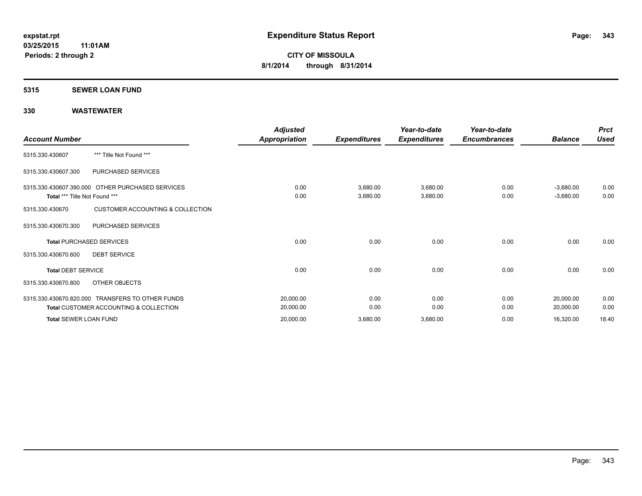### **5315 SEWER LOAN FUND**

| <b>Account Number</b>         |                                                                                                       | <b>Adjusted</b><br>Appropriation | <b>Expenditures</b>  | Year-to-date<br><b>Expenditures</b> | Year-to-date<br><b>Encumbrances</b> | <b>Balance</b>             | <b>Prct</b><br><b>Used</b> |
|-------------------------------|-------------------------------------------------------------------------------------------------------|----------------------------------|----------------------|-------------------------------------|-------------------------------------|----------------------------|----------------------------|
| 5315.330.430607               | *** Title Not Found ***                                                                               |                                  |                      |                                     |                                     |                            |                            |
| 5315.330.430607.300           | PURCHASED SERVICES                                                                                    |                                  |                      |                                     |                                     |                            |                            |
| Total *** Title Not Found *** | 5315.330.430607.390.000 OTHER PURCHASED SERVICES                                                      | 0.00<br>0.00                     | 3,680.00<br>3,680.00 | 3,680.00<br>3,680.00                | 0.00<br>0.00                        | $-3,680.00$<br>$-3,680.00$ | 0.00<br>0.00               |
| 5315.330.430670               | <b>CUSTOMER ACCOUNTING &amp; COLLECTION</b>                                                           |                                  |                      |                                     |                                     |                            |                            |
| 5315.330.430670.300           | PURCHASED SERVICES                                                                                    |                                  |                      |                                     |                                     |                            |                            |
|                               | <b>Total PURCHASED SERVICES</b>                                                                       | 0.00                             | 0.00                 | 0.00                                | 0.00                                | 0.00                       | 0.00                       |
| 5315.330.430670.600           | <b>DEBT SERVICE</b>                                                                                   |                                  |                      |                                     |                                     |                            |                            |
| <b>Total DEBT SERVICE</b>     |                                                                                                       | 0.00                             | 0.00                 | 0.00                                | 0.00                                | 0.00                       | 0.00                       |
| 5315.330.430670.800           | OTHER OBJECTS                                                                                         |                                  |                      |                                     |                                     |                            |                            |
|                               | 5315.330.430670.820.000 TRANSFERS TO OTHER FUNDS<br><b>Total CUSTOMER ACCOUNTING &amp; COLLECTION</b> | 20,000.00<br>20,000.00           | 0.00<br>0.00         | 0.00<br>0.00                        | 0.00<br>0.00                        | 20,000.00<br>20,000.00     | 0.00<br>0.00               |
| <b>Total SEWER LOAN FUND</b>  |                                                                                                       | 20,000.00                        | 3,680.00             | 3,680.00                            | 0.00                                | 16,320.00                  | 18.40                      |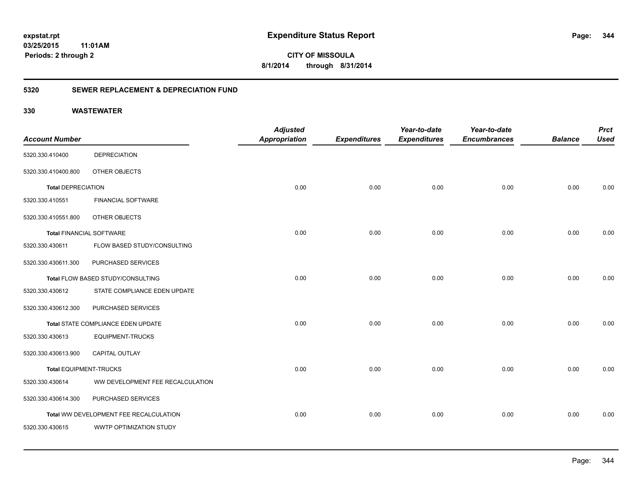# **03/25/2015**

**344**

**11:01AM Periods: 2 through 2**

**CITY OF MISSOULA 8/1/2014 through 8/31/2014**

# **5320 SEWER REPLACEMENT & DEPRECIATION FUND**

| <b>Account Number</b>           |                                        | <b>Adjusted</b><br><b>Appropriation</b> |                     | Year-to-date<br><b>Expenditures</b> | Year-to-date<br><b>Encumbrances</b> | <b>Balance</b> | <b>Prct</b><br><b>Used</b> |
|---------------------------------|----------------------------------------|-----------------------------------------|---------------------|-------------------------------------|-------------------------------------|----------------|----------------------------|
|                                 |                                        |                                         | <b>Expenditures</b> |                                     |                                     |                |                            |
| 5320.330.410400                 | <b>DEPRECIATION</b>                    |                                         |                     |                                     |                                     |                |                            |
| 5320.330.410400.800             | OTHER OBJECTS                          |                                         |                     |                                     |                                     |                |                            |
| <b>Total DEPRECIATION</b>       |                                        | 0.00                                    | 0.00                | 0.00                                | 0.00                                | 0.00           | 0.00                       |
| 5320.330.410551                 | <b>FINANCIAL SOFTWARE</b>              |                                         |                     |                                     |                                     |                |                            |
| 5320.330.410551.800             | OTHER OBJECTS                          |                                         |                     |                                     |                                     |                |                            |
| <b>Total FINANCIAL SOFTWARE</b> |                                        | 0.00                                    | 0.00                | 0.00                                | 0.00                                | 0.00           | 0.00                       |
| 5320.330.430611                 | FLOW BASED STUDY/CONSULTING            |                                         |                     |                                     |                                     |                |                            |
| 5320.330.430611.300             | PURCHASED SERVICES                     |                                         |                     |                                     |                                     |                |                            |
|                                 | Total FLOW BASED STUDY/CONSULTING      | 0.00                                    | 0.00                | 0.00                                | 0.00                                | 0.00           | 0.00                       |
| 5320.330.430612                 | STATE COMPLIANCE EDEN UPDATE           |                                         |                     |                                     |                                     |                |                            |
| 5320.330.430612.300             | PURCHASED SERVICES                     |                                         |                     |                                     |                                     |                |                            |
|                                 | Total STATE COMPLIANCE EDEN UPDATE     | 0.00                                    | 0.00                | 0.00                                | 0.00                                | 0.00           | 0.00                       |
| 5320.330.430613                 | <b>EQUIPMENT-TRUCKS</b>                |                                         |                     |                                     |                                     |                |                            |
| 5320.330.430613.900             | <b>CAPITAL OUTLAY</b>                  |                                         |                     |                                     |                                     |                |                            |
| <b>Total EQUIPMENT-TRUCKS</b>   |                                        | 0.00                                    | 0.00                | 0.00                                | 0.00                                | 0.00           | 0.00                       |
| 5320.330.430614                 | WW DEVELOPMENT FEE RECALCULATION       |                                         |                     |                                     |                                     |                |                            |
| 5320.330.430614.300             | PURCHASED SERVICES                     |                                         |                     |                                     |                                     |                |                            |
|                                 | Total WW DEVELOPMENT FEE RECALCULATION | 0.00                                    | 0.00                | 0.00                                | 0.00                                | 0.00           | 0.00                       |
| 5320.330.430615                 | WWTP OPTIMIZATION STUDY                |                                         |                     |                                     |                                     |                |                            |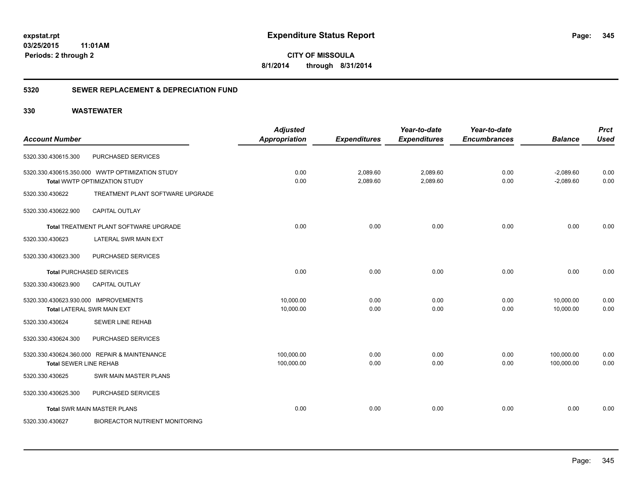**CITY OF MISSOULA 8/1/2014 through 8/31/2014**

# **5320 SEWER REPLACEMENT & DEPRECIATION FUND**

|                                      |                                                 | <b>Adjusted</b>      |                     | Year-to-date        | Year-to-date        |                | <b>Prct</b> |
|--------------------------------------|-------------------------------------------------|----------------------|---------------------|---------------------|---------------------|----------------|-------------|
| <b>Account Number</b>                |                                                 | <b>Appropriation</b> | <b>Expenditures</b> | <b>Expenditures</b> | <b>Encumbrances</b> | <b>Balance</b> | <b>Used</b> |
| 5320.330.430615.300                  | PURCHASED SERVICES                              |                      |                     |                     |                     |                |             |
|                                      | 5320.330.430615.350.000 WWTP OPTIMIZATION STUDY | 0.00                 | 2,089.60            | 2,089.60            | 0.00                | $-2,089.60$    | 0.00        |
|                                      | Total WWTP OPTIMIZATION STUDY                   | 0.00                 | 2,089.60            | 2,089.60            | 0.00                | $-2,089.60$    | 0.00        |
| 5320.330.430622                      | TREATMENT PLANT SOFTWARE UPGRADE                |                      |                     |                     |                     |                |             |
| 5320.330.430622.900                  | <b>CAPITAL OUTLAY</b>                           |                      |                     |                     |                     |                |             |
|                                      | Total TREATMENT PLANT SOFTWARE UPGRADE          | 0.00                 | 0.00                | 0.00                | 0.00                | 0.00           | 0.00        |
| 5320.330.430623                      | <b>LATERAL SWR MAIN EXT</b>                     |                      |                     |                     |                     |                |             |
| 5320.330.430623.300                  | PURCHASED SERVICES                              |                      |                     |                     |                     |                |             |
|                                      | <b>Total PURCHASED SERVICES</b>                 | 0.00                 | 0.00                | 0.00                | 0.00                | 0.00           | 0.00        |
| 5320.330.430623.900                  | <b>CAPITAL OUTLAY</b>                           |                      |                     |                     |                     |                |             |
| 5320.330.430623.930.000 IMPROVEMENTS |                                                 | 10,000.00            | 0.00                | 0.00                | 0.00                | 10,000.00      | 0.00        |
|                                      | <b>Total LATERAL SWR MAIN EXT</b>               | 10,000.00            | 0.00                | 0.00                | 0.00                | 10,000.00      | 0.00        |
| 5320.330.430624                      | <b>SEWER LINE REHAB</b>                         |                      |                     |                     |                     |                |             |
| 5320.330.430624.300                  | PURCHASED SERVICES                              |                      |                     |                     |                     |                |             |
|                                      | 5320.330.430624.360.000 REPAIR & MAINTENANCE    | 100,000.00           | 0.00                | 0.00                | 0.00                | 100,000.00     | 0.00        |
| <b>Total SEWER LINE REHAB</b>        |                                                 | 100,000.00           | 0.00                | 0.00                | 0.00                | 100,000.00     | 0.00        |
| 5320.330.430625                      | SWR MAIN MASTER PLANS                           |                      |                     |                     |                     |                |             |
| 5320.330.430625.300                  | PURCHASED SERVICES                              |                      |                     |                     |                     |                |             |
|                                      | <b>Total SWR MAIN MASTER PLANS</b>              | 0.00                 | 0.00                | 0.00                | 0.00                | 0.00           | 0.00        |
| 5320.330.430627                      | <b>BIOREACTOR NUTRIENT MONITORING</b>           |                      |                     |                     |                     |                |             |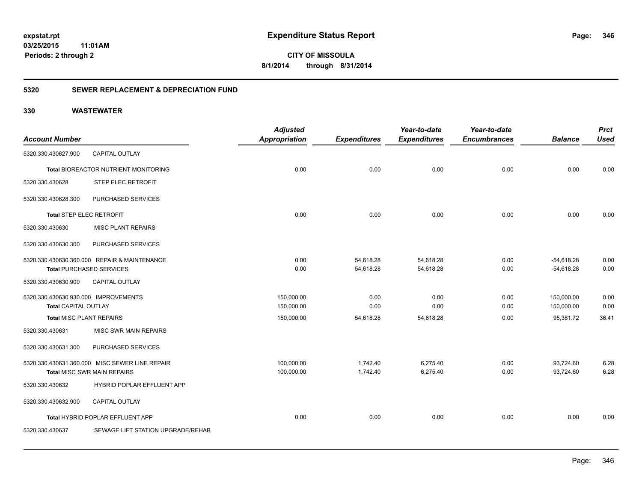**346**

**03/25/2015 11:01AM Periods: 2 through 2**

# **CITY OF MISSOULA 8/1/2014 through 8/31/2014**

# **5320 SEWER REPLACEMENT & DEPRECIATION FUND**

| <b>Account Number</b>                |                                                | <b>Adjusted</b><br><b>Appropriation</b> | <b>Expenditures</b> | Year-to-date<br><b>Expenditures</b> | Year-to-date<br><b>Encumbrances</b> | <b>Balance</b> | <b>Prct</b><br><b>Used</b> |
|--------------------------------------|------------------------------------------------|-----------------------------------------|---------------------|-------------------------------------|-------------------------------------|----------------|----------------------------|
| 5320.330.430627.900                  | CAPITAL OUTLAY                                 |                                         |                     |                                     |                                     |                |                            |
|                                      | Total BIOREACTOR NUTRIENT MONITORING           | 0.00                                    | 0.00                | 0.00                                | 0.00                                | 0.00           | 0.00                       |
| 5320.330.430628                      | STEP ELEC RETROFIT                             |                                         |                     |                                     |                                     |                |                            |
| 5320.330.430628.300                  | PURCHASED SERVICES                             |                                         |                     |                                     |                                     |                |                            |
| <b>Total STEP ELEC RETROFIT</b>      |                                                | 0.00                                    | 0.00                | 0.00                                | 0.00                                | 0.00           | 0.00                       |
| 5320.330.430630                      | <b>MISC PLANT REPAIRS</b>                      |                                         |                     |                                     |                                     |                |                            |
| 5320.330.430630.300                  | PURCHASED SERVICES                             |                                         |                     |                                     |                                     |                |                            |
|                                      | 5320.330.430630.360.000 REPAIR & MAINTENANCE   | 0.00                                    | 54,618.28           | 54,618.28                           | 0.00                                | $-54,618.28$   | 0.00                       |
|                                      | <b>Total PURCHASED SERVICES</b>                | 0.00                                    | 54,618.28           | 54,618.28                           | 0.00                                | $-54,618.28$   | 0.00                       |
| 5320.330.430630.900                  | <b>CAPITAL OUTLAY</b>                          |                                         |                     |                                     |                                     |                |                            |
| 5320.330.430630.930.000 IMPROVEMENTS |                                                | 150,000.00                              | 0.00                | 0.00                                | 0.00                                | 150,000.00     | 0.00                       |
| <b>Total CAPITAL OUTLAY</b>          |                                                | 150,000.00                              | 0.00                | 0.00                                | 0.00                                | 150,000.00     | 0.00                       |
| <b>Total MISC PLANT REPAIRS</b>      |                                                | 150,000.00                              | 54,618.28           | 54,618.28                           | 0.00                                | 95.381.72      | 36.41                      |
| 5320.330.430631                      | MISC SWR MAIN REPAIRS                          |                                         |                     |                                     |                                     |                |                            |
| 5320.330.430631.300                  | PURCHASED SERVICES                             |                                         |                     |                                     |                                     |                |                            |
|                                      | 5320.330.430631.360.000 MISC SEWER LINE REPAIR | 100,000.00                              | 1,742.40            | 6,275.40                            | 0.00                                | 93,724.60      | 6.28                       |
|                                      | <b>Total MISC SWR MAIN REPAIRS</b>             | 100,000.00                              | 1,742.40            | 6,275.40                            | 0.00                                | 93,724.60      | 6.28                       |
| 5320.330.430632                      | HYBRID POPLAR EFFLUENT APP                     |                                         |                     |                                     |                                     |                |                            |
| 5320.330.430632.900                  | <b>CAPITAL OUTLAY</b>                          |                                         |                     |                                     |                                     |                |                            |
|                                      | Total HYBRID POPLAR EFFLUENT APP               | 0.00                                    | 0.00                | 0.00                                | 0.00                                | 0.00           | 0.00                       |
| 5320.330.430637                      | SEWAGE LIFT STATION UPGRADE/REHAB              |                                         |                     |                                     |                                     |                |                            |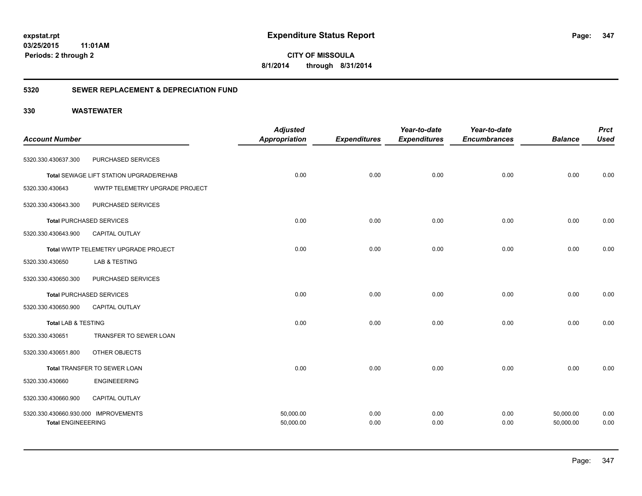**347**

**CITY OF MISSOULA 8/1/2014 through 8/31/2014**

# **5320 SEWER REPLACEMENT & DEPRECIATION FUND**

| <b>Account Number</b>                                             |                                         | <b>Adjusted</b>        |                     | Year-to-date        | Year-to-date        | <b>Balance</b>         | <b>Prct</b>  |
|-------------------------------------------------------------------|-----------------------------------------|------------------------|---------------------|---------------------|---------------------|------------------------|--------------|
|                                                                   |                                         | <b>Appropriation</b>   | <b>Expenditures</b> | <b>Expenditures</b> | <b>Encumbrances</b> |                        | <b>Used</b>  |
| 5320.330.430637.300                                               | PURCHASED SERVICES                      |                        |                     |                     |                     |                        |              |
|                                                                   | Total SEWAGE LIFT STATION UPGRADE/REHAB | 0.00                   | 0.00                | 0.00                | 0.00                | 0.00                   | 0.00         |
| 5320.330.430643                                                   | WWTP TELEMETRY UPGRADE PROJECT          |                        |                     |                     |                     |                        |              |
| 5320.330.430643.300                                               | PURCHASED SERVICES                      |                        |                     |                     |                     |                        |              |
|                                                                   | <b>Total PURCHASED SERVICES</b>         | 0.00                   | 0.00                | 0.00                | 0.00                | 0.00                   | 0.00         |
| 5320.330.430643.900                                               | CAPITAL OUTLAY                          |                        |                     |                     |                     |                        |              |
|                                                                   | Total WWTP TELEMETRY UPGRADE PROJECT    | 0.00                   | 0.00                | 0.00                | 0.00                | 0.00                   | 0.00         |
| 5320.330.430650                                                   | <b>LAB &amp; TESTING</b>                |                        |                     |                     |                     |                        |              |
| 5320.330.430650.300                                               | PURCHASED SERVICES                      |                        |                     |                     |                     |                        |              |
|                                                                   | <b>Total PURCHASED SERVICES</b>         | 0.00                   | 0.00                | 0.00                | 0.00                | 0.00                   | 0.00         |
| 5320.330.430650.900                                               | CAPITAL OUTLAY                          |                        |                     |                     |                     |                        |              |
| <b>Total LAB &amp; TESTING</b>                                    |                                         | 0.00                   | 0.00                | 0.00                | 0.00                | 0.00                   | 0.00         |
| 5320.330.430651                                                   | TRANSFER TO SEWER LOAN                  |                        |                     |                     |                     |                        |              |
| 5320.330.430651.800                                               | OTHER OBJECTS                           |                        |                     |                     |                     |                        |              |
|                                                                   | Total TRANSFER TO SEWER LOAN            | 0.00                   | 0.00                | 0.00                | 0.00                | 0.00                   | 0.00         |
| 5320.330.430660                                                   | <b>ENGINEEERING</b>                     |                        |                     |                     |                     |                        |              |
| 5320.330.430660.900                                               | CAPITAL OUTLAY                          |                        |                     |                     |                     |                        |              |
| 5320.330.430660.930.000 IMPROVEMENTS<br><b>Total ENGINEEERING</b> |                                         | 50,000.00<br>50,000.00 | 0.00<br>0.00        | 0.00<br>0.00        | 0.00<br>0.00        | 50,000.00<br>50,000.00 | 0.00<br>0.00 |
|                                                                   |                                         |                        |                     |                     |                     |                        |              |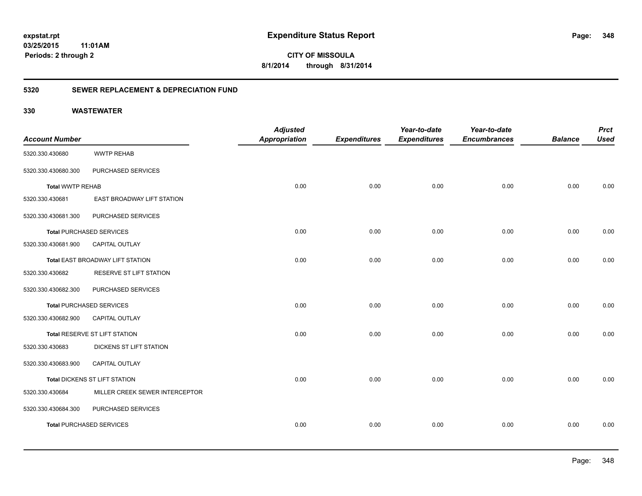**348**

**03/25/2015 11:01AM Periods: 2 through 2**

**CITY OF MISSOULA 8/1/2014 through 8/31/2014**

# **5320 SEWER REPLACEMENT & DEPRECIATION FUND**

|                         |                                  | <b>Adjusted</b>      |                     | Year-to-date        | Year-to-date        |                | <b>Prct</b> |
|-------------------------|----------------------------------|----------------------|---------------------|---------------------|---------------------|----------------|-------------|
| <b>Account Number</b>   |                                  | <b>Appropriation</b> | <b>Expenditures</b> | <b>Expenditures</b> | <b>Encumbrances</b> | <b>Balance</b> | <b>Used</b> |
| 5320.330.430680         | <b>WWTP REHAB</b>                |                      |                     |                     |                     |                |             |
| 5320.330.430680.300     | PURCHASED SERVICES               |                      |                     |                     |                     |                |             |
| <b>Total WWTP REHAB</b> |                                  | 0.00                 | 0.00                | 0.00                | 0.00                | 0.00           | 0.00        |
| 5320.330.430681         | EAST BROADWAY LIFT STATION       |                      |                     |                     |                     |                |             |
| 5320.330.430681.300     | PURCHASED SERVICES               |                      |                     |                     |                     |                |             |
|                         | <b>Total PURCHASED SERVICES</b>  | 0.00                 | 0.00                | 0.00                | 0.00                | 0.00           | 0.00        |
| 5320.330.430681.900     | <b>CAPITAL OUTLAY</b>            |                      |                     |                     |                     |                |             |
|                         | Total EAST BROADWAY LIFT STATION | 0.00                 | 0.00                | 0.00                | 0.00                | 0.00           | 0.00        |
| 5320.330.430682         | RESERVE ST LIFT STATION          |                      |                     |                     |                     |                |             |
| 5320.330.430682.300     | PURCHASED SERVICES               |                      |                     |                     |                     |                |             |
|                         | <b>Total PURCHASED SERVICES</b>  | 0.00                 | 0.00                | 0.00                | 0.00                | 0.00           | 0.00        |
| 5320.330.430682.900     | CAPITAL OUTLAY                   |                      |                     |                     |                     |                |             |
|                         | Total RESERVE ST LIFT STATION    | 0.00                 | 0.00                | 0.00                | 0.00                | 0.00           | 0.00        |
| 5320.330.430683         | DICKENS ST LIFT STATION          |                      |                     |                     |                     |                |             |
| 5320.330.430683.900     | <b>CAPITAL OUTLAY</b>            |                      |                     |                     |                     |                |             |
|                         | Total DICKENS ST LIFT STATION    | 0.00                 | 0.00                | 0.00                | 0.00                | 0.00           | 0.00        |
| 5320.330.430684         | MILLER CREEK SEWER INTERCEPTOR   |                      |                     |                     |                     |                |             |
| 5320.330.430684.300     | PURCHASED SERVICES               |                      |                     |                     |                     |                |             |
|                         | <b>Total PURCHASED SERVICES</b>  | 0.00                 | 0.00                | 0.00                | 0.00                | 0.00           | 0.00        |
|                         |                                  |                      |                     |                     |                     |                |             |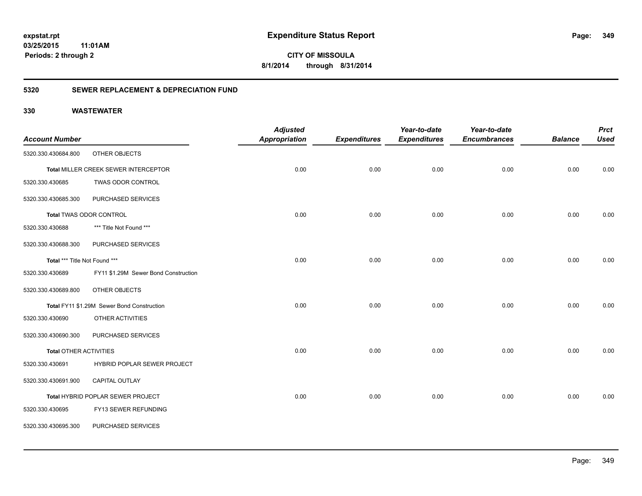# **03/25/2015**

**349**

**11:01AM Periods: 2 through 2**

**CITY OF MISSOULA 8/1/2014 through 8/31/2014**

# **5320 SEWER REPLACEMENT & DEPRECIATION FUND**

| <b>Account Number</b>         |                                            | <b>Adjusted</b><br><b>Appropriation</b> | <b>Expenditures</b> | Year-to-date<br><b>Expenditures</b> | Year-to-date<br><b>Encumbrances</b> | <b>Balance</b> | <b>Prct</b><br><b>Used</b> |
|-------------------------------|--------------------------------------------|-----------------------------------------|---------------------|-------------------------------------|-------------------------------------|----------------|----------------------------|
| 5320.330.430684.800           | OTHER OBJECTS                              |                                         |                     |                                     |                                     |                |                            |
|                               | Total MILLER CREEK SEWER INTERCEPTOR       | 0.00                                    | 0.00                | 0.00                                | 0.00                                | 0.00           | 0.00                       |
| 5320.330.430685               | TWAS ODOR CONTROL                          |                                         |                     |                                     |                                     |                |                            |
| 5320.330.430685.300           | PURCHASED SERVICES                         |                                         |                     |                                     |                                     |                |                            |
|                               | <b>Total TWAS ODOR CONTROL</b>             | 0.00                                    | 0.00                | 0.00                                | 0.00                                | 0.00           | 0.00                       |
| 5320.330.430688               | *** Title Not Found ***                    |                                         |                     |                                     |                                     |                |                            |
| 5320.330.430688.300           | PURCHASED SERVICES                         |                                         |                     |                                     |                                     |                |                            |
| Total *** Title Not Found *** |                                            | 0.00                                    | 0.00                | 0.00                                | 0.00                                | 0.00           | 0.00                       |
| 5320.330.430689               | FY11 \$1.29M Sewer Bond Construction       |                                         |                     |                                     |                                     |                |                            |
| 5320.330.430689.800           | OTHER OBJECTS                              |                                         |                     |                                     |                                     |                |                            |
|                               | Total FY11 \$1.29M Sewer Bond Construction | 0.00                                    | 0.00                | 0.00                                | 0.00                                | 0.00           | 0.00                       |
| 5320.330.430690               | OTHER ACTIVITIES                           |                                         |                     |                                     |                                     |                |                            |
| 5320.330.430690.300           | PURCHASED SERVICES                         |                                         |                     |                                     |                                     |                |                            |
| <b>Total OTHER ACTIVITIES</b> |                                            | 0.00                                    | 0.00                | 0.00                                | 0.00                                | 0.00           | 0.00                       |
| 5320.330.430691               | HYBRID POPLAR SEWER PROJECT                |                                         |                     |                                     |                                     |                |                            |
| 5320.330.430691.900           | <b>CAPITAL OUTLAY</b>                      |                                         |                     |                                     |                                     |                |                            |
|                               | Total HYBRID POPLAR SEWER PROJECT          | 0.00                                    | 0.00                | 0.00                                | 0.00                                | 0.00           | 0.00                       |
| 5320.330.430695               | FY13 SEWER REFUNDING                       |                                         |                     |                                     |                                     |                |                            |
| 5320.330.430695.300           | PURCHASED SERVICES                         |                                         |                     |                                     |                                     |                |                            |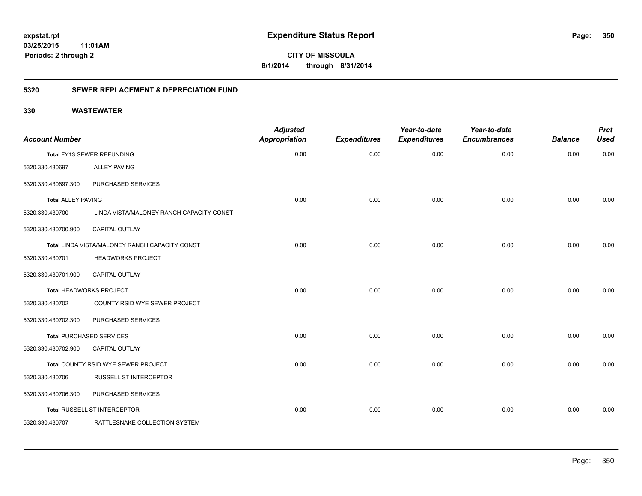**350**

**CITY OF MISSOULA 8/1/2014 through 8/31/2014**

# **5320 SEWER REPLACEMENT & DEPRECIATION FUND**

| <b>Account Number</b>     |                                                | <b>Adjusted</b><br><b>Appropriation</b> | <b>Expenditures</b> | Year-to-date<br><b>Expenditures</b> | Year-to-date<br><b>Encumbrances</b> | <b>Balance</b> | <b>Prct</b><br><b>Used</b> |
|---------------------------|------------------------------------------------|-----------------------------------------|---------------------|-------------------------------------|-------------------------------------|----------------|----------------------------|
|                           | Total FY13 SEWER REFUNDING                     | 0.00                                    | 0.00                | 0.00                                | 0.00                                | 0.00           | 0.00                       |
| 5320.330.430697           | <b>ALLEY PAVING</b>                            |                                         |                     |                                     |                                     |                |                            |
| 5320.330.430697.300       | PURCHASED SERVICES                             |                                         |                     |                                     |                                     |                |                            |
| <b>Total ALLEY PAVING</b> |                                                | 0.00                                    | 0.00                | 0.00                                | 0.00                                | 0.00           | 0.00                       |
| 5320.330.430700           | LINDA VISTA/MALONEY RANCH CAPACITY CONST       |                                         |                     |                                     |                                     |                |                            |
| 5320.330.430700.900       | <b>CAPITAL OUTLAY</b>                          |                                         |                     |                                     |                                     |                |                            |
|                           | Total LINDA VISTA/MALONEY RANCH CAPACITY CONST | 0.00                                    | 0.00                | 0.00                                | 0.00                                | 0.00           | 0.00                       |
| 5320.330.430701           | <b>HEADWORKS PROJECT</b>                       |                                         |                     |                                     |                                     |                |                            |
| 5320.330.430701.900       | CAPITAL OUTLAY                                 |                                         |                     |                                     |                                     |                |                            |
|                           | Total HEADWORKS PROJECT                        | 0.00                                    | 0.00                | 0.00                                | 0.00                                | 0.00           | 0.00                       |
| 5320.330.430702           | COUNTY RSID WYE SEWER PROJECT                  |                                         |                     |                                     |                                     |                |                            |
| 5320.330.430702.300       | PURCHASED SERVICES                             |                                         |                     |                                     |                                     |                |                            |
|                           | <b>Total PURCHASED SERVICES</b>                | 0.00                                    | 0.00                | 0.00                                | 0.00                                | 0.00           | 0.00                       |
| 5320.330.430702.900       | <b>CAPITAL OUTLAY</b>                          |                                         |                     |                                     |                                     |                |                            |
|                           | Total COUNTY RSID WYE SEWER PROJECT            | 0.00                                    | 0.00                | 0.00                                | 0.00                                | 0.00           | 0.00                       |
| 5320.330.430706           | RUSSELL ST INTERCEPTOR                         |                                         |                     |                                     |                                     |                |                            |
| 5320.330.430706.300       | PURCHASED SERVICES                             |                                         |                     |                                     |                                     |                |                            |
|                           | Total RUSSELL ST INTERCEPTOR                   | 0.00                                    | 0.00                | 0.00                                | 0.00                                | 0.00           | 0.00                       |
| 5320.330.430707           | RATTLESNAKE COLLECTION SYSTEM                  |                                         |                     |                                     |                                     |                |                            |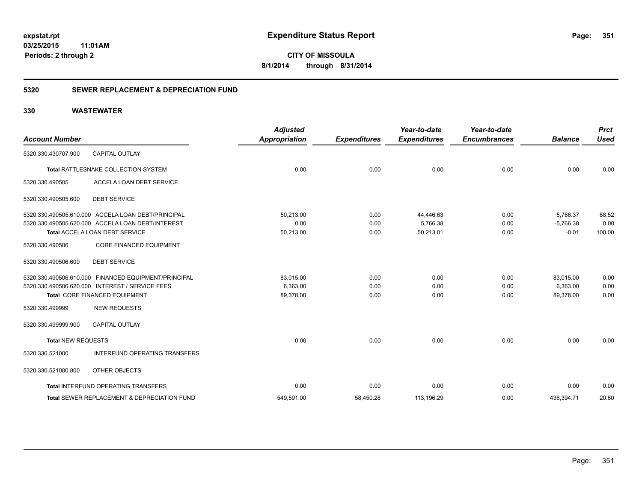**CITY OF MISSOULA 8/1/2014 through 8/31/2014**

# **5320 SEWER REPLACEMENT & DEPRECIATION FUND**

| <b>Account Number</b>     |                                                                                                                                           | <b>Adjusted</b><br><b>Appropriation</b> | <b>Expenditures</b>  | Year-to-date<br><b>Expenditures</b> | Year-to-date<br><b>Encumbrances</b> | <b>Balance</b>                     | <b>Prct</b><br><b>Used</b> |
|---------------------------|-------------------------------------------------------------------------------------------------------------------------------------------|-----------------------------------------|----------------------|-------------------------------------|-------------------------------------|------------------------------------|----------------------------|
| 5320.330.430707.900       | <b>CAPITAL OUTLAY</b>                                                                                                                     |                                         |                      |                                     |                                     |                                    |                            |
|                           | Total RATTLESNAKE COLLECTION SYSTEM                                                                                                       | 0.00                                    | 0.00                 | 0.00                                | 0.00                                | 0.00                               | 0.00                       |
| 5320.330.490505           | ACCELA LOAN DEBT SERVICE                                                                                                                  |                                         |                      |                                     |                                     |                                    |                            |
| 5320.330.490505.600       | <b>DEBT SERVICE</b>                                                                                                                       |                                         |                      |                                     |                                     |                                    |                            |
|                           | 5320.330.490505.610.000 ACCELA LOAN DEBT/PRINCIPAL<br>5320.330.490505.620.000 ACCELA LOAN DEBT/INTEREST<br>Total ACCELA LOAN DEBT SERVICE | 50.213.00<br>0.00<br>50,213.00          | 0.00<br>0.00<br>0.00 | 44,446.63<br>5,766.38<br>50,213.01  | 0.00<br>0.00<br>0.00                | 5.766.37<br>$-5,766.38$<br>$-0.01$ | 88.52<br>0.00<br>100.00    |
| 5320.330.490506           | <b>CORE FINANCED EQUIPMENT</b>                                                                                                            |                                         |                      |                                     |                                     |                                    |                            |
| 5320.330.490506.600       | <b>DEBT SERVICE</b>                                                                                                                       |                                         |                      |                                     |                                     |                                    |                            |
|                           | 5320.330.490506.610.000 FINANCED EQUIPMENT/PRINCIPAL<br>5320.330.490506.620.000 INTEREST / SERVICE FEES<br>Total CORE FINANCED EQUIPMENT  | 83,015.00<br>6.363.00<br>89,378.00      | 0.00<br>0.00<br>0.00 | 0.00<br>0.00<br>0.00                | 0.00<br>0.00<br>0.00                | 83,015.00<br>6.363.00<br>89.378.00 | 0.00<br>0.00<br>0.00       |
| 5320.330.499999           | <b>NEW REQUESTS</b>                                                                                                                       |                                         |                      |                                     |                                     |                                    |                            |
| 5320.330.499999.900       | <b>CAPITAL OUTLAY</b>                                                                                                                     |                                         |                      |                                     |                                     |                                    |                            |
| <b>Total NEW REQUESTS</b> |                                                                                                                                           | 0.00                                    | 0.00                 | 0.00                                | 0.00                                | 0.00                               | 0.00                       |
| 5320.330.521000           | <b>INTERFUND OPERATING TRANSFERS</b>                                                                                                      |                                         |                      |                                     |                                     |                                    |                            |
| 5320.330.521000.800       | OTHER OBJECTS                                                                                                                             |                                         |                      |                                     |                                     |                                    |                            |
|                           | Total INTERFUND OPERATING TRANSFERS                                                                                                       | 0.00                                    | 0.00                 | 0.00                                | 0.00                                | 0.00                               | 0.00                       |
|                           | Total SEWER REPLACEMENT & DEPRECIATION FUND                                                                                               | 549,591.00                              | 58,450.28            | 113,196.29                          | 0.00                                | 436,394.71                         | 20.60                      |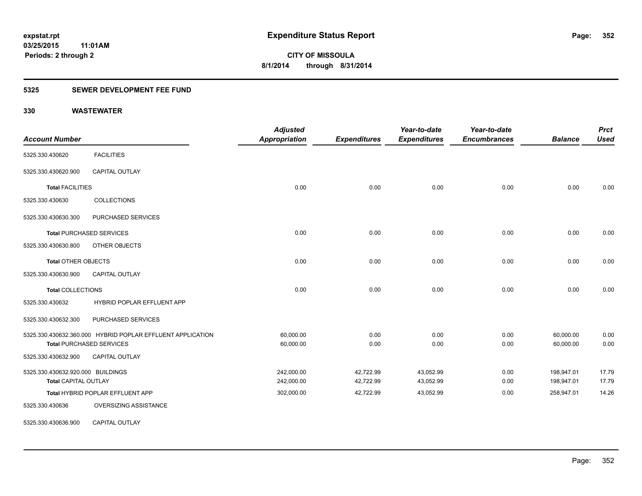# **5325 SEWER DEVELOPMENT FEE FUND**

| <b>Account Number</b>             |                                                            | <b>Adjusted</b><br>Appropriation | <b>Expenditures</b> | Year-to-date<br><b>Expenditures</b> | Year-to-date<br><b>Encumbrances</b> | <b>Balance</b> | <b>Prct</b><br><b>Used</b> |
|-----------------------------------|------------------------------------------------------------|----------------------------------|---------------------|-------------------------------------|-------------------------------------|----------------|----------------------------|
| 5325.330.430620                   | <b>FACILITIES</b>                                          |                                  |                     |                                     |                                     |                |                            |
| 5325.330.430620.900               | <b>CAPITAL OUTLAY</b>                                      |                                  |                     |                                     |                                     |                |                            |
| <b>Total FACILITIES</b>           |                                                            | 0.00                             | 0.00                | 0.00                                | 0.00                                | 0.00           | 0.00                       |
| 5325.330.430630                   | <b>COLLECTIONS</b>                                         |                                  |                     |                                     |                                     |                |                            |
| 5325.330.430630.300               | PURCHASED SERVICES                                         |                                  |                     |                                     |                                     |                |                            |
|                                   | <b>Total PURCHASED SERVICES</b>                            | 0.00                             | 0.00                | 0.00                                | 0.00                                | 0.00           | 0.00                       |
| 5325.330.430630.800               | OTHER OBJECTS                                              |                                  |                     |                                     |                                     |                |                            |
| <b>Total OTHER OBJECTS</b>        |                                                            | 0.00                             | 0.00                | 0.00                                | 0.00                                | 0.00           | 0.00                       |
| 5325.330.430630.900               | <b>CAPITAL OUTLAY</b>                                      |                                  |                     |                                     |                                     |                |                            |
| <b>Total COLLECTIONS</b>          |                                                            | 0.00                             | 0.00                | 0.00                                | 0.00                                | 0.00           | 0.00                       |
| 5325.330.430632                   | HYBRID POPLAR EFFLUENT APP                                 |                                  |                     |                                     |                                     |                |                            |
| 5325.330.430632.300               | PURCHASED SERVICES                                         |                                  |                     |                                     |                                     |                |                            |
|                                   | 5325.330.430632.360.000 HYBRID POPLAR EFFLUENT APPLICATION | 60,000.00                        | 0.00                | 0.00                                | 0.00                                | 60,000.00      | 0.00                       |
|                                   | <b>Total PURCHASED SERVICES</b>                            | 60,000.00                        | 0.00                | 0.00                                | 0.00                                | 60,000.00      | 0.00                       |
| 5325.330.430632.900               | <b>CAPITAL OUTLAY</b>                                      |                                  |                     |                                     |                                     |                |                            |
| 5325.330.430632.920.000 BUILDINGS |                                                            | 242,000.00                       | 42,722.99           | 43,052.99                           | 0.00                                | 198,947.01     | 17.79                      |
| <b>Total CAPITAL OUTLAY</b>       |                                                            | 242,000.00                       | 42,722.99           | 43,052.99                           | 0.00                                | 198,947.01     | 17.79                      |
|                                   | Total HYBRID POPLAR EFFLUENT APP                           | 302,000.00                       | 42,722.99           | 43,052.99                           | 0.00                                | 258,947.01     | 14.26                      |
| 5325.330.430636                   | OVERSIZING ASSISTANCE                                      |                                  |                     |                                     |                                     |                |                            |
| 5325.330.430636.900               | CAPITAL OUTLAY                                             |                                  |                     |                                     |                                     |                |                            |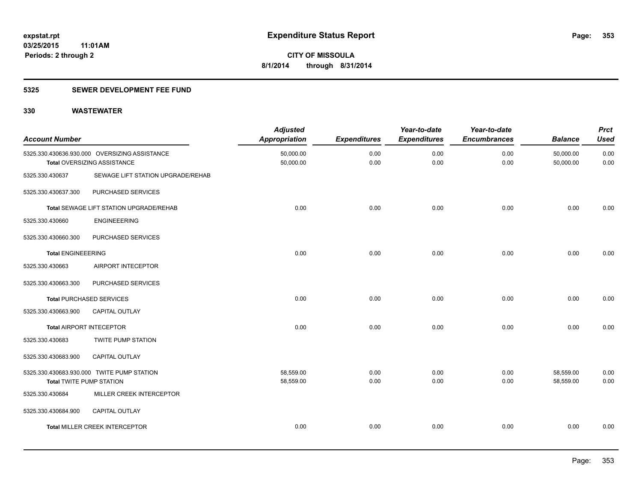# **5325 SEWER DEVELOPMENT FEE FUND**

| <b>Account Number</b>           |                                                                              | <b>Adjusted</b><br><b>Appropriation</b> | <b>Expenditures</b> | Year-to-date<br><b>Expenditures</b> | Year-to-date<br><b>Encumbrances</b> | <b>Balance</b>         | <b>Prct</b><br><b>Used</b> |
|---------------------------------|------------------------------------------------------------------------------|-----------------------------------------|---------------------|-------------------------------------|-------------------------------------|------------------------|----------------------------|
|                                 | 5325.330.430636.930.000 OVERSIZING ASSISTANCE<br>Total OVERSIZING ASSISTANCE | 50,000.00<br>50,000.00                  | 0.00<br>0.00        | 0.00<br>0.00                        | 0.00<br>0.00                        | 50,000.00<br>50,000.00 | 0.00<br>0.00               |
| 5325.330.430637                 | SEWAGE LIFT STATION UPGRADE/REHAB                                            |                                         |                     |                                     |                                     |                        |                            |
| 5325.330.430637.300             | PURCHASED SERVICES                                                           |                                         |                     |                                     |                                     |                        |                            |
|                                 | <b>Total SEWAGE LIFT STATION UPGRADE/REHAB</b>                               | 0.00                                    | 0.00                | 0.00                                | 0.00                                | 0.00                   | 0.00                       |
| 5325.330.430660                 | <b>ENGINEEERING</b>                                                          |                                         |                     |                                     |                                     |                        |                            |
| 5325.330.430660.300             | PURCHASED SERVICES                                                           |                                         |                     |                                     |                                     |                        |                            |
| <b>Total ENGINEEERING</b>       |                                                                              | 0.00                                    | 0.00                | 0.00                                | 0.00                                | 0.00                   | 0.00                       |
| 5325.330.430663                 | AIRPORT INTECEPTOR                                                           |                                         |                     |                                     |                                     |                        |                            |
| 5325.330.430663.300             | PURCHASED SERVICES                                                           |                                         |                     |                                     |                                     |                        |                            |
|                                 | <b>Total PURCHASED SERVICES</b>                                              | 0.00                                    | 0.00                | 0.00                                | 0.00                                | 0.00                   | 0.00                       |
| 5325.330.430663.900             | CAPITAL OUTLAY                                                               |                                         |                     |                                     |                                     |                        |                            |
| <b>Total AIRPORT INTECEPTOR</b> |                                                                              | 0.00                                    | 0.00                | 0.00                                | 0.00                                | 0.00                   | 0.00                       |
| 5325.330.430683                 | <b>TWITE PUMP STATION</b>                                                    |                                         |                     |                                     |                                     |                        |                            |
| 5325.330.430683.900             | CAPITAL OUTLAY                                                               |                                         |                     |                                     |                                     |                        |                            |
| <b>Total TWITE PUMP STATION</b> | 5325.330.430683.930.000 TWITE PUMP STATION                                   | 58,559.00<br>58,559.00                  | 0.00<br>0.00        | 0.00<br>0.00                        | 0.00<br>0.00                        | 58,559.00<br>58,559.00 | 0.00<br>0.00               |
| 5325.330.430684                 | MILLER CREEK INTERCEPTOR                                                     |                                         |                     |                                     |                                     |                        |                            |
| 5325.330.430684.900             | CAPITAL OUTLAY                                                               |                                         |                     |                                     |                                     |                        |                            |
|                                 | <b>Total MILLER CREEK INTERCEPTOR</b>                                        | 0.00                                    | 0.00                | 0.00                                | 0.00                                | 0.00                   | 0.00                       |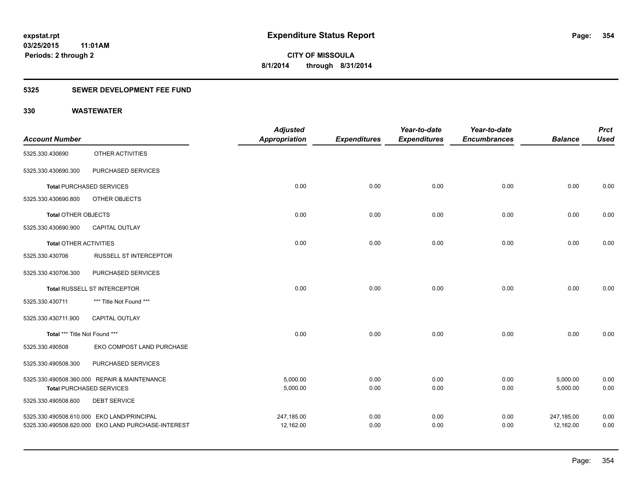# **5325 SEWER DEVELOPMENT FEE FUND**

|                               |                                                    | <b>Adjusted</b>      |                     | Year-to-date        | Year-to-date        |                | <b>Prct</b> |
|-------------------------------|----------------------------------------------------|----------------------|---------------------|---------------------|---------------------|----------------|-------------|
| <b>Account Number</b>         |                                                    | <b>Appropriation</b> | <b>Expenditures</b> | <b>Expenditures</b> | <b>Encumbrances</b> | <b>Balance</b> | <b>Used</b> |
| 5325.330.430690               | OTHER ACTIVITIES                                   |                      |                     |                     |                     |                |             |
| 5325.330.430690.300           | PURCHASED SERVICES                                 |                      |                     |                     |                     |                |             |
|                               | <b>Total PURCHASED SERVICES</b>                    | 0.00                 | 0.00                | 0.00                | 0.00                | 0.00           | 0.00        |
| 5325.330.430690.800           | OTHER OBJECTS                                      |                      |                     |                     |                     |                |             |
| Total OTHER OBJECTS           |                                                    | 0.00                 | 0.00                | 0.00                | 0.00                | 0.00           | 0.00        |
| 5325.330.430690.900           | <b>CAPITAL OUTLAY</b>                              |                      |                     |                     |                     |                |             |
| <b>Total OTHER ACTIVITIES</b> |                                                    | 0.00                 | 0.00                | 0.00                | 0.00                | 0.00           | 0.00        |
| 5325.330.430706               | <b>RUSSELL ST INTERCEPTOR</b>                      |                      |                     |                     |                     |                |             |
| 5325.330.430706.300           | PURCHASED SERVICES                                 |                      |                     |                     |                     |                |             |
|                               | Total RUSSELL ST INTERCEPTOR                       | 0.00                 | 0.00                | 0.00                | 0.00                | 0.00           | 0.00        |
| 5325.330.430711               | *** Title Not Found ***                            |                      |                     |                     |                     |                |             |
| 5325.330.430711.900           | <b>CAPITAL OUTLAY</b>                              |                      |                     |                     |                     |                |             |
| Total *** Title Not Found *** |                                                    | 0.00                 | 0.00                | 0.00                | 0.00                | 0.00           | 0.00        |
| 5325.330.490508               | EKO COMPOST LAND PURCHASE                          |                      |                     |                     |                     |                |             |
| 5325.330.490508.300           | PURCHASED SERVICES                                 |                      |                     |                     |                     |                |             |
|                               | 5325.330.490508.360.000 REPAIR & MAINTENANCE       | 5,000.00             | 0.00                | 0.00                | 0.00                | 5,000.00       | 0.00        |
|                               | <b>Total PURCHASED SERVICES</b>                    | 5,000.00             | 0.00                | 0.00                | 0.00                | 5,000.00       | 0.00        |
| 5325.330.490508.600           | <b>DEBT SERVICE</b>                                |                      |                     |                     |                     |                |             |
|                               | 5325.330.490508.610.000 EKO LAND/PRINCIPAL         | 247,185.00           | 0.00                | 0.00                | 0.00                | 247,185.00     | 0.00        |
|                               | 5325.330.490508.620.000 EKO LAND PURCHASE-INTEREST | 12,162.00            | 0.00                | 0.00                | 0.00                | 12,162.00      | 0.00        |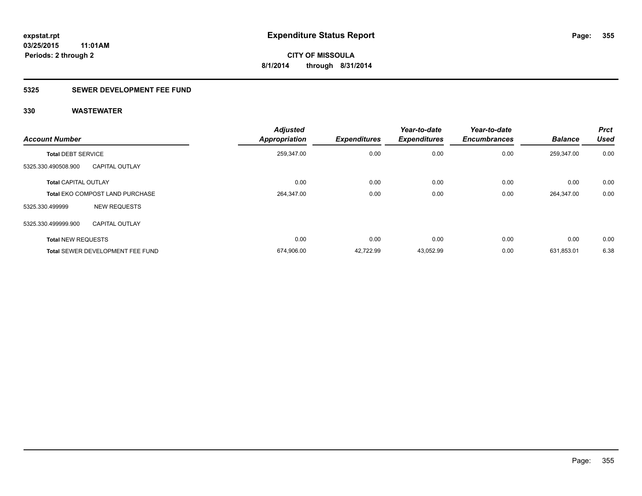# **5325 SEWER DEVELOPMENT FEE FUND**

| <b>Account Number</b>       |                                        | <b>Adjusted</b><br><b>Appropriation</b> | <b>Expenditures</b> | Year-to-date<br><b>Expenditures</b> | Year-to-date<br><b>Encumbrances</b> | <b>Balance</b> | <b>Prct</b><br><b>Used</b> |
|-----------------------------|----------------------------------------|-----------------------------------------|---------------------|-------------------------------------|-------------------------------------|----------------|----------------------------|
| <b>Total DEBT SERVICE</b>   |                                        | 259,347.00                              | 0.00                | 0.00                                | 0.00                                | 259,347.00     | 0.00                       |
| 5325.330.490508.900         | <b>CAPITAL OUTLAY</b>                  |                                         |                     |                                     |                                     |                |                            |
| <b>Total CAPITAL OUTLAY</b> |                                        | 0.00                                    | 0.00                | 0.00                                | 0.00                                | 0.00           | 0.00                       |
|                             | <b>Total EKO COMPOST LAND PURCHASE</b> | 264,347.00                              | 0.00                | 0.00                                | 0.00                                | 264,347.00     | 0.00                       |
| 5325.330.499999             | <b>NEW REQUESTS</b>                    |                                         |                     |                                     |                                     |                |                            |
| 5325.330.499999.900         | <b>CAPITAL OUTLAY</b>                  |                                         |                     |                                     |                                     |                |                            |
| <b>Total NEW REQUESTS</b>   |                                        | 0.00                                    | 0.00                | 0.00                                | 0.00                                | 0.00           | 0.00                       |
|                             | Total SEWER DEVELOPMENT FEE FUND       | 674,906.00                              | 42,722.99           | 43,052.99                           | 0.00                                | 631,853.01     | 6.38                       |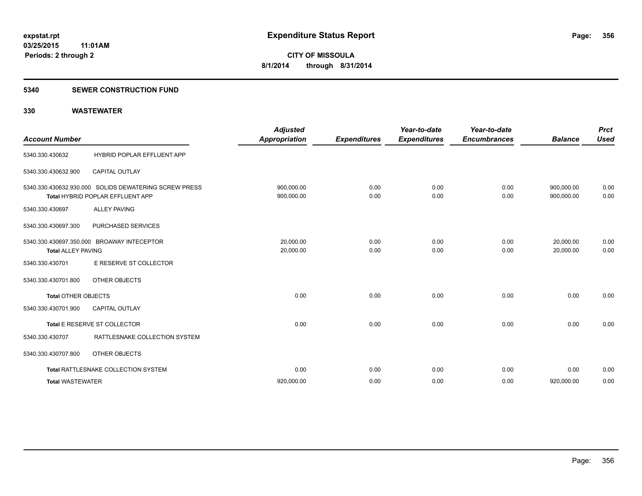### **5340 SEWER CONSTRUCTION FUND**

| <b>Account Number</b>      |                                                                                           | <b>Adjusted</b><br><b>Appropriation</b> | <b>Expenditures</b> | Year-to-date<br><b>Expenditures</b> | Year-to-date<br><b>Encumbrances</b> | <b>Balance</b>           | <b>Prct</b><br><b>Used</b> |
|----------------------------|-------------------------------------------------------------------------------------------|-----------------------------------------|---------------------|-------------------------------------|-------------------------------------|--------------------------|----------------------------|
| 5340.330.430632            | HYBRID POPLAR EFFLUENT APP                                                                |                                         |                     |                                     |                                     |                          |                            |
| 5340.330.430632.900        | <b>CAPITAL OUTLAY</b>                                                                     |                                         |                     |                                     |                                     |                          |                            |
|                            | 5340.330.430632.930.000 SOLIDS DEWATERING SCREW PRESS<br>Total HYBRID POPLAR EFFLUENT APP | 900,000.00<br>900,000.00                | 0.00<br>0.00        | 0.00<br>0.00                        | 0.00<br>0.00                        | 900.000.00<br>900,000.00 | 0.00<br>0.00               |
| 5340.330.430697            | <b>ALLEY PAVING</b>                                                                       |                                         |                     |                                     |                                     |                          |                            |
| 5340.330.430697.300        | PURCHASED SERVICES                                                                        |                                         |                     |                                     |                                     |                          |                            |
| <b>Total ALLEY PAVING</b>  | 5340.330.430697.350.000 BROAWAY INTECEPTOR                                                | 20,000.00<br>20,000.00                  | 0.00<br>0.00        | 0.00<br>0.00                        | 0.00<br>0.00                        | 20,000.00<br>20,000.00   | 0.00<br>0.00               |
| 5340.330.430701            | E RESERVE ST COLLECTOR                                                                    |                                         |                     |                                     |                                     |                          |                            |
| 5340.330.430701.800        | OTHER OBJECTS                                                                             |                                         |                     |                                     |                                     |                          |                            |
| <b>Total OTHER OBJECTS</b> |                                                                                           | 0.00                                    | 0.00                | 0.00                                | 0.00                                | 0.00                     | 0.00                       |
| 5340.330.430701.900        | <b>CAPITAL OUTLAY</b>                                                                     |                                         |                     |                                     |                                     |                          |                            |
|                            | Total E RESERVE ST COLLECTOR                                                              | 0.00                                    | 0.00                | 0.00                                | 0.00                                | 0.00                     | 0.00                       |
| 5340.330.430707            | RATTLESNAKE COLLECTION SYSTEM                                                             |                                         |                     |                                     |                                     |                          |                            |
| 5340.330.430707.800        | OTHER OBJECTS                                                                             |                                         |                     |                                     |                                     |                          |                            |
|                            | Total RATTLESNAKE COLLECTION SYSTEM                                                       | 0.00                                    | 0.00                | 0.00                                | 0.00                                | 0.00                     | 0.00                       |
| <b>Total WASTEWATER</b>    |                                                                                           | 920,000.00                              | 0.00                | 0.00                                | 0.00                                | 920,000.00               | 0.00                       |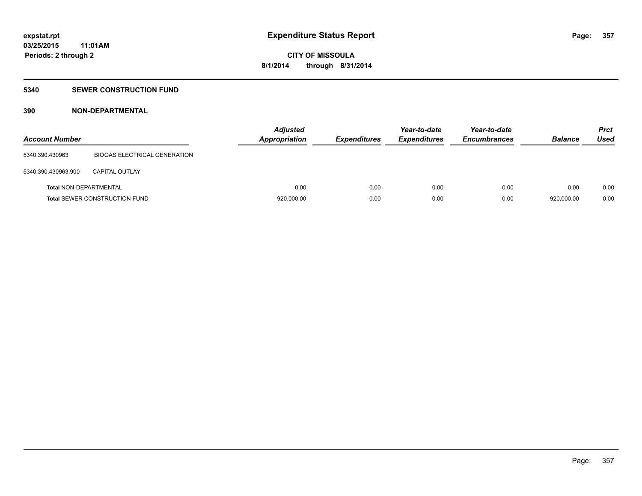# **5340 SEWER CONSTRUCTION FUND**

# **390 NON-DEPARTMENTAL**

| <b>Account Number</b>         |                                      | <b>Adjusted</b><br><b>Appropriation</b> | <b>Expenditures</b> | Year-to-date<br><b>Expenditures</b> | Year-to-date<br><b>Encumbrances</b> | <b>Balance</b> | <b>Prct</b><br>Used |
|-------------------------------|--------------------------------------|-----------------------------------------|---------------------|-------------------------------------|-------------------------------------|----------------|---------------------|
| 5340.390.430963               | BIOGAS ELECTRICAL GENERATION         |                                         |                     |                                     |                                     |                |                     |
| 5340.390.430963.900           | <b>CAPITAL OUTLAY</b>                |                                         |                     |                                     |                                     |                |                     |
| <b>Total NON-DEPARTMENTAL</b> |                                      | 0.00                                    | 0.00                | 0.00                                | 0.00                                | 0.00           | 0.00                |
|                               | <b>Total SEWER CONSTRUCTION FUND</b> | 920,000.00                              | 0.00                | 0.00                                | 0.00                                | 920.000.00     | 0.00                |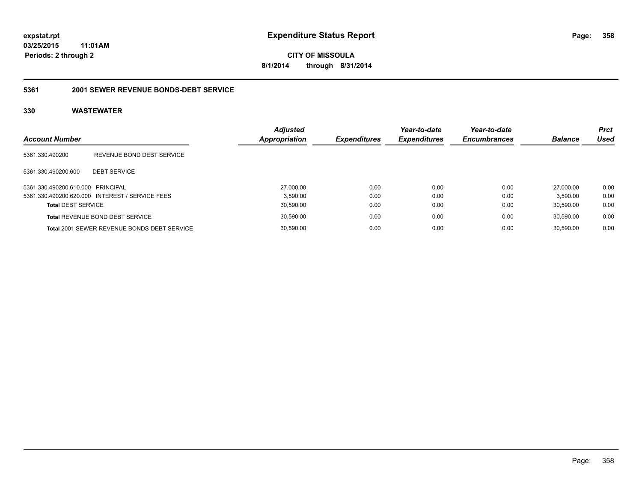**358**

**03/25/2015 11:01AM Periods: 2 through 2**

**CITY OF MISSOULA 8/1/2014 through 8/31/2014**

### **5361 2001 SEWER REVENUE BONDS-DEBT SERVICE**

| <b>Account Number</b>             |                                                 | <b>Adjusted</b><br>Appropriation | <b>Expenditures</b> | Year-to-date<br><b>Expenditures</b> | Year-to-date<br><b>Encumbrances</b> | <b>Balance</b> | <b>Prct</b><br>Used |
|-----------------------------------|-------------------------------------------------|----------------------------------|---------------------|-------------------------------------|-------------------------------------|----------------|---------------------|
| 5361.330.490200                   | REVENUE BOND DEBT SERVICE                       |                                  |                     |                                     |                                     |                |                     |
| 5361.330.490200.600               | <b>DEBT SERVICE</b>                             |                                  |                     |                                     |                                     |                |                     |
| 5361.330.490200.610.000 PRINCIPAL |                                                 | 27,000.00                        | 0.00                | 0.00                                | 0.00                                | 27.000.00      | 0.00                |
|                                   | 5361.330.490200.620.000 INTEREST / SERVICE FEES | 3.590.00                         | 0.00                | 0.00                                | 0.00                                | 3.590.00       | 0.00                |
| <b>Total DEBT SERVICE</b>         |                                                 | 30,590.00                        | 0.00                | 0.00                                | 0.00                                | 30.590.00      | 0.00                |
|                                   | <b>Total REVENUE BOND DEBT SERVICE</b>          | 30,590.00                        | 0.00                | 0.00                                | 0.00                                | 30.590.00      | 0.00                |
|                                   | Total 2001 SEWER REVENUE BONDS-DEBT SERVICE     | 30,590.00                        | 0.00                | 0.00                                | 0.00                                | 30.590.00      | 0.00                |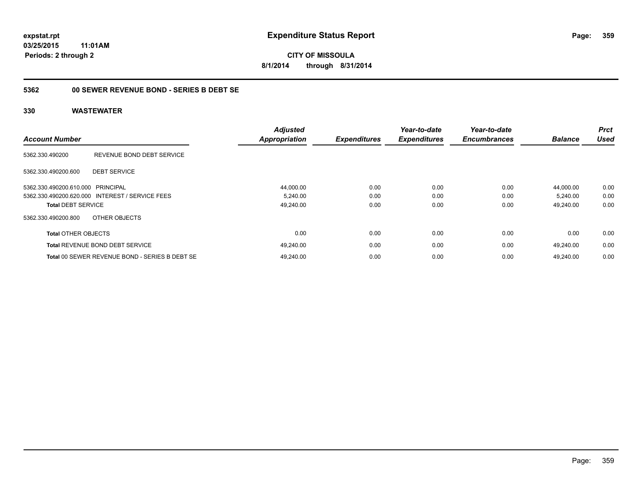**CITY OF MISSOULA 8/1/2014 through 8/31/2014**

# **5362 00 SEWER REVENUE BOND - SERIES B DEBT SE**

| <b>Account Number</b>      |                                                 | <b>Adjusted</b><br><b>Appropriation</b> | <b>Expenditures</b> | Year-to-date<br><b>Expenditures</b> | Year-to-date<br><b>Encumbrances</b> | <b>Balance</b> | <b>Prct</b><br><b>Used</b> |
|----------------------------|-------------------------------------------------|-----------------------------------------|---------------------|-------------------------------------|-------------------------------------|----------------|----------------------------|
| 5362.330.490200            | REVENUE BOND DEBT SERVICE                       |                                         |                     |                                     |                                     |                |                            |
| 5362.330.490200.600        | <b>DEBT SERVICE</b>                             |                                         |                     |                                     |                                     |                |                            |
| 5362.330.490200.610.000    | PRINCIPAL                                       | 44,000.00                               | 0.00                | 0.00                                | 0.00                                | 44.000.00      | 0.00                       |
|                            | 5362.330.490200.620.000 INTEREST / SERVICE FEES | 5,240.00                                | 0.00                | 0.00                                | 0.00                                | 5,240.00       | 0.00                       |
| <b>Total DEBT SERVICE</b>  |                                                 | 49,240.00                               | 0.00                | 0.00                                | 0.00                                | 49,240.00      | 0.00                       |
| 5362.330.490200.800        | OTHER OBJECTS                                   |                                         |                     |                                     |                                     |                |                            |
| <b>Total OTHER OBJECTS</b> |                                                 | 0.00                                    | 0.00                | 0.00                                | 0.00                                | 0.00           | 0.00                       |
|                            | <b>Total REVENUE BOND DEBT SERVICE</b>          | 49,240.00                               | 0.00                | 0.00                                | 0.00                                | 49.240.00      | 0.00                       |
|                            | Total 00 SEWER REVENUE BOND - SERIES B DEBT SE  | 49.240.00                               | 0.00                | 0.00                                | 0.00                                | 49.240.00      | 0.00                       |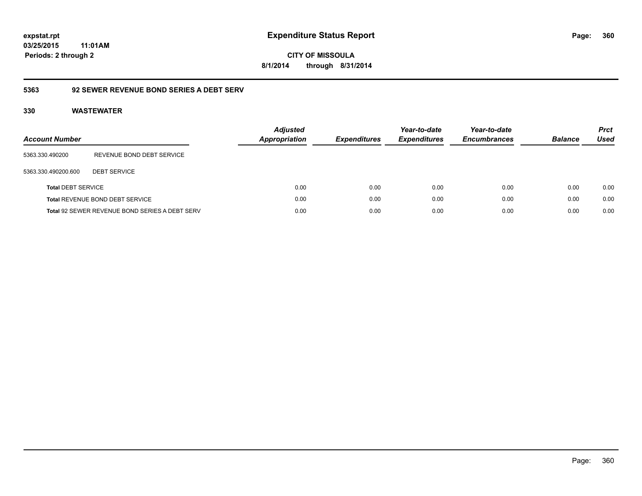**CITY OF MISSOULA 8/1/2014 through 8/31/2014**

# **5363 92 SEWER REVENUE BOND SERIES A DEBT SERV**

| Account Number            |                                                       | <b>Adjusted</b><br><b>Appropriation</b> | <b>Expenditures</b> | Year-to-date<br><b>Expenditures</b> | Year-to-date<br><b>Encumbrances</b> | <b>Balance</b> | <b>Prct</b><br>Used |
|---------------------------|-------------------------------------------------------|-----------------------------------------|---------------------|-------------------------------------|-------------------------------------|----------------|---------------------|
| 5363.330.490200           | REVENUE BOND DEBT SERVICE                             |                                         |                     |                                     |                                     |                |                     |
| 5363.330.490200.600       | <b>DEBT SERVICE</b>                                   |                                         |                     |                                     |                                     |                |                     |
| <b>Total DEBT SERVICE</b> |                                                       | 0.00                                    | 0.00                | 0.00                                | 0.00                                | 0.00           | 0.00                |
|                           | <b>Total REVENUE BOND DEBT SERVICE</b>                | 0.00                                    | 0.00                | 0.00                                | 0.00                                | 0.00           | 0.00                |
|                           | <b>Total 92 SEWER REVENUE BOND SERIES A DEBT SERV</b> | 0.00                                    | 0.00                | 0.00                                | 0.00                                | 0.00           | 0.00                |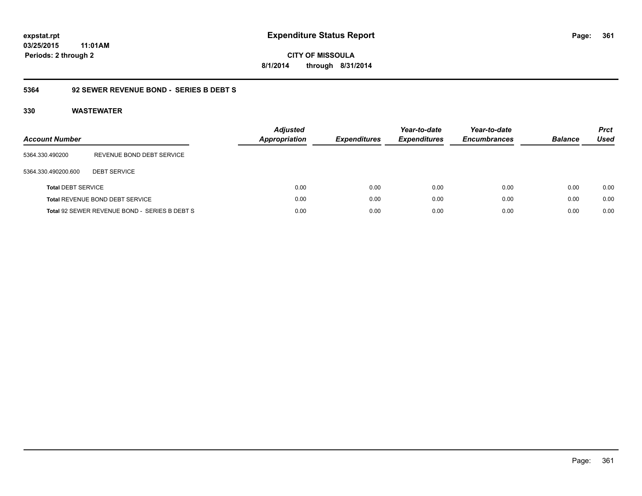# **03/25/2015**

**361**

**11:01AM Periods: 2 through 2**

**CITY OF MISSOULA 8/1/2014 through 8/31/2014**

#### **5364 92 SEWER REVENUE BOND - SERIES B DEBT S**

| <b>Account Number</b>     |                                               | <b>Adjusted</b><br><b>Appropriation</b> | <b>Expenditures</b> | Year-to-date<br><b>Expenditures</b> | Year-to-date<br><b>Encumbrances</b> | <b>Balance</b> | <b>Prct</b><br><b>Used</b> |
|---------------------------|-----------------------------------------------|-----------------------------------------|---------------------|-------------------------------------|-------------------------------------|----------------|----------------------------|
| 5364.330.490200           | REVENUE BOND DEBT SERVICE                     |                                         |                     |                                     |                                     |                |                            |
| 5364.330.490200.600       | <b>DEBT SERVICE</b>                           |                                         |                     |                                     |                                     |                |                            |
| <b>Total DEBT SERVICE</b> |                                               | 0.00                                    | 0.00                | 0.00                                | 0.00                                | 0.00           | 0.00                       |
|                           | Total REVENUE BOND DEBT SERVICE               | 0.00                                    | 0.00                | 0.00                                | 0.00                                | 0.00           | 0.00                       |
|                           | Total 92 SEWER REVENUE BOND - SERIES B DEBT S | 0.00                                    | 0.00                | 0.00                                | 0.00                                | 0.00           | 0.00                       |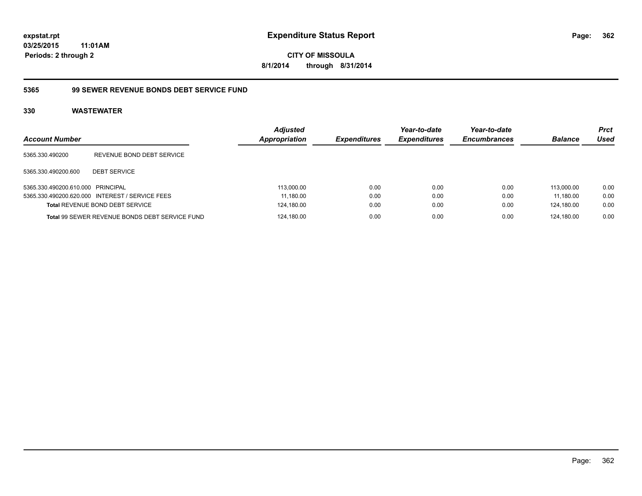**CITY OF MISSOULA 8/1/2014 through 8/31/2014**

#### **5365 99 SEWER REVENUE BONDS DEBT SERVICE FUND**

| <b>Account Number</b>             |                                                 | <b>Adjusted</b><br>Appropriation | <b>Expenditures</b> | Year-to-date<br><b>Expenditures</b> | Year-to-date<br><b>Encumbrances</b> | <b>Balance</b> | <b>Prct</b><br>Used |
|-----------------------------------|-------------------------------------------------|----------------------------------|---------------------|-------------------------------------|-------------------------------------|----------------|---------------------|
| 5365.330.490200                   | REVENUE BOND DEBT SERVICE                       |                                  |                     |                                     |                                     |                |                     |
| 5365.330.490200.600               | <b>DEBT SERVICE</b>                             |                                  |                     |                                     |                                     |                |                     |
| 5365.330.490200.610.000 PRINCIPAL |                                                 | 113,000.00                       | 0.00                | 0.00                                | 0.00                                | 113.000.00     | 0.00                |
|                                   | 5365.330.490200.620.000 INTEREST / SERVICE FEES | 11,180.00                        | 0.00                | 0.00                                | 0.00                                | 11.180.00      | 0.00                |
|                                   | Total REVENUE BOND DEBT SERVICE                 | 124,180.00                       | 0.00                | 0.00                                | 0.00                                | 124,180.00     | 0.00                |
|                                   | Total 99 SEWER REVENUE BONDS DEBT SERVICE FUND  | 124,180.00                       | 0.00                | 0.00                                | 0.00                                | 124.180.00     | 0.00                |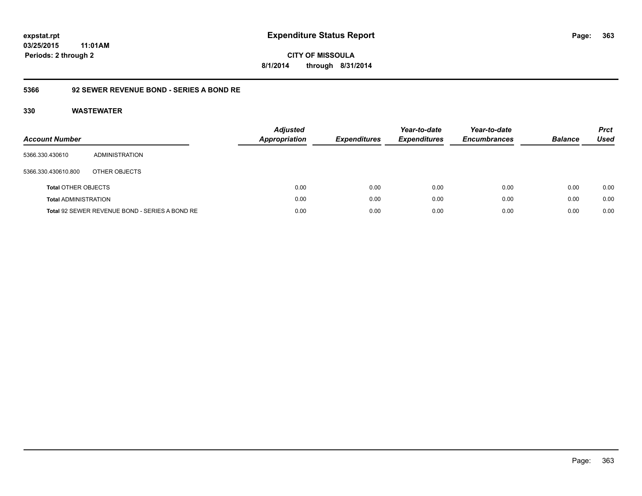**CITY OF MISSOULA 8/1/2014 through 8/31/2014**

#### **5366 92 SEWER REVENUE BOND - SERIES A BOND RE**

| Account Number              |                                                | <b>Adjusted</b><br><b>Appropriation</b> | <b>Expenditures</b> | Year-to-date<br><b>Expenditures</b> | Year-to-date<br><b>Encumbrances</b> | <b>Balance</b> | <b>Prct</b><br>Used |
|-----------------------------|------------------------------------------------|-----------------------------------------|---------------------|-------------------------------------|-------------------------------------|----------------|---------------------|
| 5366.330.430610             | ADMINISTRATION                                 |                                         |                     |                                     |                                     |                |                     |
| 5366.330.430610.800         | OTHER OBJECTS                                  |                                         |                     |                                     |                                     |                |                     |
| <b>Total OTHER OBJECTS</b>  |                                                | 0.00                                    | 0.00                | 0.00                                | 0.00                                | 0.00           | 0.00                |
| <b>Total ADMINISTRATION</b> |                                                | 0.00                                    | 0.00                | 0.00                                | 0.00                                | 0.00           | 0.00                |
|                             | Total 92 SEWER REVENUE BOND - SERIES A BOND RE | 0.00                                    | 0.00                | 0.00                                | 0.00                                | 0.00           | 0.00                |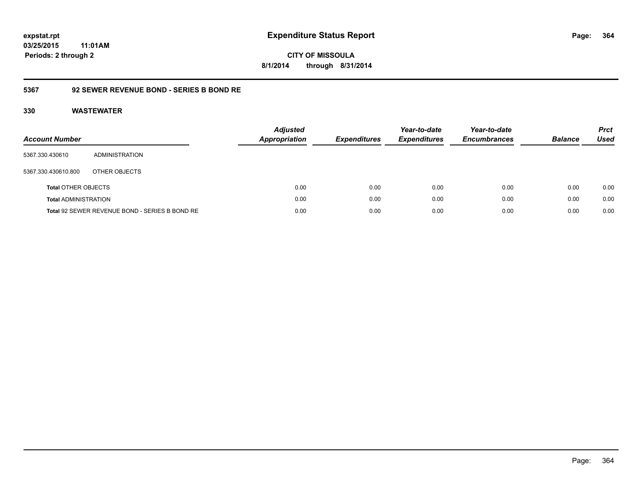**364**

**03/25/2015 11:01AM Periods: 2 through 2**

**CITY OF MISSOULA 8/1/2014 through 8/31/2014**

#### **5367 92 SEWER REVENUE BOND - SERIES B BOND RE**

| <b>Account Number</b>       |                                                | <b>Adjusted</b><br>Appropriation | <b>Expenditures</b> | Year-to-date<br><b>Expenditures</b> | Year-to-date<br><b>Encumbrances</b> | <b>Balance</b> | <b>Prct</b><br><b>Used</b> |
|-----------------------------|------------------------------------------------|----------------------------------|---------------------|-------------------------------------|-------------------------------------|----------------|----------------------------|
| 5367.330.430610             | ADMINISTRATION                                 |                                  |                     |                                     |                                     |                |                            |
| 5367.330.430610.800         | OTHER OBJECTS                                  |                                  |                     |                                     |                                     |                |                            |
| <b>Total OTHER OBJECTS</b>  |                                                | 0.00                             | 0.00                | 0.00                                | 0.00                                | 0.00           | 0.00                       |
| <b>Total ADMINISTRATION</b> |                                                | 0.00                             | 0.00                | 0.00                                | 0.00                                | 0.00           | 0.00                       |
|                             | Total 92 SEWER REVENUE BOND - SERIES B BOND RE | 0.00                             | 0.00                | 0.00                                | 0.00                                | 0.00           | 0.00                       |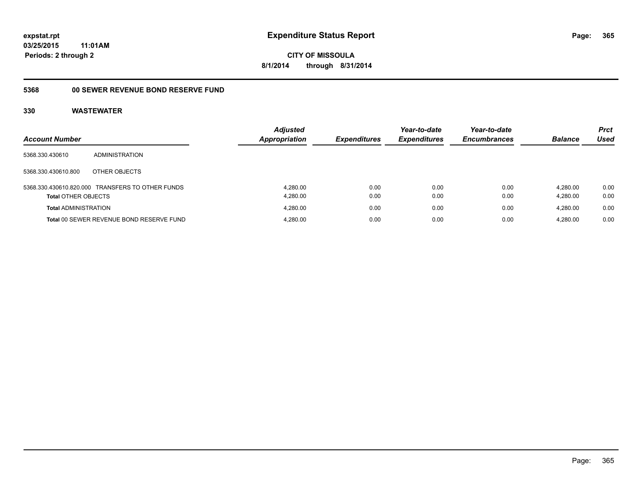#### **03/25/2015 11:01AM**

**Periods: 2 through 2**

## **CITY OF MISSOULA 8/1/2014 through 8/31/2014**

### **5368 00 SEWER REVENUE BOND RESERVE FUND**

|                             |                                                  | <b>Adjusted</b>      |                     | Year-to-date        | Year-to-date        |                | <b>Prct</b> |
|-----------------------------|--------------------------------------------------|----------------------|---------------------|---------------------|---------------------|----------------|-------------|
| <b>Account Number</b>       |                                                  | <b>Appropriation</b> | <b>Expenditures</b> | <b>Expenditures</b> | <b>Encumbrances</b> | <b>Balance</b> | Used        |
| 5368.330.430610             | <b>ADMINISTRATION</b>                            |                      |                     |                     |                     |                |             |
| 5368.330.430610.800         | OTHER OBJECTS                                    |                      |                     |                     |                     |                |             |
|                             | 5368.330.430610.820.000 TRANSFERS TO OTHER FUNDS | 4.280.00             | 0.00                | 0.00                | 0.00                | 4.280.00       | 0.00        |
| <b>Total OTHER OBJECTS</b>  |                                                  | 4,280.00             | 0.00                | 0.00                | 0.00                | 4.280.00       | 0.00        |
| <b>Total ADMINISTRATION</b> |                                                  | 4.280.00             | 0.00                | 0.00                | 0.00                | 4.280.00       | 0.00        |
|                             | Total 00 SEWER REVENUE BOND RESERVE FUND         | 4.280.00             | 0.00                | 0.00                | 0.00                | 4.280.00       | 0.00        |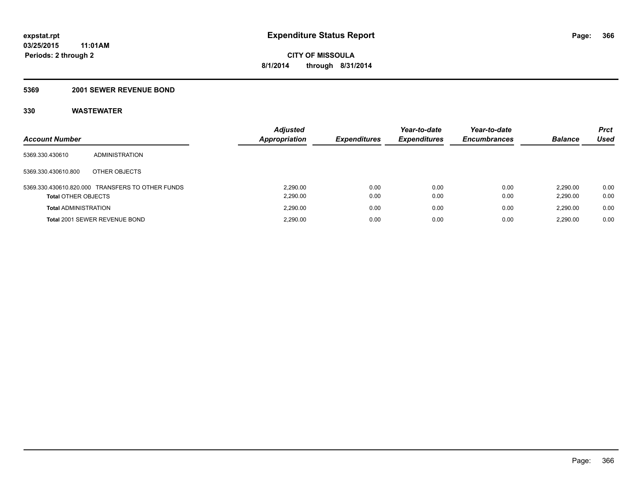#### **5369 2001 SEWER REVENUE BOND**

| <b>Account Number</b>       |                                                  | <b>Adjusted</b><br>Appropriation | <b>Expenditures</b> | Year-to-date<br><b>Expenditures</b> | Year-to-date<br><b>Encumbrances</b> | <b>Balance</b>       | <b>Prct</b><br>Used |
|-----------------------------|--------------------------------------------------|----------------------------------|---------------------|-------------------------------------|-------------------------------------|----------------------|---------------------|
| 5369.330.430610             | ADMINISTRATION                                   |                                  |                     |                                     |                                     |                      |                     |
| 5369.330.430610.800         | OTHER OBJECTS                                    |                                  |                     |                                     |                                     |                      |                     |
| <b>Total OTHER OBJECTS</b>  | 5369.330.430610.820.000 TRANSFERS TO OTHER FUNDS | 2.290.00<br>2,290.00             | 0.00<br>0.00        | 0.00<br>0.00                        | 0.00<br>0.00                        | 2.290.00<br>2,290.00 | 0.00<br>0.00        |
| <b>Total ADMINISTRATION</b> |                                                  | 2.290.00                         | 0.00                | 0.00                                | 0.00                                | 2.290.00             | 0.00                |
|                             | Total 2001 SEWER REVENUE BOND                    | 2.290.00                         | 0.00                | 0.00                                | 0.00                                | 2.290.00             | 0.00                |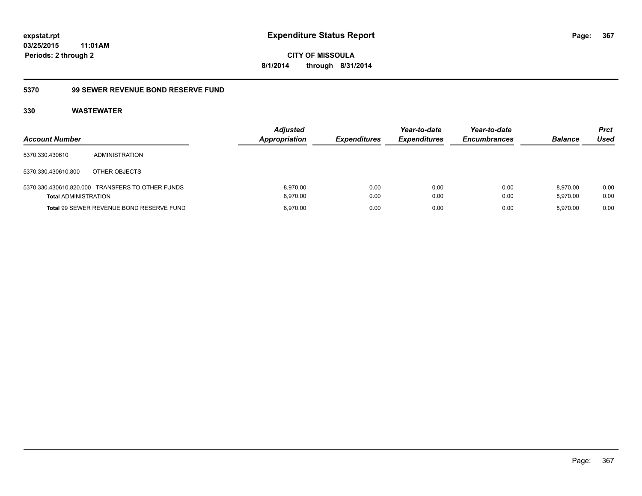**CITY OF MISSOULA 8/1/2014 through 8/31/2014**

#### **5370 99 SEWER REVENUE BOND RESERVE FUND**

| <b>Account Number</b>       |                                                  | <b>Adjusted</b><br><b>Appropriation</b> | <b>Expenditures</b> | Year-to-date<br><b>Expenditures</b> | Year-to-date<br><b>Encumbrances</b> | <b>Balance</b>       | <b>Prct</b><br>Used |
|-----------------------------|--------------------------------------------------|-----------------------------------------|---------------------|-------------------------------------|-------------------------------------|----------------------|---------------------|
| 5370.330.430610             | <b>ADMINISTRATION</b>                            |                                         |                     |                                     |                                     |                      |                     |
| 5370.330.430610.800         | OTHER OBJECTS                                    |                                         |                     |                                     |                                     |                      |                     |
| <b>Total ADMINISTRATION</b> | 5370.330.430610.820.000 TRANSFERS TO OTHER FUNDS | 8.970.00<br>8.970.00                    | 0.00<br>0.00        | 0.00<br>0.00                        | 0.00<br>0.00                        | 8.970.00<br>8.970.00 | 0.00<br>0.00        |
|                             | Total 99 SEWER REVENUE BOND RESERVE FUND         | 8.970.00                                | 0.00                | 0.00                                | 0.00                                | 8.970.00             | 0.00                |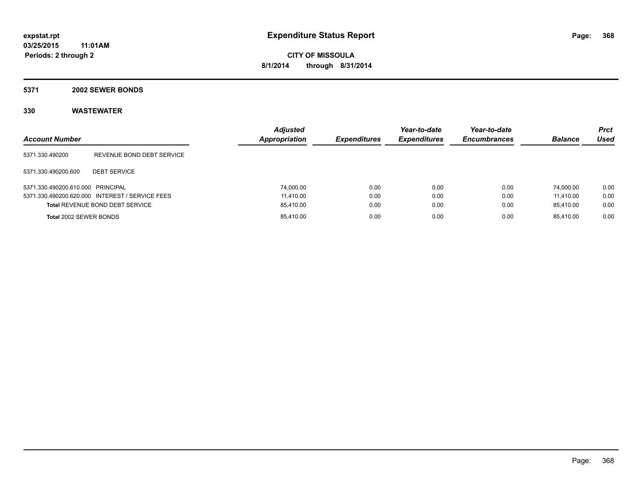#### **5371 2002 SEWER BONDS**

| <b>Account Number</b>             |                                                 | <b>Adjusted</b><br><b>Appropriation</b> | <b>Expenditures</b> | Year-to-date<br><b>Expenditures</b> | Year-to-date<br><b>Encumbrances</b> | <b>Balance</b> | Prct<br><b>Used</b> |
|-----------------------------------|-------------------------------------------------|-----------------------------------------|---------------------|-------------------------------------|-------------------------------------|----------------|---------------------|
| 5371.330.490200                   | REVENUE BOND DEBT SERVICE                       |                                         |                     |                                     |                                     |                |                     |
| 5371.330.490200.600               | <b>DEBT SERVICE</b>                             |                                         |                     |                                     |                                     |                |                     |
| 5371.330.490200.610.000 PRINCIPAL |                                                 | 74.000.00                               | 0.00                | 0.00                                | 0.00                                | 74.000.00      | 0.00                |
|                                   | 5371.330.490200.620.000 INTEREST / SERVICE FEES | 11.410.00                               | 0.00                | 0.00                                | 0.00                                | 11.410.00      | 0.00                |
|                                   | <b>Total REVENUE BOND DEBT SERVICE</b>          | 85,410.00                               | 0.00                | 0.00                                | 0.00                                | 85.410.00      | 0.00                |
| Total 2002 SEWER BONDS            |                                                 | 85,410.00                               | 0.00                | 0.00                                | 0.00                                | 85.410.00      | 0.00                |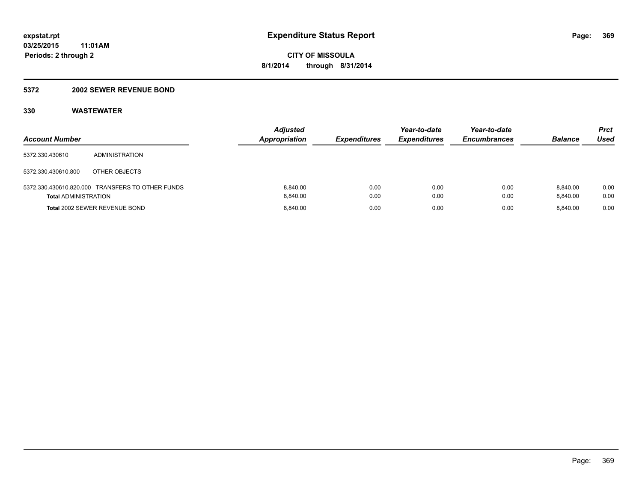#### **5372 2002 SEWER REVENUE BOND**

| <b>Account Number</b>       |                                                  | <b>Adjusted</b><br><b>Appropriation</b> | <b>Expenditures</b> | Year-to-date<br><b>Expenditures</b> | Year-to-date<br><b>Encumbrances</b> | <b>Balance</b>       | Prct<br>Used |
|-----------------------------|--------------------------------------------------|-----------------------------------------|---------------------|-------------------------------------|-------------------------------------|----------------------|--------------|
| 5372.330.430610             | ADMINISTRATION                                   |                                         |                     |                                     |                                     |                      |              |
| 5372.330.430610.800         | OTHER OBJECTS                                    |                                         |                     |                                     |                                     |                      |              |
| <b>Total ADMINISTRATION</b> | 5372.330.430610.820.000 TRANSFERS TO OTHER FUNDS | 8.840.00<br>8.840.00                    | 0.00<br>0.00        | 0.00<br>0.00                        | 0.00<br>0.00                        | 8.840.00<br>8.840.00 | 0.00<br>0.00 |
|                             | Total 2002 SEWER REVENUE BOND                    | 8.840.00                                | 0.00                | 0.00                                | 0.00                                | 8.840.00             | 0.00         |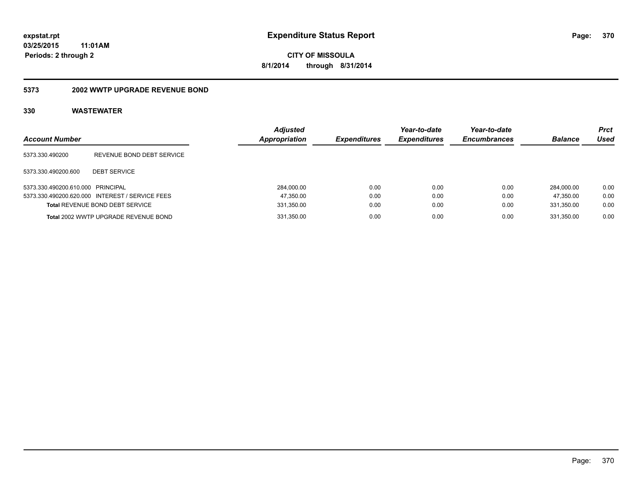**CITY OF MISSOULA 8/1/2014 through 8/31/2014**

#### **5373 2002 WWTP UPGRADE REVENUE BOND**

| <b>Account Number</b>             |                                                 | <b>Adjusted</b><br>Appropriation | <b>Expenditures</b> | Year-to-date<br><b>Expenditures</b> | Year-to-date<br><b>Encumbrances</b> | <b>Balance</b> | <b>Prct</b><br>Used |
|-----------------------------------|-------------------------------------------------|----------------------------------|---------------------|-------------------------------------|-------------------------------------|----------------|---------------------|
| 5373.330.490200                   | REVENUE BOND DEBT SERVICE                       |                                  |                     |                                     |                                     |                |                     |
| 5373.330.490200.600               | <b>DEBT SERVICE</b>                             |                                  |                     |                                     |                                     |                |                     |
| 5373.330.490200.610.000 PRINCIPAL |                                                 | 284.000.00                       | 0.00                | 0.00                                | 0.00                                | 284.000.00     | 0.00                |
|                                   | 5373.330.490200.620.000 INTEREST / SERVICE FEES | 47,350.00                        | 0.00                | 0.00                                | 0.00                                | 47.350.00      | 0.00                |
|                                   | <b>Total REVENUE BOND DEBT SERVICE</b>          | 331,350.00                       | 0.00                | 0.00                                | 0.00                                | 331.350.00     | 0.00                |
|                                   | Total 2002 WWTP UPGRADE REVENUE BOND            | 331,350.00                       | 0.00                | 0.00                                | 0.00                                | 331.350.00     | 0.00                |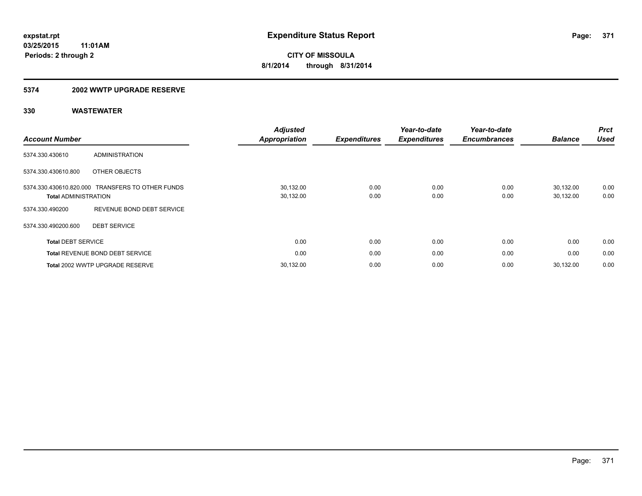#### **5374 2002 WWTP UPGRADE RESERVE**

| <b>Account Number</b>                                  |                                        | <b>Adjusted</b><br><b>Appropriation</b> | <b>Expenditures</b> | Year-to-date<br><b>Expenditures</b> | Year-to-date<br><b>Encumbrances</b> | <b>Balance</b>         | <b>Prct</b><br><b>Used</b> |
|--------------------------------------------------------|----------------------------------------|-----------------------------------------|---------------------|-------------------------------------|-------------------------------------|------------------------|----------------------------|
| 5374.330.430610                                        | <b>ADMINISTRATION</b>                  |                                         |                     |                                     |                                     |                        |                            |
| 5374.330.430610.800                                    | OTHER OBJECTS                          |                                         |                     |                                     |                                     |                        |                            |
| 5374.330.430610.820.000<br><b>Total ADMINISTRATION</b> | <b>TRANSFERS TO OTHER FUNDS</b>        | 30,132.00<br>30,132.00                  | 0.00<br>0.00        | 0.00<br>0.00                        | 0.00<br>0.00                        | 30,132.00<br>30,132.00 | 0.00<br>0.00               |
| 5374.330.490200                                        | REVENUE BOND DEBT SERVICE              |                                         |                     |                                     |                                     |                        |                            |
| 5374.330.490200.600                                    | <b>DEBT SERVICE</b>                    |                                         |                     |                                     |                                     |                        |                            |
| <b>Total DEBT SERVICE</b>                              |                                        | 0.00                                    | 0.00                | 0.00                                | 0.00                                | 0.00                   | 0.00                       |
|                                                        | <b>Total REVENUE BOND DEBT SERVICE</b> | 0.00                                    | 0.00                | 0.00                                | 0.00                                | 0.00                   | 0.00                       |
|                                                        | Total 2002 WWTP UPGRADE RESERVE        | 30,132.00                               | 0.00                | 0.00                                | 0.00                                | 30,132.00              | 0.00                       |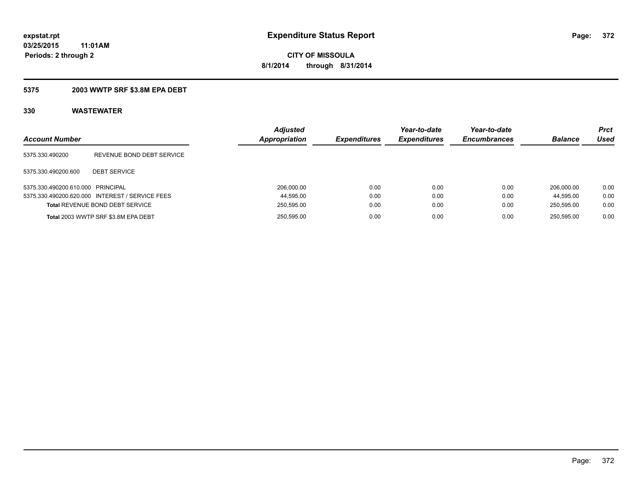#### **5375 2003 WWTP SRF \$3.8M EPA DEBT**

| <b>Account Number</b>             |                                                 | <b>Adjusted</b><br>Appropriation | <b>Expenditures</b> | Year-to-date<br><b>Expenditures</b> | Year-to-date<br><b>Encumbrances</b> | <b>Balance</b> | <b>Prct</b><br>Used |
|-----------------------------------|-------------------------------------------------|----------------------------------|---------------------|-------------------------------------|-------------------------------------|----------------|---------------------|
| 5375.330.490200                   | REVENUE BOND DEBT SERVICE                       |                                  |                     |                                     |                                     |                |                     |
| 5375.330.490200.600               | <b>DEBT SERVICE</b>                             |                                  |                     |                                     |                                     |                |                     |
| 5375.330.490200.610.000 PRINCIPAL |                                                 | 206.000.00                       | 0.00                | 0.00                                | 0.00                                | 206.000.00     | 0.00                |
|                                   | 5375.330.490200.620.000 INTEREST / SERVICE FEES | 44,595.00                        | 0.00                | 0.00                                | 0.00                                | 44.595.00      | 0.00                |
|                                   | <b>Total REVENUE BOND DEBT SERVICE</b>          | 250,595.00                       | 0.00                | 0.00                                | 0.00                                | 250.595.00     | 0.00                |
|                                   | Total 2003 WWTP SRF \$3.8M EPA DEBT             | 250,595.00                       | 0.00                | 0.00                                | 0.00                                | 250.595.00     | 0.00                |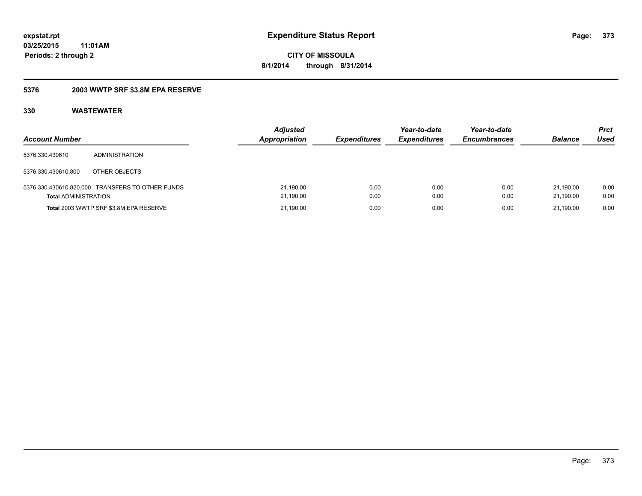#### **5376 2003 WWTP SRF \$3.8M EPA RESERVE**

| <b>Account Number</b>       |                                                  | <b>Adjusted</b><br><b>Appropriation</b> | <b>Expenditures</b> | Year-to-date<br><b>Expenditures</b> | Year-to-date<br><b>Encumbrances</b> | <b>Balance</b>         | Prct<br>Used |
|-----------------------------|--------------------------------------------------|-----------------------------------------|---------------------|-------------------------------------|-------------------------------------|------------------------|--------------|
| 5376.330.430610             | ADMINISTRATION                                   |                                         |                     |                                     |                                     |                        |              |
| 5376.330.430610.800         | OTHER OBJECTS                                    |                                         |                     |                                     |                                     |                        |              |
| <b>Total ADMINISTRATION</b> | 5376.330.430610.820.000 TRANSFERS TO OTHER FUNDS | 21,190.00<br>21,190.00                  | 0.00<br>0.00        | 0.00<br>0.00                        | 0.00<br>0.00                        | 21.190.00<br>21.190.00 | 0.00<br>0.00 |
|                             | Total 2003 WWTP SRF \$3.8M EPA RESERVE           | 21,190.00                               | 0.00                | 0.00                                | 0.00                                | 21.190.00              | 0.00         |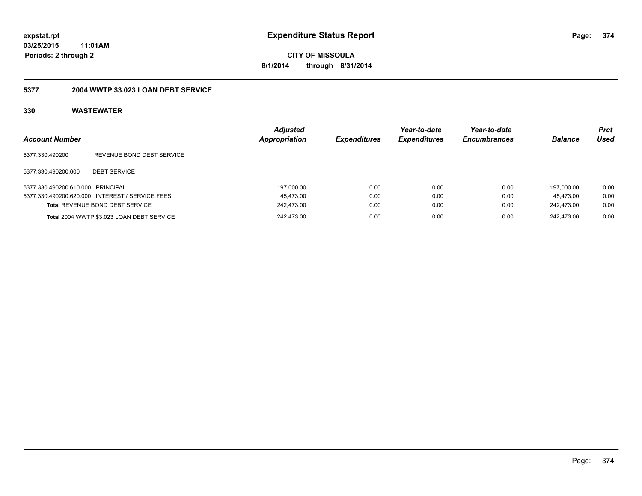**CITY OF MISSOULA 8/1/2014 through 8/31/2014**

### **5377 2004 WWTP \$3.023 LOAN DEBT SERVICE**

| <b>Account Number</b>             |                                                 | <b>Adjusted</b><br><b>Appropriation</b> | <b>Expenditures</b> | Year-to-date<br><b>Expenditures</b> | Year-to-date<br><b>Encumbrances</b> | <b>Balance</b> | <b>Prct</b><br>Used |
|-----------------------------------|-------------------------------------------------|-----------------------------------------|---------------------|-------------------------------------|-------------------------------------|----------------|---------------------|
| 5377.330.490200                   | REVENUE BOND DEBT SERVICE                       |                                         |                     |                                     |                                     |                |                     |
| 5377.330.490200.600               | <b>DEBT SERVICE</b>                             |                                         |                     |                                     |                                     |                |                     |
| 5377.330.490200.610.000 PRINCIPAL |                                                 | 197,000.00                              | 0.00                | 0.00                                | 0.00                                | 197.000.00     | 0.00                |
|                                   | 5377.330.490200.620.000 INTEREST / SERVICE FEES | 45,473.00                               | 0.00                | 0.00                                | 0.00                                | 45.473.00      | 0.00                |
|                                   | <b>Total REVENUE BOND DEBT SERVICE</b>          | 242.473.00                              | 0.00                | 0.00                                | 0.00                                | 242.473.00     | 0.00                |
|                                   | Total 2004 WWTP \$3.023 LOAN DEBT SERVICE       | 242.473.00                              | 0.00                | 0.00                                | 0.00                                | 242.473.00     | 0.00                |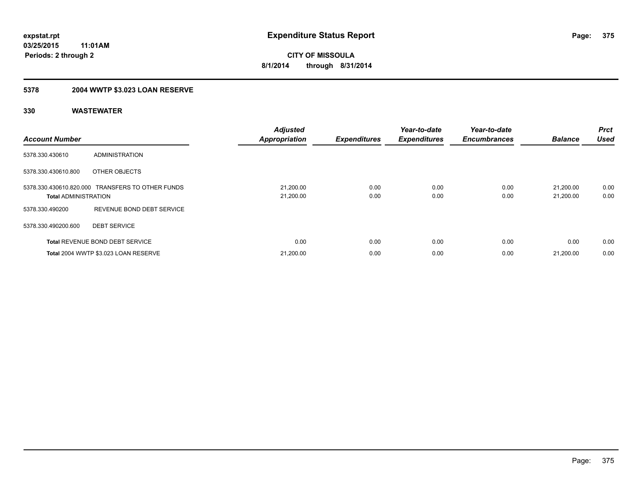### **5378 2004 WWTP \$3.023 LOAN RESERVE**

| <b>Account Number</b>       |                                                  | <b>Adjusted</b><br><b>Appropriation</b> | <b>Expenditures</b> | Year-to-date<br><b>Expenditures</b> | Year-to-date<br><b>Encumbrances</b> | <b>Balance</b>         | Prct<br><b>Used</b> |
|-----------------------------|--------------------------------------------------|-----------------------------------------|---------------------|-------------------------------------|-------------------------------------|------------------------|---------------------|
| 5378.330.430610             | ADMINISTRATION                                   |                                         |                     |                                     |                                     |                        |                     |
| 5378.330.430610.800         | OTHER OBJECTS                                    |                                         |                     |                                     |                                     |                        |                     |
| <b>Total ADMINISTRATION</b> | 5378.330.430610.820.000 TRANSFERS TO OTHER FUNDS | 21,200.00<br>21,200.00                  | 0.00<br>0.00        | 0.00<br>0.00                        | 0.00<br>0.00                        | 21.200.00<br>21,200.00 | 0.00<br>0.00        |
| 5378.330.490200             | REVENUE BOND DEBT SERVICE                        |                                         |                     |                                     |                                     |                        |                     |
| 5378.330.490200.600         | <b>DEBT SERVICE</b>                              |                                         |                     |                                     |                                     |                        |                     |
|                             | <b>Total REVENUE BOND DEBT SERVICE</b>           | 0.00                                    | 0.00                | 0.00                                | 0.00                                | 0.00                   | 0.00                |
|                             | Total 2004 WWTP \$3.023 LOAN RESERVE             | 21,200.00                               | 0.00                | 0.00                                | 0.00                                | 21,200.00              | 0.00                |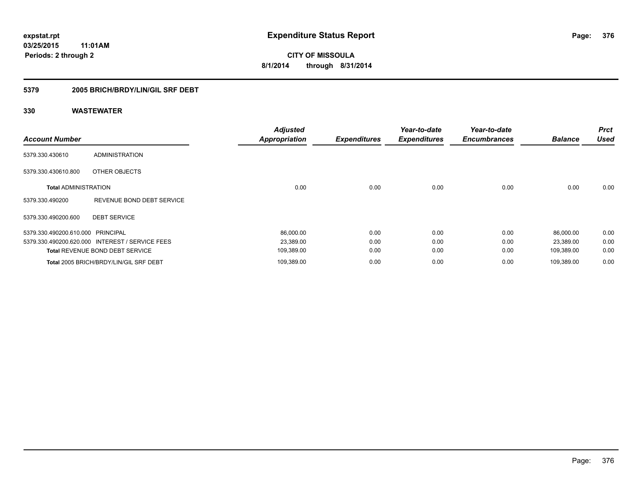#### **5379 2005 BRICH/BRDY/LIN/GIL SRF DEBT**

| <b>Account Number</b>             |                                                 | <b>Adjusted</b><br><b>Appropriation</b> | <b>Expenditures</b> | Year-to-date<br><b>Expenditures</b> | Year-to-date<br><b>Encumbrances</b> | <b>Balance</b> | <b>Prct</b><br><b>Used</b> |
|-----------------------------------|-------------------------------------------------|-----------------------------------------|---------------------|-------------------------------------|-------------------------------------|----------------|----------------------------|
| 5379.330.430610                   | <b>ADMINISTRATION</b>                           |                                         |                     |                                     |                                     |                |                            |
| 5379.330.430610.800               | OTHER OBJECTS                                   |                                         |                     |                                     |                                     |                |                            |
| <b>Total ADMINISTRATION</b>       |                                                 | 0.00                                    | 0.00                | 0.00                                | 0.00                                | 0.00           | 0.00                       |
| 5379.330.490200                   | REVENUE BOND DEBT SERVICE                       |                                         |                     |                                     |                                     |                |                            |
| 5379.330.490200.600               | <b>DEBT SERVICE</b>                             |                                         |                     |                                     |                                     |                |                            |
| 5379.330.490200.610.000 PRINCIPAL |                                                 | 86,000.00                               | 0.00                | 0.00                                | 0.00                                | 86,000.00      | 0.00                       |
|                                   | 5379.330.490200.620.000 INTEREST / SERVICE FEES | 23,389.00                               | 0.00                | 0.00                                | 0.00                                | 23,389.00      | 0.00                       |
|                                   | <b>Total REVENUE BOND DEBT SERVICE</b>          | 109,389.00                              | 0.00                | 0.00                                | 0.00                                | 109,389.00     | 0.00                       |
|                                   | Total 2005 BRICH/BRDY/LIN/GIL SRF DEBT          | 109,389.00                              | 0.00                | 0.00                                | 0.00                                | 109.389.00     | 0.00                       |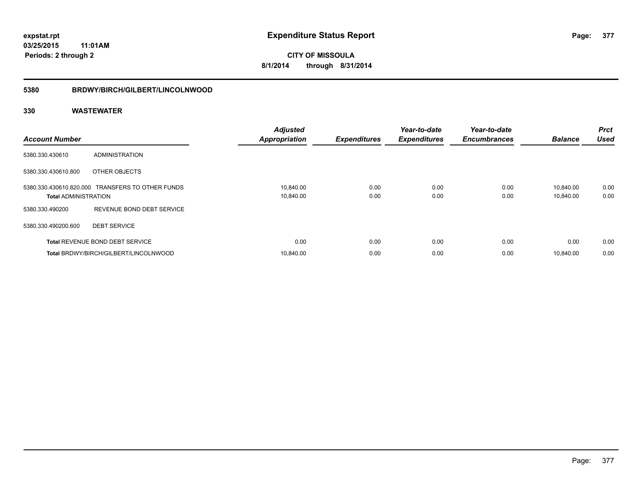# **5380 BRDWY/BIRCH/GILBERT/LINCOLNWOOD**

| <b>Account Number</b>       |                                                  | <b>Adjusted</b><br><b>Appropriation</b> | <b>Expenditures</b> | Year-to-date<br><b>Expenditures</b> | Year-to-date<br><b>Encumbrances</b> | <b>Balance</b>         | <b>Prct</b><br><b>Used</b> |
|-----------------------------|--------------------------------------------------|-----------------------------------------|---------------------|-------------------------------------|-------------------------------------|------------------------|----------------------------|
| 5380.330.430610             | <b>ADMINISTRATION</b>                            |                                         |                     |                                     |                                     |                        |                            |
| 5380.330.430610.800         | OTHER OBJECTS                                    |                                         |                     |                                     |                                     |                        |                            |
| <b>Total ADMINISTRATION</b> | 5380.330.430610.820.000 TRANSFERS TO OTHER FUNDS | 10,840.00<br>10,840.00                  | 0.00<br>0.00        | 0.00<br>0.00                        | 0.00<br>0.00                        | 10.840.00<br>10,840.00 | 0.00<br>0.00               |
| 5380.330.490200             | REVENUE BOND DEBT SERVICE                        |                                         |                     |                                     |                                     |                        |                            |
| 5380.330.490200.600         | <b>DEBT SERVICE</b>                              |                                         |                     |                                     |                                     |                        |                            |
|                             | <b>Total REVENUE BOND DEBT SERVICE</b>           | 0.00                                    | 0.00                | 0.00                                | 0.00                                | 0.00                   | 0.00                       |
|                             | Total BRDWY/BIRCH/GILBERT/LINCOLNWOOD            | 10.840.00                               | 0.00                | 0.00                                | 0.00                                | 10.840.00              | 0.00                       |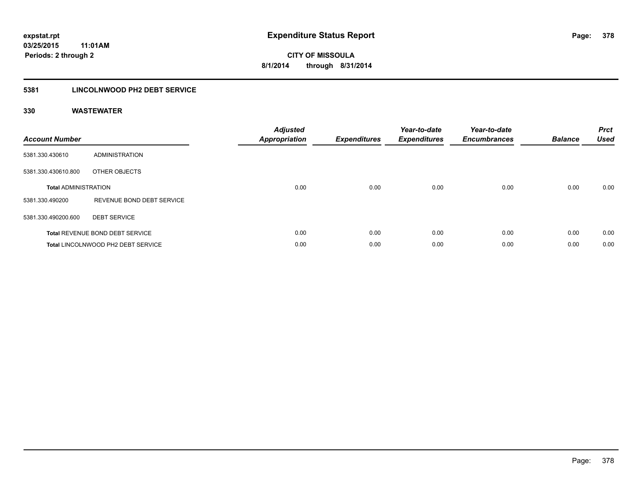#### **5381 LINCOLNWOOD PH2 DEBT SERVICE**

| <b>Account Number</b>       |                                        | <b>Adjusted</b><br>Appropriation | <b>Expenditures</b> | Year-to-date<br><b>Expenditures</b> | Year-to-date<br><b>Encumbrances</b> | <b>Balance</b> | <b>Prct</b><br><b>Used</b> |
|-----------------------------|----------------------------------------|----------------------------------|---------------------|-------------------------------------|-------------------------------------|----------------|----------------------------|
| 5381.330.430610             | ADMINISTRATION                         |                                  |                     |                                     |                                     |                |                            |
| 5381.330.430610.800         | OTHER OBJECTS                          |                                  |                     |                                     |                                     |                |                            |
| <b>Total ADMINISTRATION</b> |                                        | 0.00                             | 0.00                | 0.00                                | 0.00                                | 0.00           | 0.00                       |
| 5381.330.490200             | REVENUE BOND DEBT SERVICE              |                                  |                     |                                     |                                     |                |                            |
| 5381.330.490200.600         | <b>DEBT SERVICE</b>                    |                                  |                     |                                     |                                     |                |                            |
|                             | <b>Total REVENUE BOND DEBT SERVICE</b> | 0.00                             | 0.00                | 0.00                                | 0.00                                | 0.00           | 0.00                       |
|                             | Total LINCOLNWOOD PH2 DEBT SERVICE     | 0.00                             | 0.00                | 0.00                                | 0.00                                | 0.00           | 0.00                       |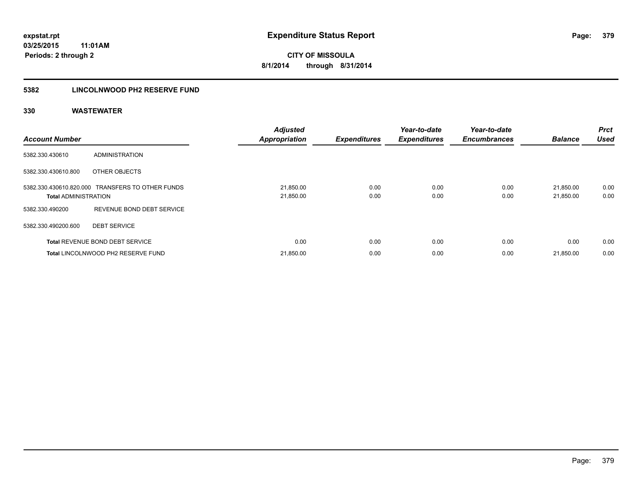#### **5382 LINCOLNWOOD PH2 RESERVE FUND**

| <b>Account Number</b>       |                                                  | <b>Adjusted</b><br><b>Appropriation</b> | <b>Expenditures</b> | Year-to-date<br><b>Expenditures</b> | Year-to-date<br><b>Encumbrances</b> | <b>Balance</b>         | Prct<br><b>Used</b> |
|-----------------------------|--------------------------------------------------|-----------------------------------------|---------------------|-------------------------------------|-------------------------------------|------------------------|---------------------|
| 5382.330.430610             | <b>ADMINISTRATION</b>                            |                                         |                     |                                     |                                     |                        |                     |
| 5382.330.430610.800         | OTHER OBJECTS                                    |                                         |                     |                                     |                                     |                        |                     |
| <b>Total ADMINISTRATION</b> | 5382.330.430610.820.000 TRANSFERS TO OTHER FUNDS | 21,850.00<br>21,850.00                  | 0.00<br>0.00        | 0.00<br>0.00                        | 0.00<br>0.00                        | 21.850.00<br>21,850.00 | 0.00<br>0.00        |
| 5382.330.490200             | REVENUE BOND DEBT SERVICE                        |                                         |                     |                                     |                                     |                        |                     |
| 5382.330.490200.600         | <b>DEBT SERVICE</b>                              |                                         |                     |                                     |                                     |                        |                     |
|                             | <b>Total REVENUE BOND DEBT SERVICE</b>           | 0.00                                    | 0.00                | 0.00                                | 0.00                                | 0.00                   | 0.00                |
|                             | Total LINCOLNWOOD PH2 RESERVE FUND               | 21,850.00                               | 0.00                | 0.00                                | 0.00                                | 21,850.00              | 0.00                |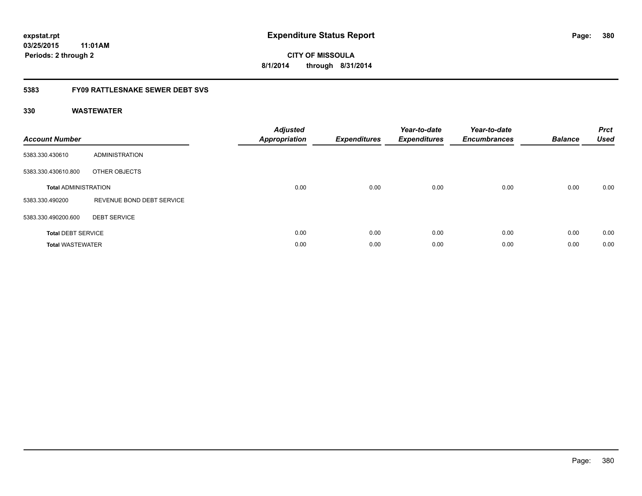**CITY OF MISSOULA 8/1/2014 through 8/31/2014**

#### **5383 FY09 RATTLESNAKE SEWER DEBT SVS**

| <b>Account Number</b>       |                           | <b>Adjusted</b><br><b>Appropriation</b> | <b>Expenditures</b> | Year-to-date<br><b>Expenditures</b> | Year-to-date<br><b>Encumbrances</b> | <b>Balance</b> | <b>Prct</b><br><b>Used</b> |
|-----------------------------|---------------------------|-----------------------------------------|---------------------|-------------------------------------|-------------------------------------|----------------|----------------------------|
| 5383.330.430610             | ADMINISTRATION            |                                         |                     |                                     |                                     |                |                            |
| 5383.330.430610.800         | OTHER OBJECTS             |                                         |                     |                                     |                                     |                |                            |
| <b>Total ADMINISTRATION</b> |                           | 0.00                                    | 0.00                | 0.00                                | 0.00                                | 0.00           | 0.00                       |
| 5383.330.490200             | REVENUE BOND DEBT SERVICE |                                         |                     |                                     |                                     |                |                            |
| 5383.330.490200.600         | <b>DEBT SERVICE</b>       |                                         |                     |                                     |                                     |                |                            |
| <b>Total DEBT SERVICE</b>   |                           | 0.00                                    | 0.00                | 0.00                                | 0.00                                | 0.00           | 0.00                       |
| <b>Total WASTEWATER</b>     |                           | 0.00                                    | 0.00                | 0.00                                | 0.00                                | 0.00           | 0.00                       |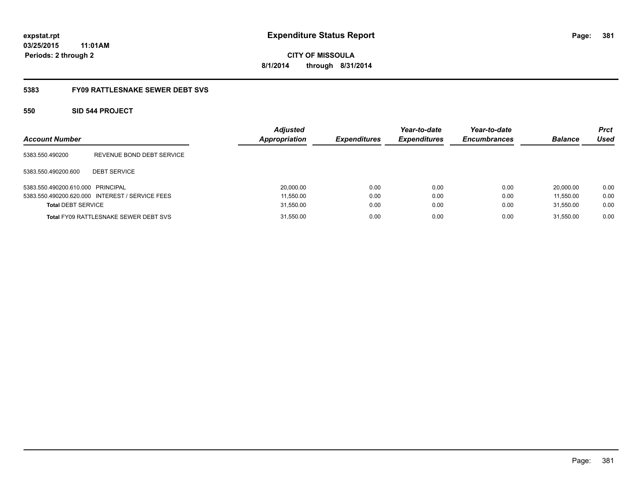**CITY OF MISSOULA 8/1/2014 through 8/31/2014**

#### **5383 FY09 RATTLESNAKE SEWER DEBT SVS**

#### **550 SID 544 PROJECT**

| <b>Account Number</b>             |                                                 | <b>Adjusted</b><br><b>Appropriation</b> | <b>Expenditures</b> | Year-to-date<br><b>Expenditures</b> | Year-to-date<br><b>Encumbrances</b> | <b>Balance</b> | <b>Prct</b><br>Used |
|-----------------------------------|-------------------------------------------------|-----------------------------------------|---------------------|-------------------------------------|-------------------------------------|----------------|---------------------|
| 5383.550.490200                   | REVENUE BOND DEBT SERVICE                       |                                         |                     |                                     |                                     |                |                     |
| 5383.550.490200.600               | <b>DEBT SERVICE</b>                             |                                         |                     |                                     |                                     |                |                     |
| 5383.550.490200.610.000 PRINCIPAL |                                                 | 20,000.00                               | 0.00                | 0.00                                | 0.00                                | 20.000.00      | 0.00                |
|                                   | 5383.550.490200.620.000 INTEREST / SERVICE FEES | 11,550.00                               | 0.00                | 0.00                                | 0.00                                | 11.550.00      | 0.00                |
| <b>Total DEBT SERVICE</b>         |                                                 | 31,550.00                               | 0.00                | 0.00                                | 0.00                                | 31.550.00      | 0.00                |
|                                   | <b>Total FY09 RATTLESNAKE SEWER DEBT SVS</b>    | 31,550.00                               | 0.00                | 0.00                                | 0.00                                | 31.550.00      | 0.00                |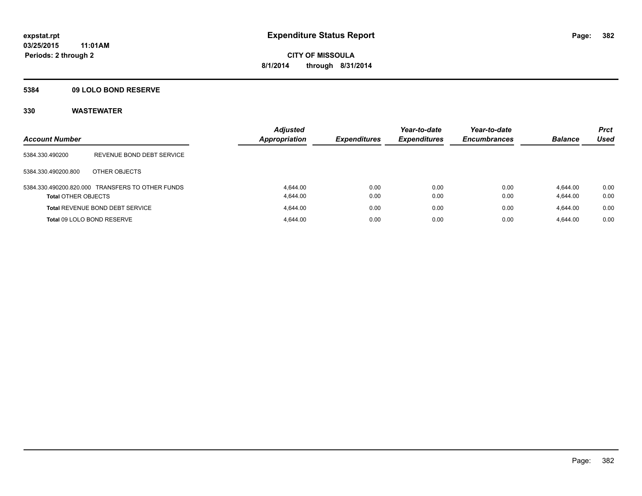#### **5384 09 LOLO BOND RESERVE**

| <b>Account Number</b>      |                                                  | <b>Adjusted</b><br><b>Appropriation</b> | <b>Expenditures</b> | Year-to-date<br><b>Expenditures</b> | Year-to-date<br><b>Encumbrances</b> | <b>Balance</b> | <b>Prct</b><br>Used |
|----------------------------|--------------------------------------------------|-----------------------------------------|---------------------|-------------------------------------|-------------------------------------|----------------|---------------------|
| 5384.330.490200            | REVENUE BOND DEBT SERVICE                        |                                         |                     |                                     |                                     |                |                     |
| 5384.330.490200.800        | OTHER OBJECTS                                    |                                         |                     |                                     |                                     |                |                     |
|                            | 5384.330.490200.820.000 TRANSFERS TO OTHER FUNDS | 4.644.00                                | 0.00                | 0.00                                | 0.00                                | 4.644.00       | 0.00                |
| <b>Total OTHER OBJECTS</b> |                                                  | 4.644.00                                | 0.00                | 0.00                                | 0.00                                | 4.644.00       | 0.00                |
|                            | <b>Total REVENUE BOND DEBT SERVICE</b>           | 4.644.00                                | 0.00                | 0.00                                | 0.00                                | 4.644.00       | 0.00                |
| Total 09 LOLO BOND RESERVE |                                                  | 4.644.00                                | 0.00                | 0.00                                | 0.00                                | 4.644.00       | 0.00                |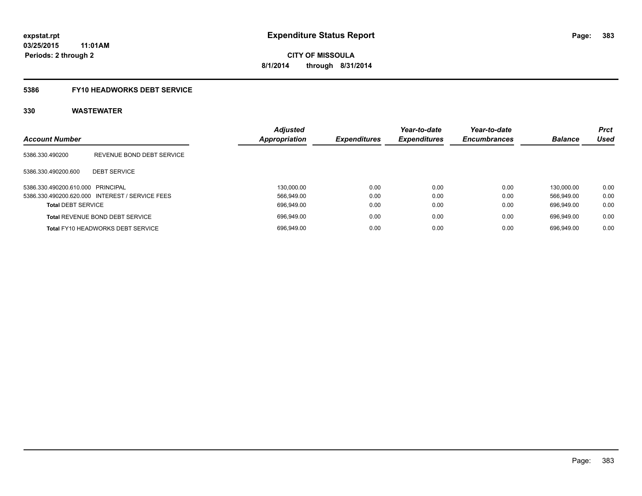#### **5386 FY10 HEADWORKS DEBT SERVICE**

| <b>Account Number</b>             |                                                 | <b>Adjusted</b><br><b>Appropriation</b> | <b>Expenditures</b> | Year-to-date<br><b>Expenditures</b> | Year-to-date<br><b>Encumbrances</b> | <b>Balance</b> | <b>Prct</b><br>Used |
|-----------------------------------|-------------------------------------------------|-----------------------------------------|---------------------|-------------------------------------|-------------------------------------|----------------|---------------------|
| 5386.330.490200                   | REVENUE BOND DEBT SERVICE                       |                                         |                     |                                     |                                     |                |                     |
| 5386.330.490200.600               | <b>DEBT SERVICE</b>                             |                                         |                     |                                     |                                     |                |                     |
| 5386.330.490200.610.000 PRINCIPAL |                                                 | 130.000.00                              | 0.00                | 0.00                                | 0.00                                | 130.000.00     | 0.00                |
|                                   | 5386.330.490200.620.000 INTEREST / SERVICE FEES | 566.949.00                              | 0.00                | 0.00                                | 0.00                                | 566.949.00     | 0.00                |
| <b>Total DEBT SERVICE</b>         |                                                 | 696.949.00                              | 0.00                | 0.00                                | 0.00                                | 696.949.00     | 0.00                |
|                                   | <b>Total REVENUE BOND DEBT SERVICE</b>          | 696.949.00                              | 0.00                | 0.00                                | 0.00                                | 696.949.00     | 0.00                |
|                                   | <b>Total FY10 HEADWORKS DEBT SERVICE</b>        | 696.949.00                              | 0.00                | 0.00                                | 0.00                                | 696.949.00     | 0.00                |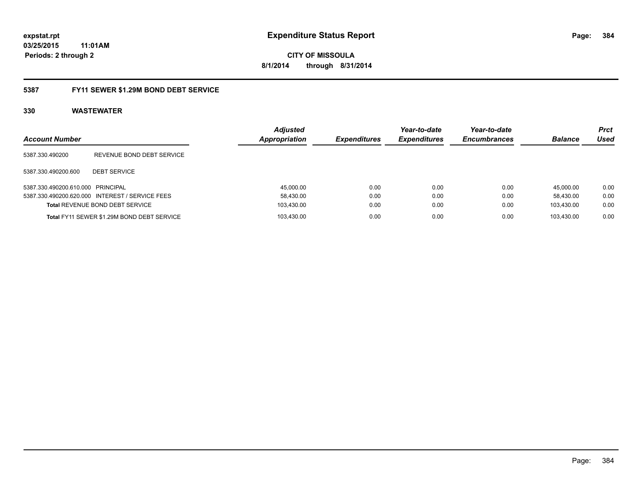**384**

**03/25/2015 11:01AM Periods: 2 through 2**

**CITY OF MISSOULA 8/1/2014 through 8/31/2014**

#### **5387 FY11 SEWER \$1.29M BOND DEBT SERVICE**

| <b>Account Number</b>             |                                                 | <b>Adjusted</b><br>Appropriation | <b>Expenditures</b> | Year-to-date<br><b>Expenditures</b> | Year-to-date<br><b>Encumbrances</b> | <b>Balance</b> | <b>Prct</b><br>Used |
|-----------------------------------|-------------------------------------------------|----------------------------------|---------------------|-------------------------------------|-------------------------------------|----------------|---------------------|
| 5387.330.490200                   | REVENUE BOND DEBT SERVICE                       |                                  |                     |                                     |                                     |                |                     |
| 5387.330.490200.600               | <b>DEBT SERVICE</b>                             |                                  |                     |                                     |                                     |                |                     |
| 5387.330.490200.610.000 PRINCIPAL |                                                 | 45,000.00                        | 0.00                | 0.00                                | 0.00                                | 45.000.00      | 0.00                |
|                                   | 5387.330.490200.620.000 INTEREST / SERVICE FEES | 58,430.00                        | 0.00                | 0.00                                | 0.00                                | 58.430.00      | 0.00                |
|                                   | <b>Total REVENUE BOND DEBT SERVICE</b>          | 103.430.00                       | 0.00                | 0.00                                | 0.00                                | 103.430.00     | 0.00                |
|                                   | Total FY11 SEWER \$1.29M BOND DEBT SERVICE      | 103.430.00                       | 0.00                | 0.00                                | 0.00                                | 103.430.00     | 0.00                |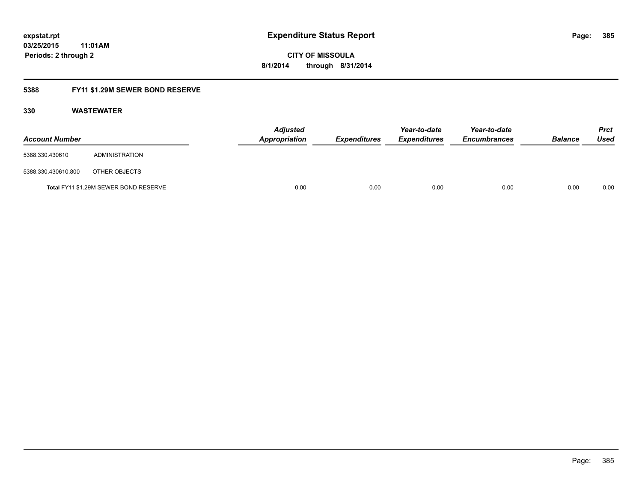**CITY OF MISSOULA 8/1/2014 through 8/31/2014**

### **5388 FY11 \$1.29M SEWER BOND RESERVE**

| <b>Account Number</b> |                                       | <b>Adjusted</b><br><b>Appropriation</b> | Expenditures | Year-to-date<br><b>Expenditures</b> | Year-to-date<br><b>Encumbrances</b> | <b>Balance</b> | <b>Prct</b><br>Used |
|-----------------------|---------------------------------------|-----------------------------------------|--------------|-------------------------------------|-------------------------------------|----------------|---------------------|
| 5388.330.430610       | ADMINISTRATION                        |                                         |              |                                     |                                     |                |                     |
| 5388.330.430610.800   | OTHER OBJECTS                         |                                         |              |                                     |                                     |                |                     |
|                       | Total FY11 \$1.29M SEWER BOND RESERVE | 0.00                                    | 0.00         | 0.00                                | 0.00                                | 0.00           | 0.00                |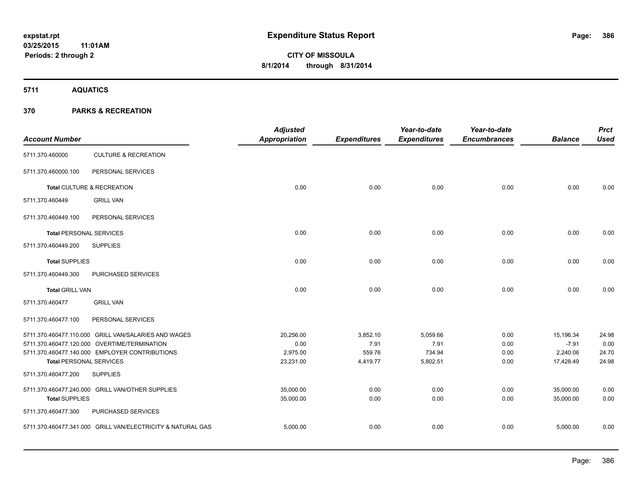**5711 AQUATICS**

| <b>Account Number</b>          |                                                             | <b>Adjusted</b><br><b>Appropriation</b> | <b>Expenditures</b> | Year-to-date<br><b>Expenditures</b> | Year-to-date<br><b>Encumbrances</b> | <b>Balance</b> | <b>Prct</b><br><b>Used</b> |
|--------------------------------|-------------------------------------------------------------|-----------------------------------------|---------------------|-------------------------------------|-------------------------------------|----------------|----------------------------|
| 5711.370.460000                | <b>CULTURE &amp; RECREATION</b>                             |                                         |                     |                                     |                                     |                |                            |
| 5711.370.460000.100            | PERSONAL SERVICES                                           |                                         |                     |                                     |                                     |                |                            |
|                                | Total CULTURE & RECREATION                                  | 0.00                                    | 0.00                | 0.00                                | 0.00                                | 0.00           | 0.00                       |
| 5711.370.460449                | <b>GRILL VAN</b>                                            |                                         |                     |                                     |                                     |                |                            |
| 5711.370.460449.100            | PERSONAL SERVICES                                           |                                         |                     |                                     |                                     |                |                            |
| <b>Total PERSONAL SERVICES</b> |                                                             | 0.00                                    | 0.00                | 0.00                                | 0.00                                | 0.00           | 0.00                       |
| 5711.370.460449.200            | <b>SUPPLIES</b>                                             |                                         |                     |                                     |                                     |                |                            |
| <b>Total SUPPLIES</b>          |                                                             | 0.00                                    | 0.00                | 0.00                                | 0.00                                | 0.00           | 0.00                       |
| 5711.370.460449.300            | PURCHASED SERVICES                                          |                                         |                     |                                     |                                     |                |                            |
| <b>Total GRILL VAN</b>         |                                                             | 0.00                                    | 0.00                | 0.00                                | 0.00                                | 0.00           | 0.00                       |
| 5711.370.460477                | <b>GRILL VAN</b>                                            |                                         |                     |                                     |                                     |                |                            |
| 5711.370.460477.100            | PERSONAL SERVICES                                           |                                         |                     |                                     |                                     |                |                            |
|                                | 5711.370.460477.110.000 GRILL VAN/SALARIES AND WAGES        | 20,256.00                               | 3,852.10            | 5,059.66                            | 0.00                                | 15,196.34      | 24.98                      |
|                                | 5711.370.460477.120.000 OVERTIME/TERMINATION                | 0.00                                    | 7.91                | 7.91                                | 0.00                                | $-7.91$        | 0.00                       |
|                                | 5711.370.460477.140.000 EMPLOYER CONTRIBUTIONS              | 2,975.00                                | 559.76              | 734.94                              | 0.00                                | 2,240.06       | 24.70                      |
| <b>Total PERSONAL SERVICES</b> |                                                             | 23,231.00                               | 4,419.77            | 5,802.51                            | 0.00                                | 17,428.49      | 24.98                      |
| 5711.370.460477.200            | <b>SUPPLIES</b>                                             |                                         |                     |                                     |                                     |                |                            |
|                                | 5711.370.460477.240.000 GRILL VAN/OTHER SUPPLIES            | 35,000.00                               | 0.00                | 0.00                                | 0.00                                | 35,000.00      | 0.00                       |
| <b>Total SUPPLIES</b>          |                                                             | 35,000.00                               | 0.00                | 0.00                                | 0.00                                | 35,000.00      | 0.00                       |
| 5711.370.460477.300            | PURCHASED SERVICES                                          |                                         |                     |                                     |                                     |                |                            |
|                                | 5711.370.460477.341.000 GRILL VAN/ELECTRICITY & NATURAL GAS | 5,000.00                                | 0.00                | 0.00                                | 0.00                                | 5,000.00       | 0.00                       |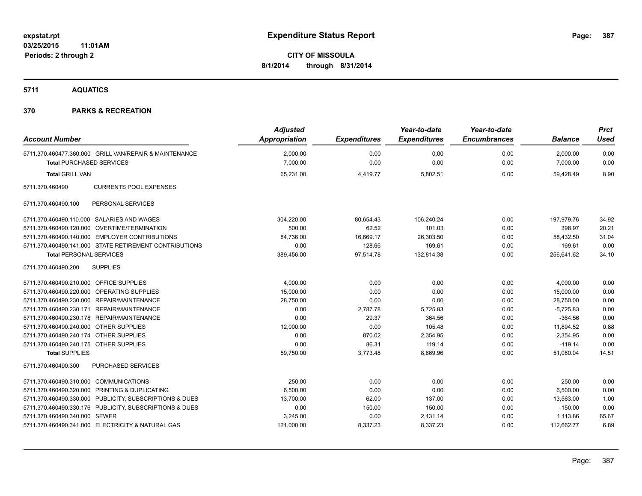**5711 AQUATICS**

| <b>Account Number</b>                   |                                                         | <b>Adjusted</b><br>Appropriation | <b>Expenditures</b> | Year-to-date<br><b>Expenditures</b> | Year-to-date<br><b>Encumbrances</b> | <b>Balance</b> | <b>Prct</b><br><b>Used</b> |
|-----------------------------------------|---------------------------------------------------------|----------------------------------|---------------------|-------------------------------------|-------------------------------------|----------------|----------------------------|
|                                         | 5711.370.460477.360.000 GRILL VAN/REPAIR & MAINTENANCE  | 2,000.00                         | 0.00<br>0.00        | 0.00<br>0.00                        | 0.00                                | 2,000.00       | 0.00<br>0.00               |
| <b>Total PURCHASED SERVICES</b>         |                                                         | 7,000.00                         |                     |                                     | 0.00                                | 7,000.00       |                            |
| <b>Total GRILL VAN</b>                  |                                                         | 65,231.00                        | 4,419.77            | 5,802.51                            | 0.00                                | 59.428.49      | 8.90                       |
| 5711.370.460490                         | <b>CURRENTS POOL EXPENSES</b>                           |                                  |                     |                                     |                                     |                |                            |
| 5711.370.460490.100                     | PERSONAL SERVICES                                       |                                  |                     |                                     |                                     |                |                            |
|                                         | 5711.370.460490.110.000 SALARIES AND WAGES              | 304,220.00                       | 80,654.43           | 106,240.24                          | 0.00                                | 197,979.76     | 34.92                      |
|                                         | 5711.370.460490.120.000 OVERTIME/TERMINATION            | 500.00                           | 62.52               | 101.03                              | 0.00                                | 398.97         | 20.21                      |
|                                         | 5711.370.460490.140.000 EMPLOYER CONTRIBUTIONS          | 84,736.00                        | 16,669.17           | 26,303.50                           | 0.00                                | 58,432.50      | 31.04                      |
|                                         | 5711.370.460490.141.000 STATE RETIREMENT CONTRIBUTIONS  | 0.00                             | 128.66              | 169.61                              | 0.00                                | $-169.61$      | 0.00                       |
| <b>Total PERSONAL SERVICES</b>          |                                                         | 389,456.00                       | 97,514.78           | 132,814.38                          | 0.00                                | 256,641.62     | 34.10                      |
| 5711.370.460490.200                     | <b>SUPPLIES</b>                                         |                                  |                     |                                     |                                     |                |                            |
| 5711.370.460490.210.000 OFFICE SUPPLIES |                                                         | 4,000.00                         | 0.00                | 0.00                                | 0.00                                | 4,000.00       | 0.00                       |
|                                         | 5711.370.460490.220.000 OPERATING SUPPLIES              | 15,000.00                        | 0.00                | 0.00                                | 0.00                                | 15,000.00      | 0.00                       |
|                                         | 5711.370.460490.230.000 REPAIR/MAINTENANCE              | 28,750.00                        | 0.00                | 0.00                                | 0.00                                | 28,750.00      | 0.00                       |
|                                         | 5711.370.460490.230.171 REPAIR/MAINTENANCE              | 0.00                             | 2,787.78            | 5,725.83                            | 0.00                                | $-5,725.83$    | 0.00                       |
|                                         | 5711.370.460490.230.178 REPAIR/MAINTENANCE              | 0.00                             | 29.37               | 364.56                              | 0.00                                | $-364.56$      | 0.00                       |
| 5711.370.460490.240.000 OTHER SUPPLIES  |                                                         | 12,000.00                        | 0.00                | 105.48                              | 0.00                                | 11,894.52      | 0.88                       |
| 5711.370.460490.240.174 OTHER SUPPLIES  |                                                         | 0.00                             | 870.02              | 2,354.95                            | 0.00                                | $-2,354.95$    | 0.00                       |
| 5711.370.460490.240.175 OTHER SUPPLIES  |                                                         | 0.00                             | 86.31               | 119.14                              | 0.00                                | $-119.14$      | 0.00                       |
| <b>Total SUPPLIES</b>                   |                                                         | 59,750.00                        | 3,773.48            | 8,669.96                            | 0.00                                | 51,080.04      | 14.51                      |
| 5711.370.460490.300                     | PURCHASED SERVICES                                      |                                  |                     |                                     |                                     |                |                            |
| 5711.370.460490.310.000 COMMUNICATIONS  |                                                         | 250.00                           | 0.00                | 0.00                                | 0.00                                | 250.00         | 0.00                       |
|                                         | 5711.370.460490.320.000 PRINTING & DUPLICATING          | 6,500.00                         | 0.00                | 0.00                                | 0.00                                | 6,500.00       | 0.00                       |
|                                         | 5711.370.460490.330.000 PUBLICITY, SUBSCRIPTIONS & DUES | 13,700.00                        | 62.00               | 137.00                              | 0.00                                | 13,563.00      | 1.00                       |
|                                         | 5711.370.460490.330.176 PUBLICITY, SUBSCRIPTIONS & DUES | 0.00                             | 150.00              | 150.00                              | 0.00                                | $-150.00$      | 0.00                       |
| 5711.370.460490.340.000 SEWER           |                                                         | 3,245.00                         | 0.00                | 2,131.14                            | 0.00                                | 1,113.86       | 65.67                      |
|                                         | 5711.370.460490.341.000 ELECTRICITY & NATURAL GAS       | 121,000.00                       | 8,337.23            | 8,337.23                            | 0.00                                | 112,662.77     | 6.89                       |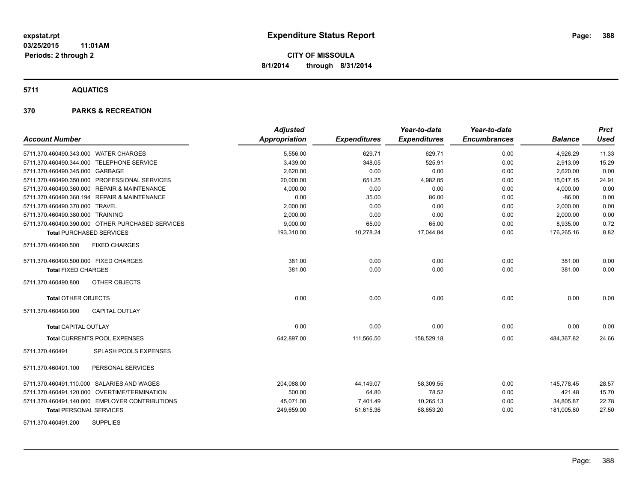**5711 AQUATICS**

| <b>Account Number</b>                            | <b>Adjusted</b><br>Appropriation | <b>Expenditures</b> | Year-to-date<br><b>Expenditures</b> | Year-to-date<br><b>Encumbrances</b> | <b>Balance</b> | <b>Prct</b><br><b>Used</b> |
|--------------------------------------------------|----------------------------------|---------------------|-------------------------------------|-------------------------------------|----------------|----------------------------|
| 5711.370.460490.343.000 WATER CHARGES            | 5,556.00                         | 629.71              | 629.71                              | 0.00                                | 4,926.29       | 11.33                      |
| 5711.370.460490.344.000 TELEPHONE SERVICE        | 3,439.00                         | 348.05              | 525.91                              | 0.00                                | 2,913.09       | 15.29                      |
| 5711.370.460490.345.000 GARBAGE                  | 2,620.00                         | 0.00                | 0.00                                | 0.00                                | 2,620.00       | 0.00                       |
| 5711.370.460490.350.000 PROFESSIONAL SERVICES    | 20,000.00                        | 651.25              | 4,982.85                            | 0.00                                | 15,017.15      | 24.91                      |
| 5711.370.460490.360.000 REPAIR & MAINTENANCE     | 4,000.00                         | 0.00                | 0.00                                | 0.00                                | 4,000.00       | 0.00                       |
| 5711.370.460490.360.194 REPAIR & MAINTENANCE     | 0.00                             | 35.00               | 86.00                               | 0.00                                | $-86.00$       | 0.00                       |
| 5711.370.460490.370.000 TRAVEL                   | 2,000.00                         | 0.00                | 0.00                                | 0.00                                | 2,000.00       | 0.00                       |
| 5711.370.460490.380.000 TRAINING                 | 2,000.00                         | 0.00                | 0.00                                | 0.00                                | 2,000.00       | 0.00                       |
| 5711.370.460490.390.000 OTHER PURCHASED SERVICES | 9,000.00                         | 65.00               | 65.00                               | 0.00                                | 8,935.00       | 0.72                       |
| <b>Total PURCHASED SERVICES</b>                  | 193,310.00                       | 10,278.24           | 17,044.84                           | 0.00                                | 176,265.16     | 8.82                       |
| 5711.370.460490.500<br><b>FIXED CHARGES</b>      |                                  |                     |                                     |                                     |                |                            |
| 5711.370.460490.500.000 FIXED CHARGES            | 381.00                           | 0.00                | 0.00                                | 0.00                                | 381.00         | 0.00                       |
| <b>Total FIXED CHARGES</b>                       | 381.00                           | 0.00                | 0.00                                | 0.00                                | 381.00         | 0.00                       |
| <b>OTHER OBJECTS</b><br>5711.370.460490.800      |                                  |                     |                                     |                                     |                |                            |
| <b>Total OTHER OBJECTS</b>                       | 0.00                             | 0.00                | 0.00                                | 0.00                                | 0.00           | 0.00                       |
| <b>CAPITAL OUTLAY</b><br>5711.370.460490.900     |                                  |                     |                                     |                                     |                |                            |
| <b>Total CAPITAL OUTLAY</b>                      | 0.00                             | 0.00                | 0.00                                | 0.00                                | 0.00           | 0.00                       |
| <b>Total CURRENTS POOL EXPENSES</b>              | 642,897.00                       | 111,566.50          | 158,529.18                          | 0.00                                | 484,367.82     | 24.66                      |
| 5711.370.460491<br>SPLASH POOLS EXPENSES         |                                  |                     |                                     |                                     |                |                            |
| 5711.370.460491.100<br>PERSONAL SERVICES         |                                  |                     |                                     |                                     |                |                            |
| 5711.370.460491.110.000 SALARIES AND WAGES       | 204,088.00                       | 44,149.07           | 58,309.55                           | 0.00                                | 145,778.45     | 28.57                      |
| 5711.370.460491.120.000 OVERTIME/TERMINATION     | 500.00                           | 64.80               | 78.52                               | 0.00                                | 421.48         | 15.70                      |
| 5711.370.460491.140.000 EMPLOYER CONTRIBUTIONS   | 45,071.00                        | 7,401.49            | 10,265.13                           | 0.00                                | 34,805.87      | 22.78                      |
| <b>Total PERSONAL SERVICES</b>                   | 249,659.00                       | 51,615.36           | 68,653.20                           | 0.00                                | 181,005.80     | 27.50                      |
| <b>SUPPLIES</b><br>5711.370.460491.200           |                                  |                     |                                     |                                     |                |                            |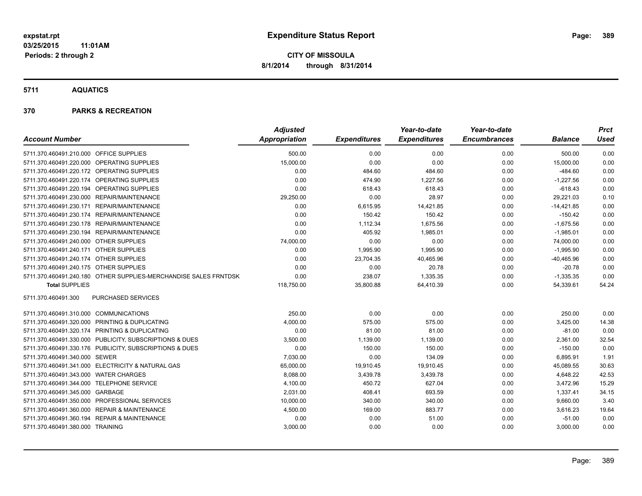#### **5711 AQUATICS**

|                                                                  | <b>Adjusted</b>      |                     | Year-to-date        | Year-to-date        |                | <b>Prct</b> |
|------------------------------------------------------------------|----------------------|---------------------|---------------------|---------------------|----------------|-------------|
| <b>Account Number</b>                                            | <b>Appropriation</b> | <b>Expenditures</b> | <b>Expenditures</b> | <b>Encumbrances</b> | <b>Balance</b> | <b>Used</b> |
| 5711.370.460491.210.000 OFFICE SUPPLIES                          | 500.00               | 0.00                | 0.00                | 0.00                | 500.00         | 0.00        |
| 5711.370.460491.220.000 OPERATING SUPPLIES                       | 15,000.00            | 0.00                | 0.00                | 0.00                | 15,000.00      | 0.00        |
| 5711.370.460491.220.172 OPERATING SUPPLIES                       | 0.00                 | 484.60              | 484.60              | 0.00                | $-484.60$      | 0.00        |
| 5711.370.460491.220.174 OPERATING SUPPLIES                       | 0.00                 | 474.90              | 1,227.56            | 0.00                | $-1,227.56$    | 0.00        |
| 5711.370.460491.220.194 OPERATING SUPPLIES                       | 0.00                 | 618.43              | 618.43              | 0.00                | $-618.43$      | 0.00        |
| 5711.370.460491.230.000 REPAIR/MAINTENANCE                       | 29,250.00            | 0.00                | 28.97               | 0.00                | 29,221.03      | 0.10        |
| 5711.370.460491.230.171 REPAIR/MAINTENANCE                       | 0.00                 | 6,615.95            | 14,421.85           | 0.00                | $-14,421.85$   | 0.00        |
| 5711.370.460491.230.174 REPAIR/MAINTENANCE                       | 0.00                 | 150.42              | 150.42              | 0.00                | $-150.42$      | 0.00        |
| 5711.370.460491.230.178 REPAIR/MAINTENANCE                       | 0.00                 | 1,112.34            | 1,675.56            | 0.00                | $-1,675.56$    | 0.00        |
| 5711.370.460491.230.194 REPAIR/MAINTENANCE                       | 0.00                 | 405.92              | 1,985.01            | 0.00                | $-1,985.01$    | 0.00        |
| 5711.370.460491.240.000 OTHER SUPPLIES                           | 74,000.00            | 0.00                | 0.00                | 0.00                | 74,000.00      | 0.00        |
| 5711.370.460491.240.171 OTHER SUPPLIES                           | 0.00                 | 1,995.90            | 1,995.90            | 0.00                | $-1,995.90$    | 0.00        |
| 5711.370.460491.240.174 OTHER SUPPLIES                           | 0.00                 | 23,704.35           | 40,465.96           | 0.00                | $-40,465.96$   | 0.00        |
| 5711.370.460491.240.175 OTHER SUPPLIES                           | 0.00                 | 0.00                | 20.78               | 0.00                | $-20.78$       | 0.00        |
| 5711.370.460491.240.180 OTHER SUPPLIES-MERCHANDISE SALES FRNTDSK | 0.00                 | 238.07              | 1,335.35            | 0.00                | $-1,335.35$    | 0.00        |
| <b>Total SUPPLIES</b>                                            | 118,750.00           | 35,800.88           | 64,410.39           | 0.00                | 54,339.61      | 54.24       |
| PURCHASED SERVICES<br>5711.370.460491.300                        |                      |                     |                     |                     |                |             |
| 5711.370.460491.310.000 COMMUNICATIONS                           | 250.00               | 0.00                | 0.00                | 0.00                | 250.00         | 0.00        |
| 5711.370.460491.320.000 PRINTING & DUPLICATING                   | 4,000.00             | 575.00              | 575.00              | 0.00                | 3,425.00       | 14.38       |
| 5711.370.460491.320.174 PRINTING & DUPLICATING                   | 0.00                 | 81.00               | 81.00               | 0.00                | $-81.00$       | 0.00        |
| 5711.370.460491.330.000 PUBLICITY, SUBSCRIPTIONS & DUES          | 3,500.00             | 1,139.00            | 1,139.00            | 0.00                | 2,361.00       | 32.54       |
| 5711.370.460491.330.176 PUBLICITY, SUBSCRIPTIONS & DUES          | 0.00                 | 150.00              | 150.00              | 0.00                | $-150.00$      | 0.00        |
| 5711.370.460491.340.000 SEWER                                    | 7,030.00             | 0.00                | 134.09              | 0.00                | 6,895.91       | 1.91        |
| 5711.370.460491.341.000 ELECTRICITY & NATURAL GAS                | 65,000.00            | 19,910.45           | 19,910.45           | 0.00                | 45,089.55      | 30.63       |
| 5711.370.460491.343.000 WATER CHARGES                            | 8,088.00             | 3,439.78            | 3,439.78            | 0.00                | 4,648.22       | 42.53       |
| 5711.370.460491.344.000 TELEPHONE SERVICE                        | 4,100.00             | 450.72              | 627.04              | 0.00                | 3,472.96       | 15.29       |
| 5711.370.460491.345.000 GARBAGE                                  | 2,031.00             | 408.41              | 693.59              | 0.00                | 1,337.41       | 34.15       |
| 5711.370.460491.350.000 PROFESSIONAL SERVICES                    | 10,000.00            | 340.00              | 340.00              | 0.00                | 9,660.00       | 3.40        |
| 5711.370.460491.360.000 REPAIR & MAINTENANCE                     | 4,500.00             | 169.00              | 883.77              | 0.00                | 3,616.23       | 19.64       |
| 5711.370.460491.360.194 REPAIR & MAINTENANCE                     | 0.00                 | 0.00                | 51.00               | 0.00                | $-51.00$       | 0.00        |
| 5711.370.460491.380.000 TRAINING                                 | 3,000.00             | 0.00                | 0.00                | 0.00                | 3,000.00       | 0.00        |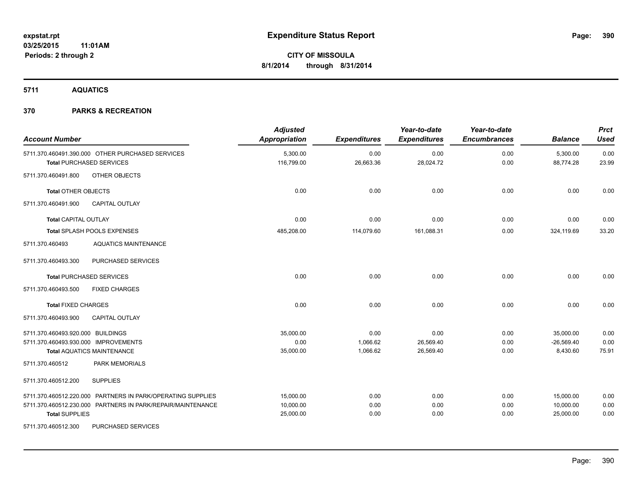**5711 AQUATICS**

| <b>Account Number</b>                                                               | <b>Adjusted</b><br>Appropriation | <b>Expenditures</b> | Year-to-date<br><b>Expenditures</b> | Year-to-date<br><b>Encumbrances</b> | <b>Balance</b>        | <b>Prct</b><br><b>Used</b> |
|-------------------------------------------------------------------------------------|----------------------------------|---------------------|-------------------------------------|-------------------------------------|-----------------------|----------------------------|
| 5711.370.460491.390.000 OTHER PURCHASED SERVICES<br><b>Total PURCHASED SERVICES</b> | 5,300.00<br>116,799.00           | 0.00<br>26,663.36   | 0.00<br>28,024.72                   | 0.00<br>0.00                        | 5,300.00<br>88,774.28 | 0.00<br>23.99              |
|                                                                                     |                                  |                     |                                     |                                     |                       |                            |
| OTHER OBJECTS<br>5711.370.460491.800                                                |                                  |                     |                                     |                                     |                       |                            |
| <b>Total OTHER OBJECTS</b>                                                          | 0.00                             | 0.00                | 0.00                                | 0.00                                | 0.00                  | 0.00                       |
| 5711.370.460491.900<br><b>CAPITAL OUTLAY</b>                                        |                                  |                     |                                     |                                     |                       |                            |
| <b>Total CAPITAL OUTLAY</b>                                                         | 0.00                             | 0.00                | 0.00                                | 0.00                                | 0.00                  | 0.00                       |
| Total SPLASH POOLS EXPENSES                                                         | 485,208.00                       | 114,079.60          | 161,088.31                          | 0.00                                | 324,119.69            | 33.20                      |
| <b>AQUATICS MAINTENANCE</b><br>5711.370.460493                                      |                                  |                     |                                     |                                     |                       |                            |
| PURCHASED SERVICES<br>5711.370.460493.300                                           |                                  |                     |                                     |                                     |                       |                            |
| <b>Total PURCHASED SERVICES</b>                                                     | 0.00                             | 0.00                | 0.00                                | 0.00                                | 0.00                  | 0.00                       |
| <b>FIXED CHARGES</b><br>5711.370.460493.500                                         |                                  |                     |                                     |                                     |                       |                            |
| <b>Total FIXED CHARGES</b>                                                          | 0.00                             | 0.00                | 0.00                                | 0.00                                | 0.00                  | 0.00                       |
| <b>CAPITAL OUTLAY</b><br>5711.370.460493.900                                        |                                  |                     |                                     |                                     |                       |                            |
| 5711.370.460493.920.000 BUILDINGS                                                   | 35,000.00                        | 0.00                | 0.00                                | 0.00                                | 35,000.00             | 0.00                       |
| 5711.370.460493.930.000 IMPROVEMENTS                                                | 0.00                             | 1,066.62            | 26,569.40                           | 0.00                                | $-26,569.40$          | 0.00                       |
| <b>Total AQUATICS MAINTENANCE</b><br>5711.370.460512<br>PARK MEMORIALS              | 35,000.00                        | 1,066.62            | 26,569.40                           | 0.00                                | 8,430.60              | 75.91                      |
|                                                                                     |                                  |                     |                                     |                                     |                       |                            |
| 5711.370.460512.200<br><b>SUPPLIES</b>                                              |                                  |                     |                                     |                                     |                       |                            |
| 5711.370.460512.220.000 PARTNERS IN PARK/OPERATING SUPPLIES                         | 15,000.00                        | 0.00                | 0.00                                | 0.00                                | 15,000.00             | 0.00                       |
| 5711.370.460512.230.000 PARTNERS IN PARK/REPAIR/MAINTENANCE                         | 10,000.00                        | 0.00                | 0.00                                | 0.00                                | 10,000.00             | 0.00                       |
| <b>Total SUPPLIES</b>                                                               | 25,000.00                        | 0.00                | 0.00                                | 0.00                                | 25,000.00             | 0.00                       |
| PURCHASED SERVICES<br>5711.370.460512.300                                           |                                  |                     |                                     |                                     |                       |                            |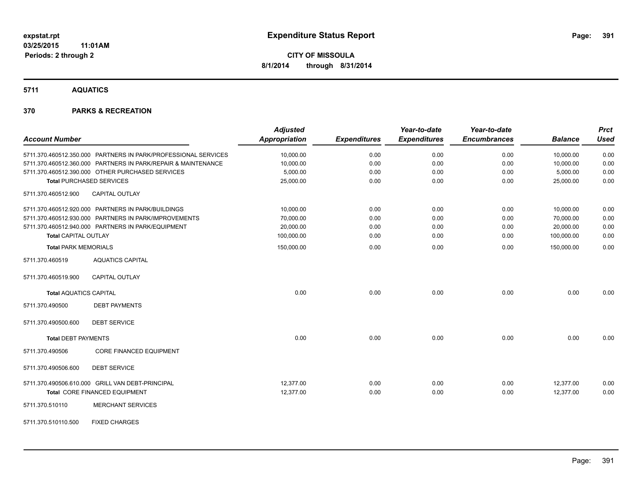**5711 AQUATICS**

| <b>Account Number</b>                                          | <b>Adjusted</b><br><b>Appropriation</b> | <b>Expenditures</b> | Year-to-date<br><b>Expenditures</b> | Year-to-date<br><b>Encumbrances</b> | <b>Balance</b> | <b>Prct</b><br><b>Used</b> |
|----------------------------------------------------------------|-----------------------------------------|---------------------|-------------------------------------|-------------------------------------|----------------|----------------------------|
| 5711.370.460512.350.000 PARTNERS IN PARK/PROFESSIONAL SERVICES | 10,000.00                               | 0.00                | 0.00                                | 0.00                                | 10,000.00      | 0.00                       |
| 5711.370.460512.360.000 PARTNERS IN PARK/REPAIR & MAINTENANCE  | 10,000.00                               | 0.00                | 0.00                                | 0.00                                | 10,000.00      | 0.00                       |
| 5711.370.460512.390.000 OTHER PURCHASED SERVICES               | 5,000.00                                | 0.00                | 0.00                                | 0.00                                | 5,000.00       | 0.00                       |
| <b>Total PURCHASED SERVICES</b>                                | 25,000.00                               | 0.00                | 0.00                                | 0.00                                | 25,000.00      | 0.00                       |
| 5711.370.460512.900<br><b>CAPITAL OUTLAY</b>                   |                                         |                     |                                     |                                     |                |                            |
| 5711.370.460512.920.000 PARTNERS IN PARK/BUILDINGS             | 10.000.00                               | 0.00                | 0.00                                | 0.00                                | 10,000.00      | 0.00                       |
| 5711.370.460512.930.000 PARTNERS IN PARK/IMPROVEMENTS          | 70,000.00                               | 0.00                | 0.00                                | 0.00                                | 70,000.00      | 0.00                       |
| 5711.370.460512.940.000 PARTNERS IN PARK/EQUIPMENT             | 20,000.00                               | 0.00                | 0.00                                | 0.00                                | 20,000.00      | 0.00                       |
| <b>Total CAPITAL OUTLAY</b>                                    | 100,000.00                              | 0.00                | 0.00                                | 0.00                                | 100,000.00     | 0.00                       |
| <b>Total PARK MEMORIALS</b>                                    | 150,000.00                              | 0.00                | 0.00                                | 0.00                                | 150,000.00     | 0.00                       |
| 5711.370.460519<br><b>AQUATICS CAPITAL</b>                     |                                         |                     |                                     |                                     |                |                            |
| <b>CAPITAL OUTLAY</b><br>5711.370.460519.900                   |                                         |                     |                                     |                                     |                |                            |
| <b>Total AQUATICS CAPITAL</b>                                  | 0.00                                    | 0.00                | 0.00                                | 0.00                                | 0.00           | 0.00                       |
| 5711.370.490500<br><b>DEBT PAYMENTS</b>                        |                                         |                     |                                     |                                     |                |                            |
| <b>DEBT SERVICE</b><br>5711.370.490500.600                     |                                         |                     |                                     |                                     |                |                            |
| <b>Total DEBT PAYMENTS</b>                                     | 0.00                                    | 0.00                | 0.00                                | 0.00                                | 0.00           | 0.00                       |
| <b>CORE FINANCED EQUIPMENT</b><br>5711.370.490506              |                                         |                     |                                     |                                     |                |                            |
| 5711.370.490506.600<br><b>DEBT SERVICE</b>                     |                                         |                     |                                     |                                     |                |                            |
| 5711.370.490506.610.000 GRILL VAN DEBT-PRINCIPAL               | 12,377.00                               | 0.00                | 0.00                                | 0.00                                | 12,377.00      | 0.00                       |
| Total CORE FINANCED EQUIPMENT                                  | 12,377.00                               | 0.00                | 0.00                                | 0.00                                | 12,377.00      | 0.00                       |
| 5711.370.510110<br><b>MERCHANT SERVICES</b>                    |                                         |                     |                                     |                                     |                |                            |
| <b>FIXED CHARGES</b><br>5711.370.510110.500                    |                                         |                     |                                     |                                     |                |                            |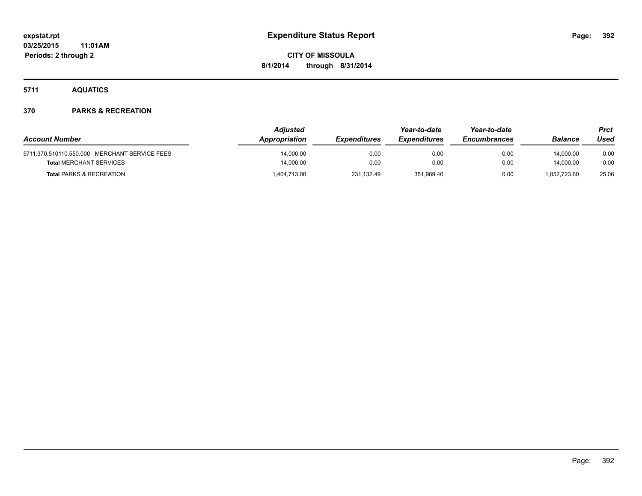**5711 AQUATICS**

| <b>Account Number</b>                         | Adjusted<br>Appropriation | <b>Expenditures</b> | Year-to-date<br><i><b>Expenditures</b></i> | Year-to-date<br><b>Encumbrances</b> | Balance      | <b>Prct</b><br>Used |
|-----------------------------------------------|---------------------------|---------------------|--------------------------------------------|-------------------------------------|--------------|---------------------|
| 5711.370.510110.550.000 MERCHANT SERVICE FEES | 14.000.00                 | 0.00                | 0.00                                       | 0.00                                | 14.000.00    | 0.00                |
| <b>Total MERCHANT SERVICES</b>                | 14,000.00                 | 0.00                | 0.00                                       | 0.00                                | 14.000.00    | 0.00                |
| <b>Total PARKS &amp; RECREATION</b>           | 1,404,713.00              | 231,132.49          | 351,989.40                                 | 0.00                                | 1,052,723.60 | 25.06               |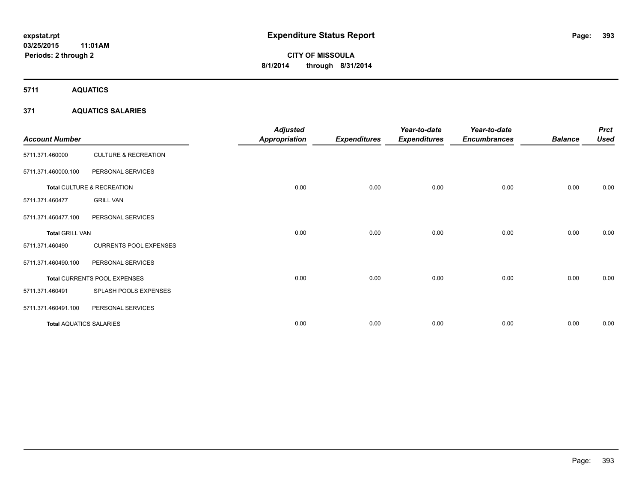**5711 AQUATICS**

#### **371 AQUATICS SALARIES**

| <b>Account Number</b>          |                                 | <b>Adjusted</b><br><b>Appropriation</b> | <b>Expenditures</b> | Year-to-date<br><b>Expenditures</b> | Year-to-date<br><b>Encumbrances</b> | <b>Balance</b> | <b>Prct</b><br><b>Used</b> |
|--------------------------------|---------------------------------|-----------------------------------------|---------------------|-------------------------------------|-------------------------------------|----------------|----------------------------|
| 5711.371.460000                | <b>CULTURE &amp; RECREATION</b> |                                         |                     |                                     |                                     |                |                            |
| 5711.371.460000.100            | PERSONAL SERVICES               |                                         |                     |                                     |                                     |                |                            |
|                                | Total CULTURE & RECREATION      | 0.00                                    | 0.00                | 0.00                                | 0.00                                | 0.00           | 0.00                       |
| 5711.371.460477                | <b>GRILL VAN</b>                |                                         |                     |                                     |                                     |                |                            |
| 5711.371.460477.100            | PERSONAL SERVICES               |                                         |                     |                                     |                                     |                |                            |
| <b>Total GRILL VAN</b>         |                                 | 0.00                                    | 0.00                | 0.00                                | 0.00                                | 0.00           | 0.00                       |
| 5711.371.460490                | <b>CURRENTS POOL EXPENSES</b>   |                                         |                     |                                     |                                     |                |                            |
| 5711.371.460490.100            | PERSONAL SERVICES               |                                         |                     |                                     |                                     |                |                            |
|                                | Total CURRENTS POOL EXPENSES    | 0.00                                    | 0.00                | 0.00                                | 0.00                                | 0.00           | 0.00                       |
| 5711.371.460491                | SPLASH POOLS EXPENSES           |                                         |                     |                                     |                                     |                |                            |
| 5711.371.460491.100            | PERSONAL SERVICES               |                                         |                     |                                     |                                     |                |                            |
| <b>Total AQUATICS SALARIES</b> |                                 | 0.00                                    | 0.00                | 0.00                                | 0.00                                | 0.00           | 0.00                       |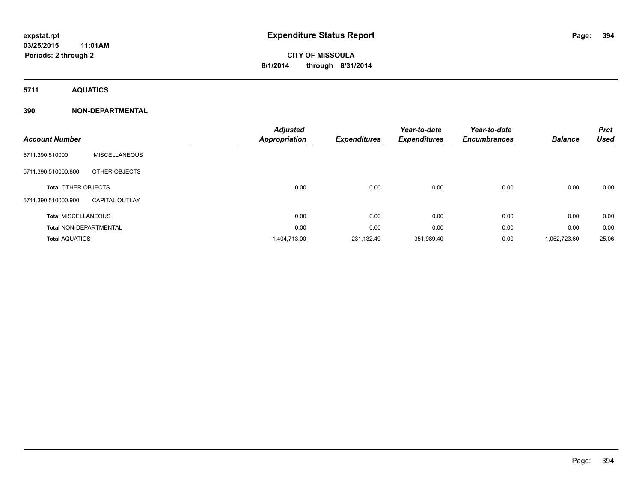**5711 AQUATICS**

#### **390 NON-DEPARTMENTAL**

| <b>Account Number</b>         |                       | <b>Adjusted</b><br><b>Appropriation</b> | <b>Expenditures</b> | Year-to-date<br><b>Expenditures</b> | Year-to-date<br><b>Encumbrances</b> | <b>Balance</b> | <b>Prct</b><br><b>Used</b> |
|-------------------------------|-----------------------|-----------------------------------------|---------------------|-------------------------------------|-------------------------------------|----------------|----------------------------|
| 5711.390.510000               | <b>MISCELLANEOUS</b>  |                                         |                     |                                     |                                     |                |                            |
| 5711.390.510000.800           | OTHER OBJECTS         |                                         |                     |                                     |                                     |                |                            |
| <b>Total OTHER OBJECTS</b>    |                       | 0.00                                    | 0.00                | 0.00                                | 0.00                                | 0.00           | 0.00                       |
| 5711.390.510000.900           | <b>CAPITAL OUTLAY</b> |                                         |                     |                                     |                                     |                |                            |
| <b>Total MISCELLANEOUS</b>    |                       | 0.00                                    | 0.00                | 0.00                                | 0.00                                | 0.00           | 0.00                       |
| <b>Total NON-DEPARTMENTAL</b> |                       | 0.00                                    | 0.00                | 0.00                                | 0.00                                | 0.00           | 0.00                       |
| <b>Total AQUATICS</b>         |                       | 1,404,713.00                            | 231,132.49          | 351,989.40                          | 0.00                                | 1,052,723.60   | 25.06                      |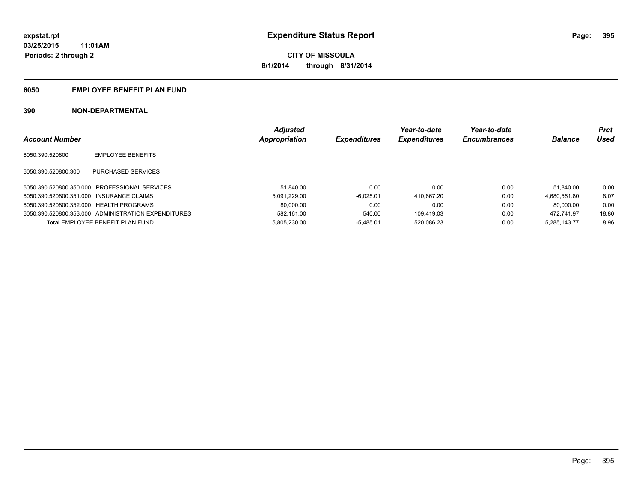#### **6050 EMPLOYEE BENEFIT PLAN FUND**

#### **390 NON-DEPARTMENTAL**

|                                          |                                                     | <b>Adjusted</b> |                     | Year-to-date        | Year-to-date        |                | <b>Prct</b> |
|------------------------------------------|-----------------------------------------------------|-----------------|---------------------|---------------------|---------------------|----------------|-------------|
| <b>Account Number</b>                    |                                                     | Appropriation   | <b>Expenditures</b> | <b>Expenditures</b> | <b>Encumbrances</b> | <b>Balance</b> | Used        |
| 6050.390.520800                          | <b>EMPLOYEE BENEFITS</b>                            |                 |                     |                     |                     |                |             |
| 6050.390.520800.300                      | PURCHASED SERVICES                                  |                 |                     |                     |                     |                |             |
|                                          | 6050.390.520800.350.000 PROFESSIONAL SERVICES       | 51.840.00       | 0.00                | 0.00                | 0.00                | 51.840.00      | 0.00        |
| 6050.390.520800.351.000 INSURANCE CLAIMS |                                                     | 5.091.229.00    | $-6.025.01$         | 410.667.20          | 0.00                | 4.680.561.80   | 8.07        |
| 6050.390.520800.352.000 HEALTH PROGRAMS  |                                                     | 80.000.00       | 0.00                | 0.00                | 0.00                | 80.000.00      | 0.00        |
|                                          | 6050.390.520800.353.000 ADMINISTRATION EXPENDITURES | 582.161.00      | 540.00              | 109.419.03          | 0.00                | 472.741.97     | 18.80       |
|                                          | <b>Total EMPLOYEE BENEFIT PLAN FUND</b>             | 5.805.230.00    | $-5.485.01$         | 520.086.23          | 0.00                | 5.285.143.77   | 8.96        |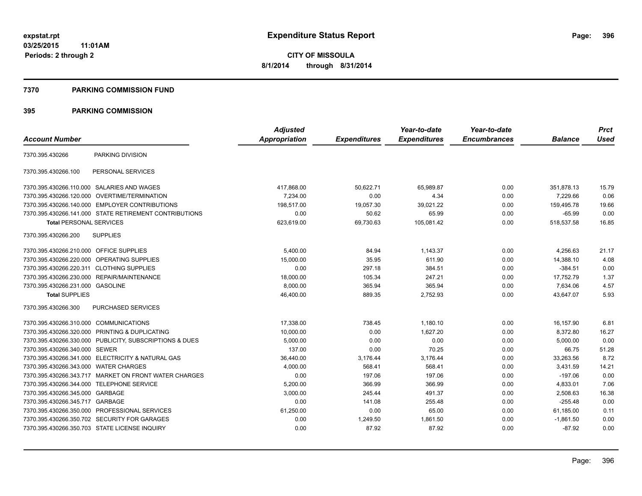#### **7370 PARKING COMMISSION FUND**

#### **395 PARKING COMMISSION**

|                                           |                                                         | <b>Adjusted</b> |                     | Year-to-date        | Year-to-date        |                | <b>Prct</b> |
|-------------------------------------------|---------------------------------------------------------|-----------------|---------------------|---------------------|---------------------|----------------|-------------|
| <b>Account Number</b>                     |                                                         | Appropriation   | <b>Expenditures</b> | <b>Expenditures</b> | <b>Encumbrances</b> | <b>Balance</b> | <b>Used</b> |
| 7370.395.430266                           | PARKING DIVISION                                        |                 |                     |                     |                     |                |             |
| 7370.395.430266.100                       | PERSONAL SERVICES                                       |                 |                     |                     |                     |                |             |
|                                           | 7370.395.430266.110.000 SALARIES AND WAGES              | 417,868.00      | 50,622.71           | 65,989.87           | 0.00                | 351,878.13     | 15.79       |
| 7370.395.430266.120.000                   | <b>OVERTIME/TERMINATION</b>                             | 7.234.00        | 0.00                | 4.34                | 0.00                | 7,229.66       | 0.06        |
|                                           | 7370.395.430266.140.000 EMPLOYER CONTRIBUTIONS          | 198.517.00      | 19,057.30           | 39.021.22           | 0.00                | 159,495.78     | 19.66       |
|                                           | 7370.395.430266.141.000 STATE RETIREMENT CONTRIBUTIONS  | 0.00            | 50.62               | 65.99               | 0.00                | $-65.99$       | 0.00        |
| <b>Total PERSONAL SERVICES</b>            |                                                         | 623,619.00      | 69,730.63           | 105,081.42          | 0.00                | 518,537.58     | 16.85       |
| 7370.395.430266.200                       | <b>SUPPLIES</b>                                         |                 |                     |                     |                     |                |             |
| 7370.395.430266.210.000 OFFICE SUPPLIES   |                                                         | 5,400.00        | 84.94               | 1,143.37            | 0.00                | 4,256.63       | 21.17       |
| 7370.395.430266.220.000                   | <b>OPERATING SUPPLIES</b>                               | 15,000.00       | 35.95               | 611.90              | 0.00                | 14,388.10      | 4.08        |
| 7370.395.430266.220.311 CLOTHING SUPPLIES |                                                         | 0.00            | 297.18              | 384.51              | 0.00                | -384.51        | 0.00        |
|                                           | 7370.395.430266.230.000 REPAIR/MAINTENANCE              | 18,000.00       | 105.34              | 247.21              | 0.00                | 17,752.79      | 1.37        |
| 7370.395.430266.231.000 GASOLINE          |                                                         | 8,000.00        | 365.94              | 365.94              | 0.00                | 7,634.06       | 4.57        |
| <b>Total SUPPLIES</b>                     |                                                         | 46,400.00       | 889.35              | 2,752.93            | 0.00                | 43,647.07      | 5.93        |
| 7370.395.430266.300                       | PURCHASED SERVICES                                      |                 |                     |                     |                     |                |             |
| 7370.395.430266.310.000 COMMUNICATIONS    |                                                         | 17,338.00       | 738.45              | 1,180.10            | 0.00                | 16,157.90      | 6.81        |
|                                           | 7370.395.430266.320.000 PRINTING & DUPLICATING          | 10,000.00       | 0.00                | 1.627.20            | 0.00                | 8,372.80       | 16.27       |
|                                           | 7370.395.430266.330.000 PUBLICITY, SUBSCRIPTIONS & DUES | 5,000.00        | 0.00                | 0.00                | 0.00                | 5,000.00       | 0.00        |
| 7370.395.430266.340.000 SEWER             |                                                         | 137.00          | 0.00                | 70.25               | 0.00                | 66.75          | 51.28       |
|                                           | 7370.395.430266.341.000 ELECTRICITY & NATURAL GAS       | 36,440.00       | 3,176.44            | 3,176.44            | 0.00                | 33,263.56      | 8.72        |
| 7370.395.430266.343.000 WATER CHARGES     |                                                         | 4,000.00        | 568.41              | 568.41              | 0.00                | 3,431.59       | 14.21       |
|                                           | 7370.395.430266.343.717 MARKET ON FRONT WATER CHARGES   | 0.00            | 197.06              | 197.06              | 0.00                | $-197.06$      | 0.00        |
|                                           | 7370.395.430266.344.000 TELEPHONE SERVICE               | 5.200.00        | 366.99              | 366.99              | 0.00                | 4,833.01       | 7.06        |
| 7370.395.430266.345.000 GARBAGE           |                                                         | 3,000.00        | 245.44              | 491.37              | 0.00                | 2,508.63       | 16.38       |
| 7370.395.430266.345.717 GARBAGE           |                                                         | 0.00            | 141.08              | 255.48              | 0.00                | $-255.48$      | 0.00        |
|                                           | 7370.395.430266.350.000 PROFESSIONAL SERVICES           | 61,250.00       | 0.00                | 65.00               | 0.00                | 61,185.00      | 0.11        |
|                                           | 7370.395.430266.350.702 SECURITY FOR GARAGES            | 0.00            | 1.249.50            | 1.861.50            | 0.00                | $-1,861.50$    | 0.00        |
|                                           | 7370.395.430266.350.703 STATE LICENSE INQUIRY           | 0.00            | 87.92               | 87.92               | 0.00                | $-87.92$       | 0.00        |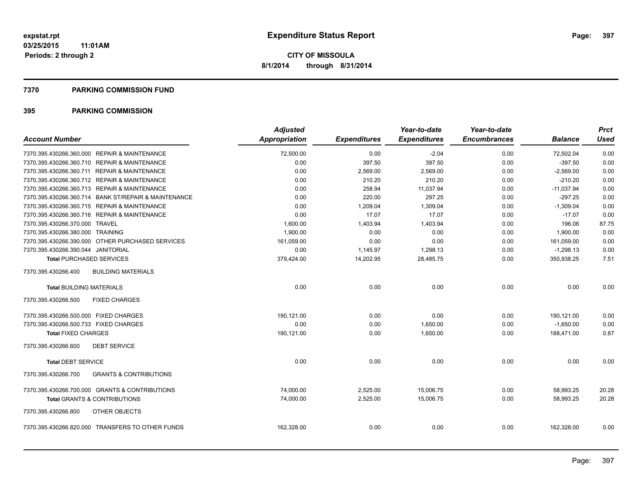#### **7370 PARKING COMMISSION FUND**

| <b>Account Number</b>                                    | <b>Adjusted</b><br><b>Appropriation</b> | <b>Expenditures</b> | Year-to-date<br><b>Expenditures</b> | Year-to-date<br><b>Encumbrances</b> | <b>Balance</b> | <b>Prct</b><br><b>Used</b> |
|----------------------------------------------------------|-----------------------------------------|---------------------|-------------------------------------|-------------------------------------|----------------|----------------------------|
| 7370.395.430266.360.000 REPAIR & MAINTENANCE             | 72,500.00                               | 0.00                | $-2.04$                             | 0.00                                | 72,502.04      | 0.00                       |
| 7370.395.430266.360.710 REPAIR & MAINTENANCE             | 0.00                                    | 397.50              | 397.50                              | 0.00                                | $-397.50$      | 0.00                       |
| 7370.395.430266.360.711 REPAIR & MAINTENANCE             | 0.00                                    | 2,569.00            | 2,569.00                            | 0.00                                | $-2,569.00$    | 0.00                       |
| 7370.395.430266.360.712 REPAIR & MAINTENANCE             | 0.00                                    | 210.20              | 210.20                              | 0.00                                | $-210.20$      | 0.00                       |
| 7370.395.430266.360.713 REPAIR & MAINTENANCE             | 0.00                                    | 258.94              | 11,037.94                           | 0.00                                | $-11,037.94$   | 0.00                       |
| 7370.395.430266.360.714 BANK ST/REPAIR & MAINTENANCE     | 0.00                                    | 220.00              | 297.25                              | 0.00                                | $-297.25$      | 0.00                       |
| 7370.395.430266.360.715 REPAIR & MAINTENANCE             | 0.00                                    | 1,209.04            | 1,309.04                            | 0.00                                | $-1,309.04$    | 0.00                       |
| 7370.395.430266.360.716 REPAIR & MAINTENANCE             | 0.00                                    | 17.07               | 17.07                               | 0.00                                | $-17.07$       | 0.00                       |
| 7370.395.430266.370.000 TRAVEL                           | 1,600.00                                | 1,403.94            | 1,403.94                            | 0.00                                | 196.06         | 87.75                      |
| 7370.395.430266.380.000 TRAINING                         | 1,900.00                                | 0.00                | 0.00                                | 0.00                                | 1.900.00       | 0.00                       |
| 7370.395.430266.390.000 OTHER PURCHASED SERVICES         | 161,059.00                              | 0.00                | 0.00                                | 0.00                                | 161,059.00     | 0.00                       |
| 7370.395.430266.390.044 JANITORIAL                       | 0.00                                    | 1,145.97            | 1,298.13                            | 0.00                                | $-1,298.13$    | 0.00                       |
| <b>Total PURCHASED SERVICES</b>                          | 379,424.00                              | 14,202.95           | 28,485.75                           | 0.00                                | 350,938.25     | 7.51                       |
| 7370.395.430266.400<br><b>BUILDING MATERIALS</b>         |                                         |                     |                                     |                                     |                |                            |
| <b>Total BUILDING MATERIALS</b>                          | 0.00                                    | 0.00                | 0.00                                | 0.00                                | 0.00           | 0.00                       |
| 7370.395.430266.500<br><b>FIXED CHARGES</b>              |                                         |                     |                                     |                                     |                |                            |
| 7370.395.430266.500.000 FIXED CHARGES                    | 190.121.00                              | 0.00                | 0.00                                | 0.00                                | 190,121.00     | 0.00                       |
| 7370.395.430266.500.733 FIXED CHARGES                    | 0.00                                    | 0.00                | 1,650.00                            | 0.00                                | $-1,650.00$    | 0.00                       |
| <b>Total FIXED CHARGES</b>                               | 190,121.00                              | 0.00                | 1,650.00                            | 0.00                                | 188,471.00     | 0.87                       |
| <b>DEBT SERVICE</b><br>7370.395.430266.600               |                                         |                     |                                     |                                     |                |                            |
| <b>Total DEBT SERVICE</b>                                | 0.00                                    | 0.00                | 0.00                                | 0.00                                | 0.00           | 0.00                       |
| 7370.395.430266.700<br><b>GRANTS &amp; CONTRIBUTIONS</b> |                                         |                     |                                     |                                     |                |                            |
| 7370.395.430266.700.000 GRANTS & CONTRIBUTIONS           | 74,000.00                               | 2,525.00            | 15,006.75                           | 0.00                                | 58,993.25      | 20.28                      |
| <b>Total GRANTS &amp; CONTRIBUTIONS</b>                  | 74,000.00                               | 2,525.00            | 15,006.75                           | 0.00                                | 58,993.25      | 20.28                      |
| 7370.395.430266.800<br>OTHER OBJECTS                     |                                         |                     |                                     |                                     |                |                            |
| 7370.395.430266.820.000 TRANSFERS TO OTHER FUNDS         | 162,328.00                              | 0.00                | 0.00                                | 0.00                                | 162,328.00     | 0.00                       |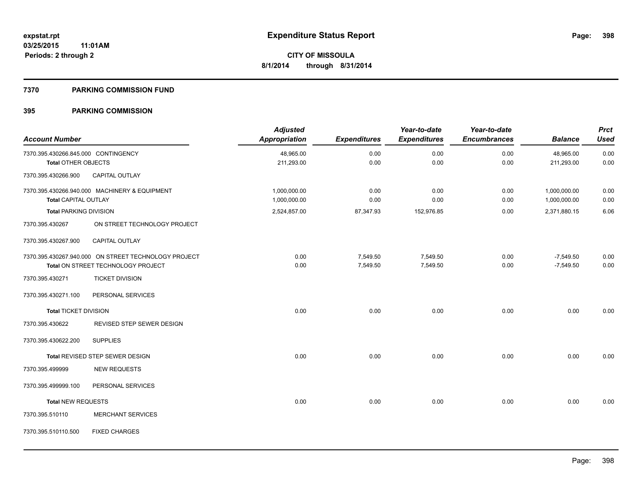#### **7370 PARKING COMMISSION FUND**

| <b>Account Number</b>                             |                                                      | <b>Adjusted</b><br><b>Appropriation</b> | <b>Expenditures</b> | Year-to-date<br><b>Expenditures</b> | Year-to-date<br><b>Encumbrances</b> | <b>Balance</b> | <b>Prct</b><br><b>Used</b> |
|---------------------------------------------------|------------------------------------------------------|-----------------------------------------|---------------------|-------------------------------------|-------------------------------------|----------------|----------------------------|
| 7370.395.430266.845.000 CONTINGENCY               |                                                      | 48,965.00                               | 0.00                | 0.00                                | 0.00                                | 48,965.00      | 0.00                       |
| <b>Total OTHER OBJECTS</b><br>7370.395.430266.900 | CAPITAL OUTLAY                                       | 211,293.00                              | 0.00                | 0.00                                | 0.00                                | 211,293.00     | 0.00                       |
|                                                   |                                                      |                                         |                     |                                     |                                     |                |                            |
|                                                   | 7370.395.430266.940.000 MACHINERY & EQUIPMENT        | 1,000,000.00                            | 0.00                | 0.00                                | 0.00                                | 1,000,000.00   | 0.00                       |
| <b>Total CAPITAL OUTLAY</b>                       |                                                      | 1,000,000.00                            | 0.00                | 0.00                                | 0.00                                | 1,000,000.00   | 0.00                       |
| <b>Total PARKING DIVISION</b>                     |                                                      | 2,524,857.00                            | 87,347.93           | 152,976.85                          | 0.00                                | 2,371,880.15   | 6.06                       |
| 7370.395.430267                                   | ON STREET TECHNOLOGY PROJECT                         |                                         |                     |                                     |                                     |                |                            |
| 7370.395.430267.900                               | CAPITAL OUTLAY                                       |                                         |                     |                                     |                                     |                |                            |
|                                                   | 7370.395.430267.940.000 ON STREET TECHNOLOGY PROJECT | 0.00                                    | 7,549.50            | 7,549.50                            | 0.00                                | $-7,549.50$    | 0.00                       |
|                                                   | Total ON STREET TECHNOLOGY PROJECT                   | 0.00                                    | 7,549.50            | 7,549.50                            | 0.00                                | $-7,549.50$    | 0.00                       |
| 7370.395.430271                                   | <b>TICKET DIVISION</b>                               |                                         |                     |                                     |                                     |                |                            |
| 7370.395.430271.100                               | PERSONAL SERVICES                                    |                                         |                     |                                     |                                     |                |                            |
| <b>Total TICKET DIVISION</b>                      |                                                      | 0.00                                    | 0.00                | 0.00                                | 0.00                                | 0.00           | 0.00                       |
| 7370.395.430622                                   | REVISED STEP SEWER DESIGN                            |                                         |                     |                                     |                                     |                |                            |
| 7370.395.430622.200                               | <b>SUPPLIES</b>                                      |                                         |                     |                                     |                                     |                |                            |
|                                                   | Total REVISED STEP SEWER DESIGN                      | 0.00                                    | 0.00                | 0.00                                | 0.00                                | 0.00           | 0.00                       |
| 7370.395.499999                                   | <b>NEW REQUESTS</b>                                  |                                         |                     |                                     |                                     |                |                            |
| 7370.395.499999.100                               | PERSONAL SERVICES                                    |                                         |                     |                                     |                                     |                |                            |
| <b>Total NEW REQUESTS</b>                         |                                                      | 0.00                                    | 0.00                | 0.00                                | 0.00                                | 0.00           | 0.00                       |
| 7370.395.510110                                   | <b>MERCHANT SERVICES</b>                             |                                         |                     |                                     |                                     |                |                            |
| 7370.395.510110.500                               | <b>FIXED CHARGES</b>                                 |                                         |                     |                                     |                                     |                |                            |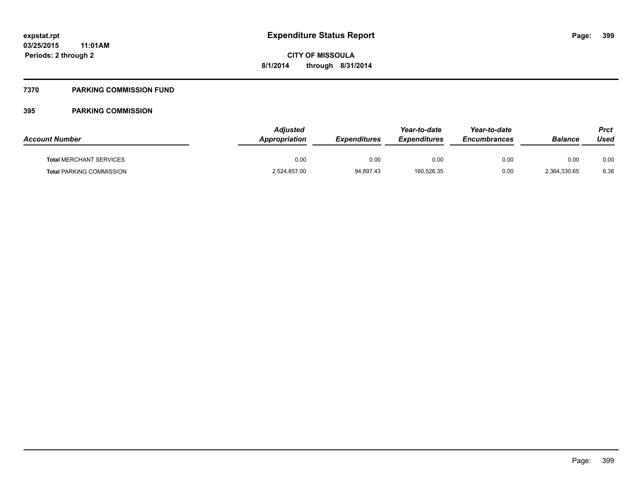# **7370 PARKING COMMISSION FUND**

| <b>Account Number</b>           | Adjusted<br>Appropriation | <b>Expenditures</b> | Year-to-date<br><b>Expenditures</b> | Year-to-date<br><b>Encumbrances</b> | <b>Balance</b> | Prct<br>Used |
|---------------------------------|---------------------------|---------------------|-------------------------------------|-------------------------------------|----------------|--------------|
| <b>Total MERCHANT SERVICES</b>  | 0.00                      | 0.00                | 0.00                                | 0.00                                | 0.00           | 0.00         |
| <b>Total PARKING COMMISSION</b> | 2,524,857.00              | 94,897.43           | 160,526.35                          | 0.00                                | 2.364.330.65   | 6.36         |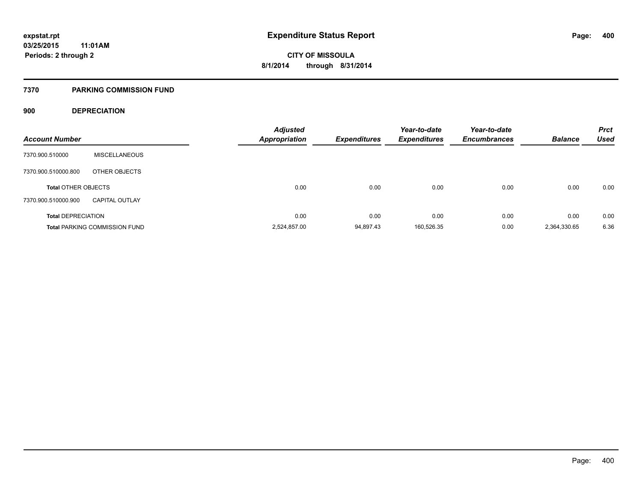## **7370 PARKING COMMISSION FUND**

# **900 DEPRECIATION**

| <b>Account Number</b>      |                                      | <b>Adjusted</b><br><b>Appropriation</b> | <b>Expenditures</b> | Year-to-date<br><b>Expenditures</b> | Year-to-date<br><b>Encumbrances</b> | <b>Balance</b> | <b>Prct</b><br><b>Used</b> |
|----------------------------|--------------------------------------|-----------------------------------------|---------------------|-------------------------------------|-------------------------------------|----------------|----------------------------|
| 7370.900.510000            | <b>MISCELLANEOUS</b>                 |                                         |                     |                                     |                                     |                |                            |
| 7370.900.510000.800        | OTHER OBJECTS                        |                                         |                     |                                     |                                     |                |                            |
| <b>Total OTHER OBJECTS</b> |                                      | 0.00                                    | 0.00                | 0.00                                | 0.00                                | 0.00           | 0.00                       |
| 7370.900.510000.900        | <b>CAPITAL OUTLAY</b>                |                                         |                     |                                     |                                     |                |                            |
| <b>Total DEPRECIATION</b>  |                                      | 0.00                                    | 0.00                | 0.00                                | 0.00                                | 0.00           | 0.00                       |
|                            | <b>Total PARKING COMMISSION FUND</b> | 2,524,857.00                            | 94,897.43           | 160,526.35                          | 0.00                                | 2,364,330.65   | 6.36                       |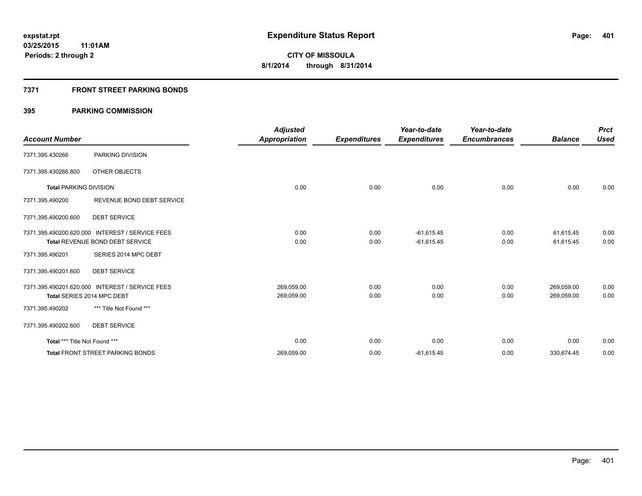# **7371 FRONT STREET PARKING BONDS**

|                               |                                                 | <b>Adjusted</b> |                     | Year-to-date        | Year-to-date        |                | <b>Prct</b> |
|-------------------------------|-------------------------------------------------|-----------------|---------------------|---------------------|---------------------|----------------|-------------|
| <b>Account Number</b>         |                                                 | Appropriation   | <b>Expenditures</b> | <b>Expenditures</b> | <b>Encumbrances</b> | <b>Balance</b> | <b>Used</b> |
| 7371.395.430266               | PARKING DIVISION                                |                 |                     |                     |                     |                |             |
| 7371.395.430266.800           | OTHER OBJECTS                                   |                 |                     |                     |                     |                |             |
| <b>Total PARKING DIVISION</b> |                                                 | 0.00            | 0.00                | 0.00                | 0.00                | 0.00           | 0.00        |
| 7371.395.490200               | REVENUE BOND DEBT SERVICE                       |                 |                     |                     |                     |                |             |
| 7371.395.490200.600           | <b>DEBT SERVICE</b>                             |                 |                     |                     |                     |                |             |
|                               | 7371.395.490200.620.000 INTEREST / SERVICE FEES | 0.00            | 0.00                | $-61,615.45$        | 0.00                | 61,615.45      | 0.00        |
|                               | Total REVENUE BOND DEBT SERVICE                 | 0.00            | 0.00                | $-61,615.45$        | 0.00                | 61,615.45      | 0.00        |
| 7371.395.490201               | SERIES 2014 MPC DEBT                            |                 |                     |                     |                     |                |             |
| 7371.395.490201.600           | <b>DEBT SERVICE</b>                             |                 |                     |                     |                     |                |             |
|                               | 7371.395.490201.620.000 INTEREST / SERVICE FEES | 269,059.00      | 0.00                | 0.00                | 0.00                | 269,059.00     | 0.00        |
|                               | Total SERIES 2014 MPC DEBT                      | 269,059.00      | 0.00                | 0.00                | 0.00                | 269,059.00     | 0.00        |
| 7371.395.490202               | *** Title Not Found ***                         |                 |                     |                     |                     |                |             |
| 7371.395.490202.600           | <b>DEBT SERVICE</b>                             |                 |                     |                     |                     |                |             |
| Total *** Title Not Found *** |                                                 | 0.00            | 0.00                | 0.00                | 0.00                | 0.00           | 0.00        |
|                               | <b>Total FRONT STREET PARKING BONDS</b>         | 269,059.00      | 0.00                | $-61,615.45$        | 0.00                | 330,674.45     | 0.00        |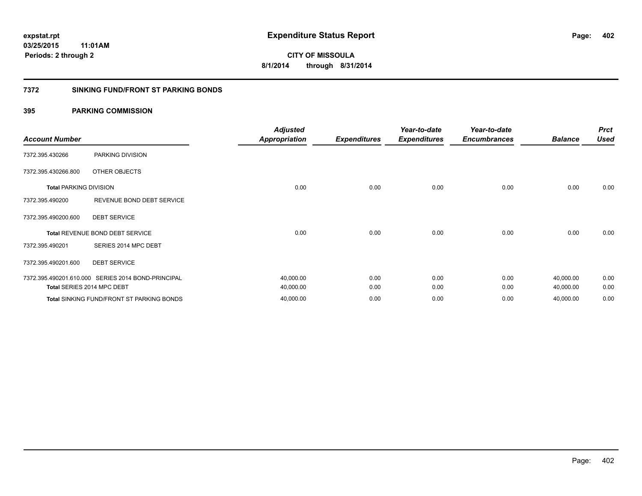# **7372 SINKING FUND/FRONT ST PARKING BONDS**

| <b>Account Number</b>         |                                                    | <b>Adjusted</b><br><b>Appropriation</b> | <b>Expenditures</b> | Year-to-date<br><b>Expenditures</b> | Year-to-date<br><b>Encumbrances</b> | <b>Balance</b> | <b>Prct</b><br><b>Used</b> |
|-------------------------------|----------------------------------------------------|-----------------------------------------|---------------------|-------------------------------------|-------------------------------------|----------------|----------------------------|
|                               |                                                    |                                         |                     |                                     |                                     |                |                            |
| 7372.395.430266               | PARKING DIVISION                                   |                                         |                     |                                     |                                     |                |                            |
| 7372.395.430266.800           | OTHER OBJECTS                                      |                                         |                     |                                     |                                     |                |                            |
| <b>Total PARKING DIVISION</b> |                                                    | 0.00                                    | 0.00                | 0.00                                | 0.00                                | 0.00           | 0.00                       |
| 7372.395.490200               | REVENUE BOND DEBT SERVICE                          |                                         |                     |                                     |                                     |                |                            |
| 7372.395.490200.600           | <b>DEBT SERVICE</b>                                |                                         |                     |                                     |                                     |                |                            |
|                               | Total REVENUE BOND DEBT SERVICE                    | 0.00                                    | 0.00                | 0.00                                | 0.00                                | 0.00           | 0.00                       |
| 7372.395.490201               | SERIES 2014 MPC DEBT                               |                                         |                     |                                     |                                     |                |                            |
| 7372.395.490201.600           | <b>DEBT SERVICE</b>                                |                                         |                     |                                     |                                     |                |                            |
|                               | 7372.395.490201.610.000 SERIES 2014 BOND-PRINCIPAL | 40,000.00                               | 0.00                | 0.00                                | 0.00                                | 40,000.00      | 0.00                       |
|                               | Total SERIES 2014 MPC DEBT                         | 40,000.00                               | 0.00                | 0.00                                | 0.00                                | 40,000.00      | 0.00                       |
|                               | Total SINKING FUND/FRONT ST PARKING BONDS          | 40,000.00                               | 0.00                | 0.00                                | 0.00                                | 40,000.00      | 0.00                       |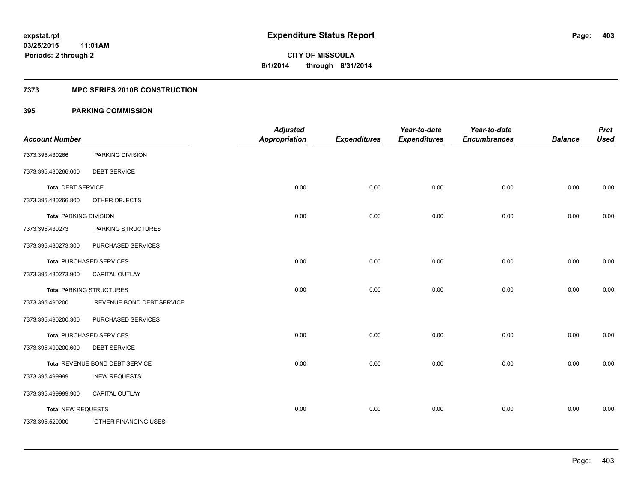# **7373 MPC SERIES 2010B CONSTRUCTION**

| <b>Account Number</b>         |                                 | <b>Adjusted</b><br><b>Appropriation</b> | <b>Expenditures</b> | Year-to-date<br><b>Expenditures</b> | Year-to-date<br><b>Encumbrances</b> | <b>Balance</b> | <b>Prct</b><br><b>Used</b> |
|-------------------------------|---------------------------------|-----------------------------------------|---------------------|-------------------------------------|-------------------------------------|----------------|----------------------------|
| 7373.395.430266               | PARKING DIVISION                |                                         |                     |                                     |                                     |                |                            |
| 7373.395.430266.600           | <b>DEBT SERVICE</b>             |                                         |                     |                                     |                                     |                |                            |
| <b>Total DEBT SERVICE</b>     |                                 | 0.00                                    | 0.00                | 0.00                                | 0.00                                | 0.00           | 0.00                       |
| 7373.395.430266.800           | OTHER OBJECTS                   |                                         |                     |                                     |                                     |                |                            |
| <b>Total PARKING DIVISION</b> |                                 | 0.00                                    | 0.00                | 0.00                                | 0.00                                | 0.00           | 0.00                       |
| 7373.395.430273               | PARKING STRUCTURES              |                                         |                     |                                     |                                     |                |                            |
| 7373.395.430273.300           | PURCHASED SERVICES              |                                         |                     |                                     |                                     |                |                            |
|                               | <b>Total PURCHASED SERVICES</b> | 0.00                                    | 0.00                | 0.00                                | 0.00                                | 0.00           | 0.00                       |
| 7373.395.430273.900           | <b>CAPITAL OUTLAY</b>           |                                         |                     |                                     |                                     |                |                            |
|                               | <b>Total PARKING STRUCTURES</b> | 0.00                                    | 0.00                | 0.00                                | 0.00                                | 0.00           | 0.00                       |
| 7373.395.490200               | REVENUE BOND DEBT SERVICE       |                                         |                     |                                     |                                     |                |                            |
| 7373.395.490200.300           | PURCHASED SERVICES              |                                         |                     |                                     |                                     |                |                            |
|                               | <b>Total PURCHASED SERVICES</b> | 0.00                                    | 0.00                | 0.00                                | 0.00                                | 0.00           | 0.00                       |
| 7373.395.490200.600           | <b>DEBT SERVICE</b>             |                                         |                     |                                     |                                     |                |                            |
|                               | Total REVENUE BOND DEBT SERVICE | 0.00                                    | 0.00                | 0.00                                | 0.00                                | 0.00           | 0.00                       |
| 7373.395.499999               | <b>NEW REQUESTS</b>             |                                         |                     |                                     |                                     |                |                            |
| 7373.395.499999.900           | CAPITAL OUTLAY                  |                                         |                     |                                     |                                     |                |                            |
| <b>Total NEW REQUESTS</b>     |                                 | 0.00                                    | 0.00                | 0.00                                | 0.00                                | 0.00           | 0.00                       |
| 7373.395.520000               | OTHER FINANCING USES            |                                         |                     |                                     |                                     |                |                            |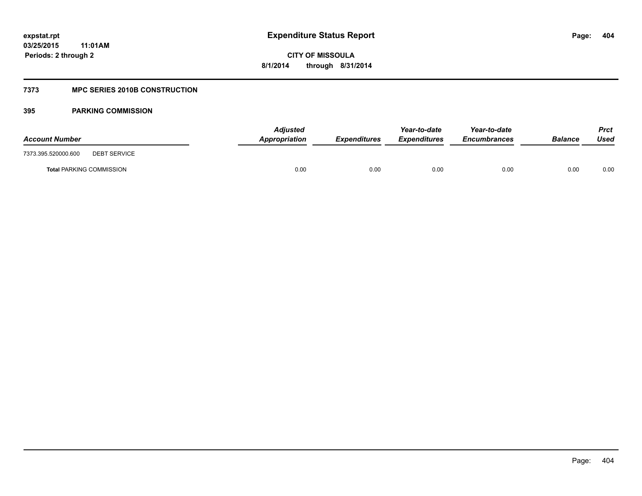# **7373 MPC SERIES 2010B CONSTRUCTION**

| <b>Account Number</b>                      | <b>Adjusted</b><br>Appropriation | <b>Expenditures</b> | Year-to-date<br><b>Expenditures</b> | Year-to-date<br><b>Encumbrances</b> | <b>Balance</b> | <b>Prct</b><br>Used |
|--------------------------------------------|----------------------------------|---------------------|-------------------------------------|-------------------------------------|----------------|---------------------|
| 7373.395.520000.600<br><b>DEBT SERVICE</b> |                                  |                     |                                     |                                     |                |                     |
| <b>Total PARKING COMMISSION</b>            | 0.00                             | 0.00                | 0.00                                | 0.00                                | 0.00           | 0.00                |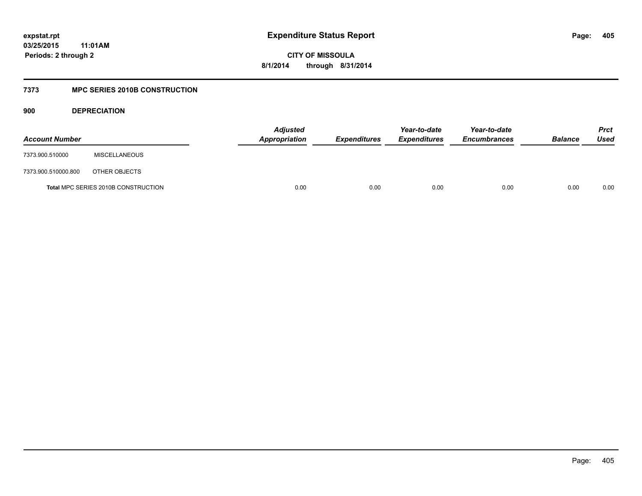**CITY OF MISSOULA 8/1/2014 through 8/31/2014**

# **7373 MPC SERIES 2010B CONSTRUCTION**

**900 DEPRECIATION**

| <b>Account Number</b> |                                            | <b>Adjusted</b><br><b>Appropriation</b> | <b>Expenditures</b> | Year-to-date<br><b>Expenditures</b> | Year-to-date<br><b>Encumbrances</b> | <b>Balance</b> | <b>Prct</b><br>Used |
|-----------------------|--------------------------------------------|-----------------------------------------|---------------------|-------------------------------------|-------------------------------------|----------------|---------------------|
| 7373.900.510000       | <b>MISCELLANEOUS</b>                       |                                         |                     |                                     |                                     |                |                     |
| 7373.900.510000.800   | OTHER OBJECTS                              |                                         |                     |                                     |                                     |                |                     |
|                       | <b>Total MPC SERIES 2010B CONSTRUCTION</b> | 0.00                                    | 0.00                | 0.00                                | 0.00                                | 0.00           | 0.00                |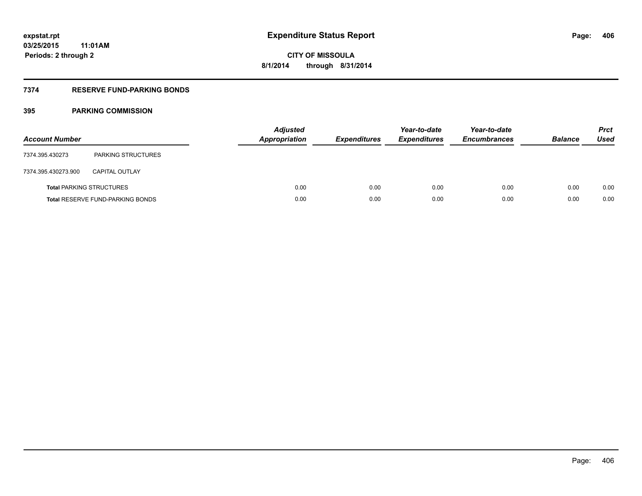# **7374 RESERVE FUND-PARKING BONDS**

| <b>Account Number</b> |                                         | <b>Adjusted</b><br>Appropriation | <b>Expenditures</b> | Year-to-date<br><b>Expenditures</b> | Year-to-date<br><b>Encumbrances</b> | <b>Balance</b> | <b>Prct</b><br>Used |
|-----------------------|-----------------------------------------|----------------------------------|---------------------|-------------------------------------|-------------------------------------|----------------|---------------------|
| 7374.395.430273       | <b>PARKING STRUCTURES</b>               |                                  |                     |                                     |                                     |                |                     |
| 7374.395.430273.900   | <b>CAPITAL OUTLAY</b>                   |                                  |                     |                                     |                                     |                |                     |
|                       | <b>Total PARKING STRUCTURES</b>         | 0.00                             | 0.00                | 0.00                                | 0.00                                | 0.00           | 0.00                |
|                       | <b>Total RESERVE FUND-PARKING BONDS</b> | 0.00                             | 0.00                | 0.00                                | 0.00                                | 0.00           | 0.00                |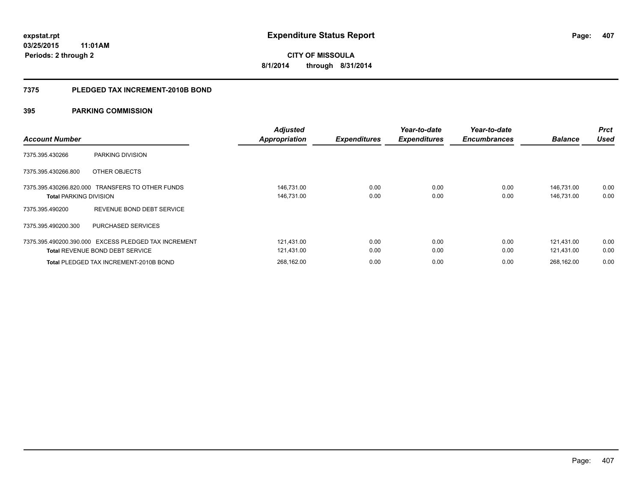## **7375 PLEDGED TAX INCREMENT-2010B BOND**

| <b>Account Number</b>                                                                          | <b>Adjusted</b><br><b>Appropriation</b> | <b>Expenditures</b> | Year-to-date<br><b>Expenditures</b> | Year-to-date<br><b>Encumbrances</b> | <b>Balance</b>           | <b>Prct</b><br><b>Used</b> |
|------------------------------------------------------------------------------------------------|-----------------------------------------|---------------------|-------------------------------------|-------------------------------------|--------------------------|----------------------------|
| PARKING DIVISION<br>7375.395.430266                                                            |                                         |                     |                                     |                                     |                          |                            |
| 7375.395.430266.800<br>OTHER OBJECTS                                                           |                                         |                     |                                     |                                     |                          |                            |
| 7375.395.430266.820.000 TRANSFERS TO OTHER FUNDS<br><b>Total PARKING DIVISION</b>              | 146,731.00<br>146,731.00                | 0.00<br>0.00        | 0.00<br>0.00                        | 0.00<br>0.00                        | 146.731.00<br>146,731.00 | 0.00<br>0.00               |
| REVENUE BOND DEBT SERVICE<br>7375.395.490200                                                   |                                         |                     |                                     |                                     |                          |                            |
| 7375.395.490200.300<br><b>PURCHASED SERVICES</b>                                               |                                         |                     |                                     |                                     |                          |                            |
| 7375.395.490200.390.000 EXCESS PLEDGED TAX INCREMENT<br><b>Total REVENUE BOND DEBT SERVICE</b> | 121.431.00<br>121,431.00                | 0.00<br>0.00        | 0.00<br>0.00                        | 0.00<br>0.00                        | 121.431.00<br>121.431.00 | 0.00<br>0.00               |
| Total PLEDGED TAX INCREMENT-2010B BOND                                                         | 268.162.00                              | 0.00                | 0.00                                | 0.00                                | 268.162.00               | 0.00                       |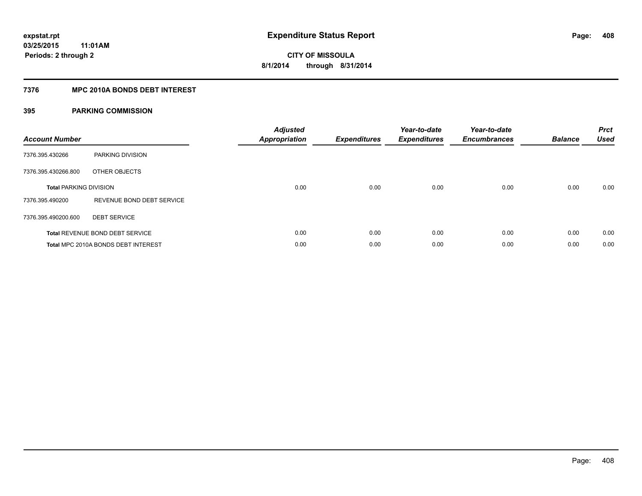# **7376 MPC 2010A BONDS DEBT INTEREST**

| <b>Account Number</b>         |                                        | <b>Adjusted</b><br>Appropriation | <b>Expenditures</b> | Year-to-date<br><b>Expenditures</b> | Year-to-date<br><b>Encumbrances</b> | <b>Balance</b> | <b>Prct</b><br><b>Used</b> |
|-------------------------------|----------------------------------------|----------------------------------|---------------------|-------------------------------------|-------------------------------------|----------------|----------------------------|
| 7376.395.430266               | PARKING DIVISION                       |                                  |                     |                                     |                                     |                |                            |
| 7376.395.430266.800           | OTHER OBJECTS                          |                                  |                     |                                     |                                     |                |                            |
| <b>Total PARKING DIVISION</b> |                                        | 0.00                             | 0.00                | 0.00                                | 0.00                                | 0.00           | 0.00                       |
| 7376.395.490200               | REVENUE BOND DEBT SERVICE              |                                  |                     |                                     |                                     |                |                            |
| 7376.395.490200.600           | <b>DEBT SERVICE</b>                    |                                  |                     |                                     |                                     |                |                            |
|                               | <b>Total REVENUE BOND DEBT SERVICE</b> | 0.00                             | 0.00                | 0.00                                | 0.00                                | 0.00           | 0.00                       |
|                               | Total MPC 2010A BONDS DEBT INTEREST    | 0.00                             | 0.00                | 0.00                                | 0.00                                | 0.00           | 0.00                       |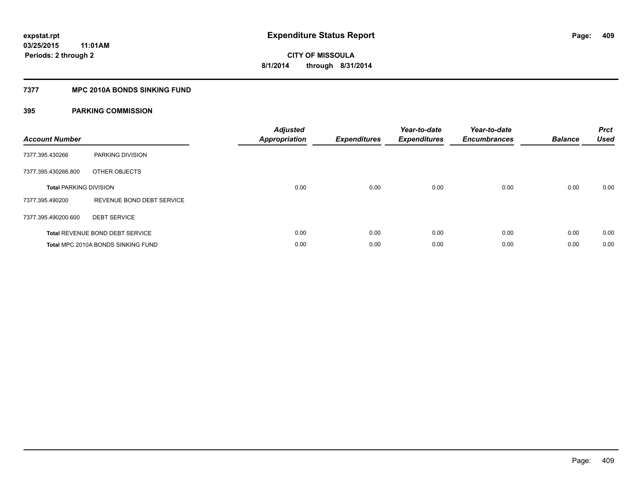# **7377 MPC 2010A BONDS SINKING FUND**

| <b>Account Number</b>         |                                    | <b>Adjusted</b><br>Appropriation | <b>Expenditures</b> | Year-to-date<br><b>Expenditures</b> | Year-to-date<br><b>Encumbrances</b> | <b>Balance</b> | <b>Prct</b><br><b>Used</b> |
|-------------------------------|------------------------------------|----------------------------------|---------------------|-------------------------------------|-------------------------------------|----------------|----------------------------|
| 7377.395.430266               | PARKING DIVISION                   |                                  |                     |                                     |                                     |                |                            |
| 7377.395.430266.800           | OTHER OBJECTS                      |                                  |                     |                                     |                                     |                |                            |
| <b>Total PARKING DIVISION</b> |                                    | 0.00                             | 0.00                | 0.00                                | 0.00                                | 0.00           | 0.00                       |
| 7377.395.490200               | REVENUE BOND DEBT SERVICE          |                                  |                     |                                     |                                     |                |                            |
| 7377.395.490200.600           | <b>DEBT SERVICE</b>                |                                  |                     |                                     |                                     |                |                            |
|                               | Total REVENUE BOND DEBT SERVICE    | 0.00                             | 0.00                | 0.00                                | 0.00                                | 0.00           | 0.00                       |
|                               | Total MPC 2010A BONDS SINKING FUND | 0.00                             | 0.00                | 0.00                                | 0.00                                | 0.00           | 0.00                       |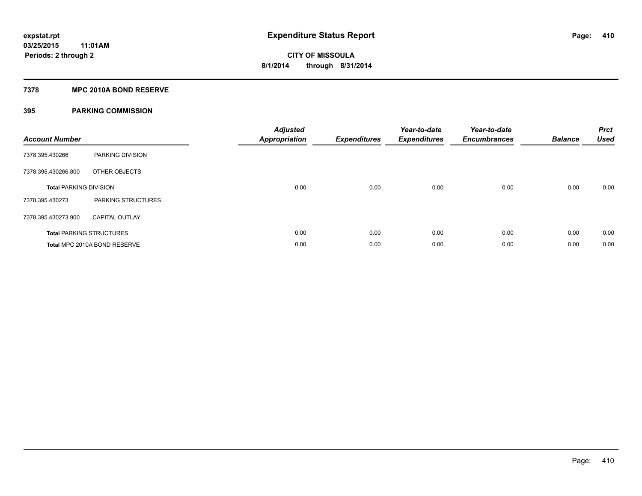## **7378 MPC 2010A BOND RESERVE**

| <b>Account Number</b>         |                                 | <b>Adjusted</b><br><b>Appropriation</b> | <b>Expenditures</b> | Year-to-date<br><b>Expenditures</b> | Year-to-date<br><b>Encumbrances</b> | <b>Balance</b> | <b>Prct</b><br><b>Used</b> |
|-------------------------------|---------------------------------|-----------------------------------------|---------------------|-------------------------------------|-------------------------------------|----------------|----------------------------|
| 7378.395.430266               | PARKING DIVISION                |                                         |                     |                                     |                                     |                |                            |
| 7378.395.430266.800           | OTHER OBJECTS                   |                                         |                     |                                     |                                     |                |                            |
| <b>Total PARKING DIVISION</b> |                                 | 0.00                                    | 0.00                | 0.00                                | 0.00                                | 0.00           | 0.00                       |
| 7378.395.430273               | PARKING STRUCTURES              |                                         |                     |                                     |                                     |                |                            |
| 7378.395.430273.900           | <b>CAPITAL OUTLAY</b>           |                                         |                     |                                     |                                     |                |                            |
|                               | <b>Total PARKING STRUCTURES</b> | 0.00                                    | 0.00                | 0.00                                | 0.00                                | 0.00           | 0.00                       |
|                               | Total MPC 2010A BOND RESERVE    | 0.00                                    | 0.00                | 0.00                                | 0.00                                | 0.00           | 0.00                       |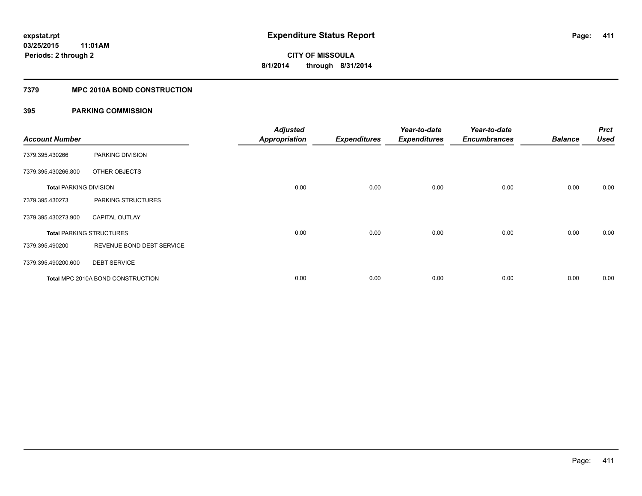# **7379 MPC 2010A BOND CONSTRUCTION**

| <b>Account Number</b>         |                                          | <b>Adjusted</b><br><b>Appropriation</b> | <b>Expenditures</b> | Year-to-date<br><b>Expenditures</b> | Year-to-date<br><b>Encumbrances</b> | <b>Balance</b> | <b>Prct</b><br>Used |
|-------------------------------|------------------------------------------|-----------------------------------------|---------------------|-------------------------------------|-------------------------------------|----------------|---------------------|
| 7379.395.430266               | PARKING DIVISION                         |                                         |                     |                                     |                                     |                |                     |
| 7379.395.430266.800           | OTHER OBJECTS                            |                                         |                     |                                     |                                     |                |                     |
| <b>Total PARKING DIVISION</b> |                                          | 0.00                                    | 0.00                | 0.00                                | 0.00                                | 0.00           | 0.00                |
| 7379.395.430273               | PARKING STRUCTURES                       |                                         |                     |                                     |                                     |                |                     |
| 7379.395.430273.900           | <b>CAPITAL OUTLAY</b>                    |                                         |                     |                                     |                                     |                |                     |
|                               | <b>Total PARKING STRUCTURES</b>          | 0.00                                    | 0.00                | 0.00                                | 0.00                                | 0.00           | 0.00                |
| 7379.395.490200               | REVENUE BOND DEBT SERVICE                |                                         |                     |                                     |                                     |                |                     |
| 7379.395.490200.600           | <b>DEBT SERVICE</b>                      |                                         |                     |                                     |                                     |                |                     |
|                               | <b>Total MPC 2010A BOND CONSTRUCTION</b> | 0.00                                    | 0.00                | 0.00                                | 0.00                                | 0.00           | 0.00                |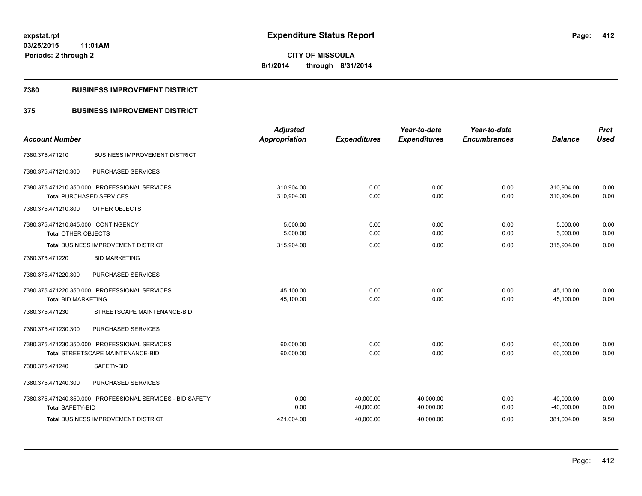**Periods: 2 through 2**

**CITY OF MISSOULA 8/1/2014 through 8/31/2014**

#### **7380 BUSINESS IMPROVEMENT DISTRICT**

**11:01AM**

# **375 BUSINESS IMPROVEMENT DISTRICT**

| <b>Account Number</b>                                      | <b>Adjusted</b><br>Appropriation | <b>Expenditures</b> | Year-to-date<br><b>Expenditures</b> | Year-to-date<br><b>Encumbrances</b> | <b>Balance</b> | <b>Prct</b><br><b>Used</b> |
|------------------------------------------------------------|----------------------------------|---------------------|-------------------------------------|-------------------------------------|----------------|----------------------------|
|                                                            |                                  |                     |                                     |                                     |                |                            |
| <b>BUSINESS IMPROVEMENT DISTRICT</b><br>7380.375.471210    |                                  |                     |                                     |                                     |                |                            |
| PURCHASED SERVICES<br>7380.375.471210.300                  |                                  |                     |                                     |                                     |                |                            |
| 7380.375.471210.350.000 PROFESSIONAL SERVICES              | 310.904.00                       | 0.00                | 0.00                                | 0.00                                | 310,904.00     | 0.00                       |
| <b>Total PURCHASED SERVICES</b>                            | 310,904.00                       | 0.00                | 0.00                                | 0.00                                | 310.904.00     | 0.00                       |
| 7380.375.471210.800<br>OTHER OBJECTS                       |                                  |                     |                                     |                                     |                |                            |
| 7380.375.471210.845.000 CONTINGENCY                        | 5,000.00                         | 0.00                | 0.00                                | 0.00                                | 5,000.00       | 0.00                       |
| <b>Total OTHER OBJECTS</b>                                 | 5,000.00                         | 0.00                | 0.00                                | 0.00                                | 5,000.00       | 0.00                       |
| <b>Total BUSINESS IMPROVEMENT DISTRICT</b>                 | 315,904.00                       | 0.00                | 0.00                                | 0.00                                | 315,904.00     | 0.00                       |
| <b>BID MARKETING</b><br>7380.375.471220                    |                                  |                     |                                     |                                     |                |                            |
| 7380.375.471220.300<br>PURCHASED SERVICES                  |                                  |                     |                                     |                                     |                |                            |
| 7380.375.471220.350.000 PROFESSIONAL SERVICES              | 45,100.00                        | 0.00                | 0.00                                | 0.00                                | 45,100.00      | 0.00                       |
| <b>Total BID MARKETING</b>                                 | 45,100.00                        | 0.00                | 0.00                                | 0.00                                | 45,100.00      | 0.00                       |
| 7380.375.471230<br>STREETSCAPE MAINTENANCE-BID             |                                  |                     |                                     |                                     |                |                            |
| PURCHASED SERVICES<br>7380.375.471230.300                  |                                  |                     |                                     |                                     |                |                            |
| 7380.375.471230.350.000 PROFESSIONAL SERVICES              | 60.000.00                        | 0.00                | 0.00                                | 0.00                                | 60,000.00      | 0.00                       |
| Total STREETSCAPE MAINTENANCE-BID                          | 60,000.00                        | 0.00                | 0.00                                | 0.00                                | 60,000.00      | 0.00                       |
| SAFETY-BID<br>7380.375.471240                              |                                  |                     |                                     |                                     |                |                            |
| 7380.375.471240.300<br>PURCHASED SERVICES                  |                                  |                     |                                     |                                     |                |                            |
| 7380.375.471240.350.000 PROFESSIONAL SERVICES - BID SAFETY | 0.00                             | 40,000.00           | 40,000.00                           | 0.00                                | $-40,000.00$   | 0.00                       |
| <b>Total SAFETY-BID</b>                                    | 0.00                             | 40,000.00           | 40,000.00                           | 0.00                                | $-40,000.00$   | 0.00                       |
| <b>Total BUSINESS IMPROVEMENT DISTRICT</b>                 | 421,004.00                       | 40,000.00           | 40,000.00                           | 0.00                                | 381,004.00     | 9.50                       |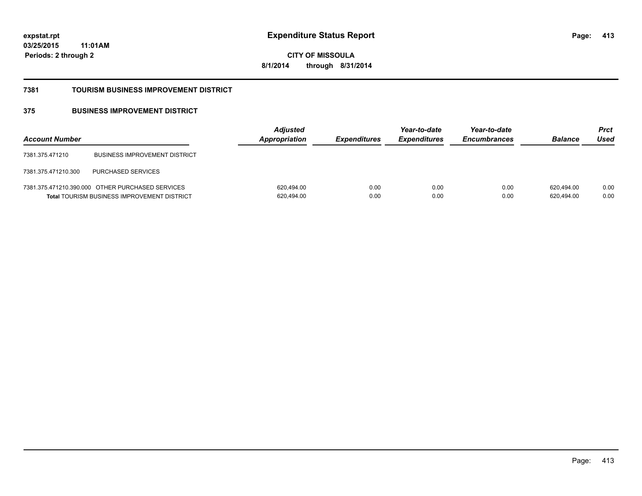**CITY OF MISSOULA 8/1/2014 through 8/31/2014**

#### **7381 TOURISM BUSINESS IMPROVEMENT DISTRICT**

# **375 BUSINESS IMPROVEMENT DISTRICT**

| <b>Account Number</b> |                                                                                                        | <b>Adjusted</b><br>Appropriation | <b>Expenditures</b> | Year-to-date<br><b>Expenditures</b> | Year-to-date<br><b>Encumbrances</b> | <b>Balance</b>           | <b>Prct</b><br>Used |
|-----------------------|--------------------------------------------------------------------------------------------------------|----------------------------------|---------------------|-------------------------------------|-------------------------------------|--------------------------|---------------------|
| 7381.375.471210       | <b>BUSINESS IMPROVEMENT DISTRICT</b>                                                                   |                                  |                     |                                     |                                     |                          |                     |
| 7381.375.471210.300   | <b>PURCHASED SERVICES</b>                                                                              |                                  |                     |                                     |                                     |                          |                     |
|                       | 7381.375.471210.390.000 OTHER PURCHASED SERVICES<br><b>Total TOURISM BUSINESS IMPROVEMENT DISTRICT</b> | 620,494.00<br>620,494.00         | 0.00<br>0.00        | 0.00<br>0.00                        | 0.00<br>0.00                        | 620.494.00<br>620,494.00 | 0.00<br>0.00        |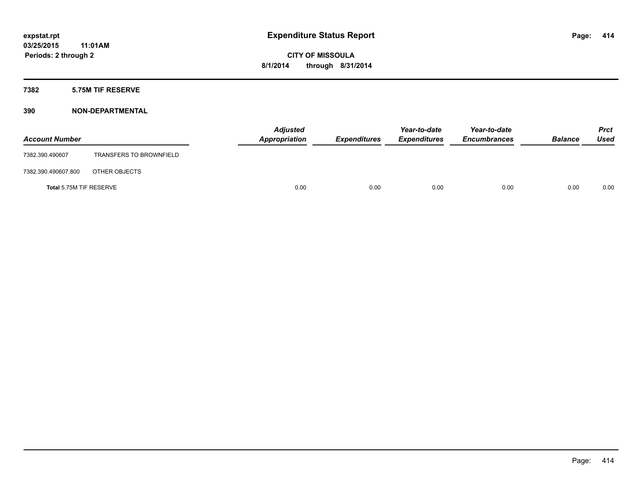# **7382 5.75M TIF RESERVE**

| <b>Account Number</b>   |                                | <b>Adjusted</b><br>Appropriation | <b>Expenditures</b> | Year-to-date<br><b>Expenditures</b> | Year-to-date<br><b>Encumbrances</b> | <b>Balance</b> | <b>Prct</b><br><b>Used</b> |
|-------------------------|--------------------------------|----------------------------------|---------------------|-------------------------------------|-------------------------------------|----------------|----------------------------|
| 7382.390.490607         | <b>TRANSFERS TO BROWNFIELD</b> |                                  |                     |                                     |                                     |                |                            |
| 7382.390.490607.800     | OTHER OBJECTS                  |                                  |                     |                                     |                                     |                |                            |
| Total 5.75M TIF RESERVE |                                | 0.00                             | 0.00                | 0.00                                | 0.00                                | 0.00           | 0.00                       |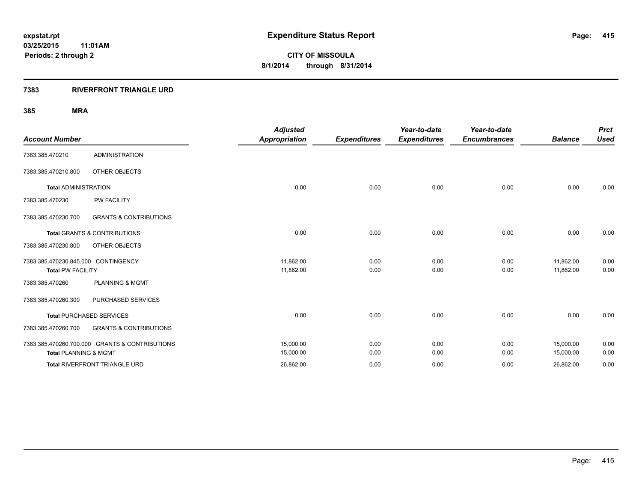# **7383 RIVERFRONT TRIANGLE URD**

|                                     |                                                | <b>Adjusted</b>      |                     | Year-to-date        | Year-to-date        |                | <b>Prct</b> |
|-------------------------------------|------------------------------------------------|----------------------|---------------------|---------------------|---------------------|----------------|-------------|
| <b>Account Number</b>               |                                                | <b>Appropriation</b> | <b>Expenditures</b> | <b>Expenditures</b> | <b>Encumbrances</b> | <b>Balance</b> | <b>Used</b> |
| 7383.385.470210                     | <b>ADMINISTRATION</b>                          |                      |                     |                     |                     |                |             |
| 7383.385.470210.800                 | OTHER OBJECTS                                  |                      |                     |                     |                     |                |             |
| <b>Total ADMINISTRATION</b>         |                                                | 0.00                 | 0.00                | 0.00                | 0.00                | 0.00           | 0.00        |
| 7383.385.470230                     | <b>PW FACILITY</b>                             |                      |                     |                     |                     |                |             |
| 7383.385.470230.700                 | <b>GRANTS &amp; CONTRIBUTIONS</b>              |                      |                     |                     |                     |                |             |
|                                     | <b>Total GRANTS &amp; CONTRIBUTIONS</b>        | 0.00                 | 0.00                | 0.00                | 0.00                | 0.00           | 0.00        |
| 7383.385.470230.800                 | OTHER OBJECTS                                  |                      |                     |                     |                     |                |             |
| 7383.385.470230.845.000 CONTINGENCY |                                                | 11,862.00            | 0.00                | 0.00                | 0.00                | 11,862.00      | 0.00        |
| <b>Total PW FACILITY</b>            |                                                | 11,862.00            | 0.00                | 0.00                | 0.00                | 11,862.00      | 0.00        |
| 7383.385.470260                     | <b>PLANNING &amp; MGMT</b>                     |                      |                     |                     |                     |                |             |
| 7383.385.470260.300                 | PURCHASED SERVICES                             |                      |                     |                     |                     |                |             |
|                                     | <b>Total PURCHASED SERVICES</b>                | 0.00                 | 0.00                | 0.00                | 0.00                | 0.00           | 0.00        |
| 7383.385.470260.700                 | <b>GRANTS &amp; CONTRIBUTIONS</b>              |                      |                     |                     |                     |                |             |
|                                     | 7383.385.470260.700.000 GRANTS & CONTRIBUTIONS | 15,000.00            | 0.00                | 0.00                | 0.00                | 15,000.00      | 0.00        |
| <b>Total PLANNING &amp; MGMT</b>    |                                                | 15,000.00            | 0.00                | 0.00                | 0.00                | 15,000.00      | 0.00        |
|                                     | Total RIVERFRONT TRIANGLE URD                  | 26,862.00            | 0.00                | 0.00                | 0.00                | 26,862.00      | 0.00        |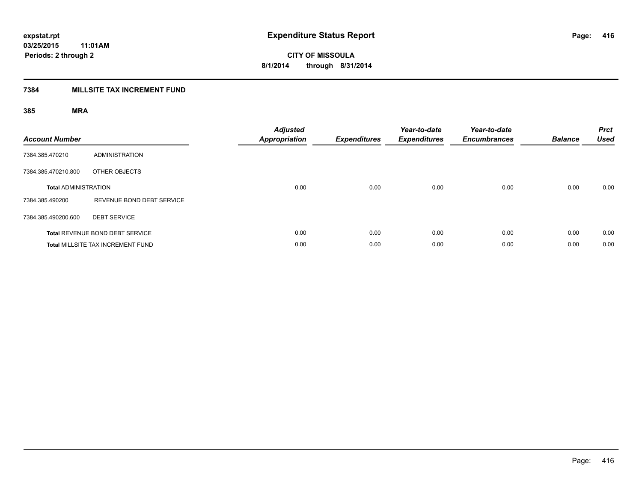# **7384 MILLSITE TAX INCREMENT FUND**

| <b>Account Number</b>       |                                          | <b>Adjusted</b><br><b>Appropriation</b> | <b>Expenditures</b> | Year-to-date<br><b>Expenditures</b> | Year-to-date<br><b>Encumbrances</b> | <b>Balance</b> | <b>Prct</b><br><b>Used</b> |
|-----------------------------|------------------------------------------|-----------------------------------------|---------------------|-------------------------------------|-------------------------------------|----------------|----------------------------|
| 7384.385.470210             | <b>ADMINISTRATION</b>                    |                                         |                     |                                     |                                     |                |                            |
| 7384.385.470210.800         | OTHER OBJECTS                            |                                         |                     |                                     |                                     |                |                            |
| <b>Total ADMINISTRATION</b> |                                          | 0.00                                    | 0.00                | 0.00                                | 0.00                                | 0.00           | 0.00                       |
| 7384.385.490200             | REVENUE BOND DEBT SERVICE                |                                         |                     |                                     |                                     |                |                            |
| 7384.385.490200.600         | <b>DEBT SERVICE</b>                      |                                         |                     |                                     |                                     |                |                            |
|                             | Total REVENUE BOND DEBT SERVICE          | 0.00                                    | 0.00                | 0.00                                | 0.00                                | 0.00           | 0.00                       |
|                             | <b>Total MILLSITE TAX INCREMENT FUND</b> | 0.00                                    | 0.00                | 0.00                                | 0.00                                | 0.00           | 0.00                       |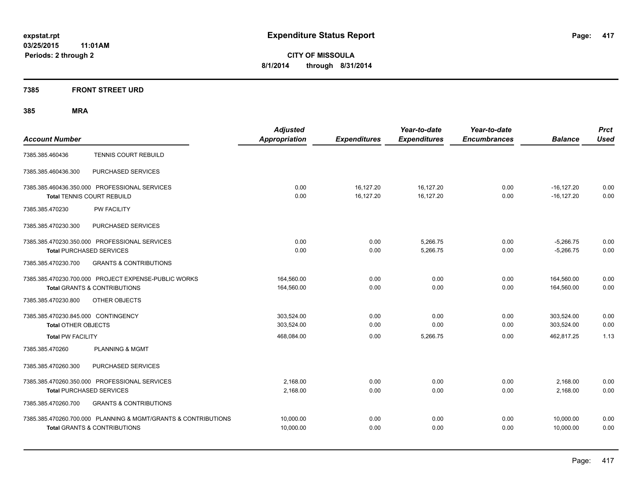# **7385 FRONT STREET URD**

| <b>Account Number</b>                                                                                     | <b>Adjusted</b><br><b>Appropriation</b> | <b>Expenditures</b>    | Year-to-date<br><b>Expenditures</b> | Year-to-date<br><b>Encumbrances</b> | <b>Balance</b>                 | <b>Prct</b><br><b>Used</b> |
|-----------------------------------------------------------------------------------------------------------|-----------------------------------------|------------------------|-------------------------------------|-------------------------------------|--------------------------------|----------------------------|
| <b>TENNIS COURT REBUILD</b><br>7385.385.460436                                                            |                                         |                        |                                     |                                     |                                |                            |
| 7385.385.460436.300<br>PURCHASED SERVICES                                                                 |                                         |                        |                                     |                                     |                                |                            |
| 7385.385.460436.350.000 PROFESSIONAL SERVICES<br><b>Total TENNIS COURT REBUILD</b>                        | 0.00<br>0.00                            | 16,127.20<br>16,127.20 | 16,127.20<br>16,127.20              | 0.00<br>0.00                        | $-16, 127.20$<br>$-16, 127.20$ | 0.00<br>0.00               |
| 7385.385.470230<br><b>PW FACILITY</b>                                                                     |                                         |                        |                                     |                                     |                                |                            |
| 7385.385.470230.300<br>PURCHASED SERVICES                                                                 |                                         |                        |                                     |                                     |                                |                            |
| 7385.385.470230.350.000 PROFESSIONAL SERVICES<br><b>Total PURCHASED SERVICES</b>                          | 0.00<br>0.00                            | 0.00<br>0.00           | 5,266.75<br>5,266.75                | 0.00<br>0.00                        | $-5,266.75$<br>$-5,266.75$     | 0.00<br>0.00               |
| 7385.385.470230.700<br><b>GRANTS &amp; CONTRIBUTIONS</b>                                                  |                                         |                        |                                     |                                     |                                |                            |
| 7385.385.470230.700.000 PROJECT EXPENSE-PUBLIC WORKS<br><b>Total GRANTS &amp; CONTRIBUTIONS</b>           | 164,560.00<br>164,560.00                | 0.00<br>0.00           | 0.00<br>0.00                        | 0.00<br>0.00                        | 164.560.00<br>164,560.00       | 0.00<br>0.00               |
| 7385.385.470230.800<br>OTHER OBJECTS                                                                      |                                         |                        |                                     |                                     |                                |                            |
| 7385.385.470230.845.000 CONTINGENCY<br><b>Total OTHER OBJECTS</b>                                         | 303.524.00<br>303,524.00                | 0.00<br>0.00           | 0.00<br>0.00                        | 0.00<br>0.00                        | 303,524.00<br>303,524.00       | 0.00<br>0.00               |
| <b>Total PW FACILITY</b>                                                                                  | 468,084.00                              | 0.00                   | 5,266.75                            | 0.00                                | 462,817.25                     | 1.13                       |
| 7385.385.470260<br><b>PLANNING &amp; MGMT</b>                                                             |                                         |                        |                                     |                                     |                                |                            |
| PURCHASED SERVICES<br>7385.385.470260.300                                                                 |                                         |                        |                                     |                                     |                                |                            |
| 7385.385.470260.350.000 PROFESSIONAL SERVICES<br><b>Total PURCHASED SERVICES</b>                          | 2,168.00<br>2,168.00                    | 0.00<br>0.00           | 0.00<br>0.00                        | 0.00<br>0.00                        | 2,168.00<br>2,168.00           | 0.00<br>0.00               |
| 7385.385.470260.700<br><b>GRANTS &amp; CONTRIBUTIONS</b>                                                  |                                         |                        |                                     |                                     |                                |                            |
| 7385.385.470260.700.000 PLANNING & MGMT/GRANTS & CONTRIBUTIONS<br><b>Total GRANTS &amp; CONTRIBUTIONS</b> | 10,000.00<br>10,000.00                  | 0.00<br>0.00           | 0.00<br>0.00                        | 0.00<br>0.00                        | 10,000.00<br>10,000.00         | 0.00<br>0.00               |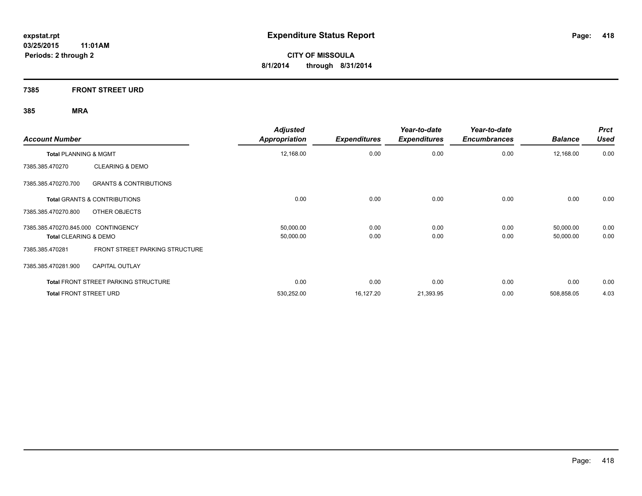**7385 FRONT STREET URD**

| <b>Account Number</b>                                    | <b>Adjusted</b><br><b>Appropriation</b> | <b>Expenditures</b> | Year-to-date<br><b>Expenditures</b> | Year-to-date<br><b>Encumbrances</b> | <b>Balance</b> | <b>Prct</b><br><b>Used</b> |
|----------------------------------------------------------|-----------------------------------------|---------------------|-------------------------------------|-------------------------------------|----------------|----------------------------|
| Total PLANNING & MGMT                                    | 12,168.00                               | 0.00                | 0.00                                | 0.00                                | 12,168.00      | 0.00                       |
| <b>CLEARING &amp; DEMO</b><br>7385.385.470270            |                                         |                     |                                     |                                     |                |                            |
| 7385.385.470270.700<br><b>GRANTS &amp; CONTRIBUTIONS</b> |                                         |                     |                                     |                                     |                |                            |
| <b>Total GRANTS &amp; CONTRIBUTIONS</b>                  | 0.00                                    | 0.00                | 0.00                                | 0.00                                | 0.00           | 0.00                       |
| OTHER OBJECTS<br>7385.385.470270.800                     |                                         |                     |                                     |                                     |                |                            |
| 7385.385.470270.845.000 CONTINGENCY                      | 50,000.00                               | 0.00                | 0.00                                | 0.00                                | 50,000.00      | 0.00                       |
| <b>Total CLEARING &amp; DEMO</b>                         | 50,000.00                               | 0.00                | 0.00                                | 0.00                                | 50,000.00      | 0.00                       |
| FRONT STREET PARKING STRUCTURE<br>7385.385.470281        |                                         |                     |                                     |                                     |                |                            |
| <b>CAPITAL OUTLAY</b><br>7385.385.470281.900             |                                         |                     |                                     |                                     |                |                            |
| <b>Total FRONT STREET PARKING STRUCTURE</b>              | 0.00                                    | 0.00                | 0.00                                | 0.00                                | 0.00           | 0.00                       |
| <b>Total FRONT STREET URD</b>                            | 530,252.00                              | 16,127.20           | 21,393.95                           | 0.00                                | 508,858.05     | 4.03                       |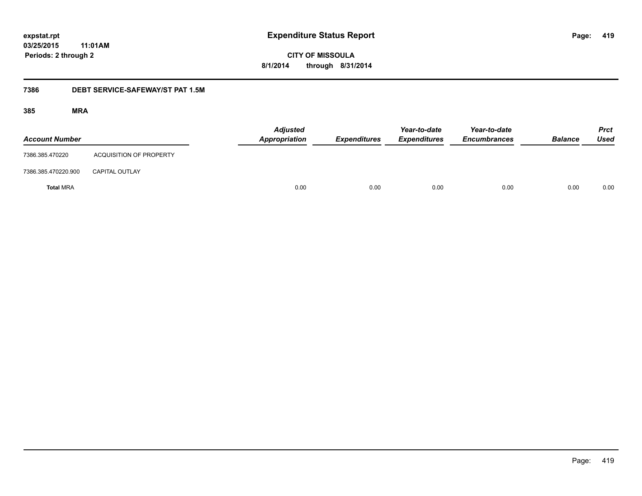**CITY OF MISSOULA 8/1/2014 through 8/31/2014**

# **7386 DEBT SERVICE-SAFEWAY/ST PAT 1.5M**

| <b>Account Number</b> |                                | <b>Adjusted</b><br>Appropriation | <b>Expenditures</b> | Year-to-date<br><b>Expenditures</b> | Year-to-date<br><b>Encumbrances</b> | <b>Balance</b> | <b>Prct</b><br>Used |
|-----------------------|--------------------------------|----------------------------------|---------------------|-------------------------------------|-------------------------------------|----------------|---------------------|
| 7386.385.470220       | <b>ACQUISITION OF PROPERTY</b> |                                  |                     |                                     |                                     |                |                     |
| 7386.385.470220.900   | <b>CAPITAL OUTLAY</b>          |                                  |                     |                                     |                                     |                |                     |
| <b>Total MRA</b>      |                                | 0.00                             | 0.00                | 0.00                                | 0.00                                | 0.00           | 0.00                |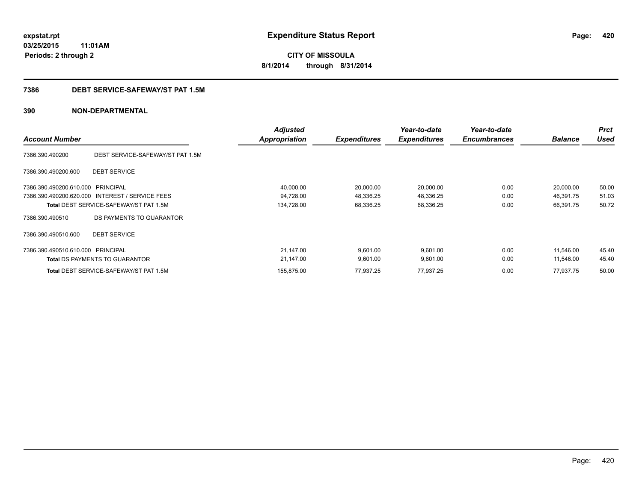**420**

**CITY OF MISSOULA 8/1/2014 through 8/31/2014**

# **7386 DEBT SERVICE-SAFEWAY/ST PAT 1.5M**

| <b>Account Number</b>             |                                                 | <b>Adjusted</b><br><b>Appropriation</b> | <b>Expenditures</b> | Year-to-date<br><b>Expenditures</b> | Year-to-date<br><b>Encumbrances</b> | <b>Balance</b> | <b>Prct</b><br><b>Used</b> |
|-----------------------------------|-------------------------------------------------|-----------------------------------------|---------------------|-------------------------------------|-------------------------------------|----------------|----------------------------|
| 7386.390.490200                   | DEBT SERVICE-SAFEWAY/ST PAT 1.5M                |                                         |                     |                                     |                                     |                |                            |
| 7386.390.490200.600               | <b>DEBT SERVICE</b>                             |                                         |                     |                                     |                                     |                |                            |
| 7386.390.490200.610.000 PRINCIPAL |                                                 | 40,000.00                               | 20,000.00           | 20,000.00                           | 0.00                                | 20,000.00      | 50.00                      |
|                                   | 7386.390.490200.620.000 INTEREST / SERVICE FEES | 94,728.00                               | 48,336.25           | 48,336.25                           | 0.00                                | 46,391.75      | 51.03                      |
|                                   | <b>Total DEBT SERVICE-SAFEWAY/ST PAT 1.5M</b>   | 134,728.00                              | 68,336.25           | 68,336.25                           | 0.00                                | 66,391.75      | 50.72                      |
| 7386.390.490510                   | DS PAYMENTS TO GUARANTOR                        |                                         |                     |                                     |                                     |                |                            |
| 7386.390.490510.600               | <b>DEBT SERVICE</b>                             |                                         |                     |                                     |                                     |                |                            |
| 7386.390.490510.610.000 PRINCIPAL |                                                 | 21,147.00                               | 9,601.00            | 9,601.00                            | 0.00                                | 11,546.00      | 45.40                      |
|                                   | <b>Total DS PAYMENTS TO GUARANTOR</b>           | 21,147.00                               | 9,601.00            | 9,601.00                            | 0.00                                | 11,546.00      | 45.40                      |
|                                   | <b>Total DEBT SERVICE-SAFEWAY/ST PAT 1.5M</b>   | 155,875.00                              | 77,937.25           | 77,937.25                           | 0.00                                | 77,937.75      | 50.00                      |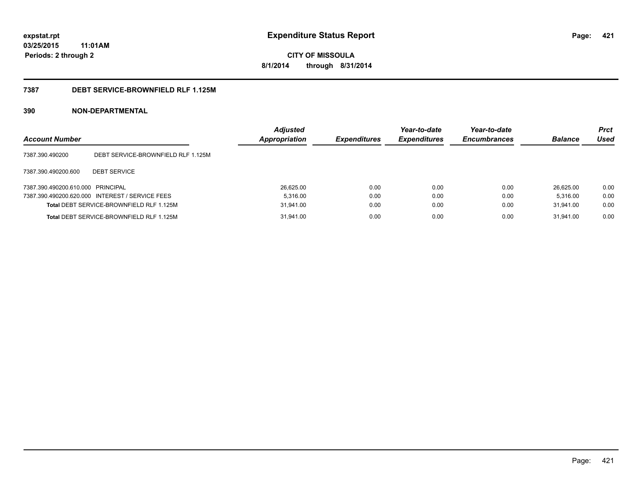**421**

**CITY OF MISSOULA 8/1/2014 through 8/31/2014**

# **7387 DEBT SERVICE-BROWNFIELD RLF 1.125M**

| <b>Account Number</b>             |                                                 | <b>Adjusted</b><br><b>Appropriation</b> | <b>Expenditures</b> | Year-to-date<br><b>Expenditures</b> | Year-to-date<br><b>Encumbrances</b> | <b>Balance</b> | <b>Prct</b><br>Used |
|-----------------------------------|-------------------------------------------------|-----------------------------------------|---------------------|-------------------------------------|-------------------------------------|----------------|---------------------|
| 7387.390.490200                   | DEBT SERVICE-BROWNFIELD RLF 1.125M              |                                         |                     |                                     |                                     |                |                     |
| 7387.390.490200.600               | <b>DEBT SERVICE</b>                             |                                         |                     |                                     |                                     |                |                     |
| 7387.390.490200.610.000 PRINCIPAL |                                                 | 26.625.00                               | 0.00                | 0.00                                | 0.00                                | 26.625.00      | 0.00                |
|                                   | 7387.390.490200.620.000 INTEREST / SERVICE FEES | 5.316.00                                | 0.00                | 0.00                                | 0.00                                | 5.316.00       | 0.00                |
|                                   | Total DEBT SERVICE-BROWNFIELD RLF 1.125M        | 31.941.00                               | 0.00                | 0.00                                | 0.00                                | 31.941.00      | 0.00                |
|                                   | Total DEBT SERVICE-BROWNFIELD RLF 1.125M        | 31,941.00                               | 0.00                | 0.00                                | 0.00                                | 31.941.00      | 0.00                |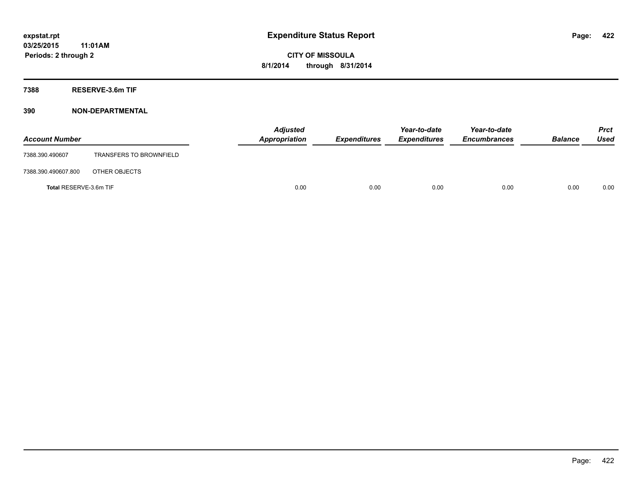**7388 RESERVE-3.6m TIF**

| <b>Account Number</b>  |                                | <b>Adjusted</b><br>Appropriation | <b>Expenditures</b> | Year-to-date<br><b>Expenditures</b> | Year-to-date<br><b>Encumbrances</b> | <b>Balance</b> | Prct<br><b>Used</b> |
|------------------------|--------------------------------|----------------------------------|---------------------|-------------------------------------|-------------------------------------|----------------|---------------------|
| 7388.390.490607        | <b>TRANSFERS TO BROWNFIELD</b> |                                  |                     |                                     |                                     |                |                     |
| 7388.390.490607.800    | OTHER OBJECTS                  |                                  |                     |                                     |                                     |                |                     |
| Total RESERVE-3.6m TIF |                                | 0.00                             | 0.00                | 0.00                                | 0.00                                | 0.00           | 0.00                |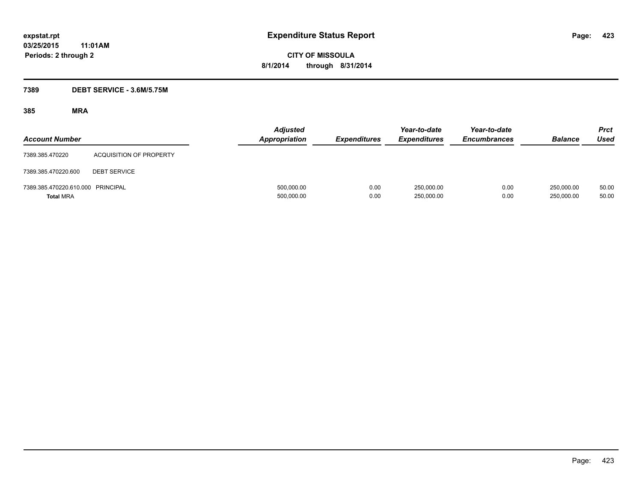# **7389 DEBT SERVICE - 3.6M/5.75M**

| <b>Account Number</b>                                 |                                | <b>Adjusted</b><br><b>Appropriation</b> | <b>Expenditures</b> | Year-to-date<br><b>Expenditures</b> | Year-to-date<br><b>Encumbrances</b> | <b>Balance</b>           | Prct<br><b>Used</b> |
|-------------------------------------------------------|--------------------------------|-----------------------------------------|---------------------|-------------------------------------|-------------------------------------|--------------------------|---------------------|
| 7389.385.470220                                       | <b>ACQUISITION OF PROPERTY</b> |                                         |                     |                                     |                                     |                          |                     |
| 7389.385.470220.600                                   | <b>DEBT SERVICE</b>            |                                         |                     |                                     |                                     |                          |                     |
| 7389.385.470220.610.000 PRINCIPAL<br><b>Total MRA</b> |                                | 500,000.00<br>500,000.00                | 0.00<br>0.00        | 250,000.00<br>250,000.00            | 0.00<br>0.00                        | 250.000.00<br>250,000.00 | 50.00<br>50.00      |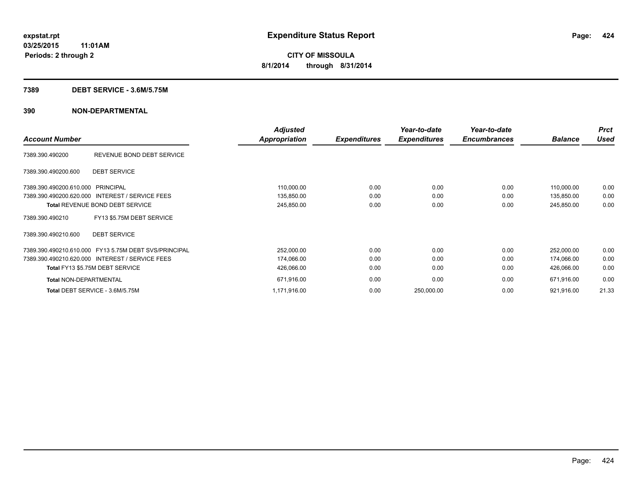#### **7389 DEBT SERVICE - 3.6M/5.75M**

|                                                       |                           | <b>Adjusted</b>      |                     | Year-to-date        | Year-to-date        |                | <b>Prct</b> |
|-------------------------------------------------------|---------------------------|----------------------|---------------------|---------------------|---------------------|----------------|-------------|
| <b>Account Number</b>                                 |                           | <b>Appropriation</b> | <b>Expenditures</b> | <b>Expenditures</b> | <b>Encumbrances</b> | <b>Balance</b> | <b>Used</b> |
| 7389.390.490200                                       | REVENUE BOND DEBT SERVICE |                      |                     |                     |                     |                |             |
| <b>DEBT SERVICE</b><br>7389.390.490200.600            |                           |                      |                     |                     |                     |                |             |
| 7389.390.490200.610.000 PRINCIPAL                     |                           | 110,000.00           | 0.00                | 0.00                | 0.00                | 110,000.00     | 0.00        |
| 7389.390.490200.620.000 INTEREST / SERVICE FEES       |                           | 135,850.00           | 0.00                | 0.00                | 0.00                | 135,850.00     | 0.00        |
| Total REVENUE BOND DEBT SERVICE                       |                           | 245,850.00           | 0.00                | 0.00                | 0.00                | 245,850.00     | 0.00        |
| FY13 \$5.75M DEBT SERVICE<br>7389.390.490210          |                           |                      |                     |                     |                     |                |             |
| <b>DEBT SERVICE</b><br>7389.390.490210.600            |                           |                      |                     |                     |                     |                |             |
| 7389.390.490210.610.000 FY13 5.75M DEBT SVS/PRINCIPAL |                           | 252,000.00           | 0.00                | 0.00                | 0.00                | 252,000.00     | 0.00        |
| 7389.390.490210.620.000 INTEREST / SERVICE FEES       |                           | 174,066.00           | 0.00                | 0.00                | 0.00                | 174,066.00     | 0.00        |
| Total FY13 \$5.75M DEBT SERVICE                       |                           | 426,066.00           | 0.00                | 0.00                | 0.00                | 426,066.00     | 0.00        |
| <b>Total NON-DEPARTMENTAL</b>                         |                           | 671,916.00           | 0.00                | 0.00                | 0.00                | 671,916.00     | 0.00        |
| Total DEBT SERVICE - 3.6M/5.75M                       |                           | 1,171,916.00         | 0.00                | 250,000.00          | 0.00                | 921,916.00     | 21.33       |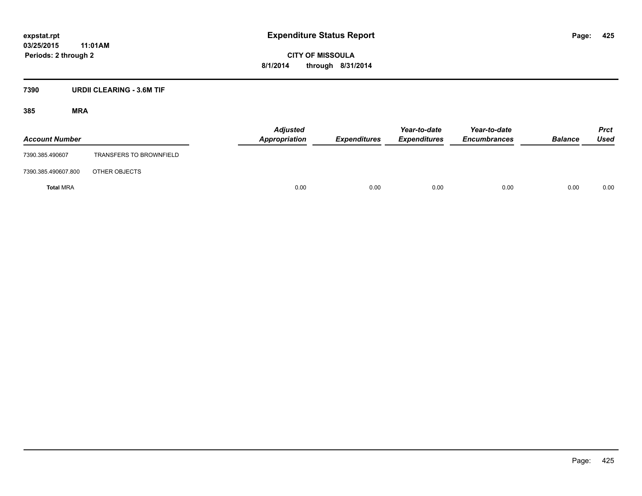**CITY OF MISSOULA 8/1/2014 through 8/31/2014**

# **7390 URDII CLEARING - 3.6M TIF**

| <b>Account Number</b> |                                | <b>Adjusted</b><br>Appropriation | <b>Expenditures</b> | Year-to-date<br><b>Expenditures</b> | Year-to-date<br><b>Encumbrances</b> | <b>Balance</b> | <b>Prct</b><br>Used |
|-----------------------|--------------------------------|----------------------------------|---------------------|-------------------------------------|-------------------------------------|----------------|---------------------|
| 7390.385.490607       | <b>TRANSFERS TO BROWNFIELD</b> |                                  |                     |                                     |                                     |                |                     |
| 7390.385.490607.800   | OTHER OBJECTS                  |                                  |                     |                                     |                                     |                |                     |
| <b>Total MRA</b>      |                                | 0.00                             | 0.00                | 0.00                                | 0.00                                | 0.00           | 0.00                |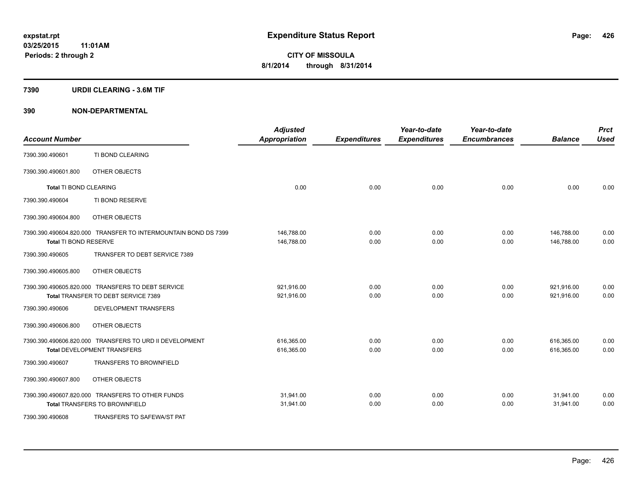#### **7390 URDII CLEARING - 3.6M TIF**

| <b>Account Number</b>  |                                                                                               | <b>Adjusted</b><br><b>Appropriation</b> | <b>Expenditures</b> | Year-to-date<br><b>Expenditures</b> | Year-to-date<br><b>Encumbrances</b> | <b>Balance</b>           | <b>Prct</b><br><b>Used</b> |
|------------------------|-----------------------------------------------------------------------------------------------|-----------------------------------------|---------------------|-------------------------------------|-------------------------------------|--------------------------|----------------------------|
| 7390.390.490601        | TI BOND CLEARING                                                                              |                                         |                     |                                     |                                     |                          |                            |
| 7390.390.490601.800    | OTHER OBJECTS                                                                                 |                                         |                     |                                     |                                     |                          |                            |
| Total TI BOND CLEARING |                                                                                               | 0.00                                    | 0.00                | 0.00                                | 0.00                                | 0.00                     | 0.00                       |
| 7390.390.490604        | TI BOND RESERVE                                                                               |                                         |                     |                                     |                                     |                          |                            |
| 7390.390.490604.800    | OTHER OBJECTS                                                                                 |                                         |                     |                                     |                                     |                          |                            |
|                        | 7390.390.490604.820.000 TRANSFER TO INTERMOUNTAIN BOND DS 7399                                | 146,788.00                              | 0.00                | 0.00                                | 0.00                                | 146,788.00               | 0.00                       |
| Total TI BOND RESERVE  |                                                                                               | 146,788.00                              | 0.00                | 0.00                                | 0.00                                | 146.788.00               | 0.00                       |
| 7390.390.490605        | TRANSFER TO DEBT SERVICE 7389                                                                 |                                         |                     |                                     |                                     |                          |                            |
| 7390.390.490605.800    | OTHER OBJECTS                                                                                 |                                         |                     |                                     |                                     |                          |                            |
|                        | 7390.390.490605.820.000 TRANSFERS TO DEBT SERVICE<br>Total TRANSFER TO DEBT SERVICE 7389      | 921,916.00<br>921,916.00                | 0.00<br>0.00        | 0.00<br>0.00                        | 0.00<br>0.00                        | 921,916.00<br>921,916.00 | 0.00<br>0.00               |
| 7390.390.490606        | <b>DEVELOPMENT TRANSFERS</b>                                                                  |                                         |                     |                                     |                                     |                          |                            |
|                        |                                                                                               |                                         |                     |                                     |                                     |                          |                            |
| 7390.390.490606.800    | OTHER OBJECTS                                                                                 |                                         |                     |                                     |                                     |                          |                            |
|                        | 7390.390.490606.820.000 TRANSFERS TO URD II DEVELOPMENT<br><b>Total DEVELOPMENT TRANSFERS</b> | 616,365.00<br>616,365.00                | 0.00<br>0.00        | 0.00<br>0.00                        | 0.00<br>0.00                        | 616,365.00<br>616,365.00 | 0.00<br>0.00               |
| 7390.390.490607        | <b>TRANSFERS TO BROWNFIELD</b>                                                                |                                         |                     |                                     |                                     |                          |                            |
| 7390.390.490607.800    | OTHER OBJECTS                                                                                 |                                         |                     |                                     |                                     |                          |                            |
|                        | 7390.390.490607.820.000 TRANSFERS TO OTHER FUNDS<br><b>Total TRANSFERS TO BROWNFIELD</b>      | 31,941.00<br>31,941.00                  | 0.00<br>0.00        | 0.00<br>0.00                        | 0.00<br>0.00                        | 31,941.00<br>31,941.00   | 0.00<br>0.00               |
| 7390.390.490608        | TRANSFERS TO SAFEWA/ST PAT                                                                    |                                         |                     |                                     |                                     |                          |                            |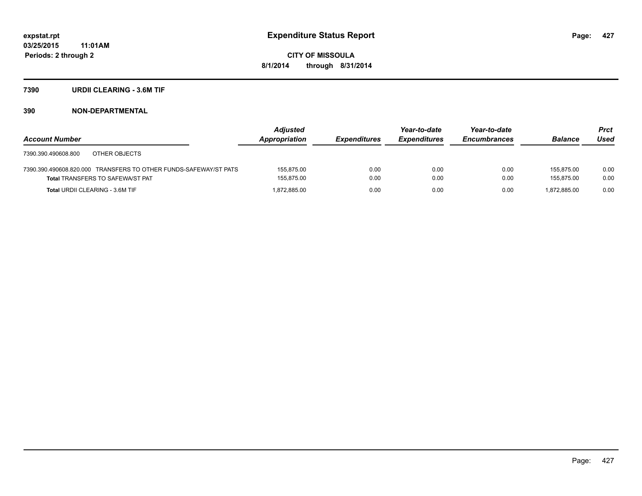#### **7390 URDII CLEARING - 3.6M TIF**

|                                                                  | <b>Adjusted</b> |                     | Year-to-date        | Year-to-date        |                | <b>Prct</b> |
|------------------------------------------------------------------|-----------------|---------------------|---------------------|---------------------|----------------|-------------|
| <b>Account Number</b>                                            | Appropriation   | <b>Expenditures</b> | <b>Expenditures</b> | <b>Encumbrances</b> | <b>Balance</b> | Used        |
| OTHER OBJECTS<br>7390.390.490608.800                             |                 |                     |                     |                     |                |             |
| 7390.390.490608.820.000 TRANSFERS TO OTHER FUNDS-SAFEWAY/ST PATS | 155.875.00      | 0.00                | 0.00                | 0.00                | 155.875.00     | 0.00        |
| <b>Total TRANSFERS TO SAFEWA/ST PAT</b>                          | 155,875.00      | 0.00                | 0.00                | 0.00                | 155.875.00     | 0.00        |
| <b>Total URDII CLEARING - 3.6M TIF</b>                           | 1.872.885.00    | 0.00                | 0.00                | 0.00                | 1.872.885.00   | 0.00        |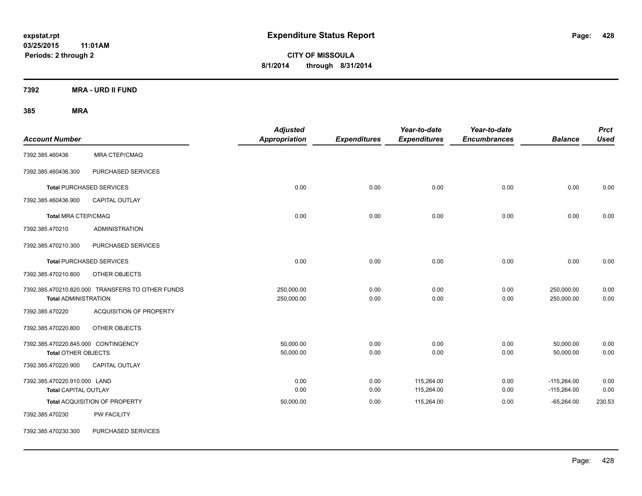**CITY OF MISSOULA 8/1/2014 through 8/31/2014**

**7392 MRA - URD II FUND**

| <b>Account Number</b>                                             |                                                  | <b>Adjusted</b><br><b>Appropriation</b> | <b>Expenditures</b> | Year-to-date<br><b>Expenditures</b> | Year-to-date<br><b>Encumbrances</b> | <b>Balance</b>                 | <b>Prct</b><br><b>Used</b> |
|-------------------------------------------------------------------|--------------------------------------------------|-----------------------------------------|---------------------|-------------------------------------|-------------------------------------|--------------------------------|----------------------------|
| 7392.385.460436                                                   | MRA CTEP/CMAQ                                    |                                         |                     |                                     |                                     |                                |                            |
| 7392.385.460436.300                                               | PURCHASED SERVICES                               |                                         |                     |                                     |                                     |                                |                            |
|                                                                   | <b>Total PURCHASED SERVICES</b>                  | 0.00                                    | 0.00                | 0.00                                | 0.00                                | 0.00                           | 0.00                       |
| 7392.385.460436.900                                               | <b>CAPITAL OUTLAY</b>                            |                                         |                     |                                     |                                     |                                |                            |
| Total MRA CTEP/CMAQ                                               |                                                  | 0.00                                    | 0.00                | 0.00                                | 0.00                                | 0.00                           | 0.00                       |
| 7392.385.470210                                                   | <b>ADMINISTRATION</b>                            |                                         |                     |                                     |                                     |                                |                            |
| 7392.385.470210.300                                               | PURCHASED SERVICES                               |                                         |                     |                                     |                                     |                                |                            |
|                                                                   | <b>Total PURCHASED SERVICES</b>                  | 0.00                                    | 0.00                | 0.00                                | 0.00                                | 0.00                           | 0.00                       |
| 7392.385.470210.800                                               | OTHER OBJECTS                                    |                                         |                     |                                     |                                     |                                |                            |
| <b>Total ADMINISTRATION</b>                                       | 7392.385.470210.820.000 TRANSFERS TO OTHER FUNDS | 250,000.00<br>250,000.00                | 0.00<br>0.00        | 0.00<br>0.00                        | 0.00<br>0.00                        | 250,000.00<br>250,000.00       | 0.00<br>0.00               |
| 7392.385.470220                                                   | <b>ACQUISITION OF PROPERTY</b>                   |                                         |                     |                                     |                                     |                                |                            |
| 7392.385.470220.800                                               | OTHER OBJECTS                                    |                                         |                     |                                     |                                     |                                |                            |
| 7392.385.470220.845.000 CONTINGENCY<br><b>Total OTHER OBJECTS</b> |                                                  | 50.000.00<br>50,000.00                  | 0.00<br>0.00        | 0.00<br>0.00                        | 0.00<br>0.00                        | 50,000.00<br>50,000.00         | 0.00<br>0.00               |
| 7392.385.470220.900                                               | CAPITAL OUTLAY                                   |                                         |                     |                                     |                                     |                                |                            |
| 7392.385.470220.910.000 LAND<br><b>Total CAPITAL OUTLAY</b>       |                                                  | 0.00<br>0.00                            | 0.00<br>0.00        | 115,264.00<br>115,264.00            | 0.00<br>0.00                        | $-115,264.00$<br>$-115,264.00$ | 0.00<br>0.00               |
|                                                                   | Total ACQUISITION OF PROPERTY                    | 50,000.00                               | 0.00                | 115,264.00                          | 0.00                                | $-65,264.00$                   | 230.53                     |
| 7392.385.470230                                                   | <b>PW FACILITY</b>                               |                                         |                     |                                     |                                     |                                |                            |
| 7392.385.470230.300                                               | PURCHASED SERVICES                               |                                         |                     |                                     |                                     |                                |                            |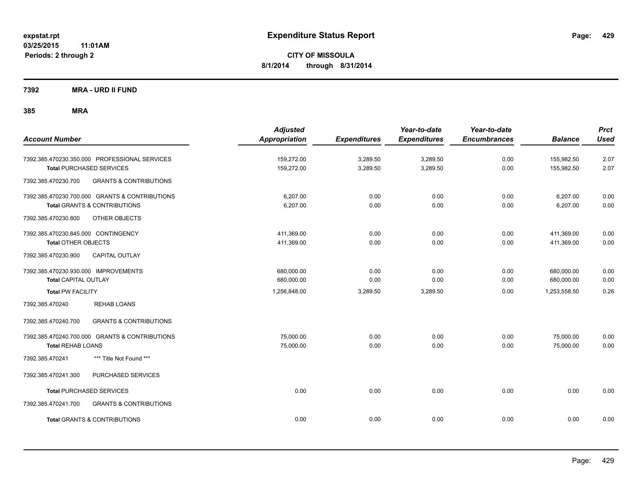**Periods: 2 through 2**

**CITY OF MISSOULA 8/1/2014 through 8/31/2014**

**7392 MRA - URD II FUND**

| <b>Account Number</b>                                                                                      | <b>Adjusted</b><br><b>Appropriation</b> | <b>Expenditures</b>  | Year-to-date<br><b>Expenditures</b> | Year-to-date<br><b>Encumbrances</b> | <b>Balance</b>           | <b>Prct</b><br><b>Used</b> |
|------------------------------------------------------------------------------------------------------------|-----------------------------------------|----------------------|-------------------------------------|-------------------------------------|--------------------------|----------------------------|
| 7392.385.470230.350.000 PROFESSIONAL SERVICES<br><b>Total PURCHASED SERVICES</b>                           | 159,272.00<br>159,272.00                | 3,289.50<br>3,289.50 | 3,289.50<br>3,289.50                | 0.00<br>0.00                        | 155,982.50<br>155,982.50 | 2.07<br>2.07               |
| <b>GRANTS &amp; CONTRIBUTIONS</b><br>7392.385.470230.700                                                   |                                         |                      |                                     |                                     |                          |                            |
| 7392.385.470230.700.000 GRANTS & CONTRIBUTIONS<br><b>Total GRANTS &amp; CONTRIBUTIONS</b>                  | 6,207.00<br>6,207.00                    | 0.00<br>0.00         | 0.00<br>0.00                        | 0.00<br>0.00                        | 6,207.00<br>6,207.00     | 0.00<br>0.00               |
| 7392.385.470230.800<br>OTHER OBJECTS                                                                       |                                         |                      |                                     |                                     |                          |                            |
| 7392.385.470230.845.000 CONTINGENCY<br><b>Total OTHER OBJECTS</b><br>CAPITAL OUTLAY<br>7392.385.470230.900 | 411,369.00<br>411,369.00                | 0.00<br>0.00         | 0.00<br>0.00                        | 0.00<br>0.00                        | 411,369.00<br>411,369.00 | 0.00<br>0.00               |
| 7392.385.470230.930.000 IMPROVEMENTS<br><b>Total CAPITAL OUTLAY</b>                                        | 680,000.00<br>680,000.00                | 0.00<br>0.00         | 0.00<br>0.00                        | 0.00<br>0.00                        | 680,000.00<br>680,000.00 | 0.00<br>0.00               |
| <b>Total PW FACILITY</b>                                                                                   | 1,256,848.00                            | 3,289.50             | 3,289.50                            | 0.00                                | 1,253,558.50             | 0.26                       |
| <b>REHAB LOANS</b><br>7392.385.470240                                                                      |                                         |                      |                                     |                                     |                          |                            |
| <b>GRANTS &amp; CONTRIBUTIONS</b><br>7392.385.470240.700                                                   |                                         |                      |                                     |                                     |                          |                            |
| 7392.385.470240.700.000 GRANTS & CONTRIBUTIONS<br><b>Total REHAB LOANS</b>                                 | 75,000.00<br>75,000.00                  | 0.00<br>0.00         | 0.00<br>0.00                        | 0.00<br>0.00                        | 75,000.00<br>75,000.00   | 0.00<br>0.00               |
| *** Title Not Found ***<br>7392.385.470241                                                                 |                                         |                      |                                     |                                     |                          |                            |
| 7392.385.470241.300<br>PURCHASED SERVICES                                                                  |                                         |                      |                                     |                                     |                          |                            |
| <b>Total PURCHASED SERVICES</b>                                                                            | 0.00                                    | 0.00                 | 0.00                                | 0.00                                | 0.00                     | 0.00                       |
| 7392.385.470241.700<br><b>GRANTS &amp; CONTRIBUTIONS</b>                                                   |                                         |                      |                                     |                                     |                          |                            |
| <b>Total GRANTS &amp; CONTRIBUTIONS</b>                                                                    | 0.00                                    | 0.00                 | 0.00                                | 0.00                                | 0.00                     | 0.00                       |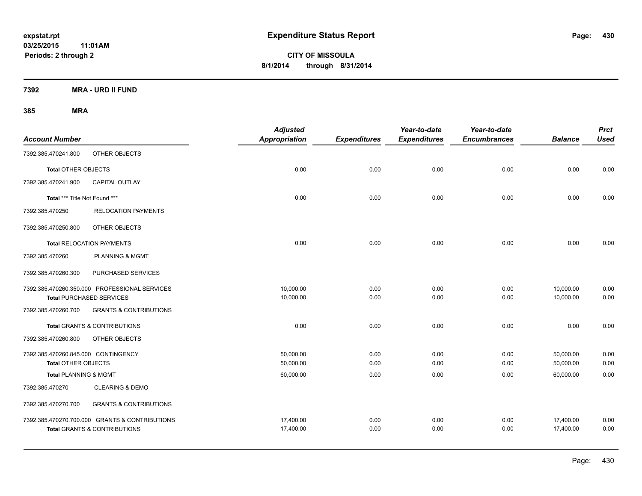**CITY OF MISSOULA 8/1/2014 through 8/31/2014**

**7392 MRA - URD II FUND**

| <b>Account Number</b>               |                                                | <b>Adjusted</b><br>Appropriation | <b>Expenditures</b> | Year-to-date<br><b>Expenditures</b> | Year-to-date<br><b>Encumbrances</b> | <b>Balance</b> | <b>Prct</b><br><b>Used</b> |
|-------------------------------------|------------------------------------------------|----------------------------------|---------------------|-------------------------------------|-------------------------------------|----------------|----------------------------|
| 7392.385.470241.800                 | OTHER OBJECTS                                  |                                  |                     |                                     |                                     |                |                            |
| <b>Total OTHER OBJECTS</b>          |                                                | 0.00                             | 0.00                | 0.00                                | 0.00                                | 0.00           | 0.00                       |
| 7392.385.470241.900                 | <b>CAPITAL OUTLAY</b>                          |                                  |                     |                                     |                                     |                |                            |
| Total *** Title Not Found ***       |                                                | 0.00                             | 0.00                | 0.00                                | 0.00                                | 0.00           | 0.00                       |
| 7392.385.470250                     | <b>RELOCATION PAYMENTS</b>                     |                                  |                     |                                     |                                     |                |                            |
| 7392.385.470250.800                 | OTHER OBJECTS                                  |                                  |                     |                                     |                                     |                |                            |
|                                     | <b>Total RELOCATION PAYMENTS</b>               | 0.00                             | 0.00                | 0.00                                | 0.00                                | 0.00           | 0.00                       |
| 7392.385.470260                     | <b>PLANNING &amp; MGMT</b>                     |                                  |                     |                                     |                                     |                |                            |
| 7392.385.470260.300                 | PURCHASED SERVICES                             |                                  |                     |                                     |                                     |                |                            |
|                                     | 7392.385.470260.350.000 PROFESSIONAL SERVICES  | 10,000.00                        | 0.00                | 0.00                                | 0.00                                | 10,000.00      | 0.00                       |
|                                     | <b>Total PURCHASED SERVICES</b>                | 10,000.00                        | 0.00                | 0.00                                | 0.00                                | 10,000.00      | 0.00                       |
| 7392.385.470260.700                 | <b>GRANTS &amp; CONTRIBUTIONS</b>              |                                  |                     |                                     |                                     |                |                            |
|                                     | <b>Total GRANTS &amp; CONTRIBUTIONS</b>        | 0.00                             | 0.00                | 0.00                                | 0.00                                | 0.00           | 0.00                       |
| 7392.385.470260.800                 | OTHER OBJECTS                                  |                                  |                     |                                     |                                     |                |                            |
| 7392.385.470260.845.000 CONTINGENCY |                                                | 50,000.00                        | 0.00                | 0.00                                | 0.00                                | 50,000.00      | 0.00                       |
| <b>Total OTHER OBJECTS</b>          |                                                | 50,000.00                        | 0.00                | 0.00                                | 0.00                                | 50,000.00      | 0.00                       |
| <b>Total PLANNING &amp; MGMT</b>    |                                                | 60,000.00                        | 0.00                | 0.00                                | 0.00                                | 60,000.00      | 0.00                       |
| 7392.385.470270                     | <b>CLEARING &amp; DEMO</b>                     |                                  |                     |                                     |                                     |                |                            |
| 7392.385.470270.700                 | <b>GRANTS &amp; CONTRIBUTIONS</b>              |                                  |                     |                                     |                                     |                |                            |
|                                     | 7392.385.470270.700.000 GRANTS & CONTRIBUTIONS | 17,400.00                        | 0.00                | 0.00                                | 0.00                                | 17,400.00      | 0.00                       |
|                                     | <b>Total GRANTS &amp; CONTRIBUTIONS</b>        | 17,400.00                        | 0.00                | 0.00                                | 0.00                                | 17,400.00      | 0.00                       |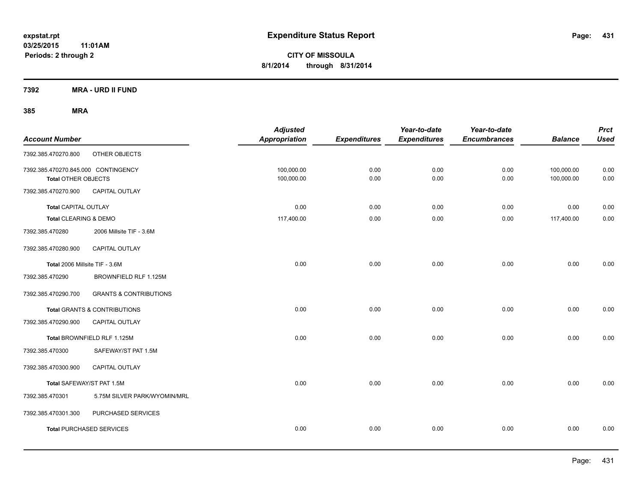**7392 MRA - URD II FUND**

| <b>Account Number</b>                                      |                                         | <b>Adjusted</b><br><b>Appropriation</b> | <b>Expenditures</b> | Year-to-date<br><b>Expenditures</b> | Year-to-date<br><b>Encumbrances</b> | <b>Balance</b>           | <b>Prct</b><br><b>Used</b> |
|------------------------------------------------------------|-----------------------------------------|-----------------------------------------|---------------------|-------------------------------------|-------------------------------------|--------------------------|----------------------------|
| 7392.385.470270.800                                        | OTHER OBJECTS                           |                                         |                     |                                     |                                     |                          |                            |
| 7392.385.470270.845.000 CONTINGENCY<br>Total OTHER OBJECTS |                                         | 100,000.00<br>100,000.00                | 0.00<br>0.00        | 0.00<br>0.00                        | 0.00<br>0.00                        | 100,000.00<br>100,000.00 | 0.00<br>0.00               |
| 7392.385.470270.900                                        | CAPITAL OUTLAY                          |                                         |                     |                                     |                                     |                          |                            |
| <b>Total CAPITAL OUTLAY</b>                                |                                         | 0.00                                    | 0.00                | 0.00                                | 0.00                                | 0.00                     | 0.00                       |
| Total CLEARING & DEMO                                      |                                         | 117,400.00                              | 0.00                | 0.00                                | 0.00                                | 117,400.00               | 0.00                       |
| 7392.385.470280                                            | 2006 Millsite TIF - 3.6M                |                                         |                     |                                     |                                     |                          |                            |
| 7392.385.470280.900                                        | CAPITAL OUTLAY                          |                                         |                     |                                     |                                     |                          |                            |
| Total 2006 Millsite TIF - 3.6M                             |                                         | 0.00                                    | 0.00                | 0.00                                | 0.00                                | 0.00                     | 0.00                       |
| 7392.385.470290                                            | BROWNFIELD RLF 1.125M                   |                                         |                     |                                     |                                     |                          |                            |
| 7392.385.470290.700                                        | <b>GRANTS &amp; CONTRIBUTIONS</b>       |                                         |                     |                                     |                                     |                          |                            |
|                                                            | <b>Total GRANTS &amp; CONTRIBUTIONS</b> | 0.00                                    | 0.00                | 0.00                                | 0.00                                | 0.00                     | 0.00                       |
| 7392.385.470290.900                                        | CAPITAL OUTLAY                          |                                         |                     |                                     |                                     |                          |                            |
|                                                            | Total BROWNFIELD RLF 1.125M             | 0.00                                    | 0.00                | 0.00                                | 0.00                                | 0.00                     | 0.00                       |
| 7392.385.470300                                            | SAFEWAY/ST PAT 1.5M                     |                                         |                     |                                     |                                     |                          |                            |
| 7392.385.470300.900                                        | CAPITAL OUTLAY                          |                                         |                     |                                     |                                     |                          |                            |
| Total SAFEWAY/ST PAT 1.5M                                  |                                         | 0.00                                    | 0.00                | 0.00                                | 0.00                                | 0.00                     | 0.00                       |
| 7392.385.470301                                            | 5.75M SILVER PARK/WYOMIN/MRL            |                                         |                     |                                     |                                     |                          |                            |
| 7392.385.470301.300                                        | PURCHASED SERVICES                      |                                         |                     |                                     |                                     |                          |                            |
|                                                            | <b>Total PURCHASED SERVICES</b>         | 0.00                                    | 0.00                | 0.00                                | 0.00                                | 0.00                     | 0.00                       |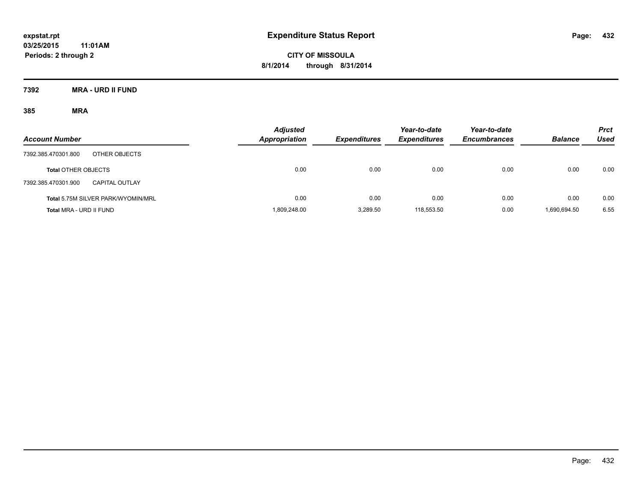**CITY OF MISSOULA 8/1/2014 through 8/31/2014**

**7392 MRA - URD II FUND**

| <b>Account Number</b>                        | <b>Adjusted</b><br><b>Appropriation</b> | <b>Expenditures</b> | Year-to-date<br><b>Expenditures</b> | Year-to-date<br><b>Encumbrances</b> | <b>Balance</b> | <b>Prct</b><br>Used |
|----------------------------------------------|-----------------------------------------|---------------------|-------------------------------------|-------------------------------------|----------------|---------------------|
| OTHER OBJECTS<br>7392.385.470301.800         |                                         |                     |                                     |                                     |                |                     |
| <b>Total OTHER OBJECTS</b>                   | 0.00                                    | 0.00                | 0.00                                | 0.00                                | 0.00           | 0.00                |
| 7392.385.470301.900<br><b>CAPITAL OUTLAY</b> |                                         |                     |                                     |                                     |                |                     |
| Total 5.75M SILVER PARK/WYOMIN/MRL           | 0.00                                    | 0.00                | 0.00                                | 0.00                                | 0.00           | 0.00                |
| Total MRA - URD II FUND                      | 1,809,248.00                            | 3.289.50            | 118,553.50                          | 0.00                                | 1.690.694.50   | 6.55                |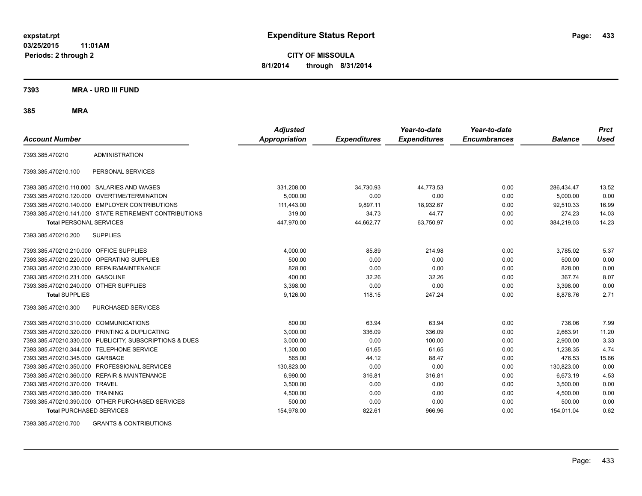**CITY OF MISSOULA 8/1/2014 through 8/31/2014**

**7393 MRA - URD III FUND**

**385 MRA**

| <b>Account Number</b>                   |                                                         | <b>Adjusted</b><br><b>Appropriation</b> | <b>Expenditures</b> | Year-to-date<br><b>Expenditures</b> | Year-to-date<br><b>Encumbrances</b> | <b>Balance</b> | <b>Prct</b><br><b>Used</b> |
|-----------------------------------------|---------------------------------------------------------|-----------------------------------------|---------------------|-------------------------------------|-------------------------------------|----------------|----------------------------|
| 7393.385.470210                         | <b>ADMINISTRATION</b>                                   |                                         |                     |                                     |                                     |                |                            |
| 7393.385.470210.100                     | PERSONAL SERVICES                                       |                                         |                     |                                     |                                     |                |                            |
|                                         | 7393.385.470210.110.000 SALARIES AND WAGES              | 331,208.00                              | 34,730.93           | 44,773.53                           | 0.00                                | 286.434.47     | 13.52                      |
|                                         | 7393.385.470210.120.000 OVERTIME/TERMINATION            | 5.000.00                                | 0.00                | 0.00                                | 0.00                                | 5.000.00       | 0.00                       |
|                                         | 7393.385.470210.140.000 EMPLOYER CONTRIBUTIONS          | 111,443.00                              | 9,897.11            | 18,932.67                           | 0.00                                | 92,510.33      | 16.99                      |
|                                         | 7393.385.470210.141.000 STATE RETIREMENT CONTRIBUTIONS  | 319.00                                  | 34.73               | 44.77                               | 0.00                                | 274.23         | 14.03                      |
| <b>Total PERSONAL SERVICES</b>          |                                                         | 447,970.00                              | 44,662.77           | 63,750.97                           | 0.00                                | 384,219.03     | 14.23                      |
| 7393.385.470210.200                     | <b>SUPPLIES</b>                                         |                                         |                     |                                     |                                     |                |                            |
| 7393.385.470210.210.000 OFFICE SUPPLIES |                                                         | 4,000.00                                | 85.89               | 214.98                              | 0.00                                | 3,785.02       | 5.37                       |
|                                         | 7393.385.470210.220.000 OPERATING SUPPLIES              | 500.00                                  | 0.00                | 0.00                                | 0.00                                | 500.00         | 0.00                       |
| 7393.385.470210.230.000                 | REPAIR/MAINTENANCE                                      | 828.00                                  | 0.00                | 0.00                                | 0.00                                | 828.00         | 0.00                       |
| 7393.385.470210.231.000                 | <b>GASOLINE</b>                                         | 400.00                                  | 32.26               | 32.26                               | 0.00                                | 367.74         | 8.07                       |
| 7393.385.470210.240.000 OTHER SUPPLIES  |                                                         | 3,398.00                                | 0.00                | 0.00                                | 0.00                                | 3,398.00       | 0.00                       |
| <b>Total SUPPLIES</b>                   |                                                         | 9,126.00                                | 118.15              | 247.24                              | 0.00                                | 8,878.76       | 2.71                       |
| 7393.385.470210.300                     | <b>PURCHASED SERVICES</b>                               |                                         |                     |                                     |                                     |                |                            |
| 7393.385.470210.310.000                 | <b>COMMUNICATIONS</b>                                   | 800.00                                  | 63.94               | 63.94                               | 0.00                                | 736.06         | 7.99                       |
| 7393.385.470210.320.000                 | PRINTING & DUPLICATING                                  | 3,000.00                                | 336.09              | 336.09                              | 0.00                                | 2,663.91       | 11.20                      |
|                                         | 7393.385.470210.330.000 PUBLICITY, SUBSCRIPTIONS & DUES | 3,000.00                                | 0.00                | 100.00                              | 0.00                                | 2,900.00       | 3.33                       |
| 7393.385.470210.344.000                 | TELEPHONE SERVICE                                       | 1,300.00                                | 61.65               | 61.65                               | 0.00                                | 1,238.35       | 4.74                       |
| 7393.385.470210.345.000 GARBAGE         |                                                         | 565.00                                  | 44.12               | 88.47                               | 0.00                                | 476.53         | 15.66                      |
|                                         | 7393.385.470210.350.000 PROFESSIONAL SERVICES           | 130.823.00                              | 0.00                | 0.00                                | 0.00                                | 130,823.00     | 0.00                       |
|                                         | 7393.385.470210.360.000 REPAIR & MAINTENANCE            | 6,990.00                                | 316.81              | 316.81                              | 0.00                                | 6.673.19       | 4.53                       |
| 7393.385.470210.370.000 TRAVEL          |                                                         | 3,500.00                                | 0.00                | 0.00                                | 0.00                                | 3,500.00       | 0.00                       |
| 7393.385.470210.380.000 TRAINING        |                                                         | 4,500.00                                | 0.00                | 0.00                                | 0.00                                | 4,500.00       | 0.00                       |
|                                         | 7393.385.470210.390.000 OTHER PURCHASED SERVICES        | 500.00                                  | 0.00                | 0.00                                | 0.00                                | 500.00         | 0.00                       |
| <b>Total PURCHASED SERVICES</b>         |                                                         | 154,978.00                              | 822.61              | 966.96                              | 0.00                                | 154,011.04     | 0.62                       |

7393.385.470210.700 GRANTS & CONTRIBUTIONS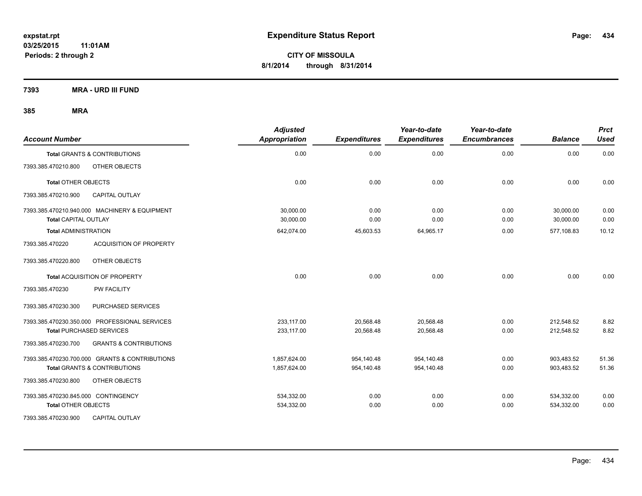**7393 MRA - URD III FUND**

| <b>Account Number</b>                                    | <b>Adjusted</b><br><b>Appropriation</b> | <b>Expenditures</b> | Year-to-date<br><b>Expenditures</b> | Year-to-date<br><b>Encumbrances</b> | <b>Balance</b> | <b>Prct</b><br><b>Used</b> |
|----------------------------------------------------------|-----------------------------------------|---------------------|-------------------------------------|-------------------------------------|----------------|----------------------------|
| <b>Total GRANTS &amp; CONTRIBUTIONS</b>                  | 0.00                                    | 0.00                | 0.00                                | 0.00                                | 0.00           | 0.00                       |
| 7393.385.470210.800<br>OTHER OBJECTS                     |                                         |                     |                                     |                                     |                |                            |
| <b>Total OTHER OBJECTS</b>                               | 0.00                                    | 0.00                | 0.00                                | 0.00                                | 0.00           | 0.00                       |
| 7393.385.470210.900<br><b>CAPITAL OUTLAY</b>             |                                         |                     |                                     |                                     |                |                            |
| 7393.385.470210.940.000 MACHINERY & EQUIPMENT            | 30.000.00                               | 0.00                | 0.00                                | 0.00                                | 30,000.00      | 0.00                       |
| <b>Total CAPITAL OUTLAY</b>                              | 30,000.00                               | 0.00                | 0.00                                | 0.00                                | 30,000.00      | 0.00                       |
| <b>Total ADMINISTRATION</b>                              | 642,074.00                              | 45,603.53           | 64,965.17                           | 0.00                                | 577,108.83     | 10.12                      |
| <b>ACQUISITION OF PROPERTY</b><br>7393.385.470220        |                                         |                     |                                     |                                     |                |                            |
| OTHER OBJECTS<br>7393.385.470220.800                     |                                         |                     |                                     |                                     |                |                            |
| Total ACQUISITION OF PROPERTY                            | 0.00                                    | 0.00                | 0.00                                | 0.00                                | 0.00           | 0.00                       |
| 7393.385.470230<br>PW FACILITY                           |                                         |                     |                                     |                                     |                |                            |
| 7393.385.470230.300<br>PURCHASED SERVICES                |                                         |                     |                                     |                                     |                |                            |
| 7393.385.470230.350.000 PROFESSIONAL SERVICES            | 233,117.00                              | 20,568.48           | 20,568.48                           | 0.00                                | 212,548.52     | 8.82                       |
| <b>Total PURCHASED SERVICES</b>                          | 233,117.00                              | 20,568.48           | 20,568.48                           | 0.00                                | 212,548.52     | 8.82                       |
| 7393.385.470230.700<br><b>GRANTS &amp; CONTRIBUTIONS</b> |                                         |                     |                                     |                                     |                |                            |
| 7393.385.470230.700.000 GRANTS & CONTRIBUTIONS           | 1,857,624.00                            | 954,140.48          | 954,140.48                          | 0.00                                | 903,483.52     | 51.36                      |
| <b>Total GRANTS &amp; CONTRIBUTIONS</b>                  | 1,857,624.00                            | 954,140.48          | 954,140.48                          | 0.00                                | 903.483.52     | 51.36                      |
| 7393.385.470230.800<br>OTHER OBJECTS                     |                                         |                     |                                     |                                     |                |                            |
| 7393.385.470230.845.000 CONTINGENCY                      | 534,332.00                              | 0.00                | 0.00                                | 0.00                                | 534,332.00     | 0.00                       |
| <b>Total OTHER OBJECTS</b>                               | 534,332.00                              | 0.00                | 0.00                                | 0.00                                | 534,332.00     | 0.00                       |
| 7393.385.470230.900<br><b>CAPITAL OUTLAY</b>             |                                         |                     |                                     |                                     |                |                            |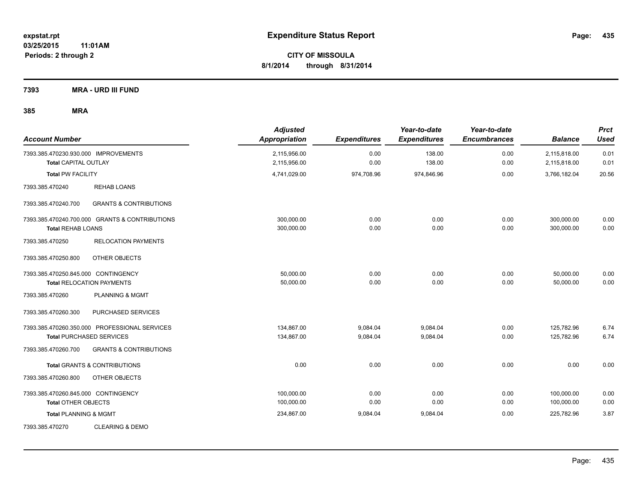**7393 MRA - URD III FUND**

| <b>Account Number</b>                                               |                                                | <b>Adjusted</b><br><b>Appropriation</b> | <b>Expenditures</b> | Year-to-date<br><b>Expenditures</b> | Year-to-date<br><b>Encumbrances</b> | <b>Balance</b>               | <b>Prct</b><br><b>Used</b> |
|---------------------------------------------------------------------|------------------------------------------------|-----------------------------------------|---------------------|-------------------------------------|-------------------------------------|------------------------------|----------------------------|
| 7393.385.470230.930.000 IMPROVEMENTS<br><b>Total CAPITAL OUTLAY</b> |                                                | 2,115,956.00<br>2,115,956.00            | 0.00<br>0.00        | 138.00<br>138.00                    | 0.00<br>0.00                        | 2,115,818.00<br>2,115,818.00 | 0.01<br>0.01               |
| <b>Total PW FACILITY</b>                                            |                                                | 4,741,029.00                            | 974,708.96          | 974,846.96                          | 0.00                                | 3,766,182.04                 | 20.56                      |
| 7393.385.470240                                                     | <b>REHAB LOANS</b>                             |                                         |                     |                                     |                                     |                              |                            |
| 7393.385.470240.700                                                 | <b>GRANTS &amp; CONTRIBUTIONS</b>              |                                         |                     |                                     |                                     |                              |                            |
| <b>Total REHAB LOANS</b>                                            | 7393.385.470240.700.000 GRANTS & CONTRIBUTIONS | 300,000.00<br>300,000.00                | 0.00<br>0.00        | 0.00<br>0.00                        | 0.00<br>0.00                        | 300,000.00<br>300,000.00     | 0.00<br>0.00               |
| 7393.385.470250                                                     | <b>RELOCATION PAYMENTS</b>                     |                                         |                     |                                     |                                     |                              |                            |
| 7393.385.470250.800                                                 | OTHER OBJECTS                                  |                                         |                     |                                     |                                     |                              |                            |
| 7393.385.470250.845.000 CONTINGENCY                                 | <b>Total RELOCATION PAYMENTS</b>               | 50,000.00<br>50,000.00                  | 0.00<br>0.00        | 0.00<br>0.00                        | 0.00<br>0.00                        | 50,000.00<br>50,000.00       | 0.00<br>0.00               |
| 7393.385.470260                                                     | PLANNING & MGMT                                |                                         |                     |                                     |                                     |                              |                            |
| 7393.385.470260.300                                                 | PURCHASED SERVICES                             |                                         |                     |                                     |                                     |                              |                            |
|                                                                     | 7393.385.470260.350.000 PROFESSIONAL SERVICES  | 134,867.00                              | 9,084.04            | 9,084.04                            | 0.00                                | 125,782.96                   | 6.74                       |
|                                                                     | <b>Total PURCHASED SERVICES</b>                | 134,867.00                              | 9,084.04            | 9,084.04                            | 0.00                                | 125,782.96                   | 6.74                       |
| 7393.385.470260.700                                                 | <b>GRANTS &amp; CONTRIBUTIONS</b>              |                                         |                     |                                     |                                     |                              |                            |
|                                                                     | <b>Total GRANTS &amp; CONTRIBUTIONS</b>        | 0.00                                    | 0.00                | 0.00                                | 0.00                                | 0.00                         | 0.00                       |
| 7393.385.470260.800                                                 | OTHER OBJECTS                                  |                                         |                     |                                     |                                     |                              |                            |
| 7393.385.470260.845.000 CONTINGENCY                                 |                                                | 100,000.00                              | 0.00                | 0.00                                | 0.00                                | 100,000.00                   | 0.00                       |
| <b>Total OTHER OBJECTS</b>                                          |                                                | 100,000.00                              | 0.00                | 0.00                                | 0.00                                | 100,000.00                   | 0.00                       |
| <b>Total PLANNING &amp; MGMT</b>                                    |                                                | 234,867.00                              | 9,084.04            | 9,084.04                            | 0.00                                | 225,782.96                   | 3.87                       |
| 7393.385.470270                                                     | <b>CLEARING &amp; DEMO</b>                     |                                         |                     |                                     |                                     |                              |                            |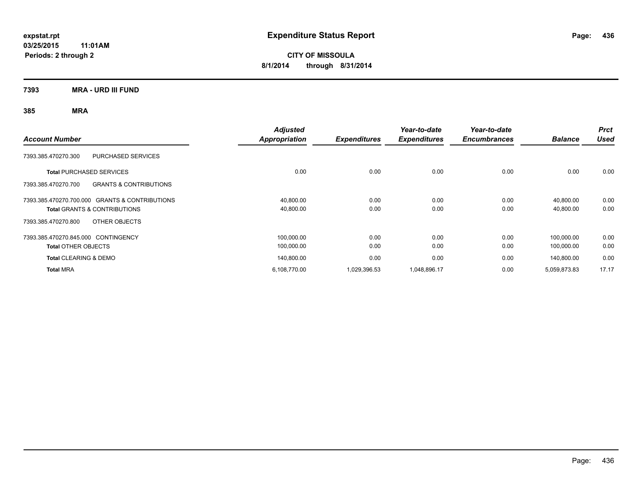**CITY OF MISSOULA 8/1/2014 through 8/31/2014**

**7393 MRA - URD III FUND**

| <b>Account Number</b>                                    | <b>Adjusted</b><br>Appropriation | <b>Expenditures</b> | Year-to-date<br><b>Expenditures</b> | Year-to-date<br><b>Encumbrances</b> | <b>Balance</b> | <b>Prct</b><br><b>Used</b> |
|----------------------------------------------------------|----------------------------------|---------------------|-------------------------------------|-------------------------------------|----------------|----------------------------|
|                                                          |                                  |                     |                                     |                                     |                |                            |
| <b>PURCHASED SERVICES</b><br>7393.385.470270.300         |                                  |                     |                                     |                                     |                |                            |
| <b>Total PURCHASED SERVICES</b>                          | 0.00                             | 0.00                | 0.00                                | 0.00                                | 0.00           | 0.00                       |
| <b>GRANTS &amp; CONTRIBUTIONS</b><br>7393.385.470270.700 |                                  |                     |                                     |                                     |                |                            |
| 7393.385.470270.700.000 GRANTS & CONTRIBUTIONS           | 40,800.00                        | 0.00                | 0.00                                | 0.00                                | 40.800.00      | 0.00                       |
| <b>Total GRANTS &amp; CONTRIBUTIONS</b>                  | 40,800.00                        | 0.00                | 0.00                                | 0.00                                | 40,800.00      | 0.00                       |
| OTHER OBJECTS<br>7393.385.470270.800                     |                                  |                     |                                     |                                     |                |                            |
| 7393.385.470270.845.000 CONTINGENCY                      | 100,000.00                       | 0.00                | 0.00                                | 0.00                                | 100.000.00     | 0.00                       |
| <b>Total OTHER OBJECTS</b>                               | 100,000.00                       | 0.00                | 0.00                                | 0.00                                | 100,000.00     | 0.00                       |
| <b>Total CLEARING &amp; DEMO</b>                         | 140,800.00                       | 0.00                | 0.00                                | 0.00                                | 140.800.00     | 0.00                       |
| <b>Total MRA</b>                                         | 6,108,770.00                     | 1,029,396.53        | 1,048,896.17                        | 0.00                                | 5,059,873.83   | 17.17                      |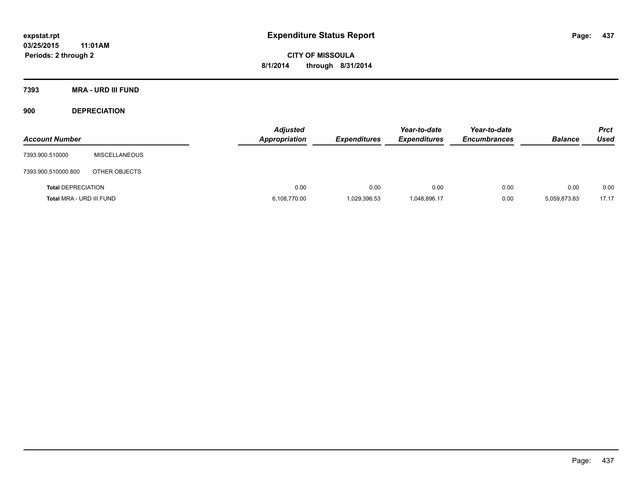**CITY OF MISSOULA 8/1/2014 through 8/31/2014**

**7393 MRA - URD III FUND**

**900 DEPRECIATION**

| <b>Account Number</b>     |                      | <b>Adjusted</b><br><b>Appropriation</b> | <b>Expenditures</b> | Year-to-date<br><b>Expenditures</b> | Year-to-date<br><b>Encumbrances</b> | <b>Balance</b> | <b>Prct</b><br><b>Used</b> |
|---------------------------|----------------------|-----------------------------------------|---------------------|-------------------------------------|-------------------------------------|----------------|----------------------------|
| 7393.900.510000           | <b>MISCELLANEOUS</b> |                                         |                     |                                     |                                     |                |                            |
| 7393.900.510000.800       | OTHER OBJECTS        |                                         |                     |                                     |                                     |                |                            |
| <b>Total DEPRECIATION</b> |                      | 0.00                                    | 0.00                | 0.00                                | 0.00                                | 0.00           | 0.00                       |
| Total MRA - URD III FUND  |                      | 6,108,770.00                            | 1,029,396.53        | 1,048,896.17                        | 0.00                                | 5,059,873.83   | 17.17                      |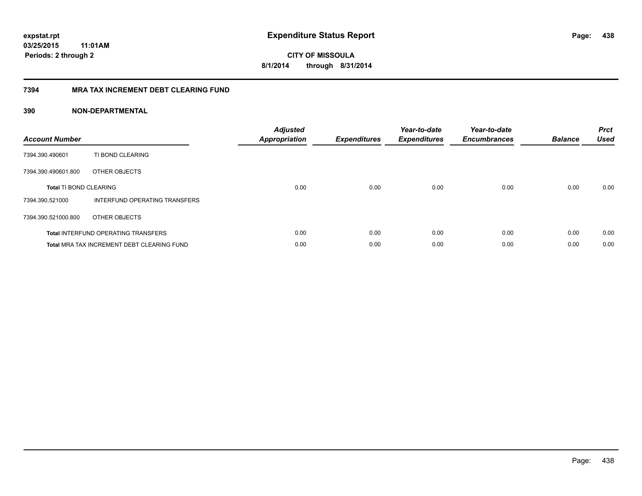**CITY OF MISSOULA 8/1/2014 through 8/31/2014**

# **7394 MRA TAX INCREMENT DEBT CLEARING FUND**

| <b>Account Number</b>         |                                                   | <b>Adjusted</b><br>Appropriation | <b>Expenditures</b> | Year-to-date<br><b>Expenditures</b> | Year-to-date<br><b>Encumbrances</b> | <b>Balance</b> | <b>Prct</b><br><b>Used</b> |
|-------------------------------|---------------------------------------------------|----------------------------------|---------------------|-------------------------------------|-------------------------------------|----------------|----------------------------|
| 7394.390.490601               | TI BOND CLEARING                                  |                                  |                     |                                     |                                     |                |                            |
| 7394.390.490601.800           | OTHER OBJECTS                                     |                                  |                     |                                     |                                     |                |                            |
| <b>Total TI BOND CLEARING</b> |                                                   | 0.00                             | 0.00                | 0.00                                | 0.00                                | 0.00           | 0.00                       |
| 7394.390.521000               | INTERFUND OPERATING TRANSFERS                     |                                  |                     |                                     |                                     |                |                            |
| 7394.390.521000.800           | OTHER OBJECTS                                     |                                  |                     |                                     |                                     |                |                            |
|                               | <b>Total INTERFUND OPERATING TRANSFERS</b>        | 0.00                             | 0.00                | 0.00                                | 0.00                                | 0.00           | 0.00                       |
|                               | <b>Total MRA TAX INCREMENT DEBT CLEARING FUND</b> | 0.00                             | 0.00                | 0.00                                | 0.00                                | 0.00           | 0.00                       |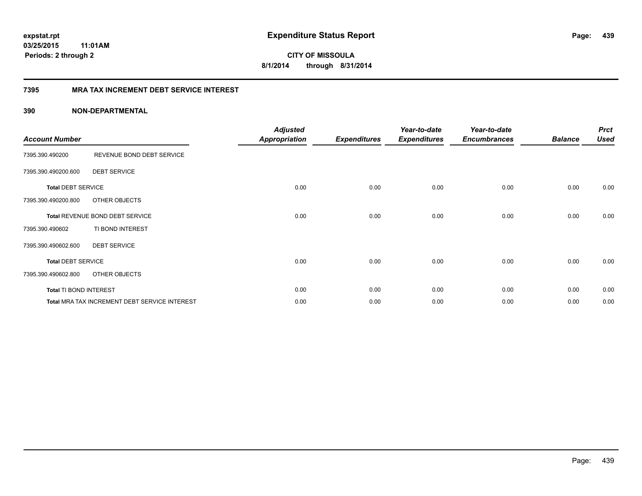**CITY OF MISSOULA 8/1/2014 through 8/31/2014**

# **7395 MRA TAX INCREMENT DEBT SERVICE INTEREST**

| <b>Account Number</b>     |                                               | <b>Adjusted</b><br>Appropriation | <b>Expenditures</b> | Year-to-date<br><b>Expenditures</b> | Year-to-date<br><b>Encumbrances</b> | <b>Balance</b> | <b>Prct</b><br><b>Used</b> |
|---------------------------|-----------------------------------------------|----------------------------------|---------------------|-------------------------------------|-------------------------------------|----------------|----------------------------|
| 7395.390.490200           | REVENUE BOND DEBT SERVICE                     |                                  |                     |                                     |                                     |                |                            |
| 7395.390.490200.600       | <b>DEBT SERVICE</b>                           |                                  |                     |                                     |                                     |                |                            |
| <b>Total DEBT SERVICE</b> |                                               | 0.00                             | 0.00                | 0.00                                | 0.00                                | 0.00           | 0.00                       |
| 7395.390.490200.800       | OTHER OBJECTS                                 |                                  |                     |                                     |                                     |                |                            |
|                           | Total REVENUE BOND DEBT SERVICE               | 0.00                             | 0.00                | 0.00                                | 0.00                                | 0.00           | 0.00                       |
| 7395.390.490602           | TI BOND INTEREST                              |                                  |                     |                                     |                                     |                |                            |
| 7395.390.490602.600       | <b>DEBT SERVICE</b>                           |                                  |                     |                                     |                                     |                |                            |
| <b>Total DEBT SERVICE</b> |                                               | 0.00                             | 0.00                | 0.00                                | 0.00                                | 0.00           | 0.00                       |
| 7395.390.490602.800       | OTHER OBJECTS                                 |                                  |                     |                                     |                                     |                |                            |
| Total TI BOND INTEREST    |                                               | 0.00                             | 0.00                | 0.00                                | 0.00                                | 0.00           | 0.00                       |
|                           | Total MRA TAX INCREMENT DEBT SERVICE INTEREST | 0.00                             | 0.00                | 0.00                                | 0.00                                | 0.00           | 0.00                       |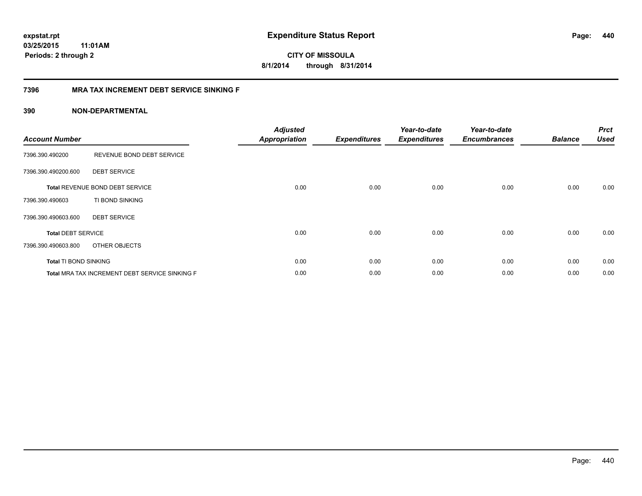**CITY OF MISSOULA 8/1/2014 through 8/31/2014**

# **7396 MRA TAX INCREMENT DEBT SERVICE SINKING F**

| <b>Account Number</b>     |                                                | <b>Adjusted</b><br><b>Appropriation</b> | <b>Expenditures</b> | Year-to-date<br><b>Expenditures</b> | Year-to-date<br><b>Encumbrances</b> | <b>Balance</b> | <b>Prct</b><br><b>Used</b> |
|---------------------------|------------------------------------------------|-----------------------------------------|---------------------|-------------------------------------|-------------------------------------|----------------|----------------------------|
| 7396.390.490200           | REVENUE BOND DEBT SERVICE                      |                                         |                     |                                     |                                     |                |                            |
| 7396.390.490200.600       | <b>DEBT SERVICE</b>                            |                                         |                     |                                     |                                     |                |                            |
|                           | <b>Total REVENUE BOND DEBT SERVICE</b>         | 0.00                                    | 0.00                | 0.00                                | 0.00                                | 0.00           | 0.00                       |
| 7396.390.490603           | TI BOND SINKING                                |                                         |                     |                                     |                                     |                |                            |
| 7396.390.490603.600       | <b>DEBT SERVICE</b>                            |                                         |                     |                                     |                                     |                |                            |
| <b>Total DEBT SERVICE</b> |                                                | 0.00                                    | 0.00                | 0.00                                | 0.00                                | 0.00           | 0.00                       |
| 7396.390.490603.800       | OTHER OBJECTS                                  |                                         |                     |                                     |                                     |                |                            |
| Total TI BOND SINKING     |                                                | 0.00                                    | 0.00                | 0.00                                | 0.00                                | 0.00           | 0.00                       |
|                           | Total MRA TAX INCREMENT DEBT SERVICE SINKING F | 0.00                                    | 0.00                | 0.00                                | 0.00                                | 0.00           | 0.00                       |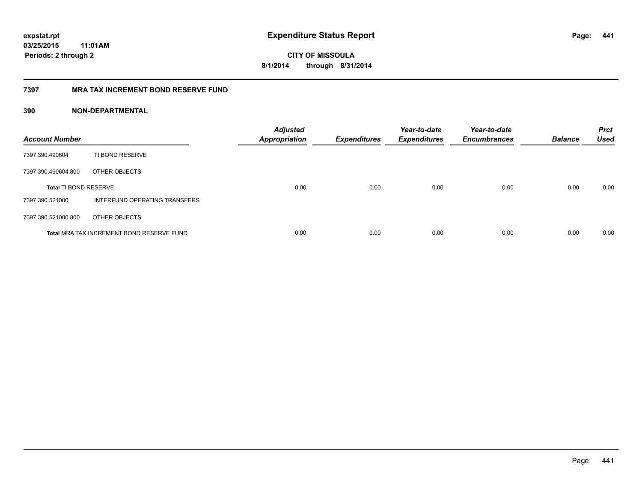**441**

**CITY OF MISSOULA 8/1/2014 through 8/31/2014**

# **7397 MRA TAX INCREMENT BOND RESERVE FUND**

| <b>Account Number</b>        |                                           | <b>Adjusted</b><br><b>Appropriation</b> | <b>Expenditures</b> | Year-to-date<br><b>Expenditures</b> | Year-to-date<br><b>Encumbrances</b> | <b>Balance</b> | <b>Prct</b><br><b>Used</b> |
|------------------------------|-------------------------------------------|-----------------------------------------|---------------------|-------------------------------------|-------------------------------------|----------------|----------------------------|
| 7397.390.490604              | TI BOND RESERVE                           |                                         |                     |                                     |                                     |                |                            |
| 7397.390.490604.800          | OTHER OBJECTS                             |                                         |                     |                                     |                                     |                |                            |
| <b>Total TI BOND RESERVE</b> |                                           | 0.00                                    | 0.00                | 0.00                                | 0.00                                | 0.00           | 0.00                       |
| 7397.390.521000              | INTERFUND OPERATING TRANSFERS             |                                         |                     |                                     |                                     |                |                            |
| 7397.390.521000.800          | OTHER OBJECTS                             |                                         |                     |                                     |                                     |                |                            |
|                              | Total MRA TAX INCREMENT BOND RESERVE FUND | 0.00                                    | 0.00                | 0.00                                | 0.00                                | 0.00           | 0.00                       |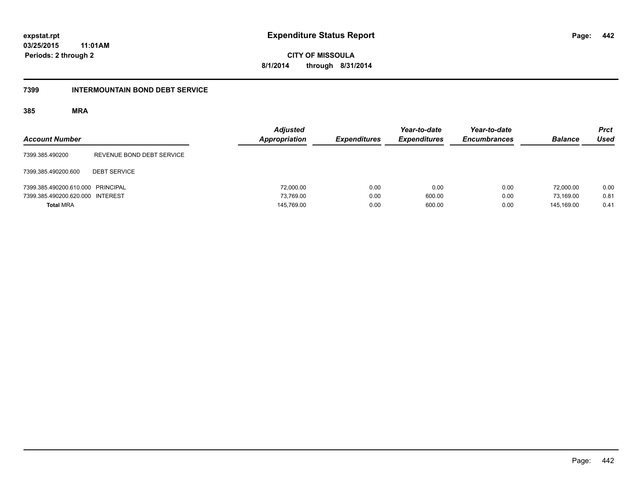**442**

**03/25/2015 11:01AM Periods: 2 through 2**

**CITY OF MISSOULA 8/1/2014 through 8/31/2014**

#### **7399 INTERMOUNTAIN BOND DEBT SERVICE**

| <b>Account Number</b>             |                           | <b>Adjusted</b><br>Appropriation | <b>Expenditures</b> | Year-to-date<br><b>Expenditures</b> | Year-to-date<br><b>Encumbrances</b> | <b>Balance</b> | <b>Prct</b><br><b>Used</b> |
|-----------------------------------|---------------------------|----------------------------------|---------------------|-------------------------------------|-------------------------------------|----------------|----------------------------|
| 7399.385.490200                   | REVENUE BOND DEBT SERVICE |                                  |                     |                                     |                                     |                |                            |
| 7399.385.490200.600               | <b>DEBT SERVICE</b>       |                                  |                     |                                     |                                     |                |                            |
| 7399.385.490200.610.000 PRINCIPAL |                           | 72,000.00                        | 0.00                | 0.00                                | 0.00                                | 72.000.00      | 0.00                       |
| 7399.385.490200.620.000 INTEREST  |                           | 73,769.00                        | 0.00                | 600.00                              | 0.00                                | 73.169.00      | 0.81                       |
| <b>Total MRA</b>                  |                           | 145,769.00                       | 0.00                | 600.00                              | 0.00                                | 145.169.00     | 0.41                       |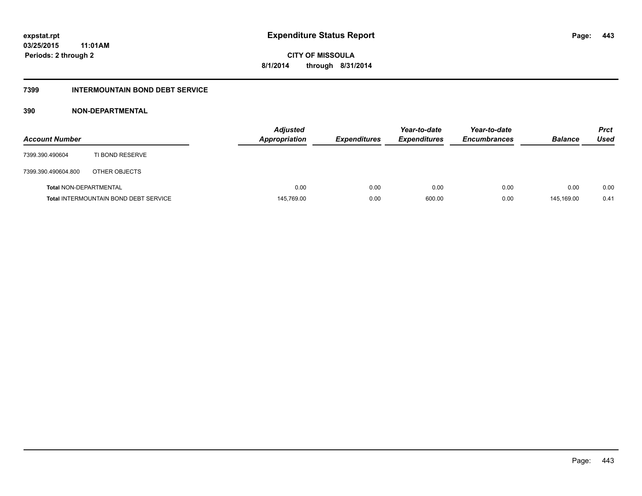# **7399 INTERMOUNTAIN BOND DEBT SERVICE**

| <b>Account Number</b>         |                                              | <b>Adjusted</b><br><b>Appropriation</b> | <b>Expenditures</b> | Year-to-date<br><b>Expenditures</b> | Year-to-date<br><b>Encumbrances</b> | <b>Balance</b> | <b>Prct</b><br>Used |
|-------------------------------|----------------------------------------------|-----------------------------------------|---------------------|-------------------------------------|-------------------------------------|----------------|---------------------|
| 7399.390.490604               | TI BOND RESERVE                              |                                         |                     |                                     |                                     |                |                     |
| 7399.390.490604.800           | OTHER OBJECTS                                |                                         |                     |                                     |                                     |                |                     |
| <b>Total NON-DEPARTMENTAL</b> |                                              | 0.00                                    | 0.00                | 0.00                                | 0.00                                | 0.00           | 0.00                |
|                               | <b>Total INTERMOUNTAIN BOND DEBT SERVICE</b> | 145,769.00                              | 0.00                | 600.00                              | 0.00                                | 145.169.00     | 0.41                |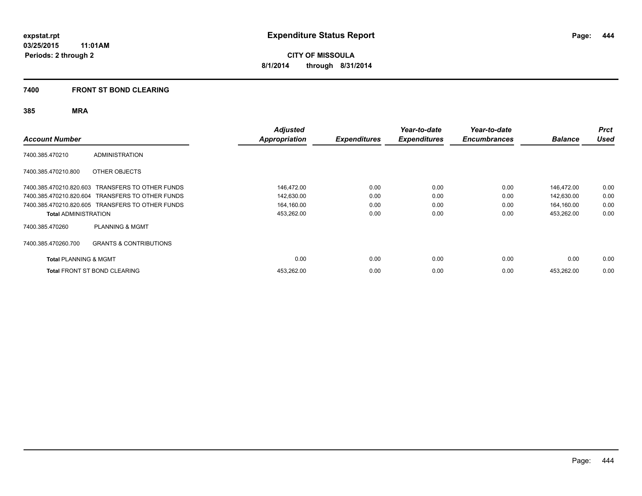# **7400 FRONT ST BOND CLEARING**

| <b>Account Number</b>            |                                                  | <b>Adjusted</b><br><b>Appropriation</b> | <b>Expenditures</b> | Year-to-date<br><b>Expenditures</b> | Year-to-date<br><b>Encumbrances</b> | <b>Balance</b> | <b>Prct</b><br><b>Used</b> |
|----------------------------------|--------------------------------------------------|-----------------------------------------|---------------------|-------------------------------------|-------------------------------------|----------------|----------------------------|
| 7400.385.470210                  | <b>ADMINISTRATION</b>                            |                                         |                     |                                     |                                     |                |                            |
| 7400.385.470210.800              | OTHER OBJECTS                                    |                                         |                     |                                     |                                     |                |                            |
|                                  | 7400.385.470210.820.603 TRANSFERS TO OTHER FUNDS | 146,472.00                              | 0.00                | 0.00                                | 0.00                                | 146,472.00     | 0.00                       |
|                                  | 7400.385.470210.820.604 TRANSFERS TO OTHER FUNDS | 142,630.00                              | 0.00                | 0.00                                | 0.00                                | 142,630.00     | 0.00                       |
|                                  | 7400.385.470210.820.605 TRANSFERS TO OTHER FUNDS | 164,160.00                              | 0.00                | 0.00                                | 0.00                                | 164,160.00     | 0.00                       |
| <b>Total ADMINISTRATION</b>      |                                                  | 453,262.00                              | 0.00                | 0.00                                | 0.00                                | 453,262.00     | 0.00                       |
| 7400.385.470260                  | <b>PLANNING &amp; MGMT</b>                       |                                         |                     |                                     |                                     |                |                            |
| 7400.385.470260.700              | <b>GRANTS &amp; CONTRIBUTIONS</b>                |                                         |                     |                                     |                                     |                |                            |
| <b>Total PLANNING &amp; MGMT</b> |                                                  | 0.00                                    | 0.00                | 0.00                                | 0.00                                | 0.00           | 0.00                       |
|                                  | <b>Total FRONT ST BOND CLEARING</b>              | 453,262.00                              | 0.00                | 0.00                                | 0.00                                | 453.262.00     | 0.00                       |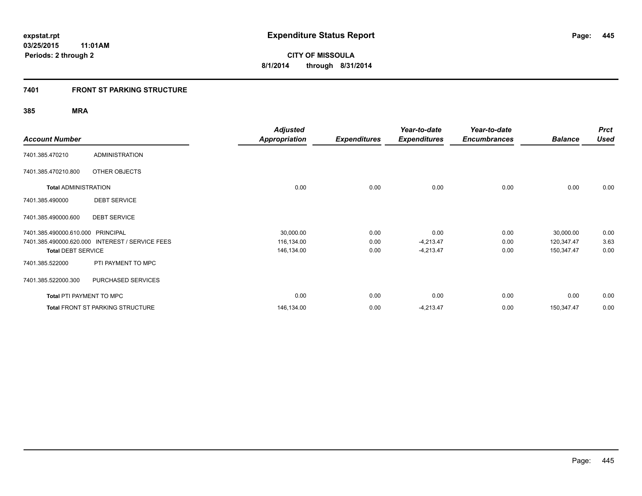# **7401 FRONT ST PARKING STRUCTURE**

|                                 |                                         | <b>Adjusted</b>      |                     | Year-to-date        | Year-to-date        |                | <b>Prct</b> |
|---------------------------------|-----------------------------------------|----------------------|---------------------|---------------------|---------------------|----------------|-------------|
| <b>Account Number</b>           |                                         | <b>Appropriation</b> | <b>Expenditures</b> | <b>Expenditures</b> | <b>Encumbrances</b> | <b>Balance</b> | <b>Used</b> |
| 7401.385.470210                 | <b>ADMINISTRATION</b>                   |                      |                     |                     |                     |                |             |
| 7401.385.470210.800             | OTHER OBJECTS                           |                      |                     |                     |                     |                |             |
| <b>Total ADMINISTRATION</b>     |                                         | 0.00                 | 0.00                | 0.00                | 0.00                | 0.00           | 0.00        |
| 7401.385.490000                 | <b>DEBT SERVICE</b>                     |                      |                     |                     |                     |                |             |
| 7401.385.490000.600             | <b>DEBT SERVICE</b>                     |                      |                     |                     |                     |                |             |
| 7401.385.490000.610.000         | <b>PRINCIPAL</b>                        | 30,000.00            | 0.00                | 0.00                | 0.00                | 30,000.00      | 0.00        |
| 7401.385.490000.620.000         | <b>INTEREST / SERVICE FEES</b>          | 116,134.00           | 0.00                | $-4,213.47$         | 0.00                | 120,347.47     | 3.63        |
| <b>Total DEBT SERVICE</b>       |                                         | 146,134.00           | 0.00                | $-4,213.47$         | 0.00                | 150,347.47     | 0.00        |
| 7401.385.522000                 | PTI PAYMENT TO MPC                      |                      |                     |                     |                     |                |             |
| 7401.385.522000.300             | PURCHASED SERVICES                      |                      |                     |                     |                     |                |             |
| <b>Total PTI PAYMENT TO MPC</b> |                                         | 0.00                 | 0.00                | 0.00                | 0.00                | 0.00           | 0.00        |
|                                 | <b>Total FRONT ST PARKING STRUCTURE</b> | 146,134.00           | 0.00                | $-4,213.47$         | 0.00                | 150,347.47     | 0.00        |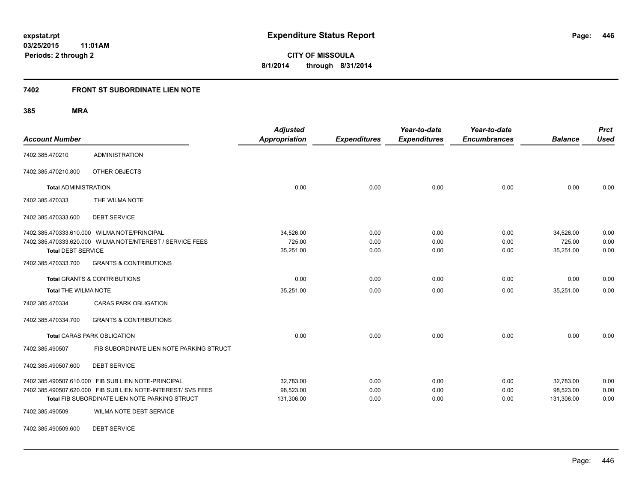# **7402 FRONT ST SUBORDINATE LIEN NOTE**

**385 MRA**

| <b>Account Number</b>                   |                                                                                                                                                                       | <b>Adjusted</b><br><b>Appropriation</b> | <b>Expenditures</b>  | Year-to-date<br><b>Expenditures</b> | Year-to-date<br><b>Encumbrances</b> | <b>Balance</b>                       | <b>Prct</b><br><b>Used</b> |
|-----------------------------------------|-----------------------------------------------------------------------------------------------------------------------------------------------------------------------|-----------------------------------------|----------------------|-------------------------------------|-------------------------------------|--------------------------------------|----------------------------|
| 7402.385.470210                         | <b>ADMINISTRATION</b>                                                                                                                                                 |                                         |                      |                                     |                                     |                                      |                            |
| 7402.385.470210.800                     | OTHER OBJECTS                                                                                                                                                         |                                         |                      |                                     |                                     |                                      |                            |
| <b>Total ADMINISTRATION</b>             |                                                                                                                                                                       | 0.00                                    | 0.00                 | 0.00                                | 0.00                                | 0.00                                 | 0.00                       |
| 7402.385.470333                         | THE WILMA NOTE                                                                                                                                                        |                                         |                      |                                     |                                     |                                      |                            |
| 7402.385.470333.600                     | <b>DEBT SERVICE</b>                                                                                                                                                   |                                         |                      |                                     |                                     |                                      |                            |
| <b>Total DEBT SERVICE</b>               | 7402.385.470333.610.000 WILMA NOTE/PRINCIPAL<br>7402.385.470333.620.000 WILMA NOTE/NTEREST / SERVICE FEES                                                             | 34,526.00<br>725.00<br>35,251.00        | 0.00<br>0.00<br>0.00 | 0.00<br>0.00<br>0.00                | 0.00<br>0.00<br>0.00                | 34,526.00<br>725.00<br>35,251.00     | 0.00<br>0.00<br>0.00       |
| 7402.385.470333.700                     | <b>GRANTS &amp; CONTRIBUTIONS</b>                                                                                                                                     |                                         |                      |                                     |                                     |                                      |                            |
| <b>Total GRANTS &amp; CONTRIBUTIONS</b> |                                                                                                                                                                       | 0.00                                    | 0.00                 | 0.00                                | 0.00                                | 0.00                                 | 0.00                       |
| <b>Total THE WILMA NOTE</b>             |                                                                                                                                                                       | 35,251.00                               | 0.00                 | 0.00                                | 0.00                                | 35,251.00                            | 0.00                       |
| 7402.385.470334                         | <b>CARAS PARK OBLIGATION</b>                                                                                                                                          |                                         |                      |                                     |                                     |                                      |                            |
| 7402.385.470334.700                     | <b>GRANTS &amp; CONTRIBUTIONS</b>                                                                                                                                     |                                         |                      |                                     |                                     |                                      |                            |
|                                         | <b>Total CARAS PARK OBLIGATION</b>                                                                                                                                    | 0.00                                    | 0.00                 | 0.00                                | 0.00                                | 0.00                                 | 0.00                       |
| 7402.385.490507                         | FIB SUBORDINATE LIEN NOTE PARKING STRUCT                                                                                                                              |                                         |                      |                                     |                                     |                                      |                            |
| 7402.385.490507.600                     | <b>DEBT SERVICE</b>                                                                                                                                                   |                                         |                      |                                     |                                     |                                      |                            |
|                                         | 7402.385.490507.610.000 FIB SUB LIEN NOTE-PRINCIPAL<br>7402.385.490507.620.000 FIB SUB LIEN NOTE-INTEREST/ SVS FEES<br>Total FIB SUBORDINATE LIEN NOTE PARKING STRUCT | 32.783.00<br>98,523.00<br>131,306.00    | 0.00<br>0.00<br>0.00 | 0.00<br>0.00<br>0.00                | 0.00<br>0.00<br>0.00                | 32.783.00<br>98.523.00<br>131,306.00 | 0.00<br>0.00<br>0.00       |
| 7402.385.490509                         | WILMA NOTE DEBT SERVICE                                                                                                                                               |                                         |                      |                                     |                                     |                                      |                            |

7402.385.490509.600 DEBT SERVICE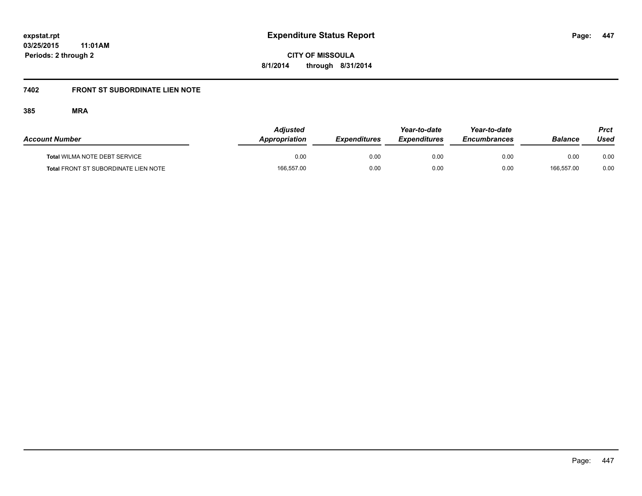**CITY OF MISSOULA 8/1/2014 through 8/31/2014**

# **7402 FRONT ST SUBORDINATE LIEN NOTE**

| <b>Account Number</b>                       | <b>Adjusted</b><br>Appropriation | <b>Expenditures</b> | Year-to-date<br><b>Expenditures</b> | Year-to-date<br><b>Encumbrances</b> | <b>Balance</b> | <b>Prct</b><br>Used |
|---------------------------------------------|----------------------------------|---------------------|-------------------------------------|-------------------------------------|----------------|---------------------|
| <b>Total WILMA NOTE DEBT SERVICE</b>        | 0.00                             | 0.00                | 0.00                                | 0.00                                | 0.00           | 0.00                |
| <b>Total FRONT ST SUBORDINATE LIEN NOTE</b> | 166.557.00                       | 0.00                | 0.00                                | 0.00                                | 166.557.00     | 0.00                |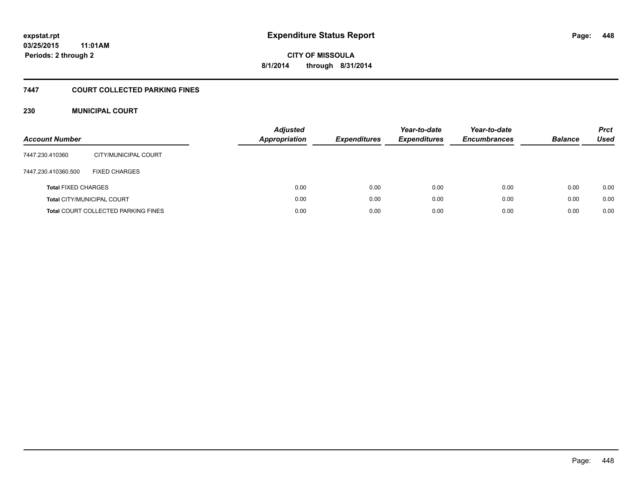# **CITY OF MISSOULA 8/1/2014 through 8/31/2014**

# **7447 COURT COLLECTED PARKING FINES**

# **230 MUNICIPAL COURT**

| <b>Account Number</b>      |                                            | <b>Adjusted</b><br><b>Appropriation</b> | <b>Expenditures</b> | Year-to-date<br><b>Expenditures</b> | Year-to-date<br><b>Encumbrances</b> | <b>Balance</b> | <b>Prct</b><br>Used |
|----------------------------|--------------------------------------------|-----------------------------------------|---------------------|-------------------------------------|-------------------------------------|----------------|---------------------|
| 7447.230.410360            | CITY/MUNICIPAL COURT                       |                                         |                     |                                     |                                     |                |                     |
| 7447.230.410360.500        | <b>FIXED CHARGES</b>                       |                                         |                     |                                     |                                     |                |                     |
| <b>Total FIXED CHARGES</b> |                                            | 0.00                                    | 0.00                | 0.00                                | 0.00                                | 0.00           | 0.00                |
|                            | <b>Total CITY/MUNICIPAL COURT</b>          | 0.00                                    | 0.00                | 0.00                                | 0.00                                | 0.00           | 0.00                |
|                            | <b>Total COURT COLLECTED PARKING FINES</b> | 0.00                                    | 0.00                | 0.00                                | 0.00                                | 0.00           | 0.00                |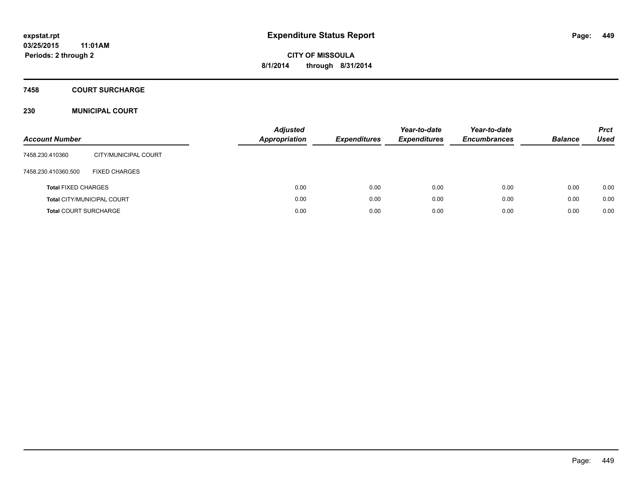# **7458 COURT SURCHARGE**

# **230 MUNICIPAL COURT**

| <b>Account Number</b>        |                                   | <b>Adjusted</b><br><b>Appropriation</b> | <b>Expenditures</b> | Year-to-date<br><b>Expenditures</b> | Year-to-date<br><b>Encumbrances</b> | <b>Balance</b> | <b>Prct</b><br><b>Used</b> |
|------------------------------|-----------------------------------|-----------------------------------------|---------------------|-------------------------------------|-------------------------------------|----------------|----------------------------|
| 7458.230.410360              | CITY/MUNICIPAL COURT              |                                         |                     |                                     |                                     |                |                            |
| 7458.230.410360.500          | <b>FIXED CHARGES</b>              |                                         |                     |                                     |                                     |                |                            |
| <b>Total FIXED CHARGES</b>   |                                   | 0.00                                    | 0.00                | 0.00                                | 0.00                                | 0.00           | 0.00                       |
|                              | <b>Total CITY/MUNICIPAL COURT</b> | 0.00                                    | 0.00                | 0.00                                | 0.00                                | 0.00           | 0.00                       |
| <b>Total COURT SURCHARGE</b> |                                   | 0.00                                    | 0.00                | 0.00                                | 0.00                                | 0.00           | 0.00                       |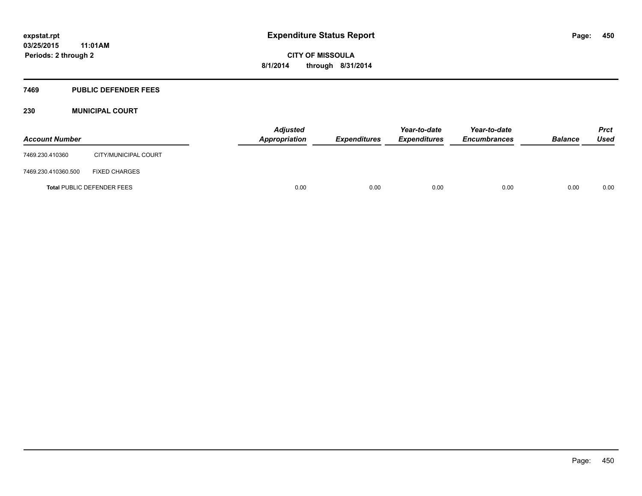#### **7469 PUBLIC DEFENDER FEES**

# **230 MUNICIPAL COURT**

| <b>Account Number</b> |                                   | <b>Adjusted</b><br>Appropriation | <b>Expenditures</b> | Year-to-date<br><b>Expenditures</b> | Year-to-date<br><b>Encumbrances</b> | <b>Balance</b> | <b>Prct</b><br>Used |
|-----------------------|-----------------------------------|----------------------------------|---------------------|-------------------------------------|-------------------------------------|----------------|---------------------|
| 7469.230.410360       | CITY/MUNICIPAL COURT              |                                  |                     |                                     |                                     |                |                     |
| 7469.230.410360.500   | <b>FIXED CHARGES</b>              |                                  |                     |                                     |                                     |                |                     |
|                       | <b>Total PUBLIC DEFENDER FEES</b> | 0.00                             | 0.00                | 0.00                                | 0.00                                | 0.00           | 0.00                |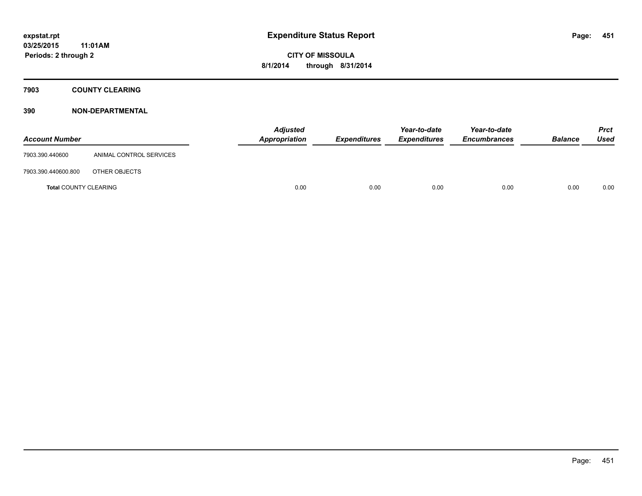**7903 COUNTY CLEARING**

| <b>Account Number</b>        |                         | <b>Adjusted</b><br>Appropriation | <b>Expenditures</b> | Year-to-date<br><b>Expenditures</b> | Year-to-date<br><b>Encumbrances</b> | <b>Balance</b> | Prct<br><b>Used</b> |
|------------------------------|-------------------------|----------------------------------|---------------------|-------------------------------------|-------------------------------------|----------------|---------------------|
| 7903.390.440600              | ANIMAL CONTROL SERVICES |                                  |                     |                                     |                                     |                |                     |
| 7903.390.440600.800          | OTHER OBJECTS           |                                  |                     |                                     |                                     |                |                     |
| <b>Total COUNTY CLEARING</b> |                         | 0.00                             | 0.00                | 0.00                                | 0.00                                | 0.00           | 0.00                |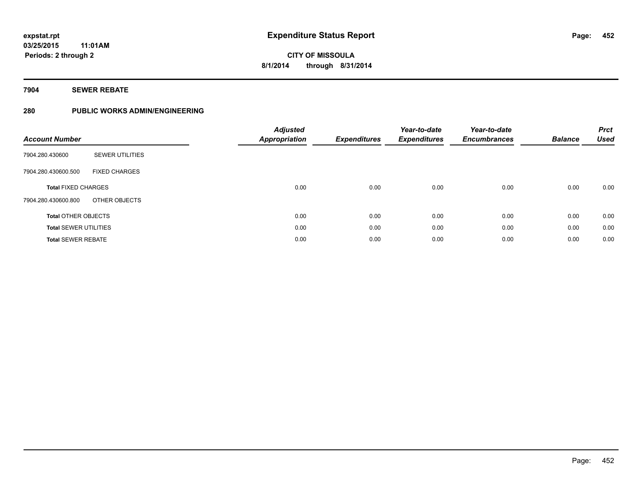# **7904 SEWER REBATE**

# **280 PUBLIC WORKS ADMIN/ENGINEERING**

| <b>Account Number</b>        |                        | <b>Adjusted</b><br><b>Appropriation</b> | <b>Expenditures</b> | Year-to-date<br><b>Expenditures</b> | Year-to-date<br><b>Encumbrances</b> | <b>Balance</b> | <b>Prct</b><br><b>Used</b> |
|------------------------------|------------------------|-----------------------------------------|---------------------|-------------------------------------|-------------------------------------|----------------|----------------------------|
| 7904.280.430600              | <b>SEWER UTILITIES</b> |                                         |                     |                                     |                                     |                |                            |
| 7904.280.430600.500          | <b>FIXED CHARGES</b>   |                                         |                     |                                     |                                     |                |                            |
| <b>Total FIXED CHARGES</b>   |                        | 0.00                                    | 0.00                | 0.00                                | 0.00                                | 0.00           | 0.00                       |
| 7904.280.430600.800          | OTHER OBJECTS          |                                         |                     |                                     |                                     |                |                            |
| <b>Total OTHER OBJECTS</b>   |                        | 0.00                                    | 0.00                | 0.00                                | 0.00                                | 0.00           | 0.00                       |
| <b>Total SEWER UTILITIES</b> |                        | 0.00                                    | 0.00                | 0.00                                | 0.00                                | 0.00           | 0.00                       |
| <b>Total SEWER REBATE</b>    |                        | 0.00                                    | 0.00                | 0.00                                | 0.00                                | 0.00           | 0.00                       |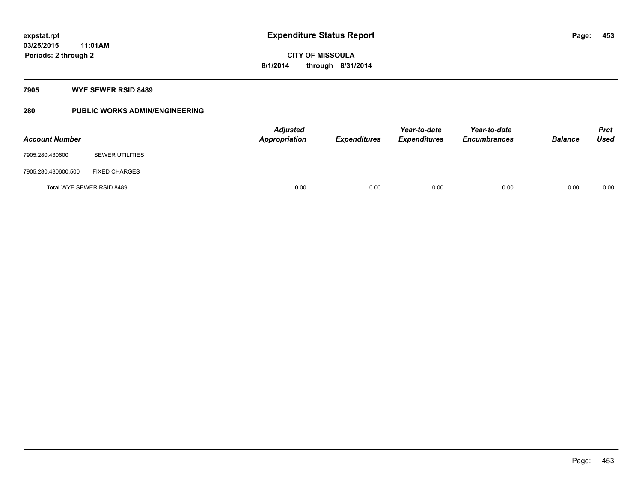# **7905 WYE SEWER RSID 8489**

# **280 PUBLIC WORKS ADMIN/ENGINEERING**

| <b>Account Number</b> |                           | <b>Adjusted</b><br><b>Appropriation</b> | <b>Expenditures</b> | Year-to-date<br><b>Expenditures</b> | Year-to-date<br><b>Encumbrances</b> | <b>Balance</b> | <b>Prct</b><br><b>Used</b> |
|-----------------------|---------------------------|-----------------------------------------|---------------------|-------------------------------------|-------------------------------------|----------------|----------------------------|
| 7905.280.430600       | <b>SEWER UTILITIES</b>    |                                         |                     |                                     |                                     |                |                            |
| 7905.280.430600.500   | <b>FIXED CHARGES</b>      |                                         |                     |                                     |                                     |                |                            |
|                       | Total WYE SEWER RSID 8489 | 0.00                                    | 0.00                | 0.00                                | 0.00                                | 0.00           | 0.00                       |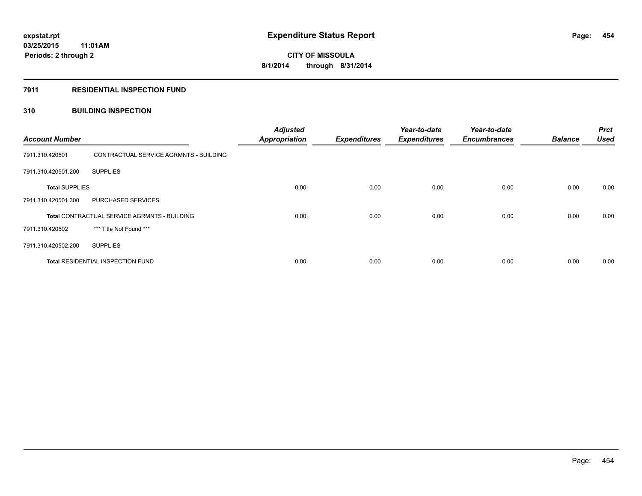# **7911 RESIDENTIAL INSPECTION FUND**

# **310 BUILDING INSPECTION**

| <b>Account Number</b> |                                              | <b>Adjusted</b><br><b>Appropriation</b> | <b>Expenditures</b> | Year-to-date<br><b>Expenditures</b> | Year-to-date<br><b>Encumbrances</b> | <b>Balance</b> | <b>Prct</b><br><b>Used</b> |
|-----------------------|----------------------------------------------|-----------------------------------------|---------------------|-------------------------------------|-------------------------------------|----------------|----------------------------|
| 7911.310.420501       | CONTRACTUAL SERVICE AGRMNTS - BUILDING       |                                         |                     |                                     |                                     |                |                            |
| 7911.310.420501.200   | <b>SUPPLIES</b>                              |                                         |                     |                                     |                                     |                |                            |
| <b>Total SUPPLIES</b> |                                              | 0.00                                    | 0.00                | 0.00                                | 0.00                                | 0.00           | 0.00                       |
| 7911.310.420501.300   | <b>PURCHASED SERVICES</b>                    |                                         |                     |                                     |                                     |                |                            |
|                       | Total CONTRACTUAL SERVICE AGRMNTS - BUILDING | 0.00                                    | 0.00                | 0.00                                | 0.00                                | 0.00           | 0.00                       |
| 7911.310.420502       | *** Title Not Found ***                      |                                         |                     |                                     |                                     |                |                            |
| 7911.310.420502.200   | <b>SUPPLIES</b>                              |                                         |                     |                                     |                                     |                |                            |
|                       | <b>Total RESIDENTIAL INSPECTION FUND</b>     | 0.00                                    | 0.00                | 0.00                                | 0.00                                | 0.00           | 0.00                       |